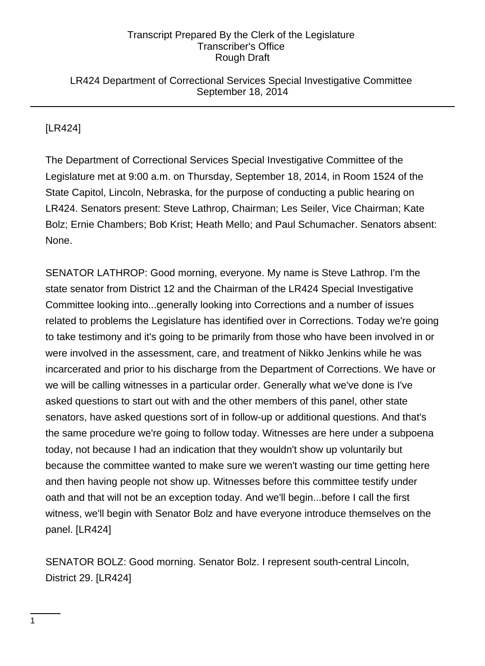#### LR424 Department of Correctional Services Special Investigative Committee September 18, 2014

## [LR424]

The Department of Correctional Services Special Investigative Committee of the Legislature met at 9:00 a.m. on Thursday, September 18, 2014, in Room 1524 of the State Capitol, Lincoln, Nebraska, for the purpose of conducting a public hearing on LR424. Senators present: Steve Lathrop, Chairman; Les Seiler, Vice Chairman; Kate Bolz; Ernie Chambers; Bob Krist; Heath Mello; and Paul Schumacher. Senators absent: None.

SENATOR LATHROP: Good morning, everyone. My name is Steve Lathrop. I'm the state senator from District 12 and the Chairman of the LR424 Special Investigative Committee looking into...generally looking into Corrections and a number of issues related to problems the Legislature has identified over in Corrections. Today we're going to take testimony and it's going to be primarily from those who have been involved in or were involved in the assessment, care, and treatment of Nikko Jenkins while he was incarcerated and prior to his discharge from the Department of Corrections. We have or we will be calling witnesses in a particular order. Generally what we've done is I've asked questions to start out with and the other members of this panel, other state senators, have asked questions sort of in follow-up or additional questions. And that's the same procedure we're going to follow today. Witnesses are here under a subpoena today, not because I had an indication that they wouldn't show up voluntarily but because the committee wanted to make sure we weren't wasting our time getting here and then having people not show up. Witnesses before this committee testify under oath and that will not be an exception today. And we'll begin...before I call the first witness, we'll begin with Senator Bolz and have everyone introduce themselves on the panel. [LR424]

SENATOR BOLZ: Good morning. Senator Bolz. I represent south-central Lincoln, District 29. [LR424]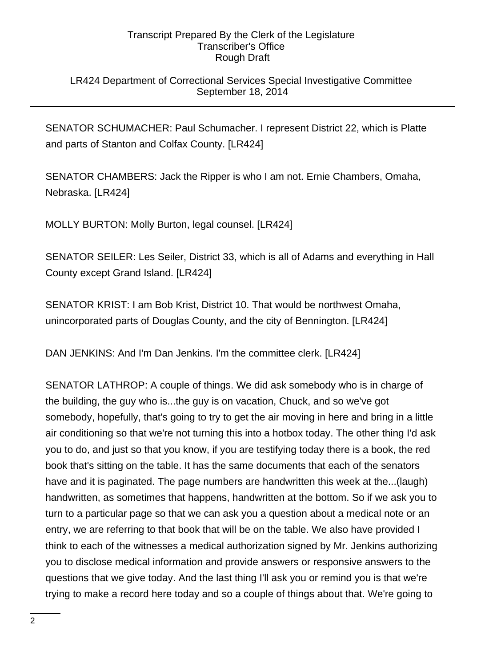### LR424 Department of Correctional Services Special Investigative Committee September 18, 2014

SENATOR SCHUMACHER: Paul Schumacher. I represent District 22, which is Platte and parts of Stanton and Colfax County. [LR424]

SENATOR CHAMBERS: Jack the Ripper is who I am not. Ernie Chambers, Omaha, Nebraska. [LR424]

MOLLY BURTON: Molly Burton, legal counsel. [LR424]

SENATOR SEILER: Les Seiler, District 33, which is all of Adams and everything in Hall County except Grand Island. [LR424]

SENATOR KRIST: I am Bob Krist, District 10. That would be northwest Omaha, unincorporated parts of Douglas County, and the city of Bennington. [LR424]

DAN JENKINS: And I'm Dan Jenkins. I'm the committee clerk. [LR424]

SENATOR LATHROP: A couple of things. We did ask somebody who is in charge of the building, the guy who is...the guy is on vacation, Chuck, and so we've got somebody, hopefully, that's going to try to get the air moving in here and bring in a little air conditioning so that we're not turning this into a hotbox today. The other thing I'd ask you to do, and just so that you know, if you are testifying today there is a book, the red book that's sitting on the table. It has the same documents that each of the senators have and it is paginated. The page numbers are handwritten this week at the...(laugh) handwritten, as sometimes that happens, handwritten at the bottom. So if we ask you to turn to a particular page so that we can ask you a question about a medical note or an entry, we are referring to that book that will be on the table. We also have provided I think to each of the witnesses a medical authorization signed by Mr. Jenkins authorizing you to disclose medical information and provide answers or responsive answers to the questions that we give today. And the last thing I'll ask you or remind you is that we're trying to make a record here today and so a couple of things about that. We're going to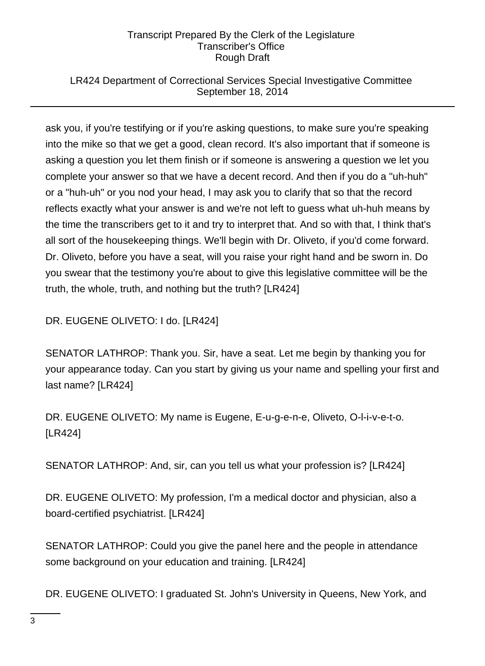### LR424 Department of Correctional Services Special Investigative Committee September 18, 2014

ask you, if you're testifying or if you're asking questions, to make sure you're speaking into the mike so that we get a good, clean record. It's also important that if someone is asking a question you let them finish or if someone is answering a question we let you complete your answer so that we have a decent record. And then if you do a "uh-huh" or a "huh-uh" or you nod your head, I may ask you to clarify that so that the record reflects exactly what your answer is and we're not left to guess what uh-huh means by the time the transcribers get to it and try to interpret that. And so with that, I think that's all sort of the housekeeping things. We'll begin with Dr. Oliveto, if you'd come forward. Dr. Oliveto, before you have a seat, will you raise your right hand and be sworn in. Do you swear that the testimony you're about to give this legislative committee will be the truth, the whole, truth, and nothing but the truth? [LR424]

DR. EUGENE OLIVETO: I do. [LR424]

SENATOR LATHROP: Thank you. Sir, have a seat. Let me begin by thanking you for your appearance today. Can you start by giving us your name and spelling your first and last name? [LR424]

DR. EUGENE OLIVETO: My name is Eugene, E-u-g-e-n-e, Oliveto, O-l-i-v-e-t-o. [LR424]

SENATOR LATHROP: And, sir, can you tell us what your profession is? [LR424]

DR. EUGENE OLIVETO: My profession, I'm a medical doctor and physician, also a board-certified psychiatrist. [LR424]

SENATOR LATHROP: Could you give the panel here and the people in attendance some background on your education and training. [LR424]

DR. EUGENE OLIVETO: I graduated St. John's University in Queens, New York, and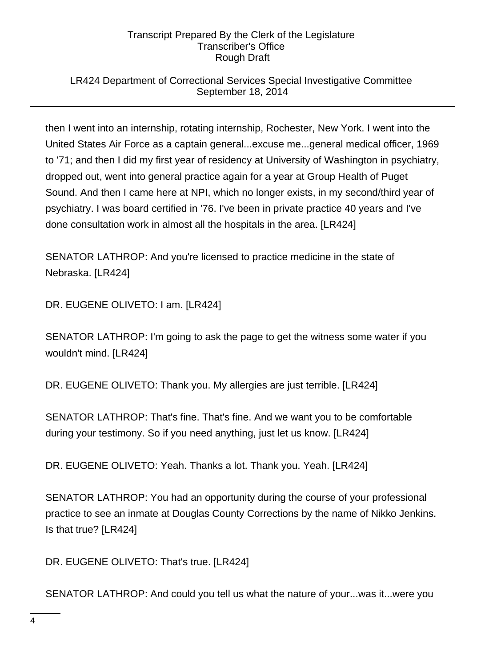### LR424 Department of Correctional Services Special Investigative Committee September 18, 2014

then I went into an internship, rotating internship, Rochester, New York. I went into the United States Air Force as a captain general...excuse me...general medical officer, 1969 to '71; and then I did my first year of residency at University of Washington in psychiatry, dropped out, went into general practice again for a year at Group Health of Puget Sound. And then I came here at NPI, which no longer exists, in my second/third year of psychiatry. I was board certified in '76. I've been in private practice 40 years and I've done consultation work in almost all the hospitals in the area. [LR424]

SENATOR LATHROP: And you're licensed to practice medicine in the state of Nebraska. [LR424]

DR. EUGENE OLIVETO: I am. [LR424]

SENATOR LATHROP: I'm going to ask the page to get the witness some water if you wouldn't mind. [LR424]

DR. EUGENE OLIVETO: Thank you. My allergies are just terrible. [LR424]

SENATOR LATHROP: That's fine. That's fine. And we want you to be comfortable during your testimony. So if you need anything, just let us know. [LR424]

DR. EUGENE OLIVETO: Yeah. Thanks a lot. Thank you. Yeah. [LR424]

SENATOR LATHROP: You had an opportunity during the course of your professional practice to see an inmate at Douglas County Corrections by the name of Nikko Jenkins. Is that true? [LR424]

DR. EUGENE OLIVETO: That's true. [LR424]

SENATOR LATHROP: And could you tell us what the nature of your...was it...were you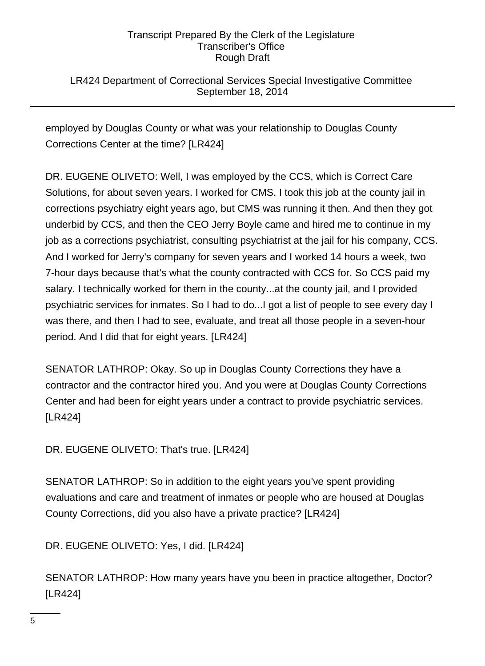### LR424 Department of Correctional Services Special Investigative Committee September 18, 2014

employed by Douglas County or what was your relationship to Douglas County Corrections Center at the time? [LR424]

DR. EUGENE OLIVETO: Well, I was employed by the CCS, which is Correct Care Solutions, for about seven years. I worked for CMS. I took this job at the county jail in corrections psychiatry eight years ago, but CMS was running it then. And then they got underbid by CCS, and then the CEO Jerry Boyle came and hired me to continue in my job as a corrections psychiatrist, consulting psychiatrist at the jail for his company, CCS. And I worked for Jerry's company for seven years and I worked 14 hours a week, two 7-hour days because that's what the county contracted with CCS for. So CCS paid my salary. I technically worked for them in the county...at the county jail, and I provided psychiatric services for inmates. So I had to do...I got a list of people to see every day I was there, and then I had to see, evaluate, and treat all those people in a seven-hour period. And I did that for eight years. [LR424]

SENATOR LATHROP: Okay. So up in Douglas County Corrections they have a contractor and the contractor hired you. And you were at Douglas County Corrections Center and had been for eight years under a contract to provide psychiatric services. [LR424]

DR. EUGENE OLIVETO: That's true. [LR424]

SENATOR LATHROP: So in addition to the eight years you've spent providing evaluations and care and treatment of inmates or people who are housed at Douglas County Corrections, did you also have a private practice? [LR424]

DR. EUGENE OLIVETO: Yes, I did. [LR424]

SENATOR LATHROP: How many years have you been in practice altogether, Doctor? [LR424]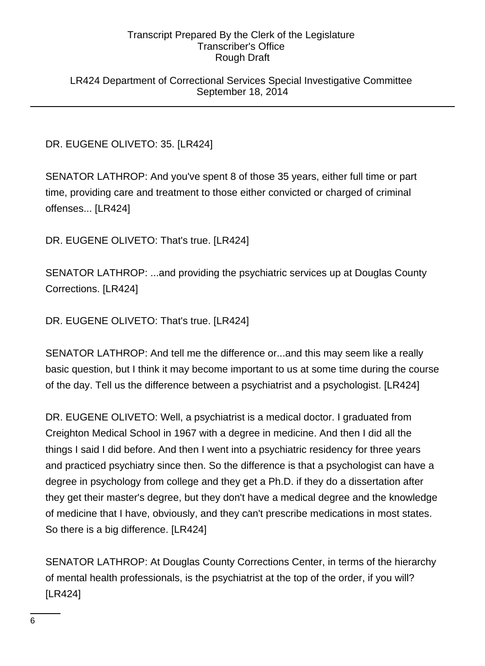LR424 Department of Correctional Services Special Investigative Committee September 18, 2014

DR. EUGENE OLIVETO: 35. [LR424]

SENATOR LATHROP: And you've spent 8 of those 35 years, either full time or part time, providing care and treatment to those either convicted or charged of criminal offenses... [LR424]

DR. EUGENE OLIVETO: That's true. [LR424]

SENATOR LATHROP: ...and providing the psychiatric services up at Douglas County Corrections. [LR424]

DR. EUGENE OLIVETO: That's true. [LR424]

SENATOR LATHROP: And tell me the difference or...and this may seem like a really basic question, but I think it may become important to us at some time during the course of the day. Tell us the difference between a psychiatrist and a psychologist. [LR424]

DR. EUGENE OLIVETO: Well, a psychiatrist is a medical doctor. I graduated from Creighton Medical School in 1967 with a degree in medicine. And then I did all the things I said I did before. And then I went into a psychiatric residency for three years and practiced psychiatry since then. So the difference is that a psychologist can have a degree in psychology from college and they get a Ph.D. if they do a dissertation after they get their master's degree, but they don't have a medical degree and the knowledge of medicine that I have, obviously, and they can't prescribe medications in most states. So there is a big difference. [LR424]

SENATOR LATHROP: At Douglas County Corrections Center, in terms of the hierarchy of mental health professionals, is the psychiatrist at the top of the order, if you will? [LR424]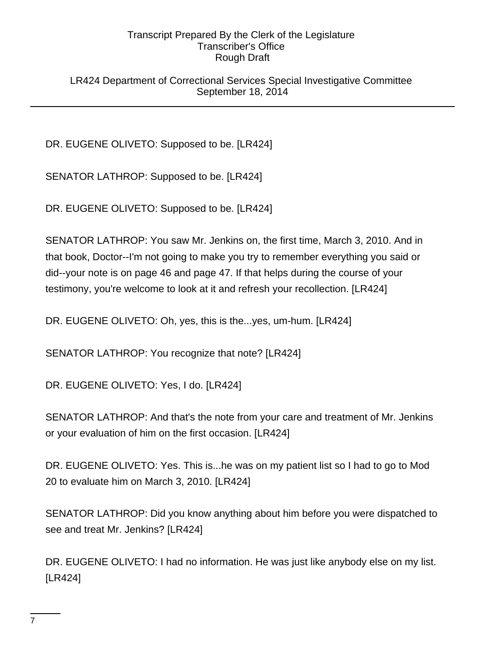LR424 Department of Correctional Services Special Investigative Committee September 18, 2014

DR. EUGENE OLIVETO: Supposed to be. [LR424]

SENATOR LATHROP: Supposed to be. [LR424]

DR. EUGENE OLIVETO: Supposed to be. [LR424]

SENATOR LATHROP: You saw Mr. Jenkins on, the first time, March 3, 2010. And in that book, Doctor--I'm not going to make you try to remember everything you said or did--your note is on page 46 and page 47. If that helps during the course of your testimony, you're welcome to look at it and refresh your recollection. [LR424]

DR. EUGENE OLIVETO: Oh, yes, this is the...yes, um-hum. [LR424]

SENATOR LATHROP: You recognize that note? [LR424]

DR. EUGENE OLIVETO: Yes, I do. [LR424]

SENATOR LATHROP: And that's the note from your care and treatment of Mr. Jenkins or your evaluation of him on the first occasion. [LR424]

DR. EUGENE OLIVETO: Yes. This is...he was on my patient list so I had to go to Mod 20 to evaluate him on March 3, 2010. [LR424]

SENATOR LATHROP: Did you know anything about him before you were dispatched to see and treat Mr. Jenkins? [LR424]

DR. EUGENE OLIVETO: I had no information. He was just like anybody else on my list. [LR424]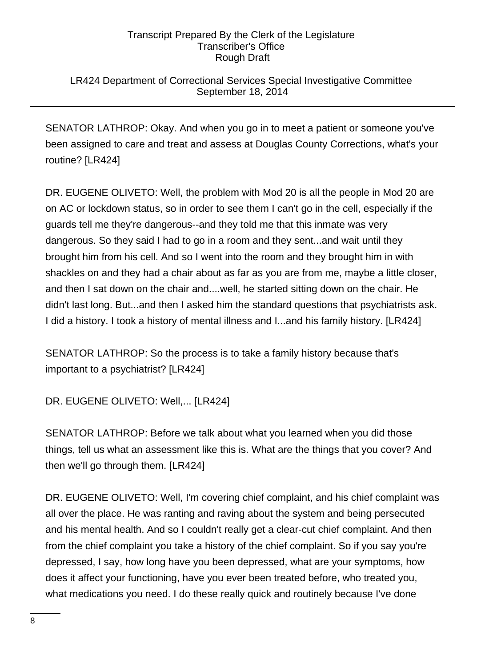### LR424 Department of Correctional Services Special Investigative Committee September 18, 2014

SENATOR LATHROP: Okay. And when you go in to meet a patient or someone you've been assigned to care and treat and assess at Douglas County Corrections, what's your routine? [LR424]

DR. EUGENE OLIVETO: Well, the problem with Mod 20 is all the people in Mod 20 are on AC or lockdown status, so in order to see them I can't go in the cell, especially if the guards tell me they're dangerous--and they told me that this inmate was very dangerous. So they said I had to go in a room and they sent...and wait until they brought him from his cell. And so I went into the room and they brought him in with shackles on and they had a chair about as far as you are from me, maybe a little closer, and then I sat down on the chair and....well, he started sitting down on the chair. He didn't last long. But...and then I asked him the standard questions that psychiatrists ask. I did a history. I took a history of mental illness and I...and his family history. [LR424]

SENATOR LATHROP: So the process is to take a family history because that's important to a psychiatrist? [LR424]

DR. EUGENE OLIVETO: Well,... [LR424]

SENATOR LATHROP: Before we talk about what you learned when you did those things, tell us what an assessment like this is. What are the things that you cover? And then we'll go through them. [LR424]

DR. EUGENE OLIVETO: Well, I'm covering chief complaint, and his chief complaint was all over the place. He was ranting and raving about the system and being persecuted and his mental health. And so I couldn't really get a clear-cut chief complaint. And then from the chief complaint you take a history of the chief complaint. So if you say you're depressed, I say, how long have you been depressed, what are your symptoms, how does it affect your functioning, have you ever been treated before, who treated you, what medications you need. I do these really quick and routinely because I've done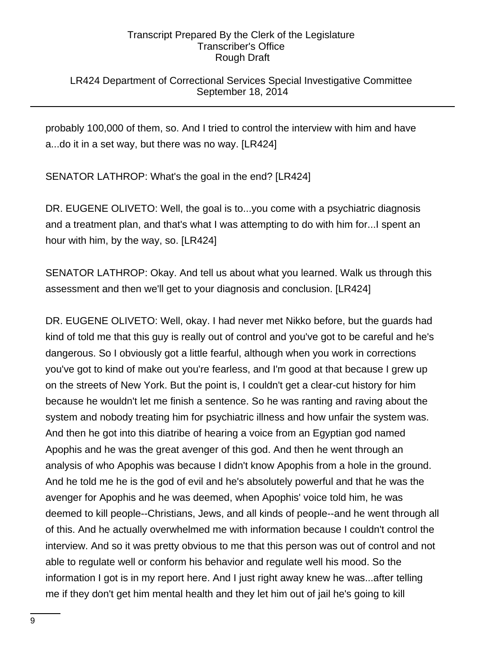### LR424 Department of Correctional Services Special Investigative Committee September 18, 2014

probably 100,000 of them, so. And I tried to control the interview with him and have a...do it in a set way, but there was no way. [LR424]

SENATOR LATHROP: What's the goal in the end? [LR424]

DR. EUGENE OLIVETO: Well, the goal is to...you come with a psychiatric diagnosis and a treatment plan, and that's what I was attempting to do with him for...I spent an hour with him, by the way, so. [LR424]

SENATOR LATHROP: Okay. And tell us about what you learned. Walk us through this assessment and then we'll get to your diagnosis and conclusion. [LR424]

DR. EUGENE OLIVETO: Well, okay. I had never met Nikko before, but the guards had kind of told me that this guy is really out of control and you've got to be careful and he's dangerous. So I obviously got a little fearful, although when you work in corrections you've got to kind of make out you're fearless, and I'm good at that because I grew up on the streets of New York. But the point is, I couldn't get a clear-cut history for him because he wouldn't let me finish a sentence. So he was ranting and raving about the system and nobody treating him for psychiatric illness and how unfair the system was. And then he got into this diatribe of hearing a voice from an Egyptian god named Apophis and he was the great avenger of this god. And then he went through an analysis of who Apophis was because I didn't know Apophis from a hole in the ground. And he told me he is the god of evil and he's absolutely powerful and that he was the avenger for Apophis and he was deemed, when Apophis' voice told him, he was deemed to kill people--Christians, Jews, and all kinds of people--and he went through all of this. And he actually overwhelmed me with information because I couldn't control the interview. And so it was pretty obvious to me that this person was out of control and not able to regulate well or conform his behavior and regulate well his mood. So the information I got is in my report here. And I just right away knew he was...after telling me if they don't get him mental health and they let him out of jail he's going to kill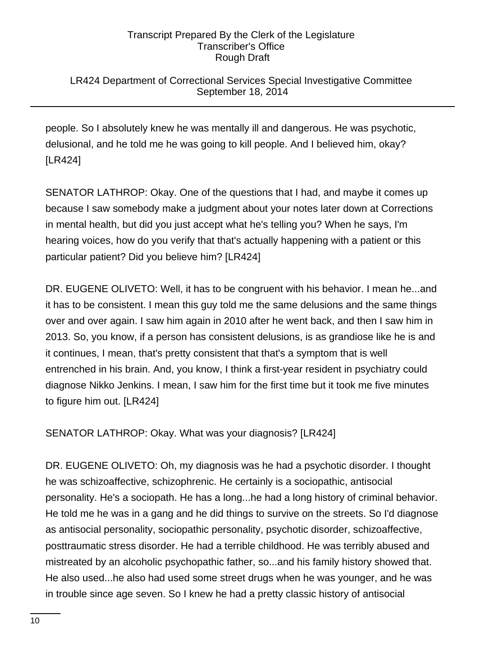### LR424 Department of Correctional Services Special Investigative Committee September 18, 2014

people. So I absolutely knew he was mentally ill and dangerous. He was psychotic, delusional, and he told me he was going to kill people. And I believed him, okay? [LR424]

SENATOR LATHROP: Okay. One of the questions that I had, and maybe it comes up because I saw somebody make a judgment about your notes later down at Corrections in mental health, but did you just accept what he's telling you? When he says, I'm hearing voices, how do you verify that that's actually happening with a patient or this particular patient? Did you believe him? [LR424]

DR. EUGENE OLIVETO: Well, it has to be congruent with his behavior. I mean he...and it has to be consistent. I mean this guy told me the same delusions and the same things over and over again. I saw him again in 2010 after he went back, and then I saw him in 2013. So, you know, if a person has consistent delusions, is as grandiose like he is and it continues, I mean, that's pretty consistent that that's a symptom that is well entrenched in his brain. And, you know, I think a first-year resident in psychiatry could diagnose Nikko Jenkins. I mean, I saw him for the first time but it took me five minutes to figure him out. [LR424]

SENATOR LATHROP: Okay. What was your diagnosis? [LR424]

DR. EUGENE OLIVETO: Oh, my diagnosis was he had a psychotic disorder. I thought he was schizoaffective, schizophrenic. He certainly is a sociopathic, antisocial personality. He's a sociopath. He has a long...he had a long history of criminal behavior. He told me he was in a gang and he did things to survive on the streets. So I'd diagnose as antisocial personality, sociopathic personality, psychotic disorder, schizoaffective, posttraumatic stress disorder. He had a terrible childhood. He was terribly abused and mistreated by an alcoholic psychopathic father, so...and his family history showed that. He also used...he also had used some street drugs when he was younger, and he was in trouble since age seven. So I knew he had a pretty classic history of antisocial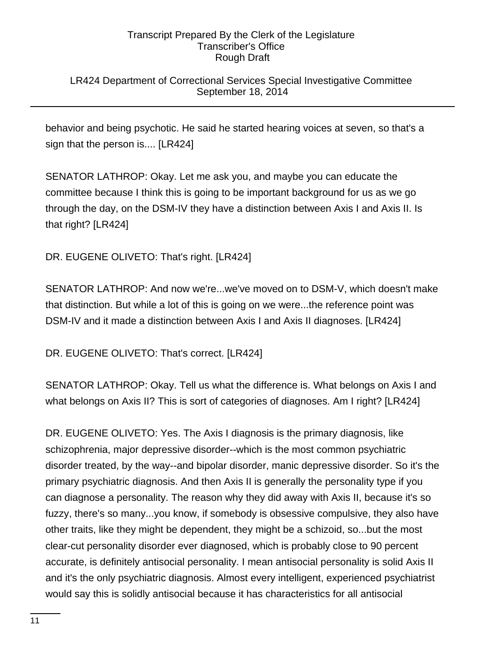### LR424 Department of Correctional Services Special Investigative Committee September 18, 2014

behavior and being psychotic. He said he started hearing voices at seven, so that's a sign that the person is.... [LR424]

SENATOR LATHROP: Okay. Let me ask you, and maybe you can educate the committee because I think this is going to be important background for us as we go through the day, on the DSM-IV they have a distinction between Axis I and Axis II. Is that right? [LR424]

DR. EUGENE OLIVETO: That's right. [LR424]

SENATOR LATHROP: And now we're...we've moved on to DSM-V, which doesn't make that distinction. But while a lot of this is going on we were...the reference point was DSM-IV and it made a distinction between Axis I and Axis II diagnoses. [LR424]

DR. EUGENE OLIVETO: That's correct. [LR424]

SENATOR LATHROP: Okay. Tell us what the difference is. What belongs on Axis I and what belongs on Axis II? This is sort of categories of diagnoses. Am I right? [LR424]

DR. EUGENE OLIVETO: Yes. The Axis I diagnosis is the primary diagnosis, like schizophrenia, major depressive disorder--which is the most common psychiatric disorder treated, by the way--and bipolar disorder, manic depressive disorder. So it's the primary psychiatric diagnosis. And then Axis II is generally the personality type if you can diagnose a personality. The reason why they did away with Axis II, because it's so fuzzy, there's so many...you know, if somebody is obsessive compulsive, they also have other traits, like they might be dependent, they might be a schizoid, so...but the most clear-cut personality disorder ever diagnosed, which is probably close to 90 percent accurate, is definitely antisocial personality. I mean antisocial personality is solid Axis II and it's the only psychiatric diagnosis. Almost every intelligent, experienced psychiatrist would say this is solidly antisocial because it has characteristics for all antisocial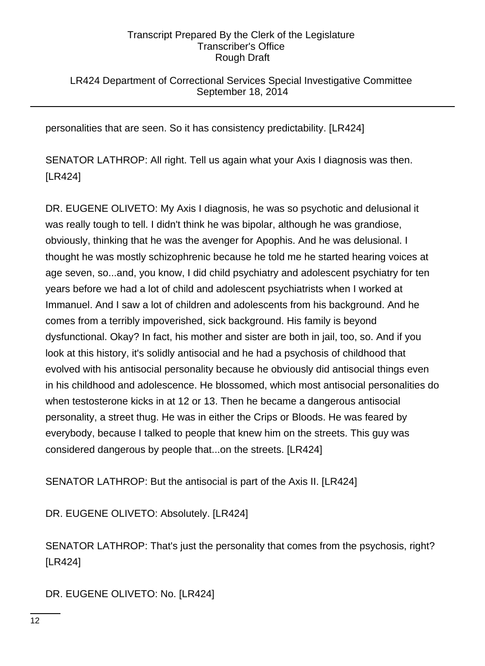LR424 Department of Correctional Services Special Investigative Committee September 18, 2014

personalities that are seen. So it has consistency predictability. [LR424]

SENATOR LATHROP: All right. Tell us again what your Axis I diagnosis was then. [LR424]

DR. EUGENE OLIVETO: My Axis I diagnosis, he was so psychotic and delusional it was really tough to tell. I didn't think he was bipolar, although he was grandiose, obviously, thinking that he was the avenger for Apophis. And he was delusional. I thought he was mostly schizophrenic because he told me he started hearing voices at age seven, so...and, you know, I did child psychiatry and adolescent psychiatry for ten years before we had a lot of child and adolescent psychiatrists when I worked at Immanuel. And I saw a lot of children and adolescents from his background. And he comes from a terribly impoverished, sick background. His family is beyond dysfunctional. Okay? In fact, his mother and sister are both in jail, too, so. And if you look at this history, it's solidly antisocial and he had a psychosis of childhood that evolved with his antisocial personality because he obviously did antisocial things even in his childhood and adolescence. He blossomed, which most antisocial personalities do when testosterone kicks in at 12 or 13. Then he became a dangerous antisocial personality, a street thug. He was in either the Crips or Bloods. He was feared by everybody, because I talked to people that knew him on the streets. This guy was considered dangerous by people that...on the streets. [LR424]

SENATOR LATHROP: But the antisocial is part of the Axis II. [LR424]

DR. EUGENE OLIVETO: Absolutely. [LR424]

SENATOR LATHROP: That's just the personality that comes from the psychosis, right? [LR424]

DR. EUGENE OLIVETO: No. [LR424]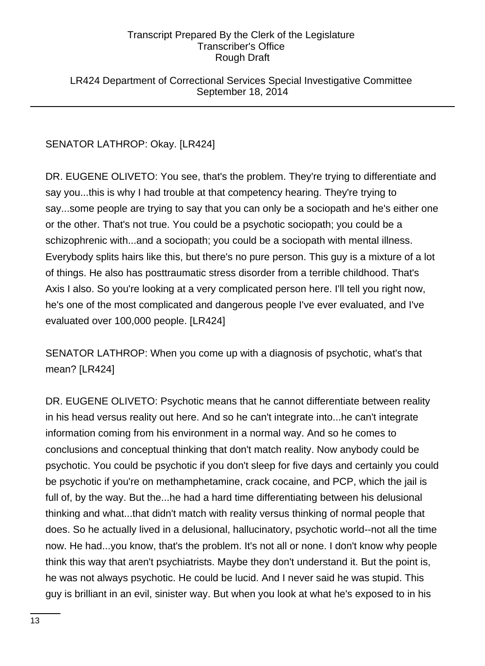LR424 Department of Correctional Services Special Investigative Committee September 18, 2014

# SENATOR LATHROP: Okay. [LR424]

DR. EUGENE OLIVETO: You see, that's the problem. They're trying to differentiate and say you...this is why I had trouble at that competency hearing. They're trying to say...some people are trying to say that you can only be a sociopath and he's either one or the other. That's not true. You could be a psychotic sociopath; you could be a schizophrenic with...and a sociopath; you could be a sociopath with mental illness. Everybody splits hairs like this, but there's no pure person. This guy is a mixture of a lot of things. He also has posttraumatic stress disorder from a terrible childhood. That's Axis I also. So you're looking at a very complicated person here. I'll tell you right now, he's one of the most complicated and dangerous people I've ever evaluated, and I've evaluated over 100,000 people. [LR424]

SENATOR LATHROP: When you come up with a diagnosis of psychotic, what's that mean? [LR424]

DR. EUGENE OLIVETO: Psychotic means that he cannot differentiate between reality in his head versus reality out here. And so he can't integrate into...he can't integrate information coming from his environment in a normal way. And so he comes to conclusions and conceptual thinking that don't match reality. Now anybody could be psychotic. You could be psychotic if you don't sleep for five days and certainly you could be psychotic if you're on methamphetamine, crack cocaine, and PCP, which the jail is full of, by the way. But the...he had a hard time differentiating between his delusional thinking and what...that didn't match with reality versus thinking of normal people that does. So he actually lived in a delusional, hallucinatory, psychotic world--not all the time now. He had...you know, that's the problem. It's not all or none. I don't know why people think this way that aren't psychiatrists. Maybe they don't understand it. But the point is, he was not always psychotic. He could be lucid. And I never said he was stupid. This guy is brilliant in an evil, sinister way. But when you look at what he's exposed to in his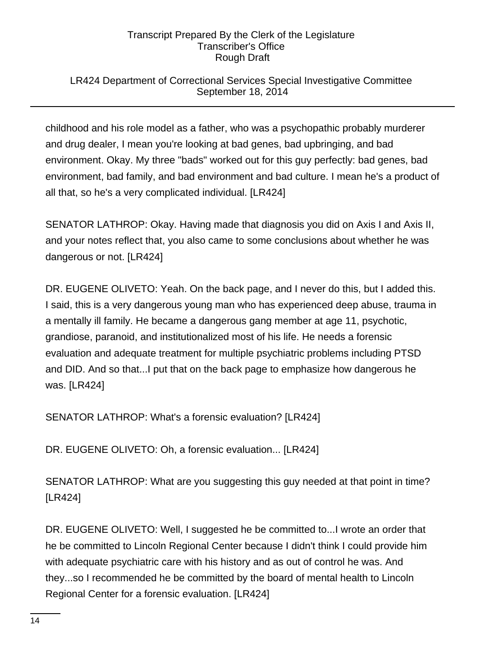### LR424 Department of Correctional Services Special Investigative Committee September 18, 2014

childhood and his role model as a father, who was a psychopathic probably murderer and drug dealer, I mean you're looking at bad genes, bad upbringing, and bad environment. Okay. My three "bads" worked out for this guy perfectly: bad genes, bad environment, bad family, and bad environment and bad culture. I mean he's a product of all that, so he's a very complicated individual. [LR424]

SENATOR LATHROP: Okay. Having made that diagnosis you did on Axis I and Axis II, and your notes reflect that, you also came to some conclusions about whether he was dangerous or not. [LR424]

DR. EUGENE OLIVETO: Yeah. On the back page, and I never do this, but I added this. I said, this is a very dangerous young man who has experienced deep abuse, trauma in a mentally ill family. He became a dangerous gang member at age 11, psychotic, grandiose, paranoid, and institutionalized most of his life. He needs a forensic evaluation and adequate treatment for multiple psychiatric problems including PTSD and DID. And so that...I put that on the back page to emphasize how dangerous he was. [LR424]

SENATOR LATHROP: What's a forensic evaluation? [LR424]

DR. EUGENE OLIVETO: Oh, a forensic evaluation... [LR424]

SENATOR LATHROP: What are you suggesting this guy needed at that point in time? [LR424]

DR. EUGENE OLIVETO: Well, I suggested he be committed to...I wrote an order that he be committed to Lincoln Regional Center because I didn't think I could provide him with adequate psychiatric care with his history and as out of control he was. And they...so I recommended he be committed by the board of mental health to Lincoln Regional Center for a forensic evaluation. [LR424]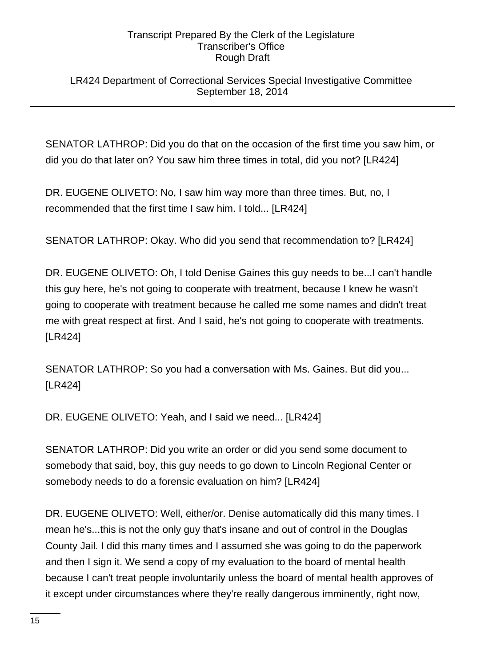### LR424 Department of Correctional Services Special Investigative Committee September 18, 2014

SENATOR LATHROP: Did you do that on the occasion of the first time you saw him, or did you do that later on? You saw him three times in total, did you not? [LR424]

DR. EUGENE OLIVETO: No, I saw him way more than three times. But, no, I recommended that the first time I saw him. I told... [LR424]

SENATOR LATHROP: Okay. Who did you send that recommendation to? [LR424]

DR. EUGENE OLIVETO: Oh, I told Denise Gaines this guy needs to be...I can't handle this guy here, he's not going to cooperate with treatment, because I knew he wasn't going to cooperate with treatment because he called me some names and didn't treat me with great respect at first. And I said, he's not going to cooperate with treatments. [LR424]

SENATOR LATHROP: So you had a conversation with Ms. Gaines. But did you... [LR424]

DR. EUGENE OLIVETO: Yeah, and I said we need... [LR424]

SENATOR LATHROP: Did you write an order or did you send some document to somebody that said, boy, this guy needs to go down to Lincoln Regional Center or somebody needs to do a forensic evaluation on him? [LR424]

DR. EUGENE OLIVETO: Well, either/or. Denise automatically did this many times. I mean he's...this is not the only guy that's insane and out of control in the Douglas County Jail. I did this many times and I assumed she was going to do the paperwork and then I sign it. We send a copy of my evaluation to the board of mental health because I can't treat people involuntarily unless the board of mental health approves of it except under circumstances where they're really dangerous imminently, right now,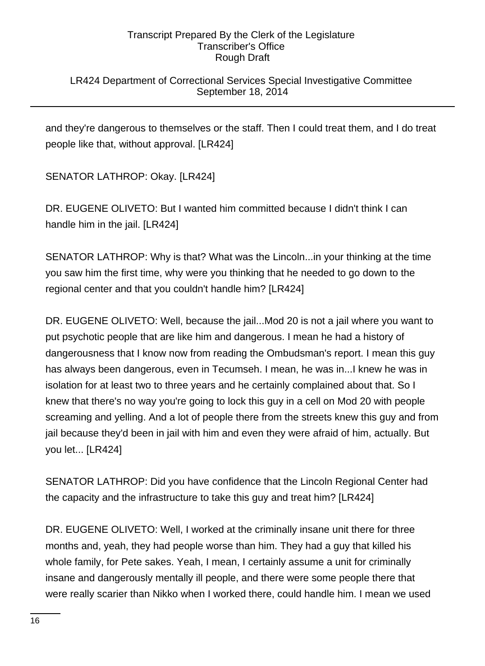LR424 Department of Correctional Services Special Investigative Committee September 18, 2014

and they're dangerous to themselves or the staff. Then I could treat them, and I do treat people like that, without approval. [LR424]

SENATOR LATHROP: Okay. [LR424]

DR. EUGENE OLIVETO: But I wanted him committed because I didn't think I can handle him in the jail. [LR424]

SENATOR LATHROP: Why is that? What was the Lincoln...in your thinking at the time you saw him the first time, why were you thinking that he needed to go down to the regional center and that you couldn't handle him? [LR424]

DR. EUGENE OLIVETO: Well, because the jail...Mod 20 is not a jail where you want to put psychotic people that are like him and dangerous. I mean he had a history of dangerousness that I know now from reading the Ombudsman's report. I mean this guy has always been dangerous, even in Tecumseh. I mean, he was in...I knew he was in isolation for at least two to three years and he certainly complained about that. So I knew that there's no way you're going to lock this guy in a cell on Mod 20 with people screaming and yelling. And a lot of people there from the streets knew this guy and from jail because they'd been in jail with him and even they were afraid of him, actually. But you let... [LR424]

SENATOR LATHROP: Did you have confidence that the Lincoln Regional Center had the capacity and the infrastructure to take this guy and treat him? [LR424]

DR. EUGENE OLIVETO: Well, I worked at the criminally insane unit there for three months and, yeah, they had people worse than him. They had a guy that killed his whole family, for Pete sakes. Yeah, I mean, I certainly assume a unit for criminally insane and dangerously mentally ill people, and there were some people there that were really scarier than Nikko when I worked there, could handle him. I mean we used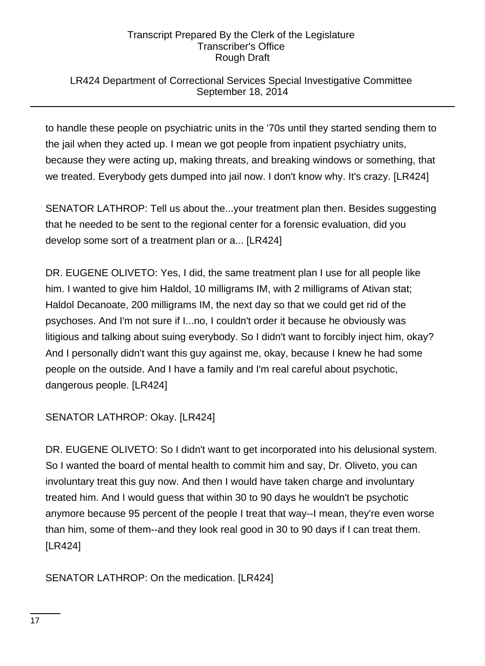### LR424 Department of Correctional Services Special Investigative Committee September 18, 2014

to handle these people on psychiatric units in the '70s until they started sending them to the jail when they acted up. I mean we got people from inpatient psychiatry units, because they were acting up, making threats, and breaking windows or something, that we treated. Everybody gets dumped into jail now. I don't know why. It's crazy. [LR424]

SENATOR LATHROP: Tell us about the...your treatment plan then. Besides suggesting that he needed to be sent to the regional center for a forensic evaluation, did you develop some sort of a treatment plan or a... [LR424]

DR. EUGENE OLIVETO: Yes, I did, the same treatment plan I use for all people like him. I wanted to give him Haldol, 10 milligrams IM, with 2 milligrams of Ativan stat; Haldol Decanoate, 200 milligrams IM, the next day so that we could get rid of the psychoses. And I'm not sure if I...no, I couldn't order it because he obviously was litigious and talking about suing everybody. So I didn't want to forcibly inject him, okay? And I personally didn't want this guy against me, okay, because I knew he had some people on the outside. And I have a family and I'm real careful about psychotic, dangerous people. [LR424]

SENATOR LATHROP: Okay. [LR424]

DR. EUGENE OLIVETO: So I didn't want to get incorporated into his delusional system. So I wanted the board of mental health to commit him and say, Dr. Oliveto, you can involuntary treat this guy now. And then I would have taken charge and involuntary treated him. And I would guess that within 30 to 90 days he wouldn't be psychotic anymore because 95 percent of the people I treat that way--I mean, they're even worse than him, some of them--and they look real good in 30 to 90 days if I can treat them. [LR424]

SENATOR LATHROP: On the medication. [LR424]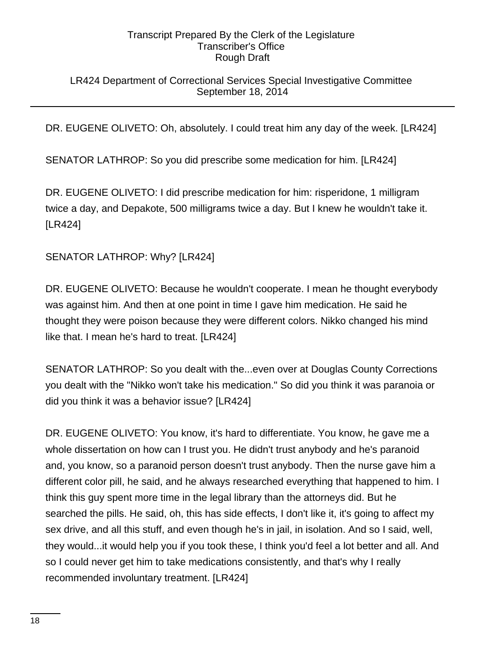### LR424 Department of Correctional Services Special Investigative Committee September 18, 2014

DR. EUGENE OLIVETO: Oh, absolutely. I could treat him any day of the week. [LR424]

SENATOR LATHROP: So you did prescribe some medication for him. [LR424]

DR. EUGENE OLIVETO: I did prescribe medication for him: risperidone, 1 milligram twice a day, and Depakote, 500 milligrams twice a day. But I knew he wouldn't take it. [LR424]

# SENATOR LATHROP: Why? [LR424]

DR. EUGENE OLIVETO: Because he wouldn't cooperate. I mean he thought everybody was against him. And then at one point in time I gave him medication. He said he thought they were poison because they were different colors. Nikko changed his mind like that. I mean he's hard to treat. [LR424]

SENATOR LATHROP: So you dealt with the...even over at Douglas County Corrections you dealt with the "Nikko won't take his medication." So did you think it was paranoia or did you think it was a behavior issue? [LR424]

DR. EUGENE OLIVETO: You know, it's hard to differentiate. You know, he gave me a whole dissertation on how can I trust you. He didn't trust anybody and he's paranoid and, you know, so a paranoid person doesn't trust anybody. Then the nurse gave him a different color pill, he said, and he always researched everything that happened to him. I think this guy spent more time in the legal library than the attorneys did. But he searched the pills. He said, oh, this has side effects, I don't like it, it's going to affect my sex drive, and all this stuff, and even though he's in jail, in isolation. And so I said, well, they would...it would help you if you took these, I think you'd feel a lot better and all. And so I could never get him to take medications consistently, and that's why I really recommended involuntary treatment. [LR424]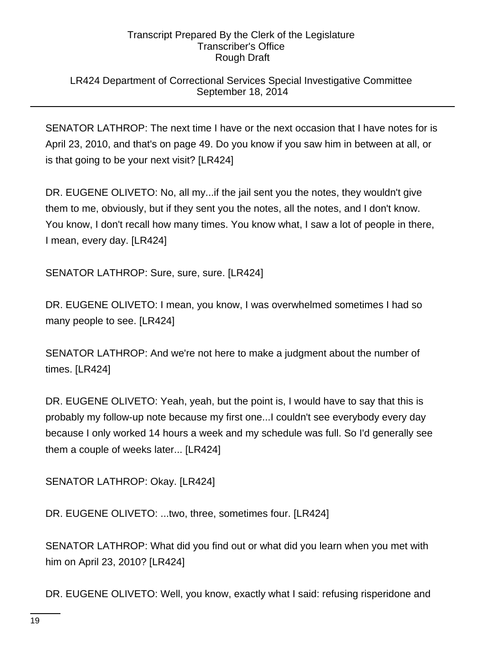### LR424 Department of Correctional Services Special Investigative Committee September 18, 2014

SENATOR LATHROP: The next time I have or the next occasion that I have notes for is April 23, 2010, and that's on page 49. Do you know if you saw him in between at all, or is that going to be your next visit? [LR424]

DR. EUGENE OLIVETO: No, all my...if the jail sent you the notes, they wouldn't give them to me, obviously, but if they sent you the notes, all the notes, and I don't know. You know, I don't recall how many times. You know what, I saw a lot of people in there, I mean, every day. [LR424]

SENATOR LATHROP: Sure, sure, sure. [LR424]

DR. EUGENE OLIVETO: I mean, you know, I was overwhelmed sometimes I had so many people to see. [LR424]

SENATOR LATHROP: And we're not here to make a judgment about the number of times. [LR424]

DR. EUGENE OLIVETO: Yeah, yeah, but the point is, I would have to say that this is probably my follow-up note because my first one...I couldn't see everybody every day because I only worked 14 hours a week and my schedule was full. So I'd generally see them a couple of weeks later... [LR424]

SENATOR LATHROP: Okay. [LR424]

DR. EUGENE OLIVETO: ...two, three, sometimes four. [LR424]

SENATOR LATHROP: What did you find out or what did you learn when you met with him on April 23, 2010? [LR424]

DR. EUGENE OLIVETO: Well, you know, exactly what I said: refusing risperidone and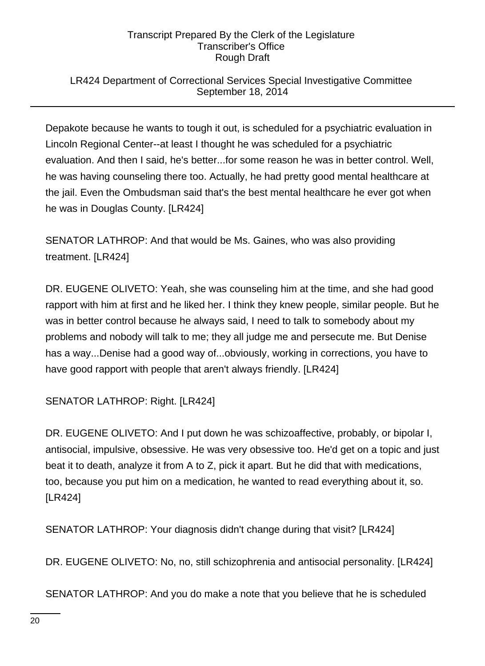### LR424 Department of Correctional Services Special Investigative Committee September 18, 2014

Depakote because he wants to tough it out, is scheduled for a psychiatric evaluation in Lincoln Regional Center--at least I thought he was scheduled for a psychiatric evaluation. And then I said, he's better...for some reason he was in better control. Well, he was having counseling there too. Actually, he had pretty good mental healthcare at the jail. Even the Ombudsman said that's the best mental healthcare he ever got when he was in Douglas County. [LR424]

SENATOR LATHROP: And that would be Ms. Gaines, who was also providing treatment. [LR424]

DR. EUGENE OLIVETO: Yeah, she was counseling him at the time, and she had good rapport with him at first and he liked her. I think they knew people, similar people. But he was in better control because he always said, I need to talk to somebody about my problems and nobody will talk to me; they all judge me and persecute me. But Denise has a way...Denise had a good way of...obviously, working in corrections, you have to have good rapport with people that aren't always friendly. [LR424]

SENATOR LATHROP: Right. [LR424]

DR. EUGENE OLIVETO: And I put down he was schizoaffective, probably, or bipolar I, antisocial, impulsive, obsessive. He was very obsessive too. He'd get on a topic and just beat it to death, analyze it from A to Z, pick it apart. But he did that with medications, too, because you put him on a medication, he wanted to read everything about it, so. [LR424]

SENATOR LATHROP: Your diagnosis didn't change during that visit? [LR424]

DR. EUGENE OLIVETO: No, no, still schizophrenia and antisocial personality. [LR424]

SENATOR LATHROP: And you do make a note that you believe that he is scheduled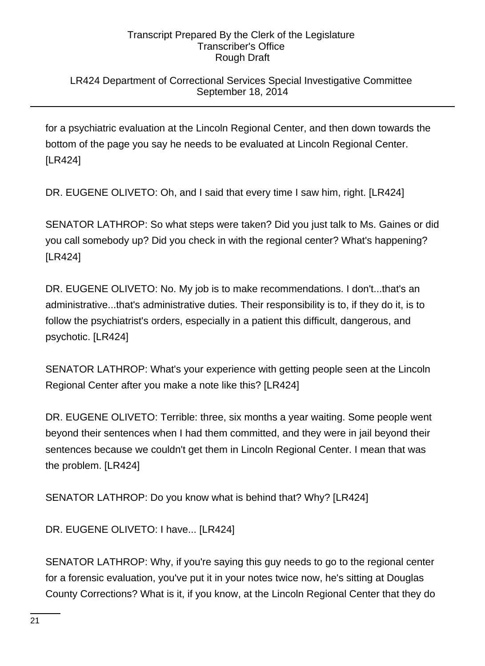### LR424 Department of Correctional Services Special Investigative Committee September 18, 2014

for a psychiatric evaluation at the Lincoln Regional Center, and then down towards the bottom of the page you say he needs to be evaluated at Lincoln Regional Center. [LR424]

DR. EUGENE OLIVETO: Oh, and I said that every time I saw him, right. [LR424]

SENATOR LATHROP: So what steps were taken? Did you just talk to Ms. Gaines or did you call somebody up? Did you check in with the regional center? What's happening? [LR424]

DR. EUGENE OLIVETO: No. My job is to make recommendations. I don't...that's an administrative...that's administrative duties. Their responsibility is to, if they do it, is to follow the psychiatrist's orders, especially in a patient this difficult, dangerous, and psychotic. [LR424]

SENATOR LATHROP: What's your experience with getting people seen at the Lincoln Regional Center after you make a note like this? [LR424]

DR. EUGENE OLIVETO: Terrible: three, six months a year waiting. Some people went beyond their sentences when I had them committed, and they were in jail beyond their sentences because we couldn't get them in Lincoln Regional Center. I mean that was the problem. [LR424]

SENATOR LATHROP: Do you know what is behind that? Why? [LR424]

DR. EUGENE OLIVETO: I have... [LR424]

SENATOR LATHROP: Why, if you're saying this guy needs to go to the regional center for a forensic evaluation, you've put it in your notes twice now, he's sitting at Douglas County Corrections? What is it, if you know, at the Lincoln Regional Center that they do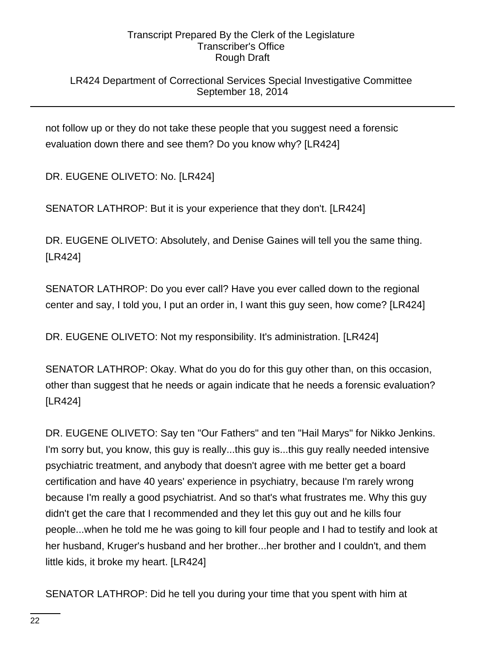### LR424 Department of Correctional Services Special Investigative Committee September 18, 2014

not follow up or they do not take these people that you suggest need a forensic evaluation down there and see them? Do you know why? [LR424]

DR. EUGENE OLIVETO: No. [LR424]

SENATOR LATHROP: But it is your experience that they don't. [LR424]

DR. EUGENE OLIVETO: Absolutely, and Denise Gaines will tell you the same thing. [LR424]

SENATOR LATHROP: Do you ever call? Have you ever called down to the regional center and say, I told you, I put an order in, I want this guy seen, how come? [LR424]

DR. EUGENE OLIVETO: Not my responsibility. It's administration. [LR424]

SENATOR LATHROP: Okay. What do you do for this guy other than, on this occasion, other than suggest that he needs or again indicate that he needs a forensic evaluation? [LR424]

DR. EUGENE OLIVETO: Say ten "Our Fathers" and ten "Hail Marys" for Nikko Jenkins. I'm sorry but, you know, this guy is really...this guy is...this guy really needed intensive psychiatric treatment, and anybody that doesn't agree with me better get a board certification and have 40 years' experience in psychiatry, because I'm rarely wrong because I'm really a good psychiatrist. And so that's what frustrates me. Why this guy didn't get the care that I recommended and they let this guy out and he kills four people...when he told me he was going to kill four people and I had to testify and look at her husband, Kruger's husband and her brother...her brother and I couldn't, and them little kids, it broke my heart. [LR424]

SENATOR LATHROP: Did he tell you during your time that you spent with him at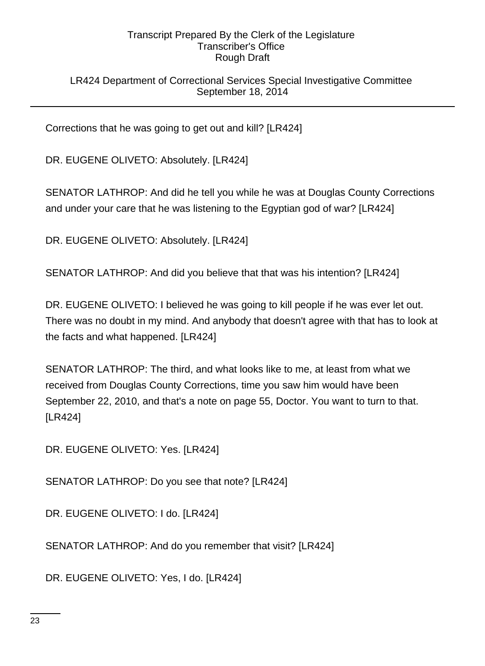### LR424 Department of Correctional Services Special Investigative Committee September 18, 2014

Corrections that he was going to get out and kill? [LR424]

DR. EUGENE OLIVETO: Absolutely. [LR424]

SENATOR LATHROP: And did he tell you while he was at Douglas County Corrections and under your care that he was listening to the Egyptian god of war? [LR424]

DR. EUGENE OLIVETO: Absolutely. [LR424]

SENATOR LATHROP: And did you believe that that was his intention? [LR424]

DR. EUGENE OLIVETO: I believed he was going to kill people if he was ever let out. There was no doubt in my mind. And anybody that doesn't agree with that has to look at the facts and what happened. [LR424]

SENATOR LATHROP: The third, and what looks like to me, at least from what we received from Douglas County Corrections, time you saw him would have been September 22, 2010, and that's a note on page 55, Doctor. You want to turn to that. [LR424]

DR. EUGENE OLIVETO: Yes. [LR424]

SENATOR LATHROP: Do you see that note? [LR424]

DR. EUGENE OLIVETO: I do. [LR424]

SENATOR LATHROP: And do you remember that visit? [LR424]

DR. EUGENE OLIVETO: Yes, I do. [LR424]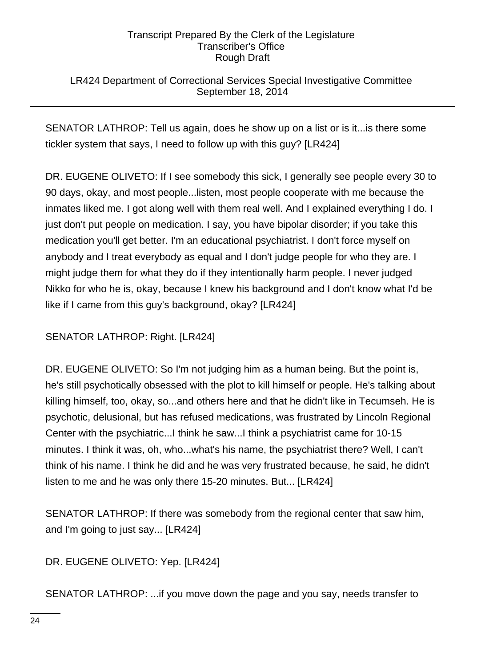### LR424 Department of Correctional Services Special Investigative Committee September 18, 2014

SENATOR LATHROP: Tell us again, does he show up on a list or is it...is there some tickler system that says, I need to follow up with this guy? [LR424]

DR. EUGENE OLIVETO: If I see somebody this sick, I generally see people every 30 to 90 days, okay, and most people...listen, most people cooperate with me because the inmates liked me. I got along well with them real well. And I explained everything I do. I just don't put people on medication. I say, you have bipolar disorder; if you take this medication you'll get better. I'm an educational psychiatrist. I don't force myself on anybody and I treat everybody as equal and I don't judge people for who they are. I might judge them for what they do if they intentionally harm people. I never judged Nikko for who he is, okay, because I knew his background and I don't know what I'd be like if I came from this guy's background, okay? [LR424]

SENATOR LATHROP: Right. [LR424]

DR. EUGENE OLIVETO: So I'm not judging him as a human being. But the point is, he's still psychotically obsessed with the plot to kill himself or people. He's talking about killing himself, too, okay, so...and others here and that he didn't like in Tecumseh. He is psychotic, delusional, but has refused medications, was frustrated by Lincoln Regional Center with the psychiatric...I think he saw...I think a psychiatrist came for 10-15 minutes. I think it was, oh, who...what's his name, the psychiatrist there? Well, I can't think of his name. I think he did and he was very frustrated because, he said, he didn't listen to me and he was only there 15-20 minutes. But... [LR424]

SENATOR LATHROP: If there was somebody from the regional center that saw him, and I'm going to just say... [LR424]

DR. EUGENE OLIVETO: Yep. [LR424]

SENATOR LATHROP: ...if you move down the page and you say, needs transfer to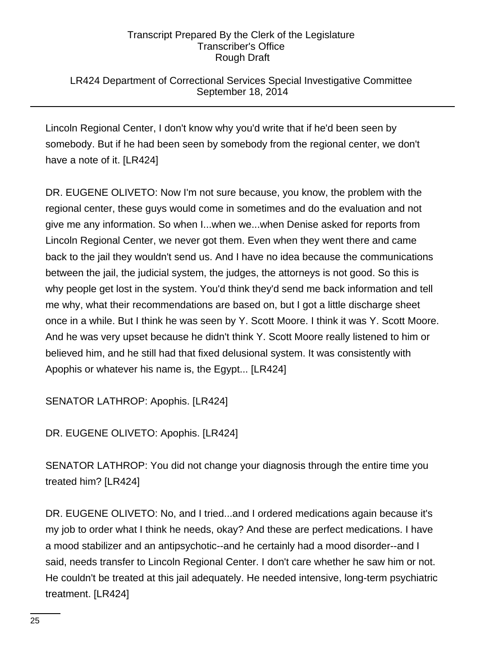### LR424 Department of Correctional Services Special Investigative Committee September 18, 2014

Lincoln Regional Center, I don't know why you'd write that if he'd been seen by somebody. But if he had been seen by somebody from the regional center, we don't have a note of it. [LR424]

DR. EUGENE OLIVETO: Now I'm not sure because, you know, the problem with the regional center, these guys would come in sometimes and do the evaluation and not give me any information. So when I...when we...when Denise asked for reports from Lincoln Regional Center, we never got them. Even when they went there and came back to the jail they wouldn't send us. And I have no idea because the communications between the jail, the judicial system, the judges, the attorneys is not good. So this is why people get lost in the system. You'd think they'd send me back information and tell me why, what their recommendations are based on, but I got a little discharge sheet once in a while. But I think he was seen by Y. Scott Moore. I think it was Y. Scott Moore. And he was very upset because he didn't think Y. Scott Moore really listened to him or believed him, and he still had that fixed delusional system. It was consistently with Apophis or whatever his name is, the Egypt... [LR424]

SENATOR LATHROP: Apophis. [LR424]

DR. EUGENE OLIVETO: Apophis. [LR424]

SENATOR LATHROP: You did not change your diagnosis through the entire time you treated him? [LR424]

DR. EUGENE OLIVETO: No, and I tried...and I ordered medications again because it's my job to order what I think he needs, okay? And these are perfect medications. I have a mood stabilizer and an antipsychotic--and he certainly had a mood disorder--and I said, needs transfer to Lincoln Regional Center. I don't care whether he saw him or not. He couldn't be treated at this jail adequately. He needed intensive, long-term psychiatric treatment. [LR424]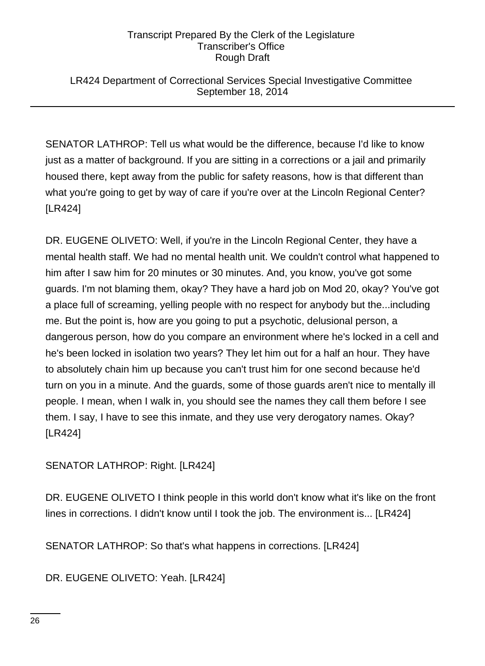LR424 Department of Correctional Services Special Investigative Committee September 18, 2014

SENATOR LATHROP: Tell us what would be the difference, because I'd like to know just as a matter of background. If you are sitting in a corrections or a jail and primarily housed there, kept away from the public for safety reasons, how is that different than what you're going to get by way of care if you're over at the Lincoln Regional Center? [LR424]

DR. EUGENE OLIVETO: Well, if you're in the Lincoln Regional Center, they have a mental health staff. We had no mental health unit. We couldn't control what happened to him after I saw him for 20 minutes or 30 minutes. And, you know, you've got some guards. I'm not blaming them, okay? They have a hard job on Mod 20, okay? You've got a place full of screaming, yelling people with no respect for anybody but the...including me. But the point is, how are you going to put a psychotic, delusional person, a dangerous person, how do you compare an environment where he's locked in a cell and he's been locked in isolation two years? They let him out for a half an hour. They have to absolutely chain him up because you can't trust him for one second because he'd turn on you in a minute. And the guards, some of those guards aren't nice to mentally ill people. I mean, when I walk in, you should see the names they call them before I see them. I say, I have to see this inmate, and they use very derogatory names. Okay? [LR424]

SENATOR LATHROP: Right. [LR424]

DR. EUGENE OLIVETO I think people in this world don't know what it's like on the front lines in corrections. I didn't know until I took the job. The environment is... [LR424]

SENATOR LATHROP: So that's what happens in corrections. [LR424]

DR. EUGENE OLIVETO: Yeah. [LR424]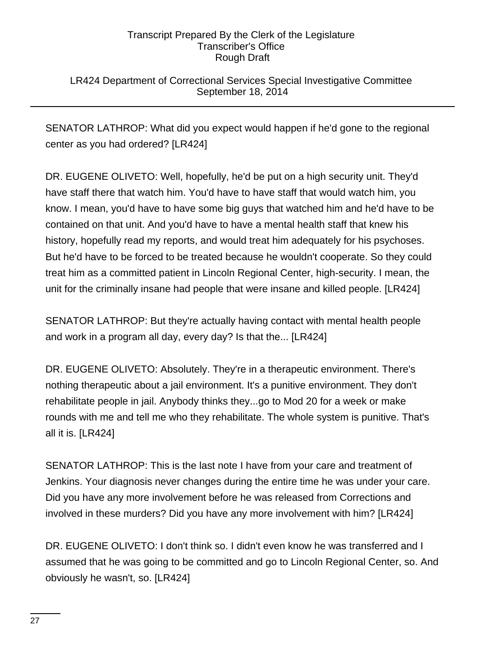### LR424 Department of Correctional Services Special Investigative Committee September 18, 2014

SENATOR LATHROP: What did you expect would happen if he'd gone to the regional center as you had ordered? [LR424]

DR. EUGENE OLIVETO: Well, hopefully, he'd be put on a high security unit. They'd have staff there that watch him. You'd have to have staff that would watch him, you know. I mean, you'd have to have some big guys that watched him and he'd have to be contained on that unit. And you'd have to have a mental health staff that knew his history, hopefully read my reports, and would treat him adequately for his psychoses. But he'd have to be forced to be treated because he wouldn't cooperate. So they could treat him as a committed patient in Lincoln Regional Center, high-security. I mean, the unit for the criminally insane had people that were insane and killed people. [LR424]

SENATOR LATHROP: But they're actually having contact with mental health people and work in a program all day, every day? Is that the... [LR424]

DR. EUGENE OLIVETO: Absolutely. They're in a therapeutic environment. There's nothing therapeutic about a jail environment. It's a punitive environment. They don't rehabilitate people in jail. Anybody thinks they...go to Mod 20 for a week or make rounds with me and tell me who they rehabilitate. The whole system is punitive. That's all it is. [LR424]

SENATOR LATHROP: This is the last note I have from your care and treatment of Jenkins. Your diagnosis never changes during the entire time he was under your care. Did you have any more involvement before he was released from Corrections and involved in these murders? Did you have any more involvement with him? [LR424]

DR. EUGENE OLIVETO: I don't think so. I didn't even know he was transferred and I assumed that he was going to be committed and go to Lincoln Regional Center, so. And obviously he wasn't, so. [LR424]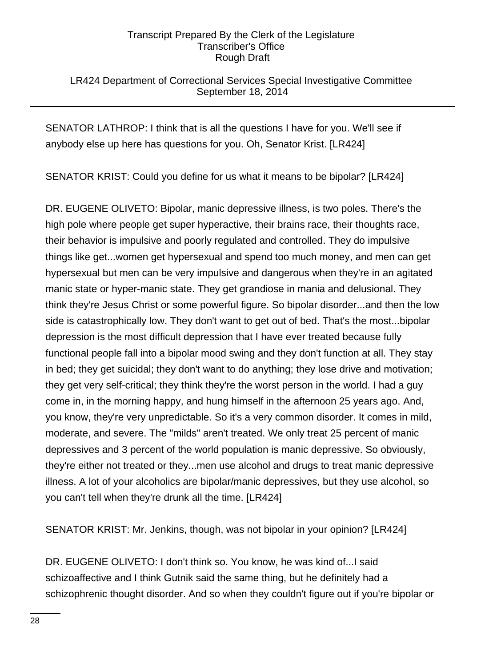LR424 Department of Correctional Services Special Investigative Committee September 18, 2014

SENATOR LATHROP: I think that is all the questions I have for you. We'll see if anybody else up here has questions for you. Oh, Senator Krist. [LR424]

SENATOR KRIST: Could you define for us what it means to be bipolar? [LR424]

DR. EUGENE OLIVETO: Bipolar, manic depressive illness, is two poles. There's the high pole where people get super hyperactive, their brains race, their thoughts race, their behavior is impulsive and poorly regulated and controlled. They do impulsive things like get...women get hypersexual and spend too much money, and men can get hypersexual but men can be very impulsive and dangerous when they're in an agitated manic state or hyper-manic state. They get grandiose in mania and delusional. They think they're Jesus Christ or some powerful figure. So bipolar disorder...and then the low side is catastrophically low. They don't want to get out of bed. That's the most...bipolar depression is the most difficult depression that I have ever treated because fully functional people fall into a bipolar mood swing and they don't function at all. They stay in bed; they get suicidal; they don't want to do anything; they lose drive and motivation; they get very self-critical; they think they're the worst person in the world. I had a guy come in, in the morning happy, and hung himself in the afternoon 25 years ago. And, you know, they're very unpredictable. So it's a very common disorder. It comes in mild, moderate, and severe. The "milds" aren't treated. We only treat 25 percent of manic depressives and 3 percent of the world population is manic depressive. So obviously, they're either not treated or they...men use alcohol and drugs to treat manic depressive illness. A lot of your alcoholics are bipolar/manic depressives, but they use alcohol, so you can't tell when they're drunk all the time. [LR424]

SENATOR KRIST: Mr. Jenkins, though, was not bipolar in your opinion? [LR424]

DR. EUGENE OLIVETO: I don't think so. You know, he was kind of...I said schizoaffective and I think Gutnik said the same thing, but he definitely had a schizophrenic thought disorder. And so when they couldn't figure out if you're bipolar or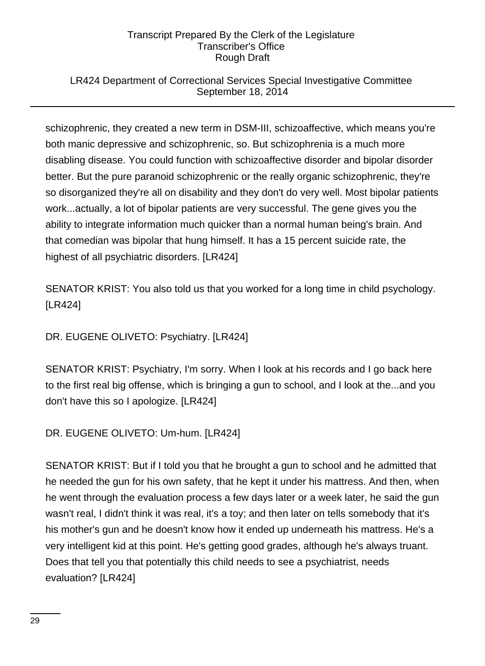### LR424 Department of Correctional Services Special Investigative Committee September 18, 2014

schizophrenic, they created a new term in DSM-III, schizoaffective, which means you're both manic depressive and schizophrenic, so. But schizophrenia is a much more disabling disease. You could function with schizoaffective disorder and bipolar disorder better. But the pure paranoid schizophrenic or the really organic schizophrenic, they're so disorganized they're all on disability and they don't do very well. Most bipolar patients work...actually, a lot of bipolar patients are very successful. The gene gives you the ability to integrate information much quicker than a normal human being's brain. And that comedian was bipolar that hung himself. It has a 15 percent suicide rate, the highest of all psychiatric disorders. [LR424]

SENATOR KRIST: You also told us that you worked for a long time in child psychology. [LR424]

DR. EUGENE OLIVETO: Psychiatry. [LR424]

SENATOR KRIST: Psychiatry, I'm sorry. When I look at his records and I go back here to the first real big offense, which is bringing a gun to school, and I look at the...and you don't have this so I apologize. [LR424]

DR. EUGENE OLIVETO: Um-hum. [LR424]

SENATOR KRIST: But if I told you that he brought a gun to school and he admitted that he needed the gun for his own safety, that he kept it under his mattress. And then, when he went through the evaluation process a few days later or a week later, he said the gun wasn't real, I didn't think it was real, it's a toy; and then later on tells somebody that it's his mother's gun and he doesn't know how it ended up underneath his mattress. He's a very intelligent kid at this point. He's getting good grades, although he's always truant. Does that tell you that potentially this child needs to see a psychiatrist, needs evaluation? [LR424]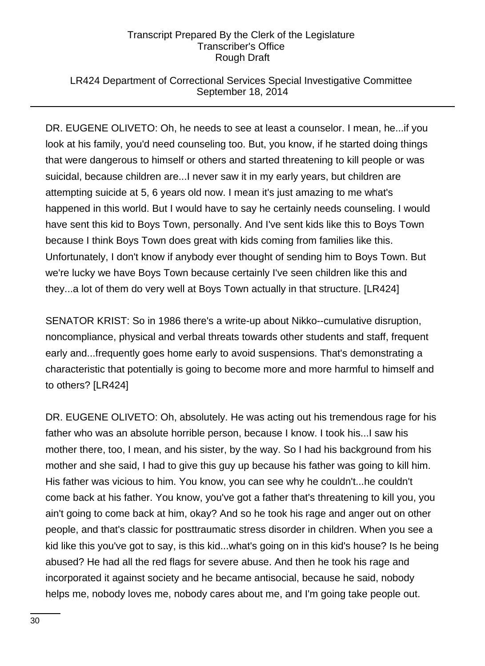#### LR424 Department of Correctional Services Special Investigative Committee September 18, 2014

DR. EUGENE OLIVETO: Oh, he needs to see at least a counselor. I mean, he...if you look at his family, you'd need counseling too. But, you know, if he started doing things that were dangerous to himself or others and started threatening to kill people or was suicidal, because children are...I never saw it in my early years, but children are attempting suicide at 5, 6 years old now. I mean it's just amazing to me what's happened in this world. But I would have to say he certainly needs counseling. I would have sent this kid to Boys Town, personally. And I've sent kids like this to Boys Town because I think Boys Town does great with kids coming from families like this. Unfortunately, I don't know if anybody ever thought of sending him to Boys Town. But we're lucky we have Boys Town because certainly I've seen children like this and they...a lot of them do very well at Boys Town actually in that structure. [LR424]

SENATOR KRIST: So in 1986 there's a write-up about Nikko--cumulative disruption, noncompliance, physical and verbal threats towards other students and staff, frequent early and...frequently goes home early to avoid suspensions. That's demonstrating a characteristic that potentially is going to become more and more harmful to himself and to others? [LR424]

DR. EUGENE OLIVETO: Oh, absolutely. He was acting out his tremendous rage for his father who was an absolute horrible person, because I know. I took his...I saw his mother there, too, I mean, and his sister, by the way. So I had his background from his mother and she said, I had to give this guy up because his father was going to kill him. His father was vicious to him. You know, you can see why he couldn't...he couldn't come back at his father. You know, you've got a father that's threatening to kill you, you ain't going to come back at him, okay? And so he took his rage and anger out on other people, and that's classic for posttraumatic stress disorder in children. When you see a kid like this you've got to say, is this kid...what's going on in this kid's house? Is he being abused? He had all the red flags for severe abuse. And then he took his rage and incorporated it against society and he became antisocial, because he said, nobody helps me, nobody loves me, nobody cares about me, and I'm going take people out.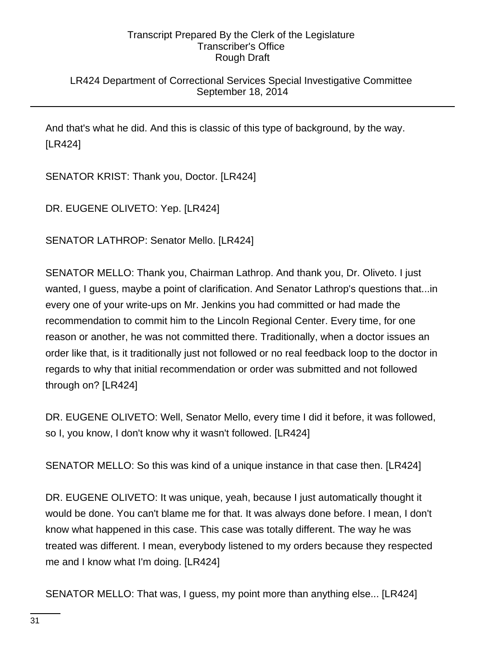### LR424 Department of Correctional Services Special Investigative Committee September 18, 2014

And that's what he did. And this is classic of this type of background, by the way. [LR424]

SENATOR KRIST: Thank you, Doctor. [LR424]

DR. EUGENE OLIVETO: Yep. [LR424]

SENATOR LATHROP: Senator Mello. [LR424]

SENATOR MELLO: Thank you, Chairman Lathrop. And thank you, Dr. Oliveto. I just wanted, I guess, maybe a point of clarification. And Senator Lathrop's questions that...in every one of your write-ups on Mr. Jenkins you had committed or had made the recommendation to commit him to the Lincoln Regional Center. Every time, for one reason or another, he was not committed there. Traditionally, when a doctor issues an order like that, is it traditionally just not followed or no real feedback loop to the doctor in regards to why that initial recommendation or order was submitted and not followed through on? [LR424]

DR. EUGENE OLIVETO: Well, Senator Mello, every time I did it before, it was followed, so I, you know, I don't know why it wasn't followed. [LR424]

SENATOR MELLO: So this was kind of a unique instance in that case then. [LR424]

DR. EUGENE OLIVETO: It was unique, yeah, because I just automatically thought it would be done. You can't blame me for that. It was always done before. I mean, I don't know what happened in this case. This case was totally different. The way he was treated was different. I mean, everybody listened to my orders because they respected me and I know what I'm doing. [LR424]

SENATOR MELLO: That was, I guess, my point more than anything else... [LR424]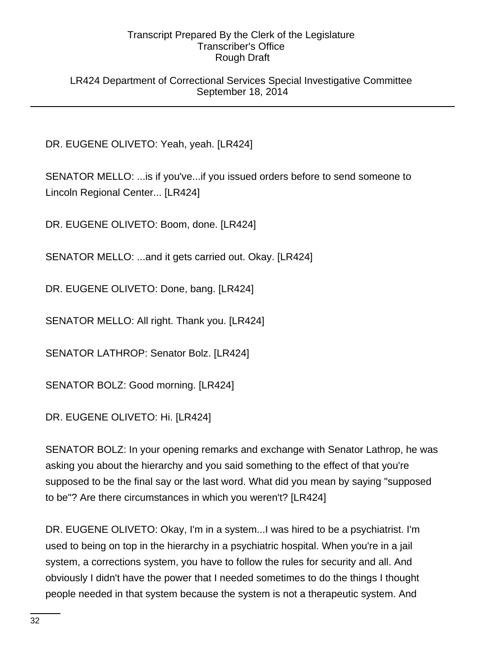LR424 Department of Correctional Services Special Investigative Committee September 18, 2014

DR. EUGENE OLIVETO: Yeah, yeah. [LR424]

SENATOR MELLO: ...is if you've...if you issued orders before to send someone to Lincoln Regional Center... [LR424]

DR. EUGENE OLIVETO: Boom, done. [LR424]

SENATOR MELLO: ...and it gets carried out. Okay. [LR424]

DR. EUGENE OLIVETO: Done, bang. [LR424]

SENATOR MELLO: All right. Thank you. [LR424]

SENATOR LATHROP: Senator Bolz. [LR424]

SENATOR BOLZ: Good morning. [LR424]

DR. EUGENE OLIVETO: Hi. [LR424]

SENATOR BOLZ: In your opening remarks and exchange with Senator Lathrop, he was asking you about the hierarchy and you said something to the effect of that you're supposed to be the final say or the last word. What did you mean by saying "supposed to be"? Are there circumstances in which you weren't? [LR424]

DR. EUGENE OLIVETO: Okay, I'm in a system...I was hired to be a psychiatrist. I'm used to being on top in the hierarchy in a psychiatric hospital. When you're in a jail system, a corrections system, you have to follow the rules for security and all. And obviously I didn't have the power that I needed sometimes to do the things I thought people needed in that system because the system is not a therapeutic system. And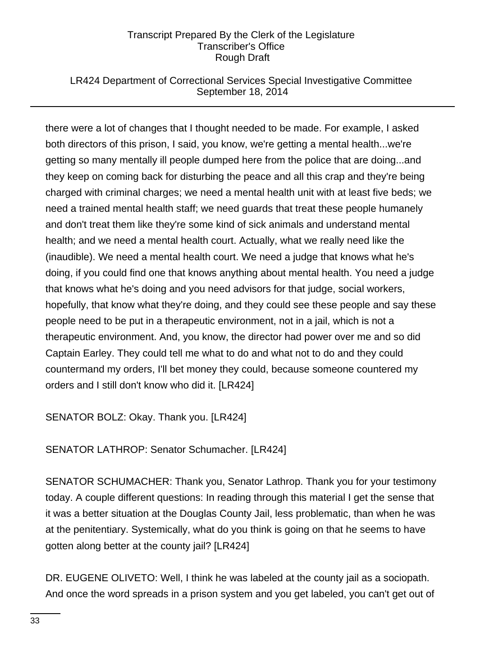### LR424 Department of Correctional Services Special Investigative Committee September 18, 2014

there were a lot of changes that I thought needed to be made. For example, I asked both directors of this prison, I said, you know, we're getting a mental health...we're getting so many mentally ill people dumped here from the police that are doing...and they keep on coming back for disturbing the peace and all this crap and they're being charged with criminal charges; we need a mental health unit with at least five beds; we need a trained mental health staff; we need guards that treat these people humanely and don't treat them like they're some kind of sick animals and understand mental health; and we need a mental health court. Actually, what we really need like the (inaudible). We need a mental health court. We need a judge that knows what he's doing, if you could find one that knows anything about mental health. You need a judge that knows what he's doing and you need advisors for that judge, social workers, hopefully, that know what they're doing, and they could see these people and say these people need to be put in a therapeutic environment, not in a jail, which is not a therapeutic environment. And, you know, the director had power over me and so did Captain Earley. They could tell me what to do and what not to do and they could countermand my orders, I'll bet money they could, because someone countered my orders and I still don't know who did it. [LR424]

SENATOR BOLZ: Okay. Thank you. [LR424]

SENATOR LATHROP: Senator Schumacher. [LR424]

SENATOR SCHUMACHER: Thank you, Senator Lathrop. Thank you for your testimony today. A couple different questions: In reading through this material I get the sense that it was a better situation at the Douglas County Jail, less problematic, than when he was at the penitentiary. Systemically, what do you think is going on that he seems to have gotten along better at the county jail? [LR424]

DR. EUGENE OLIVETO: Well, I think he was labeled at the county jail as a sociopath. And once the word spreads in a prison system and you get labeled, you can't get out of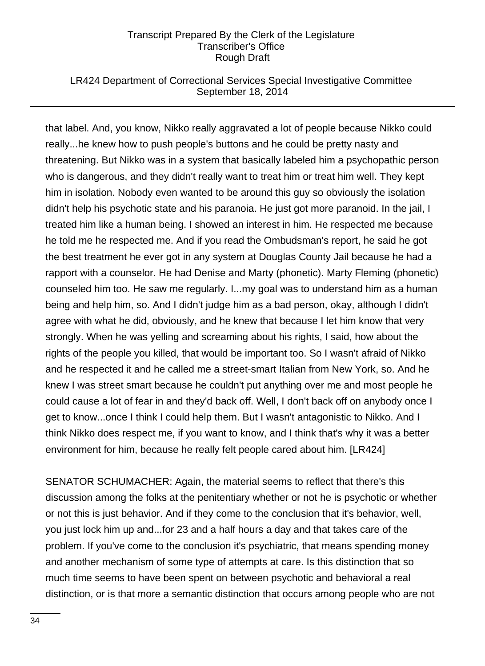#### LR424 Department of Correctional Services Special Investigative Committee September 18, 2014

that label. And, you know, Nikko really aggravated a lot of people because Nikko could really...he knew how to push people's buttons and he could be pretty nasty and threatening. But Nikko was in a system that basically labeled him a psychopathic person who is dangerous, and they didn't really want to treat him or treat him well. They kept him in isolation. Nobody even wanted to be around this guy so obviously the isolation didn't help his psychotic state and his paranoia. He just got more paranoid. In the jail, I treated him like a human being. I showed an interest in him. He respected me because he told me he respected me. And if you read the Ombudsman's report, he said he got the best treatment he ever got in any system at Douglas County Jail because he had a rapport with a counselor. He had Denise and Marty (phonetic). Marty Fleming (phonetic) counseled him too. He saw me regularly. I...my goal was to understand him as a human being and help him, so. And I didn't judge him as a bad person, okay, although I didn't agree with what he did, obviously, and he knew that because I let him know that very strongly. When he was yelling and screaming about his rights, I said, how about the rights of the people you killed, that would be important too. So I wasn't afraid of Nikko and he respected it and he called me a street-smart Italian from New York, so. And he knew I was street smart because he couldn't put anything over me and most people he could cause a lot of fear in and they'd back off. Well, I don't back off on anybody once I get to know...once I think I could help them. But I wasn't antagonistic to Nikko. And I think Nikko does respect me, if you want to know, and I think that's why it was a better environment for him, because he really felt people cared about him. [LR424]

SENATOR SCHUMACHER: Again, the material seems to reflect that there's this discussion among the folks at the penitentiary whether or not he is psychotic or whether or not this is just behavior. And if they come to the conclusion that it's behavior, well, you just lock him up and...for 23 and a half hours a day and that takes care of the problem. If you've come to the conclusion it's psychiatric, that means spending money and another mechanism of some type of attempts at care. Is this distinction that so much time seems to have been spent on between psychotic and behavioral a real distinction, or is that more a semantic distinction that occurs among people who are not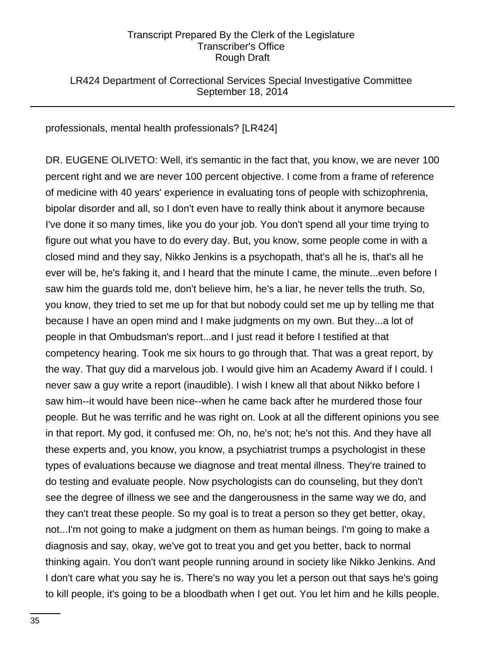LR424 Department of Correctional Services Special Investigative Committee September 18, 2014

professionals, mental health professionals? [LR424]

DR. EUGENE OLIVETO: Well, it's semantic in the fact that, you know, we are never 100 percent right and we are never 100 percent objective. I come from a frame of reference of medicine with 40 years' experience in evaluating tons of people with schizophrenia, bipolar disorder and all, so I don't even have to really think about it anymore because I've done it so many times, like you do your job. You don't spend all your time trying to figure out what you have to do every day. But, you know, some people come in with a closed mind and they say, Nikko Jenkins is a psychopath, that's all he is, that's all he ever will be, he's faking it, and I heard that the minute I came, the minute...even before I saw him the guards told me, don't believe him, he's a liar, he never tells the truth. So, you know, they tried to set me up for that but nobody could set me up by telling me that because I have an open mind and I make judgments on my own. But they...a lot of people in that Ombudsman's report...and I just read it before I testified at that competency hearing. Took me six hours to go through that. That was a great report, by the way. That guy did a marvelous job. I would give him an Academy Award if I could. I never saw a guy write a report (inaudible). I wish I knew all that about Nikko before I saw him--it would have been nice--when he came back after he murdered those four people. But he was terrific and he was right on. Look at all the different opinions you see in that report. My god, it confused me: Oh, no, he's not; he's not this. And they have all these experts and, you know, you know, a psychiatrist trumps a psychologist in these types of evaluations because we diagnose and treat mental illness. They're trained to do testing and evaluate people. Now psychologists can do counseling, but they don't see the degree of illness we see and the dangerousness in the same way we do, and they can't treat these people. So my goal is to treat a person so they get better, okay, not...I'm not going to make a judgment on them as human beings. I'm going to make a diagnosis and say, okay, we've got to treat you and get you better, back to normal thinking again. You don't want people running around in society like Nikko Jenkins. And I don't care what you say he is. There's no way you let a person out that says he's going to kill people, it's going to be a bloodbath when I get out. You let him and he kills people.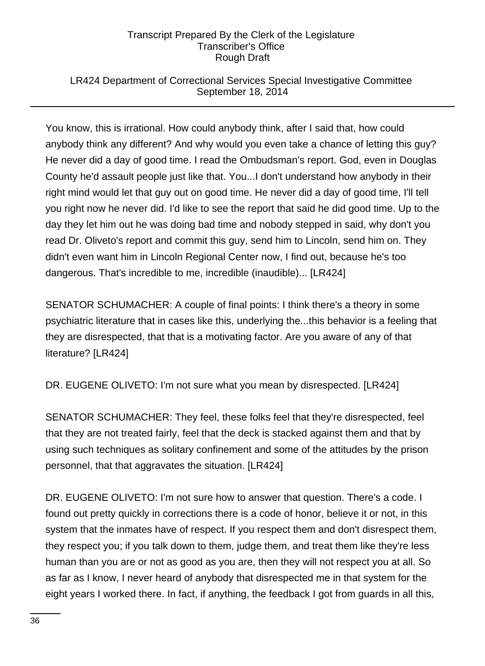### LR424 Department of Correctional Services Special Investigative Committee September 18, 2014

You know, this is irrational. How could anybody think, after I said that, how could anybody think any different? And why would you even take a chance of letting this guy? He never did a day of good time. I read the Ombudsman's report. God, even in Douglas County he'd assault people just like that. You...I don't understand how anybody in their right mind would let that guy out on good time. He never did a day of good time, I'll tell you right now he never did. I'd like to see the report that said he did good time. Up to the day they let him out he was doing bad time and nobody stepped in said, why don't you read Dr. Oliveto's report and commit this guy, send him to Lincoln, send him on. They didn't even want him in Lincoln Regional Center now, I find out, because he's too dangerous. That's incredible to me, incredible (inaudible)... [LR424]

SENATOR SCHUMACHER: A couple of final points: I think there's a theory in some psychiatric literature that in cases like this, underlying the...this behavior is a feeling that they are disrespected, that that is a motivating factor. Are you aware of any of that literature? [LR424]

DR. EUGENE OLIVETO: I'm not sure what you mean by disrespected. [LR424]

SENATOR SCHUMACHER: They feel, these folks feel that they're disrespected, feel that they are not treated fairly, feel that the deck is stacked against them and that by using such techniques as solitary confinement and some of the attitudes by the prison personnel, that that aggravates the situation. [LR424]

DR. EUGENE OLIVETO: I'm not sure how to answer that question. There's a code. I found out pretty quickly in corrections there is a code of honor, believe it or not, in this system that the inmates have of respect. If you respect them and don't disrespect them, they respect you; if you talk down to them, judge them, and treat them like they're less human than you are or not as good as you are, then they will not respect you at all. So as far as I know, I never heard of anybody that disrespected me in that system for the eight years I worked there. In fact, if anything, the feedback I got from guards in all this,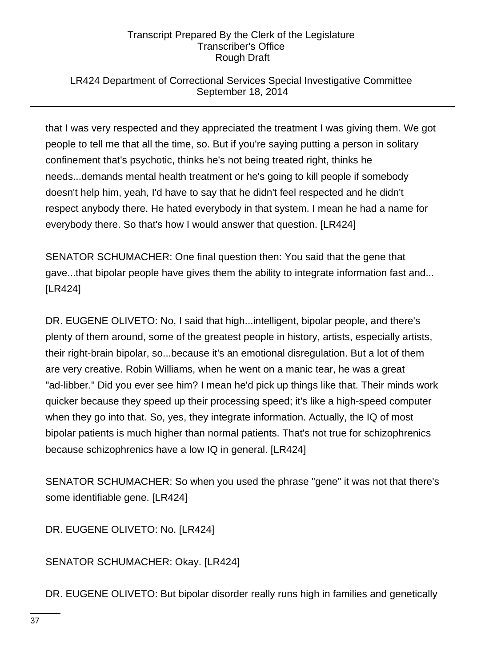# LR424 Department of Correctional Services Special Investigative Committee September 18, 2014

that I was very respected and they appreciated the treatment I was giving them. We got people to tell me that all the time, so. But if you're saying putting a person in solitary confinement that's psychotic, thinks he's not being treated right, thinks he needs...demands mental health treatment or he's going to kill people if somebody doesn't help him, yeah, I'd have to say that he didn't feel respected and he didn't respect anybody there. He hated everybody in that system. I mean he had a name for everybody there. So that's how I would answer that question. [LR424]

SENATOR SCHUMACHER: One final question then: You said that the gene that gave...that bipolar people have gives them the ability to integrate information fast and... [LR424]

DR. EUGENE OLIVETO: No, I said that high...intelligent, bipolar people, and there's plenty of them around, some of the greatest people in history, artists, especially artists, their right-brain bipolar, so...because it's an emotional disregulation. But a lot of them are very creative. Robin Williams, when he went on a manic tear, he was a great "ad-libber." Did you ever see him? I mean he'd pick up things like that. Their minds work quicker because they speed up their processing speed; it's like a high-speed computer when they go into that. So, yes, they integrate information. Actually, the IQ of most bipolar patients is much higher than normal patients. That's not true for schizophrenics because schizophrenics have a low IQ in general. [LR424]

SENATOR SCHUMACHER: So when you used the phrase "gene" it was not that there's some identifiable gene. [LR424]

DR. EUGENE OLIVETO: No. [LR424]

SENATOR SCHUMACHER: Okay. [LR424]

DR. EUGENE OLIVETO: But bipolar disorder really runs high in families and genetically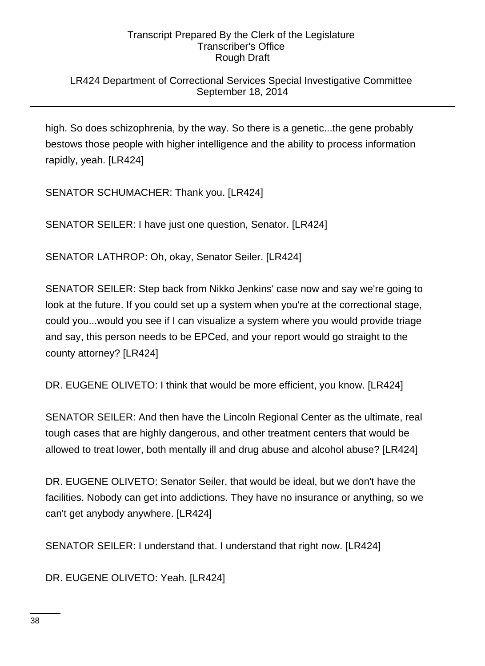# LR424 Department of Correctional Services Special Investigative Committee September 18, 2014

high. So does schizophrenia, by the way. So there is a genetic...the gene probably bestows those people with higher intelligence and the ability to process information rapidly, yeah. [LR424]

SENATOR SCHUMACHER: Thank you. [LR424]

SENATOR SEILER: I have just one question, Senator. [LR424]

SENATOR LATHROP: Oh, okay, Senator Seiler. [LR424]

SENATOR SEILER: Step back from Nikko Jenkins' case now and say we're going to look at the future. If you could set up a system when you're at the correctional stage, could you...would you see if I can visualize a system where you would provide triage and say, this person needs to be EPCed, and your report would go straight to the county attorney? [LR424]

DR. EUGENE OLIVETO: I think that would be more efficient, you know. [LR424]

SENATOR SEILER: And then have the Lincoln Regional Center as the ultimate, real tough cases that are highly dangerous, and other treatment centers that would be allowed to treat lower, both mentally ill and drug abuse and alcohol abuse? [LR424]

DR. EUGENE OLIVETO: Senator Seiler, that would be ideal, but we don't have the facilities. Nobody can get into addictions. They have no insurance or anything, so we can't get anybody anywhere. [LR424]

SENATOR SEILER: I understand that. I understand that right now. [LR424]

DR. EUGENE OLIVETO: Yeah. [LR424]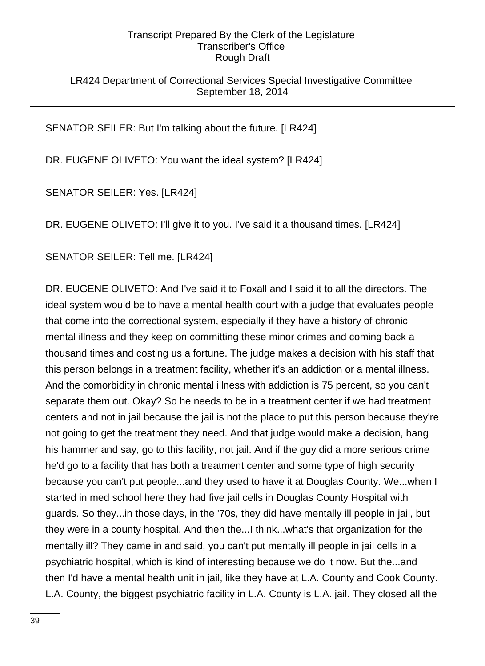LR424 Department of Correctional Services Special Investigative Committee September 18, 2014

SENATOR SEILER: But I'm talking about the future. [LR424]

DR. EUGENE OLIVETO: You want the ideal system? [LR424]

SENATOR SEILER: Yes. [LR424]

DR. EUGENE OLIVETO: I'll give it to you. I've said it a thousand times. [LR424]

SENATOR SEILER: Tell me. [LR424]

DR. EUGENE OLIVETO: And I've said it to Foxall and I said it to all the directors. The ideal system would be to have a mental health court with a judge that evaluates people that come into the correctional system, especially if they have a history of chronic mental illness and they keep on committing these minor crimes and coming back a thousand times and costing us a fortune. The judge makes a decision with his staff that this person belongs in a treatment facility, whether it's an addiction or a mental illness. And the comorbidity in chronic mental illness with addiction is 75 percent, so you can't separate them out. Okay? So he needs to be in a treatment center if we had treatment centers and not in jail because the jail is not the place to put this person because they're not going to get the treatment they need. And that judge would make a decision, bang his hammer and say, go to this facility, not jail. And if the guy did a more serious crime he'd go to a facility that has both a treatment center and some type of high security because you can't put people...and they used to have it at Douglas County. We...when I started in med school here they had five jail cells in Douglas County Hospital with guards. So they...in those days, in the '70s, they did have mentally ill people in jail, but they were in a county hospital. And then the...I think...what's that organization for the mentally ill? They came in and said, you can't put mentally ill people in jail cells in a psychiatric hospital, which is kind of interesting because we do it now. But the...and then I'd have a mental health unit in jail, like they have at L.A. County and Cook County. L.A. County, the biggest psychiatric facility in L.A. County is L.A. jail. They closed all the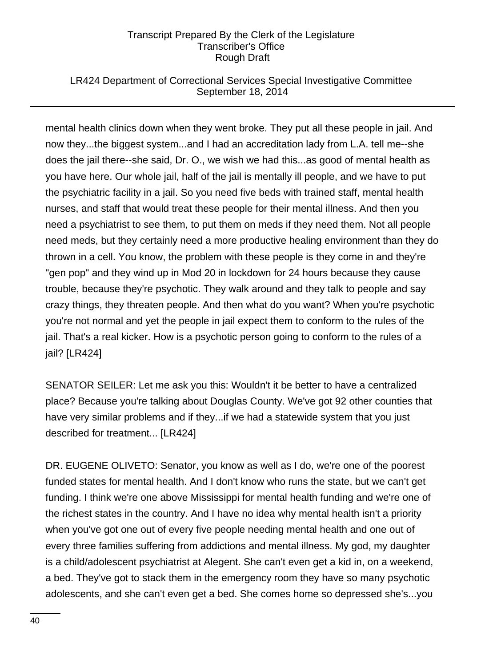# LR424 Department of Correctional Services Special Investigative Committee September 18, 2014

mental health clinics down when they went broke. They put all these people in jail. And now they...the biggest system...and I had an accreditation lady from L.A. tell me--she does the jail there--she said, Dr. O., we wish we had this...as good of mental health as you have here. Our whole jail, half of the jail is mentally ill people, and we have to put the psychiatric facility in a jail. So you need five beds with trained staff, mental health nurses, and staff that would treat these people for their mental illness. And then you need a psychiatrist to see them, to put them on meds if they need them. Not all people need meds, but they certainly need a more productive healing environment than they do thrown in a cell. You know, the problem with these people is they come in and they're "gen pop" and they wind up in Mod 20 in lockdown for 24 hours because they cause trouble, because they're psychotic. They walk around and they talk to people and say crazy things, they threaten people. And then what do you want? When you're psychotic you're not normal and yet the people in jail expect them to conform to the rules of the jail. That's a real kicker. How is a psychotic person going to conform to the rules of a jail? [LR424]

SENATOR SEILER: Let me ask you this: Wouldn't it be better to have a centralized place? Because you're talking about Douglas County. We've got 92 other counties that have very similar problems and if they...if we had a statewide system that you just described for treatment... [LR424]

DR. EUGENE OLIVETO: Senator, you know as well as I do, we're one of the poorest funded states for mental health. And I don't know who runs the state, but we can't get funding. I think we're one above Mississippi for mental health funding and we're one of the richest states in the country. And I have no idea why mental health isn't a priority when you've got one out of every five people needing mental health and one out of every three families suffering from addictions and mental illness. My god, my daughter is a child/adolescent psychiatrist at Alegent. She can't even get a kid in, on a weekend, a bed. They've got to stack them in the emergency room they have so many psychotic adolescents, and she can't even get a bed. She comes home so depressed she's...you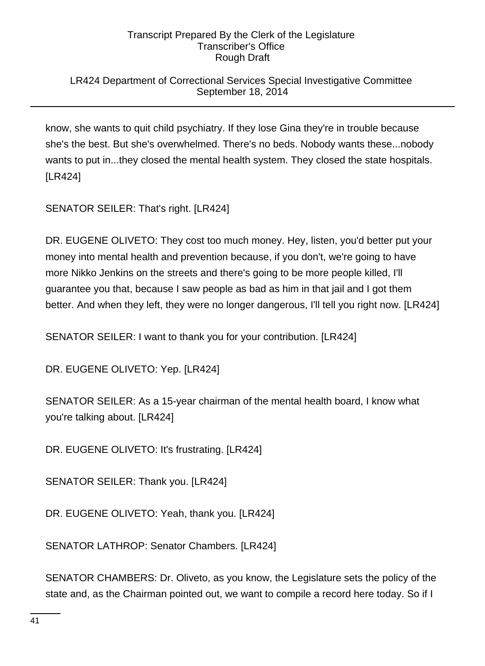LR424 Department of Correctional Services Special Investigative Committee September 18, 2014

know, she wants to quit child psychiatry. If they lose Gina they're in trouble because she's the best. But she's overwhelmed. There's no beds. Nobody wants these...nobody wants to put in...they closed the mental health system. They closed the state hospitals. [LR424]

SENATOR SEILER: That's right. [LR424]

DR. EUGENE OLIVETO: They cost too much money. Hey, listen, you'd better put your money into mental health and prevention because, if you don't, we're going to have more Nikko Jenkins on the streets and there's going to be more people killed, I'll guarantee you that, because I saw people as bad as him in that jail and I got them better. And when they left, they were no longer dangerous, I'll tell you right now. [LR424]

SENATOR SEILER: I want to thank you for your contribution. [LR424]

DR. EUGENE OLIVETO: Yep. [LR424]

SENATOR SEILER: As a 15-year chairman of the mental health board, I know what you're talking about. [LR424]

DR. EUGENE OLIVETO: It's frustrating. [LR424]

SENATOR SEILER: Thank you. [LR424]

DR. EUGENE OLIVETO: Yeah, thank you. [LR424]

SENATOR LATHROP: Senator Chambers. [LR424]

SENATOR CHAMBERS: Dr. Oliveto, as you know, the Legislature sets the policy of the state and, as the Chairman pointed out, we want to compile a record here today. So if I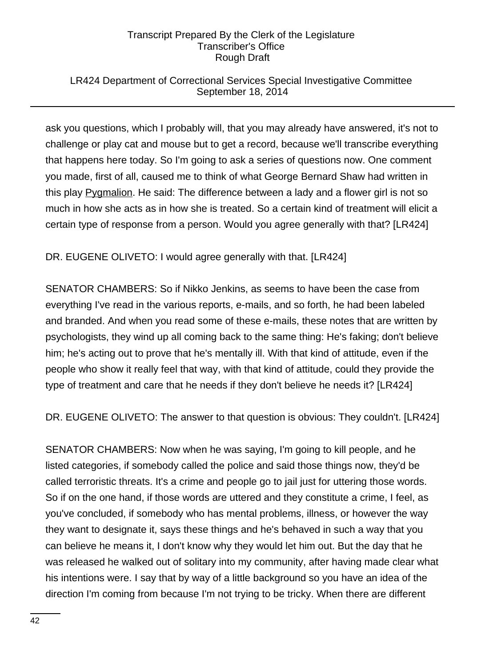# LR424 Department of Correctional Services Special Investigative Committee September 18, 2014

ask you questions, which I probably will, that you may already have answered, it's not to challenge or play cat and mouse but to get a record, because we'll transcribe everything that happens here today. So I'm going to ask a series of questions now. One comment you made, first of all, caused me to think of what George Bernard Shaw had written in this play Pygmalion. He said: The difference between a lady and a flower girl is not so much in how she acts as in how she is treated. So a certain kind of treatment will elicit a certain type of response from a person. Would you agree generally with that? [LR424]

# DR. EUGENE OLIVETO: I would agree generally with that. [LR424]

SENATOR CHAMBERS: So if Nikko Jenkins, as seems to have been the case from everything I've read in the various reports, e-mails, and so forth, he had been labeled and branded. And when you read some of these e-mails, these notes that are written by psychologists, they wind up all coming back to the same thing: He's faking; don't believe him; he's acting out to prove that he's mentally ill. With that kind of attitude, even if the people who show it really feel that way, with that kind of attitude, could they provide the type of treatment and care that he needs if they don't believe he needs it? [LR424]

DR. EUGENE OLIVETO: The answer to that question is obvious: They couldn't. [LR424]

SENATOR CHAMBERS: Now when he was saying, I'm going to kill people, and he listed categories, if somebody called the police and said those things now, they'd be called terroristic threats. It's a crime and people go to jail just for uttering those words. So if on the one hand, if those words are uttered and they constitute a crime, I feel, as you've concluded, if somebody who has mental problems, illness, or however the way they want to designate it, says these things and he's behaved in such a way that you can believe he means it, I don't know why they would let him out. But the day that he was released he walked out of solitary into my community, after having made clear what his intentions were. I say that by way of a little background so you have an idea of the direction I'm coming from because I'm not trying to be tricky. When there are different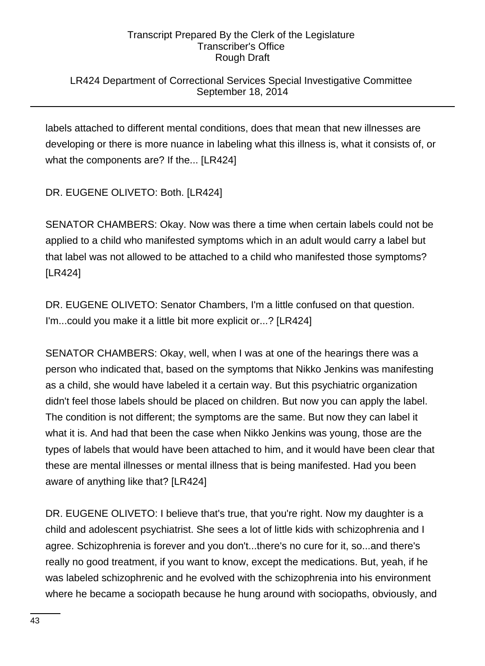# LR424 Department of Correctional Services Special Investigative Committee September 18, 2014

labels attached to different mental conditions, does that mean that new illnesses are developing or there is more nuance in labeling what this illness is, what it consists of, or what the components are? If the... [LR424]

DR. EUGENE OLIVETO: Both. [LR424]

SENATOR CHAMBERS: Okay. Now was there a time when certain labels could not be applied to a child who manifested symptoms which in an adult would carry a label but that label was not allowed to be attached to a child who manifested those symptoms? [LR424]

DR. EUGENE OLIVETO: Senator Chambers, I'm a little confused on that question. I'm...could you make it a little bit more explicit or...? [LR424]

SENATOR CHAMBERS: Okay, well, when I was at one of the hearings there was a person who indicated that, based on the symptoms that Nikko Jenkins was manifesting as a child, she would have labeled it a certain way. But this psychiatric organization didn't feel those labels should be placed on children. But now you can apply the label. The condition is not different; the symptoms are the same. But now they can label it what it is. And had that been the case when Nikko Jenkins was young, those are the types of labels that would have been attached to him, and it would have been clear that these are mental illnesses or mental illness that is being manifested. Had you been aware of anything like that? [LR424]

DR. EUGENE OLIVETO: I believe that's true, that you're right. Now my daughter is a child and adolescent psychiatrist. She sees a lot of little kids with schizophrenia and I agree. Schizophrenia is forever and you don't...there's no cure for it, so...and there's really no good treatment, if you want to know, except the medications. But, yeah, if he was labeled schizophrenic and he evolved with the schizophrenia into his environment where he became a sociopath because he hung around with sociopaths, obviously, and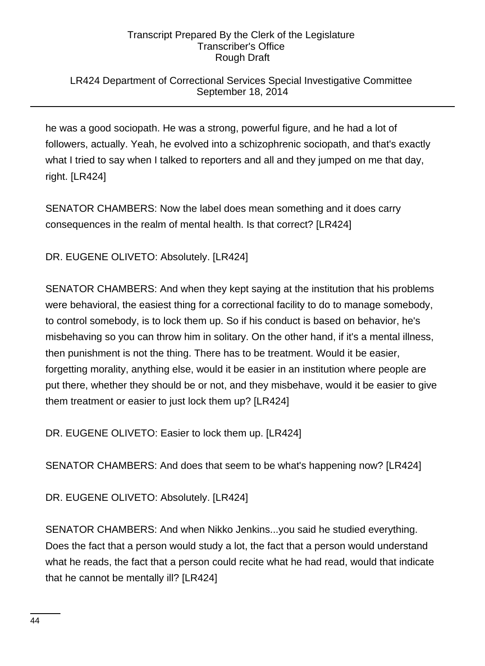# LR424 Department of Correctional Services Special Investigative Committee September 18, 2014

he was a good sociopath. He was a strong, powerful figure, and he had a lot of followers, actually. Yeah, he evolved into a schizophrenic sociopath, and that's exactly what I tried to say when I talked to reporters and all and they jumped on me that day, right. [LR424]

SENATOR CHAMBERS: Now the label does mean something and it does carry consequences in the realm of mental health. Is that correct? [LR424]

DR. EUGENE OLIVETO: Absolutely. [LR424]

SENATOR CHAMBERS: And when they kept saying at the institution that his problems were behavioral, the easiest thing for a correctional facility to do to manage somebody, to control somebody, is to lock them up. So if his conduct is based on behavior, he's misbehaving so you can throw him in solitary. On the other hand, if it's a mental illness, then punishment is not the thing. There has to be treatment. Would it be easier, forgetting morality, anything else, would it be easier in an institution where people are put there, whether they should be or not, and they misbehave, would it be easier to give them treatment or easier to just lock them up? [LR424]

DR. EUGENE OLIVETO: Easier to lock them up. [LR424]

SENATOR CHAMBERS: And does that seem to be what's happening now? [LR424]

DR. EUGENE OLIVETO: Absolutely. [LR424]

SENATOR CHAMBERS: And when Nikko Jenkins...you said he studied everything. Does the fact that a person would study a lot, the fact that a person would understand what he reads, the fact that a person could recite what he had read, would that indicate that he cannot be mentally ill? [LR424]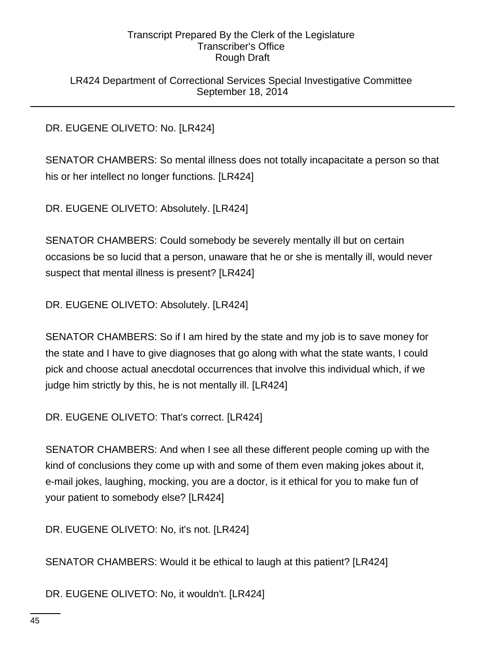LR424 Department of Correctional Services Special Investigative Committee September 18, 2014

DR. EUGENE OLIVETO: No. [LR424]

SENATOR CHAMBERS: So mental illness does not totally incapacitate a person so that his or her intellect no longer functions. [LR424]

DR. EUGENE OLIVETO: Absolutely. [LR424]

SENATOR CHAMBERS: Could somebody be severely mentally ill but on certain occasions be so lucid that a person, unaware that he or she is mentally ill, would never suspect that mental illness is present? [LR424]

DR. EUGENE OLIVETO: Absolutely. [LR424]

SENATOR CHAMBERS: So if I am hired by the state and my job is to save money for the state and I have to give diagnoses that go along with what the state wants, I could pick and choose actual anecdotal occurrences that involve this individual which, if we judge him strictly by this, he is not mentally ill. [LR424]

DR. EUGENE OLIVETO: That's correct. [LR424]

SENATOR CHAMBERS: And when I see all these different people coming up with the kind of conclusions they come up with and some of them even making jokes about it, e-mail jokes, laughing, mocking, you are a doctor, is it ethical for you to make fun of your patient to somebody else? [LR424]

DR. EUGENE OLIVETO: No, it's not. [LR424]

SENATOR CHAMBERS: Would it be ethical to laugh at this patient? [LR424]

DR. EUGENE OLIVETO: No, it wouldn't. [LR424]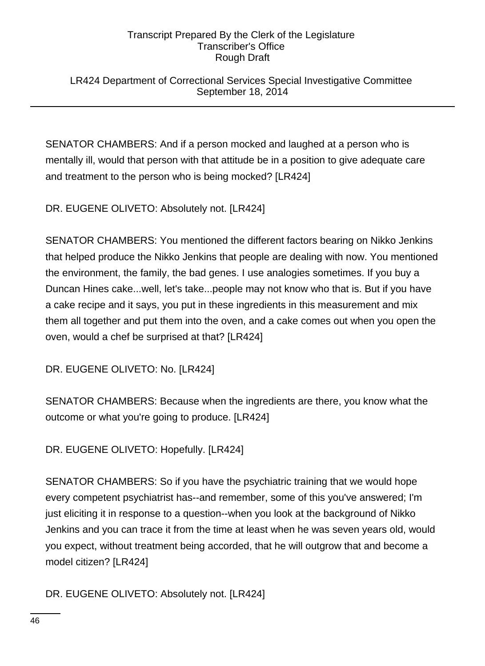LR424 Department of Correctional Services Special Investigative Committee September 18, 2014

SENATOR CHAMBERS: And if a person mocked and laughed at a person who is mentally ill, would that person with that attitude be in a position to give adequate care and treatment to the person who is being mocked? [LR424]

DR. EUGENE OLIVETO: Absolutely not. [LR424]

SENATOR CHAMBERS: You mentioned the different factors bearing on Nikko Jenkins that helped produce the Nikko Jenkins that people are dealing with now. You mentioned the environment, the family, the bad genes. I use analogies sometimes. If you buy a Duncan Hines cake...well, let's take...people may not know who that is. But if you have a cake recipe and it says, you put in these ingredients in this measurement and mix them all together and put them into the oven, and a cake comes out when you open the oven, would a chef be surprised at that? [LR424]

DR. EUGENE OLIVETO: No. [LR424]

SENATOR CHAMBERS: Because when the ingredients are there, you know what the outcome or what you're going to produce. [LR424]

DR. EUGENE OLIVETO: Hopefully. [LR424]

SENATOR CHAMBERS: So if you have the psychiatric training that we would hope every competent psychiatrist has--and remember, some of this you've answered; I'm just eliciting it in response to a question--when you look at the background of Nikko Jenkins and you can trace it from the time at least when he was seven years old, would you expect, without treatment being accorded, that he will outgrow that and become a model citizen? [LR424]

DR. EUGENE OLIVETO: Absolutely not. [LR424]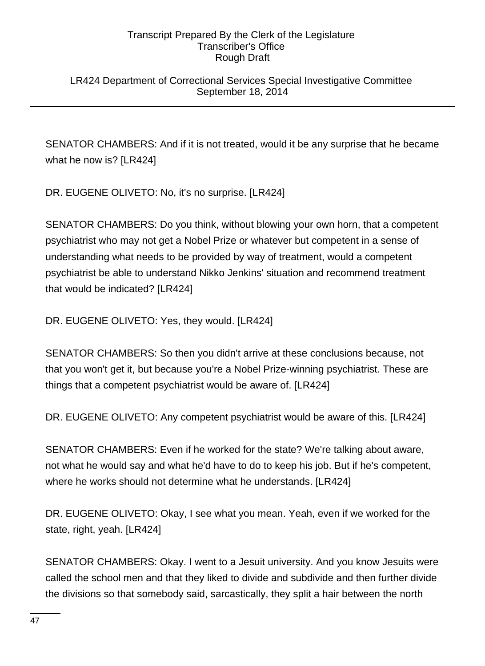# LR424 Department of Correctional Services Special Investigative Committee September 18, 2014

SENATOR CHAMBERS: And if it is not treated, would it be any surprise that he became what he now is? [LR424]

DR. EUGENE OLIVETO: No, it's no surprise. [LR424]

SENATOR CHAMBERS: Do you think, without blowing your own horn, that a competent psychiatrist who may not get a Nobel Prize or whatever but competent in a sense of understanding what needs to be provided by way of treatment, would a competent psychiatrist be able to understand Nikko Jenkins' situation and recommend treatment that would be indicated? [LR424]

DR. EUGENE OLIVETO: Yes, they would. [LR424]

SENATOR CHAMBERS: So then you didn't arrive at these conclusions because, not that you won't get it, but because you're a Nobel Prize-winning psychiatrist. These are things that a competent psychiatrist would be aware of. [LR424]

DR. EUGENE OLIVETO: Any competent psychiatrist would be aware of this. [LR424]

SENATOR CHAMBERS: Even if he worked for the state? We're talking about aware, not what he would say and what he'd have to do to keep his job. But if he's competent, where he works should not determine what he understands. [LR424]

DR. EUGENE OLIVETO: Okay, I see what you mean. Yeah, even if we worked for the state, right, yeah. [LR424]

SENATOR CHAMBERS: Okay. I went to a Jesuit university. And you know Jesuits were called the school men and that they liked to divide and subdivide and then further divide the divisions so that somebody said, sarcastically, they split a hair between the north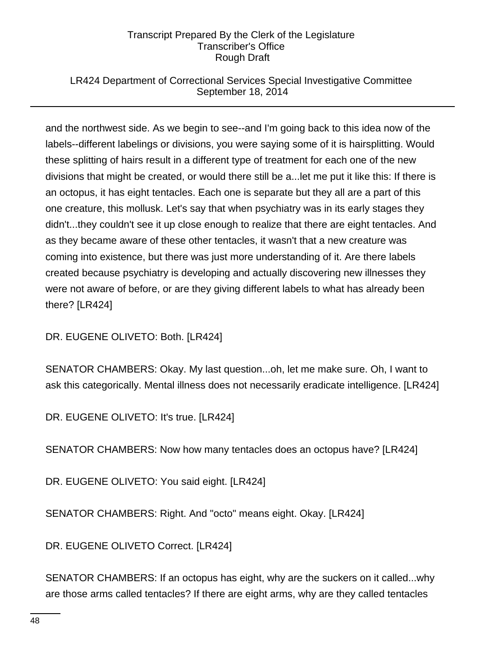# LR424 Department of Correctional Services Special Investigative Committee September 18, 2014

and the northwest side. As we begin to see--and I'm going back to this idea now of the labels--different labelings or divisions, you were saying some of it is hairsplitting. Would these splitting of hairs result in a different type of treatment for each one of the new divisions that might be created, or would there still be a...let me put it like this: If there is an octopus, it has eight tentacles. Each one is separate but they all are a part of this one creature, this mollusk. Let's say that when psychiatry was in its early stages they didn't...they couldn't see it up close enough to realize that there are eight tentacles. And as they became aware of these other tentacles, it wasn't that a new creature was coming into existence, but there was just more understanding of it. Are there labels created because psychiatry is developing and actually discovering new illnesses they were not aware of before, or are they giving different labels to what has already been there? [LR424]

DR. EUGENE OLIVETO: Both. [LR424]

SENATOR CHAMBERS: Okay. My last question...oh, let me make sure. Oh, I want to ask this categorically. Mental illness does not necessarily eradicate intelligence. [LR424]

DR. EUGENE OLIVETO: It's true. [LR424]

SENATOR CHAMBERS: Now how many tentacles does an octopus have? [LR424]

DR. EUGENE OLIVETO: You said eight. [LR424]

SENATOR CHAMBERS: Right. And "octo" means eight. Okay. [LR424]

DR. EUGENE OLIVETO Correct. [LR424]

SENATOR CHAMBERS: If an octopus has eight, why are the suckers on it called...why are those arms called tentacles? If there are eight arms, why are they called tentacles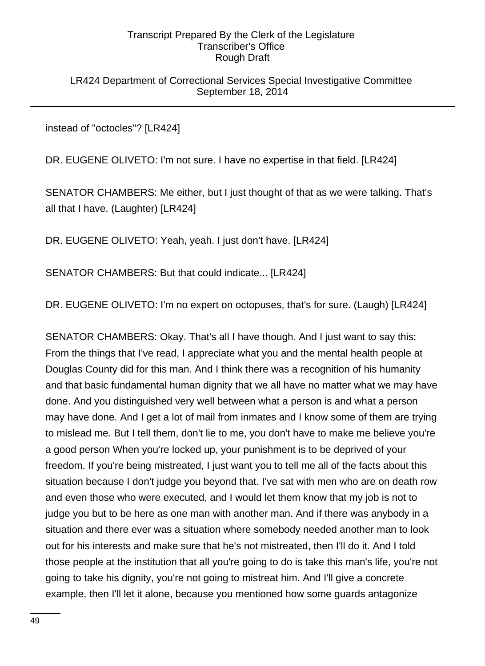LR424 Department of Correctional Services Special Investigative Committee September 18, 2014

instead of "octocles"? [LR424]

DR. EUGENE OLIVETO: I'm not sure. I have no expertise in that field. [LR424]

SENATOR CHAMBERS: Me either, but I just thought of that as we were talking. That's all that I have. (Laughter) [LR424]

DR. EUGENE OLIVETO: Yeah, yeah. I just don't have. [LR424]

SENATOR CHAMBERS: But that could indicate... [LR424]

DR. EUGENE OLIVETO: I'm no expert on octopuses, that's for sure. (Laugh) [LR424]

SENATOR CHAMBERS: Okay. That's all I have though. And I just want to say this: From the things that I've read, I appreciate what you and the mental health people at Douglas County did for this man. And I think there was a recognition of his humanity and that basic fundamental human dignity that we all have no matter what we may have done. And you distinguished very well between what a person is and what a person may have done. And I get a lot of mail from inmates and I know some of them are trying to mislead me. But I tell them, don't lie to me, you don't have to make me believe you're a good person When you're locked up, your punishment is to be deprived of your freedom. If you're being mistreated, I just want you to tell me all of the facts about this situation because I don't judge you beyond that. I've sat with men who are on death row and even those who were executed, and I would let them know that my job is not to judge you but to be here as one man with another man. And if there was anybody in a situation and there ever was a situation where somebody needed another man to look out for his interests and make sure that he's not mistreated, then I'll do it. And I told those people at the institution that all you're going to do is take this man's life, you're not going to take his dignity, you're not going to mistreat him. And I'll give a concrete example, then I'll let it alone, because you mentioned how some guards antagonize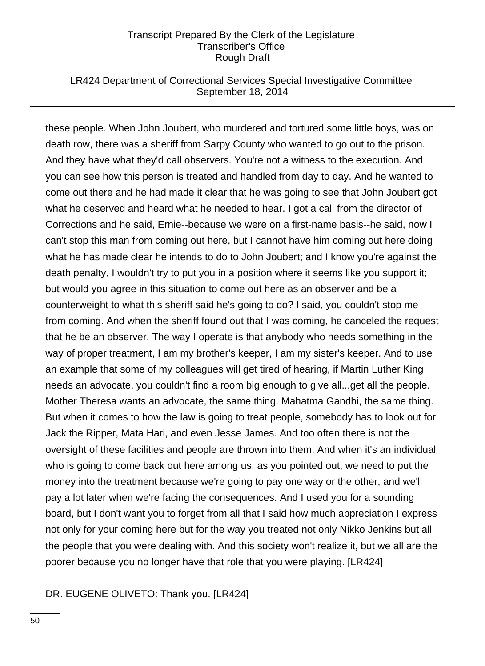### LR424 Department of Correctional Services Special Investigative Committee September 18, 2014

these people. When John Joubert, who murdered and tortured some little boys, was on death row, there was a sheriff from Sarpy County who wanted to go out to the prison. And they have what they'd call observers. You're not a witness to the execution. And you can see how this person is treated and handled from day to day. And he wanted to come out there and he had made it clear that he was going to see that John Joubert got what he deserved and heard what he needed to hear. I got a call from the director of Corrections and he said, Ernie--because we were on a first-name basis--he said, now I can't stop this man from coming out here, but I cannot have him coming out here doing what he has made clear he intends to do to John Joubert; and I know you're against the death penalty, I wouldn't try to put you in a position where it seems like you support it; but would you agree in this situation to come out here as an observer and be a counterweight to what this sheriff said he's going to do? I said, you couldn't stop me from coming. And when the sheriff found out that I was coming, he canceled the request that he be an observer. The way I operate is that anybody who needs something in the way of proper treatment, I am my brother's keeper, I am my sister's keeper. And to use an example that some of my colleagues will get tired of hearing, if Martin Luther King needs an advocate, you couldn't find a room big enough to give all...get all the people. Mother Theresa wants an advocate, the same thing. Mahatma Gandhi, the same thing. But when it comes to how the law is going to treat people, somebody has to look out for Jack the Ripper, Mata Hari, and even Jesse James. And too often there is not the oversight of these facilities and people are thrown into them. And when it's an individual who is going to come back out here among us, as you pointed out, we need to put the money into the treatment because we're going to pay one way or the other, and we'll pay a lot later when we're facing the consequences. And I used you for a sounding board, but I don't want you to forget from all that I said how much appreciation I express not only for your coming here but for the way you treated not only Nikko Jenkins but all the people that you were dealing with. And this society won't realize it, but we all are the poorer because you no longer have that role that you were playing. [LR424]

DR. EUGENE OLIVETO: Thank you. [LR424]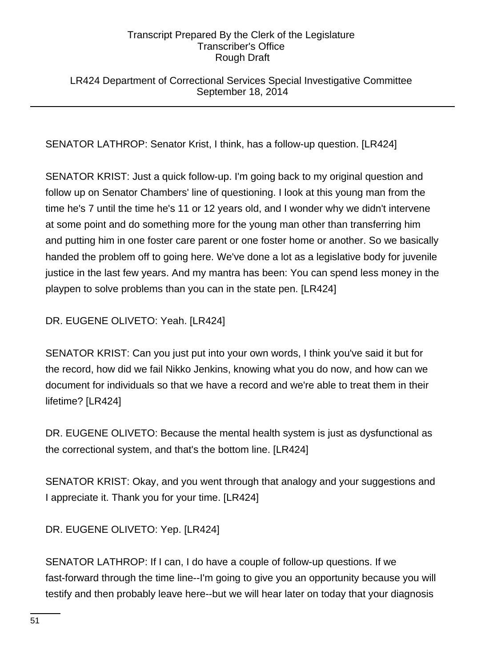LR424 Department of Correctional Services Special Investigative Committee September 18, 2014

SENATOR LATHROP: Senator Krist, I think, has a follow-up question. [LR424]

SENATOR KRIST: Just a quick follow-up. I'm going back to my original question and follow up on Senator Chambers' line of questioning. I look at this young man from the time he's 7 until the time he's 11 or 12 years old, and I wonder why we didn't intervene at some point and do something more for the young man other than transferring him and putting him in one foster care parent or one foster home or another. So we basically handed the problem off to going here. We've done a lot as a legislative body for juvenile justice in the last few years. And my mantra has been: You can spend less money in the playpen to solve problems than you can in the state pen. [LR424]

DR. EUGENE OLIVETO: Yeah. [LR424]

SENATOR KRIST: Can you just put into your own words, I think you've said it but for the record, how did we fail Nikko Jenkins, knowing what you do now, and how can we document for individuals so that we have a record and we're able to treat them in their lifetime? [LR424]

DR. EUGENE OLIVETO: Because the mental health system is just as dysfunctional as the correctional system, and that's the bottom line. [LR424]

SENATOR KRIST: Okay, and you went through that analogy and your suggestions and I appreciate it. Thank you for your time. [LR424]

DR. EUGENE OLIVETO: Yep. [LR424]

SENATOR LATHROP: If I can, I do have a couple of follow-up questions. If we fast-forward through the time line--I'm going to give you an opportunity because you will testify and then probably leave here--but we will hear later on today that your diagnosis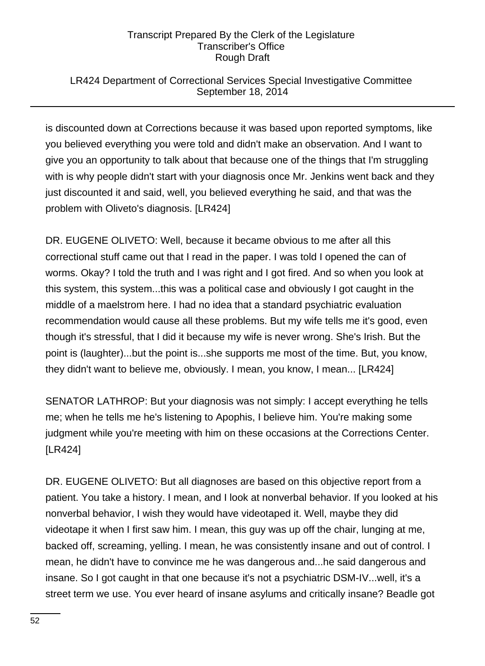# LR424 Department of Correctional Services Special Investigative Committee September 18, 2014

is discounted down at Corrections because it was based upon reported symptoms, like you believed everything you were told and didn't make an observation. And I want to give you an opportunity to talk about that because one of the things that I'm struggling with is why people didn't start with your diagnosis once Mr. Jenkins went back and they just discounted it and said, well, you believed everything he said, and that was the problem with Oliveto's diagnosis. [LR424]

DR. EUGENE OLIVETO: Well, because it became obvious to me after all this correctional stuff came out that I read in the paper. I was told I opened the can of worms. Okay? I told the truth and I was right and I got fired. And so when you look at this system, this system...this was a political case and obviously I got caught in the middle of a maelstrom here. I had no idea that a standard psychiatric evaluation recommendation would cause all these problems. But my wife tells me it's good, even though it's stressful, that I did it because my wife is never wrong. She's Irish. But the point is (laughter)...but the point is...she supports me most of the time. But, you know, they didn't want to believe me, obviously. I mean, you know, I mean... [LR424]

SENATOR LATHROP: But your diagnosis was not simply: I accept everything he tells me; when he tells me he's listening to Apophis, I believe him. You're making some judgment while you're meeting with him on these occasions at the Corrections Center. [LR424]

DR. EUGENE OLIVETO: But all diagnoses are based on this objective report from a patient. You take a history. I mean, and I look at nonverbal behavior. If you looked at his nonverbal behavior, I wish they would have videotaped it. Well, maybe they did videotape it when I first saw him. I mean, this guy was up off the chair, lunging at me, backed off, screaming, yelling. I mean, he was consistently insane and out of control. I mean, he didn't have to convince me he was dangerous and...he said dangerous and insane. So I got caught in that one because it's not a psychiatric DSM-IV...well, it's a street term we use. You ever heard of insane asylums and critically insane? Beadle got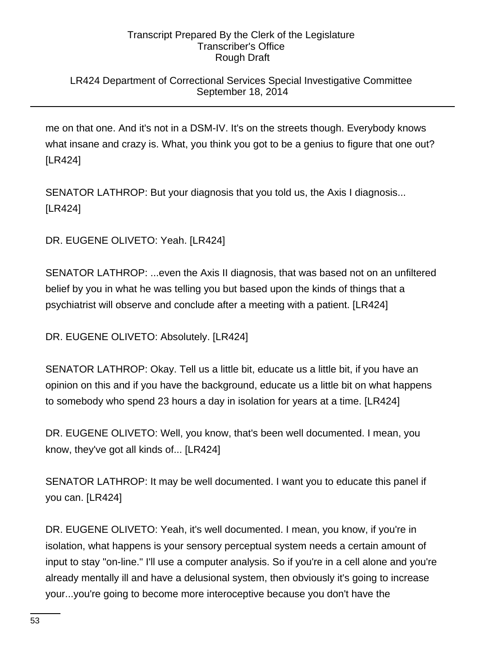# LR424 Department of Correctional Services Special Investigative Committee September 18, 2014

me on that one. And it's not in a DSM-IV. It's on the streets though. Everybody knows what insane and crazy is. What, you think you got to be a genius to figure that one out? [LR424]

SENATOR LATHROP: But your diagnosis that you told us, the Axis I diagnosis... [LR424]

DR. EUGENE OLIVETO: Yeah. [LR424]

SENATOR LATHROP: ...even the Axis II diagnosis, that was based not on an unfiltered belief by you in what he was telling you but based upon the kinds of things that a psychiatrist will observe and conclude after a meeting with a patient. [LR424]

DR. EUGENE OLIVETO: Absolutely. [LR424]

SENATOR LATHROP: Okay. Tell us a little bit, educate us a little bit, if you have an opinion on this and if you have the background, educate us a little bit on what happens to somebody who spend 23 hours a day in isolation for years at a time. [LR424]

DR. EUGENE OLIVETO: Well, you know, that's been well documented. I mean, you know, they've got all kinds of... [LR424]

SENATOR LATHROP: It may be well documented. I want you to educate this panel if you can. [LR424]

DR. EUGENE OLIVETO: Yeah, it's well documented. I mean, you know, if you're in isolation, what happens is your sensory perceptual system needs a certain amount of input to stay "on-line." I'll use a computer analysis. So if you're in a cell alone and you're already mentally ill and have a delusional system, then obviously it's going to increase your...you're going to become more interoceptive because you don't have the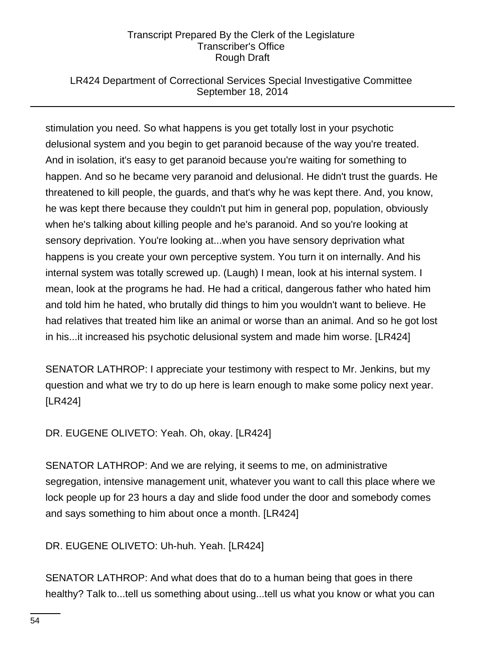# LR424 Department of Correctional Services Special Investigative Committee September 18, 2014

stimulation you need. So what happens is you get totally lost in your psychotic delusional system and you begin to get paranoid because of the way you're treated. And in isolation, it's easy to get paranoid because you're waiting for something to happen. And so he became very paranoid and delusional. He didn't trust the guards. He threatened to kill people, the guards, and that's why he was kept there. And, you know, he was kept there because they couldn't put him in general pop, population, obviously when he's talking about killing people and he's paranoid. And so you're looking at sensory deprivation. You're looking at...when you have sensory deprivation what happens is you create your own perceptive system. You turn it on internally. And his internal system was totally screwed up. (Laugh) I mean, look at his internal system. I mean, look at the programs he had. He had a critical, dangerous father who hated him and told him he hated, who brutally did things to him you wouldn't want to believe. He had relatives that treated him like an animal or worse than an animal. And so he got lost in his...it increased his psychotic delusional system and made him worse. [LR424]

SENATOR LATHROP: I appreciate your testimony with respect to Mr. Jenkins, but my question and what we try to do up here is learn enough to make some policy next year. [LR424]

DR. EUGENE OLIVETO: Yeah. Oh, okay. [LR424]

SENATOR LATHROP: And we are relying, it seems to me, on administrative segregation, intensive management unit, whatever you want to call this place where we lock people up for 23 hours a day and slide food under the door and somebody comes and says something to him about once a month. [LR424]

DR. EUGENE OLIVETO: Uh-huh. Yeah. [LR424]

SENATOR LATHROP: And what does that do to a human being that goes in there healthy? Talk to...tell us something about using...tell us what you know or what you can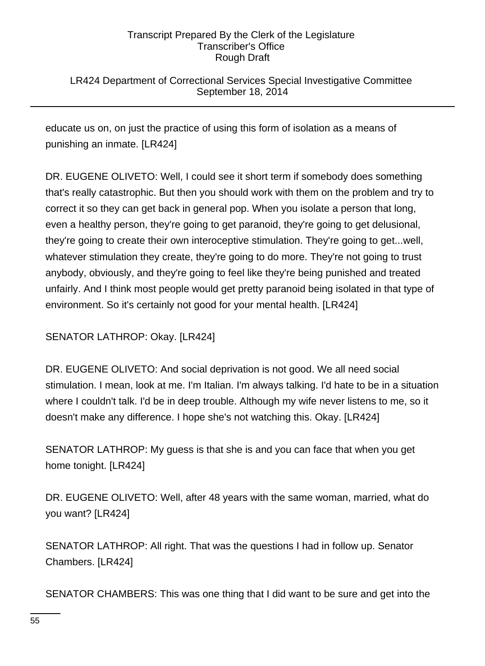# LR424 Department of Correctional Services Special Investigative Committee September 18, 2014

educate us on, on just the practice of using this form of isolation as a means of punishing an inmate. [LR424]

DR. EUGENE OLIVETO: Well, I could see it short term if somebody does something that's really catastrophic. But then you should work with them on the problem and try to correct it so they can get back in general pop. When you isolate a person that long, even a healthy person, they're going to get paranoid, they're going to get delusional, they're going to create their own interoceptive stimulation. They're going to get...well, whatever stimulation they create, they're going to do more. They're not going to trust anybody, obviously, and they're going to feel like they're being punished and treated unfairly. And I think most people would get pretty paranoid being isolated in that type of environment. So it's certainly not good for your mental health. [LR424]

SENATOR LATHROP: Okay. [LR424]

DR. EUGENE OLIVETO: And social deprivation is not good. We all need social stimulation. I mean, look at me. I'm Italian. I'm always talking. I'd hate to be in a situation where I couldn't talk. I'd be in deep trouble. Although my wife never listens to me, so it doesn't make any difference. I hope she's not watching this. Okay. [LR424]

SENATOR LATHROP: My guess is that she is and you can face that when you get home tonight. [LR424]

DR. EUGENE OLIVETO: Well, after 48 years with the same woman, married, what do you want? [LR424]

SENATOR LATHROP: All right. That was the questions I had in follow up. Senator Chambers. [LR424]

SENATOR CHAMBERS: This was one thing that I did want to be sure and get into the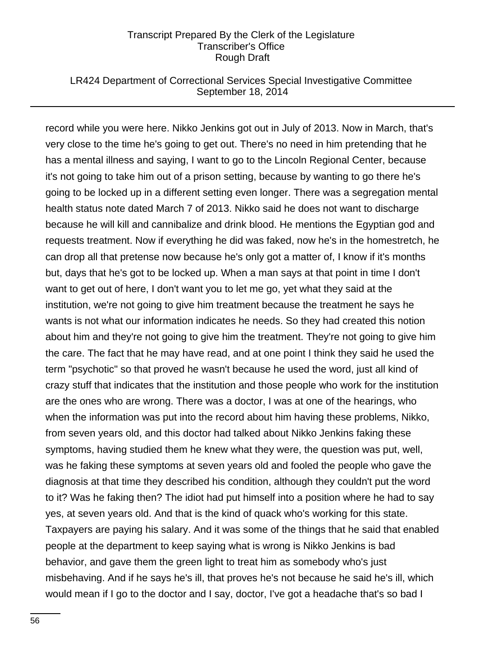# LR424 Department of Correctional Services Special Investigative Committee September 18, 2014

record while you were here. Nikko Jenkins got out in July of 2013. Now in March, that's very close to the time he's going to get out. There's no need in him pretending that he has a mental illness and saying, I want to go to the Lincoln Regional Center, because it's not going to take him out of a prison setting, because by wanting to go there he's going to be locked up in a different setting even longer. There was a segregation mental health status note dated March 7 of 2013. Nikko said he does not want to discharge because he will kill and cannibalize and drink blood. He mentions the Egyptian god and requests treatment. Now if everything he did was faked, now he's in the homestretch, he can drop all that pretense now because he's only got a matter of, I know if it's months but, days that he's got to be locked up. When a man says at that point in time I don't want to get out of here, I don't want you to let me go, yet what they said at the institution, we're not going to give him treatment because the treatment he says he wants is not what our information indicates he needs. So they had created this notion about him and they're not going to give him the treatment. They're not going to give him the care. The fact that he may have read, and at one point I think they said he used the term "psychotic" so that proved he wasn't because he used the word, just all kind of crazy stuff that indicates that the institution and those people who work for the institution are the ones who are wrong. There was a doctor, I was at one of the hearings, who when the information was put into the record about him having these problems, Nikko, from seven years old, and this doctor had talked about Nikko Jenkins faking these symptoms, having studied them he knew what they were, the question was put, well, was he faking these symptoms at seven years old and fooled the people who gave the diagnosis at that time they described his condition, although they couldn't put the word to it? Was he faking then? The idiot had put himself into a position where he had to say yes, at seven years old. And that is the kind of quack who's working for this state. Taxpayers are paying his salary. And it was some of the things that he said that enabled people at the department to keep saying what is wrong is Nikko Jenkins is bad behavior, and gave them the green light to treat him as somebody who's just misbehaving. And if he says he's ill, that proves he's not because he said he's ill, which would mean if I go to the doctor and I say, doctor, I've got a headache that's so bad I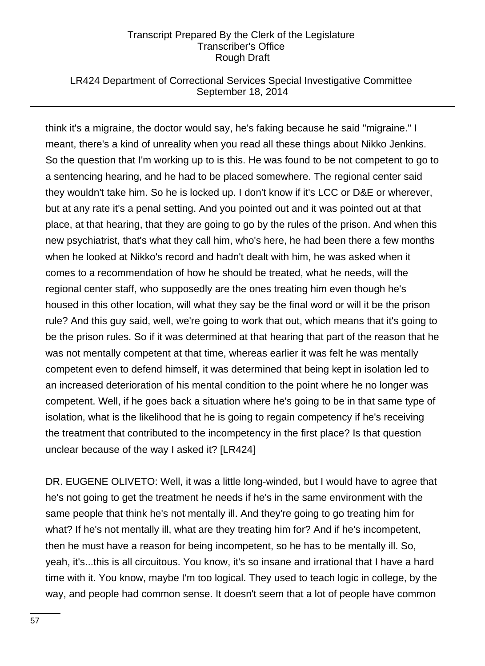# LR424 Department of Correctional Services Special Investigative Committee September 18, 2014

think it's a migraine, the doctor would say, he's faking because he said "migraine." I meant, there's a kind of unreality when you read all these things about Nikko Jenkins. So the question that I'm working up to is this. He was found to be not competent to go to a sentencing hearing, and he had to be placed somewhere. The regional center said they wouldn't take him. So he is locked up. I don't know if it's LCC or D&E or wherever, but at any rate it's a penal setting. And you pointed out and it was pointed out at that place, at that hearing, that they are going to go by the rules of the prison. And when this new psychiatrist, that's what they call him, who's here, he had been there a few months when he looked at Nikko's record and hadn't dealt with him, he was asked when it comes to a recommendation of how he should be treated, what he needs, will the regional center staff, who supposedly are the ones treating him even though he's housed in this other location, will what they say be the final word or will it be the prison rule? And this guy said, well, we're going to work that out, which means that it's going to be the prison rules. So if it was determined at that hearing that part of the reason that he was not mentally competent at that time, whereas earlier it was felt he was mentally competent even to defend himself, it was determined that being kept in isolation led to an increased deterioration of his mental condition to the point where he no longer was competent. Well, if he goes back a situation where he's going to be in that same type of isolation, what is the likelihood that he is going to regain competency if he's receiving the treatment that contributed to the incompetency in the first place? Is that question unclear because of the way I asked it? [LR424]

DR. EUGENE OLIVETO: Well, it was a little long-winded, but I would have to agree that he's not going to get the treatment he needs if he's in the same environment with the same people that think he's not mentally ill. And they're going to go treating him for what? If he's not mentally ill, what are they treating him for? And if he's incompetent, then he must have a reason for being incompetent, so he has to be mentally ill. So, yeah, it's...this is all circuitous. You know, it's so insane and irrational that I have a hard time with it. You know, maybe I'm too logical. They used to teach logic in college, by the way, and people had common sense. It doesn't seem that a lot of people have common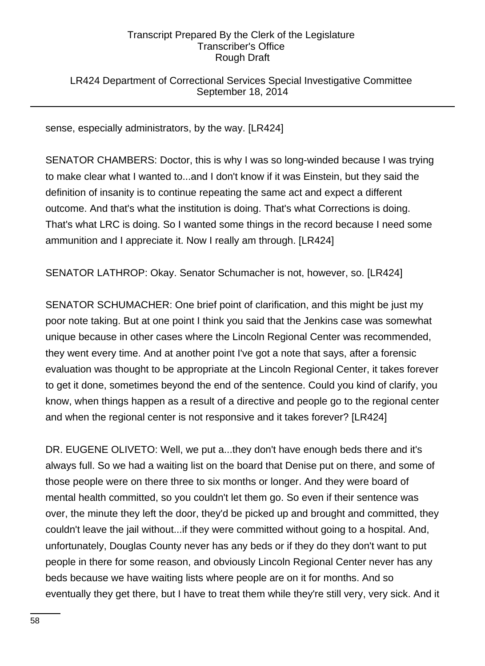# LR424 Department of Correctional Services Special Investigative Committee September 18, 2014

sense, especially administrators, by the way. [LR424]

SENATOR CHAMBERS: Doctor, this is why I was so long-winded because I was trying to make clear what I wanted to...and I don't know if it was Einstein, but they said the definition of insanity is to continue repeating the same act and expect a different outcome. And that's what the institution is doing. That's what Corrections is doing. That's what LRC is doing. So I wanted some things in the record because I need some ammunition and I appreciate it. Now I really am through. [LR424]

SENATOR LATHROP: Okay. Senator Schumacher is not, however, so. [LR424]

SENATOR SCHUMACHER: One brief point of clarification, and this might be just my poor note taking. But at one point I think you said that the Jenkins case was somewhat unique because in other cases where the Lincoln Regional Center was recommended, they went every time. And at another point I've got a note that says, after a forensic evaluation was thought to be appropriate at the Lincoln Regional Center, it takes forever to get it done, sometimes beyond the end of the sentence. Could you kind of clarify, you know, when things happen as a result of a directive and people go to the regional center and when the regional center is not responsive and it takes forever? [LR424]

DR. EUGENE OLIVETO: Well, we put a...they don't have enough beds there and it's always full. So we had a waiting list on the board that Denise put on there, and some of those people were on there three to six months or longer. And they were board of mental health committed, so you couldn't let them go. So even if their sentence was over, the minute they left the door, they'd be picked up and brought and committed, they couldn't leave the jail without...if they were committed without going to a hospital. And, unfortunately, Douglas County never has any beds or if they do they don't want to put people in there for some reason, and obviously Lincoln Regional Center never has any beds because we have waiting lists where people are on it for months. And so eventually they get there, but I have to treat them while they're still very, very sick. And it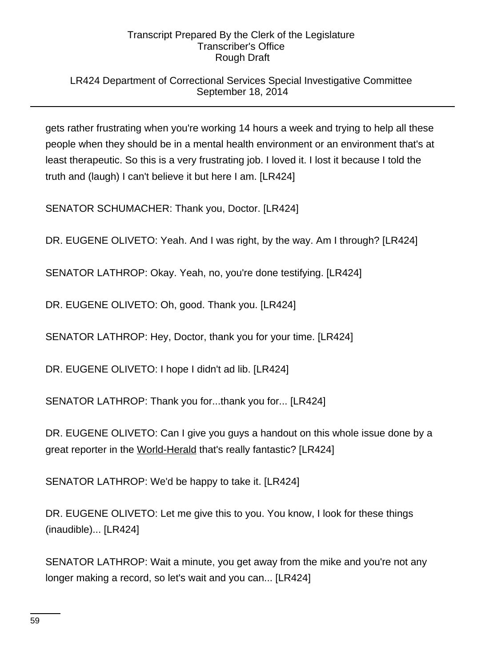# LR424 Department of Correctional Services Special Investigative Committee September 18, 2014

gets rather frustrating when you're working 14 hours a week and trying to help all these people when they should be in a mental health environment or an environment that's at least therapeutic. So this is a very frustrating job. I loved it. I lost it because I told the truth and (laugh) I can't believe it but here I am. [LR424]

SENATOR SCHUMACHER: Thank you, Doctor. [LR424]

DR. EUGENE OLIVETO: Yeah. And I was right, by the way. Am I through? [LR424]

SENATOR LATHROP: Okay. Yeah, no, you're done testifying. [LR424]

DR. EUGENE OLIVETO: Oh, good. Thank you. [LR424]

SENATOR LATHROP: Hey, Doctor, thank you for your time. [LR424]

DR. EUGENE OLIVETO: I hope I didn't ad lib. [LR424]

SENATOR LATHROP: Thank you for...thank you for... [LR424]

DR. EUGENE OLIVETO: Can I give you guys a handout on this whole issue done by a great reporter in the World-Herald that's really fantastic? [LR424]

SENATOR LATHROP: We'd be happy to take it. [LR424]

DR. EUGENE OLIVETO: Let me give this to you. You know, I look for these things (inaudible)... [LR424]

SENATOR LATHROP: Wait a minute, you get away from the mike and you're not any longer making a record, so let's wait and you can... [LR424]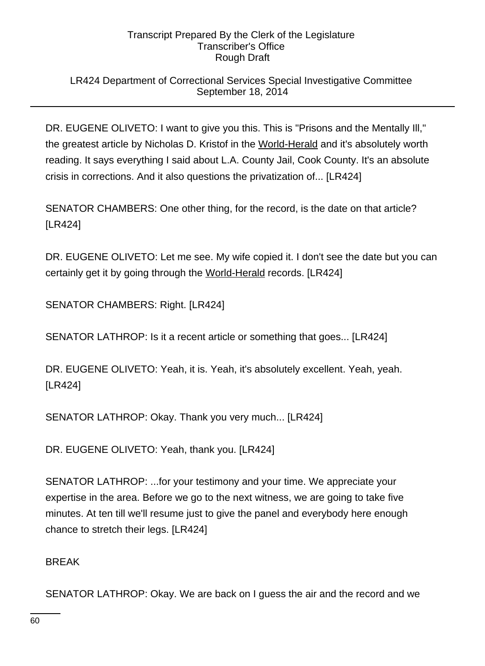# LR424 Department of Correctional Services Special Investigative Committee September 18, 2014

DR. EUGENE OLIVETO: I want to give you this. This is "Prisons and the Mentally III," the greatest article by Nicholas D. Kristof in the World-Herald and it's absolutely worth reading. It says everything I said about L.A. County Jail, Cook County. It's an absolute crisis in corrections. And it also questions the privatization of... [LR424]

SENATOR CHAMBERS: One other thing, for the record, is the date on that article? [LR424]

DR. EUGENE OLIVETO: Let me see. My wife copied it. I don't see the date but you can certainly get it by going through the World-Herald records. [LR424]

SENATOR CHAMBERS: Right. [LR424]

SENATOR LATHROP: Is it a recent article or something that goes... [LR424]

DR. EUGENE OLIVETO: Yeah, it is. Yeah, it's absolutely excellent. Yeah, yeah. [LR424]

SENATOR LATHROP: Okay. Thank you very much... [LR424]

DR. EUGENE OLIVETO: Yeah, thank you. [LR424]

SENATOR LATHROP: ...for your testimony and your time. We appreciate your expertise in the area. Before we go to the next witness, we are going to take five minutes. At ten till we'll resume just to give the panel and everybody here enough chance to stretch their legs. [LR424]

**BRFAK** 

SENATOR LATHROP: Okay. We are back on I guess the air and the record and we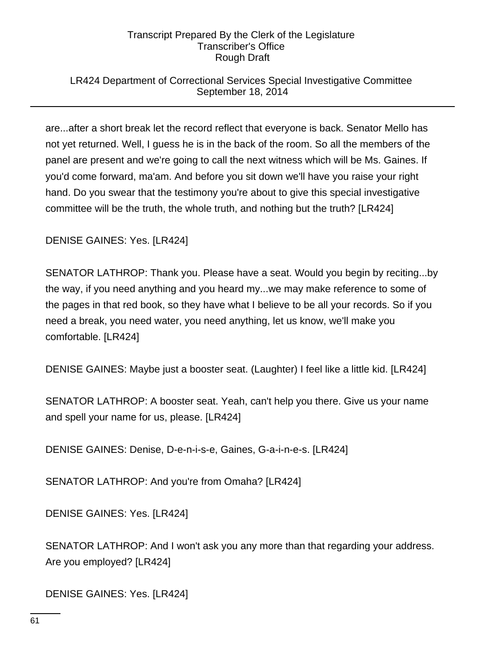# LR424 Department of Correctional Services Special Investigative Committee September 18, 2014

are...after a short break let the record reflect that everyone is back. Senator Mello has not yet returned. Well, I guess he is in the back of the room. So all the members of the panel are present and we're going to call the next witness which will be Ms. Gaines. If you'd come forward, ma'am. And before you sit down we'll have you raise your right hand. Do you swear that the testimony you're about to give this special investigative committee will be the truth, the whole truth, and nothing but the truth? [LR424]

DENISE GAINES: Yes. [LR424]

SENATOR LATHROP: Thank you. Please have a seat. Would you begin by reciting...by the way, if you need anything and you heard my...we may make reference to some of the pages in that red book, so they have what I believe to be all your records. So if you need a break, you need water, you need anything, let us know, we'll make you comfortable. [LR424]

DENISE GAINES: Maybe just a booster seat. (Laughter) I feel like a little kid. [LR424]

SENATOR LATHROP: A booster seat. Yeah, can't help you there. Give us your name and spell your name for us, please. [LR424]

DENISE GAINES: Denise, D-e-n-i-s-e, Gaines, G-a-i-n-e-s. [LR424]

SENATOR LATHROP: And you're from Omaha? [LR424]

DENISE GAINES: Yes. [LR424]

SENATOR LATHROP: And I won't ask you any more than that regarding your address. Are you employed? [LR424]

DENISE GAINES: Yes. [LR424]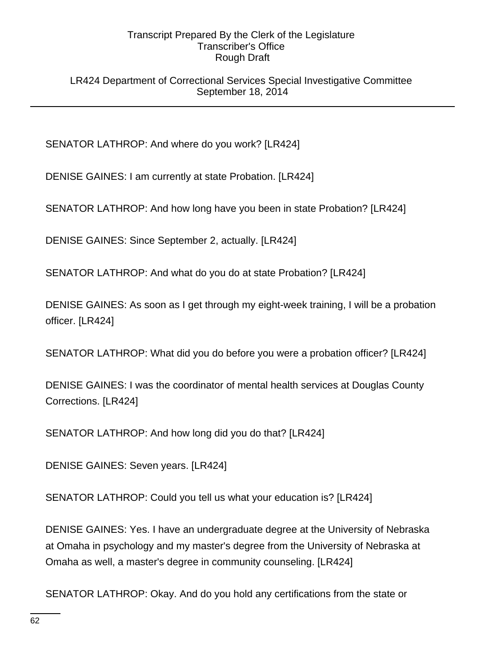LR424 Department of Correctional Services Special Investigative Committee September 18, 2014

SENATOR LATHROP: And where do you work? [LR424]

DENISE GAINES: I am currently at state Probation. [LR424]

SENATOR LATHROP: And how long have you been in state Probation? [LR424]

DENISE GAINES: Since September 2, actually. [LR424]

SENATOR LATHROP: And what do you do at state Probation? [LR424]

DENISE GAINES: As soon as I get through my eight-week training, I will be a probation officer. [LR424]

SENATOR LATHROP: What did you do before you were a probation officer? [LR424]

DENISE GAINES: I was the coordinator of mental health services at Douglas County Corrections. [LR424]

SENATOR LATHROP: And how long did you do that? [LR424]

DENISE GAINES: Seven years. [LR424]

SENATOR LATHROP: Could you tell us what your education is? [LR424]

DENISE GAINES: Yes. I have an undergraduate degree at the University of Nebraska at Omaha in psychology and my master's degree from the University of Nebraska at Omaha as well, a master's degree in community counseling. [LR424]

SENATOR LATHROP: Okay. And do you hold any certifications from the state or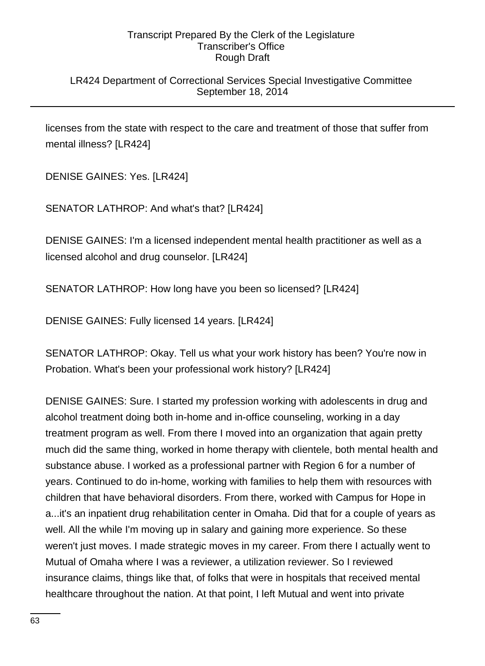# LR424 Department of Correctional Services Special Investigative Committee September 18, 2014

licenses from the state with respect to the care and treatment of those that suffer from mental illness? [LR424]

DENISE GAINES: Yes. [LR424]

SENATOR LATHROP: And what's that? [LR424]

DENISE GAINES: I'm a licensed independent mental health practitioner as well as a licensed alcohol and drug counselor. [LR424]

SENATOR LATHROP: How long have you been so licensed? [LR424]

DENISE GAINES: Fully licensed 14 years. [LR424]

SENATOR LATHROP: Okay. Tell us what your work history has been? You're now in Probation. What's been your professional work history? [LR424]

DENISE GAINES: Sure. I started my profession working with adolescents in drug and alcohol treatment doing both in-home and in-office counseling, working in a day treatment program as well. From there I moved into an organization that again pretty much did the same thing, worked in home therapy with clientele, both mental health and substance abuse. I worked as a professional partner with Region 6 for a number of years. Continued to do in-home, working with families to help them with resources with children that have behavioral disorders. From there, worked with Campus for Hope in a...it's an inpatient drug rehabilitation center in Omaha. Did that for a couple of years as well. All the while I'm moving up in salary and gaining more experience. So these weren't just moves. I made strategic moves in my career. From there I actually went to Mutual of Omaha where I was a reviewer, a utilization reviewer. So I reviewed insurance claims, things like that, of folks that were in hospitals that received mental healthcare throughout the nation. At that point, I left Mutual and went into private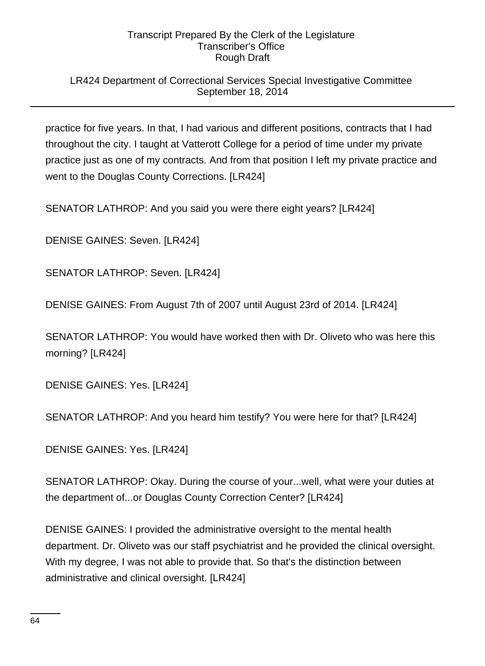# LR424 Department of Correctional Services Special Investigative Committee September 18, 2014

practice for five years. In that, I had various and different positions, contracts that I had throughout the city. I taught at Vatterott College for a period of time under my private practice just as one of my contracts. And from that position I left my private practice and went to the Douglas County Corrections. [LR424]

SENATOR LATHROP: And you said you were there eight years? [LR424]

DENISE GAINES: Seven. [LR424]

SENATOR LATHROP: Seven. [LR424]

DENISE GAINES: From August 7th of 2007 until August 23rd of 2014. [LR424]

SENATOR LATHROP: You would have worked then with Dr. Oliveto who was here this morning? [LR424]

DENISE GAINES: Yes. [LR424]

SENATOR LATHROP: And you heard him testify? You were here for that? [LR424]

DENISE GAINES: Yes. [LR424]

SENATOR LATHROP: Okay. During the course of your...well, what were your duties at the department of...or Douglas County Correction Center? [LR424]

DENISE GAINES: I provided the administrative oversight to the mental health department. Dr. Oliveto was our staff psychiatrist and he provided the clinical oversight. With my degree, I was not able to provide that. So that's the distinction between administrative and clinical oversight. [LR424]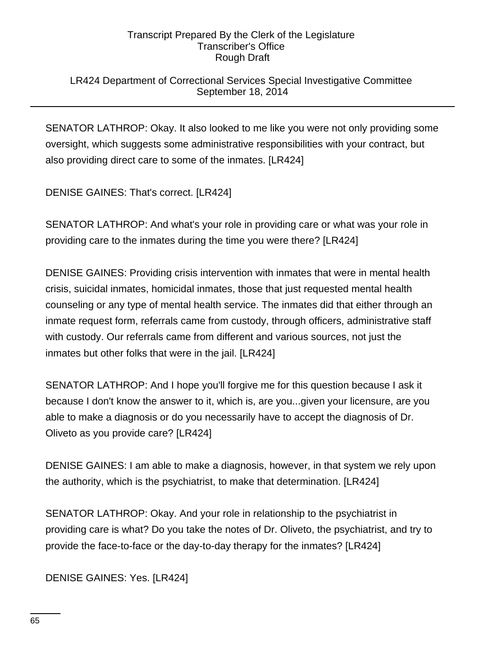# LR424 Department of Correctional Services Special Investigative Committee September 18, 2014

SENATOR LATHROP: Okay. It also looked to me like you were not only providing some oversight, which suggests some administrative responsibilities with your contract, but also providing direct care to some of the inmates. [LR424]

DENISE GAINES: That's correct. [LR424]

SENATOR LATHROP: And what's your role in providing care or what was your role in providing care to the inmates during the time you were there? [LR424]

DENISE GAINES: Providing crisis intervention with inmates that were in mental health crisis, suicidal inmates, homicidal inmates, those that just requested mental health counseling or any type of mental health service. The inmates did that either through an inmate request form, referrals came from custody, through officers, administrative staff with custody. Our referrals came from different and various sources, not just the inmates but other folks that were in the jail. [LR424]

SENATOR LATHROP: And I hope you'll forgive me for this question because I ask it because I don't know the answer to it, which is, are you...given your licensure, are you able to make a diagnosis or do you necessarily have to accept the diagnosis of Dr. Oliveto as you provide care? [LR424]

DENISE GAINES: I am able to make a diagnosis, however, in that system we rely upon the authority, which is the psychiatrist, to make that determination. [LR424]

SENATOR LATHROP: Okay. And your role in relationship to the psychiatrist in providing care is what? Do you take the notes of Dr. Oliveto, the psychiatrist, and try to provide the face-to-face or the day-to-day therapy for the inmates? [LR424]

DENISE GAINES: Yes. [LR424]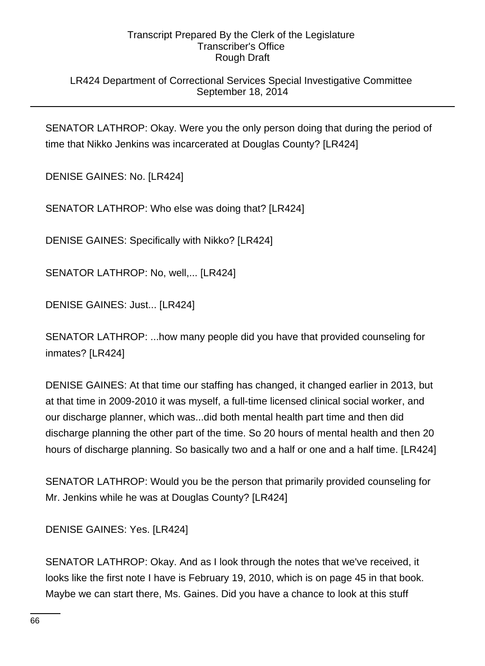# LR424 Department of Correctional Services Special Investigative Committee September 18, 2014

SENATOR LATHROP: Okay. Were you the only person doing that during the period of time that Nikko Jenkins was incarcerated at Douglas County? [LR424]

DENISE GAINES: No. [LR424]

SENATOR LATHROP: Who else was doing that? [LR424]

DENISE GAINES: Specifically with Nikko? [LR424]

SENATOR LATHROP: No, well,... [LR424]

DENISE GAINES: Just... [LR424]

SENATOR LATHROP: ...how many people did you have that provided counseling for inmates? [LR424]

DENISE GAINES: At that time our staffing has changed, it changed earlier in 2013, but at that time in 2009-2010 it was myself, a full-time licensed clinical social worker, and our discharge planner, which was...did both mental health part time and then did discharge planning the other part of the time. So 20 hours of mental health and then 20 hours of discharge planning. So basically two and a half or one and a half time. [LR424]

SENATOR LATHROP: Would you be the person that primarily provided counseling for Mr. Jenkins while he was at Douglas County? [LR424]

DENISE GAINES: Yes. [LR424]

SENATOR LATHROP: Okay. And as I look through the notes that we've received, it looks like the first note I have is February 19, 2010, which is on page 45 in that book. Maybe we can start there, Ms. Gaines. Did you have a chance to look at this stuff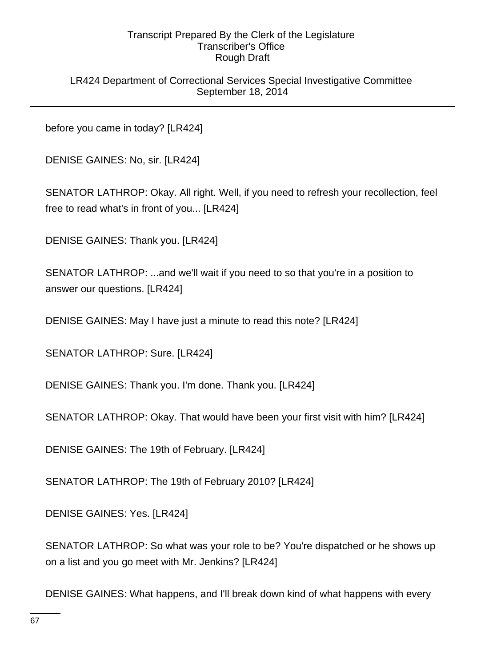LR424 Department of Correctional Services Special Investigative Committee September 18, 2014

before you came in today? [LR424]

DENISE GAINES: No, sir. [LR424]

SENATOR LATHROP: Okay. All right. Well, if you need to refresh your recollection, feel free to read what's in front of you... [LR424]

DENISE GAINES: Thank you. [LR424]

SENATOR LATHROP: ...and we'll wait if you need to so that you're in a position to answer our questions. [LR424]

DENISE GAINES: May I have just a minute to read this note? [LR424]

SENATOR LATHROP: Sure. [LR424]

DENISE GAINES: Thank you. I'm done. Thank you. [LR424]

SENATOR LATHROP: Okay. That would have been your first visit with him? [LR424]

DENISE GAINES: The 19th of February. [LR424]

SENATOR LATHROP: The 19th of February 2010? [LR424]

DENISE GAINES: Yes. [LR424]

SENATOR LATHROP: So what was your role to be? You're dispatched or he shows up on a list and you go meet with Mr. Jenkins? [LR424]

DENISE GAINES: What happens, and I'll break down kind of what happens with every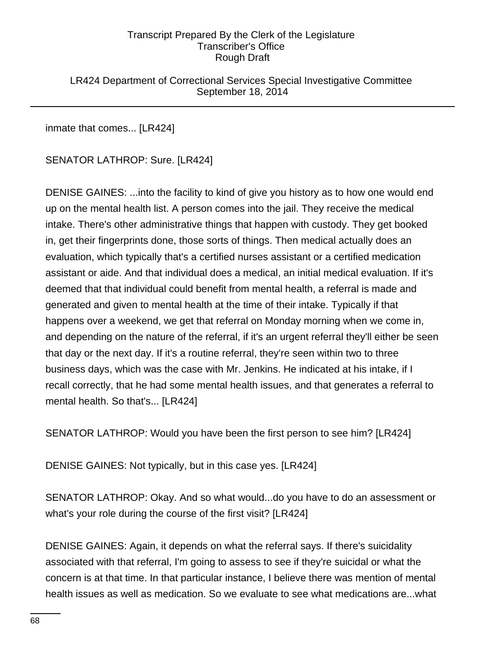LR424 Department of Correctional Services Special Investigative Committee September 18, 2014

inmate that comes... [LR424]

SENATOR LATHROP: Sure. [LR424]

DENISE GAINES: ...into the facility to kind of give you history as to how one would end up on the mental health list. A person comes into the jail. They receive the medical intake. There's other administrative things that happen with custody. They get booked in, get their fingerprints done, those sorts of things. Then medical actually does an evaluation, which typically that's a certified nurses assistant or a certified medication assistant or aide. And that individual does a medical, an initial medical evaluation. If it's deemed that that individual could benefit from mental health, a referral is made and generated and given to mental health at the time of their intake. Typically if that happens over a weekend, we get that referral on Monday morning when we come in, and depending on the nature of the referral, if it's an urgent referral they'll either be seen that day or the next day. If it's a routine referral, they're seen within two to three business days, which was the case with Mr. Jenkins. He indicated at his intake, if I recall correctly, that he had some mental health issues, and that generates a referral to mental health. So that's... [LR424]

SENATOR LATHROP: Would you have been the first person to see him? [LR424]

DENISE GAINES: Not typically, but in this case yes. [LR424]

SENATOR LATHROP: Okay. And so what would...do you have to do an assessment or what's your role during the course of the first visit? [LR424]

DENISE GAINES: Again, it depends on what the referral says. If there's suicidality associated with that referral, I'm going to assess to see if they're suicidal or what the concern is at that time. In that particular instance, I believe there was mention of mental health issues as well as medication. So we evaluate to see what medications are...what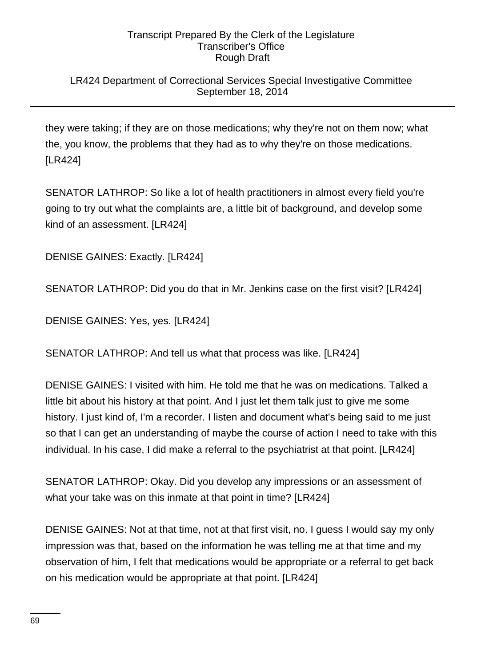# LR424 Department of Correctional Services Special Investigative Committee September 18, 2014

they were taking; if they are on those medications; why they're not on them now; what the, you know, the problems that they had as to why they're on those medications. [LR424]

SENATOR LATHROP: So like a lot of health practitioners in almost every field you're going to try out what the complaints are, a little bit of background, and develop some kind of an assessment. [LR424]

DENISE GAINES: Exactly. [LR424]

SENATOR LATHROP: Did you do that in Mr. Jenkins case on the first visit? [LR424]

DENISE GAINES: Yes, yes. [LR424]

SENATOR LATHROP: And tell us what that process was like. [LR424]

DENISE GAINES: I visited with him. He told me that he was on medications. Talked a little bit about his history at that point. And I just let them talk just to give me some history. I just kind of, I'm a recorder. I listen and document what's being said to me just so that I can get an understanding of maybe the course of action I need to take with this individual. In his case, I did make a referral to the psychiatrist at that point. [LR424]

SENATOR LATHROP: Okay. Did you develop any impressions or an assessment of what your take was on this inmate at that point in time? [LR424]

DENISE GAINES: Not at that time, not at that first visit, no. I guess I would say my only impression was that, based on the information he was telling me at that time and my observation of him, I felt that medications would be appropriate or a referral to get back on his medication would be appropriate at that point. [LR424]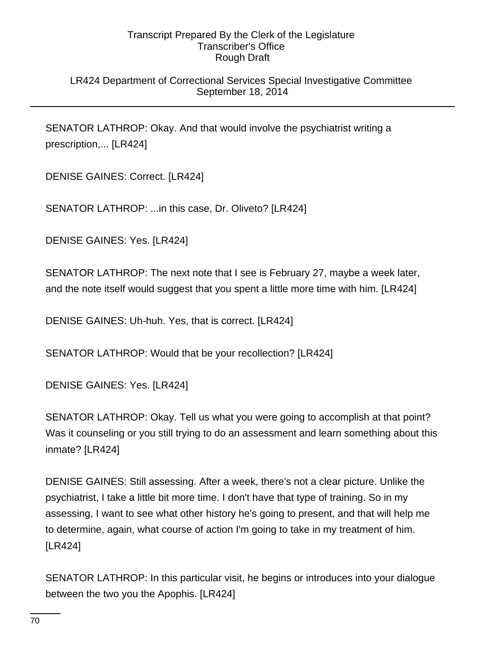# LR424 Department of Correctional Services Special Investigative Committee September 18, 2014

SENATOR LATHROP: Okay. And that would involve the psychiatrist writing a prescription,... [LR424]

DENISE GAINES: Correct. [LR424]

SENATOR LATHROP: ...in this case, Dr. Oliveto? [LR424]

DENISE GAINES: Yes. [LR424]

SENATOR LATHROP: The next note that I see is February 27, maybe a week later, and the note itself would suggest that you spent a little more time with him. [LR424]

DENISE GAINES: Uh-huh. Yes, that is correct. [LR424]

SENATOR LATHROP: Would that be your recollection? [LR424]

DENISE GAINES: Yes. [LR424]

SENATOR LATHROP: Okay. Tell us what you were going to accomplish at that point? Was it counseling or you still trying to do an assessment and learn something about this inmate? [LR424]

DENISE GAINES: Still assessing. After a week, there's not a clear picture. Unlike the psychiatrist, I take a little bit more time. I don't have that type of training. So in my assessing, I want to see what other history he's going to present, and that will help me to determine, again, what course of action I'm going to take in my treatment of him. [LR424]

SENATOR LATHROP: In this particular visit, he begins or introduces into your dialogue between the two you the Apophis. [LR424]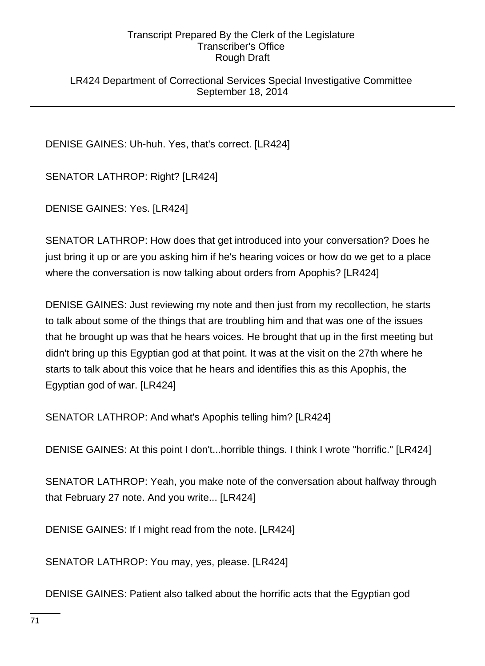LR424 Department of Correctional Services Special Investigative Committee September 18, 2014

DENISE GAINES: Uh-huh. Yes, that's correct. [LR424]

SENATOR LATHROP: Right? [LR424]

DENISE GAINES: Yes. [LR424]

SENATOR LATHROP: How does that get introduced into your conversation? Does he just bring it up or are you asking him if he's hearing voices or how do we get to a place where the conversation is now talking about orders from Apophis? [LR424]

DENISE GAINES: Just reviewing my note and then just from my recollection, he starts to talk about some of the things that are troubling him and that was one of the issues that he brought up was that he hears voices. He brought that up in the first meeting but didn't bring up this Egyptian god at that point. It was at the visit on the 27th where he starts to talk about this voice that he hears and identifies this as this Apophis, the Egyptian god of war. [LR424]

SENATOR LATHROP: And what's Apophis telling him? [LR424]

DENISE GAINES: At this point I don't...horrible things. I think I wrote "horrific." [LR424]

SENATOR LATHROP: Yeah, you make note of the conversation about halfway through that February 27 note. And you write... [LR424]

DENISE GAINES: If I might read from the note. [LR424]

SENATOR LATHROP: You may, yes, please. [LR424]

DENISE GAINES: Patient also talked about the horrific acts that the Egyptian god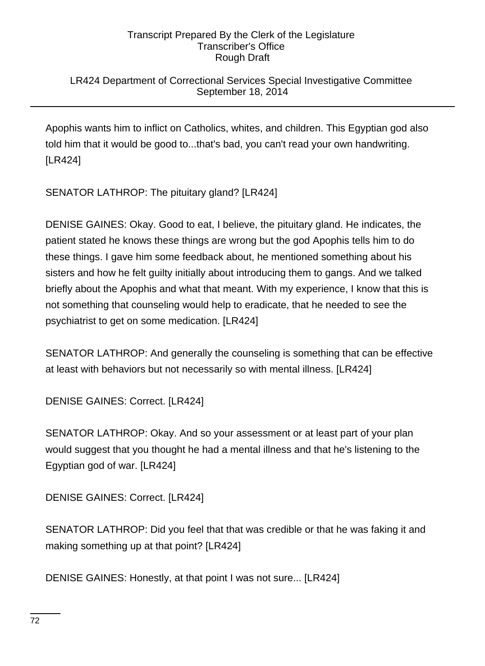# LR424 Department of Correctional Services Special Investigative Committee September 18, 2014

Apophis wants him to inflict on Catholics, whites, and children. This Egyptian god also told him that it would be good to...that's bad, you can't read your own handwriting. [LR424]

SENATOR LATHROP: The pituitary gland? [LR424]

DENISE GAINES: Okay. Good to eat, I believe, the pituitary gland. He indicates, the patient stated he knows these things are wrong but the god Apophis tells him to do these things. I gave him some feedback about, he mentioned something about his sisters and how he felt guilty initially about introducing them to gangs. And we talked briefly about the Apophis and what that meant. With my experience, I know that this is not something that counseling would help to eradicate, that he needed to see the psychiatrist to get on some medication. [LR424]

SENATOR LATHROP: And generally the counseling is something that can be effective at least with behaviors but not necessarily so with mental illness. [LR424]

DENISE GAINES: Correct. [LR424]

SENATOR LATHROP: Okay. And so your assessment or at least part of your plan would suggest that you thought he had a mental illness and that he's listening to the Egyptian god of war. [LR424]

DENISE GAINES: Correct. [LR424]

SENATOR LATHROP: Did you feel that that was credible or that he was faking it and making something up at that point? [LR424]

DENISE GAINES: Honestly, at that point I was not sure... [LR424]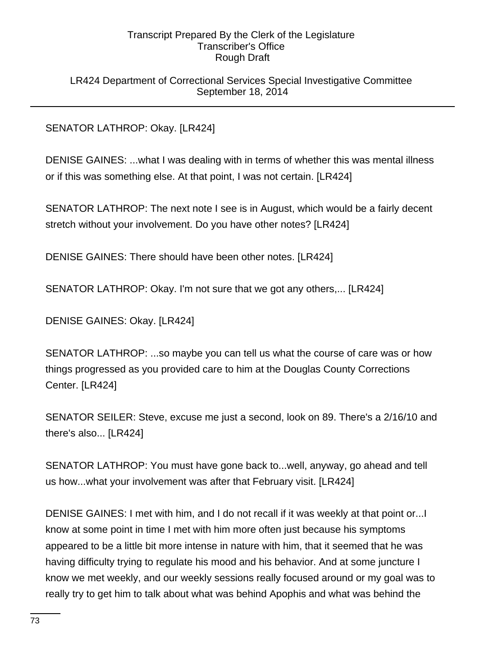LR424 Department of Correctional Services Special Investigative Committee September 18, 2014

SENATOR LATHROP: Okay. [LR424]

DENISE GAINES: ...what I was dealing with in terms of whether this was mental illness or if this was something else. At that point, I was not certain. [LR424]

SENATOR LATHROP: The next note I see is in August, which would be a fairly decent stretch without your involvement. Do you have other notes? [LR424]

DENISE GAINES: There should have been other notes. [LR424]

SENATOR LATHROP: Okay. I'm not sure that we got any others,... [LR424]

DENISE GAINES: Okay. [LR424]

SENATOR LATHROP: ...so maybe you can tell us what the course of care was or how things progressed as you provided care to him at the Douglas County Corrections Center. [LR424]

SENATOR SEILER: Steve, excuse me just a second, look on 89. There's a 2/16/10 and there's also... [LR424]

SENATOR LATHROP: You must have gone back to...well, anyway, go ahead and tell us how...what your involvement was after that February visit. [LR424]

DENISE GAINES: I met with him, and I do not recall if it was weekly at that point or...I know at some point in time I met with him more often just because his symptoms appeared to be a little bit more intense in nature with him, that it seemed that he was having difficulty trying to regulate his mood and his behavior. And at some juncture I know we met weekly, and our weekly sessions really focused around or my goal was to really try to get him to talk about what was behind Apophis and what was behind the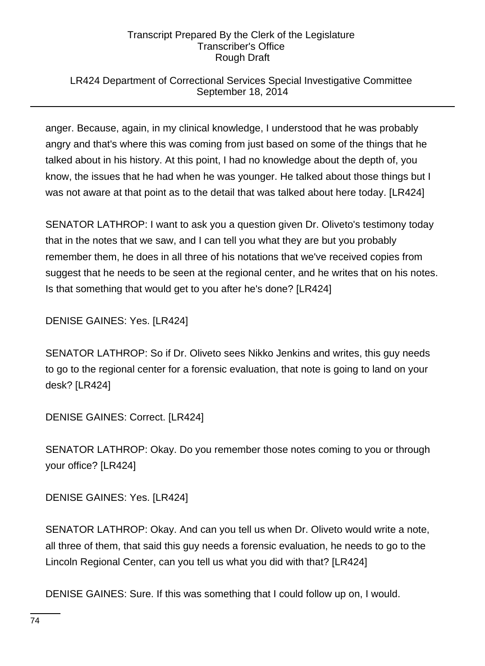## LR424 Department of Correctional Services Special Investigative Committee September 18, 2014

anger. Because, again, in my clinical knowledge, I understood that he was probably angry and that's where this was coming from just based on some of the things that he talked about in his history. At this point, I had no knowledge about the depth of, you know, the issues that he had when he was younger. He talked about those things but I was not aware at that point as to the detail that was talked about here today. [LR424]

SENATOR LATHROP: I want to ask you a question given Dr. Oliveto's testimony today that in the notes that we saw, and I can tell you what they are but you probably remember them, he does in all three of his notations that we've received copies from suggest that he needs to be seen at the regional center, and he writes that on his notes. Is that something that would get to you after he's done? [LR424]

DENISE GAINES: Yes. [LR424]

SENATOR LATHROP: So if Dr. Oliveto sees Nikko Jenkins and writes, this guy needs to go to the regional center for a forensic evaluation, that note is going to land on your desk? [LR424]

DENISE GAINES: Correct. [LR424]

SENATOR LATHROP: Okay. Do you remember those notes coming to you or through your office? [LR424]

DENISE GAINES: Yes. [LR424]

SENATOR LATHROP: Okay. And can you tell us when Dr. Oliveto would write a note, all three of them, that said this guy needs a forensic evaluation, he needs to go to the Lincoln Regional Center, can you tell us what you did with that? [LR424]

DENISE GAINES: Sure. If this was something that I could follow up on, I would.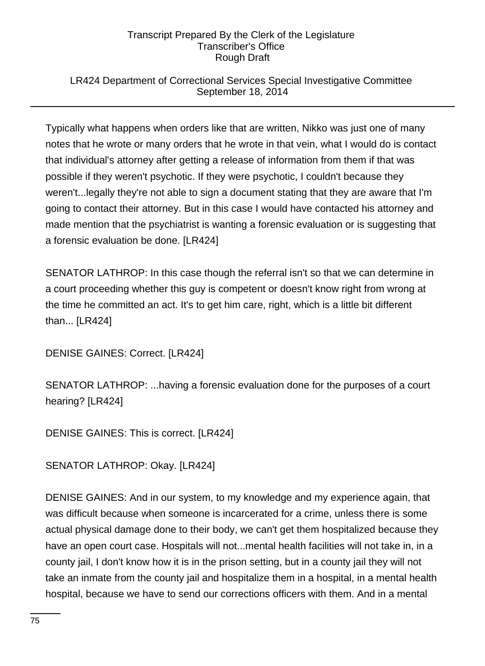## LR424 Department of Correctional Services Special Investigative Committee September 18, 2014

Typically what happens when orders like that are written, Nikko was just one of many notes that he wrote or many orders that he wrote in that vein, what I would do is contact that individual's attorney after getting a release of information from them if that was possible if they weren't psychotic. If they were psychotic, I couldn't because they weren't...legally they're not able to sign a document stating that they are aware that I'm going to contact their attorney. But in this case I would have contacted his attorney and made mention that the psychiatrist is wanting a forensic evaluation or is suggesting that a forensic evaluation be done. [LR424]

SENATOR LATHROP: In this case though the referral isn't so that we can determine in a court proceeding whether this guy is competent or doesn't know right from wrong at the time he committed an act. It's to get him care, right, which is a little bit different than... [LR424]

DENISE GAINES: Correct. [LR424]

SENATOR LATHROP: ...having a forensic evaluation done for the purposes of a court hearing? [LR424]

DENISE GAINES: This is correct. [LR424]

SENATOR LATHROP: Okay. [LR424]

DENISE GAINES: And in our system, to my knowledge and my experience again, that was difficult because when someone is incarcerated for a crime, unless there is some actual physical damage done to their body, we can't get them hospitalized because they have an open court case. Hospitals will not...mental health facilities will not take in, in a county jail, I don't know how it is in the prison setting, but in a county jail they will not take an inmate from the county jail and hospitalize them in a hospital, in a mental health hospital, because we have to send our corrections officers with them. And in a mental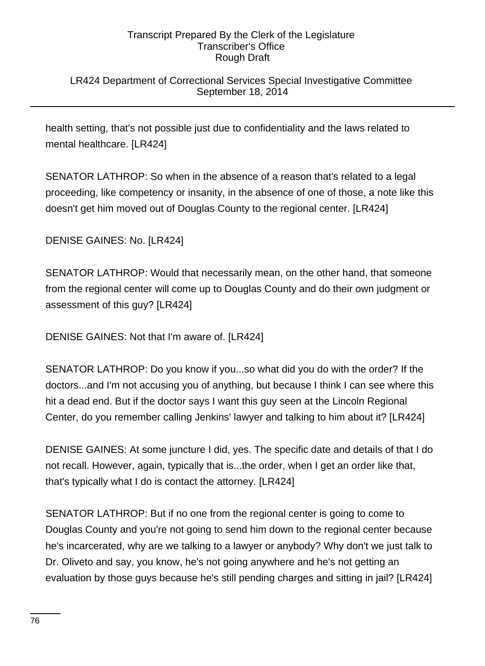## LR424 Department of Correctional Services Special Investigative Committee September 18, 2014

health setting, that's not possible just due to confidentiality and the laws related to mental healthcare. [LR424]

SENATOR LATHROP: So when in the absence of a reason that's related to a legal proceeding, like competency or insanity, in the absence of one of those, a note like this doesn't get him moved out of Douglas County to the regional center. [LR424]

# DENISE GAINES: No. [LR424]

SENATOR LATHROP: Would that necessarily mean, on the other hand, that someone from the regional center will come up to Douglas County and do their own judgment or assessment of this guy? [LR424]

DENISE GAINES: Not that I'm aware of. [LR424]

SENATOR LATHROP: Do you know if you...so what did you do with the order? If the doctors...and I'm not accusing you of anything, but because I think I can see where this hit a dead end. But if the doctor says I want this guy seen at the Lincoln Regional Center, do you remember calling Jenkins' lawyer and talking to him about it? [LR424]

DENISE GAINES: At some juncture I did, yes. The specific date and details of that I do not recall. However, again, typically that is...the order, when I get an order like that, that's typically what I do is contact the attorney. [LR424]

SENATOR LATHROP: But if no one from the regional center is going to come to Douglas County and you're not going to send him down to the regional center because he's incarcerated, why are we talking to a lawyer or anybody? Why don't we just talk to Dr. Oliveto and say, you know, he's not going anywhere and he's not getting an evaluation by those guys because he's still pending charges and sitting in jail? [LR424]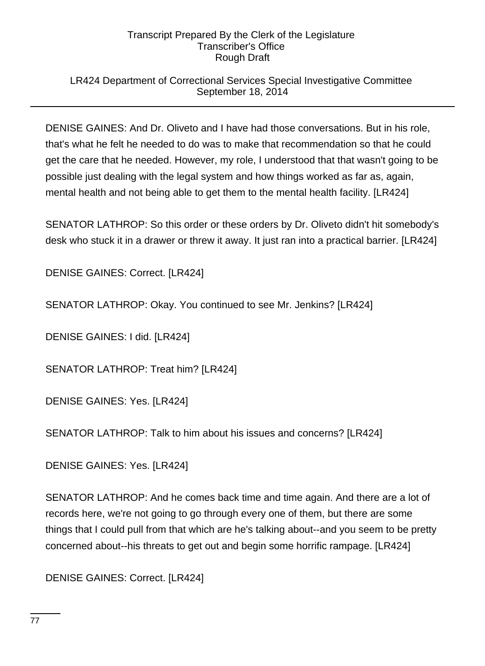## LR424 Department of Correctional Services Special Investigative Committee September 18, 2014

DENISE GAINES: And Dr. Oliveto and I have had those conversations. But in his role, that's what he felt he needed to do was to make that recommendation so that he could get the care that he needed. However, my role, I understood that that wasn't going to be possible just dealing with the legal system and how things worked as far as, again, mental health and not being able to get them to the mental health facility. [LR424]

SENATOR LATHROP: So this order or these orders by Dr. Oliveto didn't hit somebody's desk who stuck it in a drawer or threw it away. It just ran into a practical barrier. [LR424]

DENISE GAINES: Correct. [LR424]

SENATOR LATHROP: Okay. You continued to see Mr. Jenkins? [LR424]

DENISE GAINES: I did. [LR424]

SENATOR LATHROP: Treat him? [LR424]

DENISE GAINES: Yes. [LR424]

SENATOR LATHROP: Talk to him about his issues and concerns? [LR424]

DENISE GAINES: Yes. [LR424]

SENATOR LATHROP: And he comes back time and time again. And there are a lot of records here, we're not going to go through every one of them, but there are some things that I could pull from that which are he's talking about--and you seem to be pretty concerned about--his threats to get out and begin some horrific rampage. [LR424]

DENISE GAINES: Correct. [LR424]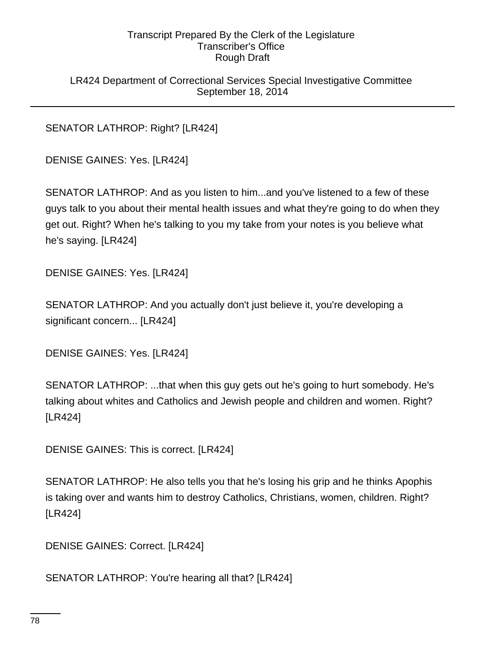LR424 Department of Correctional Services Special Investigative Committee September 18, 2014

SENATOR LATHROP: Right? [LR424]

DENISE GAINES: Yes. [LR424]

SENATOR LATHROP: And as you listen to him...and you've listened to a few of these guys talk to you about their mental health issues and what they're going to do when they get out. Right? When he's talking to you my take from your notes is you believe what he's saying. [LR424]

DENISE GAINES: Yes. [LR424]

SENATOR LATHROP: And you actually don't just believe it, you're developing a significant concern... [LR424]

DENISE GAINES: Yes. [LR424]

SENATOR LATHROP: ...that when this guy gets out he's going to hurt somebody. He's talking about whites and Catholics and Jewish people and children and women. Right? [LR424]

DENISE GAINES: This is correct. [LR424]

SENATOR LATHROP: He also tells you that he's losing his grip and he thinks Apophis is taking over and wants him to destroy Catholics, Christians, women, children. Right? [LR424]

DENISE GAINES: Correct. [LR424]

SENATOR LATHROP: You're hearing all that? [LR424]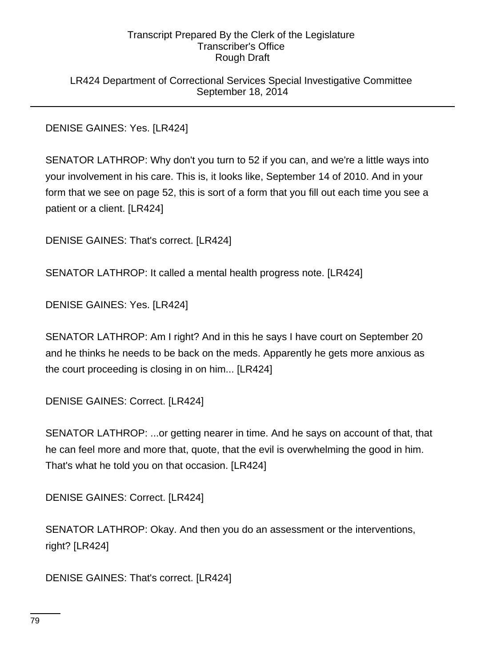LR424 Department of Correctional Services Special Investigative Committee September 18, 2014

DENISE GAINES: Yes. [LR424]

SENATOR LATHROP: Why don't you turn to 52 if you can, and we're a little ways into your involvement in his care. This is, it looks like, September 14 of 2010. And in your form that we see on page 52, this is sort of a form that you fill out each time you see a patient or a client. [LR424]

DENISE GAINES: That's correct. [LR424]

SENATOR LATHROP: It called a mental health progress note. [LR424]

DENISE GAINES: Yes. [LR424]

SENATOR LATHROP: Am I right? And in this he says I have court on September 20 and he thinks he needs to be back on the meds. Apparently he gets more anxious as the court proceeding is closing in on him... [LR424]

DENISE GAINES: Correct. [LR424]

SENATOR LATHROP: ...or getting nearer in time. And he says on account of that, that he can feel more and more that, quote, that the evil is overwhelming the good in him. That's what he told you on that occasion. [LR424]

DENISE GAINES: Correct. [LR424]

SENATOR LATHROP: Okay. And then you do an assessment or the interventions, right? [LR424]

DENISE GAINES: That's correct. [LR424]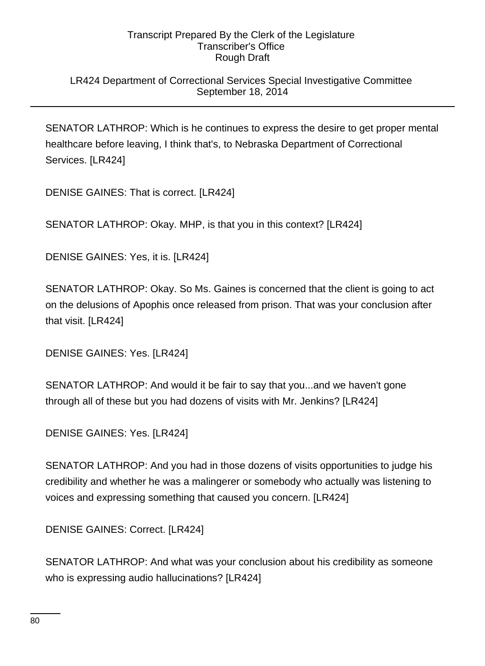## LR424 Department of Correctional Services Special Investigative Committee September 18, 2014

SENATOR LATHROP: Which is he continues to express the desire to get proper mental healthcare before leaving, I think that's, to Nebraska Department of Correctional Services. [LR424]

DENISE GAINES: That is correct. [LR424]

SENATOR LATHROP: Okay. MHP, is that you in this context? [LR424]

DENISE GAINES: Yes, it is. [LR424]

SENATOR LATHROP: Okay. So Ms. Gaines is concerned that the client is going to act on the delusions of Apophis once released from prison. That was your conclusion after that visit. [LR424]

DENISE GAINES: Yes. [LR424]

SENATOR LATHROP: And would it be fair to say that you...and we haven't gone through all of these but you had dozens of visits with Mr. Jenkins? [LR424]

DENISE GAINES: Yes. [LR424]

SENATOR LATHROP: And you had in those dozens of visits opportunities to judge his credibility and whether he was a malingerer or somebody who actually was listening to voices and expressing something that caused you concern. [LR424]

DENISE GAINES: Correct. [LR424]

SENATOR LATHROP: And what was your conclusion about his credibility as someone who is expressing audio hallucinations? [LR424]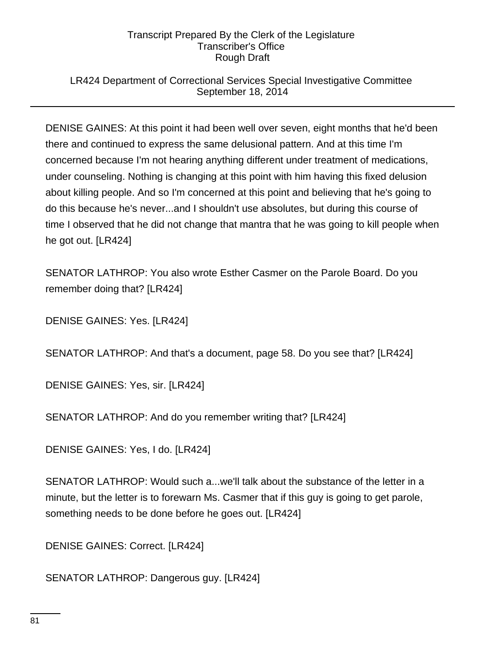## LR424 Department of Correctional Services Special Investigative Committee September 18, 2014

DENISE GAINES: At this point it had been well over seven, eight months that he'd been there and continued to express the same delusional pattern. And at this time I'm concerned because I'm not hearing anything different under treatment of medications, under counseling. Nothing is changing at this point with him having this fixed delusion about killing people. And so I'm concerned at this point and believing that he's going to do this because he's never...and I shouldn't use absolutes, but during this course of time I observed that he did not change that mantra that he was going to kill people when he got out. [LR424]

SENATOR LATHROP: You also wrote Esther Casmer on the Parole Board. Do you remember doing that? [LR424]

DENISE GAINES: Yes. [LR424]

SENATOR LATHROP: And that's a document, page 58. Do you see that? [LR424]

DENISE GAINES: Yes, sir. [LR424]

SENATOR LATHROP: And do you remember writing that? [LR424]

DENISE GAINES: Yes, I do. [LR424]

SENATOR LATHROP: Would such a...we'll talk about the substance of the letter in a minute, but the letter is to forewarn Ms. Casmer that if this guy is going to get parole, something needs to be done before he goes out. [LR424]

DENISE GAINES: Correct. [LR424]

SENATOR LATHROP: Dangerous guy. [LR424]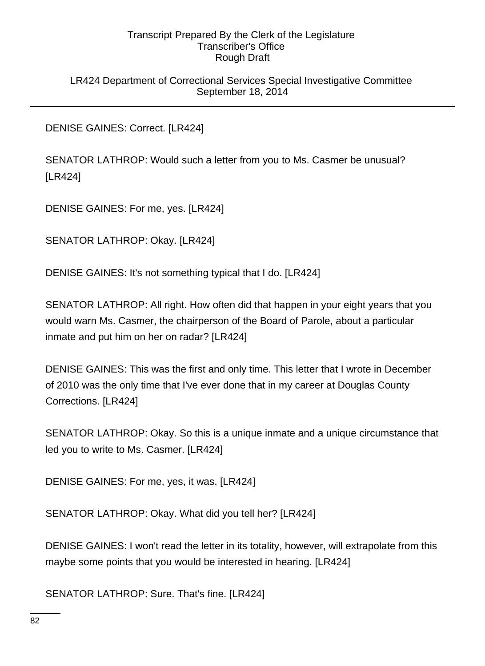LR424 Department of Correctional Services Special Investigative Committee September 18, 2014

DENISE GAINES: Correct. [LR424]

SENATOR LATHROP: Would such a letter from you to Ms. Casmer be unusual? [LR424]

DENISE GAINES: For me, yes. [LR424]

SENATOR LATHROP: Okay. [LR424]

DENISE GAINES: It's not something typical that I do. [LR424]

SENATOR LATHROP: All right. How often did that happen in your eight years that you would warn Ms. Casmer, the chairperson of the Board of Parole, about a particular inmate and put him on her on radar? [LR424]

DENISE GAINES: This was the first and only time. This letter that I wrote in December of 2010 was the only time that I've ever done that in my career at Douglas County Corrections. [LR424]

SENATOR LATHROP: Okay. So this is a unique inmate and a unique circumstance that led you to write to Ms. Casmer. [LR424]

DENISE GAINES: For me, yes, it was. [LR424]

SENATOR LATHROP: Okay. What did you tell her? [LR424]

DENISE GAINES: I won't read the letter in its totality, however, will extrapolate from this maybe some points that you would be interested in hearing. [LR424]

SENATOR LATHROP: Sure. That's fine. [LR424]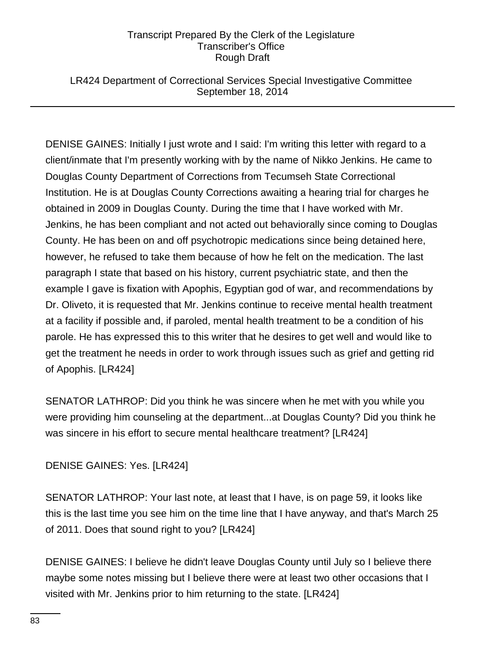## LR424 Department of Correctional Services Special Investigative Committee September 18, 2014

DENISE GAINES: Initially I just wrote and I said: I'm writing this letter with regard to a client/inmate that I'm presently working with by the name of Nikko Jenkins. He came to Douglas County Department of Corrections from Tecumseh State Correctional Institution. He is at Douglas County Corrections awaiting a hearing trial for charges he obtained in 2009 in Douglas County. During the time that I have worked with Mr. Jenkins, he has been compliant and not acted out behaviorally since coming to Douglas County. He has been on and off psychotropic medications since being detained here, however, he refused to take them because of how he felt on the medication. The last paragraph I state that based on his history, current psychiatric state, and then the example I gave is fixation with Apophis, Egyptian god of war, and recommendations by Dr. Oliveto, it is requested that Mr. Jenkins continue to receive mental health treatment at a facility if possible and, if paroled, mental health treatment to be a condition of his parole. He has expressed this to this writer that he desires to get well and would like to get the treatment he needs in order to work through issues such as grief and getting rid of Apophis. [LR424]

SENATOR LATHROP: Did you think he was sincere when he met with you while you were providing him counseling at the department...at Douglas County? Did you think he was sincere in his effort to secure mental healthcare treatment? [LR424]

## DENISE GAINES: Yes. [LR424]

SENATOR LATHROP: Your last note, at least that I have, is on page 59, it looks like this is the last time you see him on the time line that I have anyway, and that's March 25 of 2011. Does that sound right to you? [LR424]

DENISE GAINES: I believe he didn't leave Douglas County until July so I believe there maybe some notes missing but I believe there were at least two other occasions that I visited with Mr. Jenkins prior to him returning to the state. [LR424]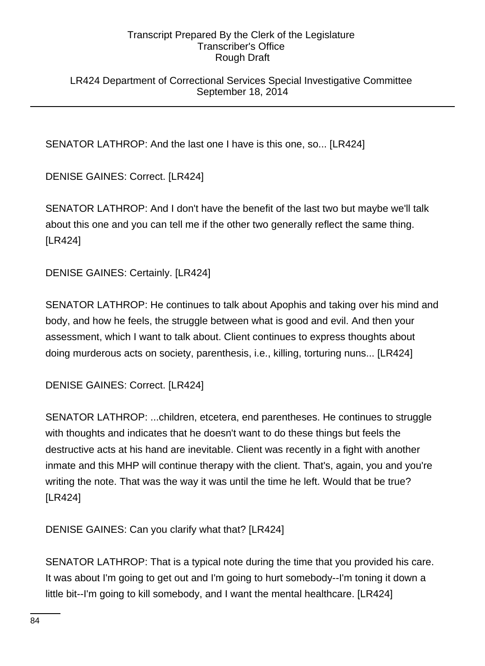LR424 Department of Correctional Services Special Investigative Committee September 18, 2014

SENATOR LATHROP: And the last one I have is this one, so... [LR424]

DENISE GAINES: Correct. [LR424]

SENATOR LATHROP: And I don't have the benefit of the last two but maybe we'll talk about this one and you can tell me if the other two generally reflect the same thing. [LR424]

DENISE GAINES: Certainly. [LR424]

SENATOR LATHROP: He continues to talk about Apophis and taking over his mind and body, and how he feels, the struggle between what is good and evil. And then your assessment, which I want to talk about. Client continues to express thoughts about doing murderous acts on society, parenthesis, i.e., killing, torturing nuns... [LR424]

DENISE GAINES: Correct. [LR424]

SENATOR LATHROP: ...children, etcetera, end parentheses. He continues to struggle with thoughts and indicates that he doesn't want to do these things but feels the destructive acts at his hand are inevitable. Client was recently in a fight with another inmate and this MHP will continue therapy with the client. That's, again, you and you're writing the note. That was the way it was until the time he left. Would that be true? [LR424]

DENISE GAINES: Can you clarify what that? [LR424]

SENATOR LATHROP: That is a typical note during the time that you provided his care. It was about I'm going to get out and I'm going to hurt somebody--I'm toning it down a little bit--I'm going to kill somebody, and I want the mental healthcare. [LR424]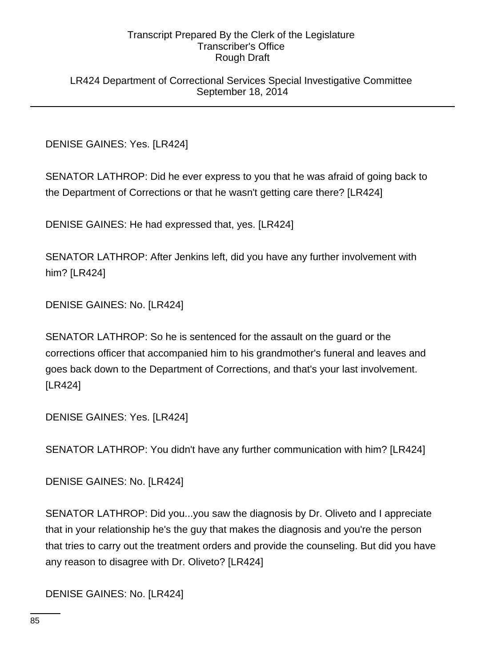LR424 Department of Correctional Services Special Investigative Committee September 18, 2014

DENISE GAINES: Yes. [LR424]

SENATOR LATHROP: Did he ever express to you that he was afraid of going back to the Department of Corrections or that he wasn't getting care there? [LR424]

DENISE GAINES: He had expressed that, yes. [LR424]

SENATOR LATHROP: After Jenkins left, did you have any further involvement with him? [LR424]

DENISE GAINES: No. [LR424]

SENATOR LATHROP: So he is sentenced for the assault on the guard or the corrections officer that accompanied him to his grandmother's funeral and leaves and goes back down to the Department of Corrections, and that's your last involvement. [LR424]

DENISE GAINES: Yes. [LR424]

SENATOR LATHROP: You didn't have any further communication with him? [LR424]

DENISE GAINES: No. [LR424]

SENATOR LATHROP: Did you...you saw the diagnosis by Dr. Oliveto and I appreciate that in your relationship he's the guy that makes the diagnosis and you're the person that tries to carry out the treatment orders and provide the counseling. But did you have any reason to disagree with Dr. Oliveto? [LR424]

DENISE GAINES: No. [LR424]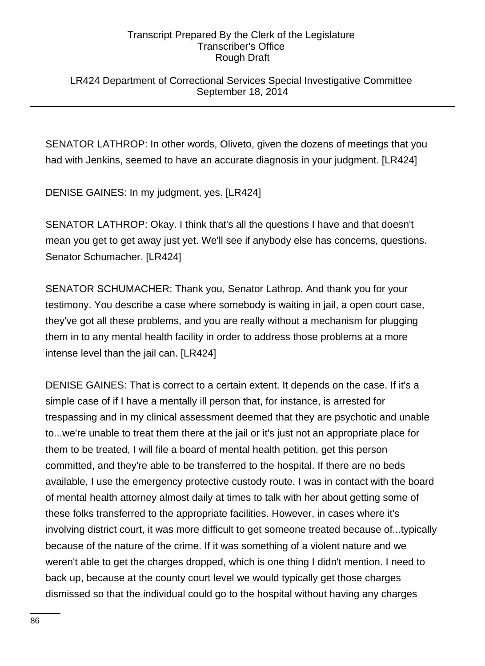LR424 Department of Correctional Services Special Investigative Committee September 18, 2014

SENATOR LATHROP: In other words, Oliveto, given the dozens of meetings that you had with Jenkins, seemed to have an accurate diagnosis in your judgment. [LR424]

DENISE GAINES: In my judgment, yes. [LR424]

SENATOR LATHROP: Okay. I think that's all the questions I have and that doesn't mean you get to get away just yet. We'll see if anybody else has concerns, questions. Senator Schumacher. [LR424]

SENATOR SCHUMACHER: Thank you, Senator Lathrop. And thank you for your testimony. You describe a case where somebody is waiting in jail, a open court case, they've got all these problems, and you are really without a mechanism for plugging them in to any mental health facility in order to address those problems at a more intense level than the jail can. [LR424]

DENISE GAINES: That is correct to a certain extent. It depends on the case. If it's a simple case of if I have a mentally ill person that, for instance, is arrested for trespassing and in my clinical assessment deemed that they are psychotic and unable to...we're unable to treat them there at the jail or it's just not an appropriate place for them to be treated, I will file a board of mental health petition, get this person committed, and they're able to be transferred to the hospital. If there are no beds available, I use the emergency protective custody route. I was in contact with the board of mental health attorney almost daily at times to talk with her about getting some of these folks transferred to the appropriate facilities. However, in cases where it's involving district court, it was more difficult to get someone treated because of...typically because of the nature of the crime. If it was something of a violent nature and we weren't able to get the charges dropped, which is one thing I didn't mention. I need to back up, because at the county court level we would typically get those charges dismissed so that the individual could go to the hospital without having any charges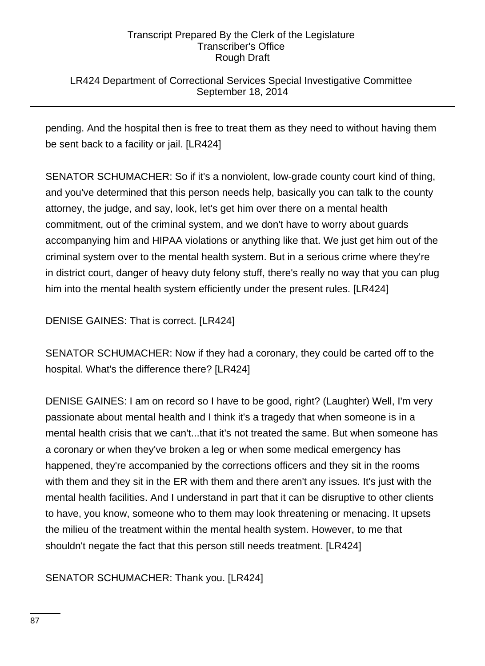## LR424 Department of Correctional Services Special Investigative Committee September 18, 2014

pending. And the hospital then is free to treat them as they need to without having them be sent back to a facility or jail. [LR424]

SENATOR SCHUMACHER: So if it's a nonviolent, low-grade county court kind of thing, and you've determined that this person needs help, basically you can talk to the county attorney, the judge, and say, look, let's get him over there on a mental health commitment, out of the criminal system, and we don't have to worry about guards accompanying him and HIPAA violations or anything like that. We just get him out of the criminal system over to the mental health system. But in a serious crime where they're in district court, danger of heavy duty felony stuff, there's really no way that you can plug him into the mental health system efficiently under the present rules. [LR424]

DENISE GAINES: That is correct. [LR424]

SENATOR SCHUMACHER: Now if they had a coronary, they could be carted off to the hospital. What's the difference there? [LR424]

DENISE GAINES: I am on record so I have to be good, right? (Laughter) Well, I'm very passionate about mental health and I think it's a tragedy that when someone is in a mental health crisis that we can't...that it's not treated the same. But when someone has a coronary or when they've broken a leg or when some medical emergency has happened, they're accompanied by the corrections officers and they sit in the rooms with them and they sit in the ER with them and there aren't any issues. It's just with the mental health facilities. And I understand in part that it can be disruptive to other clients to have, you know, someone who to them may look threatening or menacing. It upsets the milieu of the treatment within the mental health system. However, to me that shouldn't negate the fact that this person still needs treatment. [LR424]

SENATOR SCHUMACHER: Thank you. [LR424]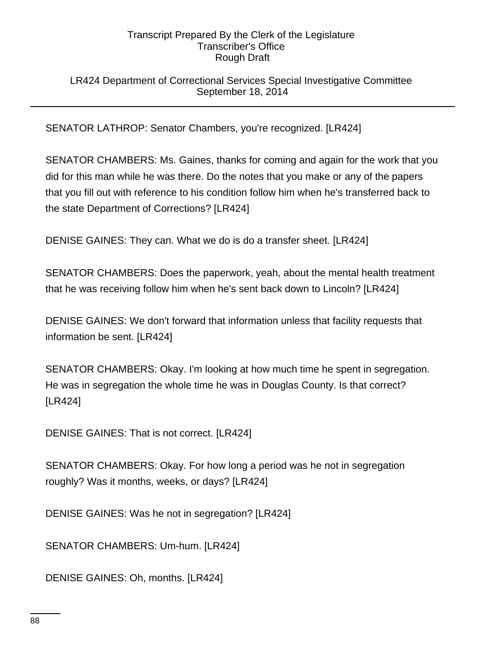## LR424 Department of Correctional Services Special Investigative Committee September 18, 2014

SENATOR LATHROP: Senator Chambers, you're recognized. [LR424]

SENATOR CHAMBERS: Ms. Gaines, thanks for coming and again for the work that you did for this man while he was there. Do the notes that you make or any of the papers that you fill out with reference to his condition follow him when he's transferred back to the state Department of Corrections? [LR424]

DENISE GAINES: They can. What we do is do a transfer sheet. [LR424]

SENATOR CHAMBERS: Does the paperwork, yeah, about the mental health treatment that he was receiving follow him when he's sent back down to Lincoln? [LR424]

DENISE GAINES: We don't forward that information unless that facility requests that information be sent. [LR424]

SENATOR CHAMBERS: Okay. I'm looking at how much time he spent in segregation. He was in segregation the whole time he was in Douglas County. Is that correct? [LR424]

DENISE GAINES: That is not correct. [LR424]

SENATOR CHAMBERS: Okay. For how long a period was he not in segregation roughly? Was it months, weeks, or days? [LR424]

DENISE GAINES: Was he not in segregation? [LR424]

SENATOR CHAMBERS: Um-hum. [LR424]

DENISE GAINES: Oh, months. [LR424]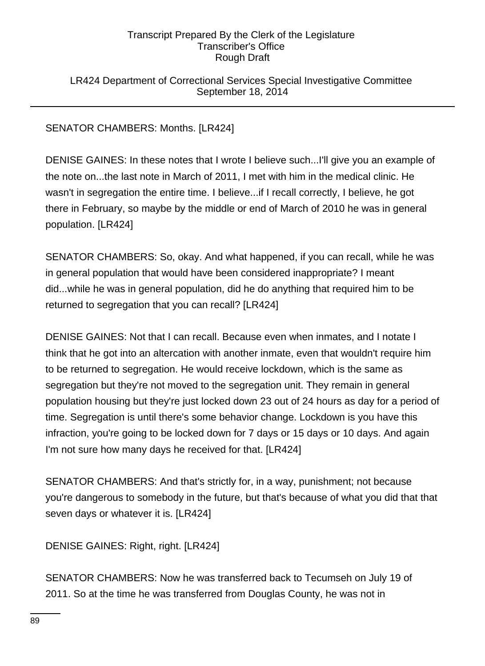LR424 Department of Correctional Services Special Investigative Committee September 18, 2014

# SENATOR CHAMBERS: Months. [LR424]

DENISE GAINES: In these notes that I wrote I believe such...I'll give you an example of the note on...the last note in March of 2011, I met with him in the medical clinic. He wasn't in segregation the entire time. I believe...if I recall correctly, I believe, he got there in February, so maybe by the middle or end of March of 2010 he was in general population. [LR424]

SENATOR CHAMBERS: So, okay. And what happened, if you can recall, while he was in general population that would have been considered inappropriate? I meant did...while he was in general population, did he do anything that required him to be returned to segregation that you can recall? [LR424]

DENISE GAINES: Not that I can recall. Because even when inmates, and I notate I think that he got into an altercation with another inmate, even that wouldn't require him to be returned to segregation. He would receive lockdown, which is the same as segregation but they're not moved to the segregation unit. They remain in general population housing but they're just locked down 23 out of 24 hours as day for a period of time. Segregation is until there's some behavior change. Lockdown is you have this infraction, you're going to be locked down for 7 days or 15 days or 10 days. And again I'm not sure how many days he received for that. [LR424]

SENATOR CHAMBERS: And that's strictly for, in a way, punishment; not because you're dangerous to somebody in the future, but that's because of what you did that that seven days or whatever it is. [LR424]

DENISE GAINES: Right, right. [LR424]

SENATOR CHAMBERS: Now he was transferred back to Tecumseh on July 19 of 2011. So at the time he was transferred from Douglas County, he was not in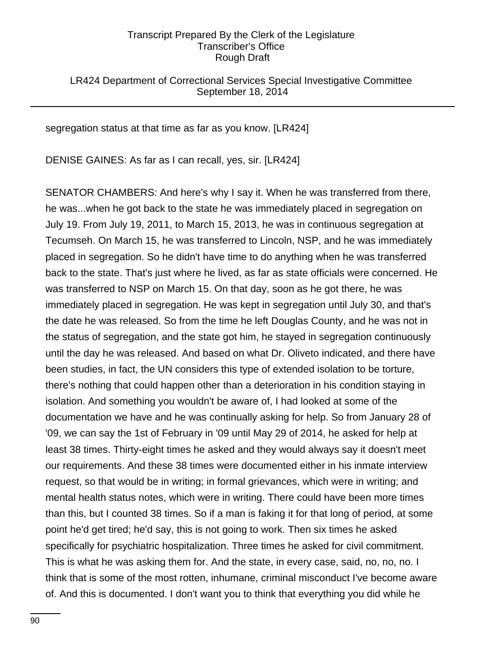LR424 Department of Correctional Services Special Investigative Committee September 18, 2014

segregation status at that time as far as you know. [LR424]

DENISE GAINES: As far as I can recall, yes, sir. [LR424]

SENATOR CHAMBERS: And here's why I say it. When he was transferred from there, he was...when he got back to the state he was immediately placed in segregation on July 19. From July 19, 2011, to March 15, 2013, he was in continuous segregation at Tecumseh. On March 15, he was transferred to Lincoln, NSP, and he was immediately placed in segregation. So he didn't have time to do anything when he was transferred back to the state. That's just where he lived, as far as state officials were concerned. He was transferred to NSP on March 15. On that day, soon as he got there, he was immediately placed in segregation. He was kept in segregation until July 30, and that's the date he was released. So from the time he left Douglas County, and he was not in the status of segregation, and the state got him, he stayed in segregation continuously until the day he was released. And based on what Dr. Oliveto indicated, and there have been studies, in fact, the UN considers this type of extended isolation to be torture, there's nothing that could happen other than a deterioration in his condition staying in isolation. And something you wouldn't be aware of, I had looked at some of the documentation we have and he was continually asking for help. So from January 28 of '09, we can say the 1st of February in '09 until May 29 of 2014, he asked for help at least 38 times. Thirty-eight times he asked and they would always say it doesn't meet our requirements. And these 38 times were documented either in his inmate interview request, so that would be in writing; in formal grievances, which were in writing; and mental health status notes, which were in writing. There could have been more times than this, but I counted 38 times. So if a man is faking it for that long of period, at some point he'd get tired; he'd say, this is not going to work. Then six times he asked specifically for psychiatric hospitalization. Three times he asked for civil commitment. This is what he was asking them for. And the state, in every case, said, no, no, no. I think that is some of the most rotten, inhumane, criminal misconduct I've become aware of. And this is documented. I don't want you to think that everything you did while he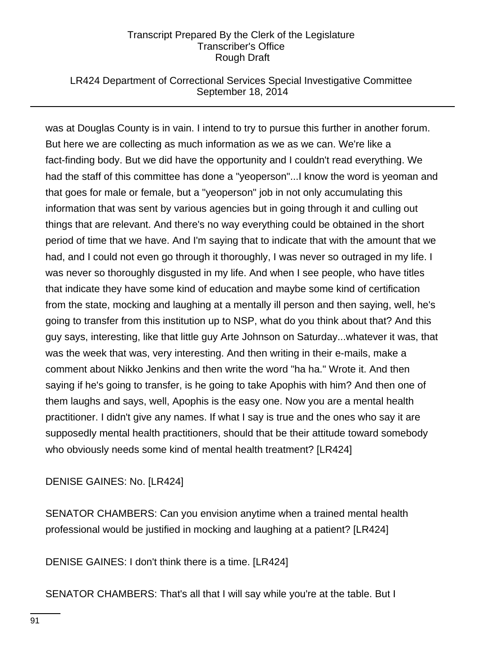## LR424 Department of Correctional Services Special Investigative Committee September 18, 2014

was at Douglas County is in vain. I intend to try to pursue this further in another forum. But here we are collecting as much information as we as we can. We're like a fact-finding body. But we did have the opportunity and I couldn't read everything. We had the staff of this committee has done a "yeoperson"...I know the word is yeoman and that goes for male or female, but a "yeoperson" job in not only accumulating this information that was sent by various agencies but in going through it and culling out things that are relevant. And there's no way everything could be obtained in the short period of time that we have. And I'm saying that to indicate that with the amount that we had, and I could not even go through it thoroughly, I was never so outraged in my life. I was never so thoroughly disgusted in my life. And when I see people, who have titles that indicate they have some kind of education and maybe some kind of certification from the state, mocking and laughing at a mentally ill person and then saying, well, he's going to transfer from this institution up to NSP, what do you think about that? And this guy says, interesting, like that little guy Arte Johnson on Saturday...whatever it was, that was the week that was, very interesting. And then writing in their e-mails, make a comment about Nikko Jenkins and then write the word "ha ha." Wrote it. And then saying if he's going to transfer, is he going to take Apophis with him? And then one of them laughs and says, well, Apophis is the easy one. Now you are a mental health practitioner. I didn't give any names. If what I say is true and the ones who say it are supposedly mental health practitioners, should that be their attitude toward somebody who obviously needs some kind of mental health treatment? [LR424]

DENISE GAINES: No. [LR424]

SENATOR CHAMBERS: Can you envision anytime when a trained mental health professional would be justified in mocking and laughing at a patient? [LR424]

DENISE GAINES: I don't think there is a time. [LR424]

SENATOR CHAMBERS: That's all that I will say while you're at the table. But I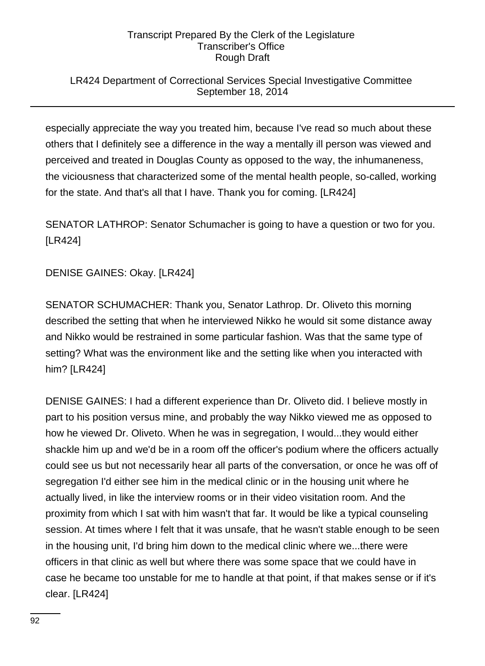## LR424 Department of Correctional Services Special Investigative Committee September 18, 2014

especially appreciate the way you treated him, because I've read so much about these others that I definitely see a difference in the way a mentally ill person was viewed and perceived and treated in Douglas County as opposed to the way, the inhumaneness, the viciousness that characterized some of the mental health people, so-called, working for the state. And that's all that I have. Thank you for coming. [LR424]

SENATOR LATHROP: Senator Schumacher is going to have a question or two for you. [LR424]

DENISE GAINES: Okay. [LR424]

SENATOR SCHUMACHER: Thank you, Senator Lathrop. Dr. Oliveto this morning described the setting that when he interviewed Nikko he would sit some distance away and Nikko would be restrained in some particular fashion. Was that the same type of setting? What was the environment like and the setting like when you interacted with him? [LR424]

DENISE GAINES: I had a different experience than Dr. Oliveto did. I believe mostly in part to his position versus mine, and probably the way Nikko viewed me as opposed to how he viewed Dr. Oliveto. When he was in segregation, I would...they would either shackle him up and we'd be in a room off the officer's podium where the officers actually could see us but not necessarily hear all parts of the conversation, or once he was off of segregation I'd either see him in the medical clinic or in the housing unit where he actually lived, in like the interview rooms or in their video visitation room. And the proximity from which I sat with him wasn't that far. It would be like a typical counseling session. At times where I felt that it was unsafe, that he wasn't stable enough to be seen in the housing unit, I'd bring him down to the medical clinic where we...there were officers in that clinic as well but where there was some space that we could have in case he became too unstable for me to handle at that point, if that makes sense or if it's clear. [LR424]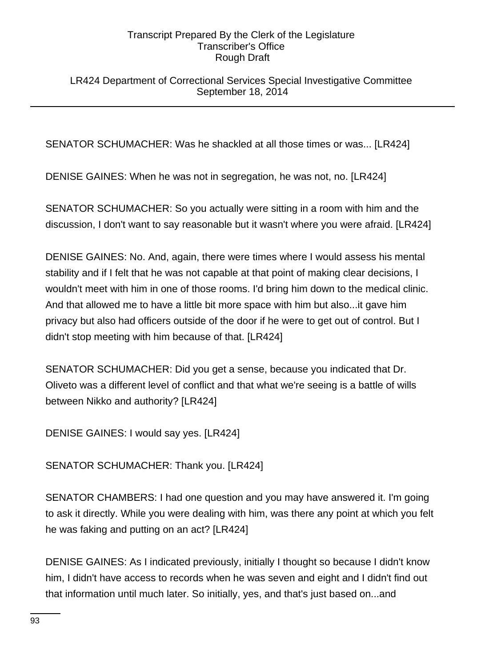LR424 Department of Correctional Services Special Investigative Committee September 18, 2014

SENATOR SCHUMACHER: Was he shackled at all those times or was... [LR424]

DENISE GAINES: When he was not in segregation, he was not, no. [LR424]

SENATOR SCHUMACHER: So you actually were sitting in a room with him and the discussion, I don't want to say reasonable but it wasn't where you were afraid. [LR424]

DENISE GAINES: No. And, again, there were times where I would assess his mental stability and if I felt that he was not capable at that point of making clear decisions, I wouldn't meet with him in one of those rooms. I'd bring him down to the medical clinic. And that allowed me to have a little bit more space with him but also...it gave him privacy but also had officers outside of the door if he were to get out of control. But I didn't stop meeting with him because of that. [LR424]

SENATOR SCHUMACHER: Did you get a sense, because you indicated that Dr. Oliveto was a different level of conflict and that what we're seeing is a battle of wills between Nikko and authority? [LR424]

DENISE GAINES: I would say yes. [LR424]

SENATOR SCHUMACHER: Thank you. [LR424]

SENATOR CHAMBERS: I had one question and you may have answered it. I'm going to ask it directly. While you were dealing with him, was there any point at which you felt he was faking and putting on an act? [LR424]

DENISE GAINES: As I indicated previously, initially I thought so because I didn't know him, I didn't have access to records when he was seven and eight and I didn't find out that information until much later. So initially, yes, and that's just based on...and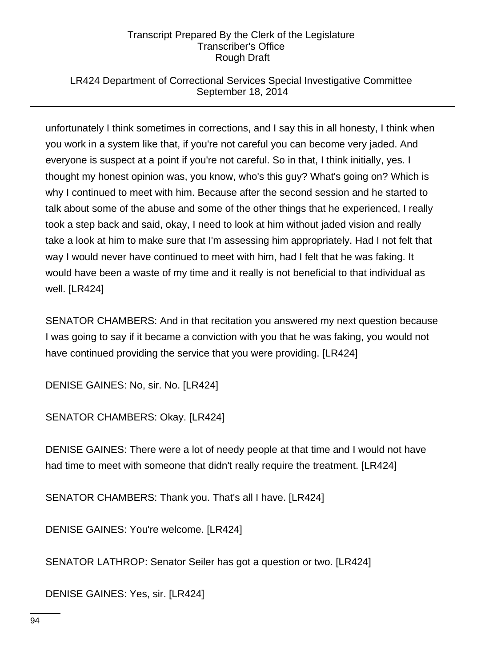## LR424 Department of Correctional Services Special Investigative Committee September 18, 2014

unfortunately I think sometimes in corrections, and I say this in all honesty, I think when you work in a system like that, if you're not careful you can become very jaded. And everyone is suspect at a point if you're not careful. So in that, I think initially, yes. I thought my honest opinion was, you know, who's this guy? What's going on? Which is why I continued to meet with him. Because after the second session and he started to talk about some of the abuse and some of the other things that he experienced, I really took a step back and said, okay, I need to look at him without jaded vision and really take a look at him to make sure that I'm assessing him appropriately. Had I not felt that way I would never have continued to meet with him, had I felt that he was faking. It would have been a waste of my time and it really is not beneficial to that individual as well. [LR424]

SENATOR CHAMBERS: And in that recitation you answered my next question because I was going to say if it became a conviction with you that he was faking, you would not have continued providing the service that you were providing. [LR424]

DENISE GAINES: No, sir. No. [LR424]

SENATOR CHAMBERS: Okay. [LR424]

DENISE GAINES: There were a lot of needy people at that time and I would not have had time to meet with someone that didn't really require the treatment. [LR424]

SENATOR CHAMBERS: Thank you. That's all I have. [LR424]

DENISE GAINES: You're welcome. [LR424]

SENATOR LATHROP: Senator Seiler has got a question or two. [LR424]

DENISE GAINES: Yes, sir. [LR424]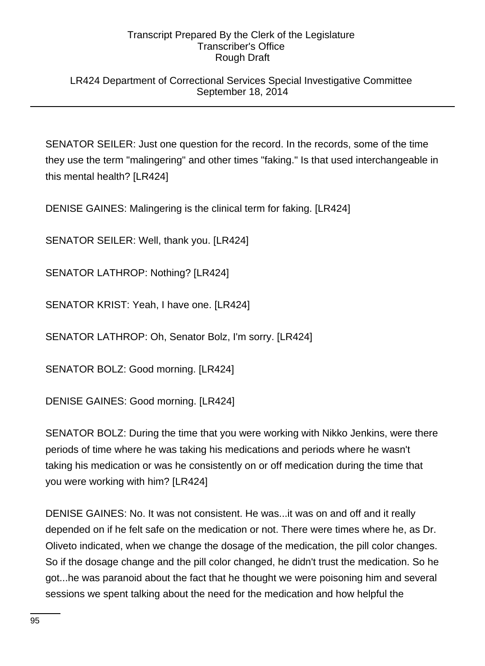## LR424 Department of Correctional Services Special Investigative Committee September 18, 2014

SENATOR SEILER: Just one question for the record. In the records, some of the time they use the term "malingering" and other times "faking." Is that used interchangeable in this mental health? [LR424]

DENISE GAINES: Malingering is the clinical term for faking. [LR424]

SENATOR SEILER: Well, thank you. [LR424]

SENATOR LATHROP: Nothing? [LR424]

SENATOR KRIST: Yeah, I have one. [LR424]

SENATOR LATHROP: Oh, Senator Bolz, I'm sorry. [LR424]

SENATOR BOLZ: Good morning. [LR424]

DENISE GAINES: Good morning. [LR424]

SENATOR BOLZ: During the time that you were working with Nikko Jenkins, were there periods of time where he was taking his medications and periods where he wasn't taking his medication or was he consistently on or off medication during the time that you were working with him? [LR424]

DENISE GAINES: No. It was not consistent. He was...it was on and off and it really depended on if he felt safe on the medication or not. There were times where he, as Dr. Oliveto indicated, when we change the dosage of the medication, the pill color changes. So if the dosage change and the pill color changed, he didn't trust the medication. So he got...he was paranoid about the fact that he thought we were poisoning him and several sessions we spent talking about the need for the medication and how helpful the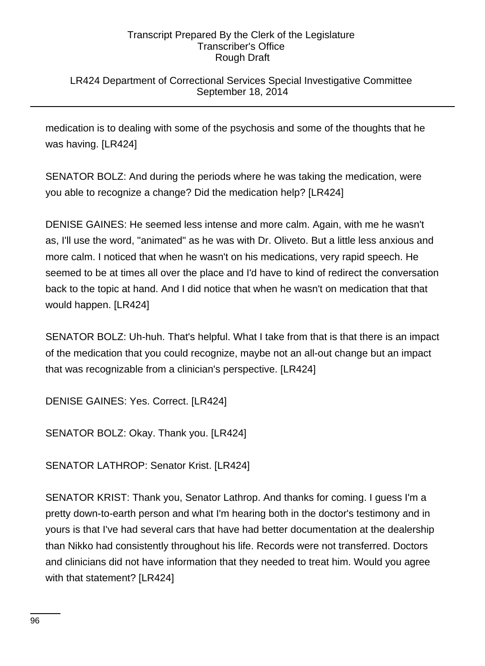## LR424 Department of Correctional Services Special Investigative Committee September 18, 2014

medication is to dealing with some of the psychosis and some of the thoughts that he was having. [LR424]

SENATOR BOLZ: And during the periods where he was taking the medication, were you able to recognize a change? Did the medication help? [LR424]

DENISE GAINES: He seemed less intense and more calm. Again, with me he wasn't as, I'll use the word, "animated" as he was with Dr. Oliveto. But a little less anxious and more calm. I noticed that when he wasn't on his medications, very rapid speech. He seemed to be at times all over the place and I'd have to kind of redirect the conversation back to the topic at hand. And I did notice that when he wasn't on medication that that would happen. [LR424]

SENATOR BOLZ: Uh-huh. That's helpful. What I take from that is that there is an impact of the medication that you could recognize, maybe not an all-out change but an impact that was recognizable from a clinician's perspective. [LR424]

DENISE GAINES: Yes. Correct. [LR424]

SENATOR BOLZ: Okay. Thank you. [LR424]

SENATOR LATHROP: Senator Krist. [LR424]

SENATOR KRIST: Thank you, Senator Lathrop. And thanks for coming. I guess I'm a pretty down-to-earth person and what I'm hearing both in the doctor's testimony and in yours is that I've had several cars that have had better documentation at the dealership than Nikko had consistently throughout his life. Records were not transferred. Doctors and clinicians did not have information that they needed to treat him. Would you agree with that statement? [LR424]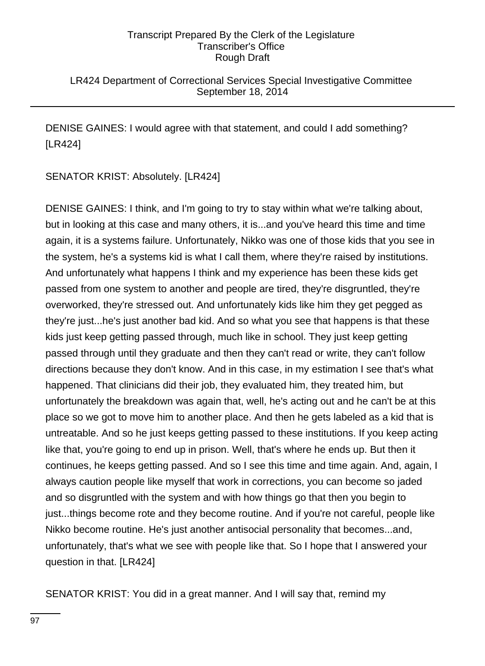## LR424 Department of Correctional Services Special Investigative Committee September 18, 2014

DENISE GAINES: I would agree with that statement, and could I add something? [LR424]

SENATOR KRIST: Absolutely. [LR424]

DENISE GAINES: I think, and I'm going to try to stay within what we're talking about, but in looking at this case and many others, it is...and you've heard this time and time again, it is a systems failure. Unfortunately, Nikko was one of those kids that you see in the system, he's a systems kid is what I call them, where they're raised by institutions. And unfortunately what happens I think and my experience has been these kids get passed from one system to another and people are tired, they're disgruntled, they're overworked, they're stressed out. And unfortunately kids like him they get pegged as they're just...he's just another bad kid. And so what you see that happens is that these kids just keep getting passed through, much like in school. They just keep getting passed through until they graduate and then they can't read or write, they can't follow directions because they don't know. And in this case, in my estimation I see that's what happened. That clinicians did their job, they evaluated him, they treated him, but unfortunately the breakdown was again that, well, he's acting out and he can't be at this place so we got to move him to another place. And then he gets labeled as a kid that is untreatable. And so he just keeps getting passed to these institutions. If you keep acting like that, you're going to end up in prison. Well, that's where he ends up. But then it continues, he keeps getting passed. And so I see this time and time again. And, again, I always caution people like myself that work in corrections, you can become so jaded and so disgruntled with the system and with how things go that then you begin to just...things become rote and they become routine. And if you're not careful, people like Nikko become routine. He's just another antisocial personality that becomes...and, unfortunately, that's what we see with people like that. So I hope that I answered your question in that. [LR424]

SENATOR KRIST: You did in a great manner. And I will say that, remind my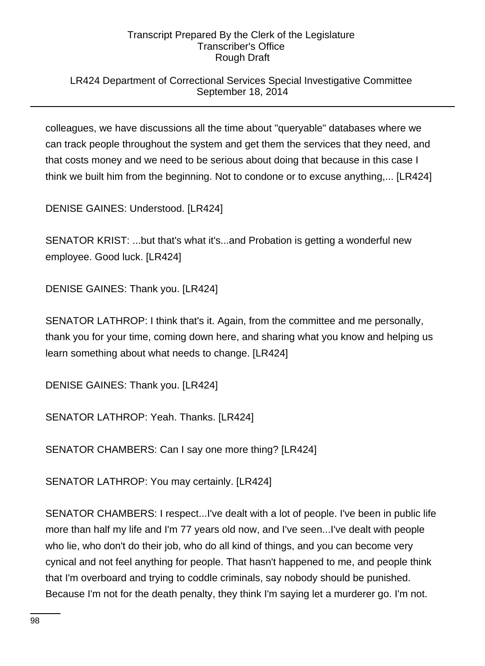## LR424 Department of Correctional Services Special Investigative Committee September 18, 2014

colleagues, we have discussions all the time about "queryable" databases where we can track people throughout the system and get them the services that they need, and that costs money and we need to be serious about doing that because in this case I think we built him from the beginning. Not to condone or to excuse anything,... [LR424]

DENISE GAINES: Understood. [LR424]

SENATOR KRIST: ...but that's what it's...and Probation is getting a wonderful new employee. Good luck. [LR424]

DENISE GAINES: Thank you. [LR424]

SENATOR LATHROP: I think that's it. Again, from the committee and me personally, thank you for your time, coming down here, and sharing what you know and helping us learn something about what needs to change. [LR424]

DENISE GAINES: Thank you. [LR424]

SENATOR LATHROP: Yeah. Thanks. [LR424]

SENATOR CHAMBERS: Can I say one more thing? [LR424]

SENATOR LATHROP: You may certainly. [LR424]

SENATOR CHAMBERS: I respect...I've dealt with a lot of people. I've been in public life more than half my life and I'm 77 years old now, and I've seen...I've dealt with people who lie, who don't do their job, who do all kind of things, and you can become very cynical and not feel anything for people. That hasn't happened to me, and people think that I'm overboard and trying to coddle criminals, say nobody should be punished. Because I'm not for the death penalty, they think I'm saying let a murderer go. I'm not.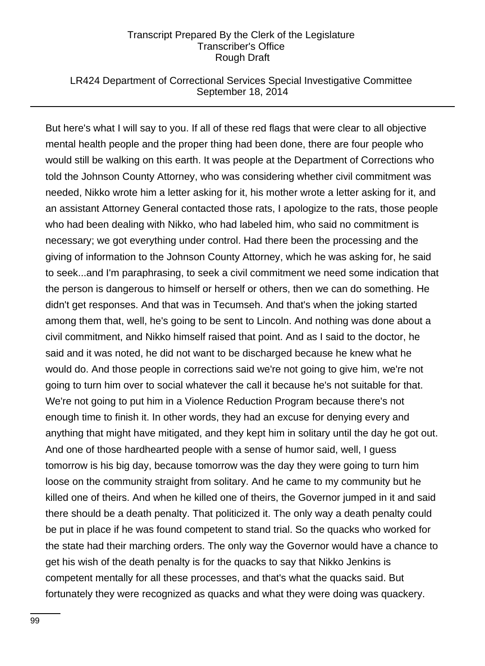## LR424 Department of Correctional Services Special Investigative Committee September 18, 2014

But here's what I will say to you. If all of these red flags that were clear to all objective mental health people and the proper thing had been done, there are four people who would still be walking on this earth. It was people at the Department of Corrections who told the Johnson County Attorney, who was considering whether civil commitment was needed, Nikko wrote him a letter asking for it, his mother wrote a letter asking for it, and an assistant Attorney General contacted those rats, I apologize to the rats, those people who had been dealing with Nikko, who had labeled him, who said no commitment is necessary; we got everything under control. Had there been the processing and the giving of information to the Johnson County Attorney, which he was asking for, he said to seek...and I'm paraphrasing, to seek a civil commitment we need some indication that the person is dangerous to himself or herself or others, then we can do something. He didn't get responses. And that was in Tecumseh. And that's when the joking started among them that, well, he's going to be sent to Lincoln. And nothing was done about a civil commitment, and Nikko himself raised that point. And as I said to the doctor, he said and it was noted, he did not want to be discharged because he knew what he would do. And those people in corrections said we're not going to give him, we're not going to turn him over to social whatever the call it because he's not suitable for that. We're not going to put him in a Violence Reduction Program because there's not enough time to finish it. In other words, they had an excuse for denying every and anything that might have mitigated, and they kept him in solitary until the day he got out. And one of those hardhearted people with a sense of humor said, well, I guess tomorrow is his big day, because tomorrow was the day they were going to turn him loose on the community straight from solitary. And he came to my community but he killed one of theirs. And when he killed one of theirs, the Governor jumped in it and said there should be a death penalty. That politicized it. The only way a death penalty could be put in place if he was found competent to stand trial. So the quacks who worked for the state had their marching orders. The only way the Governor would have a chance to get his wish of the death penalty is for the quacks to say that Nikko Jenkins is competent mentally for all these processes, and that's what the quacks said. But fortunately they were recognized as quacks and what they were doing was quackery.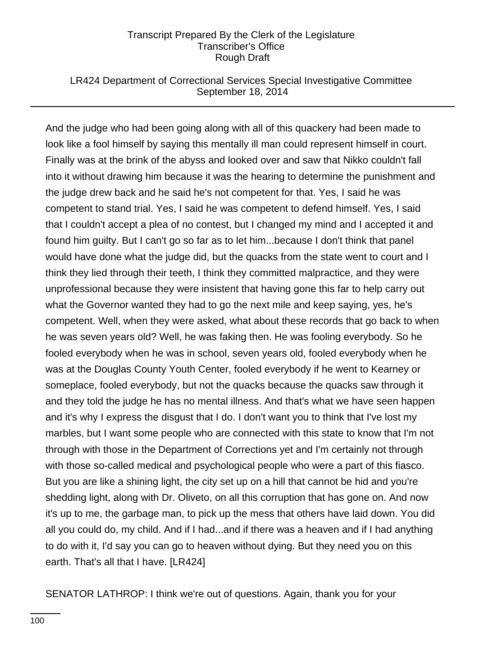## LR424 Department of Correctional Services Special Investigative Committee September 18, 2014

And the judge who had been going along with all of this quackery had been made to look like a fool himself by saying this mentally ill man could represent himself in court. Finally was at the brink of the abyss and looked over and saw that Nikko couldn't fall into it without drawing him because it was the hearing to determine the punishment and the judge drew back and he said he's not competent for that. Yes, I said he was competent to stand trial. Yes, I said he was competent to defend himself. Yes, I said that I couldn't accept a plea of no contest, but I changed my mind and I accepted it and found him guilty. But I can't go so far as to let him...because I don't think that panel would have done what the judge did, but the quacks from the state went to court and I think they lied through their teeth, I think they committed malpractice, and they were unprofessional because they were insistent that having gone this far to help carry out what the Governor wanted they had to go the next mile and keep saying, yes, he's competent. Well, when they were asked, what about these records that go back to when he was seven years old? Well, he was faking then. He was fooling everybody. So he fooled everybody when he was in school, seven years old, fooled everybody when he was at the Douglas County Youth Center, fooled everybody if he went to Kearney or someplace, fooled everybody, but not the quacks because the quacks saw through it and they told the judge he has no mental illness. And that's what we have seen happen and it's why I express the disgust that I do. I don't want you to think that I've lost my marbles, but I want some people who are connected with this state to know that I'm not through with those in the Department of Corrections yet and I'm certainly not through with those so-called medical and psychological people who were a part of this fiasco. But you are like a shining light, the city set up on a hill that cannot be hid and you're shedding light, along with Dr. Oliveto, on all this corruption that has gone on. And now it's up to me, the garbage man, to pick up the mess that others have laid down. You did all you could do, my child. And if I had...and if there was a heaven and if I had anything to do with it, I'd say you can go to heaven without dying. But they need you on this earth. That's all that I have. [LR424]

SENATOR LATHROP: I think we're out of questions. Again, thank you for your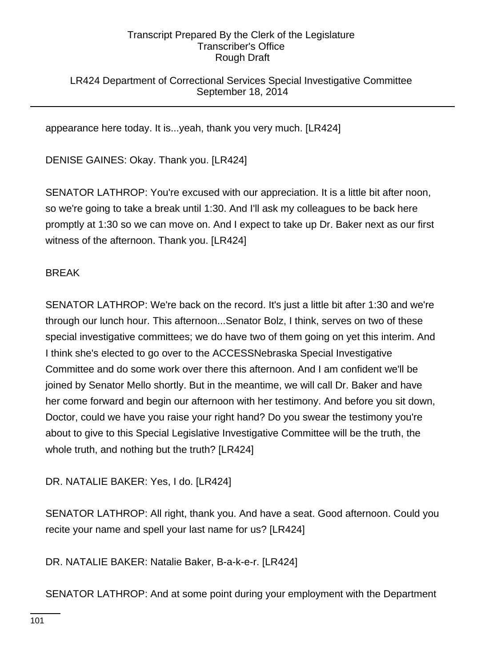## LR424 Department of Correctional Services Special Investigative Committee September 18, 2014

appearance here today. It is...yeah, thank you very much. [LR424]

DENISE GAINES: Okay. Thank you. [LR424]

SENATOR LATHROP: You're excused with our appreciation. It is a little bit after noon, so we're going to take a break until 1:30. And I'll ask my colleagues to be back here promptly at 1:30 so we can move on. And I expect to take up Dr. Baker next as our first witness of the afternoon. Thank you. [LR424]

## BREAK

SENATOR LATHROP: We're back on the record. It's just a little bit after 1:30 and we're through our lunch hour. This afternoon...Senator Bolz, I think, serves on two of these special investigative committees; we do have two of them going on yet this interim. And I think she's elected to go over to the ACCESSNebraska Special Investigative Committee and do some work over there this afternoon. And I am confident we'll be joined by Senator Mello shortly. But in the meantime, we will call Dr. Baker and have her come forward and begin our afternoon with her testimony. And before you sit down, Doctor, could we have you raise your right hand? Do you swear the testimony you're about to give to this Special Legislative Investigative Committee will be the truth, the whole truth, and nothing but the truth? [LR424]

DR. NATALIE BAKER: Yes, I do. [LR424]

SENATOR LATHROP: All right, thank you. And have a seat. Good afternoon. Could you recite your name and spell your last name for us? [LR424]

DR. NATALIE BAKER: Natalie Baker, B-a-k-e-r. [LR424]

SENATOR LATHROP: And at some point during your employment with the Department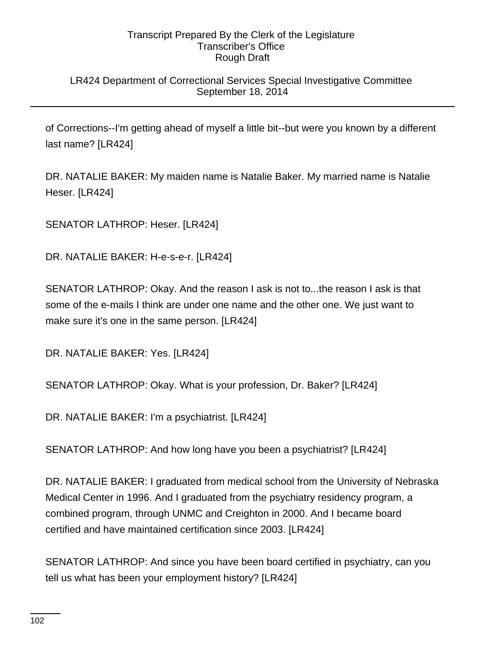## LR424 Department of Correctional Services Special Investigative Committee September 18, 2014

of Corrections--I'm getting ahead of myself a little bit--but were you known by a different last name? [LR424]

DR. NATALIE BAKER: My maiden name is Natalie Baker. My married name is Natalie Heser. [LR424]

SENATOR LATHROP: Heser. [LR424]

DR. NATALIE BAKER: H-e-s-e-r. [LR424]

SENATOR LATHROP: Okay. And the reason I ask is not to...the reason I ask is that some of the e-mails I think are under one name and the other one. We just want to make sure it's one in the same person. [LR424]

DR. NATALIE BAKER: Yes. [LR424]

SENATOR LATHROP: Okay. What is your profession, Dr. Baker? [LR424]

DR. NATALIE BAKER: I'm a psychiatrist. [LR424]

SENATOR LATHROP: And how long have you been a psychiatrist? [LR424]

DR. NATALIE BAKER: I graduated from medical school from the University of Nebraska Medical Center in 1996. And I graduated from the psychiatry residency program, a combined program, through UNMC and Creighton in 2000. And I became board certified and have maintained certification since 2003. [LR424]

SENATOR LATHROP: And since you have been board certified in psychiatry, can you tell us what has been your employment history? [LR424]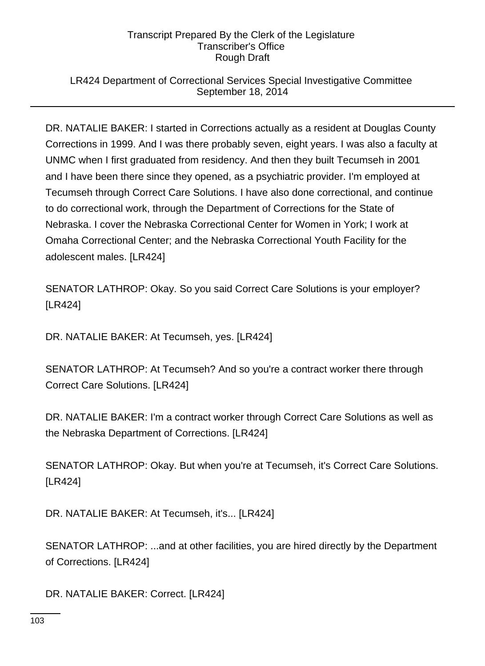## LR424 Department of Correctional Services Special Investigative Committee September 18, 2014

DR. NATALIE BAKER: I started in Corrections actually as a resident at Douglas County Corrections in 1999. And I was there probably seven, eight years. I was also a faculty at UNMC when I first graduated from residency. And then they built Tecumseh in 2001 and I have been there since they opened, as a psychiatric provider. I'm employed at Tecumseh through Correct Care Solutions. I have also done correctional, and continue to do correctional work, through the Department of Corrections for the State of Nebraska. I cover the Nebraska Correctional Center for Women in York; I work at Omaha Correctional Center; and the Nebraska Correctional Youth Facility for the adolescent males. [LR424]

SENATOR LATHROP: Okay. So you said Correct Care Solutions is your employer? [LR424]

DR. NATALIE BAKER: At Tecumseh, yes. [LR424]

SENATOR LATHROP: At Tecumseh? And so you're a contract worker there through Correct Care Solutions. [LR424]

DR. NATALIE BAKER: I'm a contract worker through Correct Care Solutions as well as the Nebraska Department of Corrections. [LR424]

SENATOR LATHROP: Okay. But when you're at Tecumseh, it's Correct Care Solutions. [LR424]

DR. NATALIE BAKER: At Tecumseh, it's... [LR424]

SENATOR LATHROP: ...and at other facilities, you are hired directly by the Department of Corrections. [LR424]

DR. NATALIE BAKER: Correct. [LR424]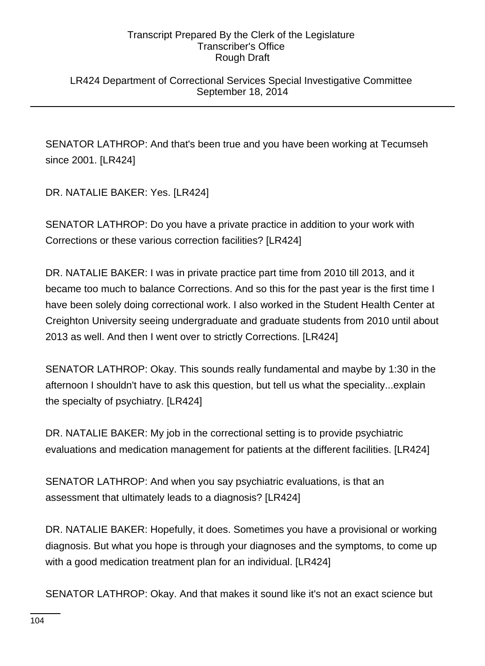LR424 Department of Correctional Services Special Investigative Committee September 18, 2014

SENATOR LATHROP: And that's been true and you have been working at Tecumseh since 2001. [LR424]

DR. NATALIE BAKER: Yes. [LR424]

SENATOR LATHROP: Do you have a private practice in addition to your work with Corrections or these various correction facilities? [LR424]

DR. NATALIE BAKER: I was in private practice part time from 2010 till 2013, and it became too much to balance Corrections. And so this for the past year is the first time I have been solely doing correctional work. I also worked in the Student Health Center at Creighton University seeing undergraduate and graduate students from 2010 until about 2013 as well. And then I went over to strictly Corrections. [LR424]

SENATOR LATHROP: Okay. This sounds really fundamental and maybe by 1:30 in the afternoon I shouldn't have to ask this question, but tell us what the speciality...explain the specialty of psychiatry. [LR424]

DR. NATALIE BAKER: My job in the correctional setting is to provide psychiatric evaluations and medication management for patients at the different facilities. [LR424]

SENATOR LATHROP: And when you say psychiatric evaluations, is that an assessment that ultimately leads to a diagnosis? [LR424]

DR. NATALIE BAKER: Hopefully, it does. Sometimes you have a provisional or working diagnosis. But what you hope is through your diagnoses and the symptoms, to come up with a good medication treatment plan for an individual. [LR424]

SENATOR LATHROP: Okay. And that makes it sound like it's not an exact science but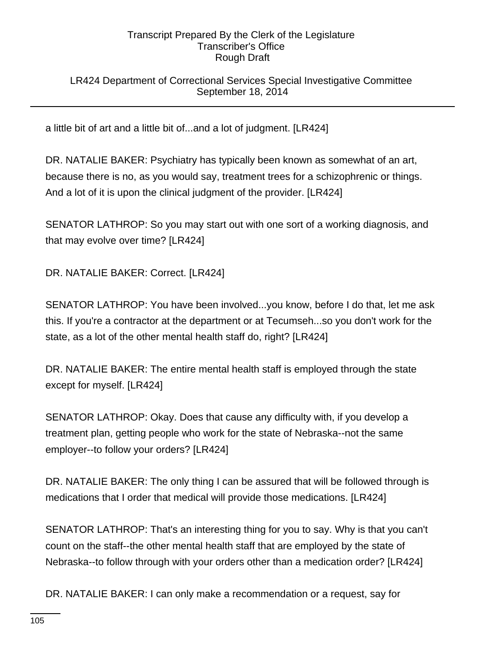## LR424 Department of Correctional Services Special Investigative Committee September 18, 2014

a little bit of art and a little bit of...and a lot of judgment. [LR424]

DR. NATALIE BAKER: Psychiatry has typically been known as somewhat of an art, because there is no, as you would say, treatment trees for a schizophrenic or things. And a lot of it is upon the clinical judgment of the provider. [LR424]

SENATOR LATHROP: So you may start out with one sort of a working diagnosis, and that may evolve over time? [LR424]

DR. NATALIE BAKER: Correct. [LR424]

SENATOR LATHROP: You have been involved...you know, before I do that, let me ask this. If you're a contractor at the department or at Tecumseh...so you don't work for the state, as a lot of the other mental health staff do, right? [LR424]

DR. NATALIE BAKER: The entire mental health staff is employed through the state except for myself. [LR424]

SENATOR LATHROP: Okay. Does that cause any difficulty with, if you develop a treatment plan, getting people who work for the state of Nebraska--not the same employer--to follow your orders? [LR424]

DR. NATALIE BAKER: The only thing I can be assured that will be followed through is medications that I order that medical will provide those medications. [LR424]

SENATOR LATHROP: That's an interesting thing for you to say. Why is that you can't count on the staff--the other mental health staff that are employed by the state of Nebraska--to follow through with your orders other than a medication order? [LR424]

DR. NATALIE BAKER: I can only make a recommendation or a request, say for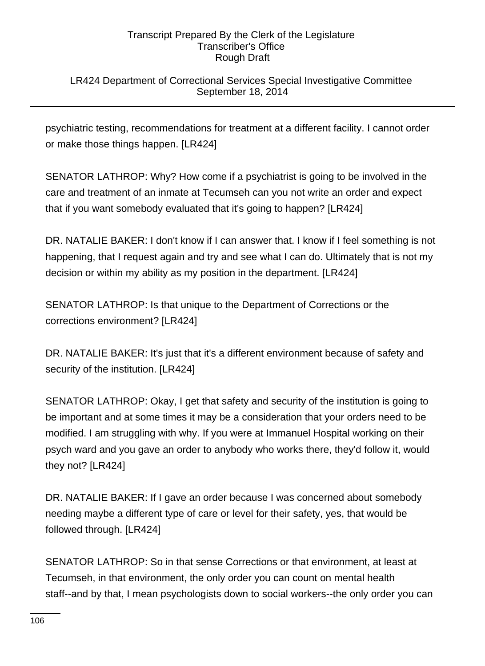## LR424 Department of Correctional Services Special Investigative Committee September 18, 2014

psychiatric testing, recommendations for treatment at a different facility. I cannot order or make those things happen. [LR424]

SENATOR LATHROP: Why? How come if a psychiatrist is going to be involved in the care and treatment of an inmate at Tecumseh can you not write an order and expect that if you want somebody evaluated that it's going to happen? [LR424]

DR. NATALIE BAKER: I don't know if I can answer that. I know if I feel something is not happening, that I request again and try and see what I can do. Ultimately that is not my decision or within my ability as my position in the department. [LR424]

SENATOR LATHROP: Is that unique to the Department of Corrections or the corrections environment? [LR424]

DR. NATALIE BAKER: It's just that it's a different environment because of safety and security of the institution. [LR424]

SENATOR LATHROP: Okay, I get that safety and security of the institution is going to be important and at some times it may be a consideration that your orders need to be modified. I am struggling with why. If you were at Immanuel Hospital working on their psych ward and you gave an order to anybody who works there, they'd follow it, would they not? [LR424]

DR. NATALIE BAKER: If I gave an order because I was concerned about somebody needing maybe a different type of care or level for their safety, yes, that would be followed through. [LR424]

SENATOR LATHROP: So in that sense Corrections or that environment, at least at Tecumseh, in that environment, the only order you can count on mental health staff--and by that, I mean psychologists down to social workers--the only order you can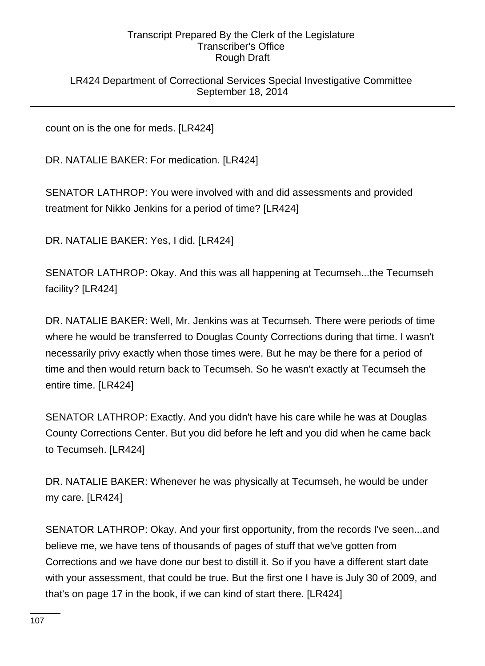LR424 Department of Correctional Services Special Investigative Committee September 18, 2014

count on is the one for meds. [LR424]

DR. NATALIE BAKER: For medication. [LR424]

SENATOR LATHROP: You were involved with and did assessments and provided treatment for Nikko Jenkins for a period of time? [LR424]

DR. NATALIE BAKER: Yes, I did. [LR424]

SENATOR LATHROP: Okay. And this was all happening at Tecumseh...the Tecumseh facility? [LR424]

DR. NATALIE BAKER: Well, Mr. Jenkins was at Tecumseh. There were periods of time where he would be transferred to Douglas County Corrections during that time. I wasn't necessarily privy exactly when those times were. But he may be there for a period of time and then would return back to Tecumseh. So he wasn't exactly at Tecumseh the entire time. [LR424]

SENATOR LATHROP: Exactly. And you didn't have his care while he was at Douglas County Corrections Center. But you did before he left and you did when he came back to Tecumseh. [LR424]

DR. NATALIE BAKER: Whenever he was physically at Tecumseh, he would be under my care. [LR424]

SENATOR LATHROP: Okay. And your first opportunity, from the records I've seen...and believe me, we have tens of thousands of pages of stuff that we've gotten from Corrections and we have done our best to distill it. So if you have a different start date with your assessment, that could be true. But the first one I have is July 30 of 2009, and that's on page 17 in the book, if we can kind of start there. [LR424]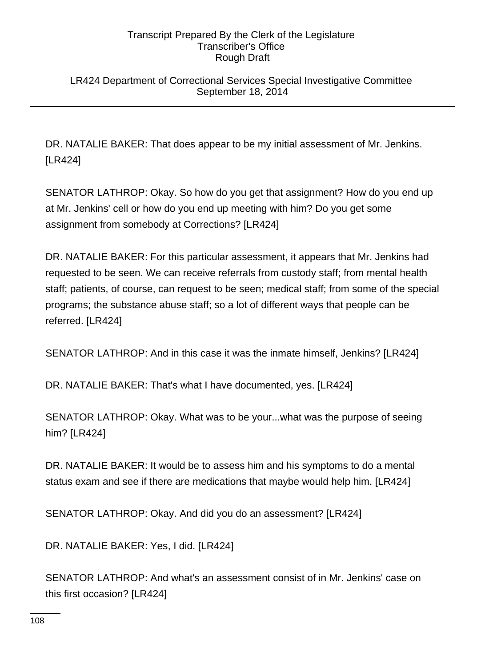LR424 Department of Correctional Services Special Investigative Committee September 18, 2014

DR. NATALIE BAKER: That does appear to be my initial assessment of Mr. Jenkins. [LR424]

SENATOR LATHROP: Okay. So how do you get that assignment? How do you end up at Mr. Jenkins' cell or how do you end up meeting with him? Do you get some assignment from somebody at Corrections? [LR424]

DR. NATALIE BAKER: For this particular assessment, it appears that Mr. Jenkins had requested to be seen. We can receive referrals from custody staff; from mental health staff; patients, of course, can request to be seen; medical staff; from some of the special programs; the substance abuse staff; so a lot of different ways that people can be referred. [LR424]

SENATOR LATHROP: And in this case it was the inmate himself, Jenkins? [LR424]

DR. NATALIE BAKER: That's what I have documented, yes. [LR424]

SENATOR LATHROP: Okay. What was to be your...what was the purpose of seeing him? [LR424]

DR. NATALIE BAKER: It would be to assess him and his symptoms to do a mental status exam and see if there are medications that maybe would help him. [LR424]

SENATOR LATHROP: Okay. And did you do an assessment? [LR424]

DR. NATALIE BAKER: Yes, I did. [LR424]

SENATOR LATHROP: And what's an assessment consist of in Mr. Jenkins' case on this first occasion? [LR424]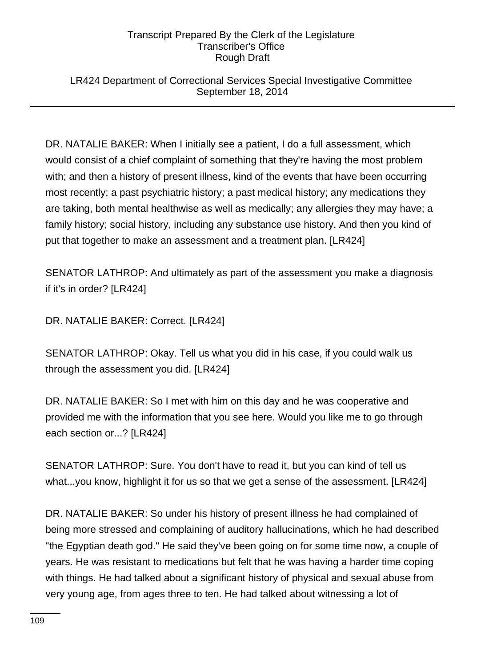### LR424 Department of Correctional Services Special Investigative Committee September 18, 2014

DR. NATALIE BAKER: When I initially see a patient, I do a full assessment, which would consist of a chief complaint of something that they're having the most problem with; and then a history of present illness, kind of the events that have been occurring most recently; a past psychiatric history; a past medical history; any medications they are taking, both mental healthwise as well as medically; any allergies they may have; a family history; social history, including any substance use history. And then you kind of put that together to make an assessment and a treatment plan. [LR424]

SENATOR LATHROP: And ultimately as part of the assessment you make a diagnosis if it's in order? [LR424]

DR. NATALIE BAKER: Correct. [LR424]

SENATOR LATHROP: Okay. Tell us what you did in his case, if you could walk us through the assessment you did. [LR424]

DR. NATALIE BAKER: So I met with him on this day and he was cooperative and provided me with the information that you see here. Would you like me to go through each section or...? [LR424]

SENATOR LATHROP: Sure. You don't have to read it, but you can kind of tell us what...you know, highlight it for us so that we get a sense of the assessment. [LR424]

DR. NATALIE BAKER: So under his history of present illness he had complained of being more stressed and complaining of auditory hallucinations, which he had described "the Egyptian death god." He said they've been going on for some time now, a couple of years. He was resistant to medications but felt that he was having a harder time coping with things. He had talked about a significant history of physical and sexual abuse from very young age, from ages three to ten. He had talked about witnessing a lot of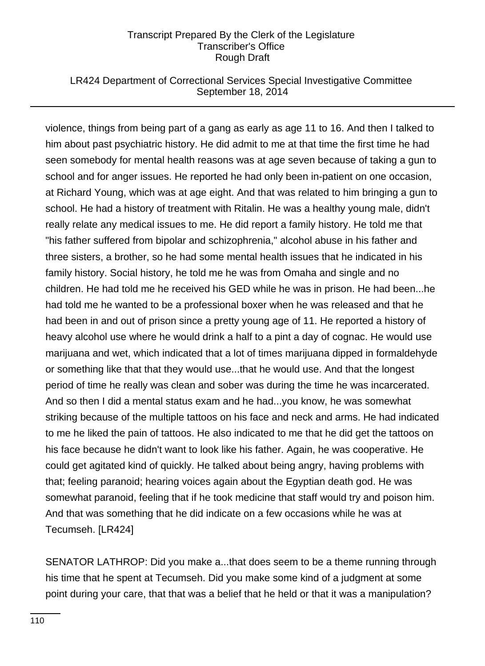### LR424 Department of Correctional Services Special Investigative Committee September 18, 2014

violence, things from being part of a gang as early as age 11 to 16. And then I talked to him about past psychiatric history. He did admit to me at that time the first time he had seen somebody for mental health reasons was at age seven because of taking a gun to school and for anger issues. He reported he had only been in-patient on one occasion, at Richard Young, which was at age eight. And that was related to him bringing a gun to school. He had a history of treatment with Ritalin. He was a healthy young male, didn't really relate any medical issues to me. He did report a family history. He told me that "his father suffered from bipolar and schizophrenia," alcohol abuse in his father and three sisters, a brother, so he had some mental health issues that he indicated in his family history. Social history, he told me he was from Omaha and single and no children. He had told me he received his GED while he was in prison. He had been...he had told me he wanted to be a professional boxer when he was released and that he had been in and out of prison since a pretty young age of 11. He reported a history of heavy alcohol use where he would drink a half to a pint a day of cognac. He would use marijuana and wet, which indicated that a lot of times marijuana dipped in formaldehyde or something like that that they would use...that he would use. And that the longest period of time he really was clean and sober was during the time he was incarcerated. And so then I did a mental status exam and he had...you know, he was somewhat striking because of the multiple tattoos on his face and neck and arms. He had indicated to me he liked the pain of tattoos. He also indicated to me that he did get the tattoos on his face because he didn't want to look like his father. Again, he was cooperative. He could get agitated kind of quickly. He talked about being angry, having problems with that; feeling paranoid; hearing voices again about the Egyptian death god. He was somewhat paranoid, feeling that if he took medicine that staff would try and poison him. And that was something that he did indicate on a few occasions while he was at Tecumseh. [LR424]

SENATOR LATHROP: Did you make a...that does seem to be a theme running through his time that he spent at Tecumseh. Did you make some kind of a judgment at some point during your care, that that was a belief that he held or that it was a manipulation?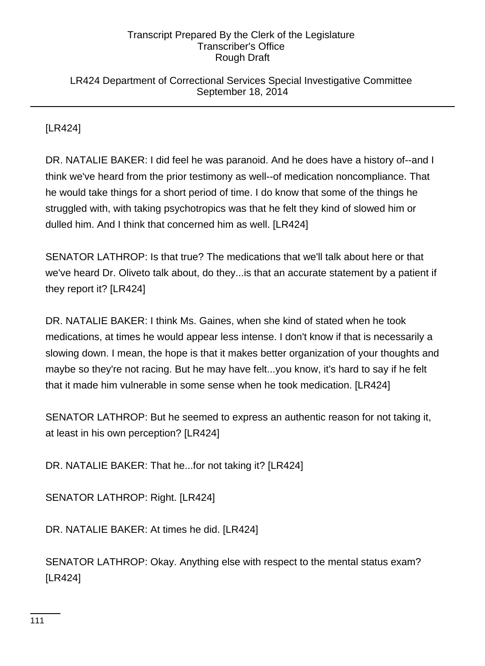### LR424 Department of Correctional Services Special Investigative Committee September 18, 2014

[LR424]

DR. NATALIE BAKER: I did feel he was paranoid. And he does have a history of--and I think we've heard from the prior testimony as well--of medication noncompliance. That he would take things for a short period of time. I do know that some of the things he struggled with, with taking psychotropics was that he felt they kind of slowed him or dulled him. And I think that concerned him as well. [LR424]

SENATOR LATHROP: Is that true? The medications that we'll talk about here or that we've heard Dr. Oliveto talk about, do they...is that an accurate statement by a patient if they report it? [LR424]

DR. NATALIE BAKER: I think Ms. Gaines, when she kind of stated when he took medications, at times he would appear less intense. I don't know if that is necessarily a slowing down. I mean, the hope is that it makes better organization of your thoughts and maybe so they're not racing. But he may have felt...you know, it's hard to say if he felt that it made him vulnerable in some sense when he took medication. [LR424]

SENATOR LATHROP: But he seemed to express an authentic reason for not taking it, at least in his own perception? [LR424]

DR. NATALIE BAKER: That he...for not taking it? [LR424]

SENATOR LATHROP: Right. [LR424]

DR. NATALIE BAKER: At times he did. [LR424]

SENATOR LATHROP: Okay. Anything else with respect to the mental status exam? [LR424]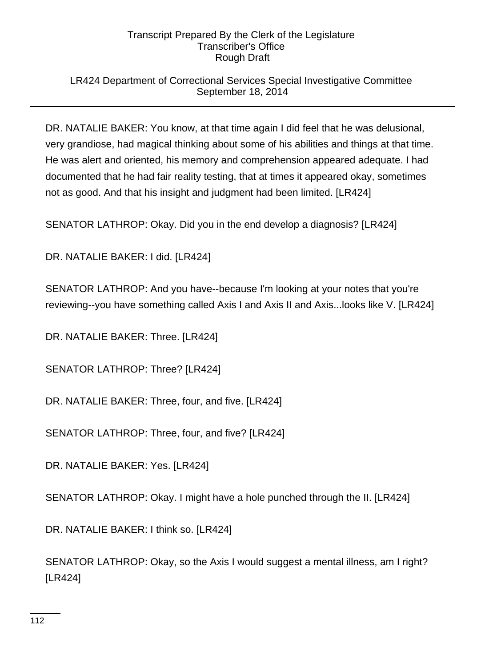# LR424 Department of Correctional Services Special Investigative Committee September 18, 2014

DR. NATALIE BAKER: You know, at that time again I did feel that he was delusional, very grandiose, had magical thinking about some of his abilities and things at that time. He was alert and oriented, his memory and comprehension appeared adequate. I had documented that he had fair reality testing, that at times it appeared okay, sometimes not as good. And that his insight and judgment had been limited. [LR424]

SENATOR LATHROP: Okay. Did you in the end develop a diagnosis? [LR424]

DR. NATALIE BAKER: I did. [LR424]

SENATOR LATHROP: And you have--because I'm looking at your notes that you're reviewing--you have something called Axis I and Axis II and Axis...looks like V. [LR424]

DR. NATALIE BAKER: Three. [LR424]

SENATOR LATHROP: Three? [LR424]

DR. NATALIE BAKER: Three, four, and five. [LR424]

SENATOR LATHROP: Three, four, and five? [LR424]

DR. NATALIE BAKER: Yes. [LR424]

SENATOR LATHROP: Okay. I might have a hole punched through the II. [LR424]

DR. NATALIE BAKER: I think so. [LR424]

SENATOR LATHROP: Okay, so the Axis I would suggest a mental illness, am I right? [LR424]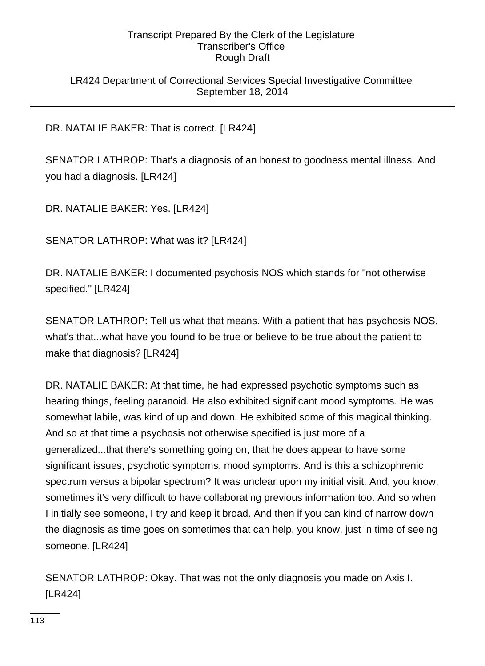### LR424 Department of Correctional Services Special Investigative Committee September 18, 2014

# DR. NATALIE BAKER: That is correct. [LR424]

SENATOR LATHROP: That's a diagnosis of an honest to goodness mental illness. And you had a diagnosis. [LR424]

DR. NATALIE BAKER: Yes. [LR424]

SENATOR LATHROP: What was it? [LR424]

DR. NATALIE BAKER: I documented psychosis NOS which stands for "not otherwise specified." [LR424]

SENATOR LATHROP: Tell us what that means. With a patient that has psychosis NOS, what's that...what have you found to be true or believe to be true about the patient to make that diagnosis? [LR424]

DR. NATALIE BAKER: At that time, he had expressed psychotic symptoms such as hearing things, feeling paranoid. He also exhibited significant mood symptoms. He was somewhat labile, was kind of up and down. He exhibited some of this magical thinking. And so at that time a psychosis not otherwise specified is just more of a generalized...that there's something going on, that he does appear to have some significant issues, psychotic symptoms, mood symptoms. And is this a schizophrenic spectrum versus a bipolar spectrum? It was unclear upon my initial visit. And, you know, sometimes it's very difficult to have collaborating previous information too. And so when I initially see someone, I try and keep it broad. And then if you can kind of narrow down the diagnosis as time goes on sometimes that can help, you know, just in time of seeing someone. [LR424]

SENATOR LATHROP: Okay. That was not the only diagnosis you made on Axis I. [LR424]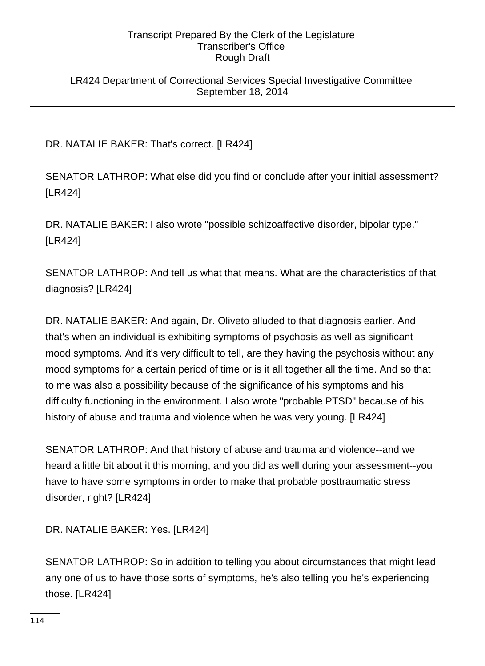LR424 Department of Correctional Services Special Investigative Committee September 18, 2014

DR. NATALIE BAKER: That's correct. [LR424]

SENATOR LATHROP: What else did you find or conclude after your initial assessment? [LR424]

DR. NATALIE BAKER: I also wrote "possible schizoaffective disorder, bipolar type." [LR424]

SENATOR LATHROP: And tell us what that means. What are the characteristics of that diagnosis? [LR424]

DR. NATALIE BAKER: And again, Dr. Oliveto alluded to that diagnosis earlier. And that's when an individual is exhibiting symptoms of psychosis as well as significant mood symptoms. And it's very difficult to tell, are they having the psychosis without any mood symptoms for a certain period of time or is it all together all the time. And so that to me was also a possibility because of the significance of his symptoms and his difficulty functioning in the environment. I also wrote "probable PTSD" because of his history of abuse and trauma and violence when he was very young. [LR424]

SENATOR LATHROP: And that history of abuse and trauma and violence--and we heard a little bit about it this morning, and you did as well during your assessment--you have to have some symptoms in order to make that probable posttraumatic stress disorder, right? [LR424]

DR. NATALIE BAKER: Yes. [LR424]

SENATOR LATHROP: So in addition to telling you about circumstances that might lead any one of us to have those sorts of symptoms, he's also telling you he's experiencing those. [LR424]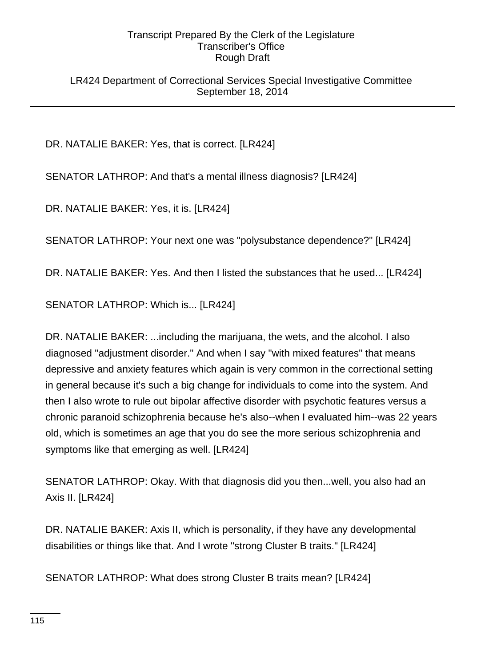LR424 Department of Correctional Services Special Investigative Committee September 18, 2014

DR. NATALIE BAKER: Yes, that is correct. [LR424]

SENATOR LATHROP: And that's a mental illness diagnosis? [LR424]

DR. NATALIE BAKER: Yes, it is. [LR424]

SENATOR LATHROP: Your next one was "polysubstance dependence?" [LR424]

DR. NATALIE BAKER: Yes. And then I listed the substances that he used... [LR424]

SENATOR LATHROP: Which is... [LR424]

DR. NATALIE BAKER: ...including the marijuana, the wets, and the alcohol. I also diagnosed "adjustment disorder." And when I say "with mixed features" that means depressive and anxiety features which again is very common in the correctional setting in general because it's such a big change for individuals to come into the system. And then I also wrote to rule out bipolar affective disorder with psychotic features versus a chronic paranoid schizophrenia because he's also--when I evaluated him--was 22 years old, which is sometimes an age that you do see the more serious schizophrenia and symptoms like that emerging as well. [LR424]

SENATOR LATHROP: Okay. With that diagnosis did you then...well, you also had an Axis II. [LR424]

DR. NATALIE BAKER: Axis II, which is personality, if they have any developmental disabilities or things like that. And I wrote "strong Cluster B traits." [LR424]

SENATOR LATHROP: What does strong Cluster B traits mean? [LR424]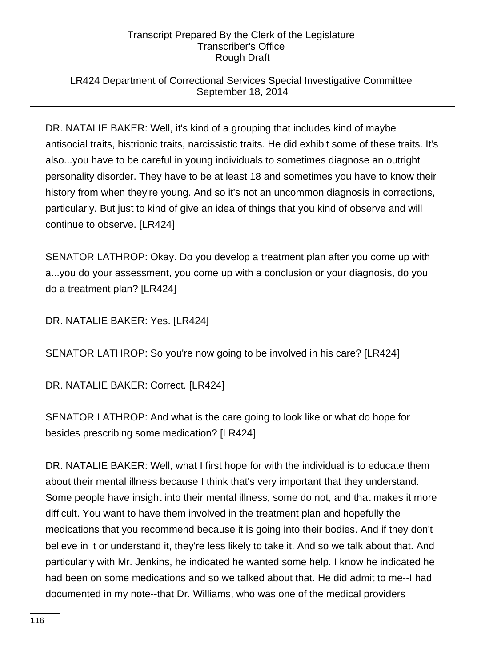# LR424 Department of Correctional Services Special Investigative Committee September 18, 2014

DR. NATALIE BAKER: Well, it's kind of a grouping that includes kind of maybe antisocial traits, histrionic traits, narcissistic traits. He did exhibit some of these traits. It's also...you have to be careful in young individuals to sometimes diagnose an outright personality disorder. They have to be at least 18 and sometimes you have to know their history from when they're young. And so it's not an uncommon diagnosis in corrections, particularly. But just to kind of give an idea of things that you kind of observe and will continue to observe. [LR424]

SENATOR LATHROP: Okay. Do you develop a treatment plan after you come up with a...you do your assessment, you come up with a conclusion or your diagnosis, do you do a treatment plan? [LR424]

DR. NATALIE BAKER: Yes. [LR424]

SENATOR LATHROP: So you're now going to be involved in his care? [LR424]

DR. NATALIE BAKER: Correct. [LR424]

SENATOR LATHROP: And what is the care going to look like or what do hope for besides prescribing some medication? [LR424]

DR. NATALIE BAKER: Well, what I first hope for with the individual is to educate them about their mental illness because I think that's very important that they understand. Some people have insight into their mental illness, some do not, and that makes it more difficult. You want to have them involved in the treatment plan and hopefully the medications that you recommend because it is going into their bodies. And if they don't believe in it or understand it, they're less likely to take it. And so we talk about that. And particularly with Mr. Jenkins, he indicated he wanted some help. I know he indicated he had been on some medications and so we talked about that. He did admit to me--I had documented in my note--that Dr. Williams, who was one of the medical providers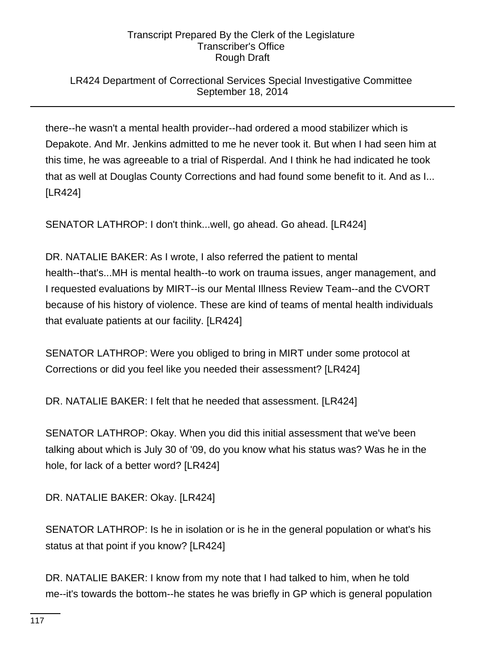# LR424 Department of Correctional Services Special Investigative Committee September 18, 2014

there--he wasn't a mental health provider--had ordered a mood stabilizer which is Depakote. And Mr. Jenkins admitted to me he never took it. But when I had seen him at this time, he was agreeable to a trial of Risperdal. And I think he had indicated he took that as well at Douglas County Corrections and had found some benefit to it. And as I... [LR424]

SENATOR LATHROP: I don't think...well, go ahead. Go ahead. [LR424]

DR. NATALIE BAKER: As I wrote, I also referred the patient to mental health--that's...MH is mental health--to work on trauma issues, anger management, and I requested evaluations by MIRT--is our Mental Illness Review Team--and the CVORT because of his history of violence. These are kind of teams of mental health individuals that evaluate patients at our facility. [LR424]

SENATOR LATHROP: Were you obliged to bring in MIRT under some protocol at Corrections or did you feel like you needed their assessment? [LR424]

DR. NATALIE BAKER: I felt that he needed that assessment. [LR424]

SENATOR LATHROP: Okay. When you did this initial assessment that we've been talking about which is July 30 of '09, do you know what his status was? Was he in the hole, for lack of a better word? [LR424]

DR. NATALIE BAKER: Okay. [LR424]

SENATOR LATHROP: Is he in isolation or is he in the general population or what's his status at that point if you know? [LR424]

DR. NATALIE BAKER: I know from my note that I had talked to him, when he told me--it's towards the bottom--he states he was briefly in GP which is general population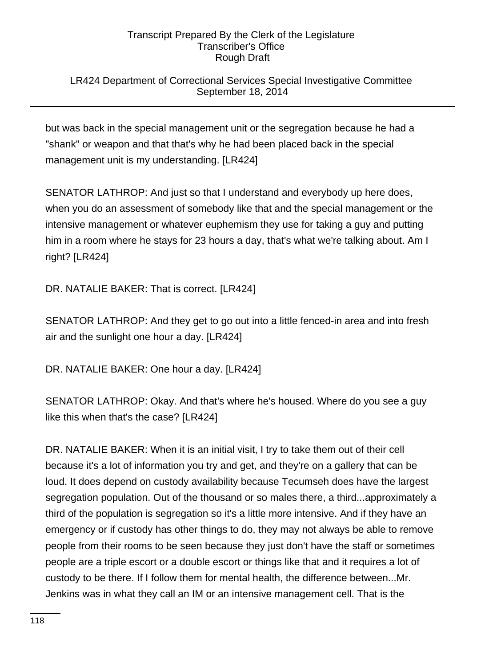# LR424 Department of Correctional Services Special Investigative Committee September 18, 2014

but was back in the special management unit or the segregation because he had a "shank" or weapon and that that's why he had been placed back in the special management unit is my understanding. [LR424]

SENATOR LATHROP: And just so that I understand and everybody up here does, when you do an assessment of somebody like that and the special management or the intensive management or whatever euphemism they use for taking a guy and putting him in a room where he stays for 23 hours a day, that's what we're talking about. Am I right? [LR424]

DR. NATALIE BAKER: That is correct. [LR424]

SENATOR LATHROP: And they get to go out into a little fenced-in area and into fresh air and the sunlight one hour a day. [LR424]

DR. NATALIE BAKER: One hour a day. [LR424]

SENATOR LATHROP: Okay. And that's where he's housed. Where do you see a guy like this when that's the case? [LR424]

DR. NATALIE BAKER: When it is an initial visit, I try to take them out of their cell because it's a lot of information you try and get, and they're on a gallery that can be loud. It does depend on custody availability because Tecumseh does have the largest segregation population. Out of the thousand or so males there, a third...approximately a third of the population is segregation so it's a little more intensive. And if they have an emergency or if custody has other things to do, they may not always be able to remove people from their rooms to be seen because they just don't have the staff or sometimes people are a triple escort or a double escort or things like that and it requires a lot of custody to be there. If I follow them for mental health, the difference between...Mr. Jenkins was in what they call an IM or an intensive management cell. That is the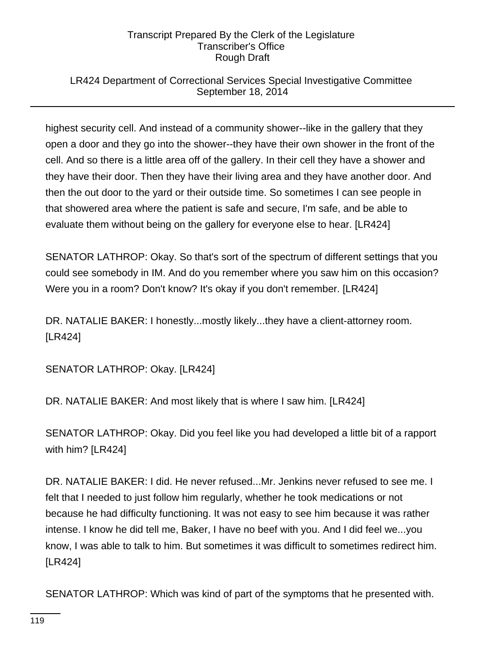# LR424 Department of Correctional Services Special Investigative Committee September 18, 2014

highest security cell. And instead of a community shower--like in the gallery that they open a door and they go into the shower--they have their own shower in the front of the cell. And so there is a little area off of the gallery. In their cell they have a shower and they have their door. Then they have their living area and they have another door. And then the out door to the yard or their outside time. So sometimes I can see people in that showered area where the patient is safe and secure, I'm safe, and be able to evaluate them without being on the gallery for everyone else to hear. [LR424]

SENATOR LATHROP: Okay. So that's sort of the spectrum of different settings that you could see somebody in IM. And do you remember where you saw him on this occasion? Were you in a room? Don't know? It's okay if you don't remember. [LR424]

DR. NATALIE BAKER: I honestly...mostly likely...they have a client-attorney room. [LR424]

SENATOR LATHROP: Okay. [LR424]

DR. NATALIE BAKER: And most likely that is where I saw him. [LR424]

SENATOR LATHROP: Okay. Did you feel like you had developed a little bit of a rapport with him? [LR424]

DR. NATALIE BAKER: I did. He never refused...Mr. Jenkins never refused to see me. I felt that I needed to just follow him regularly, whether he took medications or not because he had difficulty functioning. It was not easy to see him because it was rather intense. I know he did tell me, Baker, I have no beef with you. And I did feel we...you know, I was able to talk to him. But sometimes it was difficult to sometimes redirect him. [LR424]

SENATOR LATHROP: Which was kind of part of the symptoms that he presented with.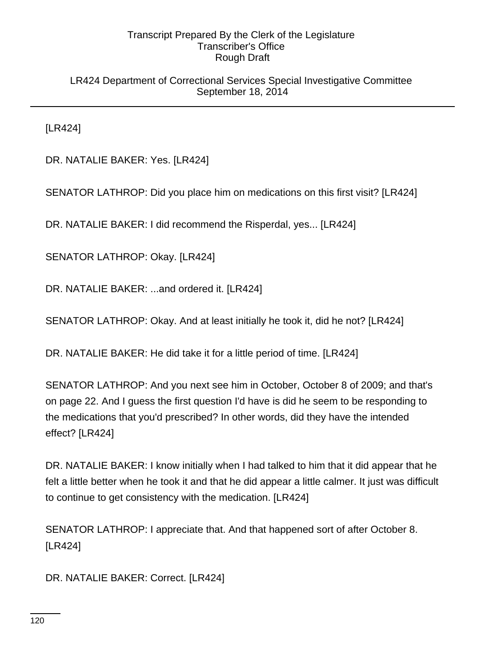LR424 Department of Correctional Services Special Investigative Committee September 18, 2014

[LR424]

DR. NATALIE BAKER: Yes. [LR424]

SENATOR LATHROP: Did you place him on medications on this first visit? [LR424]

DR. NATALIE BAKER: I did recommend the Risperdal, yes... [LR424]

SENATOR LATHROP: Okay. [LR424]

DR. NATALIE BAKER: ...and ordered it. [LR424]

SENATOR LATHROP: Okay. And at least initially he took it, did he not? [LR424]

DR. NATALIE BAKER: He did take it for a little period of time. [LR424]

SENATOR LATHROP: And you next see him in October, October 8 of 2009; and that's on page 22. And I guess the first question I'd have is did he seem to be responding to the medications that you'd prescribed? In other words, did they have the intended effect? [LR424]

DR. NATALIE BAKER: I know initially when I had talked to him that it did appear that he felt a little better when he took it and that he did appear a little calmer. It just was difficult to continue to get consistency with the medication. [LR424]

SENATOR LATHROP: I appreciate that. And that happened sort of after October 8. [LR424]

DR. NATALIE BAKER: Correct. [LR424]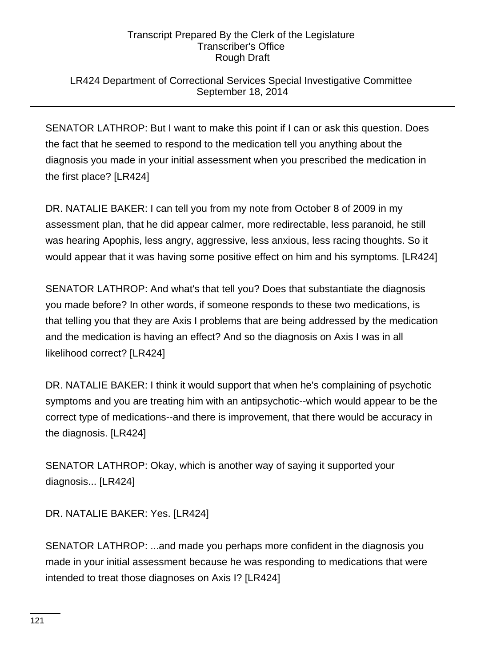# LR424 Department of Correctional Services Special Investigative Committee September 18, 2014

SENATOR LATHROP: But I want to make this point if I can or ask this question. Does the fact that he seemed to respond to the medication tell you anything about the diagnosis you made in your initial assessment when you prescribed the medication in the first place? [LR424]

DR. NATALIE BAKER: I can tell you from my note from October 8 of 2009 in my assessment plan, that he did appear calmer, more redirectable, less paranoid, he still was hearing Apophis, less angry, aggressive, less anxious, less racing thoughts. So it would appear that it was having some positive effect on him and his symptoms. [LR424]

SENATOR LATHROP: And what's that tell you? Does that substantiate the diagnosis you made before? In other words, if someone responds to these two medications, is that telling you that they are Axis I problems that are being addressed by the medication and the medication is having an effect? And so the diagnosis on Axis I was in all likelihood correct? [LR424]

DR. NATALIE BAKER: I think it would support that when he's complaining of psychotic symptoms and you are treating him with an antipsychotic--which would appear to be the correct type of medications--and there is improvement, that there would be accuracy in the diagnosis. [LR424]

SENATOR LATHROP: Okay, which is another way of saying it supported your diagnosis... [LR424]

DR. NATALIE BAKER: Yes. [LR424]

SENATOR LATHROP: ...and made you perhaps more confident in the diagnosis you made in your initial assessment because he was responding to medications that were intended to treat those diagnoses on Axis I? [LR424]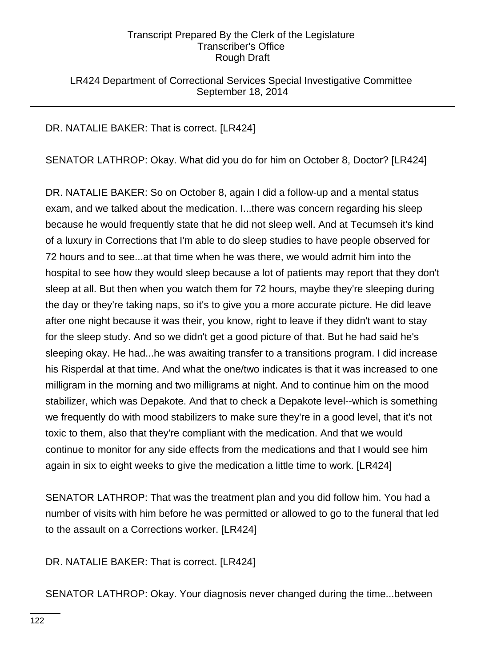LR424 Department of Correctional Services Special Investigative Committee September 18, 2014

# DR. NATALIE BAKER: That is correct. [LR424]

SENATOR LATHROP: Okay. What did you do for him on October 8, Doctor? [LR424]

DR. NATALIE BAKER: So on October 8, again I did a follow-up and a mental status exam, and we talked about the medication. I...there was concern regarding his sleep because he would frequently state that he did not sleep well. And at Tecumseh it's kind of a luxury in Corrections that I'm able to do sleep studies to have people observed for 72 hours and to see...at that time when he was there, we would admit him into the hospital to see how they would sleep because a lot of patients may report that they don't sleep at all. But then when you watch them for 72 hours, maybe they're sleeping during the day or they're taking naps, so it's to give you a more accurate picture. He did leave after one night because it was their, you know, right to leave if they didn't want to stay for the sleep study. And so we didn't get a good picture of that. But he had said he's sleeping okay. He had...he was awaiting transfer to a transitions program. I did increase his Risperdal at that time. And what the one/two indicates is that it was increased to one milligram in the morning and two milligrams at night. And to continue him on the mood stabilizer, which was Depakote. And that to check a Depakote level--which is something we frequently do with mood stabilizers to make sure they're in a good level, that it's not toxic to them, also that they're compliant with the medication. And that we would continue to monitor for any side effects from the medications and that I would see him again in six to eight weeks to give the medication a little time to work. [LR424]

SENATOR LATHROP: That was the treatment plan and you did follow him. You had a number of visits with him before he was permitted or allowed to go to the funeral that led to the assault on a Corrections worker. [LR424]

DR. NATALIE BAKER: That is correct. [LR424]

SENATOR LATHROP: Okay. Your diagnosis never changed during the time...between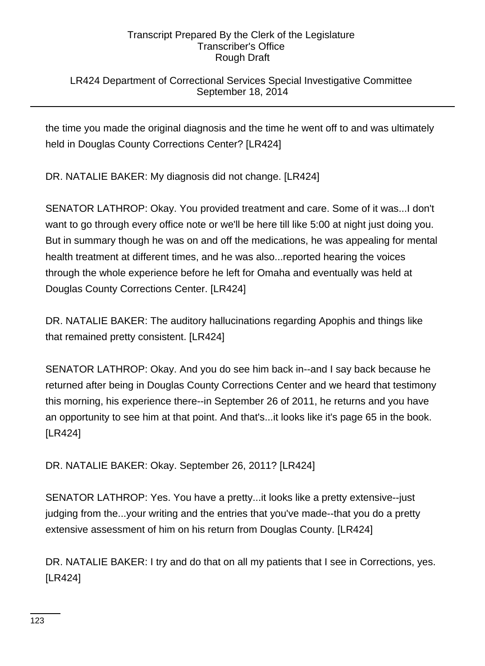LR424 Department of Correctional Services Special Investigative Committee September 18, 2014

the time you made the original diagnosis and the time he went off to and was ultimately held in Douglas County Corrections Center? [LR424]

DR. NATALIE BAKER: My diagnosis did not change. [LR424]

SENATOR LATHROP: Okay. You provided treatment and care. Some of it was...I don't want to go through every office note or we'll be here till like 5:00 at night just doing you. But in summary though he was on and off the medications, he was appealing for mental health treatment at different times, and he was also...reported hearing the voices through the whole experience before he left for Omaha and eventually was held at Douglas County Corrections Center. [LR424]

DR. NATALIE BAKER: The auditory hallucinations regarding Apophis and things like that remained pretty consistent. [LR424]

SENATOR LATHROP: Okay. And you do see him back in--and I say back because he returned after being in Douglas County Corrections Center and we heard that testimony this morning, his experience there--in September 26 of 2011, he returns and you have an opportunity to see him at that point. And that's...it looks like it's page 65 in the book. [LR424]

DR. NATALIE BAKER: Okay. September 26, 2011? [LR424]

SENATOR LATHROP: Yes. You have a pretty...it looks like a pretty extensive--just judging from the...your writing and the entries that you've made--that you do a pretty extensive assessment of him on his return from Douglas County. [LR424]

DR. NATALIE BAKER: I try and do that on all my patients that I see in Corrections, yes. [LR424]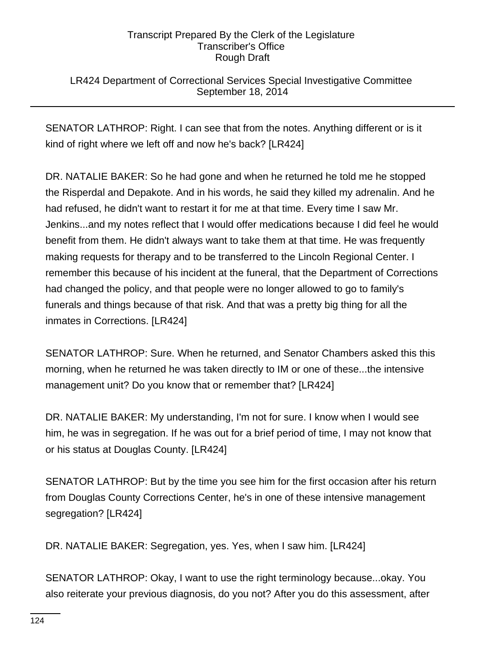# LR424 Department of Correctional Services Special Investigative Committee September 18, 2014

SENATOR LATHROP: Right. I can see that from the notes. Anything different or is it kind of right where we left off and now he's back? [LR424]

DR. NATALIE BAKER: So he had gone and when he returned he told me he stopped the Risperdal and Depakote. And in his words, he said they killed my adrenalin. And he had refused, he didn't want to restart it for me at that time. Every time I saw Mr. Jenkins...and my notes reflect that I would offer medications because I did feel he would benefit from them. He didn't always want to take them at that time. He was frequently making requests for therapy and to be transferred to the Lincoln Regional Center. I remember this because of his incident at the funeral, that the Department of Corrections had changed the policy, and that people were no longer allowed to go to family's funerals and things because of that risk. And that was a pretty big thing for all the inmates in Corrections. [LR424]

SENATOR LATHROP: Sure. When he returned, and Senator Chambers asked this this morning, when he returned he was taken directly to IM or one of these...the intensive management unit? Do you know that or remember that? [LR424]

DR. NATALIE BAKER: My understanding, I'm not for sure. I know when I would see him, he was in segregation. If he was out for a brief period of time, I may not know that or his status at Douglas County. [LR424]

SENATOR LATHROP: But by the time you see him for the first occasion after his return from Douglas County Corrections Center, he's in one of these intensive management segregation? [LR424]

DR. NATALIE BAKER: Segregation, yes. Yes, when I saw him. [LR424]

SENATOR LATHROP: Okay, I want to use the right terminology because...okay. You also reiterate your previous diagnosis, do you not? After you do this assessment, after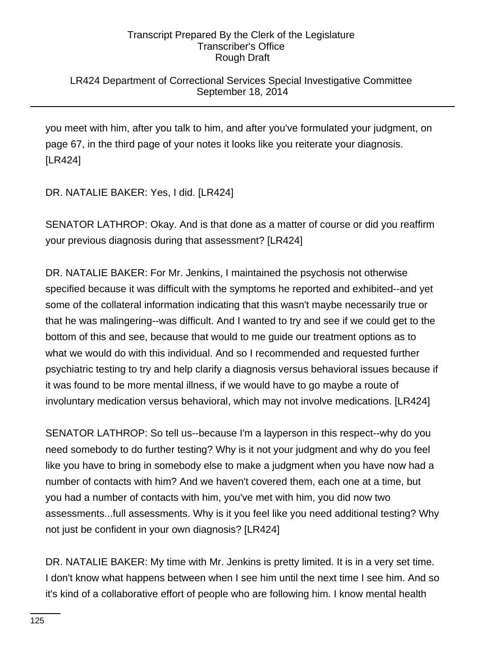# LR424 Department of Correctional Services Special Investigative Committee September 18, 2014

you meet with him, after you talk to him, and after you've formulated your judgment, on page 67, in the third page of your notes it looks like you reiterate your diagnosis. [LR424]

DR. NATALIE BAKER: Yes, I did. [LR424]

SENATOR LATHROP: Okay. And is that done as a matter of course or did you reaffirm your previous diagnosis during that assessment? [LR424]

DR. NATALIE BAKER: For Mr. Jenkins, I maintained the psychosis not otherwise specified because it was difficult with the symptoms he reported and exhibited--and yet some of the collateral information indicating that this wasn't maybe necessarily true or that he was malingering--was difficult. And I wanted to try and see if we could get to the bottom of this and see, because that would to me guide our treatment options as to what we would do with this individual. And so I recommended and requested further psychiatric testing to try and help clarify a diagnosis versus behavioral issues because if it was found to be more mental illness, if we would have to go maybe a route of involuntary medication versus behavioral, which may not involve medications. [LR424]

SENATOR LATHROP: So tell us--because I'm a layperson in this respect--why do you need somebody to do further testing? Why is it not your judgment and why do you feel like you have to bring in somebody else to make a judgment when you have now had a number of contacts with him? And we haven't covered them, each one at a time, but you had a number of contacts with him, you've met with him, you did now two assessments...full assessments. Why is it you feel like you need additional testing? Why not just be confident in your own diagnosis? [LR424]

DR. NATALIE BAKER: My time with Mr. Jenkins is pretty limited. It is in a very set time. I don't know what happens between when I see him until the next time I see him. And so it's kind of a collaborative effort of people who are following him. I know mental health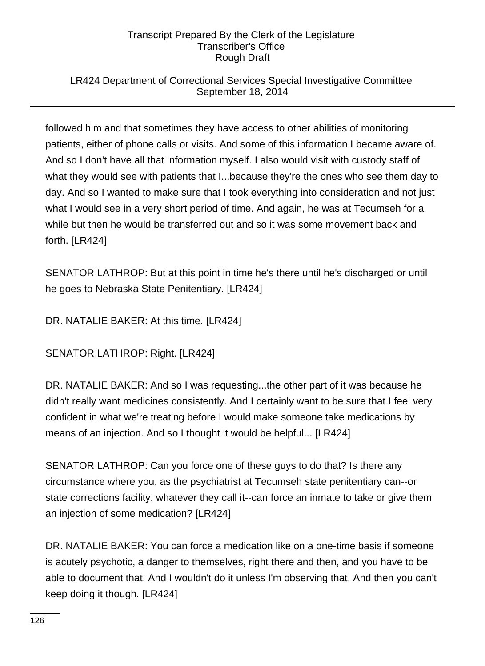# LR424 Department of Correctional Services Special Investigative Committee September 18, 2014

followed him and that sometimes they have access to other abilities of monitoring patients, either of phone calls or visits. And some of this information I became aware of. And so I don't have all that information myself. I also would visit with custody staff of what they would see with patients that I...because they're the ones who see them day to day. And so I wanted to make sure that I took everything into consideration and not just what I would see in a very short period of time. And again, he was at Tecumseh for a while but then he would be transferred out and so it was some movement back and forth. [LR424]

SENATOR LATHROP: But at this point in time he's there until he's discharged or until he goes to Nebraska State Penitentiary. [LR424]

DR. NATALIE BAKER: At this time. [LR424]

SENATOR LATHROP: Right. [LR424]

DR. NATALIE BAKER: And so I was requesting...the other part of it was because he didn't really want medicines consistently. And I certainly want to be sure that I feel very confident in what we're treating before I would make someone take medications by means of an injection. And so I thought it would be helpful... [LR424]

SENATOR LATHROP: Can you force one of these guys to do that? Is there any circumstance where you, as the psychiatrist at Tecumseh state penitentiary can--or state corrections facility, whatever they call it--can force an inmate to take or give them an injection of some medication? [LR424]

DR. NATALIE BAKER: You can force a medication like on a one-time basis if someone is acutely psychotic, a danger to themselves, right there and then, and you have to be able to document that. And I wouldn't do it unless I'm observing that. And then you can't keep doing it though. [LR424]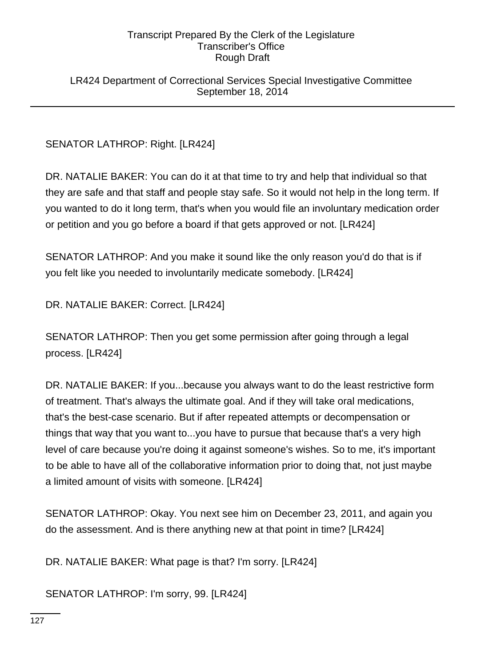LR424 Department of Correctional Services Special Investigative Committee September 18, 2014

SENATOR LATHROP: Right. [LR424]

DR. NATALIE BAKER: You can do it at that time to try and help that individual so that they are safe and that staff and people stay safe. So it would not help in the long term. If you wanted to do it long term, that's when you would file an involuntary medication order or petition and you go before a board if that gets approved or not. [LR424]

SENATOR LATHROP: And you make it sound like the only reason you'd do that is if you felt like you needed to involuntarily medicate somebody. [LR424]

DR. NATALIE BAKER: Correct. [LR424]

SENATOR LATHROP: Then you get some permission after going through a legal process. [LR424]

DR. NATALIE BAKER: If you...because you always want to do the least restrictive form of treatment. That's always the ultimate goal. And if they will take oral medications, that's the best-case scenario. But if after repeated attempts or decompensation or things that way that you want to...you have to pursue that because that's a very high level of care because you're doing it against someone's wishes. So to me, it's important to be able to have all of the collaborative information prior to doing that, not just maybe a limited amount of visits with someone. [LR424]

SENATOR LATHROP: Okay. You next see him on December 23, 2011, and again you do the assessment. And is there anything new at that point in time? [LR424]

DR. NATALIE BAKER: What page is that? I'm sorry. [LR424]

SENATOR LATHROP: I'm sorry, 99. [LR424]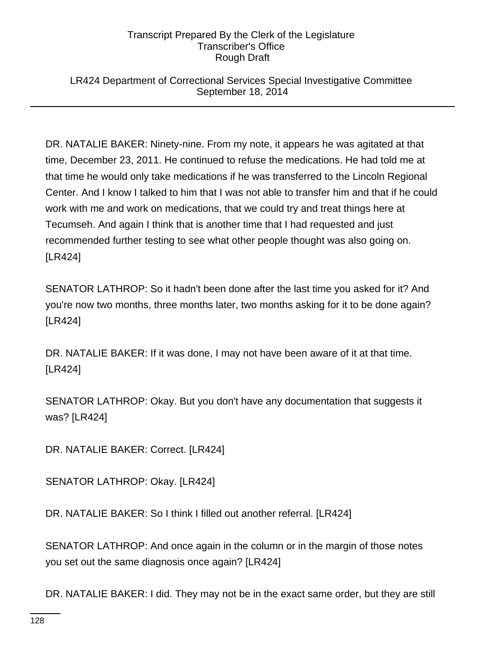### LR424 Department of Correctional Services Special Investigative Committee September 18, 2014

DR. NATALIE BAKER: Ninety-nine. From my note, it appears he was agitated at that time, December 23, 2011. He continued to refuse the medications. He had told me at that time he would only take medications if he was transferred to the Lincoln Regional Center. And I know I talked to him that I was not able to transfer him and that if he could work with me and work on medications, that we could try and treat things here at Tecumseh. And again I think that is another time that I had requested and just recommended further testing to see what other people thought was also going on. [LR424]

SENATOR LATHROP: So it hadn't been done after the last time you asked for it? And you're now two months, three months later, two months asking for it to be done again? [LR424]

DR. NATALIE BAKER: If it was done, I may not have been aware of it at that time. [LR424]

SENATOR LATHROP: Okay. But you don't have any documentation that suggests it was? [LR424]

DR. NATALIE BAKER: Correct. [LR424]

SENATOR LATHROP: Okay. [LR424]

DR. NATALIE BAKER: So I think I filled out another referral. [LR424]

SENATOR LATHROP: And once again in the column or in the margin of those notes you set out the same diagnosis once again? [LR424]

DR. NATALIE BAKER: I did. They may not be in the exact same order, but they are still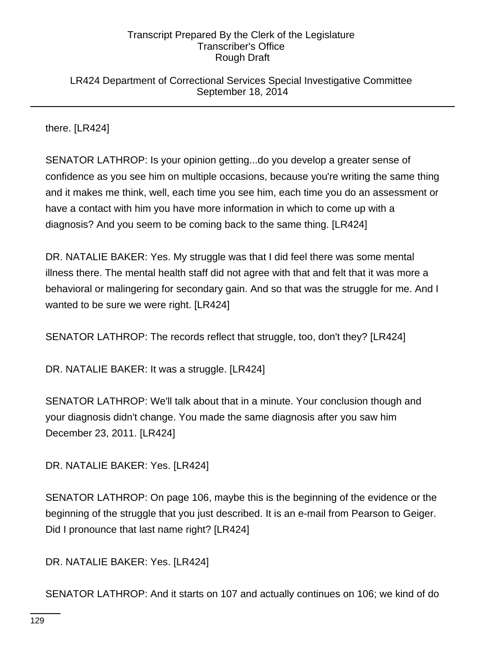LR424 Department of Correctional Services Special Investigative Committee September 18, 2014

there. [LR424]

SENATOR LATHROP: Is your opinion getting...do you develop a greater sense of confidence as you see him on multiple occasions, because you're writing the same thing and it makes me think, well, each time you see him, each time you do an assessment or have a contact with him you have more information in which to come up with a diagnosis? And you seem to be coming back to the same thing. [LR424]

DR. NATALIE BAKER: Yes. My struggle was that I did feel there was some mental illness there. The mental health staff did not agree with that and felt that it was more a behavioral or malingering for secondary gain. And so that was the struggle for me. And I wanted to be sure we were right. [LR424]

SENATOR LATHROP: The records reflect that struggle, too, don't they? [LR424]

DR. NATALIE BAKER: It was a struggle. [LR424]

SENATOR LATHROP: We'll talk about that in a minute. Your conclusion though and your diagnosis didn't change. You made the same diagnosis after you saw him December 23, 2011. [LR424]

DR. NATALIE BAKER: Yes. [LR424]

SENATOR LATHROP: On page 106, maybe this is the beginning of the evidence or the beginning of the struggle that you just described. It is an e-mail from Pearson to Geiger. Did I pronounce that last name right? [LR424]

DR. NATALIE BAKER: Yes. [LR424]

SENATOR LATHROP: And it starts on 107 and actually continues on 106; we kind of do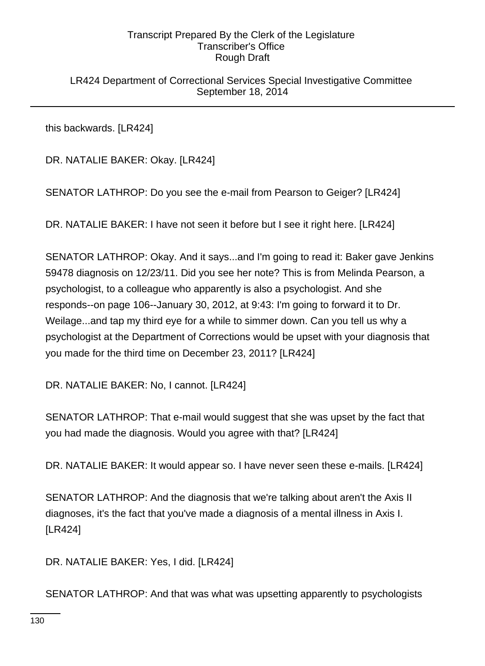LR424 Department of Correctional Services Special Investigative Committee September 18, 2014

this backwards. [LR424]

DR. NATALIE BAKER: Okay. [LR424]

SENATOR LATHROP: Do you see the e-mail from Pearson to Geiger? [LR424]

DR. NATALIE BAKER: I have not seen it before but I see it right here. [LR424]

SENATOR LATHROP: Okay. And it says...and I'm going to read it: Baker gave Jenkins 59478 diagnosis on 12/23/11. Did you see her note? This is from Melinda Pearson, a psychologist, to a colleague who apparently is also a psychologist. And she responds--on page 106--January 30, 2012, at 9:43: I'm going to forward it to Dr. Weilage...and tap my third eye for a while to simmer down. Can you tell us why a psychologist at the Department of Corrections would be upset with your diagnosis that you made for the third time on December 23, 2011? [LR424]

DR. NATALIE BAKER: No, I cannot. [LR424]

SENATOR LATHROP: That e-mail would suggest that she was upset by the fact that you had made the diagnosis. Would you agree with that? [LR424]

DR. NATALIE BAKER: It would appear so. I have never seen these e-mails. [LR424]

SENATOR LATHROP: And the diagnosis that we're talking about aren't the Axis II diagnoses, it's the fact that you've made a diagnosis of a mental illness in Axis I. [LR424]

DR. NATALIE BAKER: Yes, I did. [LR424]

SENATOR LATHROP: And that was what was upsetting apparently to psychologists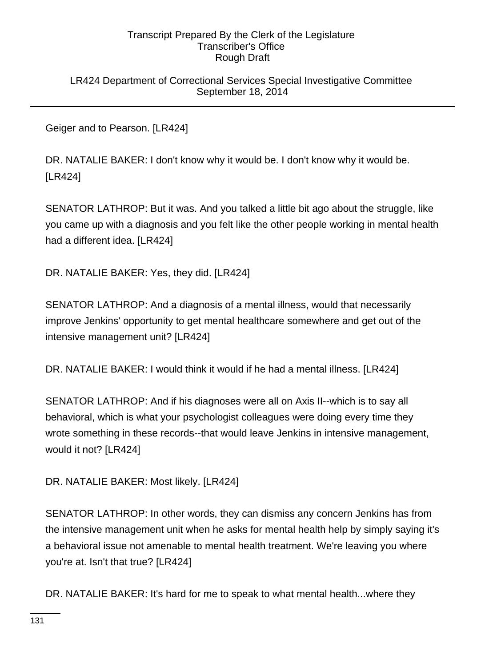LR424 Department of Correctional Services Special Investigative Committee September 18, 2014

Geiger and to Pearson. [LR424]

DR. NATALIE BAKER: I don't know why it would be. I don't know why it would be. [LR424]

SENATOR LATHROP: But it was. And you talked a little bit ago about the struggle, like you came up with a diagnosis and you felt like the other people working in mental health had a different idea. [LR424]

DR. NATALIE BAKER: Yes, they did. [LR424]

SENATOR LATHROP: And a diagnosis of a mental illness, would that necessarily improve Jenkins' opportunity to get mental healthcare somewhere and get out of the intensive management unit? [LR424]

DR. NATALIE BAKER: I would think it would if he had a mental illness. [LR424]

SENATOR LATHROP: And if his diagnoses were all on Axis II--which is to say all behavioral, which is what your psychologist colleagues were doing every time they wrote something in these records--that would leave Jenkins in intensive management, would it not? [LR424]

DR. NATALIE BAKER: Most likely. [LR424]

SENATOR LATHROP: In other words, they can dismiss any concern Jenkins has from the intensive management unit when he asks for mental health help by simply saying it's a behavioral issue not amenable to mental health treatment. We're leaving you where you're at. Isn't that true? [LR424]

DR. NATALIE BAKER: It's hard for me to speak to what mental health...where they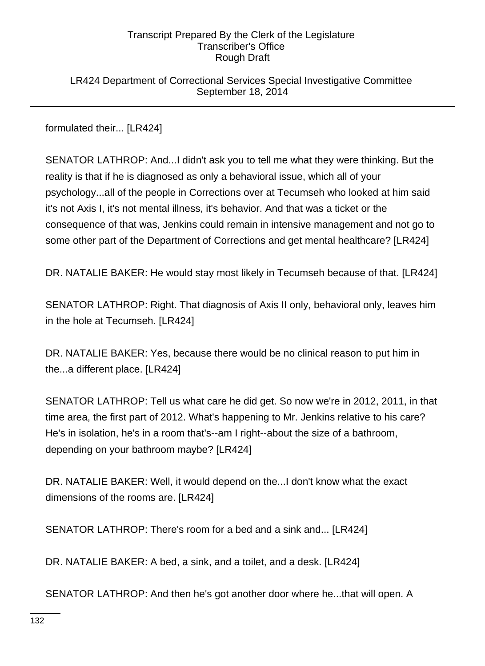LR424 Department of Correctional Services Special Investigative Committee September 18, 2014

formulated their... [LR424]

SENATOR LATHROP: And...I didn't ask you to tell me what they were thinking. But the reality is that if he is diagnosed as only a behavioral issue, which all of your psychology...all of the people in Corrections over at Tecumseh who looked at him said it's not Axis I, it's not mental illness, it's behavior. And that was a ticket or the consequence of that was, Jenkins could remain in intensive management and not go to some other part of the Department of Corrections and get mental healthcare? [LR424]

DR. NATALIE BAKER: He would stay most likely in Tecumseh because of that. [LR424]

SENATOR LATHROP: Right. That diagnosis of Axis II only, behavioral only, leaves him in the hole at Tecumseh. [LR424]

DR. NATALIE BAKER: Yes, because there would be no clinical reason to put him in the...a different place. [LR424]

SENATOR LATHROP: Tell us what care he did get. So now we're in 2012, 2011, in that time area, the first part of 2012. What's happening to Mr. Jenkins relative to his care? He's in isolation, he's in a room that's--am I right--about the size of a bathroom, depending on your bathroom maybe? [LR424]

DR. NATALIE BAKER: Well, it would depend on the...I don't know what the exact dimensions of the rooms are. [LR424]

SENATOR LATHROP: There's room for a bed and a sink and... [LR424]

DR. NATALIE BAKER: A bed, a sink, and a toilet, and a desk. [LR424]

SENATOR LATHROP: And then he's got another door where he...that will open. A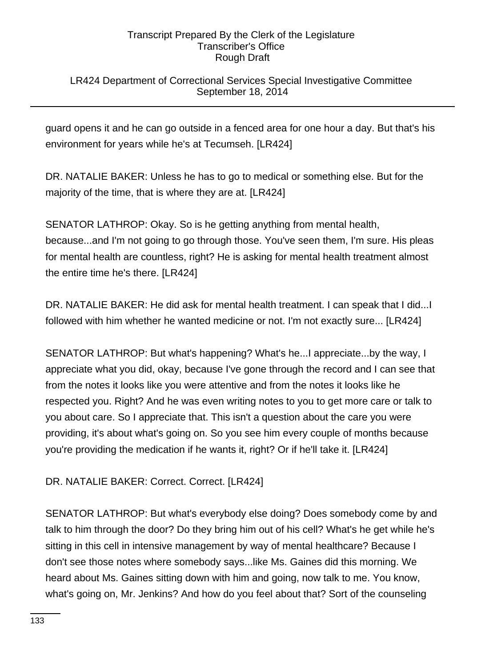# LR424 Department of Correctional Services Special Investigative Committee September 18, 2014

guard opens it and he can go outside in a fenced area for one hour a day. But that's his environment for years while he's at Tecumseh. [LR424]

DR. NATALIE BAKER: Unless he has to go to medical or something else. But for the majority of the time, that is where they are at. [LR424]

SENATOR LATHROP: Okay. So is he getting anything from mental health, because...and I'm not going to go through those. You've seen them, I'm sure. His pleas for mental health are countless, right? He is asking for mental health treatment almost the entire time he's there. [LR424]

DR. NATALIE BAKER: He did ask for mental health treatment. I can speak that I did...I followed with him whether he wanted medicine or not. I'm not exactly sure... [LR424]

SENATOR LATHROP: But what's happening? What's he...I appreciate...by the way, I appreciate what you did, okay, because I've gone through the record and I can see that from the notes it looks like you were attentive and from the notes it looks like he respected you. Right? And he was even writing notes to you to get more care or talk to you about care. So I appreciate that. This isn't a question about the care you were providing, it's about what's going on. So you see him every couple of months because you're providing the medication if he wants it, right? Or if he'll take it. [LR424]

DR. NATALIE BAKER: Correct. Correct. [LR424]

SENATOR LATHROP: But what's everybody else doing? Does somebody come by and talk to him through the door? Do they bring him out of his cell? What's he get while he's sitting in this cell in intensive management by way of mental healthcare? Because I don't see those notes where somebody says...like Ms. Gaines did this morning. We heard about Ms. Gaines sitting down with him and going, now talk to me. You know, what's going on, Mr. Jenkins? And how do you feel about that? Sort of the counseling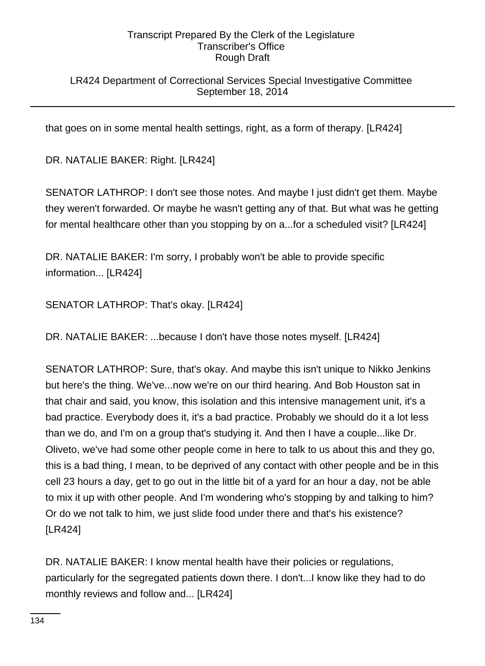LR424 Department of Correctional Services Special Investigative Committee September 18, 2014

that goes on in some mental health settings, right, as a form of therapy. [LR424]

DR. NATALIE BAKER: Right. [LR424]

SENATOR LATHROP: I don't see those notes. And maybe I just didn't get them. Maybe they weren't forwarded. Or maybe he wasn't getting any of that. But what was he getting for mental healthcare other than you stopping by on a...for a scheduled visit? [LR424]

DR. NATALIE BAKER: I'm sorry, I probably won't be able to provide specific information... [LR424]

SENATOR LATHROP: That's okay. [LR424]

DR. NATALIE BAKER: ...because I don't have those notes myself. [LR424]

SENATOR LATHROP: Sure, that's okay. And maybe this isn't unique to Nikko Jenkins but here's the thing. We've...now we're on our third hearing. And Bob Houston sat in that chair and said, you know, this isolation and this intensive management unit, it's a bad practice. Everybody does it, it's a bad practice. Probably we should do it a lot less than we do, and I'm on a group that's studying it. And then I have a couple...like Dr. Oliveto, we've had some other people come in here to talk to us about this and they go, this is a bad thing, I mean, to be deprived of any contact with other people and be in this cell 23 hours a day, get to go out in the little bit of a yard for an hour a day, not be able to mix it up with other people. And I'm wondering who's stopping by and talking to him? Or do we not talk to him, we just slide food under there and that's his existence? [LR424]

DR. NATALIE BAKER: I know mental health have their policies or regulations, particularly for the segregated patients down there. I don't...I know like they had to do monthly reviews and follow and... [LR424]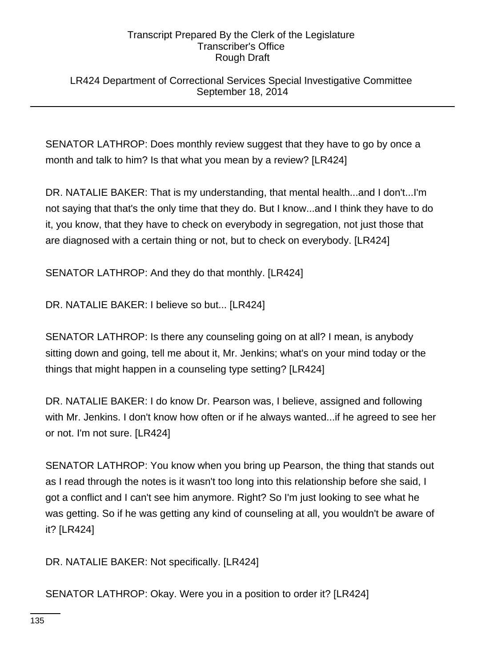LR424 Department of Correctional Services Special Investigative Committee September 18, 2014

SENATOR LATHROP: Does monthly review suggest that they have to go by once a month and talk to him? Is that what you mean by a review? [LR424]

DR. NATALIE BAKER: That is my understanding, that mental health...and I don't...I'm not saying that that's the only time that they do. But I know...and I think they have to do it, you know, that they have to check on everybody in segregation, not just those that are diagnosed with a certain thing or not, but to check on everybody. [LR424]

SENATOR LATHROP: And they do that monthly. [LR424]

DR. NATALIE BAKER: I believe so but... [LR424]

SENATOR LATHROP: Is there any counseling going on at all? I mean, is anybody sitting down and going, tell me about it, Mr. Jenkins; what's on your mind today or the things that might happen in a counseling type setting? [LR424]

DR. NATALIE BAKER: I do know Dr. Pearson was, I believe, assigned and following with Mr. Jenkins. I don't know how often or if he always wanted...if he agreed to see her or not. I'm not sure. [LR424]

SENATOR LATHROP: You know when you bring up Pearson, the thing that stands out as I read through the notes is it wasn't too long into this relationship before she said, I got a conflict and I can't see him anymore. Right? So I'm just looking to see what he was getting. So if he was getting any kind of counseling at all, you wouldn't be aware of it? [LR424]

DR. NATALIE BAKER: Not specifically. [LR424]

SENATOR LATHROP: Okay. Were you in a position to order it? [LR424]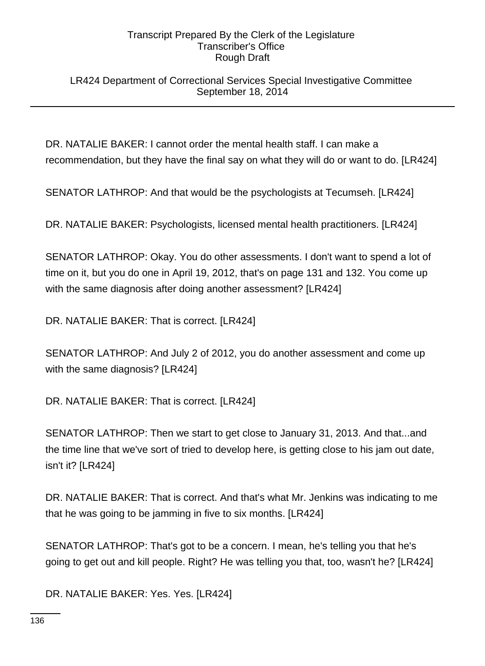LR424 Department of Correctional Services Special Investigative Committee September 18, 2014

DR. NATALIE BAKER: I cannot order the mental health staff. I can make a recommendation, but they have the final say on what they will do or want to do. [LR424]

SENATOR LATHROP: And that would be the psychologists at Tecumseh. [LR424]

DR. NATALIE BAKER: Psychologists, licensed mental health practitioners. [LR424]

SENATOR LATHROP: Okay. You do other assessments. I don't want to spend a lot of time on it, but you do one in April 19, 2012, that's on page 131 and 132. You come up with the same diagnosis after doing another assessment? [LR424]

DR. NATALIE BAKER: That is correct. [LR424]

SENATOR LATHROP: And July 2 of 2012, you do another assessment and come up with the same diagnosis? [LR424]

DR. NATALIE BAKER: That is correct. [LR424]

SENATOR LATHROP: Then we start to get close to January 31, 2013. And that...and the time line that we've sort of tried to develop here, is getting close to his jam out date, isn't it? [LR424]

DR. NATALIE BAKER: That is correct. And that's what Mr. Jenkins was indicating to me that he was going to be jamming in five to six months. [LR424]

SENATOR LATHROP: That's got to be a concern. I mean, he's telling you that he's going to get out and kill people. Right? He was telling you that, too, wasn't he? [LR424]

DR. NATALIE BAKER: Yes. Yes. [LR424]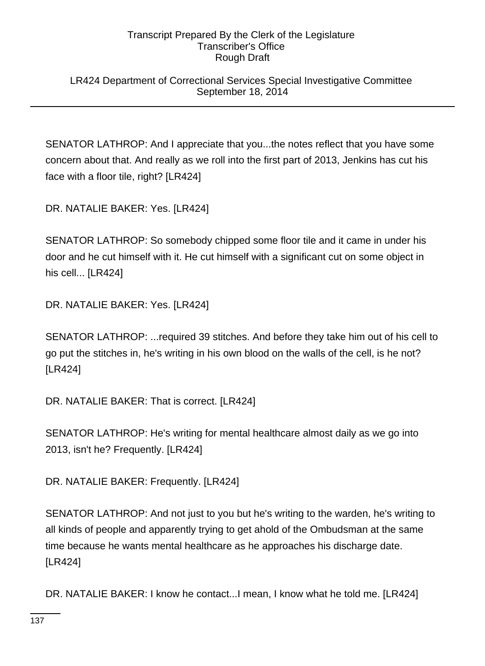LR424 Department of Correctional Services Special Investigative Committee September 18, 2014

SENATOR LATHROP: And I appreciate that you...the notes reflect that you have some concern about that. And really as we roll into the first part of 2013, Jenkins has cut his face with a floor tile, right? [LR424]

DR. NATALIE BAKER: Yes. [LR424]

SENATOR LATHROP: So somebody chipped some floor tile and it came in under his door and he cut himself with it. He cut himself with a significant cut on some object in his cell... [LR424]

DR. NATALIE BAKER: Yes. [LR424]

SENATOR LATHROP: ...required 39 stitches. And before they take him out of his cell to go put the stitches in, he's writing in his own blood on the walls of the cell, is he not? [LR424]

DR. NATALIE BAKER: That is correct. [LR424]

SENATOR LATHROP: He's writing for mental healthcare almost daily as we go into 2013, isn't he? Frequently. [LR424]

DR. NATALIE BAKER: Frequently. [LR424]

SENATOR LATHROP: And not just to you but he's writing to the warden, he's writing to all kinds of people and apparently trying to get ahold of the Ombudsman at the same time because he wants mental healthcare as he approaches his discharge date. [LR424]

DR. NATALIE BAKER: I know he contact...I mean, I know what he told me. [LR424]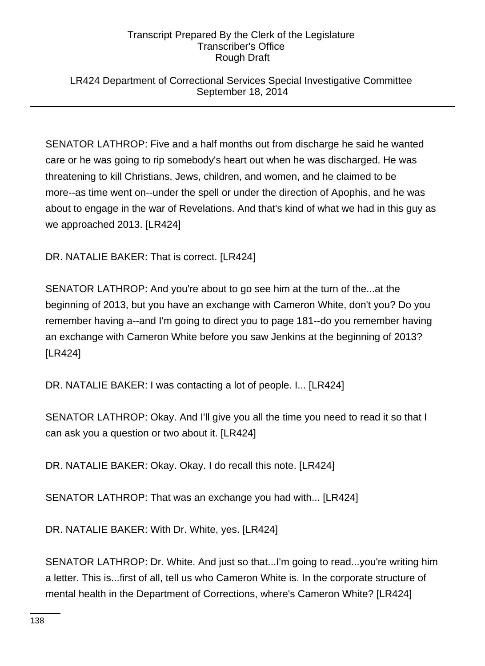### LR424 Department of Correctional Services Special Investigative Committee September 18, 2014

SENATOR LATHROP: Five and a half months out from discharge he said he wanted care or he was going to rip somebody's heart out when he was discharged. He was threatening to kill Christians, Jews, children, and women, and he claimed to be more--as time went on--under the spell or under the direction of Apophis, and he was about to engage in the war of Revelations. And that's kind of what we had in this guy as we approached 2013. [LR424]

DR. NATALIE BAKER: That is correct. [LR424]

SENATOR LATHROP: And you're about to go see him at the turn of the...at the beginning of 2013, but you have an exchange with Cameron White, don't you? Do you remember having a--and I'm going to direct you to page 181--do you remember having an exchange with Cameron White before you saw Jenkins at the beginning of 2013? [LR424]

DR. NATALIE BAKER: I was contacting a lot of people. I... [LR424]

SENATOR LATHROP: Okay. And I'll give you all the time you need to read it so that I can ask you a question or two about it. [LR424]

DR. NATALIE BAKER: Okay. Okay. I do recall this note. [LR424]

SENATOR LATHROP: That was an exchange you had with... [LR424]

DR. NATALIE BAKER: With Dr. White, yes. [LR424]

SENATOR LATHROP: Dr. White. And just so that...I'm going to read...you're writing him a letter. This is...first of all, tell us who Cameron White is. In the corporate structure of mental health in the Department of Corrections, where's Cameron White? [LR424]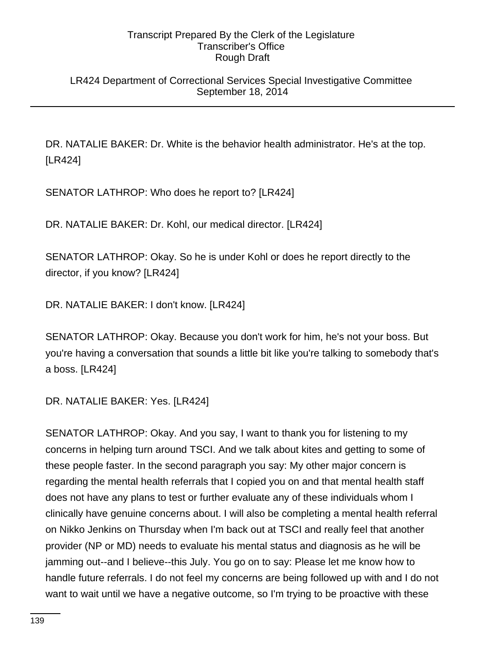LR424 Department of Correctional Services Special Investigative Committee September 18, 2014

DR. NATALIE BAKER: Dr. White is the behavior health administrator. He's at the top. [LR424]

SENATOR LATHROP: Who does he report to? [LR424]

DR. NATALIE BAKER: Dr. Kohl, our medical director. [LR424]

SENATOR LATHROP: Okay. So he is under Kohl or does he report directly to the director, if you know? [LR424]

DR. NATALIE BAKER: I don't know. [LR424]

SENATOR LATHROP: Okay. Because you don't work for him, he's not your boss. But you're having a conversation that sounds a little bit like you're talking to somebody that's a boss. [LR424]

DR. NATALIE BAKER: Yes. [LR424]

SENATOR LATHROP: Okay. And you say, I want to thank you for listening to my concerns in helping turn around TSCI. And we talk about kites and getting to some of these people faster. In the second paragraph you say: My other major concern is regarding the mental health referrals that I copied you on and that mental health staff does not have any plans to test or further evaluate any of these individuals whom I clinically have genuine concerns about. I will also be completing a mental health referral on Nikko Jenkins on Thursday when I'm back out at TSCI and really feel that another provider (NP or MD) needs to evaluate his mental status and diagnosis as he will be jamming out--and I believe--this July. You go on to say: Please let me know how to handle future referrals. I do not feel my concerns are being followed up with and I do not want to wait until we have a negative outcome, so I'm trying to be proactive with these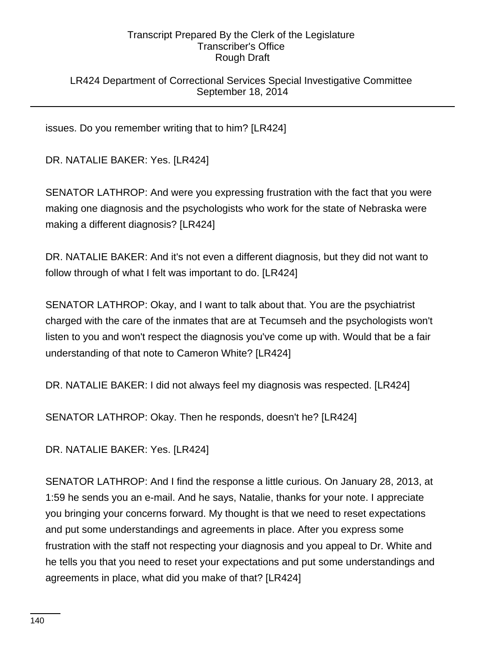# LR424 Department of Correctional Services Special Investigative Committee September 18, 2014

issues. Do you remember writing that to him? [LR424]

DR. NATALIE BAKER: Yes. [LR424]

SENATOR LATHROP: And were you expressing frustration with the fact that you were making one diagnosis and the psychologists who work for the state of Nebraska were making a different diagnosis? [LR424]

DR. NATALIE BAKER: And it's not even a different diagnosis, but they did not want to follow through of what I felt was important to do. [LR424]

SENATOR LATHROP: Okay, and I want to talk about that. You are the psychiatrist charged with the care of the inmates that are at Tecumseh and the psychologists won't listen to you and won't respect the diagnosis you've come up with. Would that be a fair understanding of that note to Cameron White? [LR424]

DR. NATALIE BAKER: I did not always feel my diagnosis was respected. [LR424]

SENATOR LATHROP: Okay. Then he responds, doesn't he? [LR424]

DR. NATALIE BAKER: Yes. [LR424]

SENATOR LATHROP: And I find the response a little curious. On January 28, 2013, at 1:59 he sends you an e-mail. And he says, Natalie, thanks for your note. I appreciate you bringing your concerns forward. My thought is that we need to reset expectations and put some understandings and agreements in place. After you express some frustration with the staff not respecting your diagnosis and you appeal to Dr. White and he tells you that you need to reset your expectations and put some understandings and agreements in place, what did you make of that? [LR424]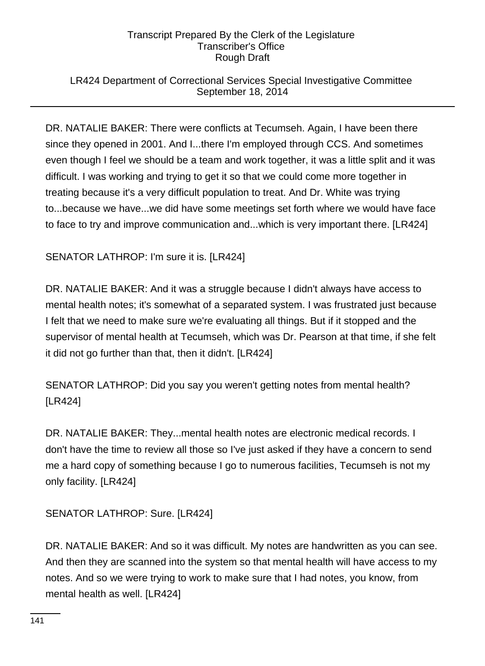# LR424 Department of Correctional Services Special Investigative Committee September 18, 2014

DR. NATALIE BAKER: There were conflicts at Tecumseh. Again, I have been there since they opened in 2001. And I...there I'm employed through CCS. And sometimes even though I feel we should be a team and work together, it was a little split and it was difficult. I was working and trying to get it so that we could come more together in treating because it's a very difficult population to treat. And Dr. White was trying to...because we have...we did have some meetings set forth where we would have face to face to try and improve communication and...which is very important there. [LR424]

# SENATOR LATHROP: I'm sure it is. [LR424]

DR. NATALIE BAKER: And it was a struggle because I didn't always have access to mental health notes; it's somewhat of a separated system. I was frustrated just because I felt that we need to make sure we're evaluating all things. But if it stopped and the supervisor of mental health at Tecumseh, which was Dr. Pearson at that time, if she felt it did not go further than that, then it didn't. [LR424]

SENATOR LATHROP: Did you say you weren't getting notes from mental health? [LR424]

DR. NATALIE BAKER: They...mental health notes are electronic medical records. I don't have the time to review all those so I've just asked if they have a concern to send me a hard copy of something because I go to numerous facilities, Tecumseh is not my only facility. [LR424]

SENATOR LATHROP: Sure. [LR424]

DR. NATALIE BAKER: And so it was difficult. My notes are handwritten as you can see. And then they are scanned into the system so that mental health will have access to my notes. And so we were trying to work to make sure that I had notes, you know, from mental health as well. [LR424]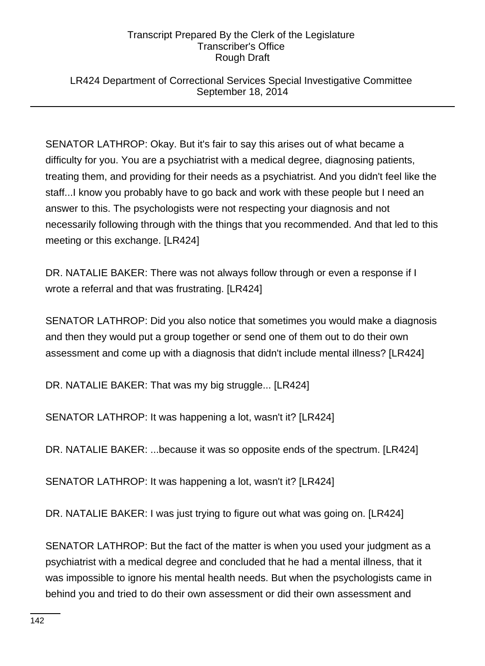### LR424 Department of Correctional Services Special Investigative Committee September 18, 2014

SENATOR LATHROP: Okay. But it's fair to say this arises out of what became a difficulty for you. You are a psychiatrist with a medical degree, diagnosing patients, treating them, and providing for their needs as a psychiatrist. And you didn't feel like the staff...I know you probably have to go back and work with these people but I need an answer to this. The psychologists were not respecting your diagnosis and not necessarily following through with the things that you recommended. And that led to this meeting or this exchange. [LR424]

DR. NATALIE BAKER: There was not always follow through or even a response if I wrote a referral and that was frustrating. [LR424]

SENATOR LATHROP: Did you also notice that sometimes you would make a diagnosis and then they would put a group together or send one of them out to do their own assessment and come up with a diagnosis that didn't include mental illness? [LR424]

DR. NATALIE BAKER: That was my big struggle... [LR424]

SENATOR LATHROP: It was happening a lot, wasn't it? [LR424]

DR. NATALIE BAKER: ...because it was so opposite ends of the spectrum. [LR424]

SENATOR LATHROP: It was happening a lot, wasn't it? [LR424]

DR. NATALIE BAKER: I was just trying to figure out what was going on. [LR424]

SENATOR LATHROP: But the fact of the matter is when you used your judgment as a psychiatrist with a medical degree and concluded that he had a mental illness, that it was impossible to ignore his mental health needs. But when the psychologists came in behind you and tried to do their own assessment or did their own assessment and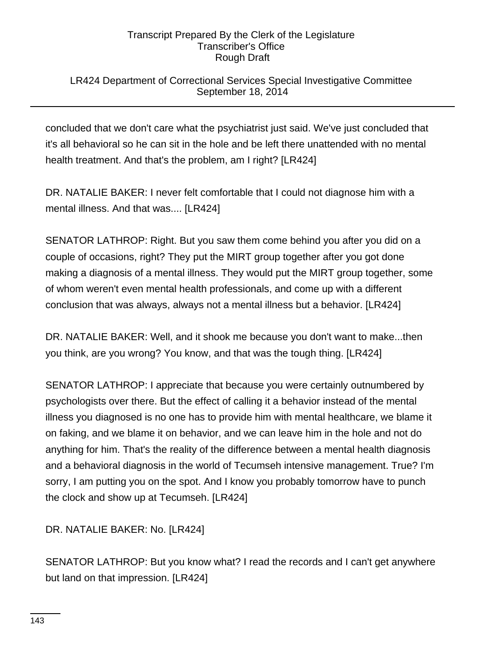# LR424 Department of Correctional Services Special Investigative Committee September 18, 2014

concluded that we don't care what the psychiatrist just said. We've just concluded that it's all behavioral so he can sit in the hole and be left there unattended with no mental health treatment. And that's the problem, am I right? [LR424]

DR. NATALIE BAKER: I never felt comfortable that I could not diagnose him with a mental illness. And that was.... [LR424]

SENATOR LATHROP: Right. But you saw them come behind you after you did on a couple of occasions, right? They put the MIRT group together after you got done making a diagnosis of a mental illness. They would put the MIRT group together, some of whom weren't even mental health professionals, and come up with a different conclusion that was always, always not a mental illness but a behavior. [LR424]

DR. NATALIE BAKER: Well, and it shook me because you don't want to make...then you think, are you wrong? You know, and that was the tough thing. [LR424]

SENATOR LATHROP: I appreciate that because you were certainly outnumbered by psychologists over there. But the effect of calling it a behavior instead of the mental illness you diagnosed is no one has to provide him with mental healthcare, we blame it on faking, and we blame it on behavior, and we can leave him in the hole and not do anything for him. That's the reality of the difference between a mental health diagnosis and a behavioral diagnosis in the world of Tecumseh intensive management. True? I'm sorry, I am putting you on the spot. And I know you probably tomorrow have to punch the clock and show up at Tecumseh. [LR424]

DR. NATALIE BAKER: No. [LR424]

SENATOR LATHROP: But you know what? I read the records and I can't get anywhere but land on that impression. [LR424]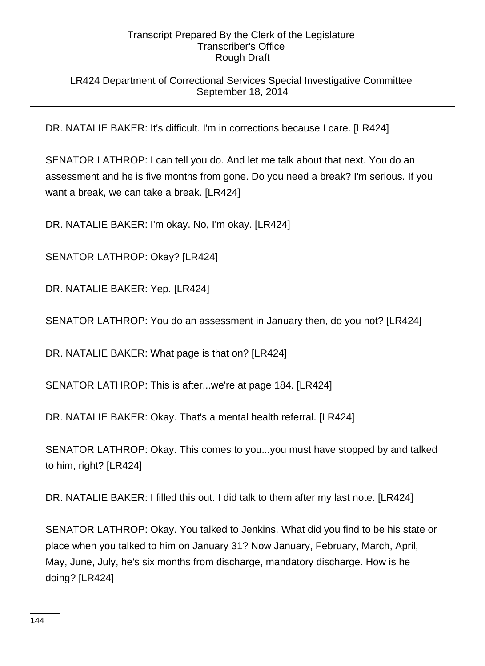# LR424 Department of Correctional Services Special Investigative Committee September 18, 2014

DR. NATALIE BAKER: It's difficult. I'm in corrections because I care. [LR424]

SENATOR LATHROP: I can tell you do. And let me talk about that next. You do an assessment and he is five months from gone. Do you need a break? I'm serious. If you want a break, we can take a break. [LR424]

DR. NATALIE BAKER: I'm okay. No, I'm okay. [LR424]

SENATOR LATHROP: Okay? [LR424]

DR. NATALIE BAKER: Yep. [LR424]

SENATOR LATHROP: You do an assessment in January then, do you not? [LR424]

DR. NATALIE BAKER: What page is that on? [LR424]

SENATOR LATHROP: This is after...we're at page 184. [LR424]

DR. NATALIE BAKER: Okay. That's a mental health referral. [LR424]

SENATOR LATHROP: Okay. This comes to you...you must have stopped by and talked to him, right? [LR424]

DR. NATALIE BAKER: I filled this out. I did talk to them after my last note. [LR424]

SENATOR LATHROP: Okay. You talked to Jenkins. What did you find to be his state or place when you talked to him on January 31? Now January, February, March, April, May, June, July, he's six months from discharge, mandatory discharge. How is he doing? [LR424]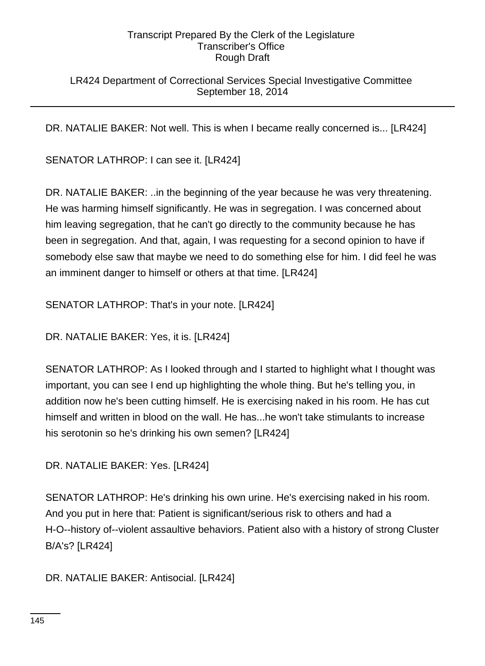## LR424 Department of Correctional Services Special Investigative Committee September 18, 2014

DR. NATALIE BAKER: Not well. This is when I became really concerned is... [LR424]

SENATOR LATHROP: I can see it. [LR424]

DR. NATALIE BAKER: ..in the beginning of the year because he was very threatening. He was harming himself significantly. He was in segregation. I was concerned about him leaving segregation, that he can't go directly to the community because he has been in segregation. And that, again, I was requesting for a second opinion to have if somebody else saw that maybe we need to do something else for him. I did feel he was an imminent danger to himself or others at that time. [LR424]

SENATOR LATHROP: That's in your note. [LR424]

DR. NATALIE BAKER: Yes, it is. [LR424]

SENATOR LATHROP: As I looked through and I started to highlight what I thought was important, you can see I end up highlighting the whole thing. But he's telling you, in addition now he's been cutting himself. He is exercising naked in his room. He has cut himself and written in blood on the wall. He has...he won't take stimulants to increase his serotonin so he's drinking his own semen? [LR424]

DR. NATALIE BAKER: Yes. [LR424]

SENATOR LATHROP: He's drinking his own urine. He's exercising naked in his room. And you put in here that: Patient is significant/serious risk to others and had a H-O--history of--violent assaultive behaviors. Patient also with a history of strong Cluster B/A's? [LR424]

DR. NATALIE BAKER: Antisocial. [LR424]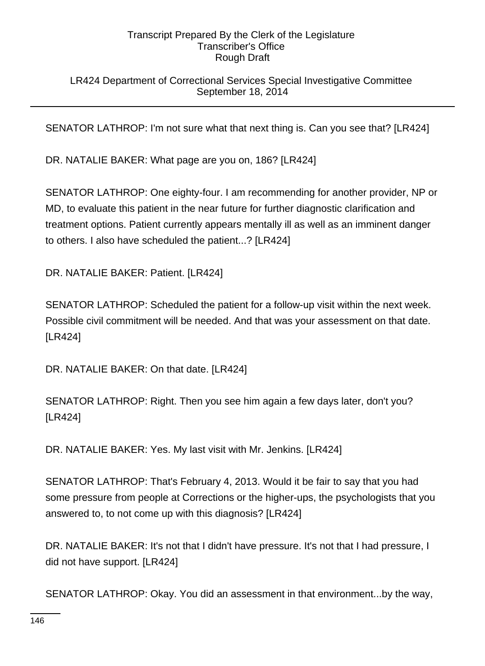## LR424 Department of Correctional Services Special Investigative Committee September 18, 2014

SENATOR LATHROP: I'm not sure what that next thing is. Can you see that? [LR424]

DR. NATALIE BAKER: What page are you on, 186? [LR424]

SENATOR LATHROP: One eighty-four. I am recommending for another provider, NP or MD, to evaluate this patient in the near future for further diagnostic clarification and treatment options. Patient currently appears mentally ill as well as an imminent danger to others. I also have scheduled the patient...? [LR424]

DR. NATALIE BAKER: Patient. [LR424]

SENATOR LATHROP: Scheduled the patient for a follow-up visit within the next week. Possible civil commitment will be needed. And that was your assessment on that date. [LR424]

DR. NATALIE BAKER: On that date. [LR424]

SENATOR LATHROP: Right. Then you see him again a few days later, don't you? [LR424]

DR. NATALIE BAKER: Yes. My last visit with Mr. Jenkins. [LR424]

SENATOR LATHROP: That's February 4, 2013. Would it be fair to say that you had some pressure from people at Corrections or the higher-ups, the psychologists that you answered to, to not come up with this diagnosis? [LR424]

DR. NATALIE BAKER: It's not that I didn't have pressure. It's not that I had pressure, I did not have support. [LR424]

SENATOR LATHROP: Okay. You did an assessment in that environment...by the way,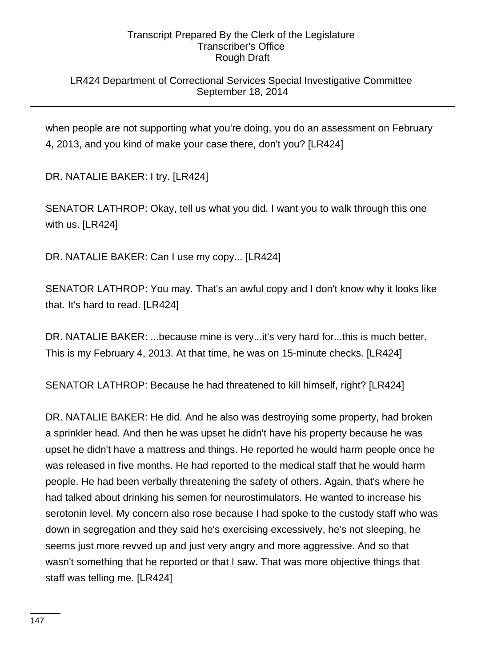## LR424 Department of Correctional Services Special Investigative Committee September 18, 2014

when people are not supporting what you're doing, you do an assessment on February 4, 2013, and you kind of make your case there, don't you? [LR424]

DR. NATALIE BAKER: I try. [LR424]

SENATOR LATHROP: Okay, tell us what you did. I want you to walk through this one with us. [LR424]

DR. NATALIE BAKER: Can I use my copy... [LR424]

SENATOR LATHROP: You may. That's an awful copy and I don't know why it looks like that. It's hard to read. [LR424]

DR. NATALIE BAKER: ...because mine is very...it's very hard for...this is much better. This is my February 4, 2013. At that time, he was on 15-minute checks. [LR424]

SENATOR LATHROP: Because he had threatened to kill himself, right? [LR424]

DR. NATALIE BAKER: He did. And he also was destroying some property, had broken a sprinkler head. And then he was upset he didn't have his property because he was upset he didn't have a mattress and things. He reported he would harm people once he was released in five months. He had reported to the medical staff that he would harm people. He had been verbally threatening the safety of others. Again, that's where he had talked about drinking his semen for neurostimulators. He wanted to increase his serotonin level. My concern also rose because I had spoke to the custody staff who was down in segregation and they said he's exercising excessively, he's not sleeping, he seems just more revved up and just very angry and more aggressive. And so that wasn't something that he reported or that I saw. That was more objective things that staff was telling me. [LR424]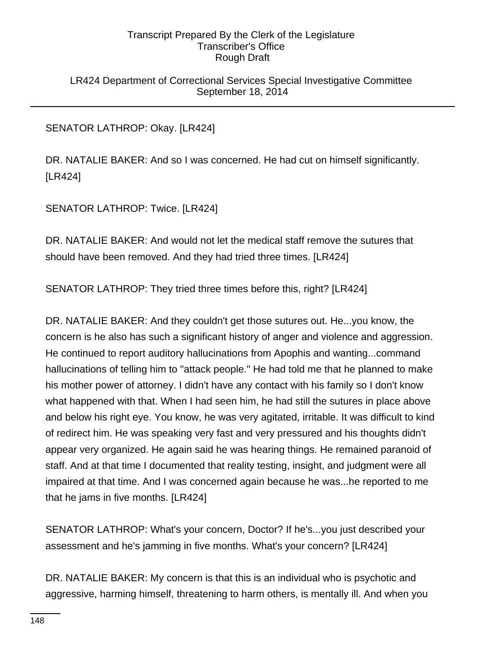LR424 Department of Correctional Services Special Investigative Committee September 18, 2014

# SENATOR LATHROP: Okay. [LR424]

DR. NATALIE BAKER: And so I was concerned. He had cut on himself significantly. [LR424]

SENATOR LATHROP: Twice. [LR424]

DR. NATALIE BAKER: And would not let the medical staff remove the sutures that should have been removed. And they had tried three times. [LR424]

SENATOR LATHROP: They tried three times before this, right? [LR424]

DR. NATALIE BAKER: And they couldn't get those sutures out. He...you know, the concern is he also has such a significant history of anger and violence and aggression. He continued to report auditory hallucinations from Apophis and wanting...command hallucinations of telling him to "attack people." He had told me that he planned to make his mother power of attorney. I didn't have any contact with his family so I don't know what happened with that. When I had seen him, he had still the sutures in place above and below his right eye. You know, he was very agitated, irritable. It was difficult to kind of redirect him. He was speaking very fast and very pressured and his thoughts didn't appear very organized. He again said he was hearing things. He remained paranoid of staff. And at that time I documented that reality testing, insight, and judgment were all impaired at that time. And I was concerned again because he was...he reported to me that he jams in five months. [LR424]

SENATOR LATHROP: What's your concern, Doctor? If he's...you just described your assessment and he's jamming in five months. What's your concern? [LR424]

DR. NATALIE BAKER: My concern is that this is an individual who is psychotic and aggressive, harming himself, threatening to harm others, is mentally ill. And when you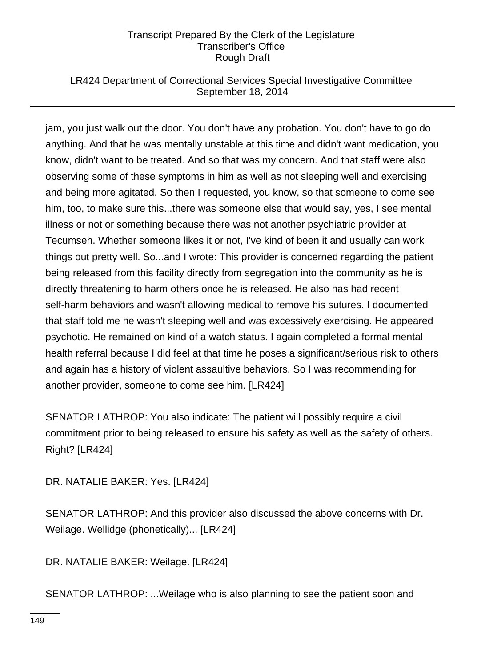## LR424 Department of Correctional Services Special Investigative Committee September 18, 2014

jam, you just walk out the door. You don't have any probation. You don't have to go do anything. And that he was mentally unstable at this time and didn't want medication, you know, didn't want to be treated. And so that was my concern. And that staff were also observing some of these symptoms in him as well as not sleeping well and exercising and being more agitated. So then I requested, you know, so that someone to come see him, too, to make sure this...there was someone else that would say, yes, I see mental illness or not or something because there was not another psychiatric provider at Tecumseh. Whether someone likes it or not, I've kind of been it and usually can work things out pretty well. So...and I wrote: This provider is concerned regarding the patient being released from this facility directly from segregation into the community as he is directly threatening to harm others once he is released. He also has had recent self-harm behaviors and wasn't allowing medical to remove his sutures. I documented that staff told me he wasn't sleeping well and was excessively exercising. He appeared psychotic. He remained on kind of a watch status. I again completed a formal mental health referral because I did feel at that time he poses a significant/serious risk to others and again has a history of violent assaultive behaviors. So I was recommending for another provider, someone to come see him. [LR424]

SENATOR LATHROP: You also indicate: The patient will possibly require a civil commitment prior to being released to ensure his safety as well as the safety of others. Right? [LR424]

DR. NATALIE BAKER: Yes. [LR424]

SENATOR LATHROP: And this provider also discussed the above concerns with Dr. Weilage. Wellidge (phonetically)... [LR424]

DR. NATALIE BAKER: Weilage. [LR424]

SENATOR LATHROP: ...Weilage who is also planning to see the patient soon and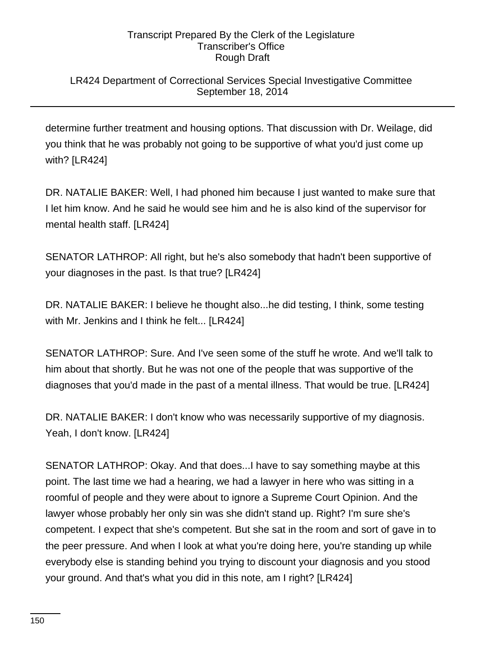## LR424 Department of Correctional Services Special Investigative Committee September 18, 2014

determine further treatment and housing options. That discussion with Dr. Weilage, did you think that he was probably not going to be supportive of what you'd just come up with? [LR424]

DR. NATALIE BAKER: Well, I had phoned him because I just wanted to make sure that I let him know. And he said he would see him and he is also kind of the supervisor for mental health staff. [LR424]

SENATOR LATHROP: All right, but he's also somebody that hadn't been supportive of your diagnoses in the past. Is that true? [LR424]

DR. NATALIE BAKER: I believe he thought also...he did testing, I think, some testing with Mr. Jenkins and I think he felt... [LR424]

SENATOR LATHROP: Sure. And I've seen some of the stuff he wrote. And we'll talk to him about that shortly. But he was not one of the people that was supportive of the diagnoses that you'd made in the past of a mental illness. That would be true. [LR424]

DR. NATALIE BAKER: I don't know who was necessarily supportive of my diagnosis. Yeah, I don't know. [LR424]

SENATOR LATHROP: Okay. And that does...I have to say something maybe at this point. The last time we had a hearing, we had a lawyer in here who was sitting in a roomful of people and they were about to ignore a Supreme Court Opinion. And the lawyer whose probably her only sin was she didn't stand up. Right? I'm sure she's competent. I expect that she's competent. But she sat in the room and sort of gave in to the peer pressure. And when I look at what you're doing here, you're standing up while everybody else is standing behind you trying to discount your diagnosis and you stood your ground. And that's what you did in this note, am I right? [LR424]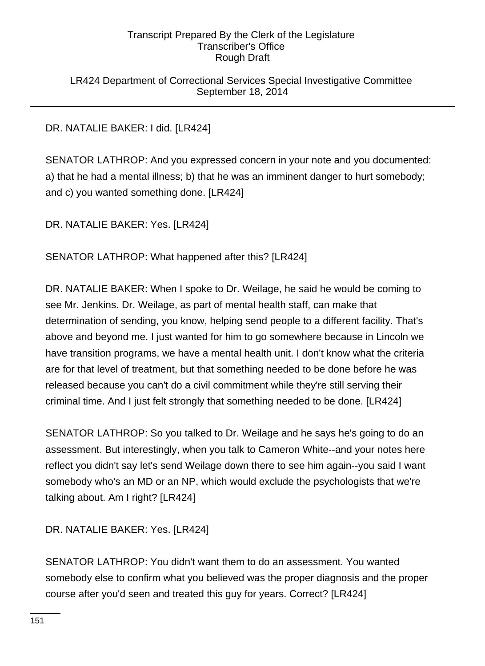LR424 Department of Correctional Services Special Investigative Committee September 18, 2014

## DR. NATALIE BAKER: I did. [LR424]

SENATOR LATHROP: And you expressed concern in your note and you documented: a) that he had a mental illness; b) that he was an imminent danger to hurt somebody; and c) you wanted something done. [LR424]

DR. NATALIE BAKER: Yes. [LR424]

SENATOR LATHROP: What happened after this? [LR424]

DR. NATALIE BAKER: When I spoke to Dr. Weilage, he said he would be coming to see Mr. Jenkins. Dr. Weilage, as part of mental health staff, can make that determination of sending, you know, helping send people to a different facility. That's above and beyond me. I just wanted for him to go somewhere because in Lincoln we have transition programs, we have a mental health unit. I don't know what the criteria are for that level of treatment, but that something needed to be done before he was released because you can't do a civil commitment while they're still serving their criminal time. And I just felt strongly that something needed to be done. [LR424]

SENATOR LATHROP: So you talked to Dr. Weilage and he says he's going to do an assessment. But interestingly, when you talk to Cameron White--and your notes here reflect you didn't say let's send Weilage down there to see him again--you said I want somebody who's an MD or an NP, which would exclude the psychologists that we're talking about. Am I right? [LR424]

DR. NATALIE BAKER: Yes. [LR424]

SENATOR LATHROP: You didn't want them to do an assessment. You wanted somebody else to confirm what you believed was the proper diagnosis and the proper course after you'd seen and treated this guy for years. Correct? [LR424]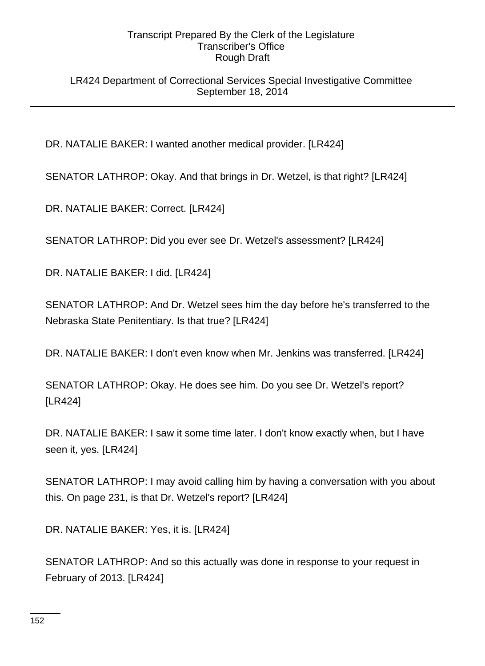LR424 Department of Correctional Services Special Investigative Committee September 18, 2014

DR. NATALIE BAKER: I wanted another medical provider. [LR424]

SENATOR LATHROP: Okay. And that brings in Dr. Wetzel, is that right? [LR424]

DR. NATALIE BAKER: Correct. [LR424]

SENATOR LATHROP: Did you ever see Dr. Wetzel's assessment? [LR424]

DR. NATALIE BAKER: I did. [LR424]

SENATOR LATHROP: And Dr. Wetzel sees him the day before he's transferred to the Nebraska State Penitentiary. Is that true? [LR424]

DR. NATALIE BAKER: I don't even know when Mr. Jenkins was transferred. [LR424]

SENATOR LATHROP: Okay. He does see him. Do you see Dr. Wetzel's report? [LR424]

DR. NATALIE BAKER: I saw it some time later. I don't know exactly when, but I have seen it, yes. [LR424]

SENATOR LATHROP: I may avoid calling him by having a conversation with you about this. On page 231, is that Dr. Wetzel's report? [LR424]

DR. NATALIE BAKER: Yes, it is. [LR424]

SENATOR LATHROP: And so this actually was done in response to your request in February of 2013. [LR424]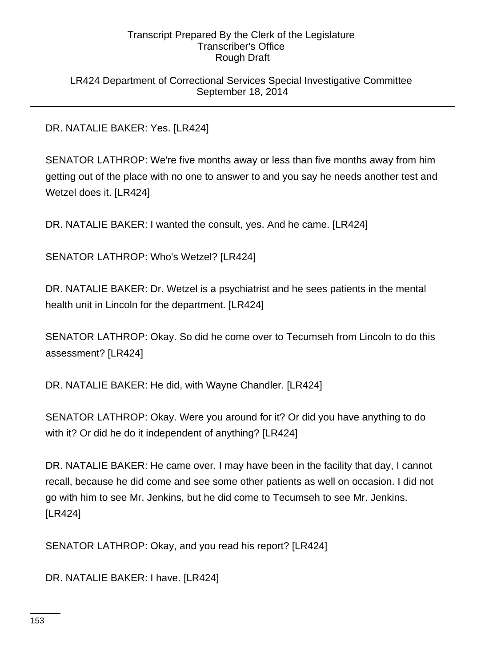LR424 Department of Correctional Services Special Investigative Committee September 18, 2014

DR. NATALIE BAKER: Yes. [LR424]

SENATOR LATHROP: We're five months away or less than five months away from him getting out of the place with no one to answer to and you say he needs another test and Wetzel does it. [LR424]

DR. NATALIE BAKER: I wanted the consult, yes. And he came. [LR424]

SENATOR LATHROP: Who's Wetzel? [LR424]

DR. NATALIE BAKER: Dr. Wetzel is a psychiatrist and he sees patients in the mental health unit in Lincoln for the department. [LR424]

SENATOR LATHROP: Okay. So did he come over to Tecumseh from Lincoln to do this assessment? [LR424]

DR. NATALIE BAKER: He did, with Wayne Chandler. [LR424]

SENATOR LATHROP: Okay. Were you around for it? Or did you have anything to do with it? Or did he do it independent of anything? [LR424]

DR. NATALIE BAKER: He came over. I may have been in the facility that day, I cannot recall, because he did come and see some other patients as well on occasion. I did not go with him to see Mr. Jenkins, but he did come to Tecumseh to see Mr. Jenkins. [LR424]

SENATOR LATHROP: Okay, and you read his report? [LR424]

DR. NATALIE BAKER: I have. [LR424]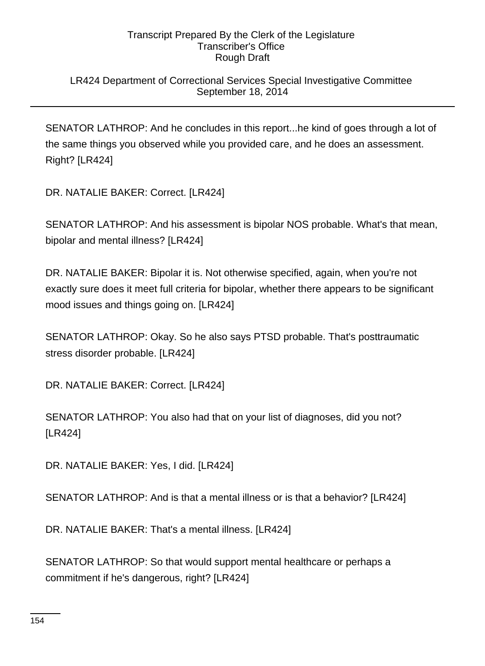## LR424 Department of Correctional Services Special Investigative Committee September 18, 2014

SENATOR LATHROP: And he concludes in this report...he kind of goes through a lot of the same things you observed while you provided care, and he does an assessment. Right? [LR424]

DR. NATALIE BAKER: Correct. [LR424]

SENATOR LATHROP: And his assessment is bipolar NOS probable. What's that mean, bipolar and mental illness? [LR424]

DR. NATALIE BAKER: Bipolar it is. Not otherwise specified, again, when you're not exactly sure does it meet full criteria for bipolar, whether there appears to be significant mood issues and things going on. [LR424]

SENATOR LATHROP: Okay. So he also says PTSD probable. That's posttraumatic stress disorder probable. [LR424]

DR. NATALIE BAKER: Correct. [LR424]

SENATOR LATHROP: You also had that on your list of diagnoses, did you not? [LR424]

DR. NATALIE BAKER: Yes, I did. [LR424]

SENATOR LATHROP: And is that a mental illness or is that a behavior? [LR424]

DR. NATALIE BAKER: That's a mental illness. [LR424]

SENATOR LATHROP: So that would support mental healthcare or perhaps a commitment if he's dangerous, right? [LR424]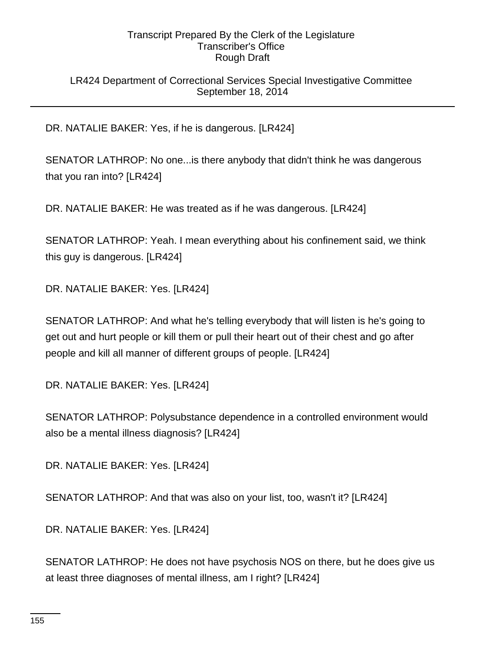## LR424 Department of Correctional Services Special Investigative Committee September 18, 2014

DR. NATALIE BAKER: Yes, if he is dangerous. [LR424]

SENATOR LATHROP: No one...is there anybody that didn't think he was dangerous that you ran into? [LR424]

DR. NATALIE BAKER: He was treated as if he was dangerous. [LR424]

SENATOR LATHROP: Yeah. I mean everything about his confinement said, we think this guy is dangerous. [LR424]

DR. NATALIE BAKER: Yes. [LR424]

SENATOR LATHROP: And what he's telling everybody that will listen is he's going to get out and hurt people or kill them or pull their heart out of their chest and go after people and kill all manner of different groups of people. [LR424]

DR. NATALIE BAKER: Yes. [LR424]

SENATOR LATHROP: Polysubstance dependence in a controlled environment would also be a mental illness diagnosis? [LR424]

DR. NATALIE BAKER: Yes. [LR424]

SENATOR LATHROP: And that was also on your list, too, wasn't it? [LR424]

DR. NATALIE BAKER: Yes. [LR424]

SENATOR LATHROP: He does not have psychosis NOS on there, but he does give us at least three diagnoses of mental illness, am I right? [LR424]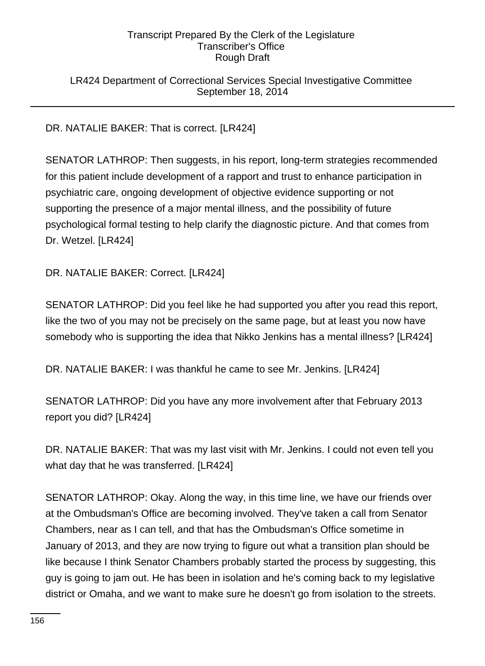## LR424 Department of Correctional Services Special Investigative Committee September 18, 2014

# DR. NATALIE BAKER: That is correct. [LR424]

SENATOR LATHROP: Then suggests, in his report, long-term strategies recommended for this patient include development of a rapport and trust to enhance participation in psychiatric care, ongoing development of objective evidence supporting or not supporting the presence of a major mental illness, and the possibility of future psychological formal testing to help clarify the diagnostic picture. And that comes from Dr. Wetzel. [LR424]

DR. NATALIE BAKER: Correct. [LR424]

SENATOR LATHROP: Did you feel like he had supported you after you read this report, like the two of you may not be precisely on the same page, but at least you now have somebody who is supporting the idea that Nikko Jenkins has a mental illness? [LR424]

DR. NATALIE BAKER: I was thankful he came to see Mr. Jenkins. [LR424]

SENATOR LATHROP: Did you have any more involvement after that February 2013 report you did? [LR424]

DR. NATALIE BAKER: That was my last visit with Mr. Jenkins. I could not even tell you what day that he was transferred. [LR424]

SENATOR LATHROP: Okay. Along the way, in this time line, we have our friends over at the Ombudsman's Office are becoming involved. They've taken a call from Senator Chambers, near as I can tell, and that has the Ombudsman's Office sometime in January of 2013, and they are now trying to figure out what a transition plan should be like because I think Senator Chambers probably started the process by suggesting, this guy is going to jam out. He has been in isolation and he's coming back to my legislative district or Omaha, and we want to make sure he doesn't go from isolation to the streets.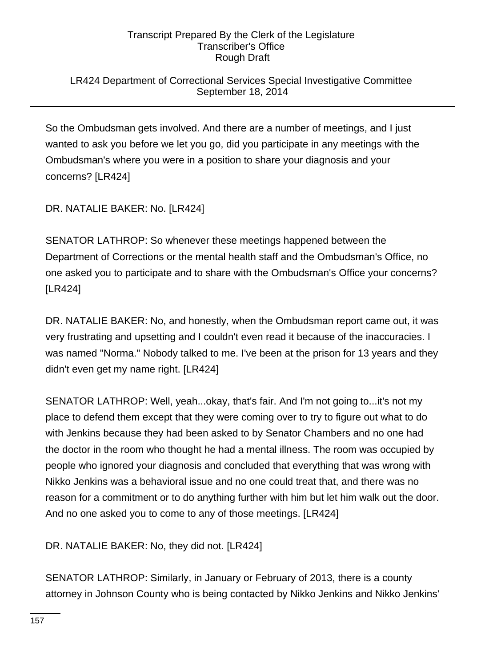## LR424 Department of Correctional Services Special Investigative Committee September 18, 2014

So the Ombudsman gets involved. And there are a number of meetings, and I just wanted to ask you before we let you go, did you participate in any meetings with the Ombudsman's where you were in a position to share your diagnosis and your concerns? [LR424]

DR. NATALIE BAKER: No. [LR424]

SENATOR LATHROP: So whenever these meetings happened between the Department of Corrections or the mental health staff and the Ombudsman's Office, no one asked you to participate and to share with the Ombudsman's Office your concerns? [LR424]

DR. NATALIE BAKER: No, and honestly, when the Ombudsman report came out, it was very frustrating and upsetting and I couldn't even read it because of the inaccuracies. I was named "Norma." Nobody talked to me. I've been at the prison for 13 years and they didn't even get my name right. [LR424]

SENATOR LATHROP: Well, yeah...okay, that's fair. And I'm not going to...it's not my place to defend them except that they were coming over to try to figure out what to do with Jenkins because they had been asked to by Senator Chambers and no one had the doctor in the room who thought he had a mental illness. The room was occupied by people who ignored your diagnosis and concluded that everything that was wrong with Nikko Jenkins was a behavioral issue and no one could treat that, and there was no reason for a commitment or to do anything further with him but let him walk out the door. And no one asked you to come to any of those meetings. [LR424]

DR. NATALIE BAKER: No, they did not. [LR424]

SENATOR LATHROP: Similarly, in January or February of 2013, there is a county attorney in Johnson County who is being contacted by Nikko Jenkins and Nikko Jenkins'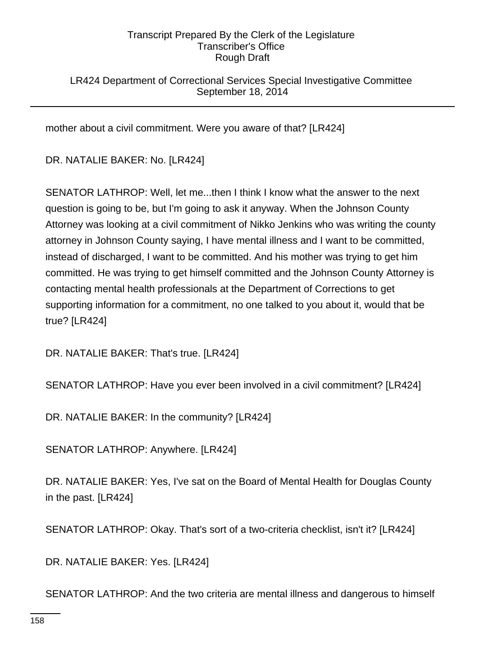LR424 Department of Correctional Services Special Investigative Committee September 18, 2014

mother about a civil commitment. Were you aware of that? [LR424]

DR. NATALIE BAKER: No. [LR424]

SENATOR LATHROP: Well, let me...then I think I know what the answer to the next question is going to be, but I'm going to ask it anyway. When the Johnson County Attorney was looking at a civil commitment of Nikko Jenkins who was writing the county attorney in Johnson County saying, I have mental illness and I want to be committed, instead of discharged, I want to be committed. And his mother was trying to get him committed. He was trying to get himself committed and the Johnson County Attorney is contacting mental health professionals at the Department of Corrections to get supporting information for a commitment, no one talked to you about it, would that be true? [LR424]

DR. NATALIE BAKER: That's true. [LR424]

SENATOR LATHROP: Have you ever been involved in a civil commitment? [LR424]

DR. NATALIE BAKER: In the community? [LR424]

SENATOR LATHROP: Anywhere. [LR424]

DR. NATALIE BAKER: Yes, I've sat on the Board of Mental Health for Douglas County in the past. [LR424]

SENATOR LATHROP: Okay. That's sort of a two-criteria checklist, isn't it? [LR424]

DR. NATALIE BAKER: Yes. [LR424]

SENATOR LATHROP: And the two criteria are mental illness and dangerous to himself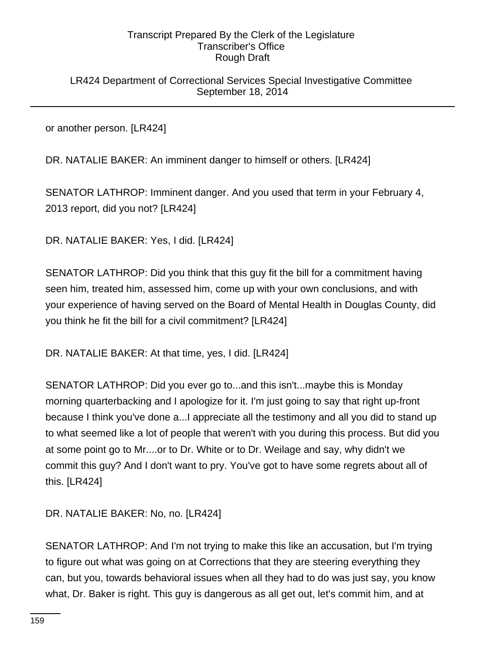LR424 Department of Correctional Services Special Investigative Committee September 18, 2014

or another person. [LR424]

DR. NATALIE BAKER: An imminent danger to himself or others. [LR424]

SENATOR LATHROP: Imminent danger. And you used that term in your February 4, 2013 report, did you not? [LR424]

DR. NATALIE BAKER: Yes, I did. [LR424]

SENATOR LATHROP: Did you think that this guy fit the bill for a commitment having seen him, treated him, assessed him, come up with your own conclusions, and with your experience of having served on the Board of Mental Health in Douglas County, did you think he fit the bill for a civil commitment? [LR424]

DR. NATALIE BAKER: At that time, yes, I did. [LR424]

SENATOR LATHROP: Did you ever go to...and this isn't...maybe this is Monday morning quarterbacking and I apologize for it. I'm just going to say that right up-front because I think you've done a...I appreciate all the testimony and all you did to stand up to what seemed like a lot of people that weren't with you during this process. But did you at some point go to Mr....or to Dr. White or to Dr. Weilage and say, why didn't we commit this guy? And I don't want to pry. You've got to have some regrets about all of this. [LR424]

DR. NATALIE BAKER: No, no. [LR424]

SENATOR LATHROP: And I'm not trying to make this like an accusation, but I'm trying to figure out what was going on at Corrections that they are steering everything they can, but you, towards behavioral issues when all they had to do was just say, you know what, Dr. Baker is right. This guy is dangerous as all get out, let's commit him, and at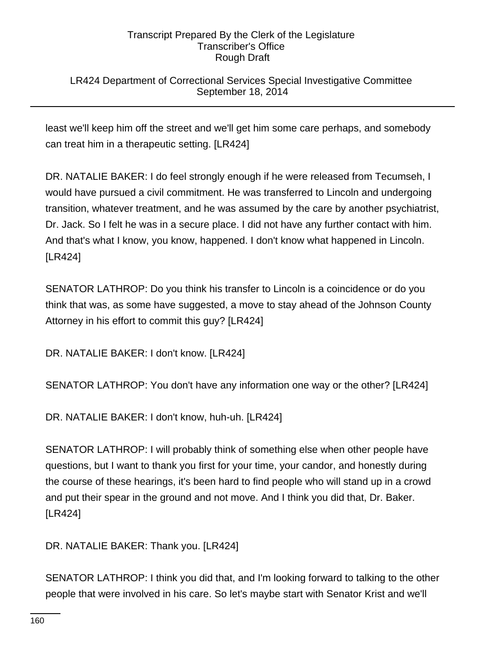## LR424 Department of Correctional Services Special Investigative Committee September 18, 2014

least we'll keep him off the street and we'll get him some care perhaps, and somebody can treat him in a therapeutic setting. [LR424]

DR. NATALIE BAKER: I do feel strongly enough if he were released from Tecumseh, I would have pursued a civil commitment. He was transferred to Lincoln and undergoing transition, whatever treatment, and he was assumed by the care by another psychiatrist, Dr. Jack. So I felt he was in a secure place. I did not have any further contact with him. And that's what I know, you know, happened. I don't know what happened in Lincoln. [LR424]

SENATOR LATHROP: Do you think his transfer to Lincoln is a coincidence or do you think that was, as some have suggested, a move to stay ahead of the Johnson County Attorney in his effort to commit this guy? [LR424]

DR. NATALIE BAKER: I don't know. [LR424]

SENATOR LATHROP: You don't have any information one way or the other? [LR424]

DR. NATALIE BAKER: I don't know, huh-uh. [LR424]

SENATOR LATHROP: I will probably think of something else when other people have questions, but I want to thank you first for your time, your candor, and honestly during the course of these hearings, it's been hard to find people who will stand up in a crowd and put their spear in the ground and not move. And I think you did that, Dr. Baker. [LR424]

DR. NATALIE BAKER: Thank you. [LR424]

SENATOR LATHROP: I think you did that, and I'm looking forward to talking to the other people that were involved in his care. So let's maybe start with Senator Krist and we'll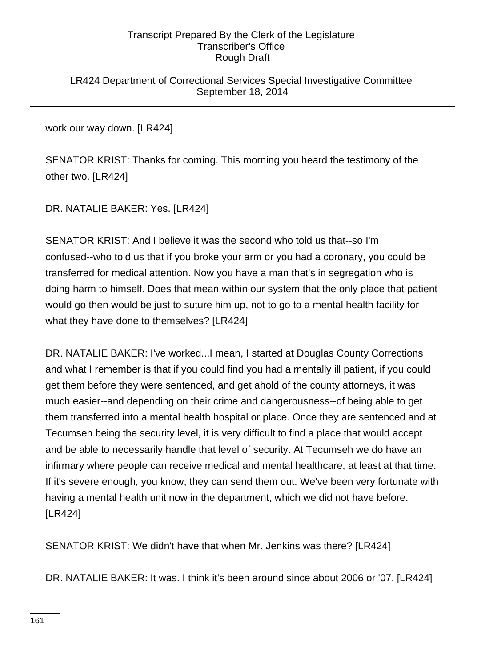LR424 Department of Correctional Services Special Investigative Committee September 18, 2014

work our way down. [LR424]

SENATOR KRIST: Thanks for coming. This morning you heard the testimony of the other two. [LR424]

DR. NATALIE BAKER: Yes. [LR424]

SENATOR KRIST: And I believe it was the second who told us that--so I'm confused--who told us that if you broke your arm or you had a coronary, you could be transferred for medical attention. Now you have a man that's in segregation who is doing harm to himself. Does that mean within our system that the only place that patient would go then would be just to suture him up, not to go to a mental health facility for what they have done to themselves? [LR424]

DR. NATALIE BAKER: I've worked...I mean, I started at Douglas County Corrections and what I remember is that if you could find you had a mentally ill patient, if you could get them before they were sentenced, and get ahold of the county attorneys, it was much easier--and depending on their crime and dangerousness--of being able to get them transferred into a mental health hospital or place. Once they are sentenced and at Tecumseh being the security level, it is very difficult to find a place that would accept and be able to necessarily handle that level of security. At Tecumseh we do have an infirmary where people can receive medical and mental healthcare, at least at that time. If it's severe enough, you know, they can send them out. We've been very fortunate with having a mental health unit now in the department, which we did not have before. [LR424]

SENATOR KRIST: We didn't have that when Mr. Jenkins was there? [LR424]

DR. NATALIE BAKER: It was. I think it's been around since about 2006 or '07. [LR424]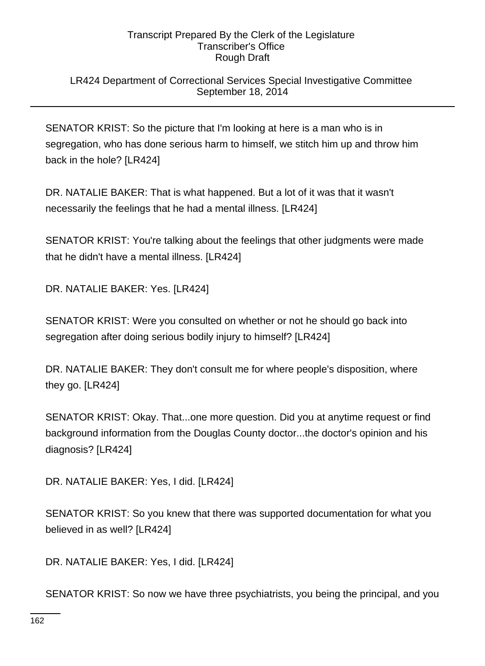## LR424 Department of Correctional Services Special Investigative Committee September 18, 2014

SENATOR KRIST: So the picture that I'm looking at here is a man who is in segregation, who has done serious harm to himself, we stitch him up and throw him back in the hole? [LR424]

DR. NATALIE BAKER: That is what happened. But a lot of it was that it wasn't necessarily the feelings that he had a mental illness. [LR424]

SENATOR KRIST: You're talking about the feelings that other judgments were made that he didn't have a mental illness. [LR424]

DR. NATALIE BAKER: Yes. [LR424]

SENATOR KRIST: Were you consulted on whether or not he should go back into segregation after doing serious bodily injury to himself? [LR424]

DR. NATALIE BAKER: They don't consult me for where people's disposition, where they go. [LR424]

SENATOR KRIST: Okay. That...one more question. Did you at anytime request or find background information from the Douglas County doctor...the doctor's opinion and his diagnosis? [LR424]

DR. NATALIE BAKER: Yes, I did. [LR424]

SENATOR KRIST: So you knew that there was supported documentation for what you believed in as well? [LR424]

DR. NATALIE BAKER: Yes, I did. [LR424]

SENATOR KRIST: So now we have three psychiatrists, you being the principal, and you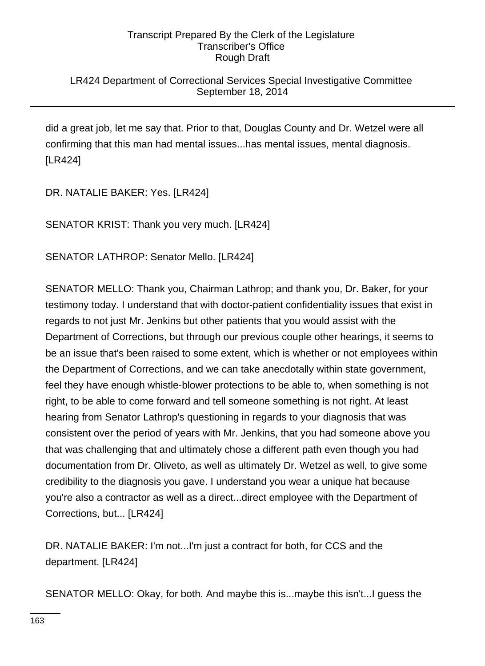LR424 Department of Correctional Services Special Investigative Committee September 18, 2014

did a great job, let me say that. Prior to that, Douglas County and Dr. Wetzel were all confirming that this man had mental issues...has mental issues, mental diagnosis. [LR424]

DR. NATALIE BAKER: Yes. [LR424]

SENATOR KRIST: Thank you very much. [LR424]

SENATOR LATHROP: Senator Mello. [LR424]

SENATOR MELLO: Thank you, Chairman Lathrop; and thank you, Dr. Baker, for your testimony today. I understand that with doctor-patient confidentiality issues that exist in regards to not just Mr. Jenkins but other patients that you would assist with the Department of Corrections, but through our previous couple other hearings, it seems to be an issue that's been raised to some extent, which is whether or not employees within the Department of Corrections, and we can take anecdotally within state government, feel they have enough whistle-blower protections to be able to, when something is not right, to be able to come forward and tell someone something is not right. At least hearing from Senator Lathrop's questioning in regards to your diagnosis that was consistent over the period of years with Mr. Jenkins, that you had someone above you that was challenging that and ultimately chose a different path even though you had documentation from Dr. Oliveto, as well as ultimately Dr. Wetzel as well, to give some credibility to the diagnosis you gave. I understand you wear a unique hat because you're also a contractor as well as a direct...direct employee with the Department of Corrections, but... [LR424]

DR. NATALIE BAKER: I'm not...I'm just a contract for both, for CCS and the department. [LR424]

SENATOR MELLO: Okay, for both. And maybe this is...maybe this isn't...I guess the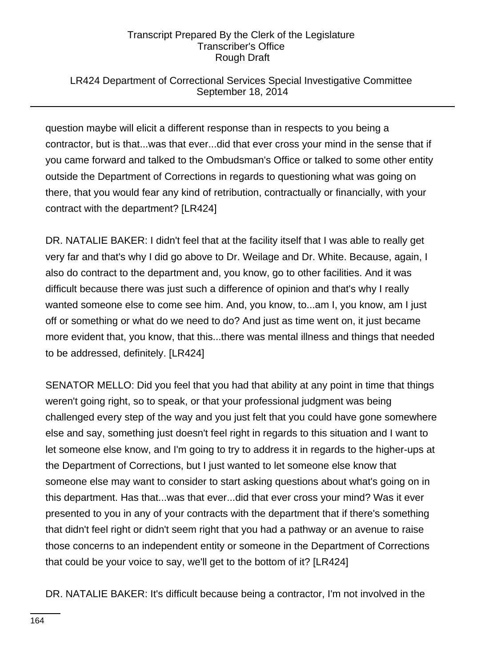## LR424 Department of Correctional Services Special Investigative Committee September 18, 2014

question maybe will elicit a different response than in respects to you being a contractor, but is that...was that ever...did that ever cross your mind in the sense that if you came forward and talked to the Ombudsman's Office or talked to some other entity outside the Department of Corrections in regards to questioning what was going on there, that you would fear any kind of retribution, contractually or financially, with your contract with the department? [LR424]

DR. NATALIE BAKER: I didn't feel that at the facility itself that I was able to really get very far and that's why I did go above to Dr. Weilage and Dr. White. Because, again, I also do contract to the department and, you know, go to other facilities. And it was difficult because there was just such a difference of opinion and that's why I really wanted someone else to come see him. And, you know, to...am I, you know, am I just off or something or what do we need to do? And just as time went on, it just became more evident that, you know, that this...there was mental illness and things that needed to be addressed, definitely. [LR424]

SENATOR MELLO: Did you feel that you had that ability at any point in time that things weren't going right, so to speak, or that your professional judgment was being challenged every step of the way and you just felt that you could have gone somewhere else and say, something just doesn't feel right in regards to this situation and I want to let someone else know, and I'm going to try to address it in regards to the higher-ups at the Department of Corrections, but I just wanted to let someone else know that someone else may want to consider to start asking questions about what's going on in this department. Has that...was that ever...did that ever cross your mind? Was it ever presented to you in any of your contracts with the department that if there's something that didn't feel right or didn't seem right that you had a pathway or an avenue to raise those concerns to an independent entity or someone in the Department of Corrections that could be your voice to say, we'll get to the bottom of it? [LR424]

DR. NATALIE BAKER: It's difficult because being a contractor, I'm not involved in the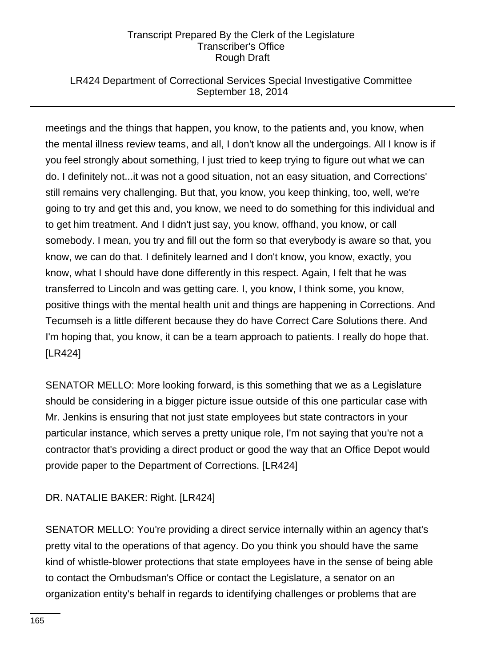## LR424 Department of Correctional Services Special Investigative Committee September 18, 2014

meetings and the things that happen, you know, to the patients and, you know, when the mental illness review teams, and all, I don't know all the undergoings. All I know is if you feel strongly about something, I just tried to keep trying to figure out what we can do. I definitely not...it was not a good situation, not an easy situation, and Corrections' still remains very challenging. But that, you know, you keep thinking, too, well, we're going to try and get this and, you know, we need to do something for this individual and to get him treatment. And I didn't just say, you know, offhand, you know, or call somebody. I mean, you try and fill out the form so that everybody is aware so that, you know, we can do that. I definitely learned and I don't know, you know, exactly, you know, what I should have done differently in this respect. Again, I felt that he was transferred to Lincoln and was getting care. I, you know, I think some, you know, positive things with the mental health unit and things are happening in Corrections. And Tecumseh is a little different because they do have Correct Care Solutions there. And I'm hoping that, you know, it can be a team approach to patients. I really do hope that. [LR424]

SENATOR MELLO: More looking forward, is this something that we as a Legislature should be considering in a bigger picture issue outside of this one particular case with Mr. Jenkins is ensuring that not just state employees but state contractors in your particular instance, which serves a pretty unique role, I'm not saying that you're not a contractor that's providing a direct product or good the way that an Office Depot would provide paper to the Department of Corrections. [LR424]

## DR. NATALIE BAKER: Right. [LR424]

SENATOR MELLO: You're providing a direct service internally within an agency that's pretty vital to the operations of that agency. Do you think you should have the same kind of whistle-blower protections that state employees have in the sense of being able to contact the Ombudsman's Office or contact the Legislature, a senator on an organization entity's behalf in regards to identifying challenges or problems that are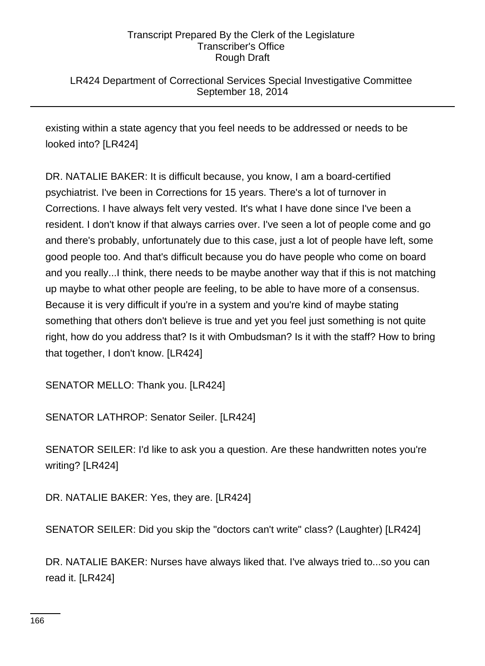## LR424 Department of Correctional Services Special Investigative Committee September 18, 2014

existing within a state agency that you feel needs to be addressed or needs to be looked into? [LR424]

DR. NATALIE BAKER: It is difficult because, you know, I am a board-certified psychiatrist. I've been in Corrections for 15 years. There's a lot of turnover in Corrections. I have always felt very vested. It's what I have done since I've been a resident. I don't know if that always carries over. I've seen a lot of people come and go and there's probably, unfortunately due to this case, just a lot of people have left, some good people too. And that's difficult because you do have people who come on board and you really...I think, there needs to be maybe another way that if this is not matching up maybe to what other people are feeling, to be able to have more of a consensus. Because it is very difficult if you're in a system and you're kind of maybe stating something that others don't believe is true and yet you feel just something is not quite right, how do you address that? Is it with Ombudsman? Is it with the staff? How to bring that together, I don't know. [LR424]

SENATOR MELLO: Thank you. [LR424]

SENATOR LATHROP: Senator Seiler. [LR424]

SENATOR SEILER: I'd like to ask you a question. Are these handwritten notes you're writing? [LR424]

DR. NATALIE BAKER: Yes, they are. [LR424]

SENATOR SEILER: Did you skip the "doctors can't write" class? (Laughter) [LR424]

DR. NATALIE BAKER: Nurses have always liked that. I've always tried to...so you can read it. [LR424]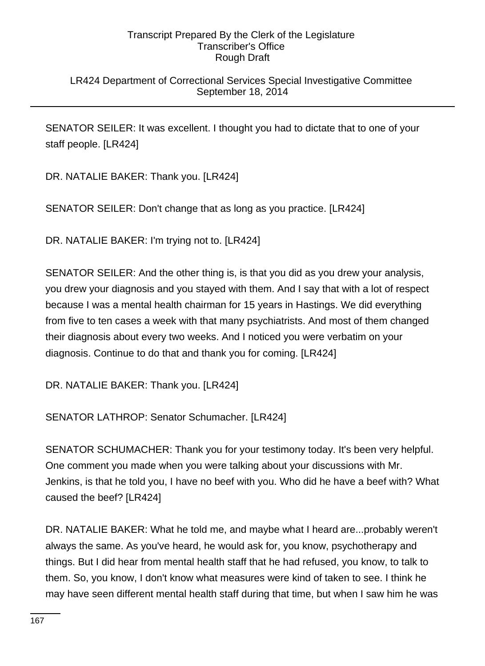## LR424 Department of Correctional Services Special Investigative Committee September 18, 2014

SENATOR SEILER: It was excellent. I thought you had to dictate that to one of your staff people. [LR424]

DR. NATALIE BAKER: Thank you. [LR424]

SENATOR SEILER: Don't change that as long as you practice. [LR424]

DR. NATALIE BAKER: I'm trying not to. [LR424]

SENATOR SEILER: And the other thing is, is that you did as you drew your analysis, you drew your diagnosis and you stayed with them. And I say that with a lot of respect because I was a mental health chairman for 15 years in Hastings. We did everything from five to ten cases a week with that many psychiatrists. And most of them changed their diagnosis about every two weeks. And I noticed you were verbatim on your diagnosis. Continue to do that and thank you for coming. [LR424]

DR. NATALIE BAKER: Thank you. [LR424]

SENATOR LATHROP: Senator Schumacher. [LR424]

SENATOR SCHUMACHER: Thank you for your testimony today. It's been very helpful. One comment you made when you were talking about your discussions with Mr. Jenkins, is that he told you, I have no beef with you. Who did he have a beef with? What caused the beef? [LR424]

DR. NATALIE BAKER: What he told me, and maybe what I heard are...probably weren't always the same. As you've heard, he would ask for, you know, psychotherapy and things. But I did hear from mental health staff that he had refused, you know, to talk to them. So, you know, I don't know what measures were kind of taken to see. I think he may have seen different mental health staff during that time, but when I saw him he was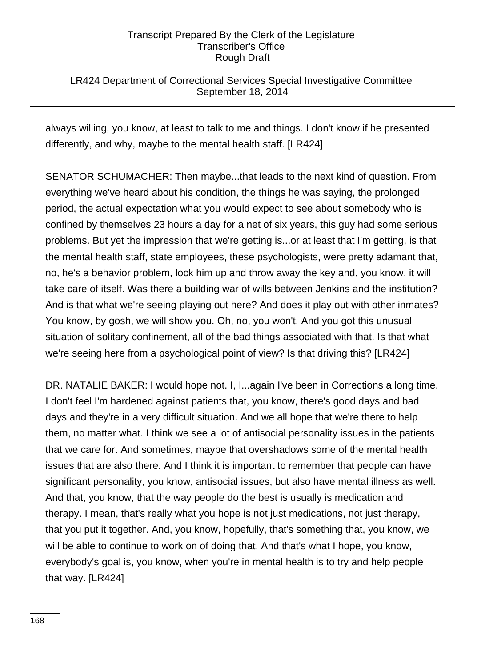## LR424 Department of Correctional Services Special Investigative Committee September 18, 2014

always willing, you know, at least to talk to me and things. I don't know if he presented differently, and why, maybe to the mental health staff. [LR424]

SENATOR SCHUMACHER: Then maybe...that leads to the next kind of question. From everything we've heard about his condition, the things he was saying, the prolonged period, the actual expectation what you would expect to see about somebody who is confined by themselves 23 hours a day for a net of six years, this guy had some serious problems. But yet the impression that we're getting is...or at least that I'm getting, is that the mental health staff, state employees, these psychologists, were pretty adamant that, no, he's a behavior problem, lock him up and throw away the key and, you know, it will take care of itself. Was there a building war of wills between Jenkins and the institution? And is that what we're seeing playing out here? And does it play out with other inmates? You know, by gosh, we will show you. Oh, no, you won't. And you got this unusual situation of solitary confinement, all of the bad things associated with that. Is that what we're seeing here from a psychological point of view? Is that driving this? [LR424]

DR. NATALIE BAKER: I would hope not. I, I...again I've been in Corrections a long time. I don't feel I'm hardened against patients that, you know, there's good days and bad days and they're in a very difficult situation. And we all hope that we're there to help them, no matter what. I think we see a lot of antisocial personality issues in the patients that we care for. And sometimes, maybe that overshadows some of the mental health issues that are also there. And I think it is important to remember that people can have significant personality, you know, antisocial issues, but also have mental illness as well. And that, you know, that the way people do the best is usually is medication and therapy. I mean, that's really what you hope is not just medications, not just therapy, that you put it together. And, you know, hopefully, that's something that, you know, we will be able to continue to work on of doing that. And that's what I hope, you know, everybody's goal is, you know, when you're in mental health is to try and help people that way. [LR424]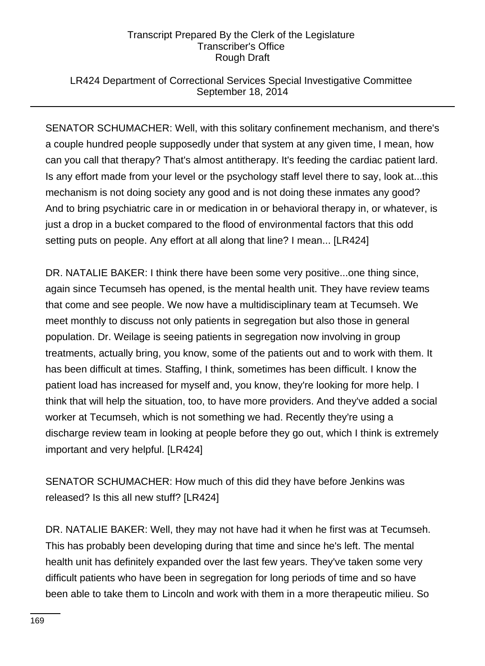## LR424 Department of Correctional Services Special Investigative Committee September 18, 2014

SENATOR SCHUMACHER: Well, with this solitary confinement mechanism, and there's a couple hundred people supposedly under that system at any given time, I mean, how can you call that therapy? That's almost antitherapy. It's feeding the cardiac patient lard. Is any effort made from your level or the psychology staff level there to say, look at...this mechanism is not doing society any good and is not doing these inmates any good? And to bring psychiatric care in or medication in or behavioral therapy in, or whatever, is just a drop in a bucket compared to the flood of environmental factors that this odd setting puts on people. Any effort at all along that line? I mean... [LR424]

DR. NATALIE BAKER: I think there have been some very positive...one thing since, again since Tecumseh has opened, is the mental health unit. They have review teams that come and see people. We now have a multidisciplinary team at Tecumseh. We meet monthly to discuss not only patients in segregation but also those in general population. Dr. Weilage is seeing patients in segregation now involving in group treatments, actually bring, you know, some of the patients out and to work with them. It has been difficult at times. Staffing, I think, sometimes has been difficult. I know the patient load has increased for myself and, you know, they're looking for more help. I think that will help the situation, too, to have more providers. And they've added a social worker at Tecumseh, which is not something we had. Recently they're using a discharge review team in looking at people before they go out, which I think is extremely important and very helpful. [LR424]

SENATOR SCHUMACHER: How much of this did they have before Jenkins was released? Is this all new stuff? [LR424]

DR. NATALIE BAKER: Well, they may not have had it when he first was at Tecumseh. This has probably been developing during that time and since he's left. The mental health unit has definitely expanded over the last few years. They've taken some very difficult patients who have been in segregation for long periods of time and so have been able to take them to Lincoln and work with them in a more therapeutic milieu. So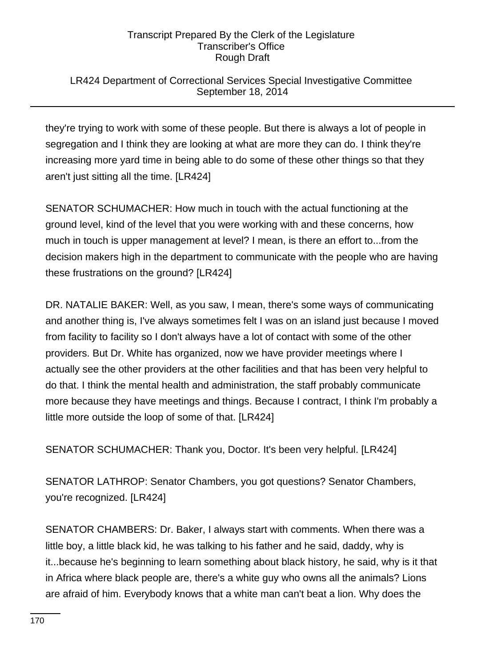## LR424 Department of Correctional Services Special Investigative Committee September 18, 2014

they're trying to work with some of these people. But there is always a lot of people in segregation and I think they are looking at what are more they can do. I think they're increasing more yard time in being able to do some of these other things so that they aren't just sitting all the time. [LR424]

SENATOR SCHUMACHER: How much in touch with the actual functioning at the ground level, kind of the level that you were working with and these concerns, how much in touch is upper management at level? I mean, is there an effort to...from the decision makers high in the department to communicate with the people who are having these frustrations on the ground? [LR424]

DR. NATALIE BAKER: Well, as you saw, I mean, there's some ways of communicating and another thing is, I've always sometimes felt I was on an island just because I moved from facility to facility so I don't always have a lot of contact with some of the other providers. But Dr. White has organized, now we have provider meetings where I actually see the other providers at the other facilities and that has been very helpful to do that. I think the mental health and administration, the staff probably communicate more because they have meetings and things. Because I contract, I think I'm probably a little more outside the loop of some of that. [LR424]

SENATOR SCHUMACHER: Thank you, Doctor. It's been very helpful. [LR424]

SENATOR LATHROP: Senator Chambers, you got questions? Senator Chambers, you're recognized. [LR424]

SENATOR CHAMBERS: Dr. Baker, I always start with comments. When there was a little boy, a little black kid, he was talking to his father and he said, daddy, why is it...because he's beginning to learn something about black history, he said, why is it that in Africa where black people are, there's a white guy who owns all the animals? Lions are afraid of him. Everybody knows that a white man can't beat a lion. Why does the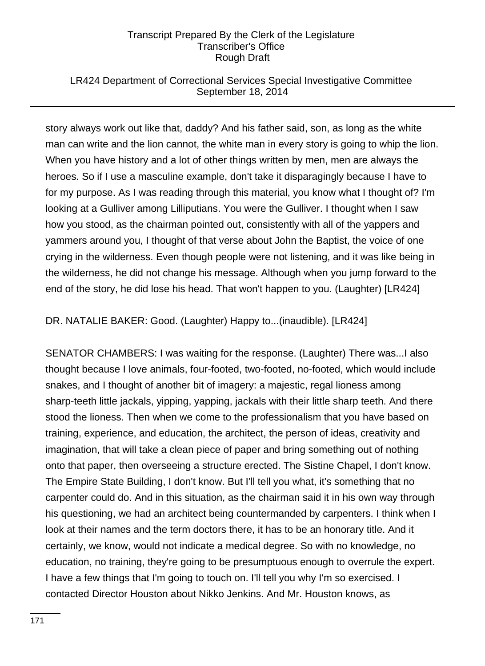## LR424 Department of Correctional Services Special Investigative Committee September 18, 2014

story always work out like that, daddy? And his father said, son, as long as the white man can write and the lion cannot, the white man in every story is going to whip the lion. When you have history and a lot of other things written by men, men are always the heroes. So if I use a masculine example, don't take it disparagingly because I have to for my purpose. As I was reading through this material, you know what I thought of? I'm looking at a Gulliver among Lilliputians. You were the Gulliver. I thought when I saw how you stood, as the chairman pointed out, consistently with all of the yappers and yammers around you, I thought of that verse about John the Baptist, the voice of one crying in the wilderness. Even though people were not listening, and it was like being in the wilderness, he did not change his message. Although when you jump forward to the end of the story, he did lose his head. That won't happen to you. (Laughter) [LR424]

DR. NATALIE BAKER: Good. (Laughter) Happy to...(inaudible). [LR424]

SENATOR CHAMBERS: I was waiting for the response. (Laughter) There was...I also thought because I love animals, four-footed, two-footed, no-footed, which would include snakes, and I thought of another bit of imagery: a majestic, regal lioness among sharp-teeth little jackals, yipping, yapping, jackals with their little sharp teeth. And there stood the lioness. Then when we come to the professionalism that you have based on training, experience, and education, the architect, the person of ideas, creativity and imagination, that will take a clean piece of paper and bring something out of nothing onto that paper, then overseeing a structure erected. The Sistine Chapel, I don't know. The Empire State Building, I don't know. But I'll tell you what, it's something that no carpenter could do. And in this situation, as the chairman said it in his own way through his questioning, we had an architect being countermanded by carpenters. I think when I look at their names and the term doctors there, it has to be an honorary title. And it certainly, we know, would not indicate a medical degree. So with no knowledge, no education, no training, they're going to be presumptuous enough to overrule the expert. I have a few things that I'm going to touch on. I'll tell you why I'm so exercised. I contacted Director Houston about Nikko Jenkins. And Mr. Houston knows, as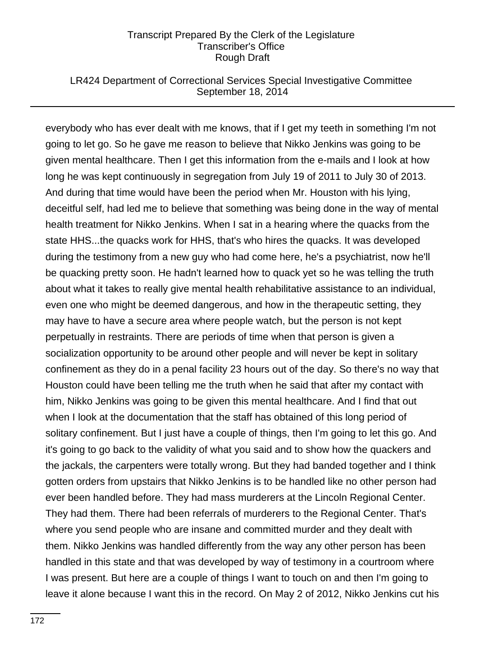### LR424 Department of Correctional Services Special Investigative Committee September 18, 2014

everybody who has ever dealt with me knows, that if I get my teeth in something I'm not going to let go. So he gave me reason to believe that Nikko Jenkins was going to be given mental healthcare. Then I get this information from the e-mails and I look at how long he was kept continuously in segregation from July 19 of 2011 to July 30 of 2013. And during that time would have been the period when Mr. Houston with his lying, deceitful self, had led me to believe that something was being done in the way of mental health treatment for Nikko Jenkins. When I sat in a hearing where the quacks from the state HHS...the quacks work for HHS, that's who hires the quacks. It was developed during the testimony from a new guy who had come here, he's a psychiatrist, now he'll be quacking pretty soon. He hadn't learned how to quack yet so he was telling the truth about what it takes to really give mental health rehabilitative assistance to an individual, even one who might be deemed dangerous, and how in the therapeutic setting, they may have to have a secure area where people watch, but the person is not kept perpetually in restraints. There are periods of time when that person is given a socialization opportunity to be around other people and will never be kept in solitary confinement as they do in a penal facility 23 hours out of the day. So there's no way that Houston could have been telling me the truth when he said that after my contact with him, Nikko Jenkins was going to be given this mental healthcare. And I find that out when I look at the documentation that the staff has obtained of this long period of solitary confinement. But I just have a couple of things, then I'm going to let this go. And it's going to go back to the validity of what you said and to show how the quackers and the jackals, the carpenters were totally wrong. But they had banded together and I think gotten orders from upstairs that Nikko Jenkins is to be handled like no other person had ever been handled before. They had mass murderers at the Lincoln Regional Center. They had them. There had been referrals of murderers to the Regional Center. That's where you send people who are insane and committed murder and they dealt with them. Nikko Jenkins was handled differently from the way any other person has been handled in this state and that was developed by way of testimony in a courtroom where I was present. But here are a couple of things I want to touch on and then I'm going to leave it alone because I want this in the record. On May 2 of 2012, Nikko Jenkins cut his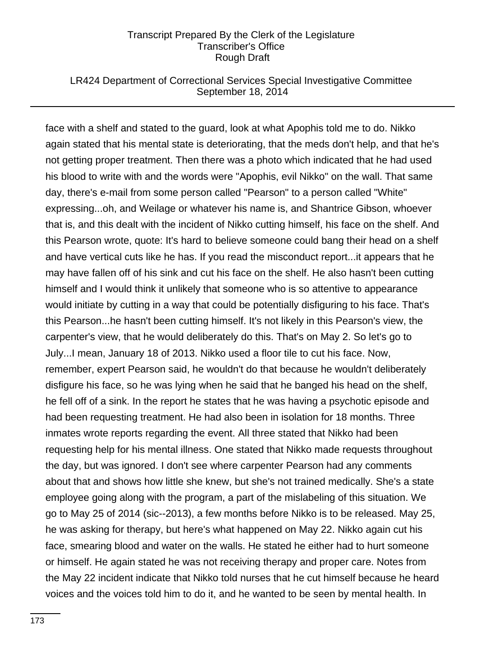### LR424 Department of Correctional Services Special Investigative Committee September 18, 2014

face with a shelf and stated to the guard, look at what Apophis told me to do. Nikko again stated that his mental state is deteriorating, that the meds don't help, and that he's not getting proper treatment. Then there was a photo which indicated that he had used his blood to write with and the words were "Apophis, evil Nikko" on the wall. That same day, there's e-mail from some person called "Pearson" to a person called "White" expressing...oh, and Weilage or whatever his name is, and Shantrice Gibson, whoever that is, and this dealt with the incident of Nikko cutting himself, his face on the shelf. And this Pearson wrote, quote: It's hard to believe someone could bang their head on a shelf and have vertical cuts like he has. If you read the misconduct report...it appears that he may have fallen off of his sink and cut his face on the shelf. He also hasn't been cutting himself and I would think it unlikely that someone who is so attentive to appearance would initiate by cutting in a way that could be potentially disfiguring to his face. That's this Pearson...he hasn't been cutting himself. It's not likely in this Pearson's view, the carpenter's view, that he would deliberately do this. That's on May 2. So let's go to July...I mean, January 18 of 2013. Nikko used a floor tile to cut his face. Now, remember, expert Pearson said, he wouldn't do that because he wouldn't deliberately disfigure his face, so he was lying when he said that he banged his head on the shelf, he fell off of a sink. In the report he states that he was having a psychotic episode and had been requesting treatment. He had also been in isolation for 18 months. Three inmates wrote reports regarding the event. All three stated that Nikko had been requesting help for his mental illness. One stated that Nikko made requests throughout the day, but was ignored. I don't see where carpenter Pearson had any comments about that and shows how little she knew, but she's not trained medically. She's a state employee going along with the program, a part of the mislabeling of this situation. We go to May 25 of 2014 (sic--2013), a few months before Nikko is to be released. May 25, he was asking for therapy, but here's what happened on May 22. Nikko again cut his face, smearing blood and water on the walls. He stated he either had to hurt someone or himself. He again stated he was not receiving therapy and proper care. Notes from the May 22 incident indicate that Nikko told nurses that he cut himself because he heard voices and the voices told him to do it, and he wanted to be seen by mental health. In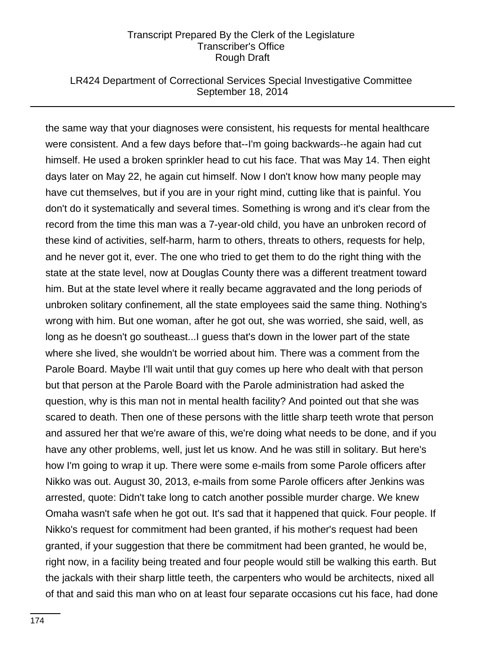### LR424 Department of Correctional Services Special Investigative Committee September 18, 2014

the same way that your diagnoses were consistent, his requests for mental healthcare were consistent. And a few days before that--I'm going backwards--he again had cut himself. He used a broken sprinkler head to cut his face. That was May 14. Then eight days later on May 22, he again cut himself. Now I don't know how many people may have cut themselves, but if you are in your right mind, cutting like that is painful. You don't do it systematically and several times. Something is wrong and it's clear from the record from the time this man was a 7-year-old child, you have an unbroken record of these kind of activities, self-harm, harm to others, threats to others, requests for help, and he never got it, ever. The one who tried to get them to do the right thing with the state at the state level, now at Douglas County there was a different treatment toward him. But at the state level where it really became aggravated and the long periods of unbroken solitary confinement, all the state employees said the same thing. Nothing's wrong with him. But one woman, after he got out, she was worried, she said, well, as long as he doesn't go southeast...I guess that's down in the lower part of the state where she lived, she wouldn't be worried about him. There was a comment from the Parole Board. Maybe I'll wait until that guy comes up here who dealt with that person but that person at the Parole Board with the Parole administration had asked the question, why is this man not in mental health facility? And pointed out that she was scared to death. Then one of these persons with the little sharp teeth wrote that person and assured her that we're aware of this, we're doing what needs to be done, and if you have any other problems, well, just let us know. And he was still in solitary. But here's how I'm going to wrap it up. There were some e-mails from some Parole officers after Nikko was out. August 30, 2013, e-mails from some Parole officers after Jenkins was arrested, quote: Didn't take long to catch another possible murder charge. We knew Omaha wasn't safe when he got out. It's sad that it happened that quick. Four people. If Nikko's request for commitment had been granted, if his mother's request had been granted, if your suggestion that there be commitment had been granted, he would be, right now, in a facility being treated and four people would still be walking this earth. But the jackals with their sharp little teeth, the carpenters who would be architects, nixed all of that and said this man who on at least four separate occasions cut his face, had done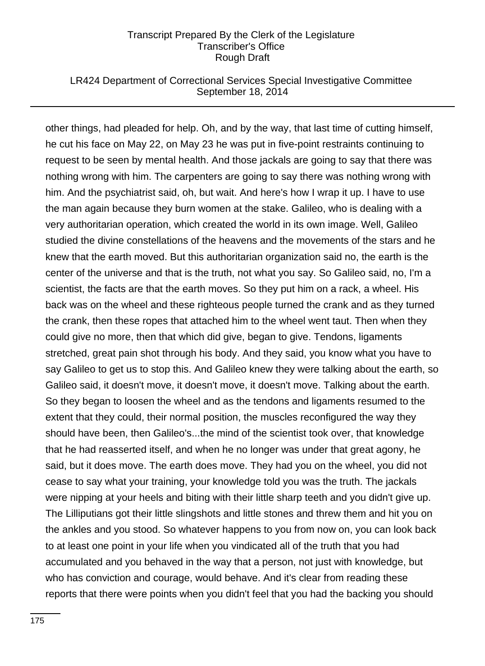### LR424 Department of Correctional Services Special Investigative Committee September 18, 2014

other things, had pleaded for help. Oh, and by the way, that last time of cutting himself, he cut his face on May 22, on May 23 he was put in five-point restraints continuing to request to be seen by mental health. And those jackals are going to say that there was nothing wrong with him. The carpenters are going to say there was nothing wrong with him. And the psychiatrist said, oh, but wait. And here's how I wrap it up. I have to use the man again because they burn women at the stake. Galileo, who is dealing with a very authoritarian operation, which created the world in its own image. Well, Galileo studied the divine constellations of the heavens and the movements of the stars and he knew that the earth moved. But this authoritarian organization said no, the earth is the center of the universe and that is the truth, not what you say. So Galileo said, no, I'm a scientist, the facts are that the earth moves. So they put him on a rack, a wheel. His back was on the wheel and these righteous people turned the crank and as they turned the crank, then these ropes that attached him to the wheel went taut. Then when they could give no more, then that which did give, began to give. Tendons, ligaments stretched, great pain shot through his body. And they said, you know what you have to say Galileo to get us to stop this. And Galileo knew they were talking about the earth, so Galileo said, it doesn't move, it doesn't move, it doesn't move. Talking about the earth. So they began to loosen the wheel and as the tendons and ligaments resumed to the extent that they could, their normal position, the muscles reconfigured the way they should have been, then Galileo's...the mind of the scientist took over, that knowledge that he had reasserted itself, and when he no longer was under that great agony, he said, but it does move. The earth does move. They had you on the wheel, you did not cease to say what your training, your knowledge told you was the truth. The jackals were nipping at your heels and biting with their little sharp teeth and you didn't give up. The Lilliputians got their little slingshots and little stones and threw them and hit you on the ankles and you stood. So whatever happens to you from now on, you can look back to at least one point in your life when you vindicated all of the truth that you had accumulated and you behaved in the way that a person, not just with knowledge, but who has conviction and courage, would behave. And it's clear from reading these reports that there were points when you didn't feel that you had the backing you should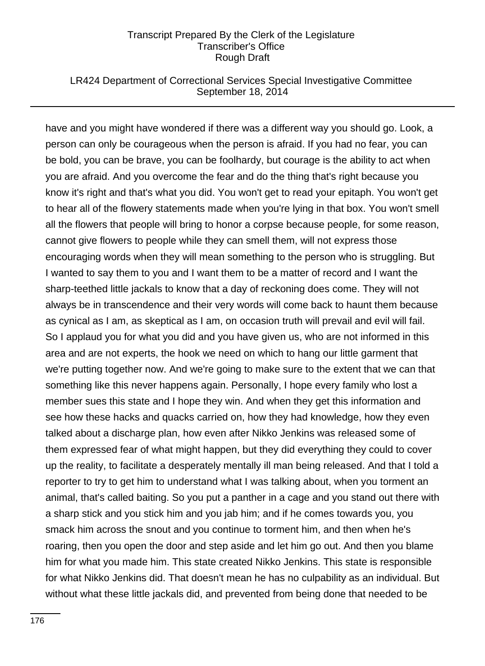### LR424 Department of Correctional Services Special Investigative Committee September 18, 2014

have and you might have wondered if there was a different way you should go. Look, a person can only be courageous when the person is afraid. If you had no fear, you can be bold, you can be brave, you can be foolhardy, but courage is the ability to act when you are afraid. And you overcome the fear and do the thing that's right because you know it's right and that's what you did. You won't get to read your epitaph. You won't get to hear all of the flowery statements made when you're lying in that box. You won't smell all the flowers that people will bring to honor a corpse because people, for some reason, cannot give flowers to people while they can smell them, will not express those encouraging words when they will mean something to the person who is struggling. But I wanted to say them to you and I want them to be a matter of record and I want the sharp-teethed little jackals to know that a day of reckoning does come. They will not always be in transcendence and their very words will come back to haunt them because as cynical as I am, as skeptical as I am, on occasion truth will prevail and evil will fail. So I applaud you for what you did and you have given us, who are not informed in this area and are not experts, the hook we need on which to hang our little garment that we're putting together now. And we're going to make sure to the extent that we can that something like this never happens again. Personally, I hope every family who lost a member sues this state and I hope they win. And when they get this information and see how these hacks and quacks carried on, how they had knowledge, how they even talked about a discharge plan, how even after Nikko Jenkins was released some of them expressed fear of what might happen, but they did everything they could to cover up the reality, to facilitate a desperately mentally ill man being released. And that I told a reporter to try to get him to understand what I was talking about, when you torment an animal, that's called baiting. So you put a panther in a cage and you stand out there with a sharp stick and you stick him and you jab him; and if he comes towards you, you smack him across the snout and you continue to torment him, and then when he's roaring, then you open the door and step aside and let him go out. And then you blame him for what you made him. This state created Nikko Jenkins. This state is responsible for what Nikko Jenkins did. That doesn't mean he has no culpability as an individual. But without what these little jackals did, and prevented from being done that needed to be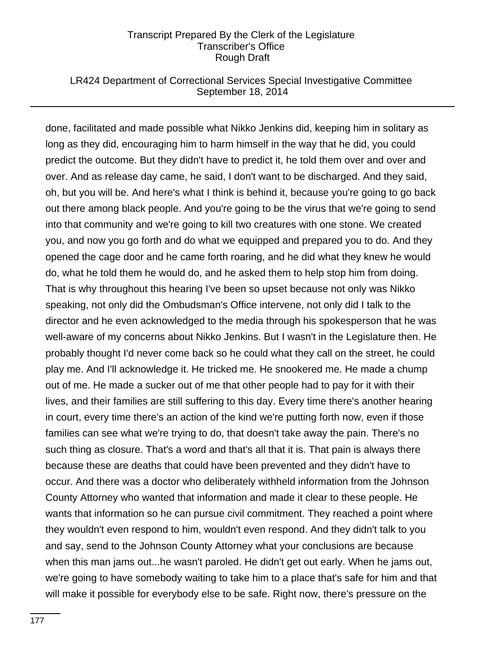### LR424 Department of Correctional Services Special Investigative Committee September 18, 2014

done, facilitated and made possible what Nikko Jenkins did, keeping him in solitary as long as they did, encouraging him to harm himself in the way that he did, you could predict the outcome. But they didn't have to predict it, he told them over and over and over. And as release day came, he said, I don't want to be discharged. And they said, oh, but you will be. And here's what I think is behind it, because you're going to go back out there among black people. And you're going to be the virus that we're going to send into that community and we're going to kill two creatures with one stone. We created you, and now you go forth and do what we equipped and prepared you to do. And they opened the cage door and he came forth roaring, and he did what they knew he would do, what he told them he would do, and he asked them to help stop him from doing. That is why throughout this hearing I've been so upset because not only was Nikko speaking, not only did the Ombudsman's Office intervene, not only did I talk to the director and he even acknowledged to the media through his spokesperson that he was well-aware of my concerns about Nikko Jenkins. But I wasn't in the Legislature then. He probably thought I'd never come back so he could what they call on the street, he could play me. And I'll acknowledge it. He tricked me. He snookered me. He made a chump out of me. He made a sucker out of me that other people had to pay for it with their lives, and their families are still suffering to this day. Every time there's another hearing in court, every time there's an action of the kind we're putting forth now, even if those families can see what we're trying to do, that doesn't take away the pain. There's no such thing as closure. That's a word and that's all that it is. That pain is always there because these are deaths that could have been prevented and they didn't have to occur. And there was a doctor who deliberately withheld information from the Johnson County Attorney who wanted that information and made it clear to these people. He wants that information so he can pursue civil commitment. They reached a point where they wouldn't even respond to him, wouldn't even respond. And they didn't talk to you and say, send to the Johnson County Attorney what your conclusions are because when this man jams out...he wasn't paroled. He didn't get out early. When he jams out, we're going to have somebody waiting to take him to a place that's safe for him and that will make it possible for everybody else to be safe. Right now, there's pressure on the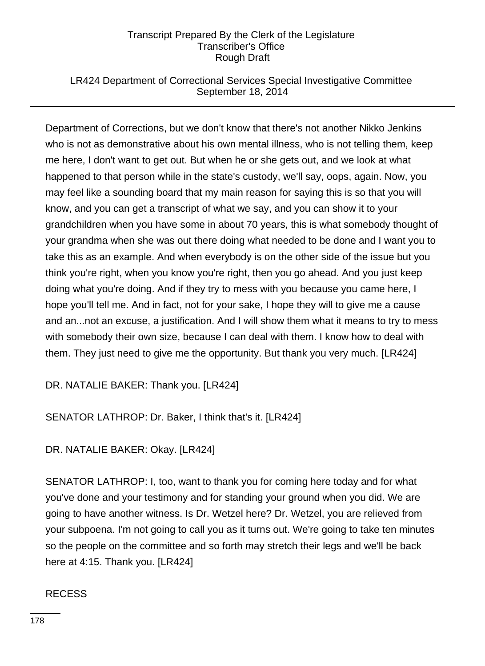## LR424 Department of Correctional Services Special Investigative Committee September 18, 2014

Department of Corrections, but we don't know that there's not another Nikko Jenkins who is not as demonstrative about his own mental illness, who is not telling them, keep me here, I don't want to get out. But when he or she gets out, and we look at what happened to that person while in the state's custody, we'll say, oops, again. Now, you may feel like a sounding board that my main reason for saying this is so that you will know, and you can get a transcript of what we say, and you can show it to your grandchildren when you have some in about 70 years, this is what somebody thought of your grandma when she was out there doing what needed to be done and I want you to take this as an example. And when everybody is on the other side of the issue but you think you're right, when you know you're right, then you go ahead. And you just keep doing what you're doing. And if they try to mess with you because you came here, I hope you'll tell me. And in fact, not for your sake, I hope they will to give me a cause and an...not an excuse, a justification. And I will show them what it means to try to mess with somebody their own size, because I can deal with them. I know how to deal with them. They just need to give me the opportunity. But thank you very much. [LR424]

DR. NATALIE BAKER: Thank you. [LR424]

SENATOR LATHROP: Dr. Baker, I think that's it. [LR424]

DR. NATALIE BAKER: Okay. [LR424]

SENATOR LATHROP: I, too, want to thank you for coming here today and for what you've done and your testimony and for standing your ground when you did. We are going to have another witness. Is Dr. Wetzel here? Dr. Wetzel, you are relieved from your subpoena. I'm not going to call you as it turns out. We're going to take ten minutes so the people on the committee and so forth may stretch their legs and we'll be back here at 4:15. Thank you. [LR424]

### RECESS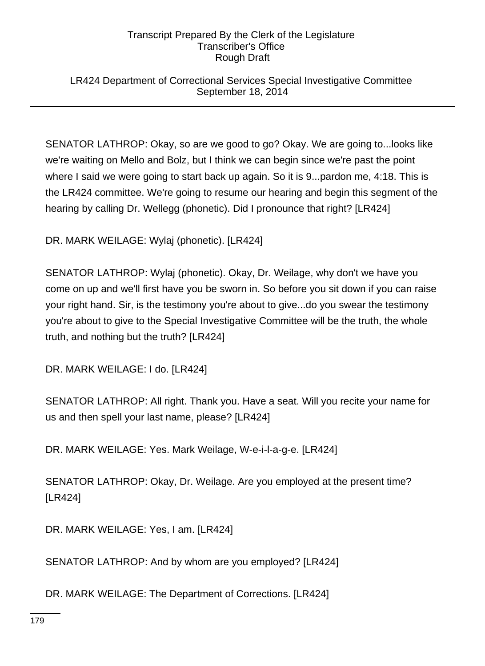### LR424 Department of Correctional Services Special Investigative Committee September 18, 2014

SENATOR LATHROP: Okay, so are we good to go? Okay. We are going to...looks like we're waiting on Mello and Bolz, but I think we can begin since we're past the point where I said we were going to start back up again. So it is 9...pardon me, 4:18. This is the LR424 committee. We're going to resume our hearing and begin this segment of the hearing by calling Dr. Wellegg (phonetic). Did I pronounce that right? [LR424]

DR. MARK WEILAGE: Wylaj (phonetic). [LR424]

SENATOR LATHROP: Wylaj (phonetic). Okay, Dr. Weilage, why don't we have you come on up and we'll first have you be sworn in. So before you sit down if you can raise your right hand. Sir, is the testimony you're about to give...do you swear the testimony you're about to give to the Special Investigative Committee will be the truth, the whole truth, and nothing but the truth? [LR424]

DR. MARK WEILAGE: I do. [LR424]

SENATOR LATHROP: All right. Thank you. Have a seat. Will you recite your name for us and then spell your last name, please? [LR424]

DR. MARK WEILAGE: Yes. Mark Weilage, W-e-i-l-a-g-e. [LR424]

SENATOR LATHROP: Okay, Dr. Weilage. Are you employed at the present time? [LR424]

DR. MARK WEILAGE: Yes, I am. [LR424]

SENATOR LATHROP: And by whom are you employed? [LR424]

DR. MARK WEILAGE: The Department of Corrections. [LR424]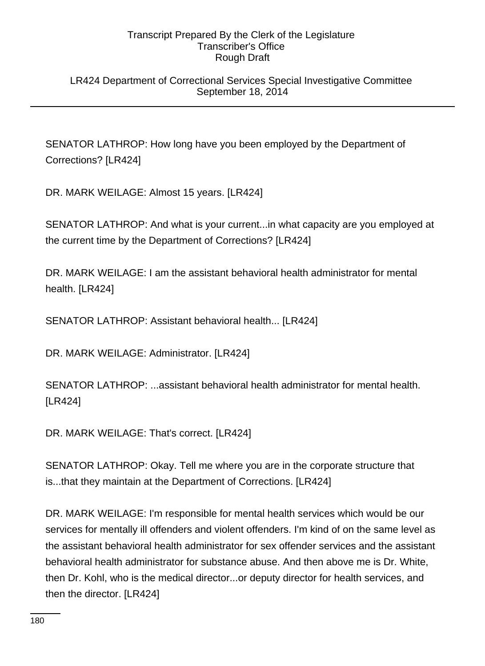LR424 Department of Correctional Services Special Investigative Committee September 18, 2014

SENATOR LATHROP: How long have you been employed by the Department of Corrections? [LR424]

DR. MARK WEILAGE: Almost 15 years. [LR424]

SENATOR LATHROP: And what is your current...in what capacity are you employed at the current time by the Department of Corrections? [LR424]

DR. MARK WEILAGE: I am the assistant behavioral health administrator for mental health. [LR424]

SENATOR LATHROP: Assistant behavioral health... [LR424]

DR. MARK WEILAGE: Administrator. [LR424]

SENATOR LATHROP: ...assistant behavioral health administrator for mental health. [LR424]

DR. MARK WEILAGE: That's correct. [LR424]

SENATOR LATHROP: Okay. Tell me where you are in the corporate structure that is...that they maintain at the Department of Corrections. [LR424]

DR. MARK WEILAGE: I'm responsible for mental health services which would be our services for mentally ill offenders and violent offenders. I'm kind of on the same level as the assistant behavioral health administrator for sex offender services and the assistant behavioral health administrator for substance abuse. And then above me is Dr. White, then Dr. Kohl, who is the medical director...or deputy director for health services, and then the director. [LR424]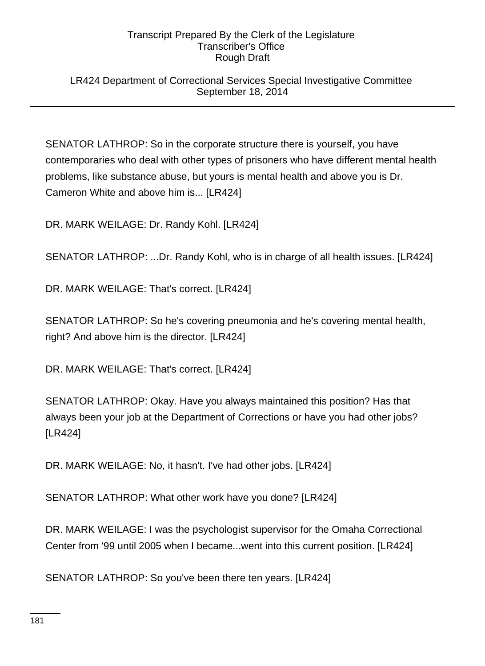# LR424 Department of Correctional Services Special Investigative Committee September 18, 2014

SENATOR LATHROP: So in the corporate structure there is yourself, you have contemporaries who deal with other types of prisoners who have different mental health problems, like substance abuse, but yours is mental health and above you is Dr. Cameron White and above him is... [LR424]

DR. MARK WEILAGE: Dr. Randy Kohl. [LR424]

SENATOR LATHROP: ...Dr. Randy Kohl, who is in charge of all health issues. [LR424]

DR. MARK WEILAGE: That's correct. [LR424]

SENATOR LATHROP: So he's covering pneumonia and he's covering mental health, right? And above him is the director. [LR424]

DR. MARK WEILAGE: That's correct. [LR424]

SENATOR LATHROP: Okay. Have you always maintained this position? Has that always been your job at the Department of Corrections or have you had other jobs? [LR424]

DR. MARK WEILAGE: No, it hasn't. I've had other jobs. [LR424]

SENATOR LATHROP: What other work have you done? [LR424]

DR. MARK WEILAGE: I was the psychologist supervisor for the Omaha Correctional Center from '99 until 2005 when I became...went into this current position. [LR424]

SENATOR LATHROP: So you've been there ten years. [LR424]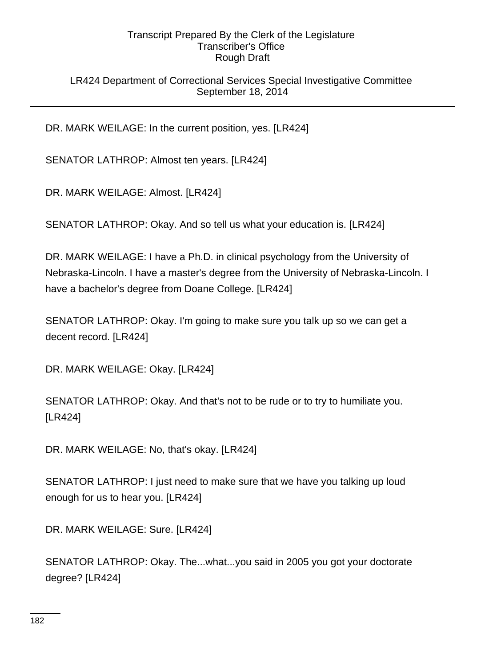# LR424 Department of Correctional Services Special Investigative Committee September 18, 2014

DR. MARK WEILAGE: In the current position, yes. [LR424]

SENATOR LATHROP: Almost ten years. [LR424]

DR. MARK WEILAGE: Almost. [LR424]

SENATOR LATHROP: Okay. And so tell us what your education is. [LR424]

DR. MARK WEILAGE: I have a Ph.D. in clinical psychology from the University of Nebraska-Lincoln. I have a master's degree from the University of Nebraska-Lincoln. I have a bachelor's degree from Doane College. [LR424]

SENATOR LATHROP: Okay. I'm going to make sure you talk up so we can get a decent record. [LR424]

DR. MARK WEILAGE: Okay. [LR424]

SENATOR LATHROP: Okay. And that's not to be rude or to try to humiliate you. [LR424]

DR. MARK WEILAGE: No, that's okay. [LR424]

SENATOR LATHROP: I just need to make sure that we have you talking up loud enough for us to hear you. [LR424]

DR. MARK WEILAGE: Sure. [LR424]

SENATOR LATHROP: Okay. The...what...you said in 2005 you got your doctorate degree? [LR424]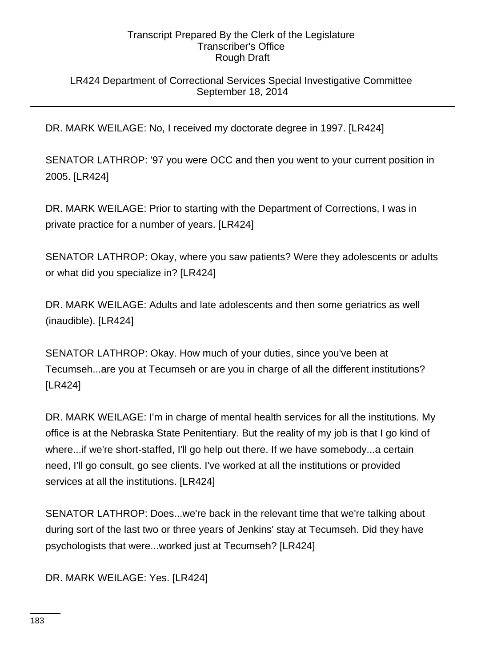# LR424 Department of Correctional Services Special Investigative Committee September 18, 2014

DR. MARK WEILAGE: No, I received my doctorate degree in 1997. [LR424]

SENATOR LATHROP: '97 you were OCC and then you went to your current position in 2005. [LR424]

DR. MARK WEILAGE: Prior to starting with the Department of Corrections, I was in private practice for a number of years. [LR424]

SENATOR LATHROP: Okay, where you saw patients? Were they adolescents or adults or what did you specialize in? [LR424]

DR. MARK WEILAGE: Adults and late adolescents and then some geriatrics as well (inaudible). [LR424]

SENATOR LATHROP: Okay. How much of your duties, since you've been at Tecumseh...are you at Tecumseh or are you in charge of all the different institutions? [LR424]

DR. MARK WEILAGE: I'm in charge of mental health services for all the institutions. My office is at the Nebraska State Penitentiary. But the reality of my job is that I go kind of where...if we're short-staffed, I'll go help out there. If we have somebody...a certain need, I'll go consult, go see clients. I've worked at all the institutions or provided services at all the institutions. [LR424]

SENATOR LATHROP: Does...we're back in the relevant time that we're talking about during sort of the last two or three years of Jenkins' stay at Tecumseh. Did they have psychologists that were...worked just at Tecumseh? [LR424]

DR. MARK WEILAGE: Yes. [LR424]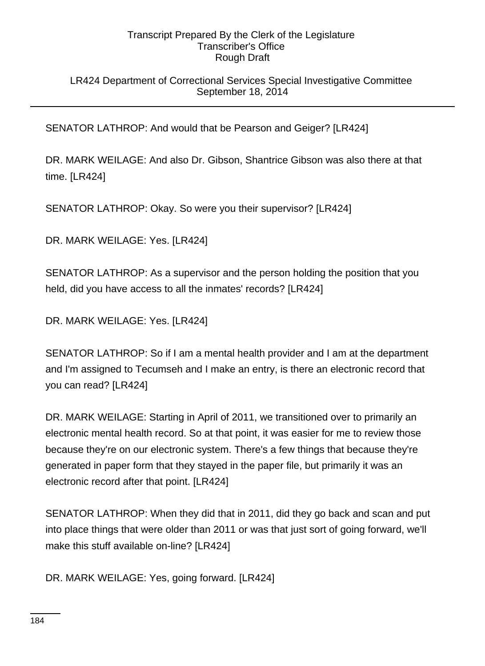# LR424 Department of Correctional Services Special Investigative Committee September 18, 2014

SENATOR LATHROP: And would that be Pearson and Geiger? [LR424]

DR. MARK WEILAGE: And also Dr. Gibson, Shantrice Gibson was also there at that time. [LR424]

SENATOR LATHROP: Okay. So were you their supervisor? [LR424]

DR. MARK WEILAGE: Yes. [LR424]

SENATOR LATHROP: As a supervisor and the person holding the position that you held, did you have access to all the inmates' records? [LR424]

DR. MARK WEILAGE: Yes. [LR424]

SENATOR LATHROP: So if I am a mental health provider and I am at the department and I'm assigned to Tecumseh and I make an entry, is there an electronic record that you can read? [LR424]

DR. MARK WEILAGE: Starting in April of 2011, we transitioned over to primarily an electronic mental health record. So at that point, it was easier for me to review those because they're on our electronic system. There's a few things that because they're generated in paper form that they stayed in the paper file, but primarily it was an electronic record after that point. [LR424]

SENATOR LATHROP: When they did that in 2011, did they go back and scan and put into place things that were older than 2011 or was that just sort of going forward, we'll make this stuff available on-line? [LR424]

DR. MARK WEILAGE: Yes, going forward. [LR424]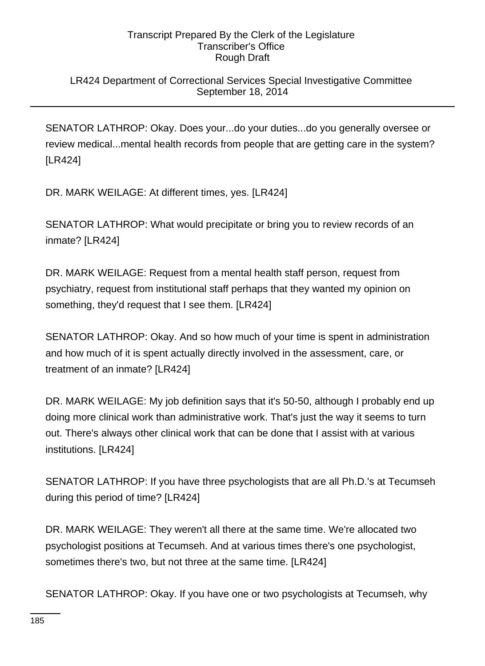# LR424 Department of Correctional Services Special Investigative Committee September 18, 2014

SENATOR LATHROP: Okay. Does your...do your duties...do you generally oversee or review medical...mental health records from people that are getting care in the system? [LR424]

DR. MARK WEILAGE: At different times, yes. [LR424]

SENATOR LATHROP: What would precipitate or bring you to review records of an inmate? [LR424]

DR. MARK WEILAGE: Request from a mental health staff person, request from psychiatry, request from institutional staff perhaps that they wanted my opinion on something, they'd request that I see them. [LR424]

SENATOR LATHROP: Okay. And so how much of your time is spent in administration and how much of it is spent actually directly involved in the assessment, care, or treatment of an inmate? [LR424]

DR. MARK WEILAGE: My job definition says that it's 50-50, although I probably end up doing more clinical work than administrative work. That's just the way it seems to turn out. There's always other clinical work that can be done that I assist with at various institutions. [LR424]

SENATOR LATHROP: If you have three psychologists that are all Ph.D.'s at Tecumseh during this period of time? [LR424]

DR. MARK WEILAGE: They weren't all there at the same time. We're allocated two psychologist positions at Tecumseh. And at various times there's one psychologist, sometimes there's two, but not three at the same time. [LR424]

SENATOR LATHROP: Okay. If you have one or two psychologists at Tecumseh, why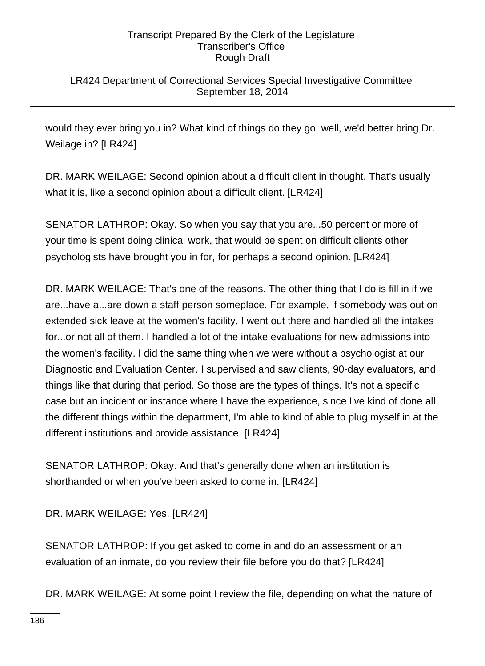# LR424 Department of Correctional Services Special Investigative Committee September 18, 2014

would they ever bring you in? What kind of things do they go, well, we'd better bring Dr. Weilage in? [LR424]

DR. MARK WEILAGE: Second opinion about a difficult client in thought. That's usually what it is, like a second opinion about a difficult client. [LR424]

SENATOR LATHROP: Okay. So when you say that you are...50 percent or more of your time is spent doing clinical work, that would be spent on difficult clients other psychologists have brought you in for, for perhaps a second opinion. [LR424]

DR. MARK WEILAGE: That's one of the reasons. The other thing that I do is fill in if we are...have a...are down a staff person someplace. For example, if somebody was out on extended sick leave at the women's facility, I went out there and handled all the intakes for...or not all of them. I handled a lot of the intake evaluations for new admissions into the women's facility. I did the same thing when we were without a psychologist at our Diagnostic and Evaluation Center. I supervised and saw clients, 90-day evaluators, and things like that during that period. So those are the types of things. It's not a specific case but an incident or instance where I have the experience, since I've kind of done all the different things within the department, I'm able to kind of able to plug myself in at the different institutions and provide assistance. [LR424]

SENATOR LATHROP: Okay. And that's generally done when an institution is shorthanded or when you've been asked to come in. [LR424]

DR. MARK WEILAGE: Yes. [LR424]

SENATOR LATHROP: If you get asked to come in and do an assessment or an evaluation of an inmate, do you review their file before you do that? [LR424]

DR. MARK WEILAGE: At some point I review the file, depending on what the nature of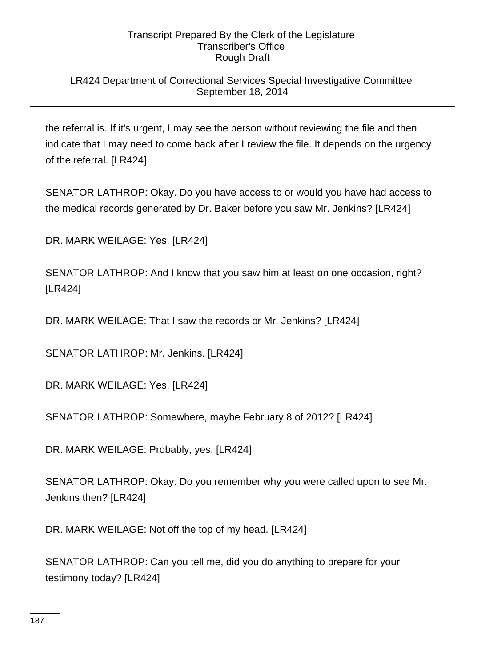# LR424 Department of Correctional Services Special Investigative Committee September 18, 2014

the referral is. If it's urgent, I may see the person without reviewing the file and then indicate that I may need to come back after I review the file. It depends on the urgency of the referral. [LR424]

SENATOR LATHROP: Okay. Do you have access to or would you have had access to the medical records generated by Dr. Baker before you saw Mr. Jenkins? [LR424]

DR. MARK WEILAGE: Yes. [LR424]

SENATOR LATHROP: And I know that you saw him at least on one occasion, right? [LR424]

DR. MARK WEILAGE: That I saw the records or Mr. Jenkins? [LR424]

SENATOR LATHROP: Mr. Jenkins. [LR424]

DR. MARK WEILAGE: Yes. [LR424]

SENATOR LATHROP: Somewhere, maybe February 8 of 2012? [LR424]

DR. MARK WEILAGE: Probably, yes. [LR424]

SENATOR LATHROP: Okay. Do you remember why you were called upon to see Mr. Jenkins then? [LR424]

DR. MARK WEILAGE: Not off the top of my head. [LR424]

SENATOR LATHROP: Can you tell me, did you do anything to prepare for your testimony today? [LR424]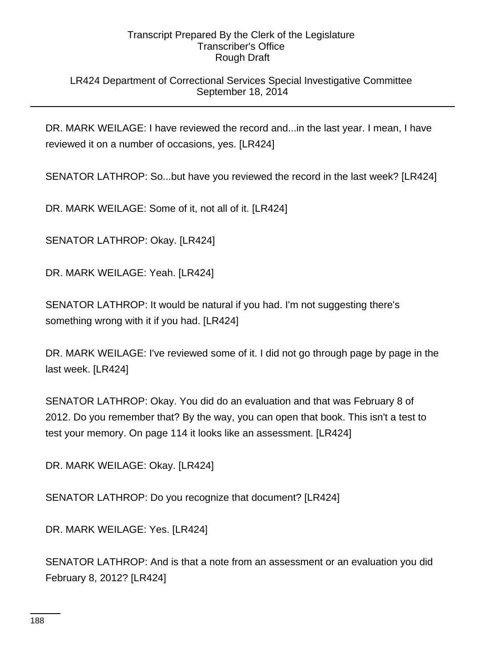# LR424 Department of Correctional Services Special Investigative Committee September 18, 2014

DR. MARK WEILAGE: I have reviewed the record and...in the last year. I mean, I have reviewed it on a number of occasions, yes. [LR424]

SENATOR LATHROP: So...but have you reviewed the record in the last week? [LR424]

DR. MARK WEILAGE: Some of it, not all of it. [LR424]

SENATOR LATHROP: Okay. [LR424]

DR. MARK WEILAGE: Yeah. [LR424]

SENATOR LATHROP: It would be natural if you had. I'm not suggesting there's something wrong with it if you had. [LR424]

DR. MARK WEILAGE: I've reviewed some of it. I did not go through page by page in the last week. [LR424]

SENATOR LATHROP: Okay. You did do an evaluation and that was February 8 of 2012. Do you remember that? By the way, you can open that book. This isn't a test to test your memory. On page 114 it looks like an assessment. [LR424]

DR. MARK WEILAGE: Okay. [LR424]

SENATOR LATHROP: Do you recognize that document? [LR424]

DR. MARK WEILAGE: Yes. [LR424]

SENATOR LATHROP: And is that a note from an assessment or an evaluation you did February 8, 2012? [LR424]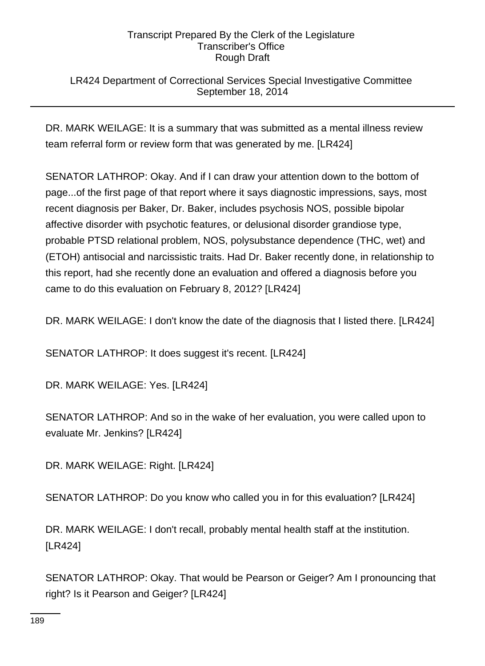# LR424 Department of Correctional Services Special Investigative Committee September 18, 2014

DR. MARK WEILAGE: It is a summary that was submitted as a mental illness review team referral form or review form that was generated by me. [LR424]

SENATOR LATHROP: Okay. And if I can draw your attention down to the bottom of page...of the first page of that report where it says diagnostic impressions, says, most recent diagnosis per Baker, Dr. Baker, includes psychosis NOS, possible bipolar affective disorder with psychotic features, or delusional disorder grandiose type, probable PTSD relational problem, NOS, polysubstance dependence (THC, wet) and (ETOH) antisocial and narcissistic traits. Had Dr. Baker recently done, in relationship to this report, had she recently done an evaluation and offered a diagnosis before you came to do this evaluation on February 8, 2012? [LR424]

DR. MARK WEILAGE: I don't know the date of the diagnosis that I listed there. [LR424]

SENATOR LATHROP: It does suggest it's recent. [LR424]

DR. MARK WEILAGE: Yes. [LR424]

SENATOR LATHROP: And so in the wake of her evaluation, you were called upon to evaluate Mr. Jenkins? [LR424]

DR. MARK WEILAGE: Right. [LR424]

SENATOR LATHROP: Do you know who called you in for this evaluation? [LR424]

DR. MARK WEILAGE: I don't recall, probably mental health staff at the institution. [LR424]

SENATOR LATHROP: Okay. That would be Pearson or Geiger? Am I pronouncing that right? Is it Pearson and Geiger? [LR424]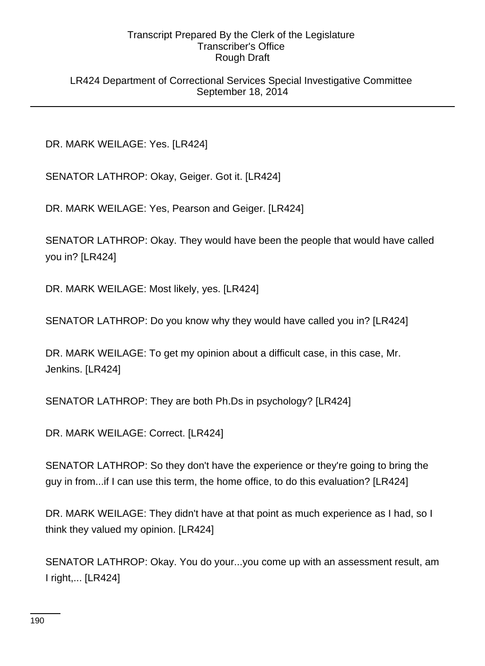LR424 Department of Correctional Services Special Investigative Committee September 18, 2014

DR. MARK WEILAGE: Yes. [LR424]

SENATOR LATHROP: Okay, Geiger. Got it. [LR424]

DR. MARK WEILAGE: Yes, Pearson and Geiger. [LR424]

SENATOR LATHROP: Okay. They would have been the people that would have called you in? [LR424]

DR. MARK WEILAGE: Most likely, yes. [LR424]

SENATOR LATHROP: Do you know why they would have called you in? [LR424]

DR. MARK WEILAGE: To get my opinion about a difficult case, in this case, Mr. Jenkins. [LR424]

SENATOR LATHROP: They are both Ph.Ds in psychology? [LR424]

DR. MARK WEILAGE: Correct. [LR424]

SENATOR LATHROP: So they don't have the experience or they're going to bring the guy in from...if I can use this term, the home office, to do this evaluation? [LR424]

DR. MARK WEILAGE: They didn't have at that point as much experience as I had, so I think they valued my opinion. [LR424]

SENATOR LATHROP: Okay. You do your...you come up with an assessment result, am I right,... [LR424]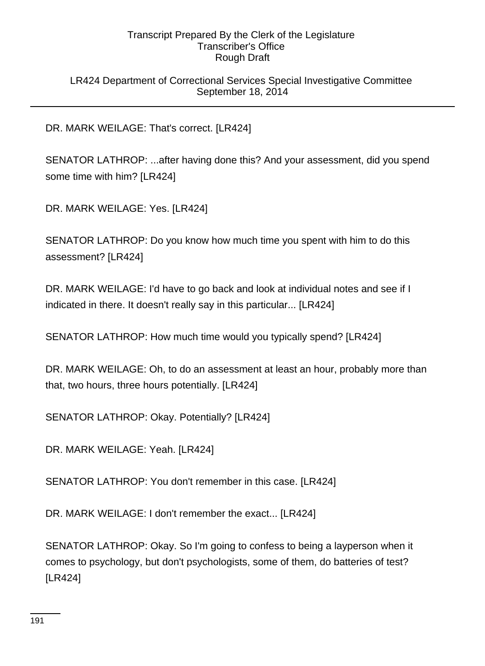LR424 Department of Correctional Services Special Investigative Committee September 18, 2014

DR. MARK WEILAGE: That's correct. [LR424]

SENATOR LATHROP: ...after having done this? And your assessment, did you spend some time with him? [LR424]

DR. MARK WEILAGE: Yes. [LR424]

SENATOR LATHROP: Do you know how much time you spent with him to do this assessment? [LR424]

DR. MARK WEILAGE: I'd have to go back and look at individual notes and see if I indicated in there. It doesn't really say in this particular... [LR424]

SENATOR LATHROP: How much time would you typically spend? [LR424]

DR. MARK WEILAGE: Oh, to do an assessment at least an hour, probably more than that, two hours, three hours potentially. [LR424]

SENATOR LATHROP: Okay. Potentially? [LR424]

DR. MARK WEILAGE: Yeah. [LR424]

SENATOR LATHROP: You don't remember in this case. [LR424]

DR. MARK WEILAGE: I don't remember the exact... [LR424]

SENATOR LATHROP: Okay. So I'm going to confess to being a layperson when it comes to psychology, but don't psychologists, some of them, do batteries of test? [LR424]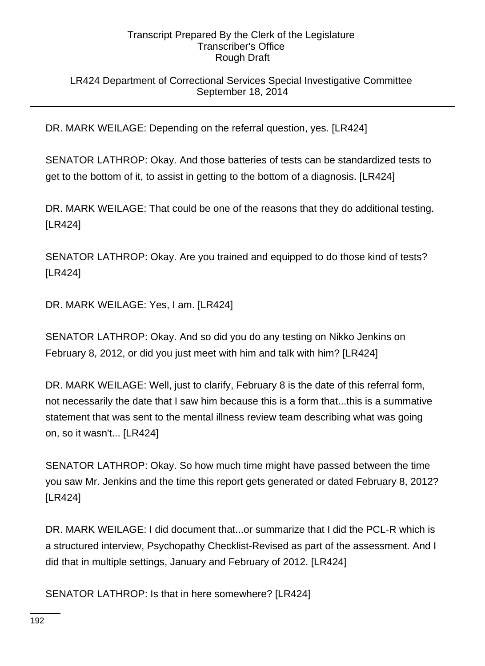# LR424 Department of Correctional Services Special Investigative Committee September 18, 2014

DR. MARK WEILAGE: Depending on the referral question, yes. [LR424]

SENATOR LATHROP: Okay. And those batteries of tests can be standardized tests to get to the bottom of it, to assist in getting to the bottom of a diagnosis. [LR424]

DR. MARK WEILAGE: That could be one of the reasons that they do additional testing. [LR424]

SENATOR LATHROP: Okay. Are you trained and equipped to do those kind of tests? [LR424]

DR. MARK WEILAGE: Yes, I am. [LR424]

SENATOR LATHROP: Okay. And so did you do any testing on Nikko Jenkins on February 8, 2012, or did you just meet with him and talk with him? [LR424]

DR. MARK WEILAGE: Well, just to clarify, February 8 is the date of this referral form, not necessarily the date that I saw him because this is a form that...this is a summative statement that was sent to the mental illness review team describing what was going on, so it wasn't... [LR424]

SENATOR LATHROP: Okay. So how much time might have passed between the time you saw Mr. Jenkins and the time this report gets generated or dated February 8, 2012? [LR424]

DR. MARK WEILAGE: I did document that...or summarize that I did the PCL-R which is a structured interview, Psychopathy Checklist-Revised as part of the assessment. And I did that in multiple settings, January and February of 2012. [LR424]

SENATOR LATHROP: Is that in here somewhere? [LR424]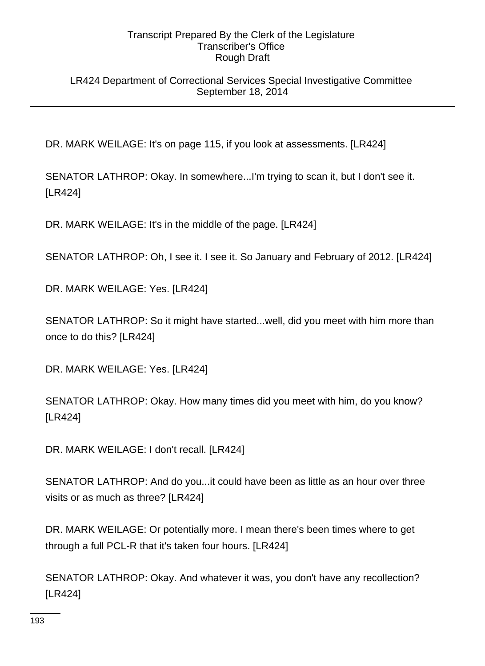LR424 Department of Correctional Services Special Investigative Committee September 18, 2014

DR. MARK WEILAGE: It's on page 115, if you look at assessments. [LR424]

SENATOR LATHROP: Okay. In somewhere...I'm trying to scan it, but I don't see it. [LR424]

DR. MARK WEILAGE: It's in the middle of the page. [LR424]

SENATOR LATHROP: Oh, I see it. I see it. So January and February of 2012. [LR424]

DR. MARK WEILAGE: Yes. [LR424]

SENATOR LATHROP: So it might have started...well, did you meet with him more than once to do this? [LR424]

DR. MARK WEILAGE: Yes. [LR424]

SENATOR LATHROP: Okay. How many times did you meet with him, do you know? [LR424]

DR. MARK WEILAGE: I don't recall. [LR424]

SENATOR LATHROP: And do you...it could have been as little as an hour over three visits or as much as three? [LR424]

DR. MARK WEILAGE: Or potentially more. I mean there's been times where to get through a full PCL-R that it's taken four hours. [LR424]

SENATOR LATHROP: Okay. And whatever it was, you don't have any recollection? [LR424]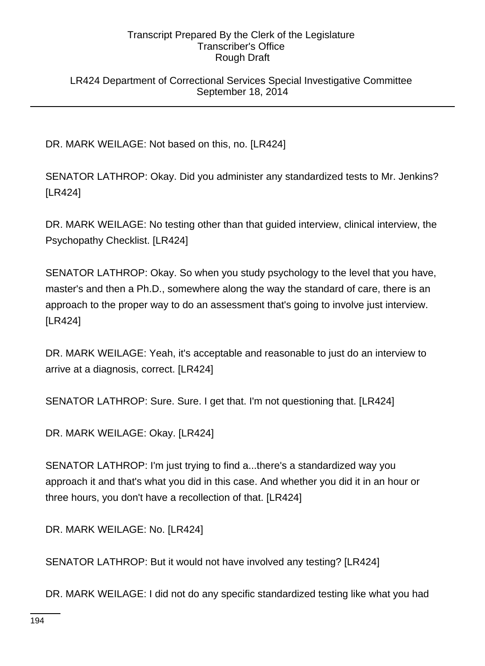LR424 Department of Correctional Services Special Investigative Committee September 18, 2014

DR. MARK WEILAGE: Not based on this, no. [LR424]

SENATOR LATHROP: Okay. Did you administer any standardized tests to Mr. Jenkins? [LR424]

DR. MARK WEILAGE: No testing other than that guided interview, clinical interview, the Psychopathy Checklist. [LR424]

SENATOR LATHROP: Okay. So when you study psychology to the level that you have, master's and then a Ph.D., somewhere along the way the standard of care, there is an approach to the proper way to do an assessment that's going to involve just interview. [LR424]

DR. MARK WEILAGE: Yeah, it's acceptable and reasonable to just do an interview to arrive at a diagnosis, correct. [LR424]

SENATOR LATHROP: Sure. Sure. I get that. I'm not questioning that. [LR424]

DR. MARK WEILAGE: Okay. [LR424]

SENATOR LATHROP: I'm just trying to find a...there's a standardized way you approach it and that's what you did in this case. And whether you did it in an hour or three hours, you don't have a recollection of that. [LR424]

DR. MARK WEILAGE: No. [LR424]

SENATOR LATHROP: But it would not have involved any testing? [LR424]

DR. MARK WEILAGE: I did not do any specific standardized testing like what you had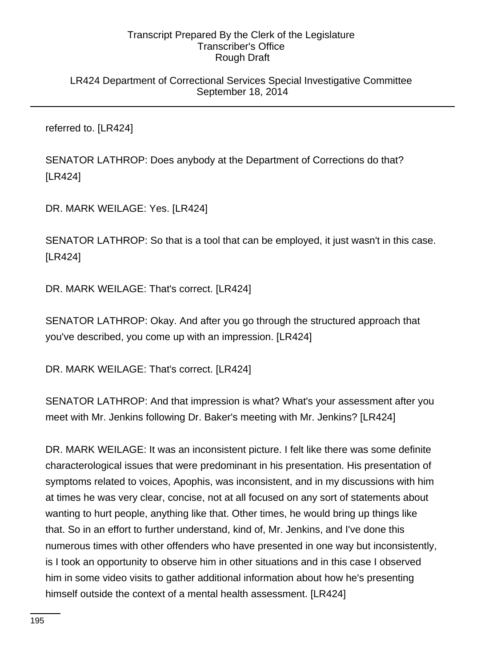LR424 Department of Correctional Services Special Investigative Committee September 18, 2014

referred to. [LR424]

SENATOR LATHROP: Does anybody at the Department of Corrections do that? [LR424]

DR. MARK WEILAGE: Yes. [LR424]

SENATOR LATHROP: So that is a tool that can be employed, it just wasn't in this case. [LR424]

DR. MARK WEILAGE: That's correct. [LR424]

SENATOR LATHROP: Okay. And after you go through the structured approach that you've described, you come up with an impression. [LR424]

DR. MARK WEILAGE: That's correct. [LR424]

SENATOR LATHROP: And that impression is what? What's your assessment after you meet with Mr. Jenkins following Dr. Baker's meeting with Mr. Jenkins? [LR424]

DR. MARK WEILAGE: It was an inconsistent picture. I felt like there was some definite characterological issues that were predominant in his presentation. His presentation of symptoms related to voices, Apophis, was inconsistent, and in my discussions with him at times he was very clear, concise, not at all focused on any sort of statements about wanting to hurt people, anything like that. Other times, he would bring up things like that. So in an effort to further understand, kind of, Mr. Jenkins, and I've done this numerous times with other offenders who have presented in one way but inconsistently, is I took an opportunity to observe him in other situations and in this case I observed him in some video visits to gather additional information about how he's presenting himself outside the context of a mental health assessment. [LR424]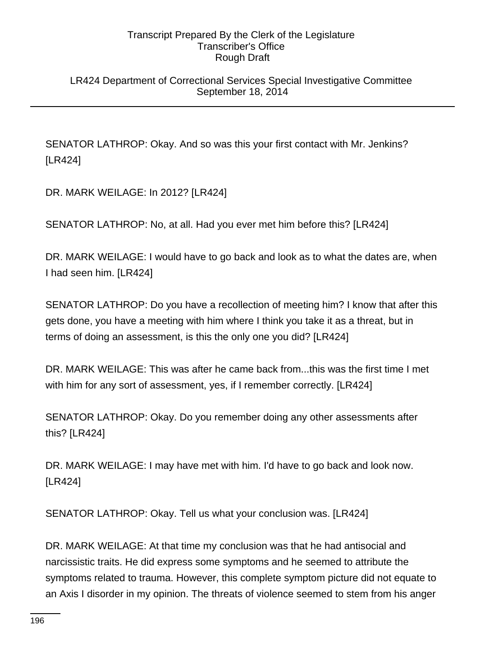LR424 Department of Correctional Services Special Investigative Committee September 18, 2014

SENATOR LATHROP: Okay. And so was this your first contact with Mr. Jenkins? [LR424]

DR. MARK WEILAGE: In 2012? [LR424]

SENATOR LATHROP: No, at all. Had you ever met him before this? [LR424]

DR. MARK WEILAGE: I would have to go back and look as to what the dates are, when I had seen him. [LR424]

SENATOR LATHROP: Do you have a recollection of meeting him? I know that after this gets done, you have a meeting with him where I think you take it as a threat, but in terms of doing an assessment, is this the only one you did? [LR424]

DR. MARK WEILAGE: This was after he came back from...this was the first time I met with him for any sort of assessment, yes, if I remember correctly. [LR424]

SENATOR LATHROP: Okay. Do you remember doing any other assessments after this? [LR424]

DR. MARK WEILAGE: I may have met with him. I'd have to go back and look now. [LR424]

SENATOR LATHROP: Okay. Tell us what your conclusion was. [LR424]

DR. MARK WEILAGE: At that time my conclusion was that he had antisocial and narcissistic traits. He did express some symptoms and he seemed to attribute the symptoms related to trauma. However, this complete symptom picture did not equate to an Axis I disorder in my opinion. The threats of violence seemed to stem from his anger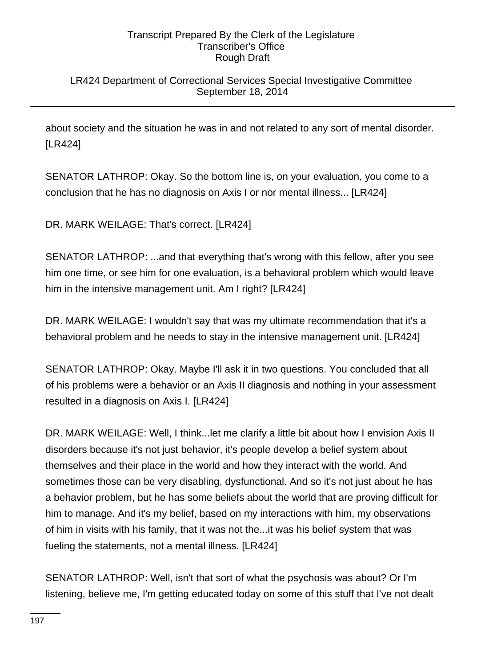# LR424 Department of Correctional Services Special Investigative Committee September 18, 2014

about society and the situation he was in and not related to any sort of mental disorder. [LR424]

SENATOR LATHROP: Okay. So the bottom line is, on your evaluation, you come to a conclusion that he has no diagnosis on Axis I or nor mental illness... [LR424]

DR. MARK WEILAGE: That's correct. [LR424]

SENATOR LATHROP: ...and that everything that's wrong with this fellow, after you see him one time, or see him for one evaluation, is a behavioral problem which would leave him in the intensive management unit. Am I right? [LR424]

DR. MARK WEILAGE: I wouldn't say that was my ultimate recommendation that it's a behavioral problem and he needs to stay in the intensive management unit. [LR424]

SENATOR LATHROP: Okay. Maybe I'll ask it in two questions. You concluded that all of his problems were a behavior or an Axis II diagnosis and nothing in your assessment resulted in a diagnosis on Axis I. [LR424]

DR. MARK WEILAGE: Well, I think...let me clarify a little bit about how I envision Axis II disorders because it's not just behavior, it's people develop a belief system about themselves and their place in the world and how they interact with the world. And sometimes those can be very disabling, dysfunctional. And so it's not just about he has a behavior problem, but he has some beliefs about the world that are proving difficult for him to manage. And it's my belief, based on my interactions with him, my observations of him in visits with his family, that it was not the...it was his belief system that was fueling the statements, not a mental illness. [LR424]

SENATOR LATHROP: Well, isn't that sort of what the psychosis was about? Or I'm listening, believe me, I'm getting educated today on some of this stuff that I've not dealt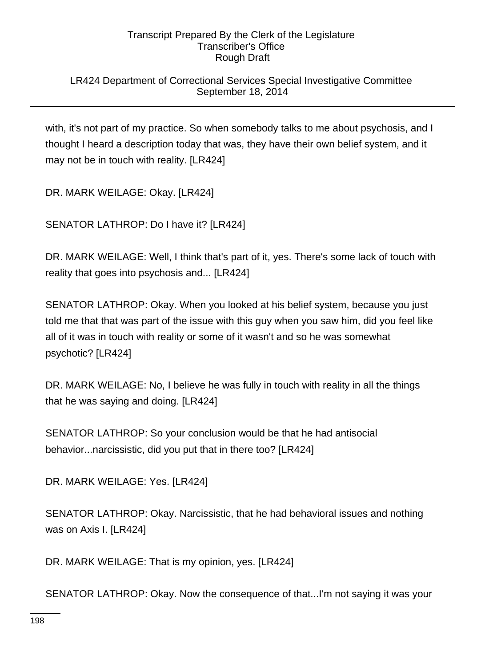# LR424 Department of Correctional Services Special Investigative Committee September 18, 2014

with, it's not part of my practice. So when somebody talks to me about psychosis, and I thought I heard a description today that was, they have their own belief system, and it may not be in touch with reality. [LR424]

DR. MARK WEILAGE: Okay. [LR424]

SENATOR LATHROP: Do I have it? [LR424]

DR. MARK WEILAGE: Well, I think that's part of it, yes. There's some lack of touch with reality that goes into psychosis and... [LR424]

SENATOR LATHROP: Okay. When you looked at his belief system, because you just told me that that was part of the issue with this guy when you saw him, did you feel like all of it was in touch with reality or some of it wasn't and so he was somewhat psychotic? [LR424]

DR. MARK WEILAGE: No, I believe he was fully in touch with reality in all the things that he was saying and doing. [LR424]

SENATOR LATHROP: So your conclusion would be that he had antisocial behavior...narcissistic, did you put that in there too? [LR424]

DR. MARK WEILAGE: Yes. [LR424]

SENATOR LATHROP: Okay. Narcissistic, that he had behavioral issues and nothing was on Axis I. [LR424]

DR. MARK WEILAGE: That is my opinion, yes. [LR424]

SENATOR LATHROP: Okay. Now the consequence of that...I'm not saying it was your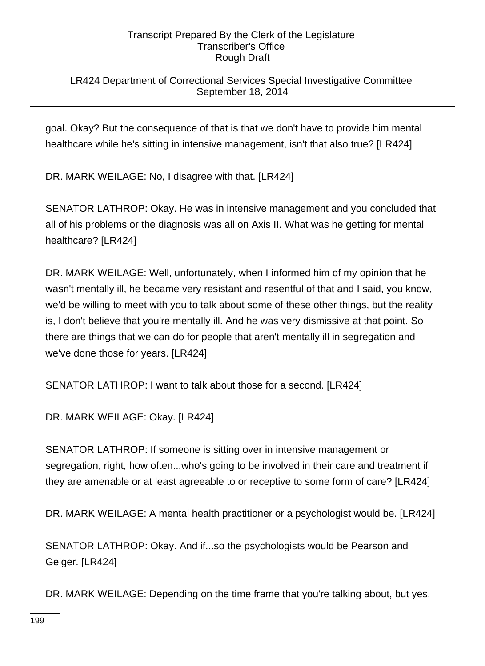# LR424 Department of Correctional Services Special Investigative Committee September 18, 2014

goal. Okay? But the consequence of that is that we don't have to provide him mental healthcare while he's sitting in intensive management, isn't that also true? [LR424]

DR. MARK WEILAGE: No, I disagree with that. [LR424]

SENATOR LATHROP: Okay. He was in intensive management and you concluded that all of his problems or the diagnosis was all on Axis II. What was he getting for mental healthcare? [LR424]

DR. MARK WEILAGE: Well, unfortunately, when I informed him of my opinion that he wasn't mentally ill, he became very resistant and resentful of that and I said, you know, we'd be willing to meet with you to talk about some of these other things, but the reality is, I don't believe that you're mentally ill. And he was very dismissive at that point. So there are things that we can do for people that aren't mentally ill in segregation and we've done those for years. [LR424]

SENATOR LATHROP: I want to talk about those for a second. [LR424]

DR. MARK WEILAGE: Okay. [LR424]

SENATOR LATHROP: If someone is sitting over in intensive management or segregation, right, how often...who's going to be involved in their care and treatment if they are amenable or at least agreeable to or receptive to some form of care? [LR424]

DR. MARK WEILAGE: A mental health practitioner or a psychologist would be. [LR424]

SENATOR LATHROP: Okay. And if...so the psychologists would be Pearson and Geiger. [LR424]

DR. MARK WEILAGE: Depending on the time frame that you're talking about, but yes.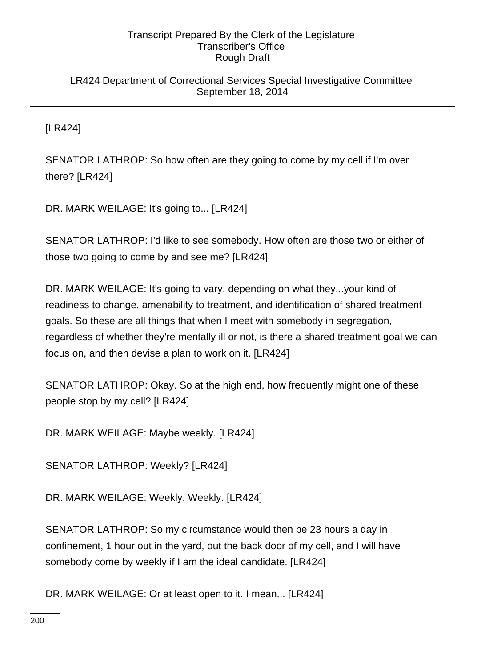LR424 Department of Correctional Services Special Investigative Committee September 18, 2014

[LR424]

SENATOR LATHROP: So how often are they going to come by my cell if I'm over there? [LR424]

DR. MARK WEILAGE: It's going to... [LR424]

SENATOR LATHROP: I'd like to see somebody. How often are those two or either of those two going to come by and see me? [LR424]

DR. MARK WEILAGE: It's going to vary, depending on what they...your kind of readiness to change, amenability to treatment, and identification of shared treatment goals. So these are all things that when I meet with somebody in segregation, regardless of whether they're mentally ill or not, is there a shared treatment goal we can focus on, and then devise a plan to work on it. [LR424]

SENATOR LATHROP: Okay. So at the high end, how frequently might one of these people stop by my cell? [LR424]

DR. MARK WEILAGE: Maybe weekly. [LR424]

SENATOR LATHROP: Weekly? [LR424]

DR. MARK WEILAGE: Weekly. Weekly. [LR424]

SENATOR LATHROP: So my circumstance would then be 23 hours a day in confinement, 1 hour out in the yard, out the back door of my cell, and I will have somebody come by weekly if I am the ideal candidate. [LR424]

DR. MARK WEILAGE: Or at least open to it. I mean... [LR424]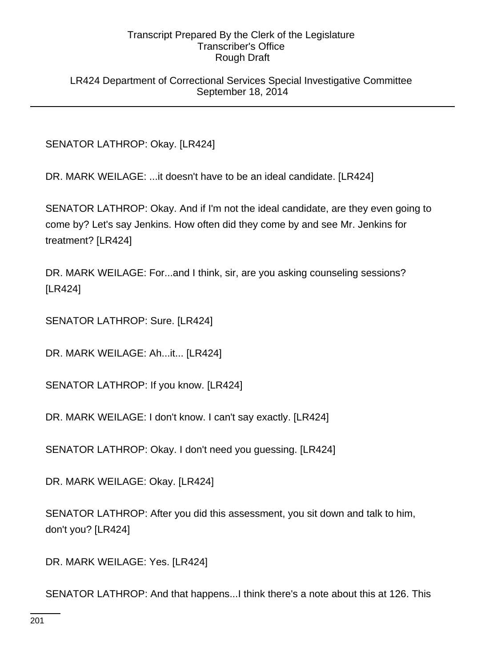LR424 Department of Correctional Services Special Investigative Committee September 18, 2014

SENATOR LATHROP: Okay. [LR424]

DR. MARK WEILAGE: ...it doesn't have to be an ideal candidate. [LR424]

SENATOR LATHROP: Okay. And if I'm not the ideal candidate, are they even going to come by? Let's say Jenkins. How often did they come by and see Mr. Jenkins for treatment? [LR424]

DR. MARK WEILAGE: For...and I think, sir, are you asking counseling sessions? [LR424]

SENATOR LATHROP: Sure. [LR424]

DR. MARK WEILAGE: Ah...it... [LR424]

SENATOR LATHROP: If you know. [LR424]

DR. MARK WEILAGE: I don't know. I can't say exactly. [LR424]

SENATOR LATHROP: Okay. I don't need you guessing. [LR424]

DR. MARK WEILAGE: Okay. [LR424]

SENATOR LATHROP: After you did this assessment, you sit down and talk to him, don't you? [LR424]

DR. MARK WEILAGE: Yes. [LR424]

SENATOR LATHROP: And that happens...I think there's a note about this at 126. This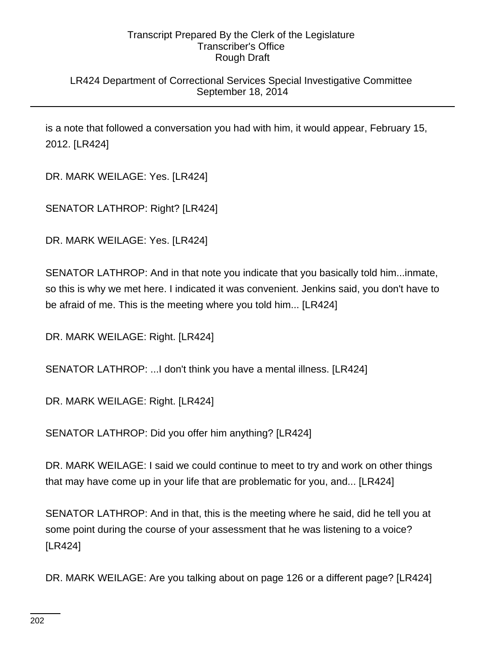# LR424 Department of Correctional Services Special Investigative Committee September 18, 2014

is a note that followed a conversation you had with him, it would appear, February 15, 2012. [LR424]

DR. MARK WEILAGE: Yes. [LR424]

SENATOR LATHROP: Right? [LR424]

DR. MARK WEILAGE: Yes. [LR424]

SENATOR LATHROP: And in that note you indicate that you basically told him...inmate, so this is why we met here. I indicated it was convenient. Jenkins said, you don't have to be afraid of me. This is the meeting where you told him... [LR424]

DR. MARK WEILAGE: Right. [LR424]

SENATOR LATHROP: ...I don't think you have a mental illness. [LR424]

DR. MARK WEILAGE: Right. [LR424]

SENATOR LATHROP: Did you offer him anything? [LR424]

DR. MARK WEILAGE: I said we could continue to meet to try and work on other things that may have come up in your life that are problematic for you, and... [LR424]

SENATOR LATHROP: And in that, this is the meeting where he said, did he tell you at some point during the course of your assessment that he was listening to a voice? [LR424]

DR. MARK WEILAGE: Are you talking about on page 126 or a different page? [LR424]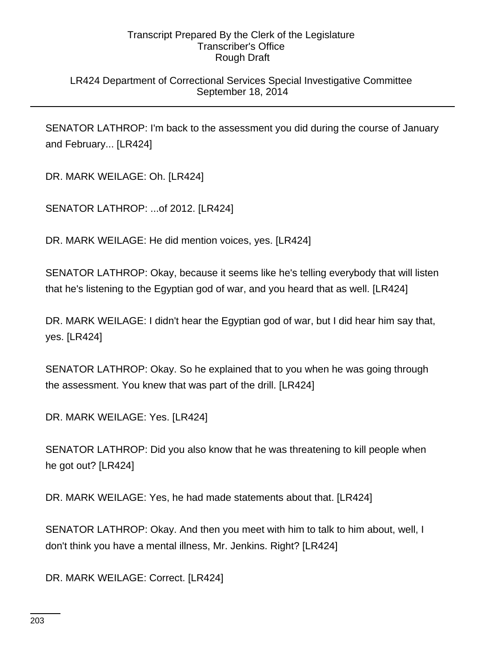# LR424 Department of Correctional Services Special Investigative Committee September 18, 2014

SENATOR LATHROP: I'm back to the assessment you did during the course of January and February... [LR424]

DR. MARK WEILAGE: Oh. [LR424]

SENATOR LATHROP: ...of 2012. [LR424]

DR. MARK WEILAGE: He did mention voices, yes. [LR424]

SENATOR LATHROP: Okay, because it seems like he's telling everybody that will listen that he's listening to the Egyptian god of war, and you heard that as well. [LR424]

DR. MARK WEILAGE: I didn't hear the Egyptian god of war, but I did hear him say that, yes. [LR424]

SENATOR LATHROP: Okay. So he explained that to you when he was going through the assessment. You knew that was part of the drill. [LR424]

DR. MARK WEILAGE: Yes. [LR424]

SENATOR LATHROP: Did you also know that he was threatening to kill people when he got out? [LR424]

DR. MARK WEILAGE: Yes, he had made statements about that. [LR424]

SENATOR LATHROP: Okay. And then you meet with him to talk to him about, well, I don't think you have a mental illness, Mr. Jenkins. Right? [LR424]

DR. MARK WEILAGE: Correct. [LR424]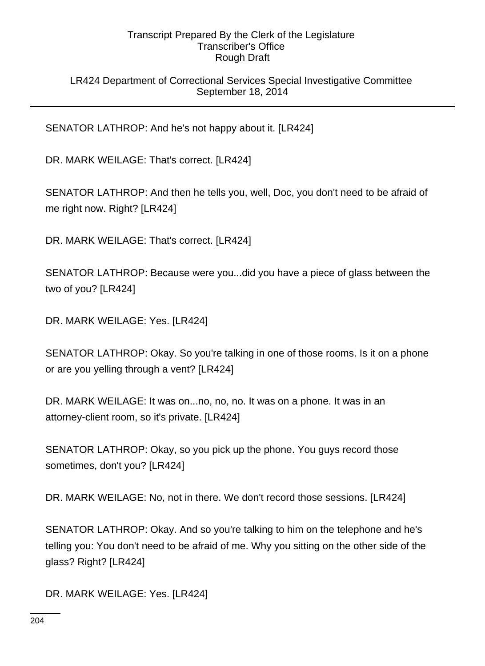# LR424 Department of Correctional Services Special Investigative Committee September 18, 2014

SENATOR LATHROP: And he's not happy about it. [LR424]

DR. MARK WEILAGE: That's correct. [LR424]

SENATOR LATHROP: And then he tells you, well, Doc, you don't need to be afraid of me right now. Right? [LR424]

DR. MARK WEILAGE: That's correct. [LR424]

SENATOR LATHROP: Because were you...did you have a piece of glass between the two of you? [LR424]

DR. MARK WEILAGE: Yes. [LR424]

SENATOR LATHROP: Okay. So you're talking in one of those rooms. Is it on a phone or are you yelling through a vent? [LR424]

DR. MARK WEILAGE: It was on...no, no, no. It was on a phone. It was in an attorney-client room, so it's private. [LR424]

SENATOR LATHROP: Okay, so you pick up the phone. You guys record those sometimes, don't you? [LR424]

DR. MARK WEILAGE: No, not in there. We don't record those sessions. [LR424]

SENATOR LATHROP: Okay. And so you're talking to him on the telephone and he's telling you: You don't need to be afraid of me. Why you sitting on the other side of the glass? Right? [LR424]

DR. MARK WEILAGE: Yes. [LR424]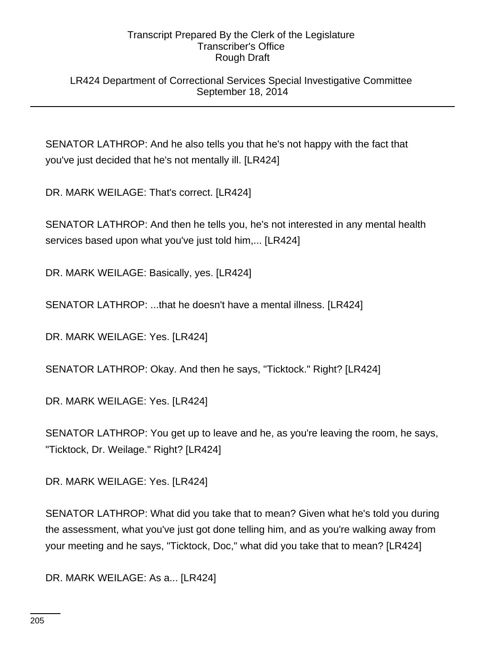# LR424 Department of Correctional Services Special Investigative Committee September 18, 2014

SENATOR LATHROP: And he also tells you that he's not happy with the fact that you've just decided that he's not mentally ill. [LR424]

DR. MARK WEILAGE: That's correct. [LR424]

SENATOR LATHROP: And then he tells you, he's not interested in any mental health services based upon what you've just told him,... [LR424]

DR. MARK WEILAGE: Basically, yes. [LR424]

SENATOR LATHROP: ...that he doesn't have a mental illness. [LR424]

DR. MARK WEILAGE: Yes. [LR424]

SENATOR LATHROP: Okay. And then he says, "Ticktock." Right? [LR424]

DR. MARK WEILAGE: Yes. [LR424]

SENATOR LATHROP: You get up to leave and he, as you're leaving the room, he says, "Ticktock, Dr. Weilage." Right? [LR424]

DR. MARK WEILAGE: Yes. [LR424]

SENATOR LATHROP: What did you take that to mean? Given what he's told you during the assessment, what you've just got done telling him, and as you're walking away from your meeting and he says, "Ticktock, Doc," what did you take that to mean? [LR424]

DR. MARK WEILAGE: As a... [LR424]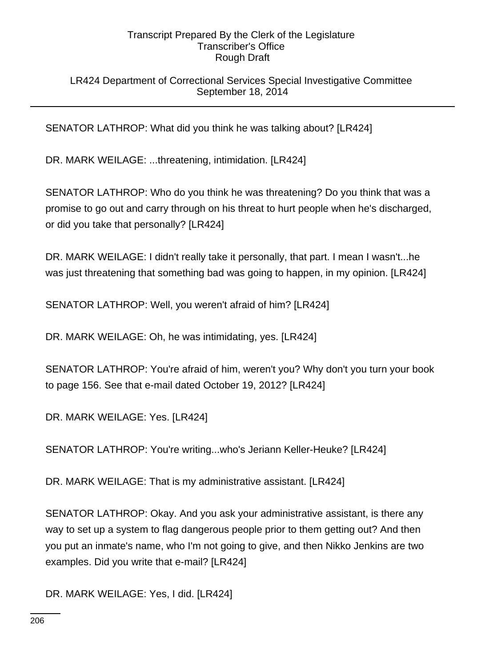# LR424 Department of Correctional Services Special Investigative Committee September 18, 2014

SENATOR LATHROP: What did you think he was talking about? [LR424]

DR. MARK WEILAGE: ...threatening, intimidation. [LR424]

SENATOR LATHROP: Who do you think he was threatening? Do you think that was a promise to go out and carry through on his threat to hurt people when he's discharged, or did you take that personally? [LR424]

DR. MARK WEILAGE: I didn't really take it personally, that part. I mean I wasn't...he was just threatening that something bad was going to happen, in my opinion. [LR424]

SENATOR LATHROP: Well, you weren't afraid of him? [LR424]

DR. MARK WEILAGE: Oh, he was intimidating, yes. [LR424]

SENATOR LATHROP: You're afraid of him, weren't you? Why don't you turn your book to page 156. See that e-mail dated October 19, 2012? [LR424]

DR. MARK WEILAGE: Yes. [LR424]

SENATOR LATHROP: You're writing...who's Jeriann Keller-Heuke? [LR424]

DR. MARK WEILAGE: That is my administrative assistant. [LR424]

SENATOR LATHROP: Okay. And you ask your administrative assistant, is there any way to set up a system to flag dangerous people prior to them getting out? And then you put an inmate's name, who I'm not going to give, and then Nikko Jenkins are two examples. Did you write that e-mail? [LR424]

DR. MARK WEILAGE: Yes, I did. [LR424]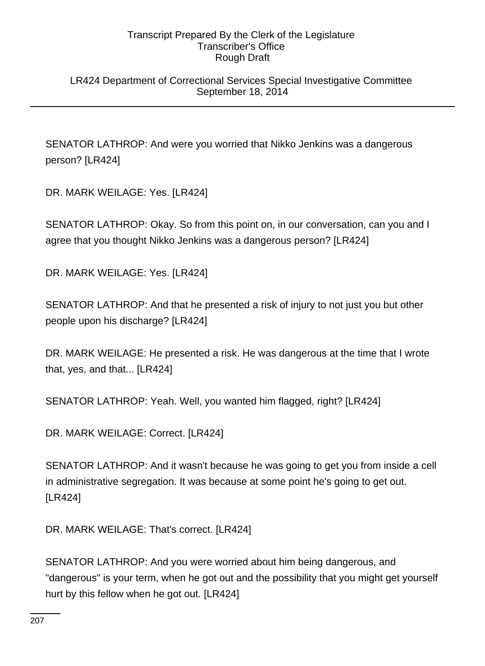LR424 Department of Correctional Services Special Investigative Committee September 18, 2014

SENATOR LATHROP: And were you worried that Nikko Jenkins was a dangerous person? [LR424]

DR. MARK WEILAGE: Yes. [LR424]

SENATOR LATHROP: Okay. So from this point on, in our conversation, can you and I agree that you thought Nikko Jenkins was a dangerous person? [LR424]

DR. MARK WEILAGE: Yes. [LR424]

SENATOR LATHROP: And that he presented a risk of injury to not just you but other people upon his discharge? [LR424]

DR. MARK WEILAGE: He presented a risk. He was dangerous at the time that I wrote that, yes, and that... [LR424]

SENATOR LATHROP: Yeah. Well, you wanted him flagged, right? [LR424]

DR. MARK WEILAGE: Correct. [LR424]

SENATOR LATHROP: And it wasn't because he was going to get you from inside a cell in administrative segregation. It was because at some point he's going to get out. [LR424]

DR. MARK WEILAGE: That's correct. [LR424]

SENATOR LATHROP: And you were worried about him being dangerous, and "dangerous" is your term, when he got out and the possibility that you might get yourself hurt by this fellow when he got out. [LR424]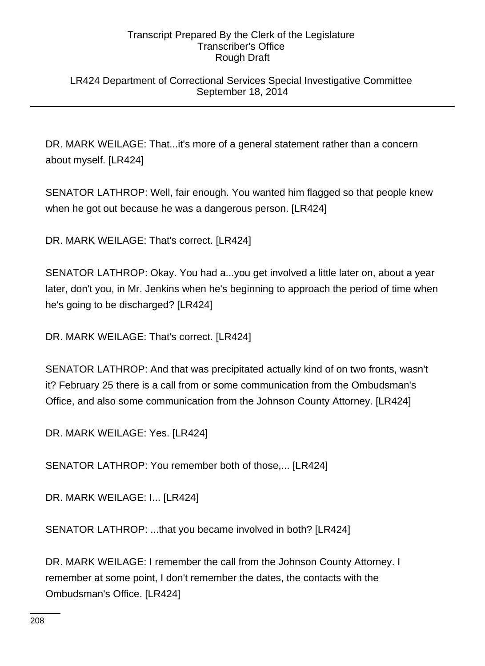## LR424 Department of Correctional Services Special Investigative Committee September 18, 2014

DR. MARK WEILAGE: That...it's more of a general statement rather than a concern about myself. [LR424]

SENATOR LATHROP: Well, fair enough. You wanted him flagged so that people knew when he got out because he was a dangerous person. [LR424]

DR. MARK WEILAGE: That's correct. [LR424]

SENATOR LATHROP: Okay. You had a...you get involved a little later on, about a year later, don't you, in Mr. Jenkins when he's beginning to approach the period of time when he's going to be discharged? [LR424]

DR. MARK WEILAGE: That's correct. [LR424]

SENATOR LATHROP: And that was precipitated actually kind of on two fronts, wasn't it? February 25 there is a call from or some communication from the Ombudsman's Office, and also some communication from the Johnson County Attorney. [LR424]

DR. MARK WEILAGE: Yes. [LR424]

SENATOR LATHROP: You remember both of those,... [LR424]

DR. MARK WEILAGE: I... [LR424]

SENATOR LATHROP: ...that you became involved in both? [LR424]

DR. MARK WEILAGE: I remember the call from the Johnson County Attorney. I remember at some point, I don't remember the dates, the contacts with the Ombudsman's Office. [LR424]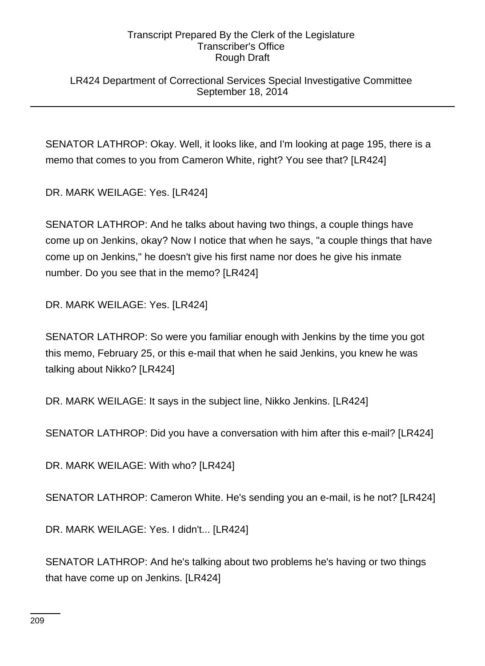LR424 Department of Correctional Services Special Investigative Committee September 18, 2014

SENATOR LATHROP: Okay. Well, it looks like, and I'm looking at page 195, there is a memo that comes to you from Cameron White, right? You see that? [LR424]

DR. MARK WEILAGE: Yes. [LR424]

SENATOR LATHROP: And he talks about having two things, a couple things have come up on Jenkins, okay? Now I notice that when he says, "a couple things that have come up on Jenkins," he doesn't give his first name nor does he give his inmate number. Do you see that in the memo? [LR424]

DR. MARK WEILAGE: Yes. [LR424]

SENATOR LATHROP: So were you familiar enough with Jenkins by the time you got this memo, February 25, or this e-mail that when he said Jenkins, you knew he was talking about Nikko? [LR424]

DR. MARK WEILAGE: It says in the subject line, Nikko Jenkins. [LR424]

SENATOR LATHROP: Did you have a conversation with him after this e-mail? [LR424]

DR. MARK WEILAGE: With who? [LR424]

SENATOR LATHROP: Cameron White. He's sending you an e-mail, is he not? [LR424]

DR. MARK WEILAGE: Yes. I didn't... [LR424]

SENATOR LATHROP: And he's talking about two problems he's having or two things that have come up on Jenkins. [LR424]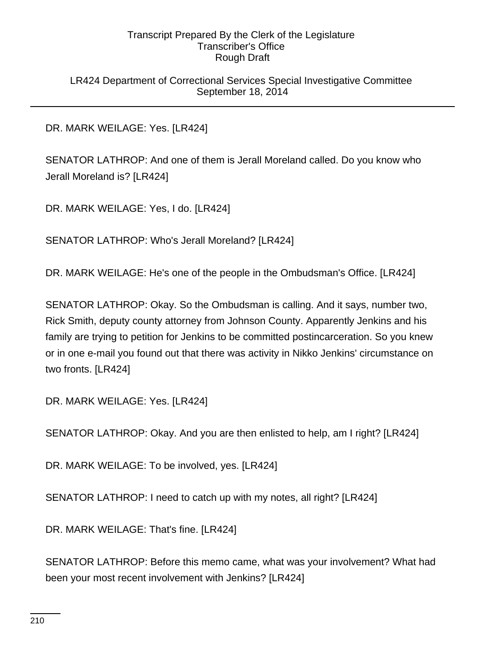LR424 Department of Correctional Services Special Investigative Committee September 18, 2014

DR. MARK WEILAGE: Yes. [LR424]

SENATOR LATHROP: And one of them is Jerall Moreland called. Do you know who Jerall Moreland is? [LR424]

DR. MARK WEILAGE: Yes, I do. [LR424]

SENATOR LATHROP: Who's Jerall Moreland? [LR424]

DR. MARK WEILAGE: He's one of the people in the Ombudsman's Office. [LR424]

SENATOR LATHROP: Okay. So the Ombudsman is calling. And it says, number two, Rick Smith, deputy county attorney from Johnson County. Apparently Jenkins and his family are trying to petition for Jenkins to be committed postincarceration. So you knew or in one e-mail you found out that there was activity in Nikko Jenkins' circumstance on two fronts. [LR424]

DR. MARK WEILAGE: Yes. [LR424]

SENATOR LATHROP: Okay. And you are then enlisted to help, am I right? [LR424]

DR. MARK WEILAGE: To be involved, yes. [LR424]

SENATOR LATHROP: I need to catch up with my notes, all right? [LR424]

DR. MARK WEILAGE: That's fine. [LR424]

SENATOR LATHROP: Before this memo came, what was your involvement? What had been your most recent involvement with Jenkins? [LR424]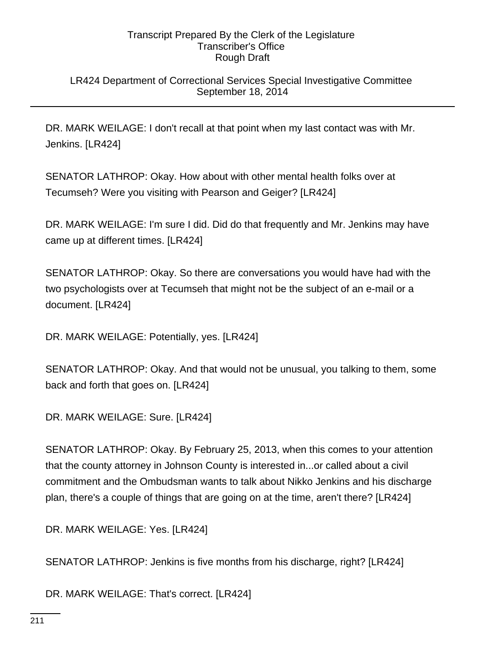# LR424 Department of Correctional Services Special Investigative Committee September 18, 2014

DR. MARK WEILAGE: I don't recall at that point when my last contact was with Mr. Jenkins. [LR424]

SENATOR LATHROP: Okay. How about with other mental health folks over at Tecumseh? Were you visiting with Pearson and Geiger? [LR424]

DR. MARK WEILAGE: I'm sure I did. Did do that frequently and Mr. Jenkins may have came up at different times. [LR424]

SENATOR LATHROP: Okay. So there are conversations you would have had with the two psychologists over at Tecumseh that might not be the subject of an e-mail or a document. [LR424]

DR. MARK WEILAGE: Potentially, yes. [LR424]

SENATOR LATHROP: Okay. And that would not be unusual, you talking to them, some back and forth that goes on. [LR424]

DR. MARK WEILAGE: Sure. [LR424]

SENATOR LATHROP: Okay. By February 25, 2013, when this comes to your attention that the county attorney in Johnson County is interested in...or called about a civil commitment and the Ombudsman wants to talk about Nikko Jenkins and his discharge plan, there's a couple of things that are going on at the time, aren't there? [LR424]

DR. MARK WEILAGE: Yes. [LR424]

SENATOR LATHROP: Jenkins is five months from his discharge, right? [LR424]

DR. MARK WEILAGE: That's correct. [LR424]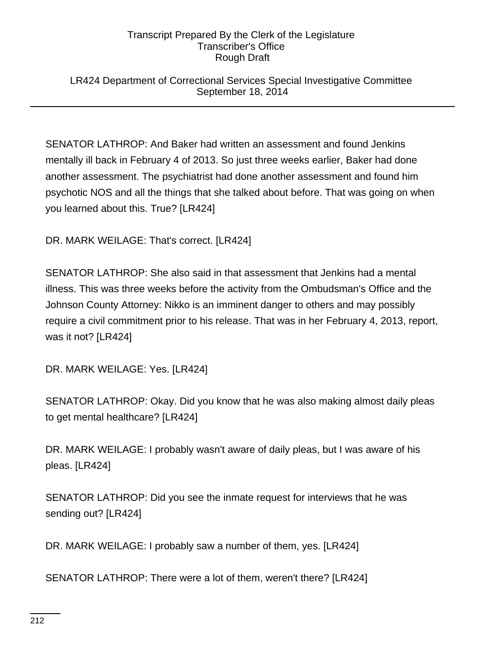LR424 Department of Correctional Services Special Investigative Committee September 18, 2014

SENATOR LATHROP: And Baker had written an assessment and found Jenkins mentally ill back in February 4 of 2013. So just three weeks earlier, Baker had done another assessment. The psychiatrist had done another assessment and found him psychotic NOS and all the things that she talked about before. That was going on when you learned about this. True? [LR424]

DR. MARK WEILAGE: That's correct. [LR424]

SENATOR LATHROP: She also said in that assessment that Jenkins had a mental illness. This was three weeks before the activity from the Ombudsman's Office and the Johnson County Attorney: Nikko is an imminent danger to others and may possibly require a civil commitment prior to his release. That was in her February 4, 2013, report, was it not? [LR424]

DR. MARK WEILAGE: Yes. [LR424]

SENATOR LATHROP: Okay. Did you know that he was also making almost daily pleas to get mental healthcare? [LR424]

DR. MARK WEILAGE: I probably wasn't aware of daily pleas, but I was aware of his pleas. [LR424]

SENATOR LATHROP: Did you see the inmate request for interviews that he was sending out? [LR424]

DR. MARK WEILAGE: I probably saw a number of them, yes. [LR424]

SENATOR LATHROP: There were a lot of them, weren't there? [LR424]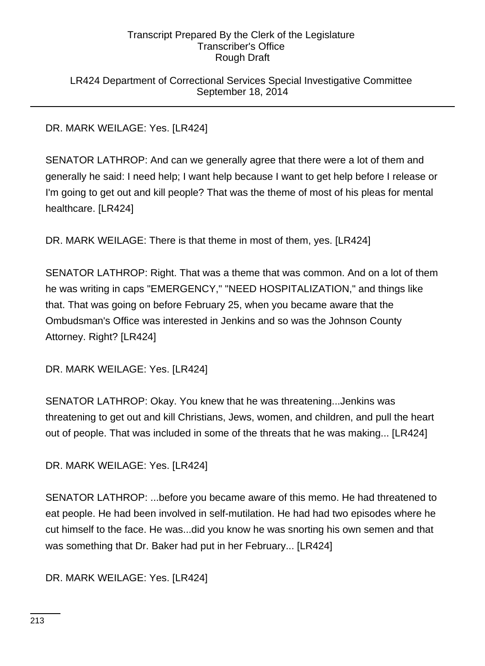LR424 Department of Correctional Services Special Investigative Committee September 18, 2014

DR. MARK WEILAGE: Yes. [LR424]

SENATOR LATHROP: And can we generally agree that there were a lot of them and generally he said: I need help; I want help because I want to get help before I release or I'm going to get out and kill people? That was the theme of most of his pleas for mental healthcare. [LR424]

DR. MARK WEILAGE: There is that theme in most of them, yes. [LR424]

SENATOR LATHROP: Right. That was a theme that was common. And on a lot of them he was writing in caps "EMERGENCY," "NEED HOSPITALIZATION," and things like that. That was going on before February 25, when you became aware that the Ombudsman's Office was interested in Jenkins and so was the Johnson County Attorney. Right? [LR424]

DR. MARK WEILAGE: Yes. [LR424]

SENATOR LATHROP: Okay. You knew that he was threatening...Jenkins was threatening to get out and kill Christians, Jews, women, and children, and pull the heart out of people. That was included in some of the threats that he was making... [LR424]

```
DR. MARK WEILAGE: Yes. [LR424]
```
SENATOR LATHROP: ...before you became aware of this memo. He had threatened to eat people. He had been involved in self-mutilation. He had had two episodes where he cut himself to the face. He was...did you know he was snorting his own semen and that was something that Dr. Baker had put in her February... [LR424]

DR. MARK WEILAGE: Yes. [LR424]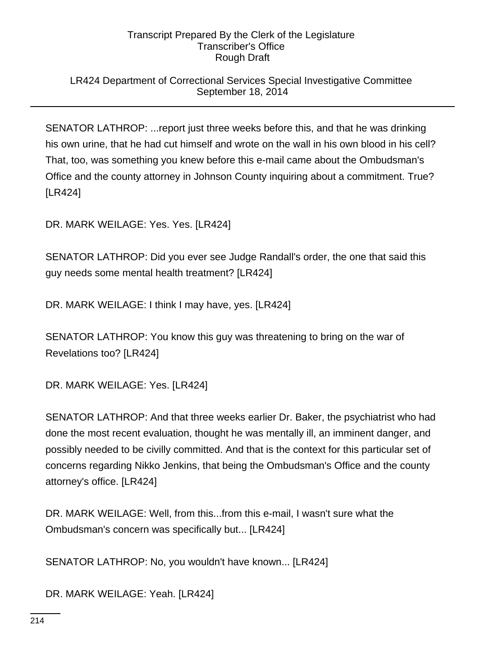# LR424 Department of Correctional Services Special Investigative Committee September 18, 2014

SENATOR LATHROP: ...report just three weeks before this, and that he was drinking his own urine, that he had cut himself and wrote on the wall in his own blood in his cell? That, too, was something you knew before this e-mail came about the Ombudsman's Office and the county attorney in Johnson County inquiring about a commitment. True? [LR424]

DR. MARK WEILAGE: Yes. Yes. [LR424]

SENATOR LATHROP: Did you ever see Judge Randall's order, the one that said this guy needs some mental health treatment? [LR424]

DR. MARK WEILAGE: I think I may have, yes. [LR424]

SENATOR LATHROP: You know this guy was threatening to bring on the war of Revelations too? [LR424]

DR. MARK WEILAGE: Yes. [LR424]

SENATOR LATHROP: And that three weeks earlier Dr. Baker, the psychiatrist who had done the most recent evaluation, thought he was mentally ill, an imminent danger, and possibly needed to be civilly committed. And that is the context for this particular set of concerns regarding Nikko Jenkins, that being the Ombudsman's Office and the county attorney's office. [LR424]

DR. MARK WEILAGE: Well, from this...from this e-mail, I wasn't sure what the Ombudsman's concern was specifically but... [LR424]

SENATOR LATHROP: No, you wouldn't have known... [LR424]

DR. MARK WEILAGE: Yeah. [LR424]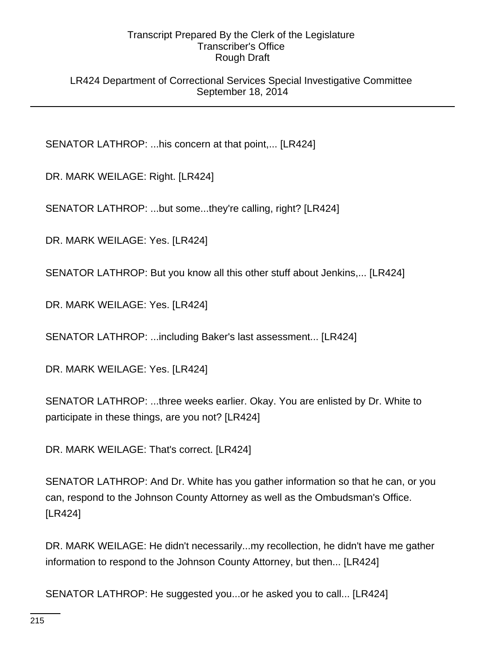LR424 Department of Correctional Services Special Investigative Committee September 18, 2014

SENATOR LATHROP: ...his concern at that point,... [LR424]

DR. MARK WEILAGE: Right. [LR424]

SENATOR LATHROP: ...but some...they're calling, right? [LR424]

DR. MARK WEILAGE: Yes. [LR424]

SENATOR LATHROP: But you know all this other stuff about Jenkins,... [LR424]

DR. MARK WEILAGE: Yes. [LR424]

SENATOR LATHROP: ...including Baker's last assessment... [LR424]

DR. MARK WEILAGE: Yes. [LR424]

SENATOR LATHROP: ...three weeks earlier. Okay. You are enlisted by Dr. White to participate in these things, are you not? [LR424]

DR. MARK WEILAGE: That's correct. [LR424]

SENATOR LATHROP: And Dr. White has you gather information so that he can, or you can, respond to the Johnson County Attorney as well as the Ombudsman's Office. [LR424]

DR. MARK WEILAGE: He didn't necessarily...my recollection, he didn't have me gather information to respond to the Johnson County Attorney, but then... [LR424]

SENATOR LATHROP: He suggested you...or he asked you to call... [LR424]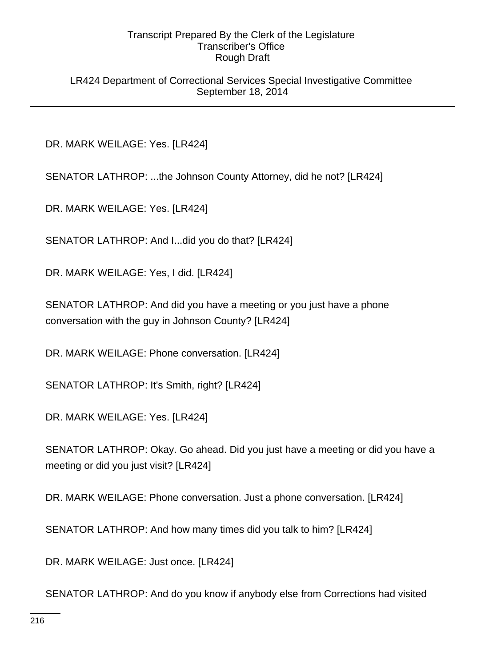LR424 Department of Correctional Services Special Investigative Committee September 18, 2014

DR. MARK WEILAGE: Yes. [LR424]

SENATOR LATHROP: ...the Johnson County Attorney, did he not? [LR424]

DR. MARK WEILAGE: Yes. [LR424]

SENATOR LATHROP: And I...did you do that? [LR424]

DR. MARK WEILAGE: Yes, I did. [LR424]

SENATOR LATHROP: And did you have a meeting or you just have a phone conversation with the guy in Johnson County? [LR424]

DR. MARK WEILAGE: Phone conversation. [LR424]

SENATOR LATHROP: It's Smith, right? [LR424]

DR. MARK WEILAGE: Yes. [LR424]

SENATOR LATHROP: Okay. Go ahead. Did you just have a meeting or did you have a meeting or did you just visit? [LR424]

DR. MARK WEILAGE: Phone conversation. Just a phone conversation. [LR424]

SENATOR LATHROP: And how many times did you talk to him? [LR424]

DR. MARK WEILAGE: Just once. [LR424]

SENATOR LATHROP: And do you know if anybody else from Corrections had visited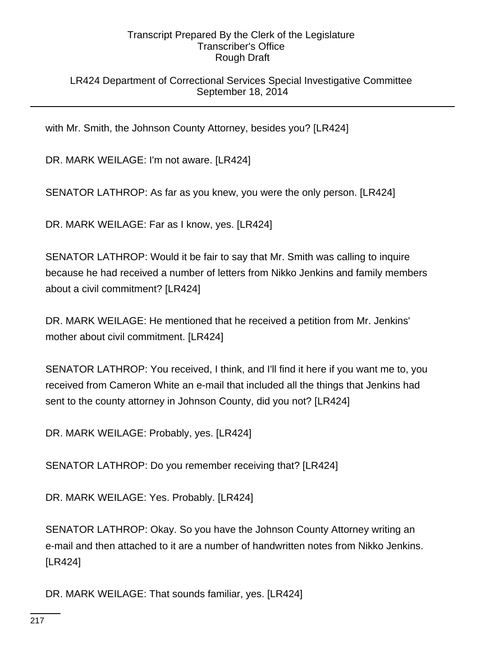## LR424 Department of Correctional Services Special Investigative Committee September 18, 2014

with Mr. Smith, the Johnson County Attorney, besides you? [LR424]

DR. MARK WEILAGE: I'm not aware. [LR424]

SENATOR LATHROP: As far as you knew, you were the only person. [LR424]

DR. MARK WEILAGE: Far as I know, yes. [LR424]

SENATOR LATHROP: Would it be fair to say that Mr. Smith was calling to inquire because he had received a number of letters from Nikko Jenkins and family members about a civil commitment? [LR424]

DR. MARK WEILAGE: He mentioned that he received a petition from Mr. Jenkins' mother about civil commitment. [LR424]

SENATOR LATHROP: You received, I think, and I'll find it here if you want me to, you received from Cameron White an e-mail that included all the things that Jenkins had sent to the county attorney in Johnson County, did you not? [LR424]

DR. MARK WEILAGE: Probably, yes. [LR424]

SENATOR LATHROP: Do you remember receiving that? [LR424]

DR. MARK WEILAGE: Yes. Probably. [LR424]

SENATOR LATHROP: Okay. So you have the Johnson County Attorney writing an e-mail and then attached to it are a number of handwritten notes from Nikko Jenkins. [LR424]

DR. MARK WEILAGE: That sounds familiar, yes. [LR424]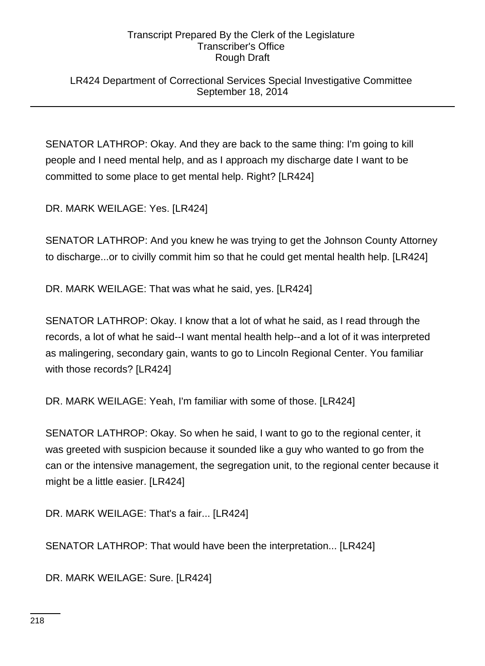LR424 Department of Correctional Services Special Investigative Committee September 18, 2014

SENATOR LATHROP: Okay. And they are back to the same thing: I'm going to kill people and I need mental help, and as I approach my discharge date I want to be committed to some place to get mental help. Right? [LR424]

DR. MARK WEILAGE: Yes. [LR424]

SENATOR LATHROP: And you knew he was trying to get the Johnson County Attorney to discharge...or to civilly commit him so that he could get mental health help. [LR424]

DR. MARK WEILAGE: That was what he said, yes. [LR424]

SENATOR LATHROP: Okay. I know that a lot of what he said, as I read through the records, a lot of what he said--I want mental health help--and a lot of it was interpreted as malingering, secondary gain, wants to go to Lincoln Regional Center. You familiar with those records? [LR424]

DR. MARK WEILAGE: Yeah, I'm familiar with some of those. [LR424]

SENATOR LATHROP: Okay. So when he said, I want to go to the regional center, it was greeted with suspicion because it sounded like a guy who wanted to go from the can or the intensive management, the segregation unit, to the regional center because it might be a little easier. [LR424]

DR. MARK WEILAGE: That's a fair... [LR424]

SENATOR LATHROP: That would have been the interpretation... [LR424]

DR. MARK WEILAGE: Sure. [LR424]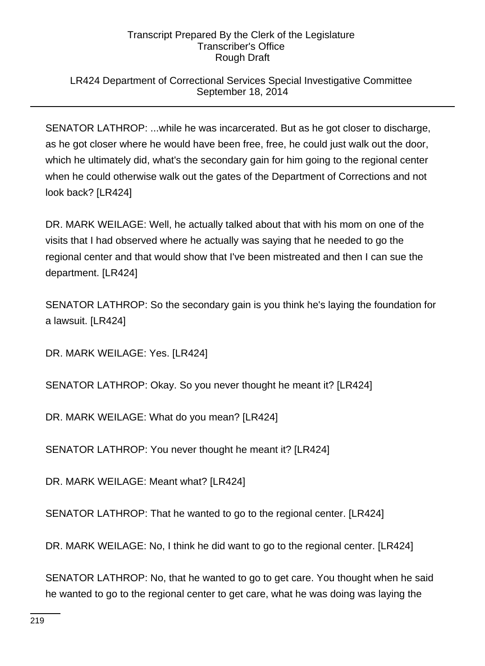## LR424 Department of Correctional Services Special Investigative Committee September 18, 2014

SENATOR LATHROP: ...while he was incarcerated. But as he got closer to discharge, as he got closer where he would have been free, free, he could just walk out the door, which he ultimately did, what's the secondary gain for him going to the regional center when he could otherwise walk out the gates of the Department of Corrections and not look back? [LR424]

DR. MARK WEILAGE: Well, he actually talked about that with his mom on one of the visits that I had observed where he actually was saying that he needed to go the regional center and that would show that I've been mistreated and then I can sue the department. [LR424]

SENATOR LATHROP: So the secondary gain is you think he's laying the foundation for a lawsuit. [LR424]

DR. MARK WEILAGE: Yes. [LR424]

SENATOR LATHROP: Okay. So you never thought he meant it? [LR424]

DR. MARK WEILAGE: What do you mean? [LR424]

SENATOR LATHROP: You never thought he meant it? [LR424]

DR. MARK WEILAGE: Meant what? [LR424]

SENATOR LATHROP: That he wanted to go to the regional center. [LR424]

DR. MARK WEILAGE: No, I think he did want to go to the regional center. [LR424]

SENATOR LATHROP: No, that he wanted to go to get care. You thought when he said he wanted to go to the regional center to get care, what he was doing was laying the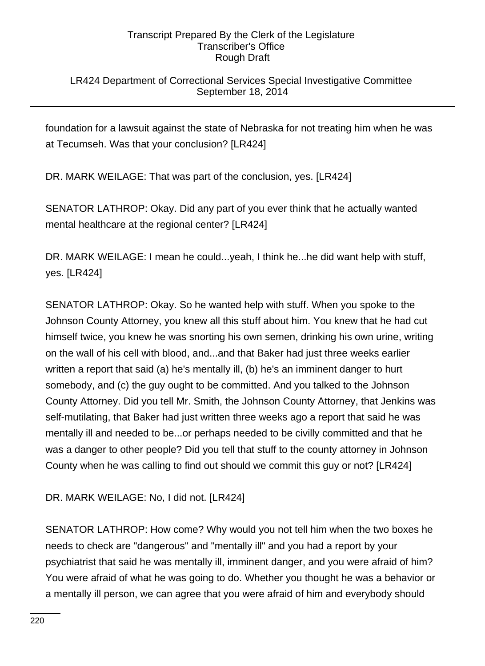## LR424 Department of Correctional Services Special Investigative Committee September 18, 2014

foundation for a lawsuit against the state of Nebraska for not treating him when he was at Tecumseh. Was that your conclusion? [LR424]

DR. MARK WEILAGE: That was part of the conclusion, yes. [LR424]

SENATOR LATHROP: Okay. Did any part of you ever think that he actually wanted mental healthcare at the regional center? [LR424]

DR. MARK WEILAGE: I mean he could...yeah, I think he...he did want help with stuff, yes. [LR424]

SENATOR LATHROP: Okay. So he wanted help with stuff. When you spoke to the Johnson County Attorney, you knew all this stuff about him. You knew that he had cut himself twice, you knew he was snorting his own semen, drinking his own urine, writing on the wall of his cell with blood, and...and that Baker had just three weeks earlier written a report that said (a) he's mentally ill, (b) he's an imminent danger to hurt somebody, and (c) the guy ought to be committed. And you talked to the Johnson County Attorney. Did you tell Mr. Smith, the Johnson County Attorney, that Jenkins was self-mutilating, that Baker had just written three weeks ago a report that said he was mentally ill and needed to be...or perhaps needed to be civilly committed and that he was a danger to other people? Did you tell that stuff to the county attorney in Johnson County when he was calling to find out should we commit this guy or not? [LR424]

## DR. MARK WEILAGE: No, I did not. [LR424]

SENATOR LATHROP: How come? Why would you not tell him when the two boxes he needs to check are "dangerous" and "mentally ill" and you had a report by your psychiatrist that said he was mentally ill, imminent danger, and you were afraid of him? You were afraid of what he was going to do. Whether you thought he was a behavior or a mentally ill person, we can agree that you were afraid of him and everybody should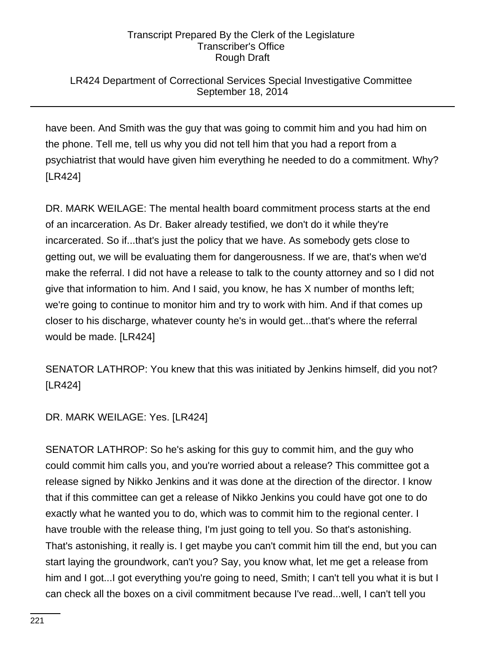## LR424 Department of Correctional Services Special Investigative Committee September 18, 2014

have been. And Smith was the guy that was going to commit him and you had him on the phone. Tell me, tell us why you did not tell him that you had a report from a psychiatrist that would have given him everything he needed to do a commitment. Why? [LR424]

DR. MARK WEILAGE: The mental health board commitment process starts at the end of an incarceration. As Dr. Baker already testified, we don't do it while they're incarcerated. So if...that's just the policy that we have. As somebody gets close to getting out, we will be evaluating them for dangerousness. If we are, that's when we'd make the referral. I did not have a release to talk to the county attorney and so I did not give that information to him. And I said, you know, he has X number of months left; we're going to continue to monitor him and try to work with him. And if that comes up closer to his discharge, whatever county he's in would get...that's where the referral would be made. [LR424]

SENATOR LATHROP: You knew that this was initiated by Jenkins himself, did you not? [LR424]

DR. MARK WEILAGE: Yes. [LR424]

SENATOR LATHROP: So he's asking for this guy to commit him, and the guy who could commit him calls you, and you're worried about a release? This committee got a release signed by Nikko Jenkins and it was done at the direction of the director. I know that if this committee can get a release of Nikko Jenkins you could have got one to do exactly what he wanted you to do, which was to commit him to the regional center. I have trouble with the release thing, I'm just going to tell you. So that's astonishing. That's astonishing, it really is. I get maybe you can't commit him till the end, but you can start laying the groundwork, can't you? Say, you know what, let me get a release from him and I got...I got everything you're going to need, Smith; I can't tell you what it is but I can check all the boxes on a civil commitment because I've read...well, I can't tell you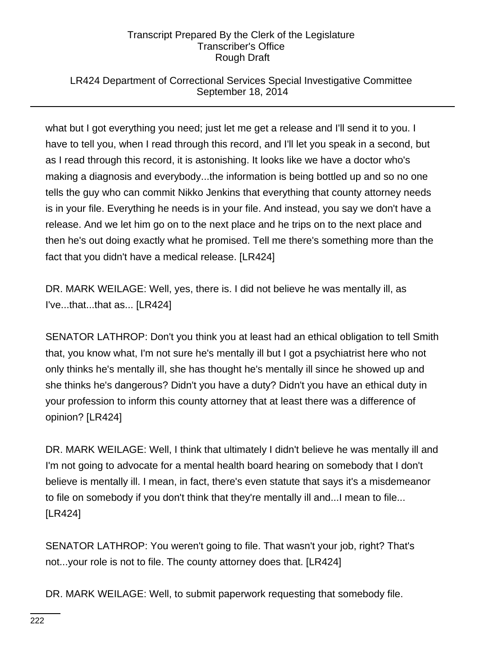## LR424 Department of Correctional Services Special Investigative Committee September 18, 2014

what but I got everything you need; just let me get a release and I'll send it to you. I have to tell you, when I read through this record, and I'll let you speak in a second, but as I read through this record, it is astonishing. It looks like we have a doctor who's making a diagnosis and everybody...the information is being bottled up and so no one tells the guy who can commit Nikko Jenkins that everything that county attorney needs is in your file. Everything he needs is in your file. And instead, you say we don't have a release. And we let him go on to the next place and he trips on to the next place and then he's out doing exactly what he promised. Tell me there's something more than the fact that you didn't have a medical release. [LR424]

DR. MARK WEILAGE: Well, yes, there is. I did not believe he was mentally ill, as I've...that...that as... [LR424]

SENATOR LATHROP: Don't you think you at least had an ethical obligation to tell Smith that, you know what, I'm not sure he's mentally ill but I got a psychiatrist here who not only thinks he's mentally ill, she has thought he's mentally ill since he showed up and she thinks he's dangerous? Didn't you have a duty? Didn't you have an ethical duty in your profession to inform this county attorney that at least there was a difference of opinion? [LR424]

DR. MARK WEILAGE: Well, I think that ultimately I didn't believe he was mentally ill and I'm not going to advocate for a mental health board hearing on somebody that I don't believe is mentally ill. I mean, in fact, there's even statute that says it's a misdemeanor to file on somebody if you don't think that they're mentally ill and...I mean to file... [LR424]

SENATOR LATHROP: You weren't going to file. That wasn't your job, right? That's not...your role is not to file. The county attorney does that. [LR424]

DR. MARK WEILAGE: Well, to submit paperwork requesting that somebody file.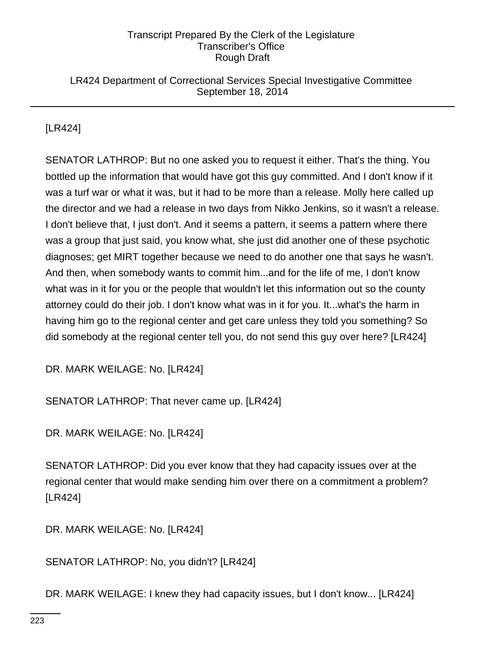## LR424 Department of Correctional Services Special Investigative Committee September 18, 2014

# [LR424]

SENATOR LATHROP: But no one asked you to request it either. That's the thing. You bottled up the information that would have got this guy committed. And I don't know if it was a turf war or what it was, but it had to be more than a release. Molly here called up the director and we had a release in two days from Nikko Jenkins, so it wasn't a release. I don't believe that, I just don't. And it seems a pattern, it seems a pattern where there was a group that just said, you know what, she just did another one of these psychotic diagnoses; get MIRT together because we need to do another one that says he wasn't. And then, when somebody wants to commit him...and for the life of me, I don't know what was in it for you or the people that wouldn't let this information out so the county attorney could do their job. I don't know what was in it for you. It...what's the harm in having him go to the regional center and get care unless they told you something? So did somebody at the regional center tell you, do not send this guy over here? [LR424]

DR. MARK WEILAGE: No. [LR424]

SENATOR LATHROP: That never came up. [LR424]

DR. MARK WEILAGE: No. [LR424]

SENATOR LATHROP: Did you ever know that they had capacity issues over at the regional center that would make sending him over there on a commitment a problem? [LR424]

DR. MARK WEILAGE: No. [LR424]

SENATOR LATHROP: No, you didn't? [LR424]

DR. MARK WEILAGE: I knew they had capacity issues, but I don't know... [LR424]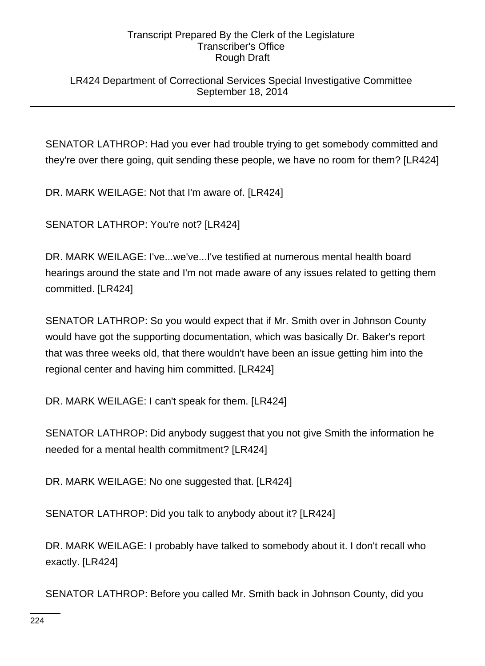LR424 Department of Correctional Services Special Investigative Committee September 18, 2014

SENATOR LATHROP: Had you ever had trouble trying to get somebody committed and they're over there going, quit sending these people, we have no room for them? [LR424]

DR. MARK WEILAGE: Not that I'm aware of. [LR424]

SENATOR LATHROP: You're not? [LR424]

DR. MARK WEILAGE: I've...we've...I've testified at numerous mental health board hearings around the state and I'm not made aware of any issues related to getting them committed. [LR424]

SENATOR LATHROP: So you would expect that if Mr. Smith over in Johnson County would have got the supporting documentation, which was basically Dr. Baker's report that was three weeks old, that there wouldn't have been an issue getting him into the regional center and having him committed. [LR424]

DR. MARK WEILAGE: I can't speak for them. [LR424]

SENATOR LATHROP: Did anybody suggest that you not give Smith the information he needed for a mental health commitment? [LR424]

DR. MARK WEILAGE: No one suggested that. [LR424]

SENATOR LATHROP: Did you talk to anybody about it? [LR424]

DR. MARK WEILAGE: I probably have talked to somebody about it. I don't recall who exactly. [LR424]

SENATOR LATHROP: Before you called Mr. Smith back in Johnson County, did you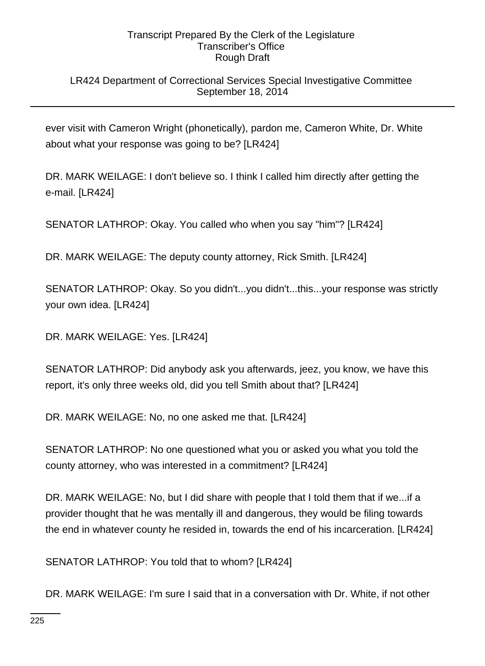## LR424 Department of Correctional Services Special Investigative Committee September 18, 2014

ever visit with Cameron Wright (phonetically), pardon me, Cameron White, Dr. White about what your response was going to be? [LR424]

DR. MARK WEILAGE: I don't believe so. I think I called him directly after getting the e-mail. [LR424]

SENATOR LATHROP: Okay. You called who when you say "him"? [LR424]

DR. MARK WEILAGE: The deputy county attorney, Rick Smith. [LR424]

SENATOR LATHROP: Okay. So you didn't...you didn't...this...your response was strictly your own idea. [LR424]

DR. MARK WEILAGE: Yes. [LR424]

SENATOR LATHROP: Did anybody ask you afterwards, jeez, you know, we have this report, it's only three weeks old, did you tell Smith about that? [LR424]

DR. MARK WEILAGE: No, no one asked me that. [LR424]

SENATOR LATHROP: No one questioned what you or asked you what you told the county attorney, who was interested in a commitment? [LR424]

DR. MARK WEILAGE: No, but I did share with people that I told them that if we...if a provider thought that he was mentally ill and dangerous, they would be filing towards the end in whatever county he resided in, towards the end of his incarceration. [LR424]

SENATOR LATHROP: You told that to whom? [LR424]

DR. MARK WEILAGE: I'm sure I said that in a conversation with Dr. White, if not other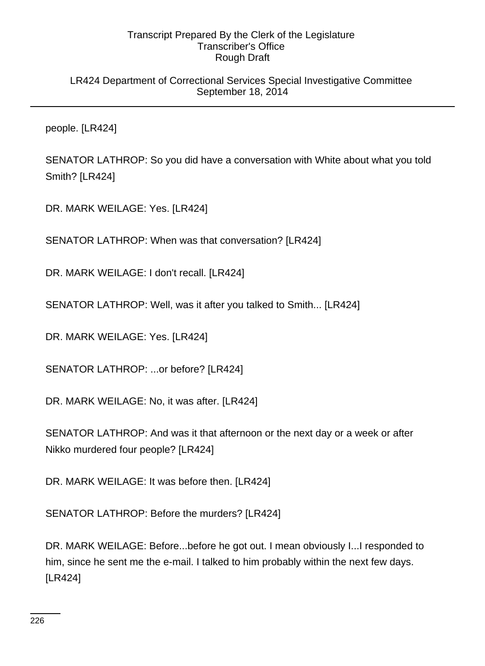LR424 Department of Correctional Services Special Investigative Committee September 18, 2014

people. [LR424]

SENATOR LATHROP: So you did have a conversation with White about what you told Smith? [LR424]

DR. MARK WEILAGE: Yes. [LR424]

SENATOR LATHROP: When was that conversation? [LR424]

DR. MARK WEILAGE: I don't recall. [LR424]

SENATOR LATHROP: Well, was it after you talked to Smith... [LR424]

DR. MARK WEILAGE: Yes. [LR424]

SENATOR LATHROP: ...or before? [LR424]

DR. MARK WEILAGE: No, it was after. [LR424]

SENATOR LATHROP: And was it that afternoon or the next day or a week or after Nikko murdered four people? [LR424]

DR. MARK WEILAGE: It was before then. [LR424]

SENATOR LATHROP: Before the murders? [LR424]

DR. MARK WEILAGE: Before...before he got out. I mean obviously I...I responded to him, since he sent me the e-mail. I talked to him probably within the next few days. [LR424]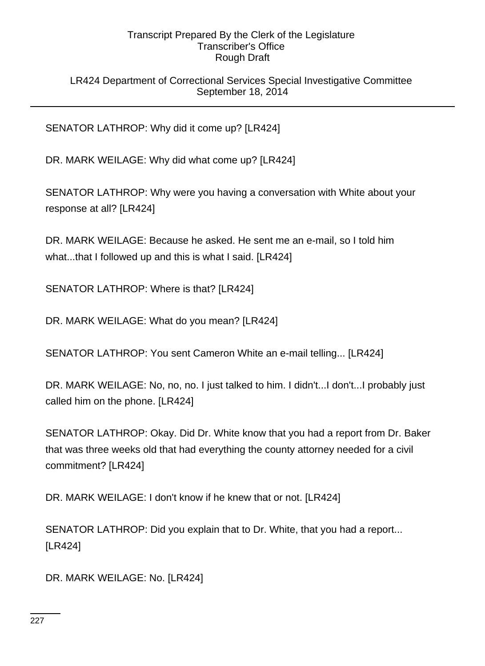## LR424 Department of Correctional Services Special Investigative Committee September 18, 2014

SENATOR LATHROP: Why did it come up? [LR424]

DR. MARK WEILAGE: Why did what come up? [LR424]

SENATOR LATHROP: Why were you having a conversation with White about your response at all? [LR424]

DR. MARK WEILAGE: Because he asked. He sent me an e-mail, so I told him what...that I followed up and this is what I said. [LR424]

SENATOR LATHROP: Where is that? [LR424]

DR. MARK WEILAGE: What do you mean? [LR424]

SENATOR LATHROP: You sent Cameron White an e-mail telling... [LR424]

DR. MARK WEILAGE: No, no, no. I just talked to him. I didn't...I don't...I probably just called him on the phone. [LR424]

SENATOR LATHROP: Okay. Did Dr. White know that you had a report from Dr. Baker that was three weeks old that had everything the county attorney needed for a civil commitment? [LR424]

DR. MARK WEILAGE: I don't know if he knew that or not. [LR424]

SENATOR LATHROP: Did you explain that to Dr. White, that you had a report... [LR424]

DR. MARK WEILAGE: No. [LR424]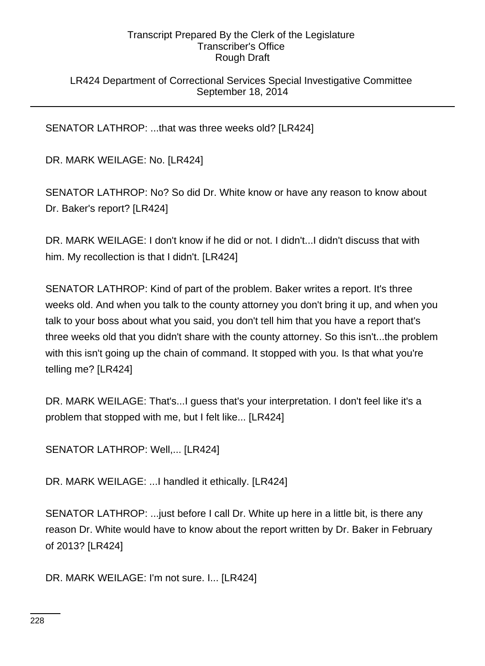## LR424 Department of Correctional Services Special Investigative Committee September 18, 2014

SENATOR LATHROP: ...that was three weeks old? [LR424]

DR. MARK WEILAGE: No. [LR424]

SENATOR LATHROP: No? So did Dr. White know or have any reason to know about Dr. Baker's report? [LR424]

DR. MARK WEILAGE: I don't know if he did or not. I didn't...I didn't discuss that with him. My recollection is that I didn't. [LR424]

SENATOR LATHROP: Kind of part of the problem. Baker writes a report. It's three weeks old. And when you talk to the county attorney you don't bring it up, and when you talk to your boss about what you said, you don't tell him that you have a report that's three weeks old that you didn't share with the county attorney. So this isn't...the problem with this isn't going up the chain of command. It stopped with you. Is that what you're telling me? [LR424]

DR. MARK WEILAGE: That's...I guess that's your interpretation. I don't feel like it's a problem that stopped with me, but I felt like... [LR424]

SENATOR LATHROP: Well,... [LR424]

DR. MARK WEILAGE: ...I handled it ethically. [LR424]

SENATOR LATHROP: ...just before I call Dr. White up here in a little bit, is there any reason Dr. White would have to know about the report written by Dr. Baker in February of 2013? [LR424]

DR. MARK WEILAGE: I'm not sure. I... [LR424]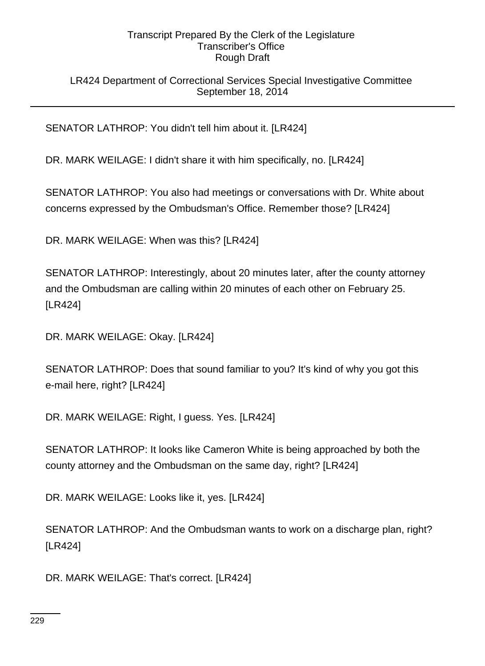## LR424 Department of Correctional Services Special Investigative Committee September 18, 2014

SENATOR LATHROP: You didn't tell him about it. [LR424]

DR. MARK WEILAGE: I didn't share it with him specifically, no. [LR424]

SENATOR LATHROP: You also had meetings or conversations with Dr. White about concerns expressed by the Ombudsman's Office. Remember those? [LR424]

DR. MARK WEILAGE: When was this? [LR424]

SENATOR LATHROP: Interestingly, about 20 minutes later, after the county attorney and the Ombudsman are calling within 20 minutes of each other on February 25. [LR424]

DR. MARK WEILAGE: Okay. [LR424]

SENATOR LATHROP: Does that sound familiar to you? It's kind of why you got this e-mail here, right? [LR424]

DR. MARK WEILAGE: Right, I guess. Yes. [LR424]

SENATOR LATHROP: It looks like Cameron White is being approached by both the county attorney and the Ombudsman on the same day, right? [LR424]

DR. MARK WEILAGE: Looks like it, yes. [LR424]

SENATOR LATHROP: And the Ombudsman wants to work on a discharge plan, right? [LR424]

DR. MARK WEILAGE: That's correct. [LR424]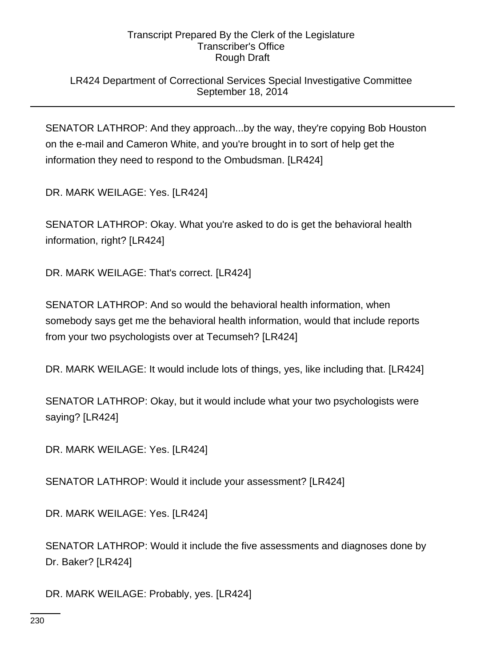## LR424 Department of Correctional Services Special Investigative Committee September 18, 2014

SENATOR LATHROP: And they approach...by the way, they're copying Bob Houston on the e-mail and Cameron White, and you're brought in to sort of help get the information they need to respond to the Ombudsman. [LR424]

DR. MARK WEILAGE: Yes. [LR424]

SENATOR LATHROP: Okay. What you're asked to do is get the behavioral health information, right? [LR424]

DR. MARK WEILAGE: That's correct. [LR424]

SENATOR LATHROP: And so would the behavioral health information, when somebody says get me the behavioral health information, would that include reports from your two psychologists over at Tecumseh? [LR424]

DR. MARK WEILAGE: It would include lots of things, yes, like including that. [LR424]

SENATOR LATHROP: Okay, but it would include what your two psychologists were saying? [LR424]

DR. MARK WEILAGE: Yes. [LR424]

SENATOR LATHROP: Would it include your assessment? [LR424]

DR. MARK WEILAGE: Yes. [LR424]

SENATOR LATHROP: Would it include the five assessments and diagnoses done by Dr. Baker? [LR424]

DR. MARK WEILAGE: Probably, yes. [LR424]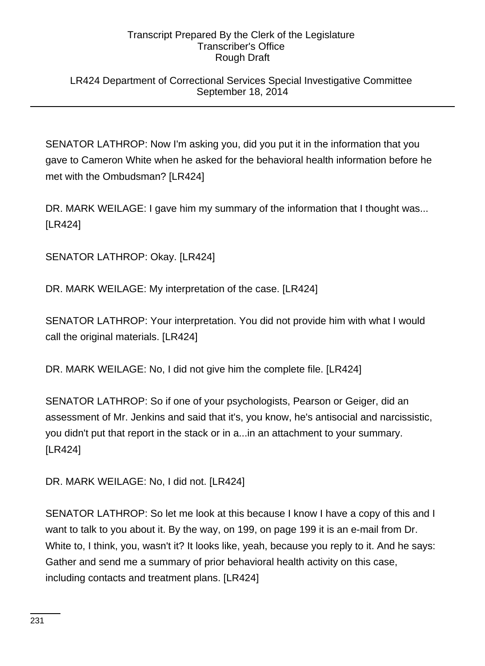LR424 Department of Correctional Services Special Investigative Committee September 18, 2014

SENATOR LATHROP: Now I'm asking you, did you put it in the information that you gave to Cameron White when he asked for the behavioral health information before he met with the Ombudsman? [LR424]

DR. MARK WEILAGE: I gave him my summary of the information that I thought was... [LR424]

SENATOR LATHROP: Okay. [LR424]

DR. MARK WEILAGE: My interpretation of the case. [LR424]

SENATOR LATHROP: Your interpretation. You did not provide him with what I would call the original materials. [LR424]

DR. MARK WEILAGE: No, I did not give him the complete file. [LR424]

SENATOR LATHROP: So if one of your psychologists, Pearson or Geiger, did an assessment of Mr. Jenkins and said that it's, you know, he's antisocial and narcissistic, you didn't put that report in the stack or in a...in an attachment to your summary. [LR424]

DR. MARK WEILAGE: No, I did not. [LR424]

SENATOR LATHROP: So let me look at this because I know I have a copy of this and I want to talk to you about it. By the way, on 199, on page 199 it is an e-mail from Dr. White to, I think, you, wasn't it? It looks like, yeah, because you reply to it. And he says: Gather and send me a summary of prior behavioral health activity on this case, including contacts and treatment plans. [LR424]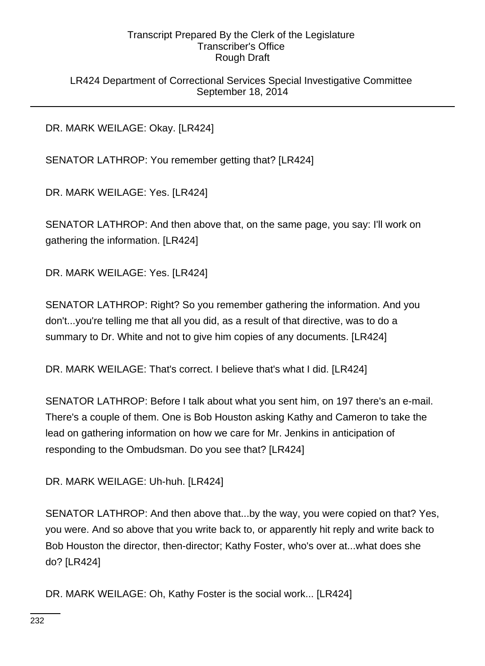LR424 Department of Correctional Services Special Investigative Committee September 18, 2014

DR. MARK WEILAGE: Okay. [LR424]

SENATOR LATHROP: You remember getting that? [LR424]

DR. MARK WEILAGE: Yes. [LR424]

SENATOR LATHROP: And then above that, on the same page, you say: I'll work on gathering the information. [LR424]

DR. MARK WEILAGE: Yes. [LR424]

SENATOR LATHROP: Right? So you remember gathering the information. And you don't...you're telling me that all you did, as a result of that directive, was to do a summary to Dr. White and not to give him copies of any documents. [LR424]

DR. MARK WEILAGE: That's correct. I believe that's what I did. [LR424]

SENATOR LATHROP: Before I talk about what you sent him, on 197 there's an e-mail. There's a couple of them. One is Bob Houston asking Kathy and Cameron to take the lead on gathering information on how we care for Mr. Jenkins in anticipation of responding to the Ombudsman. Do you see that? [LR424]

DR. MARK WEILAGE: Uh-huh. [LR424]

SENATOR LATHROP: And then above that...by the way, you were copied on that? Yes, you were. And so above that you write back to, or apparently hit reply and write back to Bob Houston the director, then-director; Kathy Foster, who's over at...what does she do? [LR424]

DR. MARK WEILAGE: Oh, Kathy Foster is the social work... [LR424]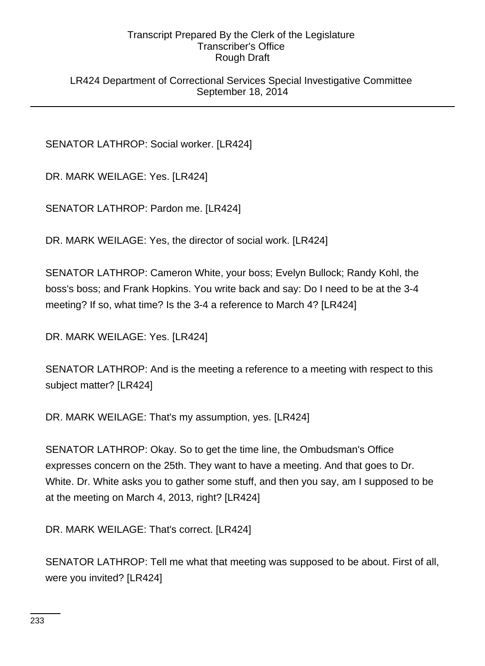LR424 Department of Correctional Services Special Investigative Committee September 18, 2014

SENATOR LATHROP: Social worker. [LR424]

DR. MARK WEILAGE: Yes. [LR424]

SENATOR LATHROP: Pardon me. [LR424]

DR. MARK WEILAGE: Yes, the director of social work. [LR424]

SENATOR LATHROP: Cameron White, your boss; Evelyn Bullock; Randy Kohl, the boss's boss; and Frank Hopkins. You write back and say: Do I need to be at the 3-4 meeting? If so, what time? Is the 3-4 a reference to March 4? [LR424]

DR. MARK WEILAGE: Yes. [LR424]

SENATOR LATHROP: And is the meeting a reference to a meeting with respect to this subject matter? [LR424]

DR. MARK WEILAGE: That's my assumption, yes. [LR424]

SENATOR LATHROP: Okay. So to get the time line, the Ombudsman's Office expresses concern on the 25th. They want to have a meeting. And that goes to Dr. White. Dr. White asks you to gather some stuff, and then you say, am I supposed to be at the meeting on March 4, 2013, right? [LR424]

DR. MARK WEILAGE: That's correct. [LR424]

SENATOR LATHROP: Tell me what that meeting was supposed to be about. First of all, were you invited? [LR424]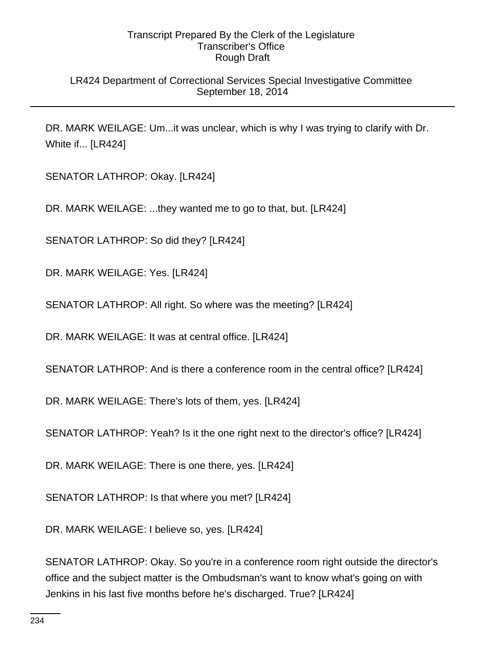## LR424 Department of Correctional Services Special Investigative Committee September 18, 2014

DR. MARK WEILAGE: Um...it was unclear, which is why I was trying to clarify with Dr. White if... [LR424]

SENATOR LATHROP: Okay. [LR424]

DR. MARK WEILAGE: ...they wanted me to go to that, but. [LR424]

SENATOR LATHROP: So did they? [LR424]

DR. MARK WEILAGE: Yes. [LR424]

SENATOR LATHROP: All right. So where was the meeting? [LR424]

DR. MARK WEILAGE: It was at central office. [LR424]

SENATOR LATHROP: And is there a conference room in the central office? [LR424]

DR. MARK WEILAGE: There's lots of them, yes. [LR424]

SENATOR LATHROP: Yeah? Is it the one right next to the director's office? [LR424]

DR. MARK WEILAGE: There is one there, yes. [LR424]

SENATOR LATHROP: Is that where you met? [LR424]

DR. MARK WEILAGE: I believe so, yes. [LR424]

SENATOR LATHROP: Okay. So you're in a conference room right outside the director's office and the subject matter is the Ombudsman's want to know what's going on with Jenkins in his last five months before he's discharged. True? [LR424]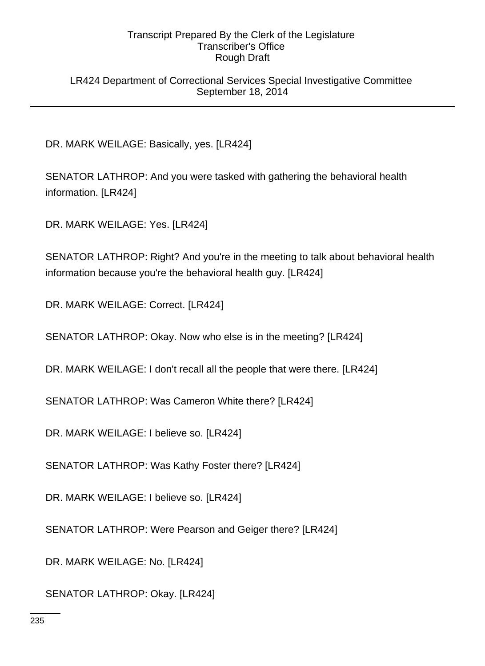LR424 Department of Correctional Services Special Investigative Committee September 18, 2014

DR. MARK WEILAGE: Basically, yes. [LR424]

SENATOR LATHROP: And you were tasked with gathering the behavioral health information. [LR424]

DR. MARK WEILAGE: Yes. [LR424]

SENATOR LATHROP: Right? And you're in the meeting to talk about behavioral health information because you're the behavioral health guy. [LR424]

DR. MARK WEILAGE: Correct. [LR424]

SENATOR LATHROP: Okay. Now who else is in the meeting? [LR424]

DR. MARK WEILAGE: I don't recall all the people that were there. [LR424]

SENATOR LATHROP: Was Cameron White there? [LR424]

DR. MARK WEILAGE: I believe so. [LR424]

SENATOR LATHROP: Was Kathy Foster there? [LR424]

DR. MARK WEILAGE: I believe so. [LR424]

SENATOR LATHROP: Were Pearson and Geiger there? [LR424]

DR. MARK WEILAGE: No. [LR424]

SENATOR LATHROP: Okay. [LR424]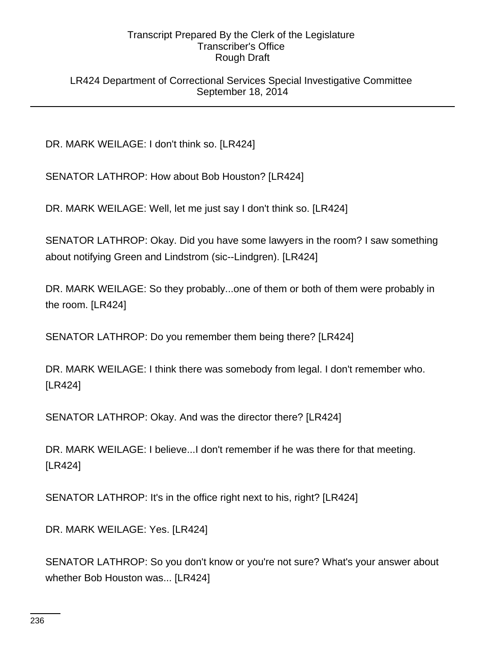## LR424 Department of Correctional Services Special Investigative Committee September 18, 2014

DR. MARK WEILAGE: I don't think so. [LR424]

SENATOR LATHROP: How about Bob Houston? [LR424]

DR. MARK WEILAGE: Well, let me just say I don't think so. [LR424]

SENATOR LATHROP: Okay. Did you have some lawyers in the room? I saw something about notifying Green and Lindstrom (sic--Lindgren). [LR424]

DR. MARK WEILAGE: So they probably...one of them or both of them were probably in the room. [LR424]

SENATOR LATHROP: Do you remember them being there? [LR424]

DR. MARK WEILAGE: I think there was somebody from legal. I don't remember who. [LR424]

SENATOR LATHROP: Okay. And was the director there? [LR424]

DR. MARK WEILAGE: I believe...I don't remember if he was there for that meeting. [LR424]

SENATOR LATHROP: It's in the office right next to his, right? [LR424]

DR. MARK WEILAGE: Yes. [LR424]

SENATOR LATHROP: So you don't know or you're not sure? What's your answer about whether Bob Houston was... [LR424]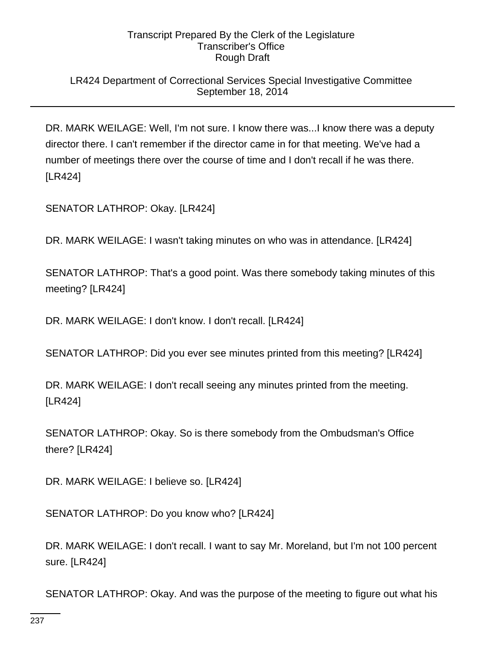## LR424 Department of Correctional Services Special Investigative Committee September 18, 2014

DR. MARK WEILAGE: Well, I'm not sure. I know there was...I know there was a deputy director there. I can't remember if the director came in for that meeting. We've had a number of meetings there over the course of time and I don't recall if he was there. [LR424]

SENATOR LATHROP: Okay. [LR424]

DR. MARK WEILAGE: I wasn't taking minutes on who was in attendance. [LR424]

SENATOR LATHROP: That's a good point. Was there somebody taking minutes of this meeting? [LR424]

DR. MARK WEILAGE: I don't know. I don't recall. [LR424]

SENATOR LATHROP: Did you ever see minutes printed from this meeting? [LR424]

DR. MARK WEILAGE: I don't recall seeing any minutes printed from the meeting. [LR424]

SENATOR LATHROP: Okay. So is there somebody from the Ombudsman's Office there? [LR424]

DR. MARK WEILAGE: I believe so. [LR424]

SENATOR LATHROP: Do you know who? [LR424]

DR. MARK WEILAGE: I don't recall. I want to say Mr. Moreland, but I'm not 100 percent sure. [LR424]

SENATOR LATHROP: Okay. And was the purpose of the meeting to figure out what his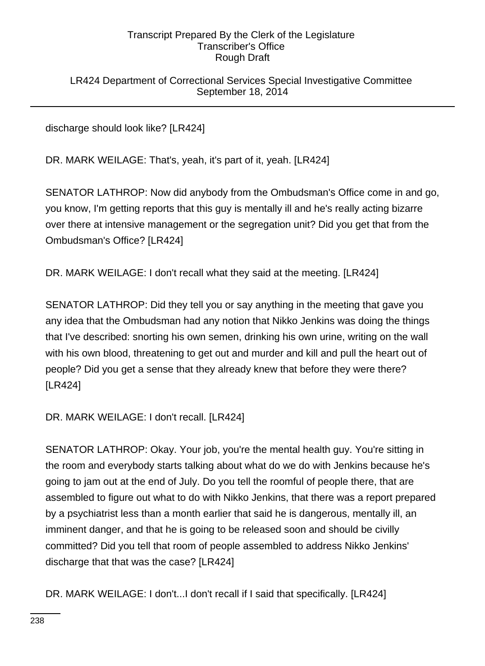LR424 Department of Correctional Services Special Investigative Committee September 18, 2014

discharge should look like? [LR424]

DR. MARK WEILAGE: That's, yeah, it's part of it, yeah. [LR424]

SENATOR LATHROP: Now did anybody from the Ombudsman's Office come in and go, you know, I'm getting reports that this guy is mentally ill and he's really acting bizarre over there at intensive management or the segregation unit? Did you get that from the Ombudsman's Office? [LR424]

DR. MARK WEILAGE: I don't recall what they said at the meeting. [LR424]

SENATOR LATHROP: Did they tell you or say anything in the meeting that gave you any idea that the Ombudsman had any notion that Nikko Jenkins was doing the things that I've described: snorting his own semen, drinking his own urine, writing on the wall with his own blood, threatening to get out and murder and kill and pull the heart out of people? Did you get a sense that they already knew that before they were there? [LR424]

DR. MARK WEILAGE: I don't recall. [LR424]

SENATOR LATHROP: Okay. Your job, you're the mental health guy. You're sitting in the room and everybody starts talking about what do we do with Jenkins because he's going to jam out at the end of July. Do you tell the roomful of people there, that are assembled to figure out what to do with Nikko Jenkins, that there was a report prepared by a psychiatrist less than a month earlier that said he is dangerous, mentally ill, an imminent danger, and that he is going to be released soon and should be civilly committed? Did you tell that room of people assembled to address Nikko Jenkins' discharge that that was the case? [LR424]

DR. MARK WEILAGE: I don't...I don't recall if I said that specifically. [LR424]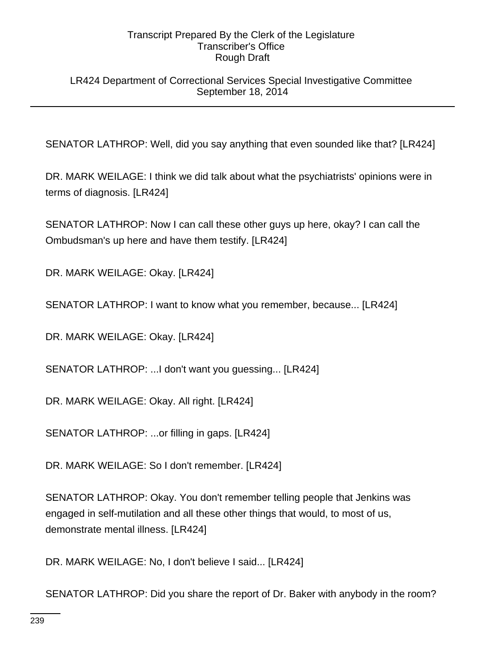## LR424 Department of Correctional Services Special Investigative Committee September 18, 2014

SENATOR LATHROP: Well, did you say anything that even sounded like that? [LR424]

DR. MARK WEILAGE: I think we did talk about what the psychiatrists' opinions were in terms of diagnosis. [LR424]

SENATOR LATHROP: Now I can call these other guys up here, okay? I can call the Ombudsman's up here and have them testify. [LR424]

DR. MARK WEILAGE: Okay. [LR424]

SENATOR LATHROP: I want to know what you remember, because... [LR424]

DR. MARK WEILAGE: Okay. [LR424]

SENATOR LATHROP: ...I don't want you guessing... [LR424]

DR. MARK WEILAGE: Okay. All right. [LR424]

SENATOR LATHROP: ...or filling in gaps. [LR424]

DR. MARK WEILAGE: So I don't remember. [LR424]

SENATOR LATHROP: Okay. You don't remember telling people that Jenkins was engaged in self-mutilation and all these other things that would, to most of us, demonstrate mental illness. [LR424]

DR. MARK WEILAGE: No, I don't believe I said... [LR424]

SENATOR LATHROP: Did you share the report of Dr. Baker with anybody in the room?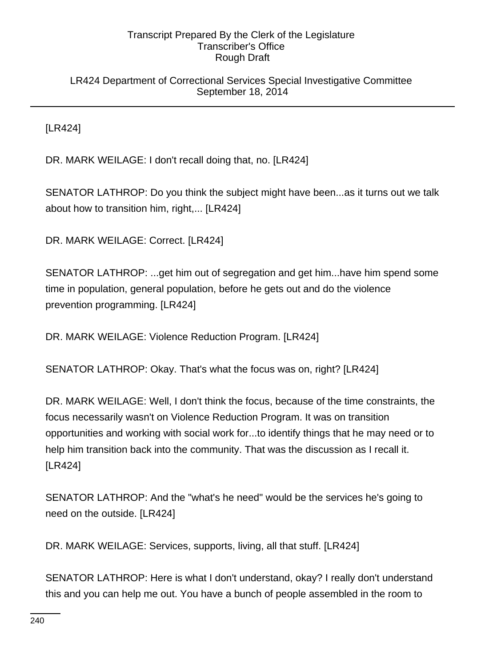## LR424 Department of Correctional Services Special Investigative Committee September 18, 2014

[LR424]

DR. MARK WEILAGE: I don't recall doing that, no. [LR424]

SENATOR LATHROP: Do you think the subject might have been...as it turns out we talk about how to transition him, right,... [LR424]

DR. MARK WEILAGE: Correct. [LR424]

SENATOR LATHROP: ...get him out of segregation and get him...have him spend some time in population, general population, before he gets out and do the violence prevention programming. [LR424]

DR. MARK WEILAGE: Violence Reduction Program. [LR424]

SENATOR LATHROP: Okay. That's what the focus was on, right? [LR424]

DR. MARK WEILAGE: Well, I don't think the focus, because of the time constraints, the focus necessarily wasn't on Violence Reduction Program. It was on transition opportunities and working with social work for...to identify things that he may need or to help him transition back into the community. That was the discussion as I recall it. [LR424]

SENATOR LATHROP: And the "what's he need" would be the services he's going to need on the outside. [LR424]

DR. MARK WEILAGE: Services, supports, living, all that stuff. [LR424]

SENATOR LATHROP: Here is what I don't understand, okay? I really don't understand this and you can help me out. You have a bunch of people assembled in the room to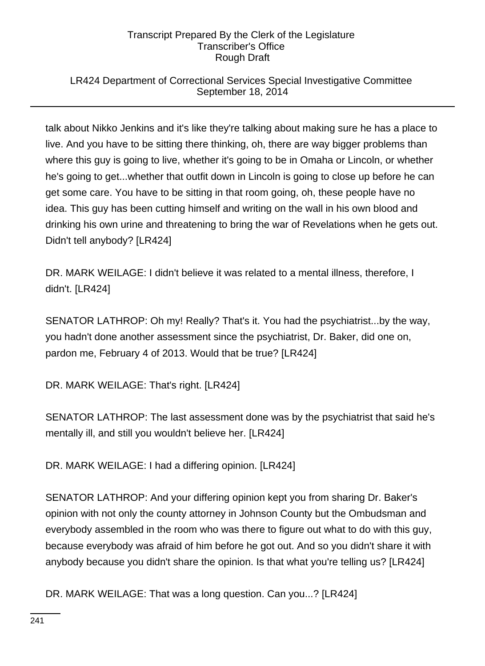## LR424 Department of Correctional Services Special Investigative Committee September 18, 2014

talk about Nikko Jenkins and it's like they're talking about making sure he has a place to live. And you have to be sitting there thinking, oh, there are way bigger problems than where this guy is going to live, whether it's going to be in Omaha or Lincoln, or whether he's going to get...whether that outfit down in Lincoln is going to close up before he can get some care. You have to be sitting in that room going, oh, these people have no idea. This guy has been cutting himself and writing on the wall in his own blood and drinking his own urine and threatening to bring the war of Revelations when he gets out. Didn't tell anybody? [LR424]

DR. MARK WEILAGE: I didn't believe it was related to a mental illness, therefore, I didn't. [LR424]

SENATOR LATHROP: Oh my! Really? That's it. You had the psychiatrist...by the way, you hadn't done another assessment since the psychiatrist, Dr. Baker, did one on, pardon me, February 4 of 2013. Would that be true? [LR424]

DR. MARK WEILAGE: That's right. [LR424]

SENATOR LATHROP: The last assessment done was by the psychiatrist that said he's mentally ill, and still you wouldn't believe her. [LR424]

DR. MARK WEILAGE: I had a differing opinion. [LR424]

SENATOR LATHROP: And your differing opinion kept you from sharing Dr. Baker's opinion with not only the county attorney in Johnson County but the Ombudsman and everybody assembled in the room who was there to figure out what to do with this guy, because everybody was afraid of him before he got out. And so you didn't share it with anybody because you didn't share the opinion. Is that what you're telling us? [LR424]

DR. MARK WEILAGE: That was a long question. Can you...? [LR424]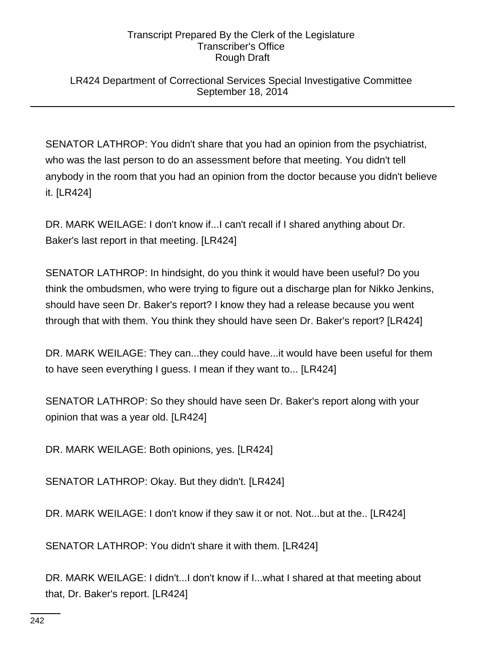LR424 Department of Correctional Services Special Investigative Committee September 18, 2014

SENATOR LATHROP: You didn't share that you had an opinion from the psychiatrist, who was the last person to do an assessment before that meeting. You didn't tell anybody in the room that you had an opinion from the doctor because you didn't believe it. [LR424]

DR. MARK WEILAGE: I don't know if...I can't recall if I shared anything about Dr. Baker's last report in that meeting. [LR424]

SENATOR LATHROP: In hindsight, do you think it would have been useful? Do you think the ombudsmen, who were trying to figure out a discharge plan for Nikko Jenkins, should have seen Dr. Baker's report? I know they had a release because you went through that with them. You think they should have seen Dr. Baker's report? [LR424]

DR. MARK WEILAGE: They can...they could have...it would have been useful for them to have seen everything I guess. I mean if they want to... [LR424]

SENATOR LATHROP: So they should have seen Dr. Baker's report along with your opinion that was a year old. [LR424]

DR. MARK WEILAGE: Both opinions, yes. [LR424]

SENATOR LATHROP: Okay. But they didn't. [LR424]

DR. MARK WEILAGE: I don't know if they saw it or not. Not...but at the.. [LR424]

SENATOR LATHROP: You didn't share it with them. [LR424]

DR. MARK WEILAGE: I didn't...I don't know if I...what I shared at that meeting about that, Dr. Baker's report. [LR424]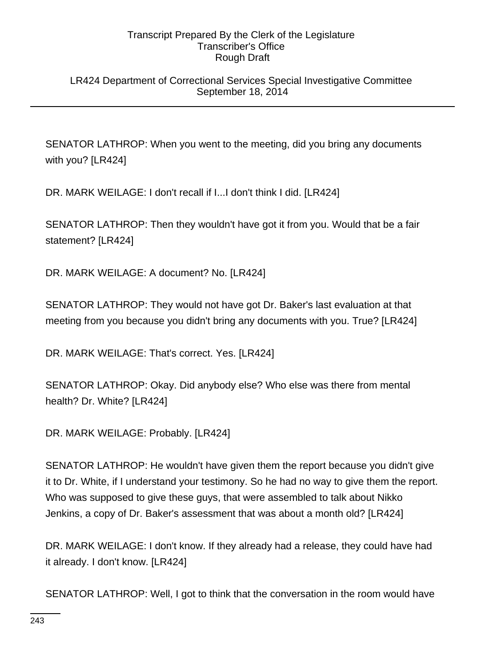LR424 Department of Correctional Services Special Investigative Committee September 18, 2014

SENATOR LATHROP: When you went to the meeting, did you bring any documents with you? [LR424]

DR. MARK WEILAGE: I don't recall if I...I don't think I did. [LR424]

SENATOR LATHROP: Then they wouldn't have got it from you. Would that be a fair statement? [LR424]

DR. MARK WEILAGE: A document? No. [LR424]

SENATOR LATHROP: They would not have got Dr. Baker's last evaluation at that meeting from you because you didn't bring any documents with you. True? [LR424]

DR. MARK WEILAGE: That's correct. Yes. [LR424]

SENATOR LATHROP: Okay. Did anybody else? Who else was there from mental health? Dr. White? [LR424]

DR. MARK WEILAGE: Probably. [LR424]

SENATOR LATHROP: He wouldn't have given them the report because you didn't give it to Dr. White, if I understand your testimony. So he had no way to give them the report. Who was supposed to give these guys, that were assembled to talk about Nikko Jenkins, a copy of Dr. Baker's assessment that was about a month old? [LR424]

DR. MARK WEILAGE: I don't know. If they already had a release, they could have had it already. I don't know. [LR424]

SENATOR LATHROP: Well, I got to think that the conversation in the room would have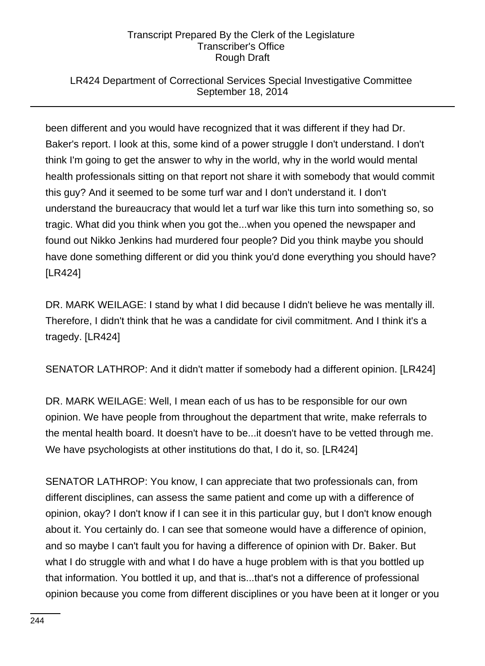## LR424 Department of Correctional Services Special Investigative Committee September 18, 2014

been different and you would have recognized that it was different if they had Dr. Baker's report. I look at this, some kind of a power struggle I don't understand. I don't think I'm going to get the answer to why in the world, why in the world would mental health professionals sitting on that report not share it with somebody that would commit this guy? And it seemed to be some turf war and I don't understand it. I don't understand the bureaucracy that would let a turf war like this turn into something so, so tragic. What did you think when you got the...when you opened the newspaper and found out Nikko Jenkins had murdered four people? Did you think maybe you should have done something different or did you think you'd done everything you should have? [LR424]

DR. MARK WEILAGE: I stand by what I did because I didn't believe he was mentally ill. Therefore, I didn't think that he was a candidate for civil commitment. And I think it's a tragedy. [LR424]

SENATOR LATHROP: And it didn't matter if somebody had a different opinion. [LR424]

DR. MARK WEILAGE: Well, I mean each of us has to be responsible for our own opinion. We have people from throughout the department that write, make referrals to the mental health board. It doesn't have to be...it doesn't have to be vetted through me. We have psychologists at other institutions do that, I do it, so. [LR424]

SENATOR LATHROP: You know, I can appreciate that two professionals can, from different disciplines, can assess the same patient and come up with a difference of opinion, okay? I don't know if I can see it in this particular guy, but I don't know enough about it. You certainly do. I can see that someone would have a difference of opinion, and so maybe I can't fault you for having a difference of opinion with Dr. Baker. But what I do struggle with and what I do have a huge problem with is that you bottled up that information. You bottled it up, and that is...that's not a difference of professional opinion because you come from different disciplines or you have been at it longer or you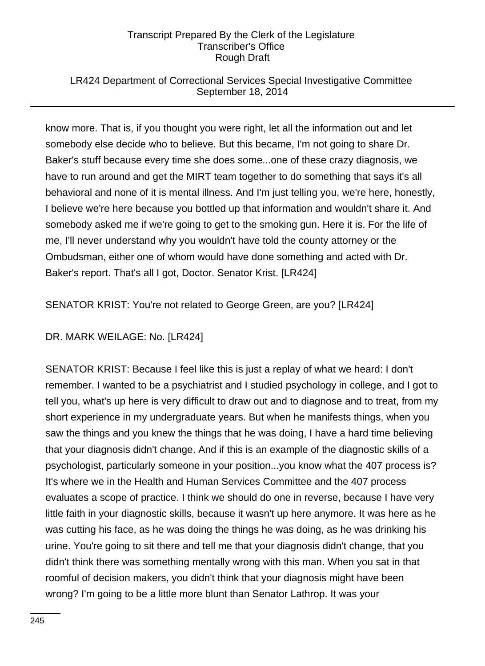## LR424 Department of Correctional Services Special Investigative Committee September 18, 2014

know more. That is, if you thought you were right, let all the information out and let somebody else decide who to believe. But this became, I'm not going to share Dr. Baker's stuff because every time she does some...one of these crazy diagnosis, we have to run around and get the MIRT team together to do something that says it's all behavioral and none of it is mental illness. And I'm just telling you, we're here, honestly, I believe we're here because you bottled up that information and wouldn't share it. And somebody asked me if we're going to get to the smoking gun. Here it is. For the life of me, I'll never understand why you wouldn't have told the county attorney or the Ombudsman, either one of whom would have done something and acted with Dr. Baker's report. That's all I got, Doctor. Senator Krist. [LR424]

SENATOR KRIST: You're not related to George Green, are you? [LR424]

# DR. MARK WEILAGE: No. [LR424]

SENATOR KRIST: Because I feel like this is just a replay of what we heard: I don't remember. I wanted to be a psychiatrist and I studied psychology in college, and I got to tell you, what's up here is very difficult to draw out and to diagnose and to treat, from my short experience in my undergraduate years. But when he manifests things, when you saw the things and you knew the things that he was doing, I have a hard time believing that your diagnosis didn't change. And if this is an example of the diagnostic skills of a psychologist, particularly someone in your position...you know what the 407 process is? It's where we in the Health and Human Services Committee and the 407 process evaluates a scope of practice. I think we should do one in reverse, because I have very little faith in your diagnostic skills, because it wasn't up here anymore. It was here as he was cutting his face, as he was doing the things he was doing, as he was drinking his urine. You're going to sit there and tell me that your diagnosis didn't change, that you didn't think there was something mentally wrong with this man. When you sat in that roomful of decision makers, you didn't think that your diagnosis might have been wrong? I'm going to be a little more blunt than Senator Lathrop. It was your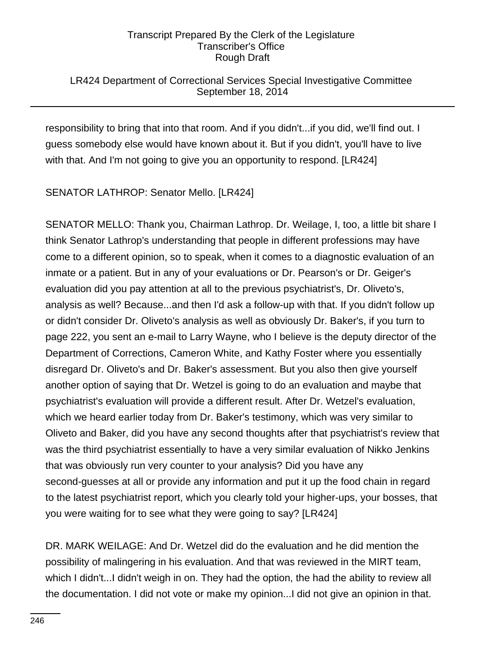LR424 Department of Correctional Services Special Investigative Committee September 18, 2014

responsibility to bring that into that room. And if you didn't...if you did, we'll find out. I guess somebody else would have known about it. But if you didn't, you'll have to live with that. And I'm not going to give you an opportunity to respond. [LR424]

SENATOR LATHROP: Senator Mello. [LR424]

SENATOR MELLO: Thank you, Chairman Lathrop. Dr. Weilage, I, too, a little bit share I think Senator Lathrop's understanding that people in different professions may have come to a different opinion, so to speak, when it comes to a diagnostic evaluation of an inmate or a patient. But in any of your evaluations or Dr. Pearson's or Dr. Geiger's evaluation did you pay attention at all to the previous psychiatrist's, Dr. Oliveto's, analysis as well? Because...and then I'd ask a follow-up with that. If you didn't follow up or didn't consider Dr. Oliveto's analysis as well as obviously Dr. Baker's, if you turn to page 222, you sent an e-mail to Larry Wayne, who I believe is the deputy director of the Department of Corrections, Cameron White, and Kathy Foster where you essentially disregard Dr. Oliveto's and Dr. Baker's assessment. But you also then give yourself another option of saying that Dr. Wetzel is going to do an evaluation and maybe that psychiatrist's evaluation will provide a different result. After Dr. Wetzel's evaluation, which we heard earlier today from Dr. Baker's testimony, which was very similar to Oliveto and Baker, did you have any second thoughts after that psychiatrist's review that was the third psychiatrist essentially to have a very similar evaluation of Nikko Jenkins that was obviously run very counter to your analysis? Did you have any second-guesses at all or provide any information and put it up the food chain in regard to the latest psychiatrist report, which you clearly told your higher-ups, your bosses, that you were waiting for to see what they were going to say? [LR424]

DR. MARK WEILAGE: And Dr. Wetzel did do the evaluation and he did mention the possibility of malingering in his evaluation. And that was reviewed in the MIRT team, which I didn't...I didn't weigh in on. They had the option, the had the ability to review all the documentation. I did not vote or make my opinion...I did not give an opinion in that.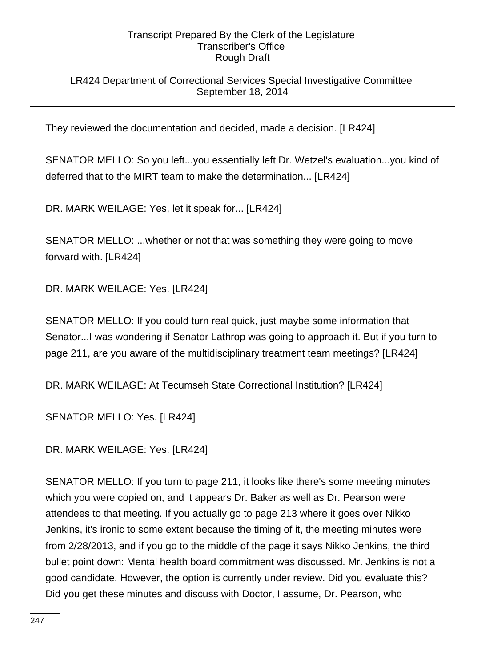## LR424 Department of Correctional Services Special Investigative Committee September 18, 2014

They reviewed the documentation and decided, made a decision. [LR424]

SENATOR MELLO: So you left...you essentially left Dr. Wetzel's evaluation...you kind of deferred that to the MIRT team to make the determination... [LR424]

DR. MARK WEILAGE: Yes, let it speak for... [LR424]

SENATOR MELLO: ...whether or not that was something they were going to move forward with. [LR424]

DR. MARK WEILAGE: Yes. [LR424]

SENATOR MELLO: If you could turn real quick, just maybe some information that Senator...I was wondering if Senator Lathrop was going to approach it. But if you turn to page 211, are you aware of the multidisciplinary treatment team meetings? [LR424]

DR. MARK WEILAGE: At Tecumseh State Correctional Institution? [LR424]

SENATOR MELLO: Yes. [LR424]

DR. MARK WEILAGE: Yes. [LR424]

SENATOR MELLO: If you turn to page 211, it looks like there's some meeting minutes which you were copied on, and it appears Dr. Baker as well as Dr. Pearson were attendees to that meeting. If you actually go to page 213 where it goes over Nikko Jenkins, it's ironic to some extent because the timing of it, the meeting minutes were from 2/28/2013, and if you go to the middle of the page it says Nikko Jenkins, the third bullet point down: Mental health board commitment was discussed. Mr. Jenkins is not a good candidate. However, the option is currently under review. Did you evaluate this? Did you get these minutes and discuss with Doctor, I assume, Dr. Pearson, who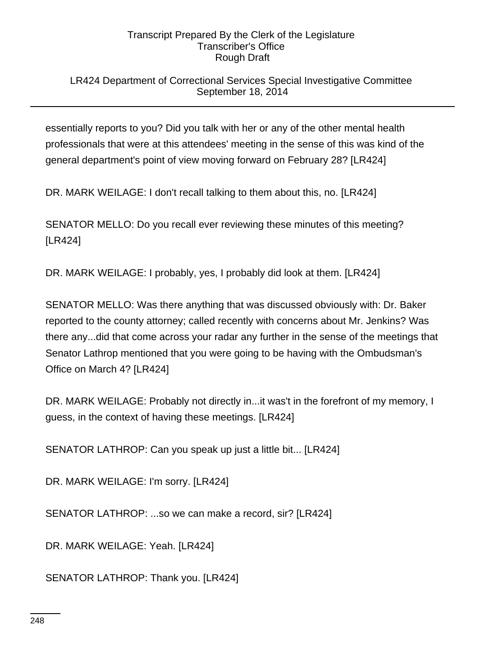## LR424 Department of Correctional Services Special Investigative Committee September 18, 2014

essentially reports to you? Did you talk with her or any of the other mental health professionals that were at this attendees' meeting in the sense of this was kind of the general department's point of view moving forward on February 28? [LR424]

DR. MARK WEILAGE: I don't recall talking to them about this, no. [LR424]

SENATOR MELLO: Do you recall ever reviewing these minutes of this meeting? [LR424]

DR. MARK WEILAGE: I probably, yes, I probably did look at them. [LR424]

SENATOR MELLO: Was there anything that was discussed obviously with: Dr. Baker reported to the county attorney; called recently with concerns about Mr. Jenkins? Was there any...did that come across your radar any further in the sense of the meetings that Senator Lathrop mentioned that you were going to be having with the Ombudsman's Office on March 4? [LR424]

DR. MARK WEILAGE: Probably not directly in...it was't in the forefront of my memory, I guess, in the context of having these meetings. [LR424]

SENATOR LATHROP: Can you speak up just a little bit... [LR424]

DR. MARK WEILAGE: I'm sorry. [LR424]

SENATOR LATHROP: ...so we can make a record, sir? [LR424]

DR. MARK WEILAGE: Yeah. [LR424]

SENATOR LATHROP: Thank you. [LR424]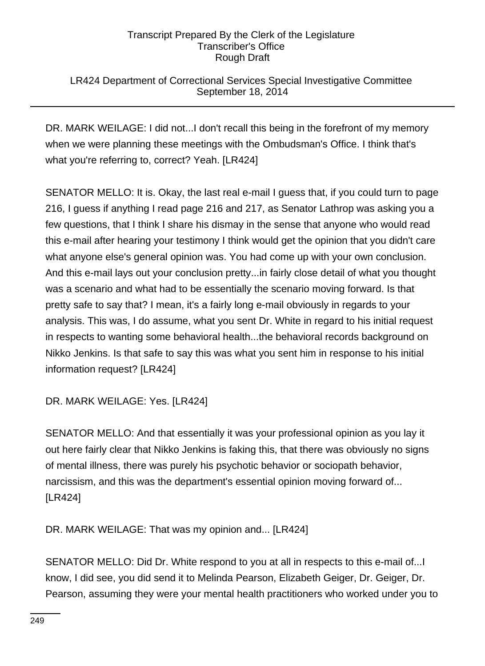## LR424 Department of Correctional Services Special Investigative Committee September 18, 2014

DR. MARK WEILAGE: I did not...I don't recall this being in the forefront of my memory when we were planning these meetings with the Ombudsman's Office. I think that's what you're referring to, correct? Yeah. [LR424]

SENATOR MELLO: It is. Okay, the last real e-mail I guess that, if you could turn to page 216, I guess if anything I read page 216 and 217, as Senator Lathrop was asking you a few questions, that I think I share his dismay in the sense that anyone who would read this e-mail after hearing your testimony I think would get the opinion that you didn't care what anyone else's general opinion was. You had come up with your own conclusion. And this e-mail lays out your conclusion pretty...in fairly close detail of what you thought was a scenario and what had to be essentially the scenario moving forward. Is that pretty safe to say that? I mean, it's a fairly long e-mail obviously in regards to your analysis. This was, I do assume, what you sent Dr. White in regard to his initial request in respects to wanting some behavioral health...the behavioral records background on Nikko Jenkins. Is that safe to say this was what you sent him in response to his initial information request? [LR424]

DR. MARK WEILAGE: Yes. [LR424]

SENATOR MELLO: And that essentially it was your professional opinion as you lay it out here fairly clear that Nikko Jenkins is faking this, that there was obviously no signs of mental illness, there was purely his psychotic behavior or sociopath behavior, narcissism, and this was the department's essential opinion moving forward of... [LR424]

DR. MARK WEILAGE: That was my opinion and... [LR424]

SENATOR MELLO: Did Dr. White respond to you at all in respects to this e-mail of...I know, I did see, you did send it to Melinda Pearson, Elizabeth Geiger, Dr. Geiger, Dr. Pearson, assuming they were your mental health practitioners who worked under you to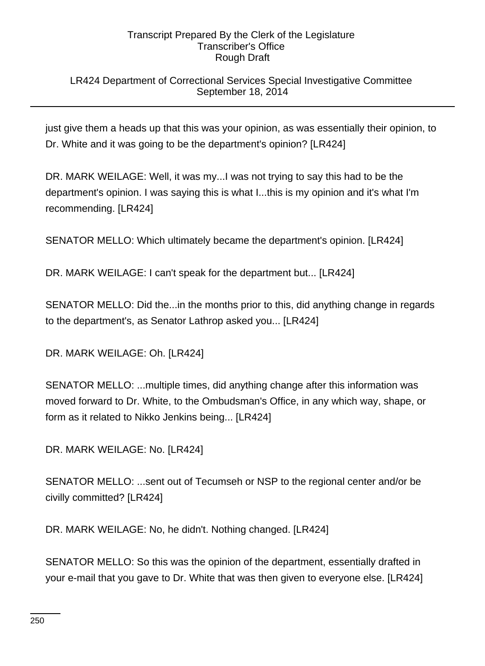## LR424 Department of Correctional Services Special Investigative Committee September 18, 2014

just give them a heads up that this was your opinion, as was essentially their opinion, to Dr. White and it was going to be the department's opinion? [LR424]

DR. MARK WEILAGE: Well, it was my...I was not trying to say this had to be the department's opinion. I was saying this is what I...this is my opinion and it's what I'm recommending. [LR424]

SENATOR MELLO: Which ultimately became the department's opinion. [LR424]

DR. MARK WEILAGE: I can't speak for the department but... [LR424]

SENATOR MELLO: Did the...in the months prior to this, did anything change in regards to the department's, as Senator Lathrop asked you... [LR424]

DR. MARK WEILAGE: Oh. [LR424]

SENATOR MELLO: ...multiple times, did anything change after this information was moved forward to Dr. White, to the Ombudsman's Office, in any which way, shape, or form as it related to Nikko Jenkins being... [LR424]

DR. MARK WEILAGE: No. [LR424]

SENATOR MELLO: ...sent out of Tecumseh or NSP to the regional center and/or be civilly committed? [LR424]

DR. MARK WEILAGE: No, he didn't. Nothing changed. [LR424]

SENATOR MELLO: So this was the opinion of the department, essentially drafted in your e-mail that you gave to Dr. White that was then given to everyone else. [LR424]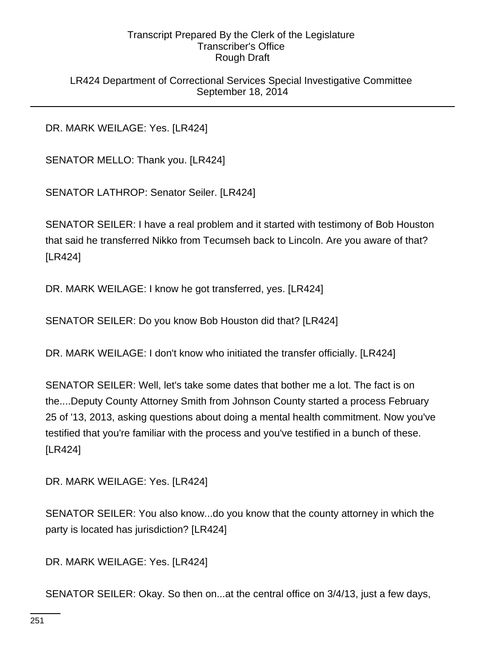LR424 Department of Correctional Services Special Investigative Committee September 18, 2014

DR. MARK WEILAGE: Yes. [LR424]

SENATOR MELLO: Thank you. [LR424]

SENATOR LATHROP: Senator Seiler. [LR424]

SENATOR SEILER: I have a real problem and it started with testimony of Bob Houston that said he transferred Nikko from Tecumseh back to Lincoln. Are you aware of that? [LR424]

DR. MARK WEILAGE: I know he got transferred, yes. [LR424]

SENATOR SEILER: Do you know Bob Houston did that? [LR424]

DR. MARK WEILAGE: I don't know who initiated the transfer officially. [LR424]

SENATOR SEILER: Well, let's take some dates that bother me a lot. The fact is on the....Deputy County Attorney Smith from Johnson County started a process February 25 of '13, 2013, asking questions about doing a mental health commitment. Now you've testified that you're familiar with the process and you've testified in a bunch of these. [LR424]

DR. MARK WEILAGE: Yes. [LR424]

SENATOR SEILER: You also know...do you know that the county attorney in which the party is located has jurisdiction? [LR424]

DR. MARK WEILAGE: Yes. [LR424]

SENATOR SEILER: Okay. So then on...at the central office on 3/4/13, just a few days,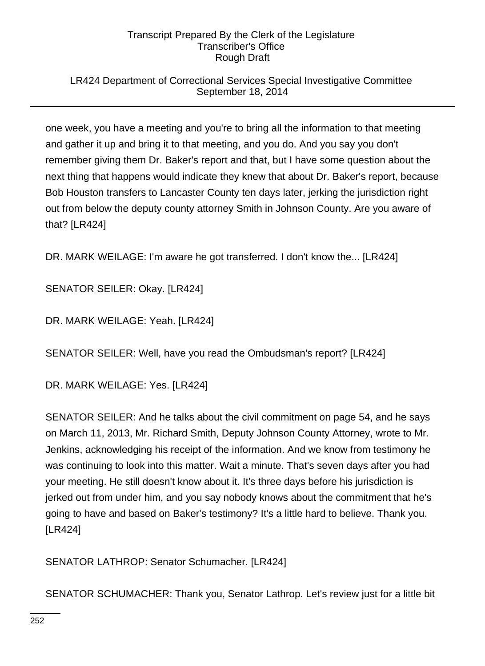## LR424 Department of Correctional Services Special Investigative Committee September 18, 2014

one week, you have a meeting and you're to bring all the information to that meeting and gather it up and bring it to that meeting, and you do. And you say you don't remember giving them Dr. Baker's report and that, but I have some question about the next thing that happens would indicate they knew that about Dr. Baker's report, because Bob Houston transfers to Lancaster County ten days later, jerking the jurisdiction right out from below the deputy county attorney Smith in Johnson County. Are you aware of that? [LR424]

DR. MARK WEILAGE: I'm aware he got transferred. I don't know the... [LR424]

SENATOR SEILER: Okay. [LR424]

DR. MARK WEILAGE: Yeah. [LR424]

SENATOR SEILER: Well, have you read the Ombudsman's report? [LR424]

DR. MARK WEILAGE: Yes. [LR424]

SENATOR SEILER: And he talks about the civil commitment on page 54, and he says on March 11, 2013, Mr. Richard Smith, Deputy Johnson County Attorney, wrote to Mr. Jenkins, acknowledging his receipt of the information. And we know from testimony he was continuing to look into this matter. Wait a minute. That's seven days after you had your meeting. He still doesn't know about it. It's three days before his jurisdiction is jerked out from under him, and you say nobody knows about the commitment that he's going to have and based on Baker's testimony? It's a little hard to believe. Thank you. [LR424]

SENATOR LATHROP: Senator Schumacher. [LR424]

SENATOR SCHUMACHER: Thank you, Senator Lathrop. Let's review just for a little bit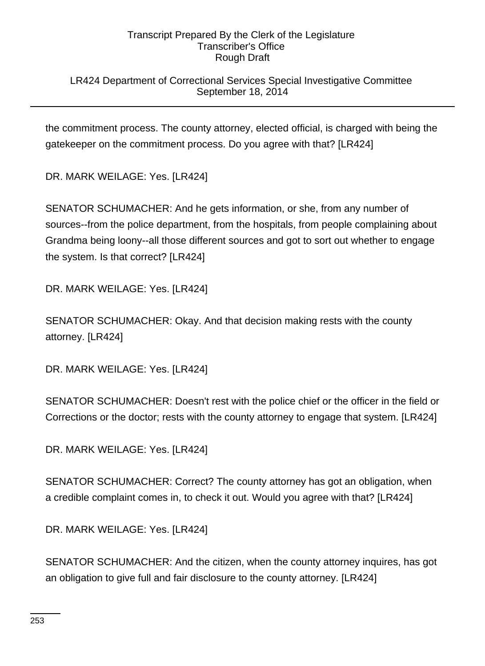# LR424 Department of Correctional Services Special Investigative Committee September 18, 2014

the commitment process. The county attorney, elected official, is charged with being the gatekeeper on the commitment process. Do you agree with that? [LR424]

DR. MARK WEILAGE: Yes. [LR424]

SENATOR SCHUMACHER: And he gets information, or she, from any number of sources--from the police department, from the hospitals, from people complaining about Grandma being loony--all those different sources and got to sort out whether to engage the system. Is that correct? [LR424]

DR. MARK WEILAGE: Yes. [LR424]

SENATOR SCHUMACHER: Okay. And that decision making rests with the county attorney. [LR424]

DR. MARK WEILAGE: Yes. [LR424]

SENATOR SCHUMACHER: Doesn't rest with the police chief or the officer in the field or Corrections or the doctor; rests with the county attorney to engage that system. [LR424]

DR. MARK WEILAGE: Yes. [LR424]

SENATOR SCHUMACHER: Correct? The county attorney has got an obligation, when a credible complaint comes in, to check it out. Would you agree with that? [LR424]

DR. MARK WEILAGE: Yes. [LR424]

SENATOR SCHUMACHER: And the citizen, when the county attorney inquires, has got an obligation to give full and fair disclosure to the county attorney. [LR424]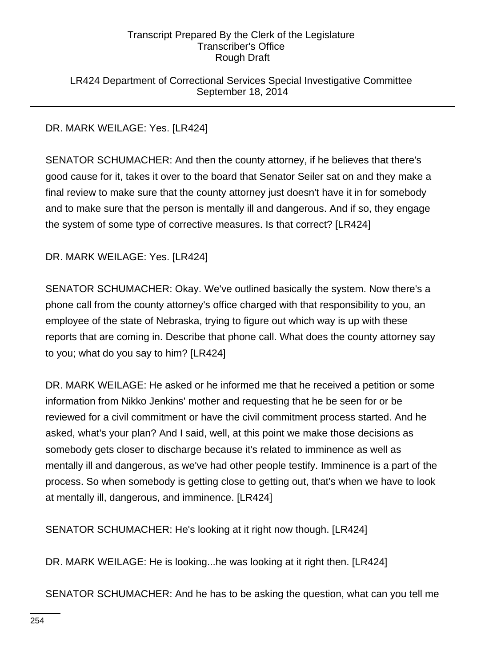### LR424 Department of Correctional Services Special Investigative Committee September 18, 2014

# DR. MARK WEILAGE: Yes. [LR424]

SENATOR SCHUMACHER: And then the county attorney, if he believes that there's good cause for it, takes it over to the board that Senator Seiler sat on and they make a final review to make sure that the county attorney just doesn't have it in for somebody and to make sure that the person is mentally ill and dangerous. And if so, they engage the system of some type of corrective measures. Is that correct? [LR424]

# DR. MARK WEILAGE: Yes. [LR424]

SENATOR SCHUMACHER: Okay. We've outlined basically the system. Now there's a phone call from the county attorney's office charged with that responsibility to you, an employee of the state of Nebraska, trying to figure out which way is up with these reports that are coming in. Describe that phone call. What does the county attorney say to you; what do you say to him? [LR424]

DR. MARK WEILAGE: He asked or he informed me that he received a petition or some information from Nikko Jenkins' mother and requesting that he be seen for or be reviewed for a civil commitment or have the civil commitment process started. And he asked, what's your plan? And I said, well, at this point we make those decisions as somebody gets closer to discharge because it's related to imminence as well as mentally ill and dangerous, as we've had other people testify. Imminence is a part of the process. So when somebody is getting close to getting out, that's when we have to look at mentally ill, dangerous, and imminence. [LR424]

SENATOR SCHUMACHER: He's looking at it right now though. [LR424]

DR. MARK WEILAGE: He is looking...he was looking at it right then. [LR424]

SENATOR SCHUMACHER: And he has to be asking the question, what can you tell me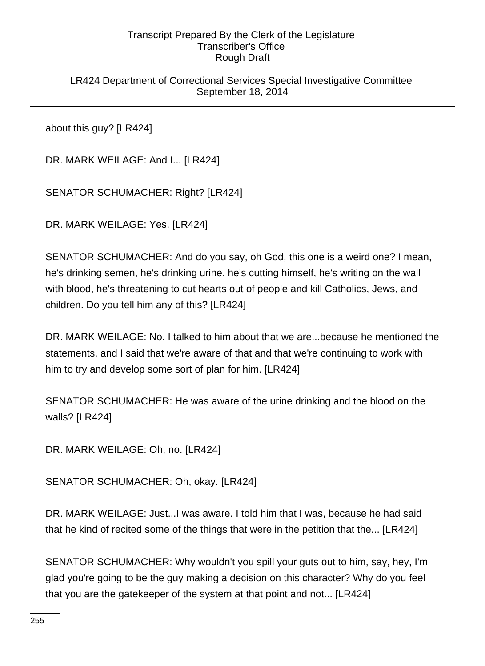LR424 Department of Correctional Services Special Investigative Committee September 18, 2014

about this guy? [LR424]

DR. MARK WEILAGE: And I... [LR424]

SENATOR SCHUMACHER: Right? [LR424]

DR. MARK WEILAGE: Yes. [LR424]

SENATOR SCHUMACHER: And do you say, oh God, this one is a weird one? I mean, he's drinking semen, he's drinking urine, he's cutting himself, he's writing on the wall with blood, he's threatening to cut hearts out of people and kill Catholics, Jews, and children. Do you tell him any of this? [LR424]

DR. MARK WEILAGE: No. I talked to him about that we are...because he mentioned the statements, and I said that we're aware of that and that we're continuing to work with him to try and develop some sort of plan for him. [LR424]

SENATOR SCHUMACHER: He was aware of the urine drinking and the blood on the walls? [LR424]

DR. MARK WEILAGE: Oh, no. [LR424]

SENATOR SCHUMACHER: Oh, okay. [LR424]

DR. MARK WEILAGE: Just...I was aware. I told him that I was, because he had said that he kind of recited some of the things that were in the petition that the... [LR424]

SENATOR SCHUMACHER: Why wouldn't you spill your guts out to him, say, hey, I'm glad you're going to be the guy making a decision on this character? Why do you feel that you are the gatekeeper of the system at that point and not... [LR424]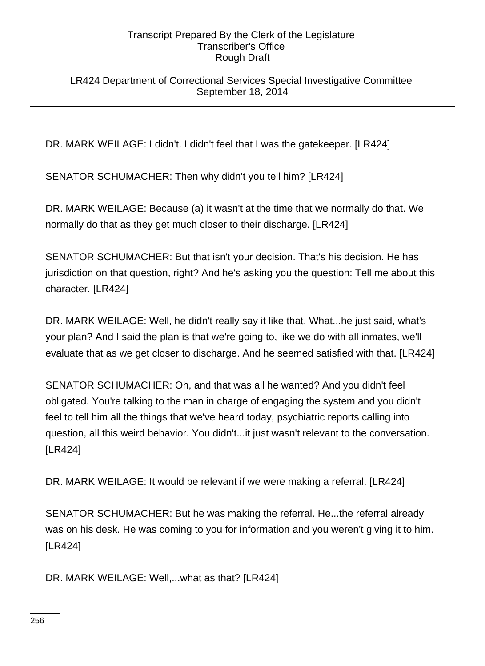LR424 Department of Correctional Services Special Investigative Committee September 18, 2014

DR. MARK WEILAGE: I didn't. I didn't feel that I was the gatekeeper. [LR424]

SENATOR SCHUMACHER: Then why didn't you tell him? [LR424]

DR. MARK WEILAGE: Because (a) it wasn't at the time that we normally do that. We normally do that as they get much closer to their discharge. [LR424]

SENATOR SCHUMACHER: But that isn't your decision. That's his decision. He has jurisdiction on that question, right? And he's asking you the question: Tell me about this character. [LR424]

DR. MARK WEILAGE: Well, he didn't really say it like that. What...he just said, what's your plan? And I said the plan is that we're going to, like we do with all inmates, we'll evaluate that as we get closer to discharge. And he seemed satisfied with that. [LR424]

SENATOR SCHUMACHER: Oh, and that was all he wanted? And you didn't feel obligated. You're talking to the man in charge of engaging the system and you didn't feel to tell him all the things that we've heard today, psychiatric reports calling into question, all this weird behavior. You didn't...it just wasn't relevant to the conversation. [LR424]

DR. MARK WEILAGE: It would be relevant if we were making a referral. [LR424]

SENATOR SCHUMACHER: But he was making the referral. He...the referral already was on his desk. He was coming to you for information and you weren't giving it to him. [LR424]

DR. MARK WEILAGE: Well,...what as that? [LR424]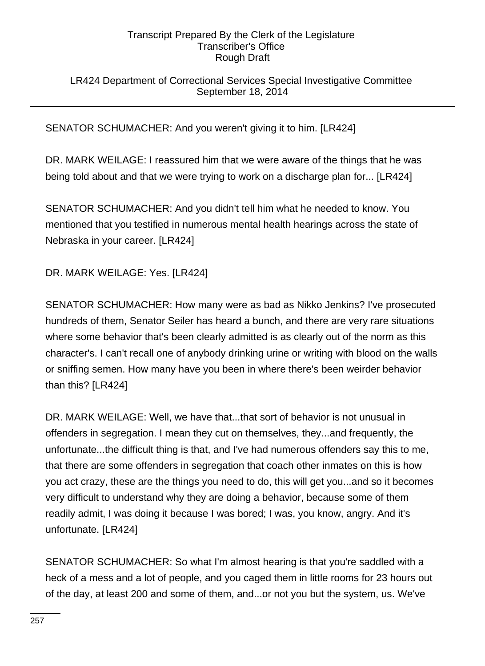# LR424 Department of Correctional Services Special Investigative Committee September 18, 2014

SENATOR SCHUMACHER: And you weren't giving it to him. [LR424]

DR. MARK WEILAGE: I reassured him that we were aware of the things that he was being told about and that we were trying to work on a discharge plan for... [LR424]

SENATOR SCHUMACHER: And you didn't tell him what he needed to know. You mentioned that you testified in numerous mental health hearings across the state of Nebraska in your career. [LR424]

DR. MARK WEILAGE: Yes. [LR424]

SENATOR SCHUMACHER: How many were as bad as Nikko Jenkins? I've prosecuted hundreds of them, Senator Seiler has heard a bunch, and there are very rare situations where some behavior that's been clearly admitted is as clearly out of the norm as this character's. I can't recall one of anybody drinking urine or writing with blood on the walls or sniffing semen. How many have you been in where there's been weirder behavior than this? [LR424]

DR. MARK WEILAGE: Well, we have that...that sort of behavior is not unusual in offenders in segregation. I mean they cut on themselves, they...and frequently, the unfortunate...the difficult thing is that, and I've had numerous offenders say this to me, that there are some offenders in segregation that coach other inmates on this is how you act crazy, these are the things you need to do, this will get you...and so it becomes very difficult to understand why they are doing a behavior, because some of them readily admit, I was doing it because I was bored; I was, you know, angry. And it's unfortunate. [LR424]

SENATOR SCHUMACHER: So what I'm almost hearing is that you're saddled with a heck of a mess and a lot of people, and you caged them in little rooms for 23 hours out of the day, at least 200 and some of them, and...or not you but the system, us. We've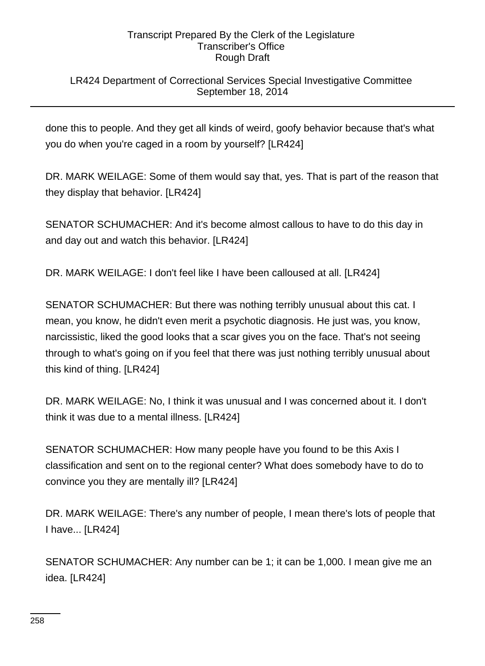# LR424 Department of Correctional Services Special Investigative Committee September 18, 2014

done this to people. And they get all kinds of weird, goofy behavior because that's what you do when you're caged in a room by yourself? [LR424]

DR. MARK WEILAGE: Some of them would say that, yes. That is part of the reason that they display that behavior. [LR424]

SENATOR SCHUMACHER: And it's become almost callous to have to do this day in and day out and watch this behavior. [LR424]

DR. MARK WEILAGE: I don't feel like I have been calloused at all. [LR424]

SENATOR SCHUMACHER: But there was nothing terribly unusual about this cat. I mean, you know, he didn't even merit a psychotic diagnosis. He just was, you know, narcissistic, liked the good looks that a scar gives you on the face. That's not seeing through to what's going on if you feel that there was just nothing terribly unusual about this kind of thing. [LR424]

DR. MARK WEILAGE: No, I think it was unusual and I was concerned about it. I don't think it was due to a mental illness. [LR424]

SENATOR SCHUMACHER: How many people have you found to be this Axis I classification and sent on to the regional center? What does somebody have to do to convince you they are mentally ill? [LR424]

DR. MARK WEILAGE: There's any number of people, I mean there's lots of people that I have... [LR424]

SENATOR SCHUMACHER: Any number can be 1; it can be 1,000. I mean give me an idea. [LR424]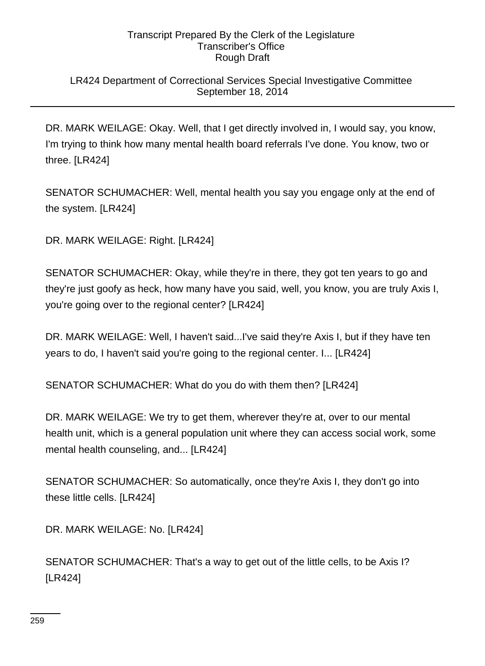# LR424 Department of Correctional Services Special Investigative Committee September 18, 2014

DR. MARK WEILAGE: Okay. Well, that I get directly involved in, I would say, you know, I'm trying to think how many mental health board referrals I've done. You know, two or three. [LR424]

SENATOR SCHUMACHER: Well, mental health you say you engage only at the end of the system. [LR424]

DR. MARK WEILAGE: Right. [LR424]

SENATOR SCHUMACHER: Okay, while they're in there, they got ten years to go and they're just goofy as heck, how many have you said, well, you know, you are truly Axis I, you're going over to the regional center? [LR424]

DR. MARK WEILAGE: Well, I haven't said...I've said they're Axis I, but if they have ten years to do, I haven't said you're going to the regional center. I... [LR424]

SENATOR SCHUMACHER: What do you do with them then? [LR424]

DR. MARK WEILAGE: We try to get them, wherever they're at, over to our mental health unit, which is a general population unit where they can access social work, some mental health counseling, and... [LR424]

SENATOR SCHUMACHER: So automatically, once they're Axis I, they don't go into these little cells. [LR424]

DR. MARK WEILAGE: No. [LR424]

SENATOR SCHUMACHER: That's a way to get out of the little cells, to be Axis I? [LR424]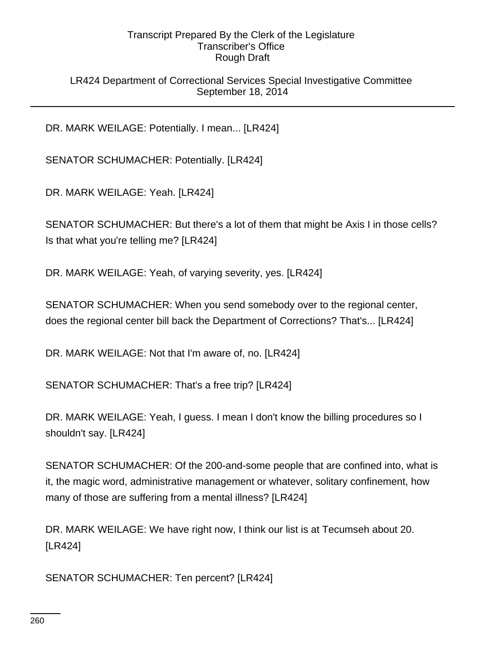LR424 Department of Correctional Services Special Investigative Committee September 18, 2014

DR. MARK WEILAGE: Potentially. I mean... [LR424]

SENATOR SCHUMACHER: Potentially. [LR424]

DR. MARK WEILAGE: Yeah. [LR424]

SENATOR SCHUMACHER: But there's a lot of them that might be Axis I in those cells? Is that what you're telling me? [LR424]

DR. MARK WEILAGE: Yeah, of varying severity, yes. [LR424]

SENATOR SCHUMACHER: When you send somebody over to the regional center, does the regional center bill back the Department of Corrections? That's... [LR424]

DR. MARK WEILAGE: Not that I'm aware of, no. [LR424]

SENATOR SCHUMACHER: That's a free trip? [LR424]

DR. MARK WEILAGE: Yeah, I guess. I mean I don't know the billing procedures so I shouldn't say. [LR424]

SENATOR SCHUMACHER: Of the 200-and-some people that are confined into, what is it, the magic word, administrative management or whatever, solitary confinement, how many of those are suffering from a mental illness? [LR424]

DR. MARK WEILAGE: We have right now, I think our list is at Tecumseh about 20. [LR424]

SENATOR SCHUMACHER: Ten percent? [LR424]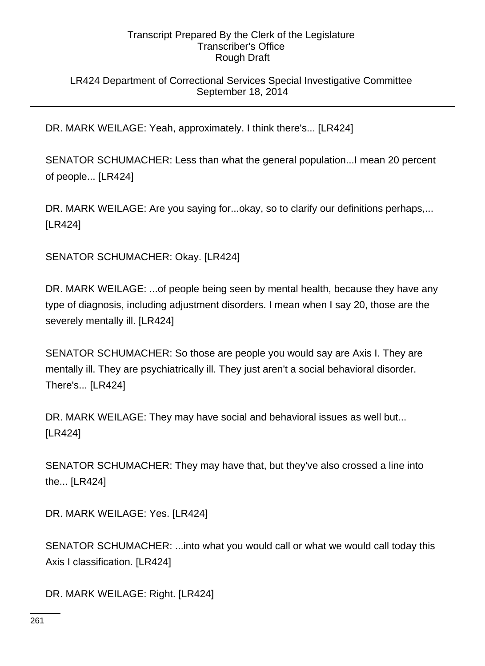## LR424 Department of Correctional Services Special Investigative Committee September 18, 2014

DR. MARK WEILAGE: Yeah, approximately. I think there's... [LR424]

SENATOR SCHUMACHER: Less than what the general population...I mean 20 percent of people... [LR424]

DR. MARK WEILAGE: Are you saying for...okay, so to clarify our definitions perhaps,... [LR424]

SENATOR SCHUMACHER: Okay. [LR424]

DR. MARK WEILAGE: ...of people being seen by mental health, because they have any type of diagnosis, including adjustment disorders. I mean when I say 20, those are the severely mentally ill. [LR424]

SENATOR SCHUMACHER: So those are people you would say are Axis I. They are mentally ill. They are psychiatrically ill. They just aren't a social behavioral disorder. There's... [LR424]

DR. MARK WEILAGE: They may have social and behavioral issues as well but... [LR424]

SENATOR SCHUMACHER: They may have that, but they've also crossed a line into the... [LR424]

DR. MARK WEILAGE: Yes. [LR424]

SENATOR SCHUMACHER: ...into what you would call or what we would call today this Axis I classification. [LR424]

DR. MARK WEILAGE: Right. [LR424]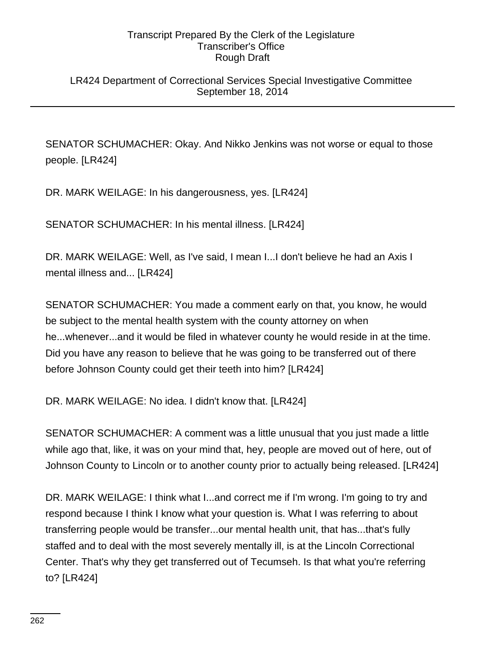### LR424 Department of Correctional Services Special Investigative Committee September 18, 2014

SENATOR SCHUMACHER: Okay. And Nikko Jenkins was not worse or equal to those people. [LR424]

DR. MARK WEILAGE: In his dangerousness, yes. [LR424]

SENATOR SCHUMACHER: In his mental illness. [LR424]

DR. MARK WEILAGE: Well, as I've said, I mean I...I don't believe he had an Axis I mental illness and... [LR424]

SENATOR SCHUMACHER: You made a comment early on that, you know, he would be subject to the mental health system with the county attorney on when he...whenever...and it would be filed in whatever county he would reside in at the time. Did you have any reason to believe that he was going to be transferred out of there before Johnson County could get their teeth into him? [LR424]

DR. MARK WEILAGE: No idea. I didn't know that. [LR424]

SENATOR SCHUMACHER: A comment was a little unusual that you just made a little while ago that, like, it was on your mind that, hey, people are moved out of here, out of Johnson County to Lincoln or to another county prior to actually being released. [LR424]

DR. MARK WEILAGE: I think what I...and correct me if I'm wrong. I'm going to try and respond because I think I know what your question is. What I was referring to about transferring people would be transfer...our mental health unit, that has...that's fully staffed and to deal with the most severely mentally ill, is at the Lincoln Correctional Center. That's why they get transferred out of Tecumseh. Is that what you're referring to? [LR424]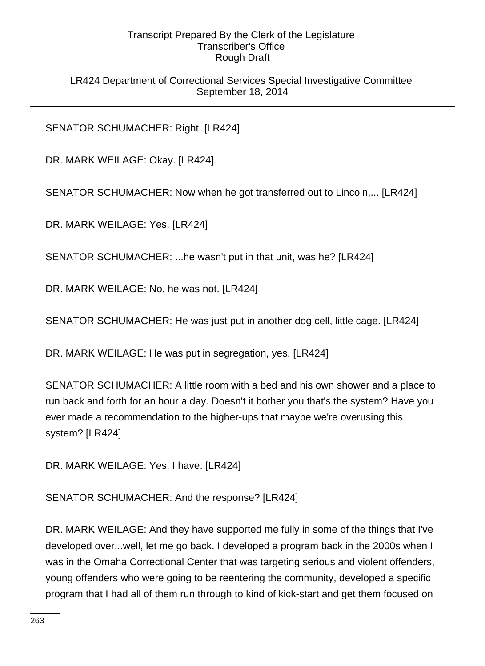LR424 Department of Correctional Services Special Investigative Committee September 18, 2014

SENATOR SCHUMACHER: Right. [LR424]

DR. MARK WEILAGE: Okay. [LR424]

SENATOR SCHUMACHER: Now when he got transferred out to Lincoln,... [LR424]

DR. MARK WEILAGE: Yes. [LR424]

SENATOR SCHUMACHER: ...he wasn't put in that unit, was he? [LR424]

DR. MARK WEILAGE: No, he was not. [LR424]

SENATOR SCHUMACHER: He was just put in another dog cell, little cage. [LR424]

DR. MARK WEILAGE: He was put in segregation, yes. [LR424]

SENATOR SCHUMACHER: A little room with a bed and his own shower and a place to run back and forth for an hour a day. Doesn't it bother you that's the system? Have you ever made a recommendation to the higher-ups that maybe we're overusing this system? [LR424]

DR. MARK WEILAGE: Yes, I have. [LR424]

SENATOR SCHUMACHER: And the response? [LR424]

DR. MARK WEILAGE: And they have supported me fully in some of the things that I've developed over...well, let me go back. I developed a program back in the 2000s when I was in the Omaha Correctional Center that was targeting serious and violent offenders, young offenders who were going to be reentering the community, developed a specific program that I had all of them run through to kind of kick-start and get them focused on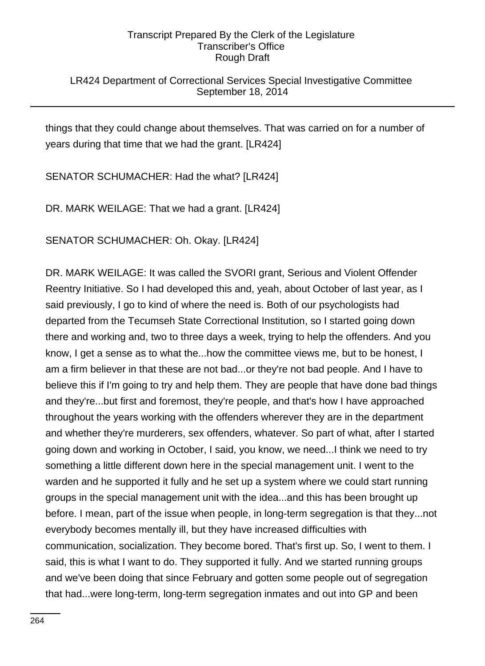LR424 Department of Correctional Services Special Investigative Committee September 18, 2014

things that they could change about themselves. That was carried on for a number of years during that time that we had the grant. [LR424]

SENATOR SCHUMACHER: Had the what? [LR424]

DR. MARK WEILAGE: That we had a grant. [LR424]

SENATOR SCHUMACHER: Oh. Okay. [LR424]

DR. MARK WEILAGE: It was called the SVORI grant, Serious and Violent Offender Reentry Initiative. So I had developed this and, yeah, about October of last year, as I said previously, I go to kind of where the need is. Both of our psychologists had departed from the Tecumseh State Correctional Institution, so I started going down there and working and, two to three days a week, trying to help the offenders. And you know, I get a sense as to what the...how the committee views me, but to be honest, I am a firm believer in that these are not bad...or they're not bad people. And I have to believe this if I'm going to try and help them. They are people that have done bad things and they're...but first and foremost, they're people, and that's how I have approached throughout the years working with the offenders wherever they are in the department and whether they're murderers, sex offenders, whatever. So part of what, after I started going down and working in October, I said, you know, we need...I think we need to try something a little different down here in the special management unit. I went to the warden and he supported it fully and he set up a system where we could start running groups in the special management unit with the idea...and this has been brought up before. I mean, part of the issue when people, in long-term segregation is that they...not everybody becomes mentally ill, but they have increased difficulties with communication, socialization. They become bored. That's first up. So, I went to them. I said, this is what I want to do. They supported it fully. And we started running groups and we've been doing that since February and gotten some people out of segregation that had...were long-term, long-term segregation inmates and out into GP and been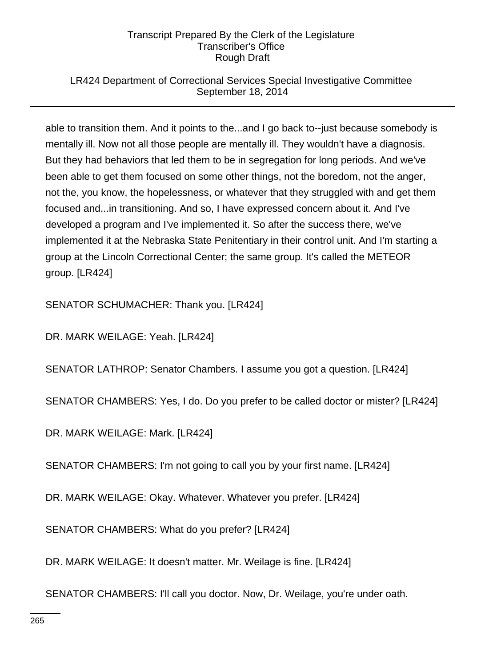# LR424 Department of Correctional Services Special Investigative Committee September 18, 2014

able to transition them. And it points to the...and I go back to--just because somebody is mentally ill. Now not all those people are mentally ill. They wouldn't have a diagnosis. But they had behaviors that led them to be in segregation for long periods. And we've been able to get them focused on some other things, not the boredom, not the anger, not the, you know, the hopelessness, or whatever that they struggled with and get them focused and...in transitioning. And so, I have expressed concern about it. And I've developed a program and I've implemented it. So after the success there, we've implemented it at the Nebraska State Penitentiary in their control unit. And I'm starting a group at the Lincoln Correctional Center; the same group. It's called the METEOR group. [LR424]

SENATOR SCHUMACHER: Thank you. [LR424]

DR. MARK WEILAGE: Yeah. [LR424]

SENATOR LATHROP: Senator Chambers. I assume you got a question. [LR424]

SENATOR CHAMBERS: Yes, I do. Do you prefer to be called doctor or mister? [LR424]

DR. MARK WEILAGE: Mark. [LR424]

SENATOR CHAMBERS: I'm not going to call you by your first name. [LR424]

DR. MARK WEILAGE: Okay. Whatever. Whatever you prefer. [LR424]

SENATOR CHAMBERS: What do you prefer? [LR424]

DR. MARK WEILAGE: It doesn't matter. Mr. Weilage is fine. [LR424]

SENATOR CHAMBERS: I'll call you doctor. Now, Dr. Weilage, you're under oath.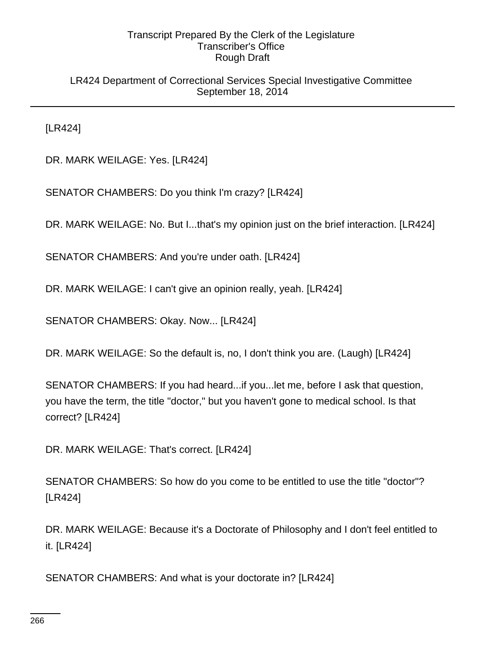LR424 Department of Correctional Services Special Investigative Committee September 18, 2014

[LR424]

DR. MARK WEILAGE: Yes. [LR424]

SENATOR CHAMBERS: Do you think I'm crazy? [LR424]

DR. MARK WEILAGE: No. But I...that's my opinion just on the brief interaction. [LR424]

SENATOR CHAMBERS: And you're under oath. [LR424]

DR. MARK WEILAGE: I can't give an opinion really, yeah. [LR424]

SENATOR CHAMBERS: Okay. Now... [LR424]

DR. MARK WEILAGE: So the default is, no, I don't think you are. (Laugh) [LR424]

SENATOR CHAMBERS: If you had heard...if you...let me, before I ask that question, you have the term, the title "doctor," but you haven't gone to medical school. Is that correct? [LR424]

DR. MARK WEILAGE: That's correct. [LR424]

SENATOR CHAMBERS: So how do you come to be entitled to use the title "doctor"? [LR424]

DR. MARK WEILAGE: Because it's a Doctorate of Philosophy and I don't feel entitled to it. [LR424]

SENATOR CHAMBERS: And what is your doctorate in? [LR424]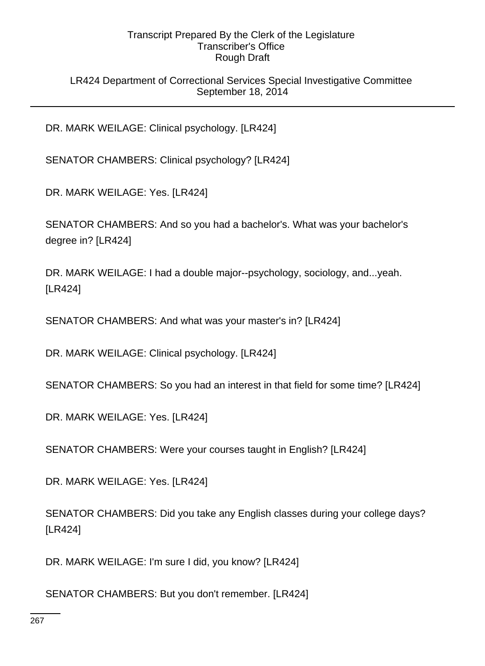LR424 Department of Correctional Services Special Investigative Committee September 18, 2014

DR. MARK WEILAGE: Clinical psychology. [LR424]

SENATOR CHAMBERS: Clinical psychology? [LR424]

DR. MARK WEILAGE: Yes. [LR424]

SENATOR CHAMBERS: And so you had a bachelor's. What was your bachelor's degree in? [LR424]

DR. MARK WEILAGE: I had a double major--psychology, sociology, and...yeah. [LR424]

SENATOR CHAMBERS: And what was your master's in? [LR424]

DR. MARK WEILAGE: Clinical psychology. [LR424]

SENATOR CHAMBERS: So you had an interest in that field for some time? [LR424]

DR. MARK WEILAGE: Yes. [LR424]

SENATOR CHAMBERS: Were your courses taught in English? [LR424]

DR. MARK WEILAGE: Yes. [LR424]

SENATOR CHAMBERS: Did you take any English classes during your college days? [LR424]

DR. MARK WEILAGE: I'm sure I did, you know? [LR424]

SENATOR CHAMBERS: But you don't remember. [LR424]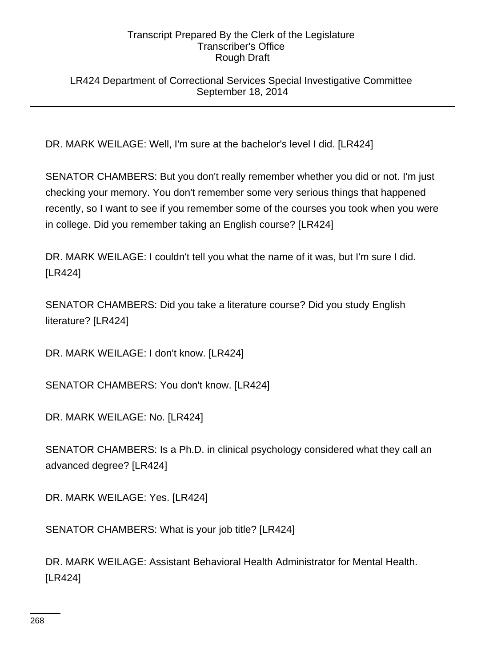LR424 Department of Correctional Services Special Investigative Committee September 18, 2014

DR. MARK WEILAGE: Well, I'm sure at the bachelor's level I did. [LR424]

SENATOR CHAMBERS: But you don't really remember whether you did or not. I'm just checking your memory. You don't remember some very serious things that happened recently, so I want to see if you remember some of the courses you took when you were in college. Did you remember taking an English course? [LR424]

DR. MARK WEILAGE: I couldn't tell you what the name of it was, but I'm sure I did. [LR424]

SENATOR CHAMBERS: Did you take a literature course? Did you study English literature? [LR424]

DR. MARK WEILAGE: I don't know. [LR424]

SENATOR CHAMBERS: You don't know. [LR424]

DR. MARK WEILAGE: No. [LR424]

SENATOR CHAMBERS: Is a Ph.D. in clinical psychology considered what they call an advanced degree? [LR424]

DR. MARK WEILAGE: Yes. [LR424]

SENATOR CHAMBERS: What is your job title? [LR424]

DR. MARK WEILAGE: Assistant Behavioral Health Administrator for Mental Health. [LR424]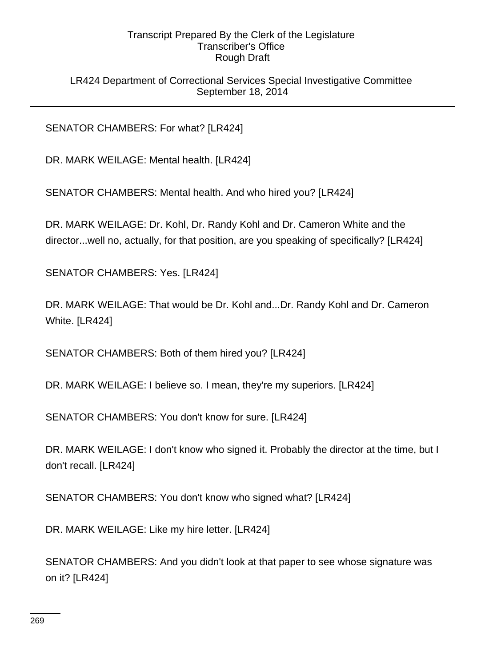LR424 Department of Correctional Services Special Investigative Committee September 18, 2014

SENATOR CHAMBERS: For what? [LR424]

DR. MARK WEILAGE: Mental health. [LR424]

SENATOR CHAMBERS: Mental health. And who hired you? [LR424]

DR. MARK WEILAGE: Dr. Kohl, Dr. Randy Kohl and Dr. Cameron White and the director...well no, actually, for that position, are you speaking of specifically? [LR424]

SENATOR CHAMBERS: Yes. [LR424]

DR. MARK WEILAGE: That would be Dr. Kohl and...Dr. Randy Kohl and Dr. Cameron White. [LR424]

SENATOR CHAMBERS: Both of them hired you? [LR424]

DR. MARK WEILAGE: I believe so. I mean, they're my superiors. [LR424]

SENATOR CHAMBERS: You don't know for sure. [LR424]

DR. MARK WEILAGE: I don't know who signed it. Probably the director at the time, but I don't recall. [LR424]

SENATOR CHAMBERS: You don't know who signed what? [LR424]

DR. MARK WEILAGE: Like my hire letter. [LR424]

SENATOR CHAMBERS: And you didn't look at that paper to see whose signature was on it? [LR424]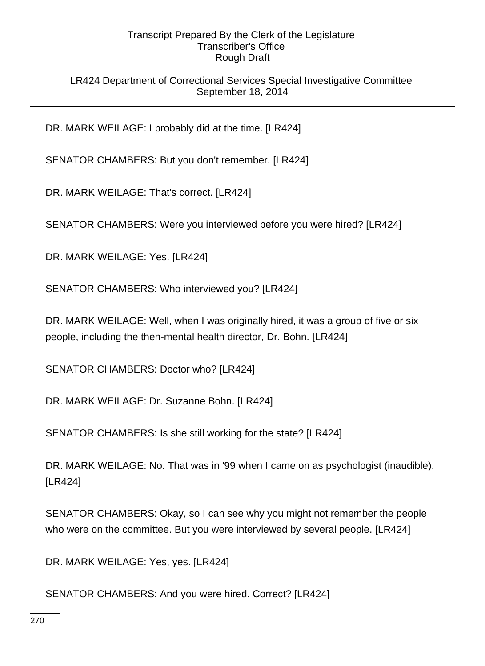LR424 Department of Correctional Services Special Investigative Committee September 18, 2014

DR. MARK WEILAGE: I probably did at the time. [LR424]

SENATOR CHAMBERS: But you don't remember. [LR424]

DR. MARK WEILAGE: That's correct. [LR424]

SENATOR CHAMBERS: Were you interviewed before you were hired? [LR424]

DR. MARK WEILAGE: Yes. [LR424]

SENATOR CHAMBERS: Who interviewed you? [LR424]

DR. MARK WEILAGE: Well, when I was originally hired, it was a group of five or six people, including the then-mental health director, Dr. Bohn. [LR424]

SENATOR CHAMBERS: Doctor who? [LR424]

DR. MARK WEILAGE: Dr. Suzanne Bohn. [LR424]

SENATOR CHAMBERS: Is she still working for the state? [LR424]

DR. MARK WEILAGE: No. That was in '99 when I came on as psychologist (inaudible). [LR424]

SENATOR CHAMBERS: Okay, so I can see why you might not remember the people who were on the committee. But you were interviewed by several people. [LR424]

DR. MARK WEILAGE: Yes, yes. [LR424]

SENATOR CHAMBERS: And you were hired. Correct? [LR424]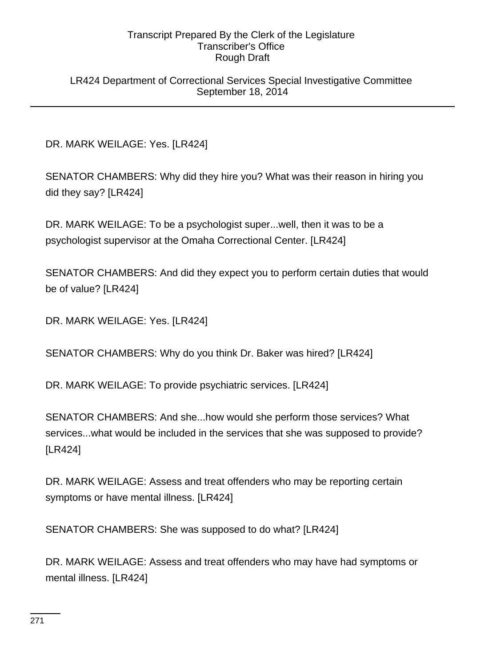LR424 Department of Correctional Services Special Investigative Committee September 18, 2014

DR. MARK WEILAGE: Yes. [LR424]

SENATOR CHAMBERS: Why did they hire you? What was their reason in hiring you did they say? [LR424]

DR. MARK WEILAGE: To be a psychologist super...well, then it was to be a psychologist supervisor at the Omaha Correctional Center. [LR424]

SENATOR CHAMBERS: And did they expect you to perform certain duties that would be of value? [LR424]

DR. MARK WEILAGE: Yes. [LR424]

SENATOR CHAMBERS: Why do you think Dr. Baker was hired? [LR424]

DR. MARK WEILAGE: To provide psychiatric services. [LR424]

SENATOR CHAMBERS: And she...how would she perform those services? What services...what would be included in the services that she was supposed to provide? [LR424]

DR. MARK WEILAGE: Assess and treat offenders who may be reporting certain symptoms or have mental illness. [LR424]

SENATOR CHAMBERS: She was supposed to do what? [LR424]

DR. MARK WEILAGE: Assess and treat offenders who may have had symptoms or mental illness. [LR424]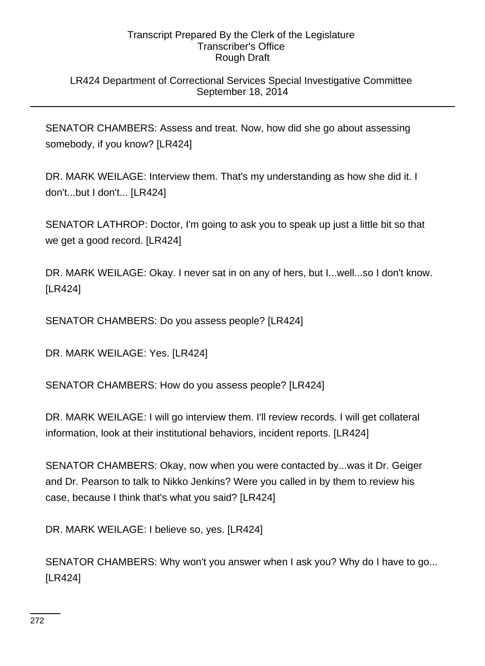## LR424 Department of Correctional Services Special Investigative Committee September 18, 2014

SENATOR CHAMBERS: Assess and treat. Now, how did she go about assessing somebody, if you know? [LR424]

DR. MARK WEILAGE: Interview them. That's my understanding as how she did it. I don't...but I don't... [LR424]

SENATOR LATHROP: Doctor, I'm going to ask you to speak up just a little bit so that we get a good record. [LR424]

DR. MARK WEILAGE: Okay. I never sat in on any of hers, but I...well...so I don't know. [LR424]

SENATOR CHAMBERS: Do you assess people? [LR424]

DR. MARK WEILAGE: Yes. [LR424]

SENATOR CHAMBERS: How do you assess people? [LR424]

DR. MARK WEILAGE: I will go interview them. I'll review records. I will get collateral information, look at their institutional behaviors, incident reports. [LR424]

SENATOR CHAMBERS: Okay, now when you were contacted by...was it Dr. Geiger and Dr. Pearson to talk to Nikko Jenkins? Were you called in by them to review his case, because I think that's what you said? [LR424]

DR. MARK WEILAGE: I believe so, yes. [LR424]

SENATOR CHAMBERS: Why won't you answer when I ask you? Why do I have to go... [LR424]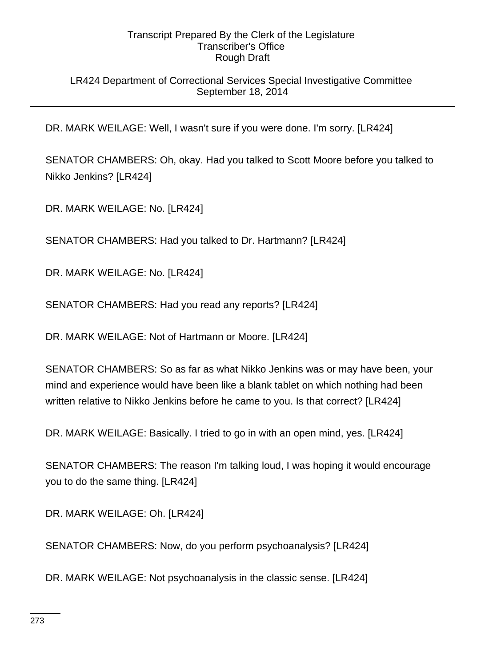# LR424 Department of Correctional Services Special Investigative Committee September 18, 2014

DR. MARK WEILAGE: Well, I wasn't sure if you were done. I'm sorry. [LR424]

SENATOR CHAMBERS: Oh, okay. Had you talked to Scott Moore before you talked to Nikko Jenkins? [LR424]

DR. MARK WEILAGE: No. [LR424]

SENATOR CHAMBERS: Had you talked to Dr. Hartmann? [LR424]

DR. MARK WEILAGE: No. [LR424]

SENATOR CHAMBERS: Had you read any reports? [LR424]

DR. MARK WEILAGE: Not of Hartmann or Moore. [LR424]

SENATOR CHAMBERS: So as far as what Nikko Jenkins was or may have been, your mind and experience would have been like a blank tablet on which nothing had been written relative to Nikko Jenkins before he came to you. Is that correct? [LR424]

DR. MARK WEILAGE: Basically. I tried to go in with an open mind, yes. [LR424]

SENATOR CHAMBERS: The reason I'm talking loud, I was hoping it would encourage you to do the same thing. [LR424]

DR. MARK WEILAGE: Oh. [LR424]

SENATOR CHAMBERS: Now, do you perform psychoanalysis? [LR424]

DR. MARK WEILAGE: Not psychoanalysis in the classic sense. [LR424]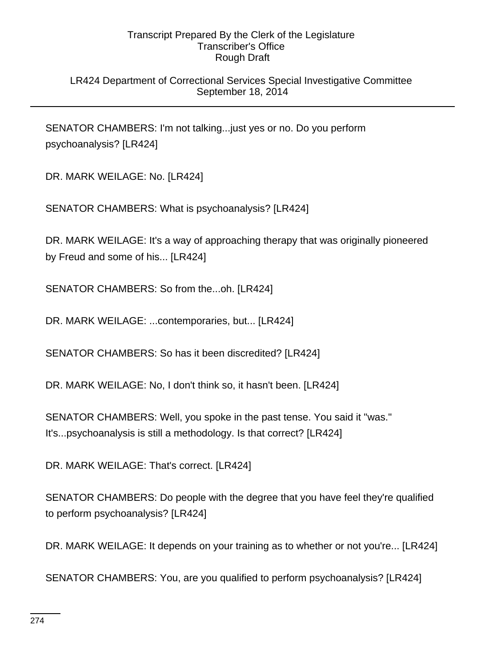### LR424 Department of Correctional Services Special Investigative Committee September 18, 2014

SENATOR CHAMBERS: I'm not talking...just yes or no. Do you perform psychoanalysis? [LR424]

DR. MARK WEILAGE: No. [LR424]

SENATOR CHAMBERS: What is psychoanalysis? [LR424]

DR. MARK WEILAGE: It's a way of approaching therapy that was originally pioneered by Freud and some of his... [LR424]

SENATOR CHAMBERS: So from the...oh. [LR424]

DR. MARK WEILAGE: ...contemporaries, but... [LR424]

SENATOR CHAMBERS: So has it been discredited? [LR424]

DR. MARK WEILAGE: No, I don't think so, it hasn't been. [LR424]

SENATOR CHAMBERS: Well, you spoke in the past tense. You said it "was." It's...psychoanalysis is still a methodology. Is that correct? [LR424]

DR. MARK WEILAGE: That's correct. [LR424]

SENATOR CHAMBERS: Do people with the degree that you have feel they're qualified to perform psychoanalysis? [LR424]

DR. MARK WEILAGE: It depends on your training as to whether or not you're... [LR424]

SENATOR CHAMBERS: You, are you qualified to perform psychoanalysis? [LR424]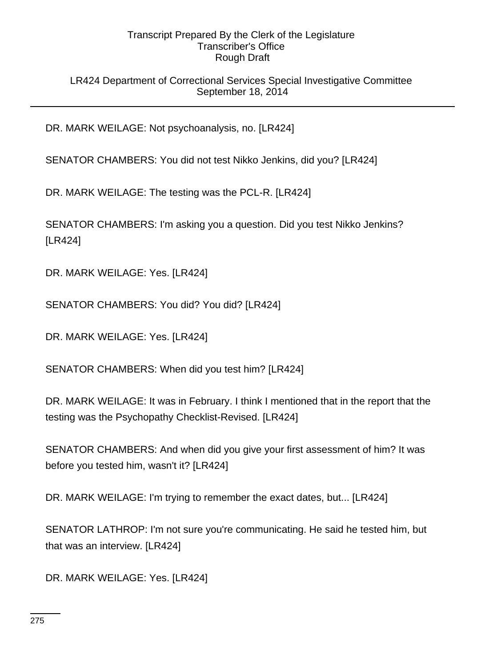LR424 Department of Correctional Services Special Investigative Committee September 18, 2014

DR. MARK WEILAGE: Not psychoanalysis, no. [LR424]

SENATOR CHAMBERS: You did not test Nikko Jenkins, did you? [LR424]

DR. MARK WEILAGE: The testing was the PCL-R. [LR424]

SENATOR CHAMBERS: I'm asking you a question. Did you test Nikko Jenkins? [LR424]

DR. MARK WEILAGE: Yes. [LR424]

SENATOR CHAMBERS: You did? You did? [LR424]

DR. MARK WEILAGE: Yes. [LR424]

SENATOR CHAMBERS: When did you test him? [LR424]

DR. MARK WEILAGE: It was in February. I think I mentioned that in the report that the testing was the Psychopathy Checklist-Revised. [LR424]

SENATOR CHAMBERS: And when did you give your first assessment of him? It was before you tested him, wasn't it? [LR424]

DR. MARK WEILAGE: I'm trying to remember the exact dates, but... [LR424]

SENATOR LATHROP: I'm not sure you're communicating. He said he tested him, but that was an interview. [LR424]

DR. MARK WEILAGE: Yes. [LR424]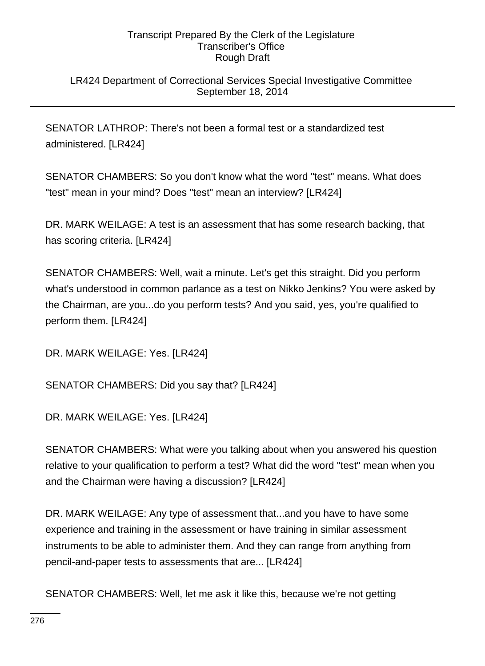### LR424 Department of Correctional Services Special Investigative Committee September 18, 2014

SENATOR LATHROP: There's not been a formal test or a standardized test administered. [LR424]

SENATOR CHAMBERS: So you don't know what the word "test" means. What does "test" mean in your mind? Does "test" mean an interview? [LR424]

DR. MARK WEILAGE: A test is an assessment that has some research backing, that has scoring criteria. [LR424]

SENATOR CHAMBERS: Well, wait a minute. Let's get this straight. Did you perform what's understood in common parlance as a test on Nikko Jenkins? You were asked by the Chairman, are you...do you perform tests? And you said, yes, you're qualified to perform them. [LR424]

DR. MARK WEILAGE: Yes. [LR424]

SENATOR CHAMBERS: Did you say that? [LR424]

DR. MARK WEILAGE: Yes. [LR424]

SENATOR CHAMBERS: What were you talking about when you answered his question relative to your qualification to perform a test? What did the word "test" mean when you and the Chairman were having a discussion? [LR424]

DR. MARK WEILAGE: Any type of assessment that...and you have to have some experience and training in the assessment or have training in similar assessment instruments to be able to administer them. And they can range from anything from pencil-and-paper tests to assessments that are... [LR424]

SENATOR CHAMBERS: Well, let me ask it like this, because we're not getting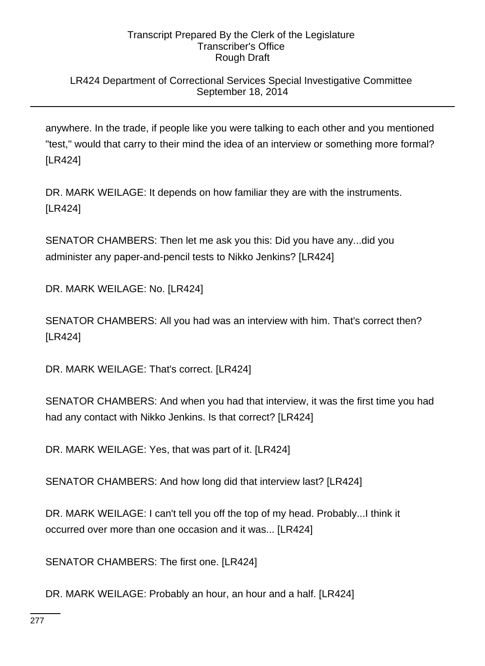# LR424 Department of Correctional Services Special Investigative Committee September 18, 2014

anywhere. In the trade, if people like you were talking to each other and you mentioned "test," would that carry to their mind the idea of an interview or something more formal? [LR424]

DR. MARK WEILAGE: It depends on how familiar they are with the instruments. [LR424]

SENATOR CHAMBERS: Then let me ask you this: Did you have any...did you administer any paper-and-pencil tests to Nikko Jenkins? [LR424]

DR. MARK WEILAGE: No. [LR424]

SENATOR CHAMBERS: All you had was an interview with him. That's correct then? [LR424]

DR. MARK WEILAGE: That's correct. [LR424]

SENATOR CHAMBERS: And when you had that interview, it was the first time you had had any contact with Nikko Jenkins. Is that correct? [LR424]

DR. MARK WEILAGE: Yes, that was part of it. [LR424]

SENATOR CHAMBERS: And how long did that interview last? [LR424]

DR. MARK WEILAGE: I can't tell you off the top of my head. Probably...I think it occurred over more than one occasion and it was... [LR424]

SENATOR CHAMBERS: The first one. [LR424]

DR. MARK WEILAGE: Probably an hour, an hour and a half. [LR424]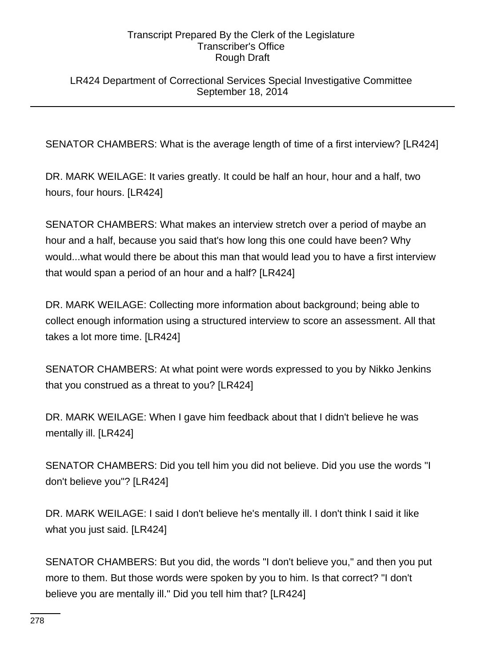LR424 Department of Correctional Services Special Investigative Committee September 18, 2014

SENATOR CHAMBERS: What is the average length of time of a first interview? [LR424]

DR. MARK WEILAGE: It varies greatly. It could be half an hour, hour and a half, two hours, four hours. [LR424]

SENATOR CHAMBERS: What makes an interview stretch over a period of maybe an hour and a half, because you said that's how long this one could have been? Why would...what would there be about this man that would lead you to have a first interview that would span a period of an hour and a half? [LR424]

DR. MARK WEILAGE: Collecting more information about background; being able to collect enough information using a structured interview to score an assessment. All that takes a lot more time. [LR424]

SENATOR CHAMBERS: At what point were words expressed to you by Nikko Jenkins that you construed as a threat to you? [LR424]

DR. MARK WEILAGE: When I gave him feedback about that I didn't believe he was mentally ill. [LR424]

SENATOR CHAMBERS: Did you tell him you did not believe. Did you use the words "I don't believe you"? [LR424]

DR. MARK WEILAGE: I said I don't believe he's mentally ill. I don't think I said it like what you just said. [LR424]

SENATOR CHAMBERS: But you did, the words "I don't believe you," and then you put more to them. But those words were spoken by you to him. Is that correct? "I don't believe you are mentally ill." Did you tell him that? [LR424]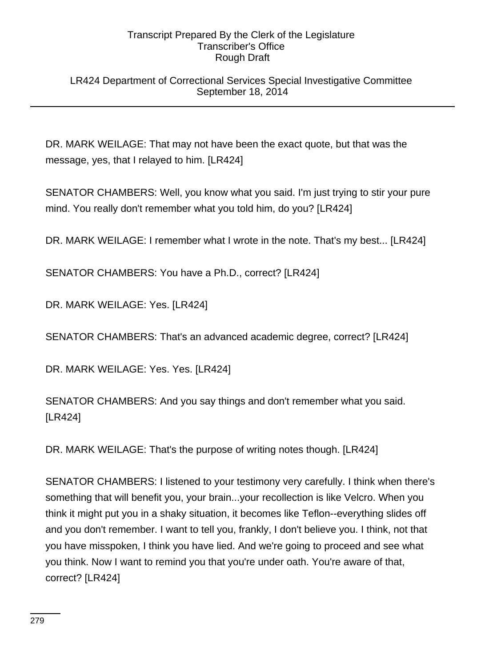### LR424 Department of Correctional Services Special Investigative Committee September 18, 2014

DR. MARK WEILAGE: That may not have been the exact quote, but that was the message, yes, that I relayed to him. [LR424]

SENATOR CHAMBERS: Well, you know what you said. I'm just trying to stir your pure mind. You really don't remember what you told him, do you? [LR424]

DR. MARK WEILAGE: I remember what I wrote in the note. That's my best... [LR424]

SENATOR CHAMBERS: You have a Ph.D., correct? [LR424]

DR. MARK WEILAGE: Yes. [LR424]

SENATOR CHAMBERS: That's an advanced academic degree, correct? [LR424]

DR. MARK WEILAGE: Yes. Yes. [LR424]

SENATOR CHAMBERS: And you say things and don't remember what you said. [LR424]

DR. MARK WEILAGE: That's the purpose of writing notes though. [LR424]

SENATOR CHAMBERS: I listened to your testimony very carefully. I think when there's something that will benefit you, your brain...your recollection is like Velcro. When you think it might put you in a shaky situation, it becomes like Teflon--everything slides off and you don't remember. I want to tell you, frankly, I don't believe you. I think, not that you have misspoken, I think you have lied. And we're going to proceed and see what you think. Now I want to remind you that you're under oath. You're aware of that, correct? [LR424]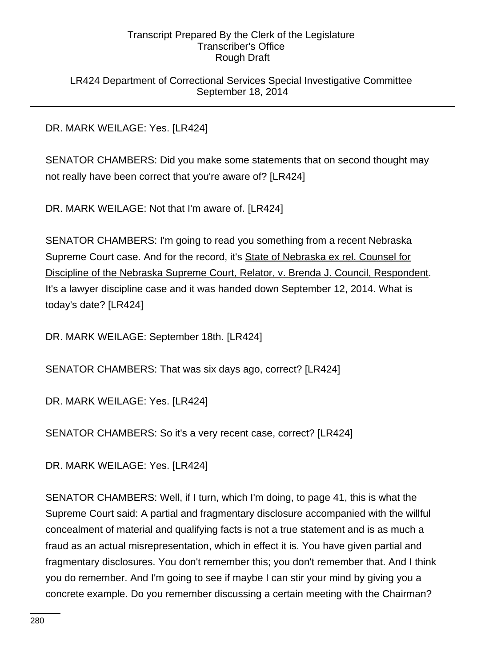LR424 Department of Correctional Services Special Investigative Committee September 18, 2014

DR. MARK WEILAGE: Yes. [LR424]

SENATOR CHAMBERS: Did you make some statements that on second thought may not really have been correct that you're aware of? [LR424]

DR. MARK WEILAGE: Not that I'm aware of. [LR424]

SENATOR CHAMBERS: I'm going to read you something from a recent Nebraska Supreme Court case. And for the record, it's State of Nebraska ex rel. Counsel for Discipline of the Nebraska Supreme Court, Relator, v. Brenda J. Council, Respondent. It's a lawyer discipline case and it was handed down September 12, 2014. What is today's date? [LR424]

DR. MARK WEILAGE: September 18th. [LR424]

SENATOR CHAMBERS: That was six days ago, correct? [LR424]

DR. MARK WEILAGE: Yes. [LR424]

SENATOR CHAMBERS: So it's a very recent case, correct? [LR424]

DR. MARK WEILAGE: Yes. [LR424]

SENATOR CHAMBERS: Well, if I turn, which I'm doing, to page 41, this is what the Supreme Court said: A partial and fragmentary disclosure accompanied with the willful concealment of material and qualifying facts is not a true statement and is as much a fraud as an actual misrepresentation, which in effect it is. You have given partial and fragmentary disclosures. You don't remember this; you don't remember that. And I think you do remember. And I'm going to see if maybe I can stir your mind by giving you a concrete example. Do you remember discussing a certain meeting with the Chairman?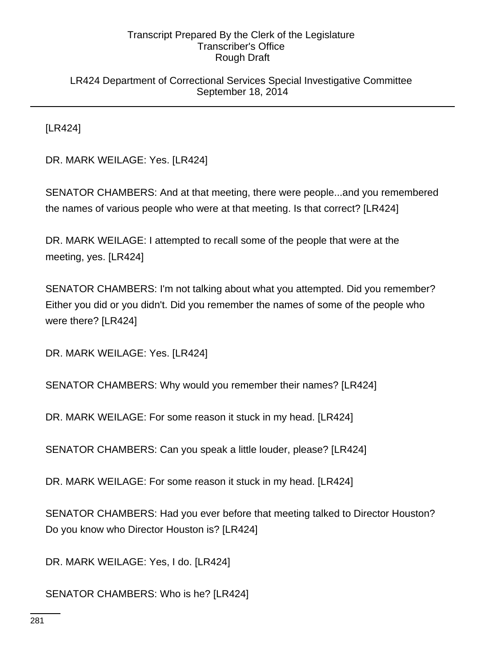LR424 Department of Correctional Services Special Investigative Committee September 18, 2014

[LR424]

DR. MARK WEILAGE: Yes. [LR424]

SENATOR CHAMBERS: And at that meeting, there were people...and you remembered the names of various people who were at that meeting. Is that correct? [LR424]

DR. MARK WEILAGE: I attempted to recall some of the people that were at the meeting, yes. [LR424]

SENATOR CHAMBERS: I'm not talking about what you attempted. Did you remember? Either you did or you didn't. Did you remember the names of some of the people who were there? [LR424]

DR. MARK WEILAGE: Yes. [LR424]

SENATOR CHAMBERS: Why would you remember their names? [LR424]

DR. MARK WEILAGE: For some reason it stuck in my head. [LR424]

SENATOR CHAMBERS: Can you speak a little louder, please? [LR424]

DR. MARK WEILAGE: For some reason it stuck in my head. [LR424]

SENATOR CHAMBERS: Had you ever before that meeting talked to Director Houston? Do you know who Director Houston is? [LR424]

DR. MARK WEILAGE: Yes, I do. [LR424]

SENATOR CHAMBERS: Who is he? [LR424]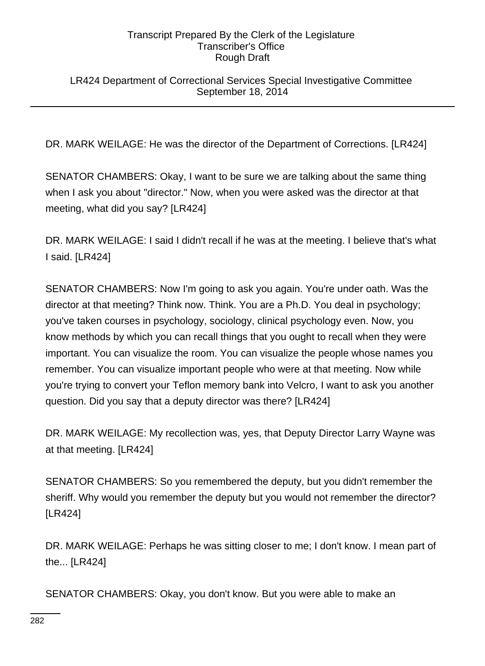LR424 Department of Correctional Services Special Investigative Committee September 18, 2014

DR. MARK WEILAGE: He was the director of the Department of Corrections. [LR424]

SENATOR CHAMBERS: Okay, I want to be sure we are talking about the same thing when I ask you about "director." Now, when you were asked was the director at that meeting, what did you say? [LR424]

DR. MARK WEILAGE: I said I didn't recall if he was at the meeting. I believe that's what I said. [LR424]

SENATOR CHAMBERS: Now I'm going to ask you again. You're under oath. Was the director at that meeting? Think now. Think. You are a Ph.D. You deal in psychology; you've taken courses in psychology, sociology, clinical psychology even. Now, you know methods by which you can recall things that you ought to recall when they were important. You can visualize the room. You can visualize the people whose names you remember. You can visualize important people who were at that meeting. Now while you're trying to convert your Teflon memory bank into Velcro, I want to ask you another question. Did you say that a deputy director was there? [LR424]

DR. MARK WEILAGE: My recollection was, yes, that Deputy Director Larry Wayne was at that meeting. [LR424]

SENATOR CHAMBERS: So you remembered the deputy, but you didn't remember the sheriff. Why would you remember the deputy but you would not remember the director? [LR424]

DR. MARK WEILAGE: Perhaps he was sitting closer to me; I don't know. I mean part of the... [LR424]

SENATOR CHAMBERS: Okay, you don't know. But you were able to make an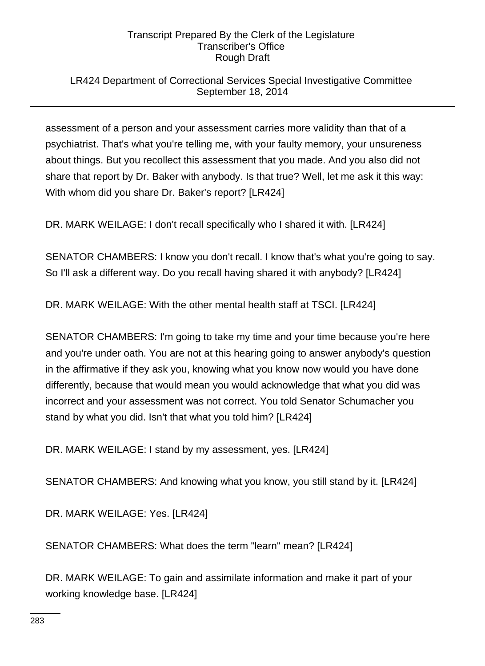### LR424 Department of Correctional Services Special Investigative Committee September 18, 2014

assessment of a person and your assessment carries more validity than that of a psychiatrist. That's what you're telling me, with your faulty memory, your unsureness about things. But you recollect this assessment that you made. And you also did not share that report by Dr. Baker with anybody. Is that true? Well, let me ask it this way: With whom did you share Dr. Baker's report? [LR424]

DR. MARK WEILAGE: I don't recall specifically who I shared it with. [LR424]

SENATOR CHAMBERS: I know you don't recall. I know that's what you're going to say. So I'll ask a different way. Do you recall having shared it with anybody? [LR424]

DR. MARK WEILAGE: With the other mental health staff at TSCI. [LR424]

SENATOR CHAMBERS: I'm going to take my time and your time because you're here and you're under oath. You are not at this hearing going to answer anybody's question in the affirmative if they ask you, knowing what you know now would you have done differently, because that would mean you would acknowledge that what you did was incorrect and your assessment was not correct. You told Senator Schumacher you stand by what you did. Isn't that what you told him? [LR424]

DR. MARK WEILAGE: I stand by my assessment, yes. [LR424]

SENATOR CHAMBERS: And knowing what you know, you still stand by it. [LR424]

DR. MARK WEILAGE: Yes. [LR424]

SENATOR CHAMBERS: What does the term "learn" mean? [LR424]

DR. MARK WEILAGE: To gain and assimilate information and make it part of your working knowledge base. [LR424]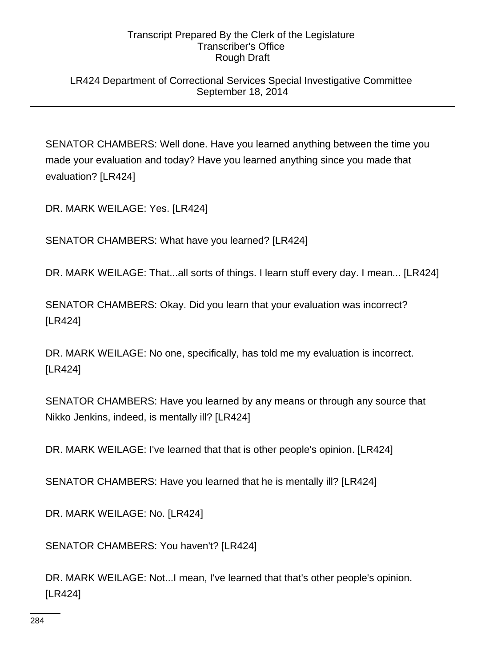LR424 Department of Correctional Services Special Investigative Committee September 18, 2014

SENATOR CHAMBERS: Well done. Have you learned anything between the time you made your evaluation and today? Have you learned anything since you made that evaluation? [LR424]

DR. MARK WEILAGE: Yes. [LR424]

SENATOR CHAMBERS: What have you learned? [LR424]

DR. MARK WEILAGE: That...all sorts of things. I learn stuff every day. I mean... [LR424]

SENATOR CHAMBERS: Okay. Did you learn that your evaluation was incorrect? [LR424]

DR. MARK WEILAGE: No one, specifically, has told me my evaluation is incorrect. [LR424]

SENATOR CHAMBERS: Have you learned by any means or through any source that Nikko Jenkins, indeed, is mentally ill? [LR424]

DR. MARK WEILAGE: I've learned that that is other people's opinion. [LR424]

SENATOR CHAMBERS: Have you learned that he is mentally ill? [LR424]

DR. MARK WEILAGE: No. [LR424]

SENATOR CHAMBERS: You haven't? [LR424]

DR. MARK WEILAGE: Not...I mean, I've learned that that's other people's opinion. [LR424]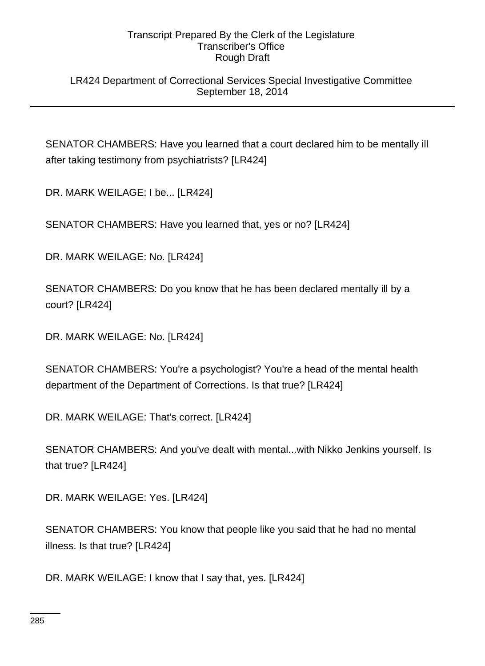LR424 Department of Correctional Services Special Investigative Committee September 18, 2014

SENATOR CHAMBERS: Have you learned that a court declared him to be mentally ill after taking testimony from psychiatrists? [LR424]

DR. MARK WEILAGE: I be... [LR424]

SENATOR CHAMBERS: Have you learned that, yes or no? [LR424]

DR. MARK WEILAGE: No. [LR424]

SENATOR CHAMBERS: Do you know that he has been declared mentally ill by a court? [LR424]

DR. MARK WEILAGE: No. [LR424]

SENATOR CHAMBERS: You're a psychologist? You're a head of the mental health department of the Department of Corrections. Is that true? [LR424]

DR. MARK WEILAGE: That's correct. [LR424]

SENATOR CHAMBERS: And you've dealt with mental...with Nikko Jenkins yourself. Is that true? [LR424]

DR. MARK WEILAGE: Yes. [LR424]

SENATOR CHAMBERS: You know that people like you said that he had no mental illness. Is that true? [LR424]

DR. MARK WEILAGE: I know that I say that, yes. [LR424]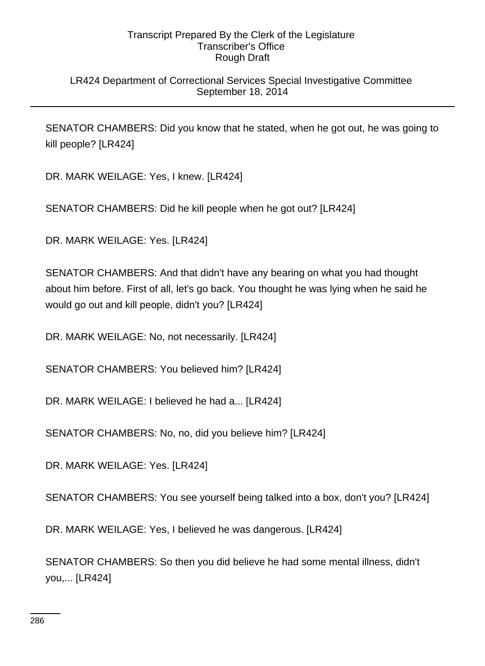### LR424 Department of Correctional Services Special Investigative Committee September 18, 2014

SENATOR CHAMBERS: Did you know that he stated, when he got out, he was going to kill people? [LR424]

DR. MARK WEILAGE: Yes, I knew. [LR424]

SENATOR CHAMBERS: Did he kill people when he got out? [LR424]

DR. MARK WEILAGE: Yes. [LR424]

SENATOR CHAMBERS: And that didn't have any bearing on what you had thought about him before. First of all, let's go back. You thought he was lying when he said he would go out and kill people, didn't you? [LR424]

DR. MARK WEILAGE: No, not necessarily. [LR424]

SENATOR CHAMBERS: You believed him? [LR424]

DR. MARK WEILAGE: I believed he had a... [LR424]

SENATOR CHAMBERS: No, no, did you believe him? [LR424]

DR. MARK WEILAGE: Yes. [LR424]

SENATOR CHAMBERS: You see yourself being talked into a box, don't you? [LR424]

DR. MARK WEILAGE: Yes, I believed he was dangerous. [LR424]

SENATOR CHAMBERS: So then you did believe he had some mental illness, didn't you,... [LR424]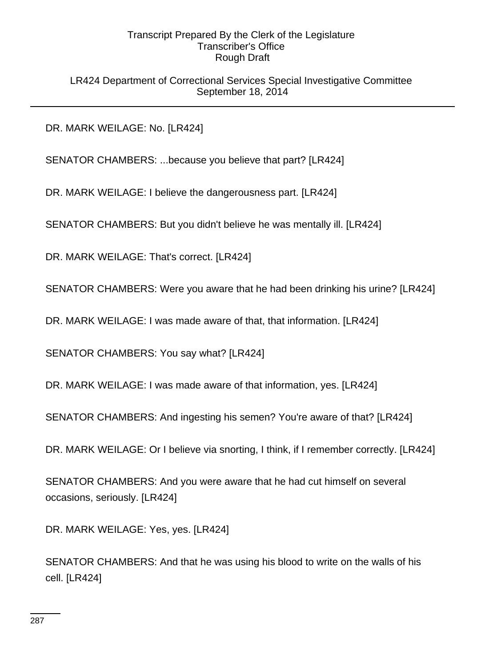LR424 Department of Correctional Services Special Investigative Committee September 18, 2014

DR. MARK WEILAGE: No. [LR424]

SENATOR CHAMBERS: ...because you believe that part? [LR424]

DR. MARK WEILAGE: I believe the dangerousness part. [LR424]

SENATOR CHAMBERS: But you didn't believe he was mentally ill. [LR424]

DR. MARK WEILAGE: That's correct. [LR424]

SENATOR CHAMBERS: Were you aware that he had been drinking his urine? [LR424]

DR. MARK WEILAGE: I was made aware of that, that information. [LR424]

SENATOR CHAMBERS: You say what? [LR424]

DR. MARK WEILAGE: I was made aware of that information, yes. [LR424]

SENATOR CHAMBERS: And ingesting his semen? You're aware of that? [LR424]

DR. MARK WEILAGE: Or I believe via snorting, I think, if I remember correctly. [LR424]

SENATOR CHAMBERS: And you were aware that he had cut himself on several occasions, seriously. [LR424]

DR. MARK WEILAGE: Yes, yes. [LR424]

SENATOR CHAMBERS: And that he was using his blood to write on the walls of his cell. [LR424]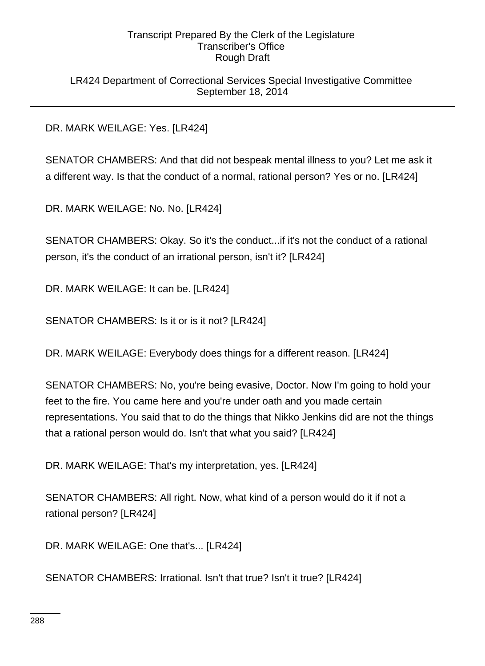LR424 Department of Correctional Services Special Investigative Committee September 18, 2014

DR. MARK WEILAGE: Yes. [LR424]

SENATOR CHAMBERS: And that did not bespeak mental illness to you? Let me ask it a different way. Is that the conduct of a normal, rational person? Yes or no. [LR424]

DR. MARK WEILAGE: No. No. [LR424]

SENATOR CHAMBERS: Okay. So it's the conduct...if it's not the conduct of a rational person, it's the conduct of an irrational person, isn't it? [LR424]

DR. MARK WEILAGE: It can be. [LR424]

SENATOR CHAMBERS: Is it or is it not? [LR424]

DR. MARK WEILAGE: Everybody does things for a different reason. [LR424]

SENATOR CHAMBERS: No, you're being evasive, Doctor. Now I'm going to hold your feet to the fire. You came here and you're under oath and you made certain representations. You said that to do the things that Nikko Jenkins did are not the things that a rational person would do. Isn't that what you said? [LR424]

DR. MARK WEILAGE: That's my interpretation, yes. [LR424]

SENATOR CHAMBERS: All right. Now, what kind of a person would do it if not a rational person? [LR424]

DR. MARK WEILAGE: One that's... [LR424]

SENATOR CHAMBERS: Irrational. Isn't that true? Isn't it true? [LR424]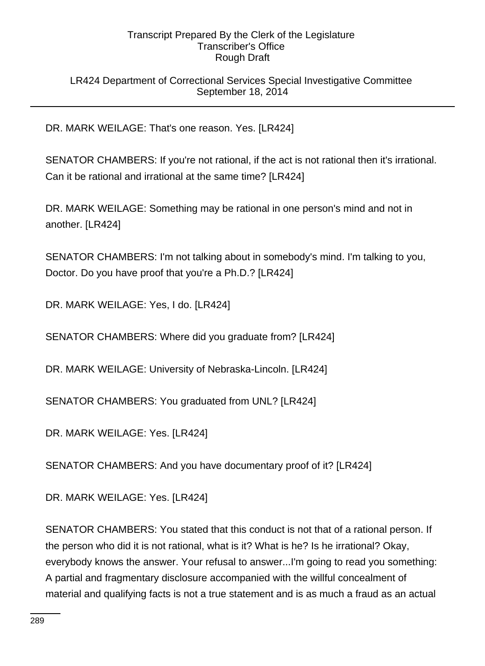# LR424 Department of Correctional Services Special Investigative Committee September 18, 2014

DR. MARK WEILAGE: That's one reason. Yes. [LR424]

SENATOR CHAMBERS: If you're not rational, if the act is not rational then it's irrational. Can it be rational and irrational at the same time? [LR424]

DR. MARK WEILAGE: Something may be rational in one person's mind and not in another. [LR424]

SENATOR CHAMBERS: I'm not talking about in somebody's mind. I'm talking to you, Doctor. Do you have proof that you're a Ph.D.? [LR424]

DR. MARK WEILAGE: Yes, I do. [LR424]

SENATOR CHAMBERS: Where did you graduate from? [LR424]

DR. MARK WEILAGE: University of Nebraska-Lincoln. [LR424]

SENATOR CHAMBERS: You graduated from UNL? [LR424]

DR. MARK WEILAGE: Yes. [LR424]

SENATOR CHAMBERS: And you have documentary proof of it? [LR424]

DR. MARK WEILAGE: Yes. [LR424]

SENATOR CHAMBERS: You stated that this conduct is not that of a rational person. If the person who did it is not rational, what is it? What is he? Is he irrational? Okay, everybody knows the answer. Your refusal to answer...I'm going to read you something: A partial and fragmentary disclosure accompanied with the willful concealment of material and qualifying facts is not a true statement and is as much a fraud as an actual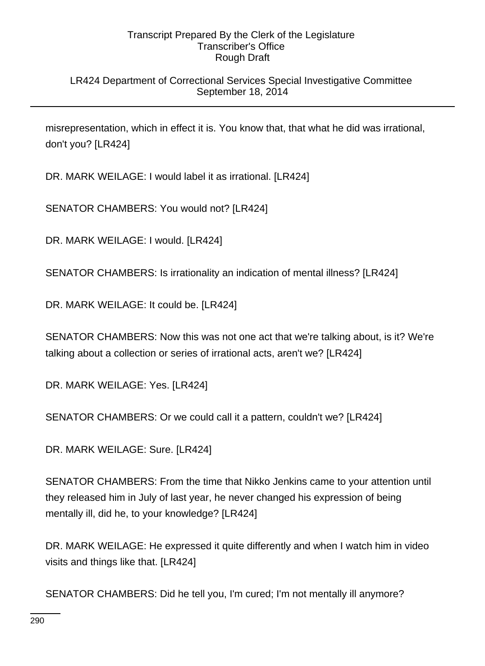# LR424 Department of Correctional Services Special Investigative Committee September 18, 2014

misrepresentation, which in effect it is. You know that, that what he did was irrational, don't you? [LR424]

DR. MARK WEILAGE: I would label it as irrational. [LR424]

SENATOR CHAMBERS: You would not? [LR424]

DR. MARK WEILAGE: I would. [LR424]

SENATOR CHAMBERS: Is irrationality an indication of mental illness? [LR424]

DR. MARK WEILAGE: It could be. [LR424]

SENATOR CHAMBERS: Now this was not one act that we're talking about, is it? We're talking about a collection or series of irrational acts, aren't we? [LR424]

DR. MARK WEILAGE: Yes. [LR424]

SENATOR CHAMBERS: Or we could call it a pattern, couldn't we? [LR424]

DR. MARK WEILAGE: Sure. [LR424]

SENATOR CHAMBERS: From the time that Nikko Jenkins came to your attention until they released him in July of last year, he never changed his expression of being mentally ill, did he, to your knowledge? [LR424]

DR. MARK WEILAGE: He expressed it quite differently and when I watch him in video visits and things like that. [LR424]

SENATOR CHAMBERS: Did he tell you, I'm cured; I'm not mentally ill anymore?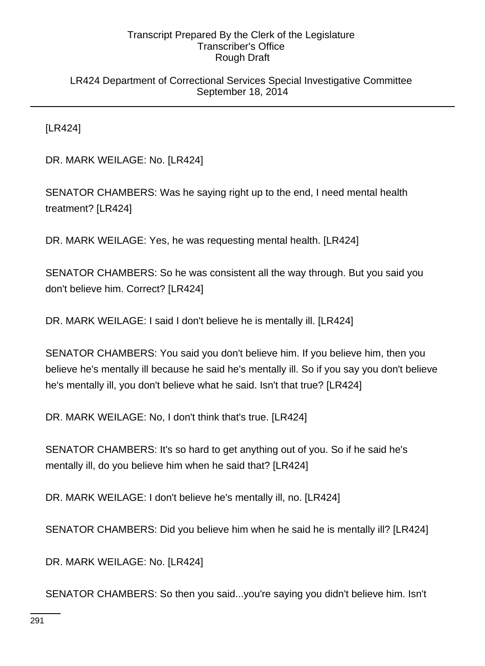LR424 Department of Correctional Services Special Investigative Committee September 18, 2014

[LR424]

DR. MARK WEILAGE: No. [LR424]

SENATOR CHAMBERS: Was he saying right up to the end, I need mental health treatment? [LR424]

DR. MARK WEILAGE: Yes, he was requesting mental health. [LR424]

SENATOR CHAMBERS: So he was consistent all the way through. But you said you don't believe him. Correct? [LR424]

DR. MARK WEILAGE: I said I don't believe he is mentally ill. [LR424]

SENATOR CHAMBERS: You said you don't believe him. If you believe him, then you believe he's mentally ill because he said he's mentally ill. So if you say you don't believe he's mentally ill, you don't believe what he said. Isn't that true? [LR424]

DR. MARK WEILAGE: No, I don't think that's true. [LR424]

SENATOR CHAMBERS: It's so hard to get anything out of you. So if he said he's mentally ill, do you believe him when he said that? [LR424]

DR. MARK WEILAGE: I don't believe he's mentally ill, no. [LR424]

SENATOR CHAMBERS: Did you believe him when he said he is mentally ill? [LR424]

DR. MARK WEILAGE: No. [LR424]

SENATOR CHAMBERS: So then you said...you're saying you didn't believe him. Isn't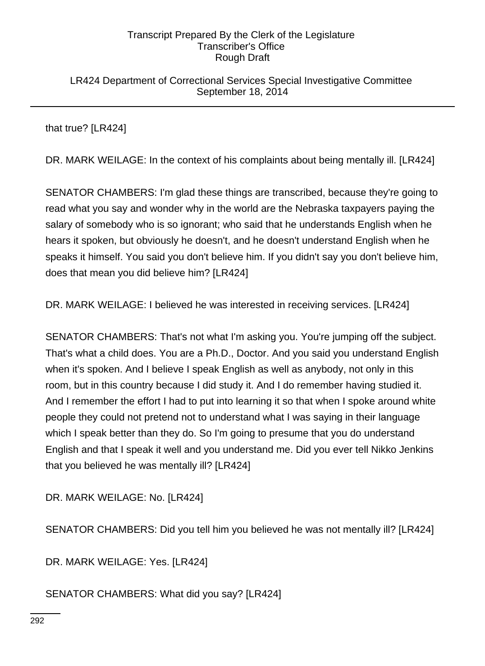LR424 Department of Correctional Services Special Investigative Committee September 18, 2014

that true? [LR424]

DR. MARK WEILAGE: In the context of his complaints about being mentally ill. [LR424]

SENATOR CHAMBERS: I'm glad these things are transcribed, because they're going to read what you say and wonder why in the world are the Nebraska taxpayers paying the salary of somebody who is so ignorant; who said that he understands English when he hears it spoken, but obviously he doesn't, and he doesn't understand English when he speaks it himself. You said you don't believe him. If you didn't say you don't believe him, does that mean you did believe him? [LR424]

DR. MARK WEILAGE: I believed he was interested in receiving services. [LR424]

SENATOR CHAMBERS: That's not what I'm asking you. You're jumping off the subject. That's what a child does. You are a Ph.D., Doctor. And you said you understand English when it's spoken. And I believe I speak English as well as anybody, not only in this room, but in this country because I did study it. And I do remember having studied it. And I remember the effort I had to put into learning it so that when I spoke around white people they could not pretend not to understand what I was saying in their language which I speak better than they do. So I'm going to presume that you do understand English and that I speak it well and you understand me. Did you ever tell Nikko Jenkins that you believed he was mentally ill? [LR424]

DR. MARK WEILAGE: No. [LR424]

SENATOR CHAMBERS: Did you tell him you believed he was not mentally ill? [LR424]

DR. MARK WEILAGE: Yes. [LR424]

SENATOR CHAMBERS: What did you say? [LR424]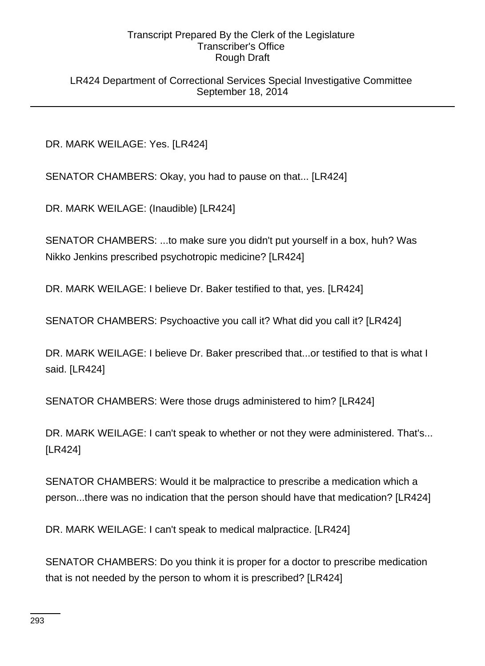LR424 Department of Correctional Services Special Investigative Committee September 18, 2014

DR. MARK WEILAGE: Yes. [LR424]

SENATOR CHAMBERS: Okay, you had to pause on that... [LR424]

DR. MARK WEILAGE: (Inaudible) [LR424]

SENATOR CHAMBERS: ...to make sure you didn't put yourself in a box, huh? Was Nikko Jenkins prescribed psychotropic medicine? [LR424]

DR. MARK WEILAGE: I believe Dr. Baker testified to that, yes. [LR424]

SENATOR CHAMBERS: Psychoactive you call it? What did you call it? [LR424]

DR. MARK WEILAGE: I believe Dr. Baker prescribed that...or testified to that is what I said. [LR424]

SENATOR CHAMBERS: Were those drugs administered to him? [LR424]

DR. MARK WEILAGE: I can't speak to whether or not they were administered. That's... [LR424]

SENATOR CHAMBERS: Would it be malpractice to prescribe a medication which a person...there was no indication that the person should have that medication? [LR424]

DR. MARK WEILAGE: I can't speak to medical malpractice. [LR424]

SENATOR CHAMBERS: Do you think it is proper for a doctor to prescribe medication that is not needed by the person to whom it is prescribed? [LR424]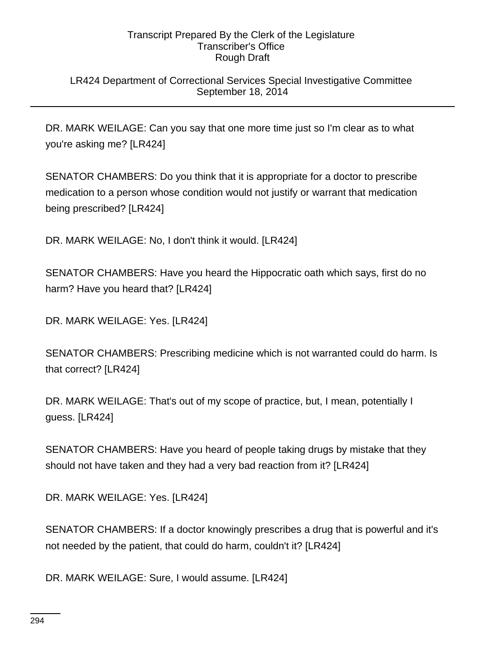# LR424 Department of Correctional Services Special Investigative Committee September 18, 2014

DR. MARK WEILAGE: Can you say that one more time just so I'm clear as to what you're asking me? [LR424]

SENATOR CHAMBERS: Do you think that it is appropriate for a doctor to prescribe medication to a person whose condition would not justify or warrant that medication being prescribed? [LR424]

DR. MARK WEILAGE: No, I don't think it would. [LR424]

SENATOR CHAMBERS: Have you heard the Hippocratic oath which says, first do no harm? Have you heard that? [LR424]

DR. MARK WEILAGE: Yes. [LR424]

SENATOR CHAMBERS: Prescribing medicine which is not warranted could do harm. Is that correct? [LR424]

DR. MARK WEILAGE: That's out of my scope of practice, but, I mean, potentially I guess. [LR424]

SENATOR CHAMBERS: Have you heard of people taking drugs by mistake that they should not have taken and they had a very bad reaction from it? [LR424]

DR. MARK WEILAGE: Yes. [LR424]

SENATOR CHAMBERS: If a doctor knowingly prescribes a drug that is powerful and it's not needed by the patient, that could do harm, couldn't it? [LR424]

DR. MARK WEILAGE: Sure, I would assume. [LR424]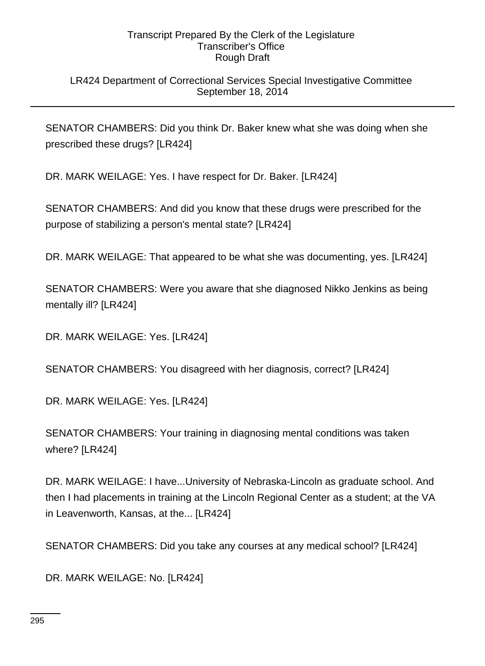# LR424 Department of Correctional Services Special Investigative Committee September 18, 2014

SENATOR CHAMBERS: Did you think Dr. Baker knew what she was doing when she prescribed these drugs? [LR424]

DR. MARK WEILAGE: Yes. I have respect for Dr. Baker. [LR424]

SENATOR CHAMBERS: And did you know that these drugs were prescribed for the purpose of stabilizing a person's mental state? [LR424]

DR. MARK WEILAGE: That appeared to be what she was documenting, yes. [LR424]

SENATOR CHAMBERS: Were you aware that she diagnosed Nikko Jenkins as being mentally ill? [LR424]

DR. MARK WEILAGE: Yes. [LR424]

SENATOR CHAMBERS: You disagreed with her diagnosis, correct? [LR424]

DR. MARK WEILAGE: Yes. [LR424]

SENATOR CHAMBERS: Your training in diagnosing mental conditions was taken where? [LR424]

DR. MARK WEILAGE: I have...University of Nebraska-Lincoln as graduate school. And then I had placements in training at the Lincoln Regional Center as a student; at the VA in Leavenworth, Kansas, at the... [LR424]

SENATOR CHAMBERS: Did you take any courses at any medical school? [LR424]

DR. MARK WEILAGE: No. [LR424]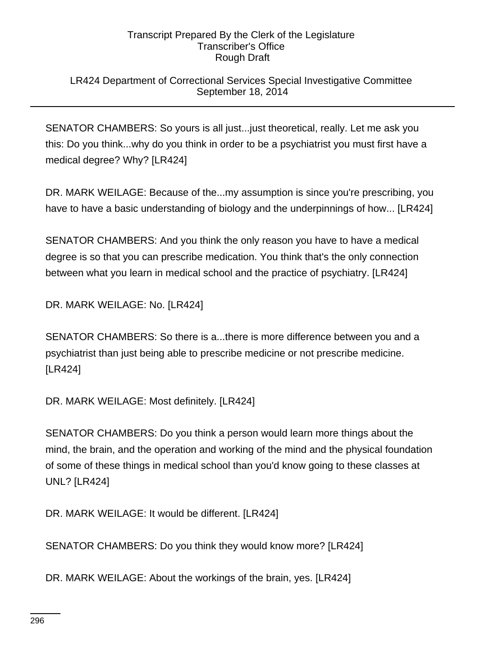# LR424 Department of Correctional Services Special Investigative Committee September 18, 2014

SENATOR CHAMBERS: So yours is all just...just theoretical, really. Let me ask you this: Do you think...why do you think in order to be a psychiatrist you must first have a medical degree? Why? [LR424]

DR. MARK WEILAGE: Because of the...my assumption is since you're prescribing, you have to have a basic understanding of biology and the underpinnings of how... [LR424]

SENATOR CHAMBERS: And you think the only reason you have to have a medical degree is so that you can prescribe medication. You think that's the only connection between what you learn in medical school and the practice of psychiatry. [LR424]

DR. MARK WEILAGE: No. [LR424]

SENATOR CHAMBERS: So there is a...there is more difference between you and a psychiatrist than just being able to prescribe medicine or not prescribe medicine. [LR424]

DR. MARK WEILAGE: Most definitely. [LR424]

SENATOR CHAMBERS: Do you think a person would learn more things about the mind, the brain, and the operation and working of the mind and the physical foundation of some of these things in medical school than you'd know going to these classes at UNL? [LR424]

DR. MARK WEILAGE: It would be different. [LR424]

SENATOR CHAMBERS: Do you think they would know more? [LR424]

DR. MARK WEILAGE: About the workings of the brain, yes. [LR424]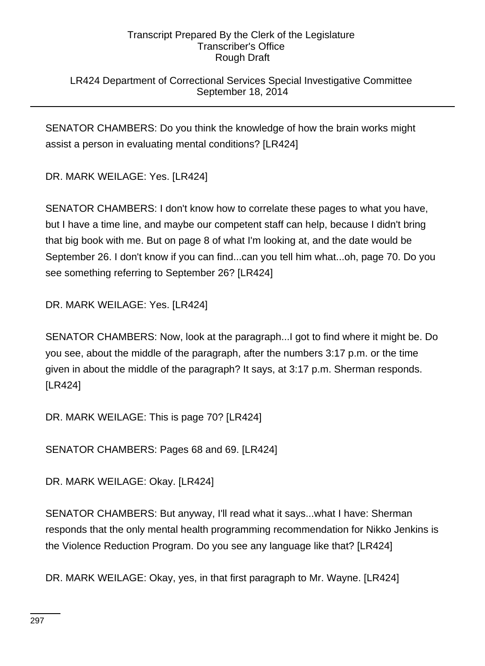# LR424 Department of Correctional Services Special Investigative Committee September 18, 2014

SENATOR CHAMBERS: Do you think the knowledge of how the brain works might assist a person in evaluating mental conditions? [LR424]

DR. MARK WEILAGE: Yes. [LR424]

SENATOR CHAMBERS: I don't know how to correlate these pages to what you have, but I have a time line, and maybe our competent staff can help, because I didn't bring that big book with me. But on page 8 of what I'm looking at, and the date would be September 26. I don't know if you can find...can you tell him what...oh, page 70. Do you see something referring to September 26? [LR424]

DR. MARK WEILAGE: Yes. [LR424]

SENATOR CHAMBERS: Now, look at the paragraph...I got to find where it might be. Do you see, about the middle of the paragraph, after the numbers 3:17 p.m. or the time given in about the middle of the paragraph? It says, at 3:17 p.m. Sherman responds. [LR424]

DR. MARK WEILAGE: This is page 70? [LR424]

SENATOR CHAMBERS: Pages 68 and 69. [LR424]

DR. MARK WEILAGE: Okay. [LR424]

SENATOR CHAMBERS: But anyway, I'll read what it says...what I have: Sherman responds that the only mental health programming recommendation for Nikko Jenkins is the Violence Reduction Program. Do you see any language like that? [LR424]

DR. MARK WEILAGE: Okay, yes, in that first paragraph to Mr. Wayne. [LR424]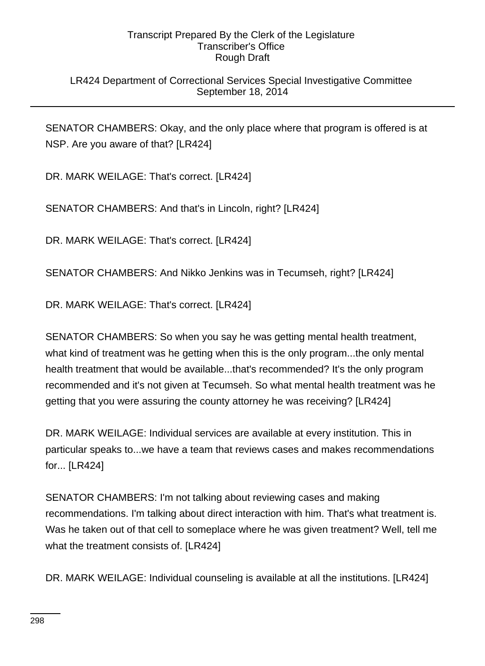# LR424 Department of Correctional Services Special Investigative Committee September 18, 2014

SENATOR CHAMBERS: Okay, and the only place where that program is offered is at NSP. Are you aware of that? [LR424]

DR. MARK WEILAGE: That's correct. [LR424]

SENATOR CHAMBERS: And that's in Lincoln, right? [LR424]

DR. MARK WEILAGE: That's correct. [LR424]

SENATOR CHAMBERS: And Nikko Jenkins was in Tecumseh, right? [LR424]

DR. MARK WEILAGE: That's correct. [LR424]

SENATOR CHAMBERS: So when you say he was getting mental health treatment, what kind of treatment was he getting when this is the only program...the only mental health treatment that would be available...that's recommended? It's the only program recommended and it's not given at Tecumseh. So what mental health treatment was he getting that you were assuring the county attorney he was receiving? [LR424]

DR. MARK WEILAGE: Individual services are available at every institution. This in particular speaks to...we have a team that reviews cases and makes recommendations for... [LR424]

SENATOR CHAMBERS: I'm not talking about reviewing cases and making recommendations. I'm talking about direct interaction with him. That's what treatment is. Was he taken out of that cell to someplace where he was given treatment? Well, tell me what the treatment consists of. [LR424]

DR. MARK WEILAGE: Individual counseling is available at all the institutions. [LR424]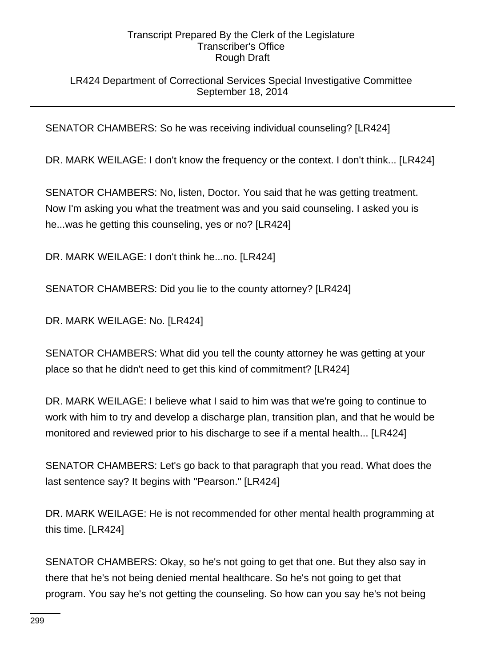# LR424 Department of Correctional Services Special Investigative Committee September 18, 2014

SENATOR CHAMBERS: So he was receiving individual counseling? [LR424]

DR. MARK WEILAGE: I don't know the frequency or the context. I don't think... [LR424]

SENATOR CHAMBERS: No, listen, Doctor. You said that he was getting treatment. Now I'm asking you what the treatment was and you said counseling. I asked you is he...was he getting this counseling, yes or no? [LR424]

DR. MARK WEILAGE: I don't think he...no. [LR424]

SENATOR CHAMBERS: Did you lie to the county attorney? [LR424]

DR. MARK WEILAGE: No. [LR424]

SENATOR CHAMBERS: What did you tell the county attorney he was getting at your place so that he didn't need to get this kind of commitment? [LR424]

DR. MARK WEILAGE: I believe what I said to him was that we're going to continue to work with him to try and develop a discharge plan, transition plan, and that he would be monitored and reviewed prior to his discharge to see if a mental health... [LR424]

SENATOR CHAMBERS: Let's go back to that paragraph that you read. What does the last sentence say? It begins with "Pearson." [LR424]

DR. MARK WEILAGE: He is not recommended for other mental health programming at this time. [LR424]

SENATOR CHAMBERS: Okay, so he's not going to get that one. But they also say in there that he's not being denied mental healthcare. So he's not going to get that program. You say he's not getting the counseling. So how can you say he's not being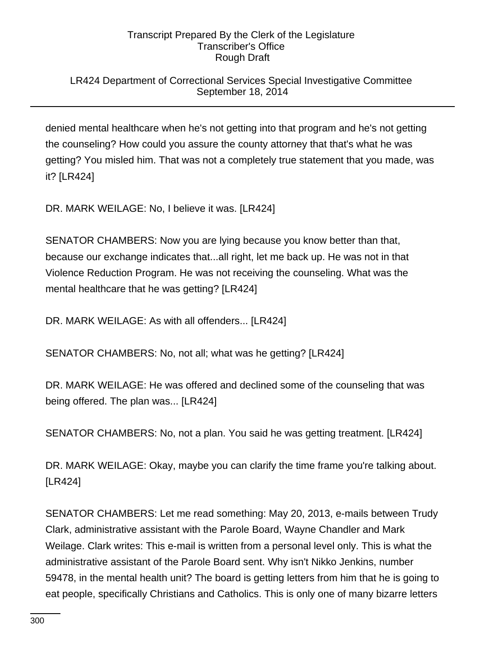# LR424 Department of Correctional Services Special Investigative Committee September 18, 2014

denied mental healthcare when he's not getting into that program and he's not getting the counseling? How could you assure the county attorney that that's what he was getting? You misled him. That was not a completely true statement that you made, was it? [LR424]

DR. MARK WEILAGE: No, I believe it was. [LR424]

SENATOR CHAMBERS: Now you are lying because you know better than that, because our exchange indicates that...all right, let me back up. He was not in that Violence Reduction Program. He was not receiving the counseling. What was the mental healthcare that he was getting? [LR424]

DR. MARK WEILAGE: As with all offenders... [LR424]

SENATOR CHAMBERS: No, not all; what was he getting? [LR424]

DR. MARK WEILAGE: He was offered and declined some of the counseling that was being offered. The plan was... [LR424]

SENATOR CHAMBERS: No, not a plan. You said he was getting treatment. [LR424]

DR. MARK WEILAGE: Okay, maybe you can clarify the time frame you're talking about. [LR424]

SENATOR CHAMBERS: Let me read something: May 20, 2013, e-mails between Trudy Clark, administrative assistant with the Parole Board, Wayne Chandler and Mark Weilage. Clark writes: This e-mail is written from a personal level only. This is what the administrative assistant of the Parole Board sent. Why isn't Nikko Jenkins, number 59478, in the mental health unit? The board is getting letters from him that he is going to eat people, specifically Christians and Catholics. This is only one of many bizarre letters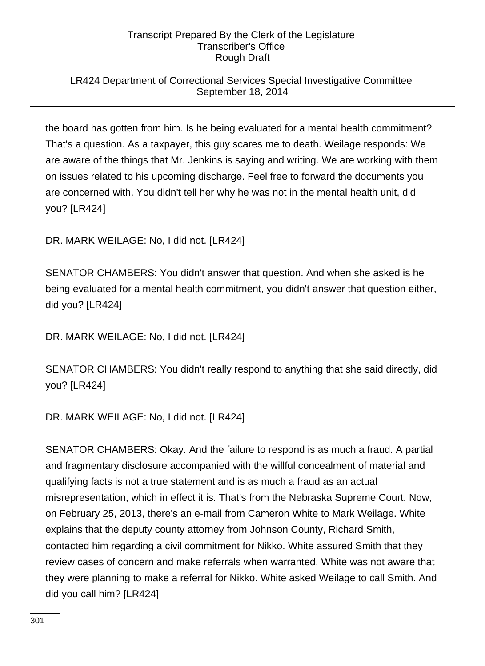# LR424 Department of Correctional Services Special Investigative Committee September 18, 2014

the board has gotten from him. Is he being evaluated for a mental health commitment? That's a question. As a taxpayer, this guy scares me to death. Weilage responds: We are aware of the things that Mr. Jenkins is saying and writing. We are working with them on issues related to his upcoming discharge. Feel free to forward the documents you are concerned with. You didn't tell her why he was not in the mental health unit, did you? [LR424]

DR. MARK WEILAGE: No, I did not. [LR424]

SENATOR CHAMBERS: You didn't answer that question. And when she asked is he being evaluated for a mental health commitment, you didn't answer that question either, did you? [LR424]

DR. MARK WEILAGE: No, I did not. [LR424]

SENATOR CHAMBERS: You didn't really respond to anything that she said directly, did you? [LR424]

DR. MARK WEILAGE: No, I did not. [LR424]

SENATOR CHAMBERS: Okay. And the failure to respond is as much a fraud. A partial and fragmentary disclosure accompanied with the willful concealment of material and qualifying facts is not a true statement and is as much a fraud as an actual misrepresentation, which in effect it is. That's from the Nebraska Supreme Court. Now, on February 25, 2013, there's an e-mail from Cameron White to Mark Weilage. White explains that the deputy county attorney from Johnson County, Richard Smith, contacted him regarding a civil commitment for Nikko. White assured Smith that they review cases of concern and make referrals when warranted. White was not aware that they were planning to make a referral for Nikko. White asked Weilage to call Smith. And did you call him? [LR424]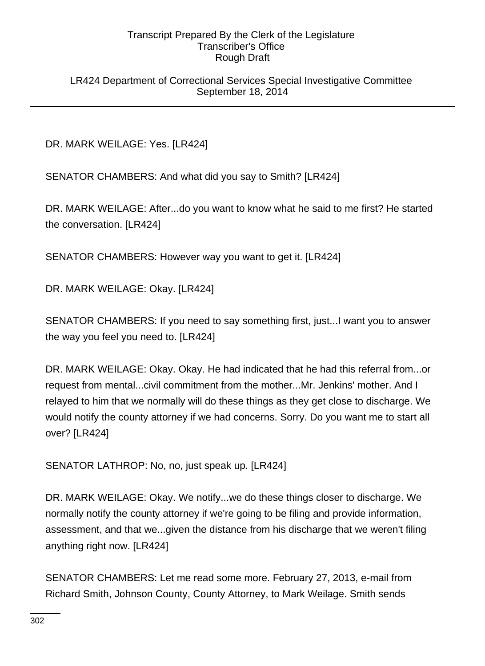LR424 Department of Correctional Services Special Investigative Committee September 18, 2014

DR. MARK WEILAGE: Yes. [LR424]

SENATOR CHAMBERS: And what did you say to Smith? [LR424]

DR. MARK WEILAGE: After...do you want to know what he said to me first? He started the conversation. [LR424]

SENATOR CHAMBERS: However way you want to get it. [LR424]

DR. MARK WEILAGE: Okay. [LR424]

SENATOR CHAMBERS: If you need to say something first, just...I want you to answer the way you feel you need to. [LR424]

DR. MARK WEILAGE: Okay. Okay. He had indicated that he had this referral from...or request from mental...civil commitment from the mother...Mr. Jenkins' mother. And I relayed to him that we normally will do these things as they get close to discharge. We would notify the county attorney if we had concerns. Sorry. Do you want me to start all over? [LR424]

SENATOR LATHROP: No, no, just speak up. [LR424]

DR. MARK WEILAGE: Okay. We notify...we do these things closer to discharge. We normally notify the county attorney if we're going to be filing and provide information, assessment, and that we...given the distance from his discharge that we weren't filing anything right now. [LR424]

SENATOR CHAMBERS: Let me read some more. February 27, 2013, e-mail from Richard Smith, Johnson County, County Attorney, to Mark Weilage. Smith sends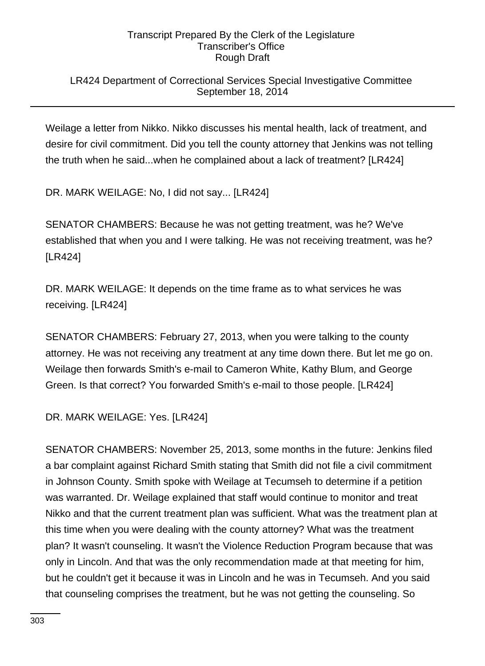# LR424 Department of Correctional Services Special Investigative Committee September 18, 2014

Weilage a letter from Nikko. Nikko discusses his mental health, lack of treatment, and desire for civil commitment. Did you tell the county attorney that Jenkins was not telling the truth when he said...when he complained about a lack of treatment? [LR424]

DR. MARK WEILAGE: No, I did not say... [LR424]

SENATOR CHAMBERS: Because he was not getting treatment, was he? We've established that when you and I were talking. He was not receiving treatment, was he? [LR424]

DR. MARK WEILAGE: It depends on the time frame as to what services he was receiving. [LR424]

SENATOR CHAMBERS: February 27, 2013, when you were talking to the county attorney. He was not receiving any treatment at any time down there. But let me go on. Weilage then forwards Smith's e-mail to Cameron White, Kathy Blum, and George Green. Is that correct? You forwarded Smith's e-mail to those people. [LR424]

DR. MARK WEILAGE: Yes. [LR424]

SENATOR CHAMBERS: November 25, 2013, some months in the future: Jenkins filed a bar complaint against Richard Smith stating that Smith did not file a civil commitment in Johnson County. Smith spoke with Weilage at Tecumseh to determine if a petition was warranted. Dr. Weilage explained that staff would continue to monitor and treat Nikko and that the current treatment plan was sufficient. What was the treatment plan at this time when you were dealing with the county attorney? What was the treatment plan? It wasn't counseling. It wasn't the Violence Reduction Program because that was only in Lincoln. And that was the only recommendation made at that meeting for him, but he couldn't get it because it was in Lincoln and he was in Tecumseh. And you said that counseling comprises the treatment, but he was not getting the counseling. So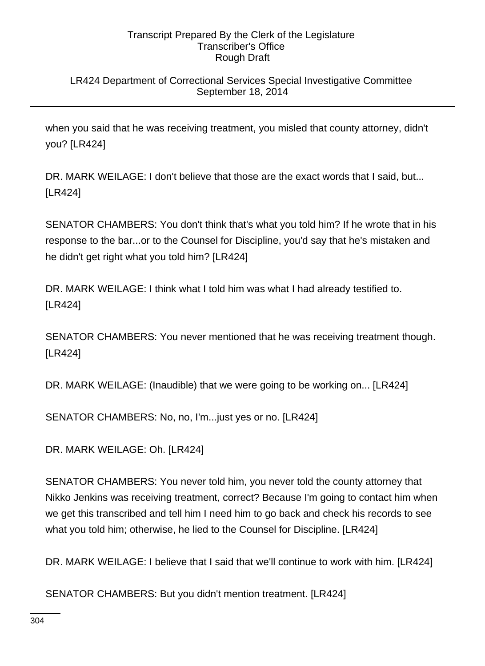# LR424 Department of Correctional Services Special Investigative Committee September 18, 2014

when you said that he was receiving treatment, you misled that county attorney, didn't you? [LR424]

DR. MARK WEILAGE: I don't believe that those are the exact words that I said, but... [LR424]

SENATOR CHAMBERS: You don't think that's what you told him? If he wrote that in his response to the bar...or to the Counsel for Discipline, you'd say that he's mistaken and he didn't get right what you told him? [LR424]

DR. MARK WEILAGE: I think what I told him was what I had already testified to. [LR424]

SENATOR CHAMBERS: You never mentioned that he was receiving treatment though. [LR424]

DR. MARK WEILAGE: (Inaudible) that we were going to be working on... [LR424]

SENATOR CHAMBERS: No, no, I'm...just yes or no. [LR424]

DR. MARK WEILAGE: Oh. [LR424]

SENATOR CHAMBERS: You never told him, you never told the county attorney that Nikko Jenkins was receiving treatment, correct? Because I'm going to contact him when we get this transcribed and tell him I need him to go back and check his records to see what you told him; otherwise, he lied to the Counsel for Discipline. [LR424]

DR. MARK WEILAGE: I believe that I said that we'll continue to work with him. [LR424]

SENATOR CHAMBERS: But you didn't mention treatment. [LR424]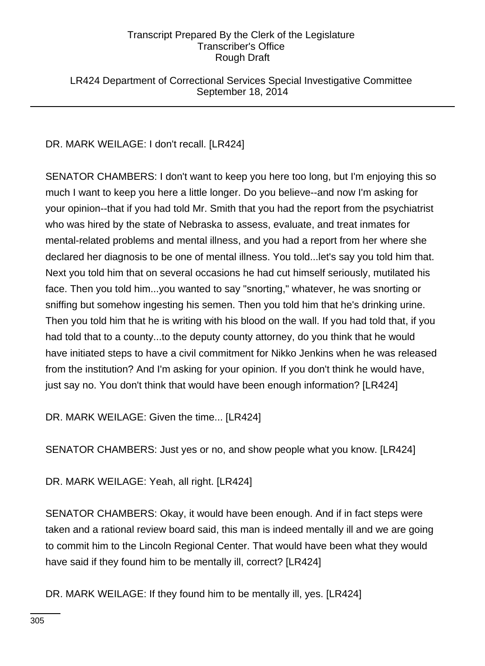LR424 Department of Correctional Services Special Investigative Committee September 18, 2014

# DR. MARK WEILAGE: I don't recall. [LR424]

SENATOR CHAMBERS: I don't want to keep you here too long, but I'm enjoying this so much I want to keep you here a little longer. Do you believe--and now I'm asking for your opinion--that if you had told Mr. Smith that you had the report from the psychiatrist who was hired by the state of Nebraska to assess, evaluate, and treat inmates for mental-related problems and mental illness, and you had a report from her where she declared her diagnosis to be one of mental illness. You told...let's say you told him that. Next you told him that on several occasions he had cut himself seriously, mutilated his face. Then you told him...you wanted to say "snorting," whatever, he was snorting or sniffing but somehow ingesting his semen. Then you told him that he's drinking urine. Then you told him that he is writing with his blood on the wall. If you had told that, if you had told that to a county...to the deputy county attorney, do you think that he would have initiated steps to have a civil commitment for Nikko Jenkins when he was released from the institution? And I'm asking for your opinion. If you don't think he would have, just say no. You don't think that would have been enough information? [LR424]

DR. MARK WEILAGE: Given the time... [LR424]

SENATOR CHAMBERS: Just yes or no, and show people what you know. [LR424]

DR. MARK WEILAGE: Yeah, all right. [LR424]

SENATOR CHAMBERS: Okay, it would have been enough. And if in fact steps were taken and a rational review board said, this man is indeed mentally ill and we are going to commit him to the Lincoln Regional Center. That would have been what they would have said if they found him to be mentally ill, correct? [LR424]

DR. MARK WEILAGE: If they found him to be mentally ill, yes. [LR424]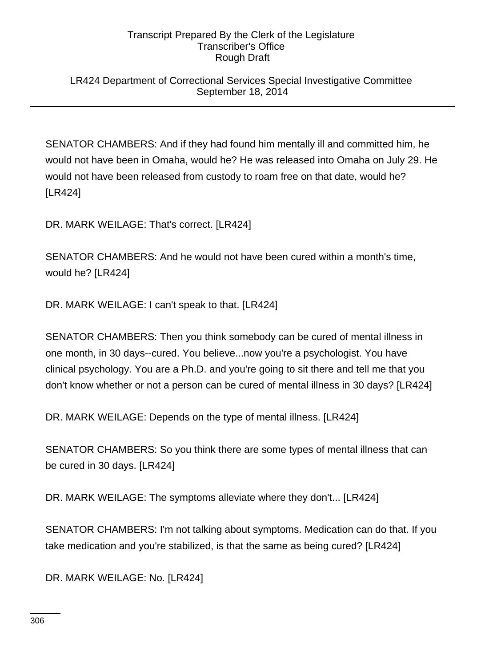LR424 Department of Correctional Services Special Investigative Committee September 18, 2014

SENATOR CHAMBERS: And if they had found him mentally ill and committed him, he would not have been in Omaha, would he? He was released into Omaha on July 29. He would not have been released from custody to roam free on that date, would he? [LR424]

DR. MARK WEILAGE: That's correct. [LR424]

SENATOR CHAMBERS: And he would not have been cured within a month's time, would he? [LR424]

DR. MARK WEILAGE: I can't speak to that. [LR424]

SENATOR CHAMBERS: Then you think somebody can be cured of mental illness in one month, in 30 days--cured. You believe...now you're a psychologist. You have clinical psychology. You are a Ph.D. and you're going to sit there and tell me that you don't know whether or not a person can be cured of mental illness in 30 days? [LR424]

DR. MARK WEILAGE: Depends on the type of mental illness. [LR424]

SENATOR CHAMBERS: So you think there are some types of mental illness that can be cured in 30 days. [LR424]

DR. MARK WEILAGE: The symptoms alleviate where they don't... [LR424]

SENATOR CHAMBERS: I'm not talking about symptoms. Medication can do that. If you take medication and you're stabilized, is that the same as being cured? [LR424]

DR. MARK WEILAGE: No. [LR424]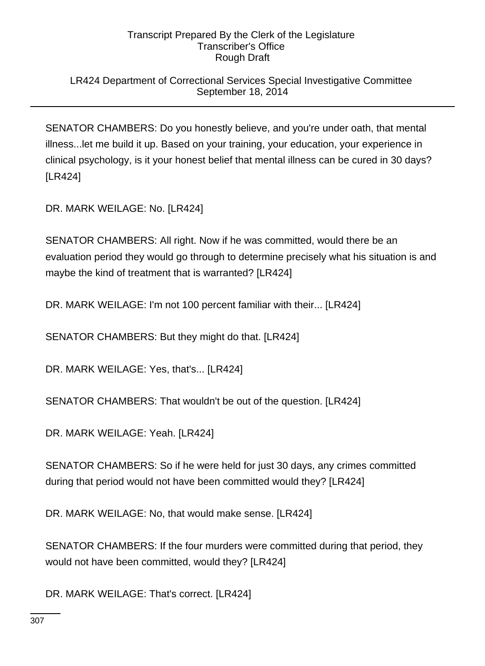# LR424 Department of Correctional Services Special Investigative Committee September 18, 2014

SENATOR CHAMBERS: Do you honestly believe, and you're under oath, that mental illness...let me build it up. Based on your training, your education, your experience in clinical psychology, is it your honest belief that mental illness can be cured in 30 days? [LR424]

DR. MARK WEILAGE: No. [LR424]

SENATOR CHAMBERS: All right. Now if he was committed, would there be an evaluation period they would go through to determine precisely what his situation is and maybe the kind of treatment that is warranted? [LR424]

DR. MARK WEILAGE: I'm not 100 percent familiar with their... [LR424]

SENATOR CHAMBERS: But they might do that. [LR424]

DR. MARK WEILAGE: Yes, that's... [LR424]

SENATOR CHAMBERS: That wouldn't be out of the question. [LR424]

DR. MARK WEILAGE: Yeah. [LR424]

SENATOR CHAMBERS: So if he were held for just 30 days, any crimes committed during that period would not have been committed would they? [LR424]

DR. MARK WEILAGE: No, that would make sense. [LR424]

SENATOR CHAMBERS: If the four murders were committed during that period, they would not have been committed, would they? [LR424]

DR. MARK WEILAGE: That's correct. [LR424]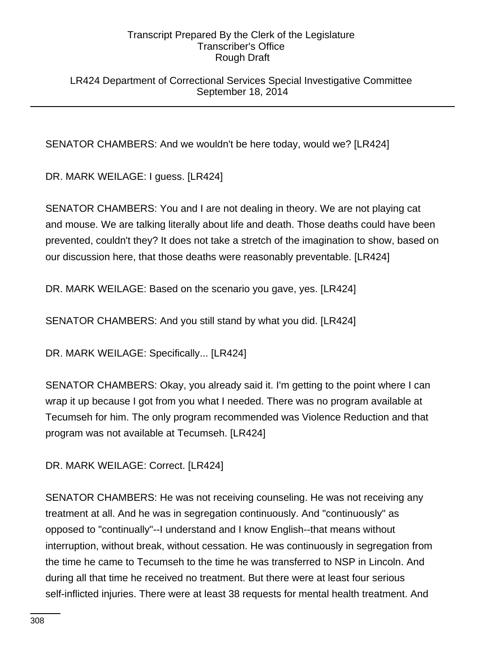LR424 Department of Correctional Services Special Investigative Committee September 18, 2014

SENATOR CHAMBERS: And we wouldn't be here today, would we? [LR424]

DR. MARK WEILAGE: I guess. [LR424]

SENATOR CHAMBERS: You and I are not dealing in theory. We are not playing cat and mouse. We are talking literally about life and death. Those deaths could have been prevented, couldn't they? It does not take a stretch of the imagination to show, based on our discussion here, that those deaths were reasonably preventable. [LR424]

DR. MARK WEILAGE: Based on the scenario you gave, yes. [LR424]

SENATOR CHAMBERS: And you still stand by what you did. [LR424]

DR. MARK WEILAGE: Specifically... [LR424]

SENATOR CHAMBERS: Okay, you already said it. I'm getting to the point where I can wrap it up because I got from you what I needed. There was no program available at Tecumseh for him. The only program recommended was Violence Reduction and that program was not available at Tecumseh. [LR424]

DR. MARK WEILAGE: Correct. [LR424]

SENATOR CHAMBERS: He was not receiving counseling. He was not receiving any treatment at all. And he was in segregation continuously. And "continuously" as opposed to "continually"--I understand and I know English--that means without interruption, without break, without cessation. He was continuously in segregation from the time he came to Tecumseh to the time he was transferred to NSP in Lincoln. And during all that time he received no treatment. But there were at least four serious self-inflicted injuries. There were at least 38 requests for mental health treatment. And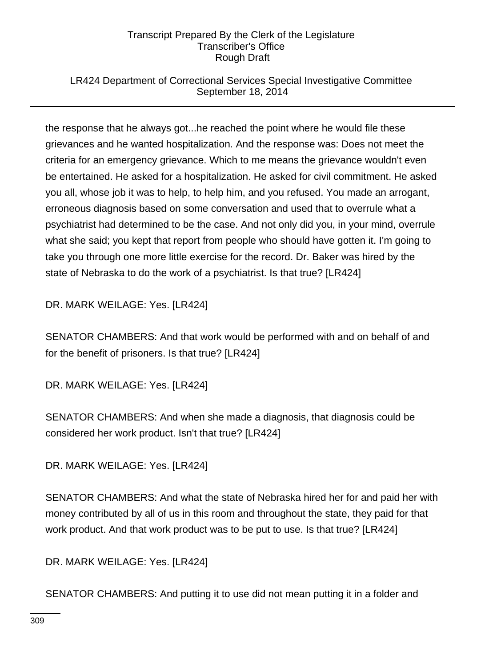# LR424 Department of Correctional Services Special Investigative Committee September 18, 2014

the response that he always got...he reached the point where he would file these grievances and he wanted hospitalization. And the response was: Does not meet the criteria for an emergency grievance. Which to me means the grievance wouldn't even be entertained. He asked for a hospitalization. He asked for civil commitment. He asked you all, whose job it was to help, to help him, and you refused. You made an arrogant, erroneous diagnosis based on some conversation and used that to overrule what a psychiatrist had determined to be the case. And not only did you, in your mind, overrule what she said; you kept that report from people who should have gotten it. I'm going to take you through one more little exercise for the record. Dr. Baker was hired by the state of Nebraska to do the work of a psychiatrist. Is that true? [LR424]

DR. MARK WEILAGE: Yes. [LR424]

SENATOR CHAMBERS: And that work would be performed with and on behalf of and for the benefit of prisoners. Is that true? [LR424]

DR. MARK WEILAGE: Yes. [LR424]

SENATOR CHAMBERS: And when she made a diagnosis, that diagnosis could be considered her work product. Isn't that true? [LR424]

DR. MARK WEILAGE: Yes. [LR424]

SENATOR CHAMBERS: And what the state of Nebraska hired her for and paid her with money contributed by all of us in this room and throughout the state, they paid for that work product. And that work product was to be put to use. Is that true? [LR424]

DR. MARK WEILAGE: Yes. [LR424]

SENATOR CHAMBERS: And putting it to use did not mean putting it in a folder and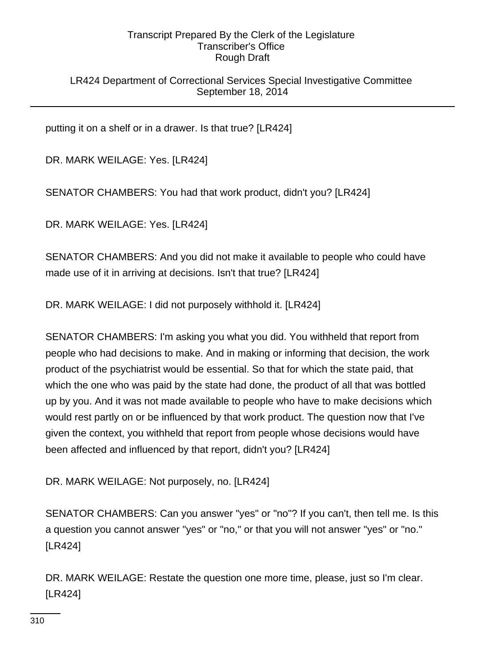LR424 Department of Correctional Services Special Investigative Committee September 18, 2014

putting it on a shelf or in a drawer. Is that true? [LR424]

DR. MARK WEILAGE: Yes. [LR424]

SENATOR CHAMBERS: You had that work product, didn't you? [LR424]

DR. MARK WEILAGE: Yes. [LR424]

SENATOR CHAMBERS: And you did not make it available to people who could have made use of it in arriving at decisions. Isn't that true? [LR424]

DR. MARK WEILAGE: I did not purposely withhold it. [LR424]

SENATOR CHAMBERS: I'm asking you what you did. You withheld that report from people who had decisions to make. And in making or informing that decision, the work product of the psychiatrist would be essential. So that for which the state paid, that which the one who was paid by the state had done, the product of all that was bottled up by you. And it was not made available to people who have to make decisions which would rest partly on or be influenced by that work product. The question now that I've given the context, you withheld that report from people whose decisions would have been affected and influenced by that report, didn't you? [LR424]

DR. MARK WEILAGE: Not purposely, no. [LR424]

SENATOR CHAMBERS: Can you answer "yes" or "no"? If you can't, then tell me. Is this a question you cannot answer "yes" or "no," or that you will not answer "yes" or "no." [LR424]

DR. MARK WEILAGE: Restate the question one more time, please, just so I'm clear. [LR424]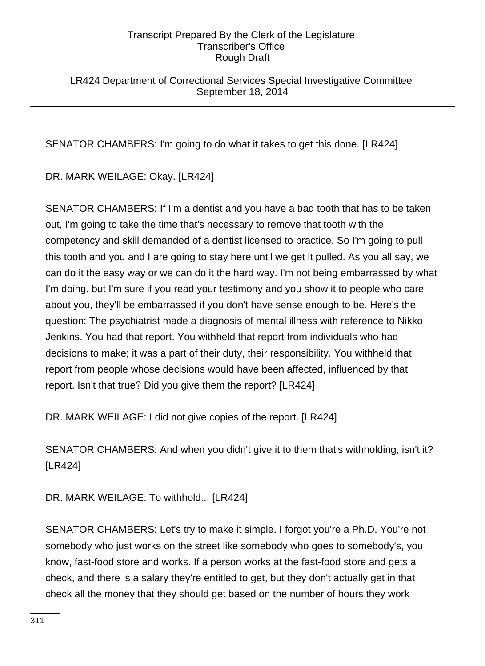LR424 Department of Correctional Services Special Investigative Committee September 18, 2014

SENATOR CHAMBERS: I'm going to do what it takes to get this done. [LR424]

DR. MARK WEILAGE: Okay. [LR424]

SENATOR CHAMBERS: If I'm a dentist and you have a bad tooth that has to be taken out, I'm going to take the time that's necessary to remove that tooth with the competency and skill demanded of a dentist licensed to practice. So I'm going to pull this tooth and you and I are going to stay here until we get it pulled. As you all say, we can do it the easy way or we can do it the hard way. I'm not being embarrassed by what I'm doing, but I'm sure if you read your testimony and you show it to people who care about you, they'll be embarrassed if you don't have sense enough to be. Here's the question: The psychiatrist made a diagnosis of mental illness with reference to Nikko Jenkins. You had that report. You withheld that report from individuals who had decisions to make; it was a part of their duty, their responsibility. You withheld that report from people whose decisions would have been affected, influenced by that report. Isn't that true? Did you give them the report? [LR424]

DR. MARK WEILAGE: I did not give copies of the report. [LR424]

SENATOR CHAMBERS: And when you didn't give it to them that's withholding, isn't it? [LR424]

DR. MARK WEILAGE: To withhold... [LR424]

SENATOR CHAMBERS: Let's try to make it simple. I forgot you're a Ph.D. You're not somebody who just works on the street like somebody who goes to somebody's, you know, fast-food store and works. If a person works at the fast-food store and gets a check, and there is a salary they're entitled to get, but they don't actually get in that check all the money that they should get based on the number of hours they work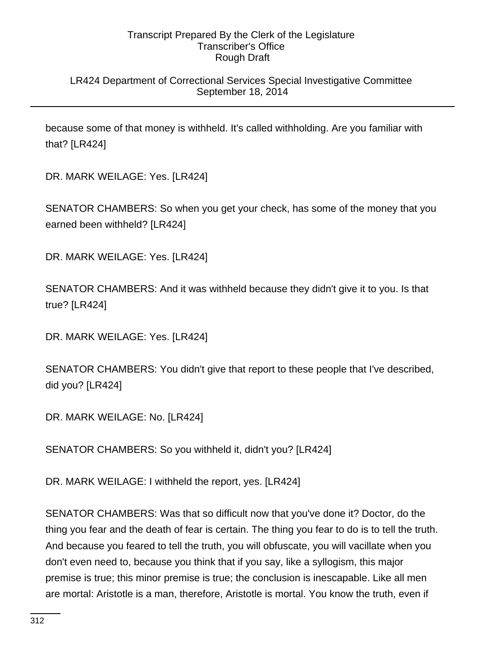# LR424 Department of Correctional Services Special Investigative Committee September 18, 2014

because some of that money is withheld. It's called withholding. Are you familiar with that? [LR424]

DR. MARK WEILAGE: Yes. [LR424]

SENATOR CHAMBERS: So when you get your check, has some of the money that you earned been withheld? [LR424]

DR. MARK WEILAGE: Yes. [LR424]

SENATOR CHAMBERS: And it was withheld because they didn't give it to you. Is that true? [LR424]

DR. MARK WEILAGE: Yes. [LR424]

SENATOR CHAMBERS: You didn't give that report to these people that I've described, did you? [LR424]

DR. MARK WEILAGE: No. [LR424]

SENATOR CHAMBERS: So you withheld it, didn't you? [LR424]

DR. MARK WEILAGE: I withheld the report, yes. [LR424]

SENATOR CHAMBERS: Was that so difficult now that you've done it? Doctor, do the thing you fear and the death of fear is certain. The thing you fear to do is to tell the truth. And because you feared to tell the truth, you will obfuscate, you will vacillate when you don't even need to, because you think that if you say, like a syllogism, this major premise is true; this minor premise is true; the conclusion is inescapable. Like all men are mortal: Aristotle is a man, therefore, Aristotle is mortal. You know the truth, even if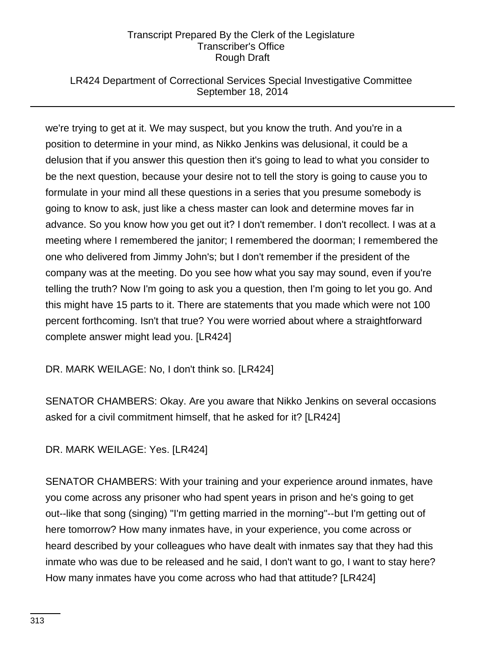# LR424 Department of Correctional Services Special Investigative Committee September 18, 2014

we're trying to get at it. We may suspect, but you know the truth. And you're in a position to determine in your mind, as Nikko Jenkins was delusional, it could be a delusion that if you answer this question then it's going to lead to what you consider to be the next question, because your desire not to tell the story is going to cause you to formulate in your mind all these questions in a series that you presume somebody is going to know to ask, just like a chess master can look and determine moves far in advance. So you know how you get out it? I don't remember. I don't recollect. I was at a meeting where I remembered the janitor; I remembered the doorman; I remembered the one who delivered from Jimmy John's; but I don't remember if the president of the company was at the meeting. Do you see how what you say may sound, even if you're telling the truth? Now I'm going to ask you a question, then I'm going to let you go. And this might have 15 parts to it. There are statements that you made which were not 100 percent forthcoming. Isn't that true? You were worried about where a straightforward complete answer might lead you. [LR424]

DR. MARK WEILAGE: No, I don't think so. [LR424]

SENATOR CHAMBERS: Okay. Are you aware that Nikko Jenkins on several occasions asked for a civil commitment himself, that he asked for it? [LR424]

# DR. MARK WEILAGE: Yes. [LR424]

SENATOR CHAMBERS: With your training and your experience around inmates, have you come across any prisoner who had spent years in prison and he's going to get out--like that song (singing) "I'm getting married in the morning"--but I'm getting out of here tomorrow? How many inmates have, in your experience, you come across or heard described by your colleagues who have dealt with inmates say that they had this inmate who was due to be released and he said, I don't want to go, I want to stay here? How many inmates have you come across who had that attitude? [LR424]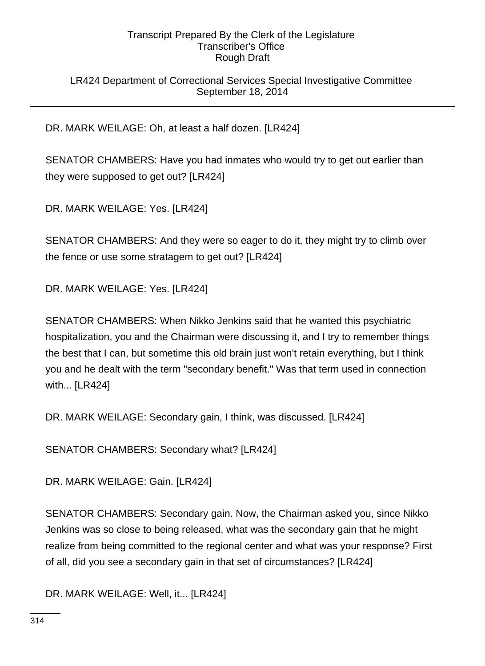# LR424 Department of Correctional Services Special Investigative Committee September 18, 2014

DR. MARK WEILAGE: Oh, at least a half dozen. [LR424]

SENATOR CHAMBERS: Have you had inmates who would try to get out earlier than they were supposed to get out? [LR424]

DR. MARK WEILAGE: Yes. [LR424]

SENATOR CHAMBERS: And they were so eager to do it, they might try to climb over the fence or use some stratagem to get out? [LR424]

DR. MARK WEILAGE: Yes. [LR424]

SENATOR CHAMBERS: When Nikko Jenkins said that he wanted this psychiatric hospitalization, you and the Chairman were discussing it, and I try to remember things the best that I can, but sometime this old brain just won't retain everything, but I think you and he dealt with the term "secondary benefit." Was that term used in connection with... [LR424]

DR. MARK WEILAGE: Secondary gain, I think, was discussed. [LR424]

SENATOR CHAMBERS: Secondary what? [LR424]

DR. MARK WEILAGE: Gain. [LR424]

SENATOR CHAMBERS: Secondary gain. Now, the Chairman asked you, since Nikko Jenkins was so close to being released, what was the secondary gain that he might realize from being committed to the regional center and what was your response? First of all, did you see a secondary gain in that set of circumstances? [LR424]

DR. MARK WEILAGE: Well, it... [LR424]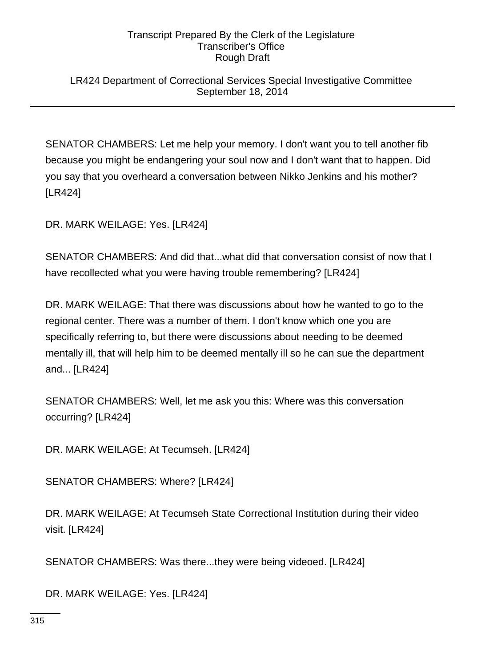LR424 Department of Correctional Services Special Investigative Committee September 18, 2014

SENATOR CHAMBERS: Let me help your memory. I don't want you to tell another fib because you might be endangering your soul now and I don't want that to happen. Did you say that you overheard a conversation between Nikko Jenkins and his mother? [LR424]

DR. MARK WEILAGE: Yes. [LR424]

SENATOR CHAMBERS: And did that...what did that conversation consist of now that I have recollected what you were having trouble remembering? [LR424]

DR. MARK WEILAGE: That there was discussions about how he wanted to go to the regional center. There was a number of them. I don't know which one you are specifically referring to, but there were discussions about needing to be deemed mentally ill, that will help him to be deemed mentally ill so he can sue the department and... [LR424]

SENATOR CHAMBERS: Well, let me ask you this: Where was this conversation occurring? [LR424]

DR. MARK WEILAGE: At Tecumseh. [LR424]

SENATOR CHAMBERS: Where? [LR424]

DR. MARK WEILAGE: At Tecumseh State Correctional Institution during their video visit. [LR424]

SENATOR CHAMBERS: Was there...they were being videoed. [LR424]

DR. MARK WEILAGE: Yes. [LR424]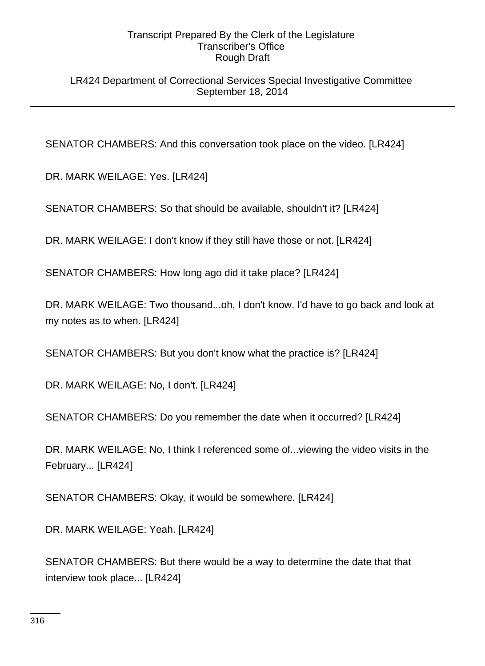LR424 Department of Correctional Services Special Investigative Committee September 18, 2014

SENATOR CHAMBERS: And this conversation took place on the video. [LR424]

DR. MARK WEILAGE: Yes. [LR424]

SENATOR CHAMBERS: So that should be available, shouldn't it? [LR424]

DR. MARK WEILAGE: I don't know if they still have those or not. [LR424]

SENATOR CHAMBERS: How long ago did it take place? [LR424]

DR. MARK WEILAGE: Two thousand...oh, I don't know. I'd have to go back and look at my notes as to when. [LR424]

SENATOR CHAMBERS: But you don't know what the practice is? [LR424]

DR. MARK WEILAGE: No, I don't. [LR424]

SENATOR CHAMBERS: Do you remember the date when it occurred? [LR424]

DR. MARK WEILAGE: No, I think I referenced some of...viewing the video visits in the February... [LR424]

SENATOR CHAMBERS: Okay, it would be somewhere. [LR424]

DR. MARK WEILAGE: Yeah. [LR424]

SENATOR CHAMBERS: But there would be a way to determine the date that that interview took place... [LR424]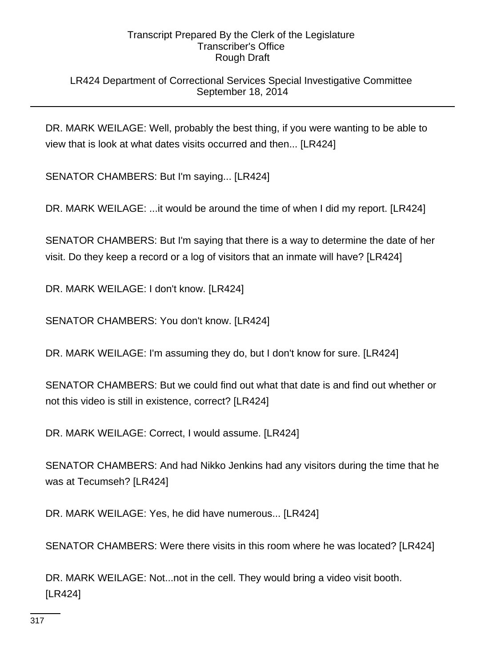# LR424 Department of Correctional Services Special Investigative Committee September 18, 2014

DR. MARK WEILAGE: Well, probably the best thing, if you were wanting to be able to view that is look at what dates visits occurred and then... [LR424]

SENATOR CHAMBERS: But I'm saying... [LR424]

DR. MARK WEILAGE: ...it would be around the time of when I did my report. [LR424]

SENATOR CHAMBERS: But I'm saying that there is a way to determine the date of her visit. Do they keep a record or a log of visitors that an inmate will have? [LR424]

DR. MARK WEILAGE: I don't know. [LR424]

SENATOR CHAMBERS: You don't know. [LR424]

DR. MARK WEILAGE: I'm assuming they do, but I don't know for sure. [LR424]

SENATOR CHAMBERS: But we could find out what that date is and find out whether or not this video is still in existence, correct? [LR424]

DR. MARK WEILAGE: Correct, I would assume. [LR424]

SENATOR CHAMBERS: And had Nikko Jenkins had any visitors during the time that he was at Tecumseh? [LR424]

DR. MARK WEILAGE: Yes, he did have numerous... [LR424]

SENATOR CHAMBERS: Were there visits in this room where he was located? [LR424]

DR. MARK WEILAGE: Not...not in the cell. They would bring a video visit booth. [LR424]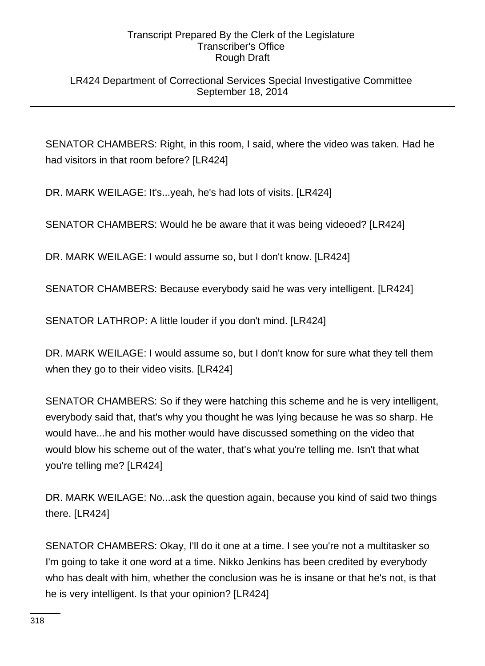# LR424 Department of Correctional Services Special Investigative Committee September 18, 2014

SENATOR CHAMBERS: Right, in this room, I said, where the video was taken. Had he had visitors in that room before? [LR424]

DR. MARK WEILAGE: It's...yeah, he's had lots of visits. [LR424]

SENATOR CHAMBERS: Would he be aware that it was being videoed? [LR424]

DR. MARK WEILAGE: I would assume so, but I don't know. [LR424]

SENATOR CHAMBERS: Because everybody said he was very intelligent. [LR424]

SENATOR LATHROP: A little louder if you don't mind. [LR424]

DR. MARK WEILAGE: I would assume so, but I don't know for sure what they tell them when they go to their video visits. [LR424]

SENATOR CHAMBERS: So if they were hatching this scheme and he is very intelligent, everybody said that, that's why you thought he was lying because he was so sharp. He would have...he and his mother would have discussed something on the video that would blow his scheme out of the water, that's what you're telling me. Isn't that what you're telling me? [LR424]

DR. MARK WEILAGE: No...ask the question again, because you kind of said two things there. [LR424]

SENATOR CHAMBERS: Okay, I'll do it one at a time. I see you're not a multitasker so I'm going to take it one word at a time. Nikko Jenkins has been credited by everybody who has dealt with him, whether the conclusion was he is insane or that he's not, is that he is very intelligent. Is that your opinion? [LR424]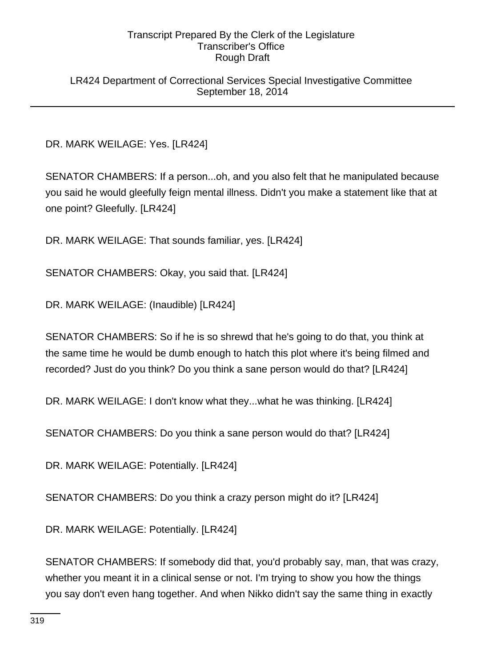LR424 Department of Correctional Services Special Investigative Committee September 18, 2014

DR. MARK WEILAGE: Yes. [LR424]

SENATOR CHAMBERS: If a person...oh, and you also felt that he manipulated because you said he would gleefully feign mental illness. Didn't you make a statement like that at one point? Gleefully. [LR424]

DR. MARK WEILAGE: That sounds familiar, yes. [LR424]

SENATOR CHAMBERS: Okay, you said that. [LR424]

DR. MARK WEILAGE: (Inaudible) [LR424]

SENATOR CHAMBERS: So if he is so shrewd that he's going to do that, you think at the same time he would be dumb enough to hatch this plot where it's being filmed and recorded? Just do you think? Do you think a sane person would do that? [LR424]

DR. MARK WEILAGE: I don't know what they...what he was thinking. [LR424]

SENATOR CHAMBERS: Do you think a sane person would do that? [LR424]

DR. MARK WEILAGE: Potentially. [LR424]

SENATOR CHAMBERS: Do you think a crazy person might do it? [LR424]

DR. MARK WEILAGE: Potentially. [LR424]

SENATOR CHAMBERS: If somebody did that, you'd probably say, man, that was crazy, whether you meant it in a clinical sense or not. I'm trying to show you how the things you say don't even hang together. And when Nikko didn't say the same thing in exactly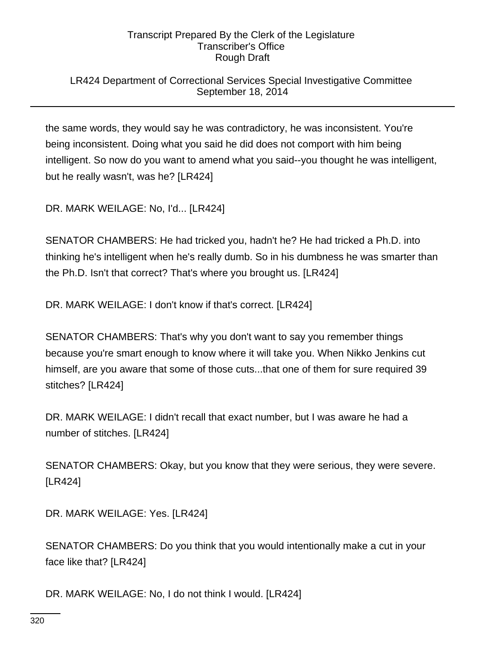# LR424 Department of Correctional Services Special Investigative Committee September 18, 2014

the same words, they would say he was contradictory, he was inconsistent. You're being inconsistent. Doing what you said he did does not comport with him being intelligent. So now do you want to amend what you said--you thought he was intelligent, but he really wasn't, was he? [LR424]

DR. MARK WEILAGE: No, I'd... [LR424]

SENATOR CHAMBERS: He had tricked you, hadn't he? He had tricked a Ph.D. into thinking he's intelligent when he's really dumb. So in his dumbness he was smarter than the Ph.D. Isn't that correct? That's where you brought us. [LR424]

DR. MARK WEILAGE: I don't know if that's correct. [LR424]

SENATOR CHAMBERS: That's why you don't want to say you remember things because you're smart enough to know where it will take you. When Nikko Jenkins cut himself, are you aware that some of those cuts...that one of them for sure required 39 stitches? [LR424]

DR. MARK WEILAGE: I didn't recall that exact number, but I was aware he had a number of stitches. [LR424]

SENATOR CHAMBERS: Okay, but you know that they were serious, they were severe. [LR424]

DR. MARK WEILAGE: Yes. [LR424]

SENATOR CHAMBERS: Do you think that you would intentionally make a cut in your face like that? [LR424]

DR. MARK WEILAGE: No, I do not think I would. [LR424]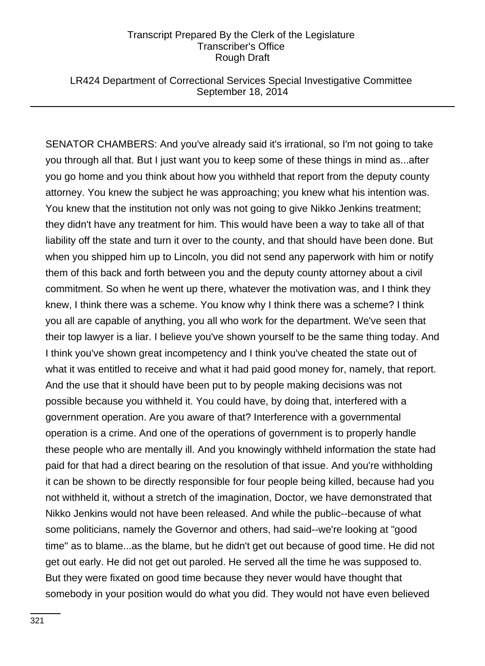LR424 Department of Correctional Services Special Investigative Committee September 18, 2014

SENATOR CHAMBERS: And you've already said it's irrational, so I'm not going to take you through all that. But I just want you to keep some of these things in mind as...after you go home and you think about how you withheld that report from the deputy county attorney. You knew the subject he was approaching; you knew what his intention was. You knew that the institution not only was not going to give Nikko Jenkins treatment; they didn't have any treatment for him. This would have been a way to take all of that liability off the state and turn it over to the county, and that should have been done. But when you shipped him up to Lincoln, you did not send any paperwork with him or notify them of this back and forth between you and the deputy county attorney about a civil commitment. So when he went up there, whatever the motivation was, and I think they knew, I think there was a scheme. You know why I think there was a scheme? I think you all are capable of anything, you all who work for the department. We've seen that their top lawyer is a liar. I believe you've shown yourself to be the same thing today. And I think you've shown great incompetency and I think you've cheated the state out of what it was entitled to receive and what it had paid good money for, namely, that report. And the use that it should have been put to by people making decisions was not possible because you withheld it. You could have, by doing that, interfered with a government operation. Are you aware of that? Interference with a governmental operation is a crime. And one of the operations of government is to properly handle these people who are mentally ill. And you knowingly withheld information the state had paid for that had a direct bearing on the resolution of that issue. And you're withholding it can be shown to be directly responsible for four people being killed, because had you not withheld it, without a stretch of the imagination, Doctor, we have demonstrated that Nikko Jenkins would not have been released. And while the public--because of what some politicians, namely the Governor and others, had said--we're looking at "good time" as to blame...as the blame, but he didn't get out because of good time. He did not get out early. He did not get out paroled. He served all the time he was supposed to. But they were fixated on good time because they never would have thought that somebody in your position would do what you did. They would not have even believed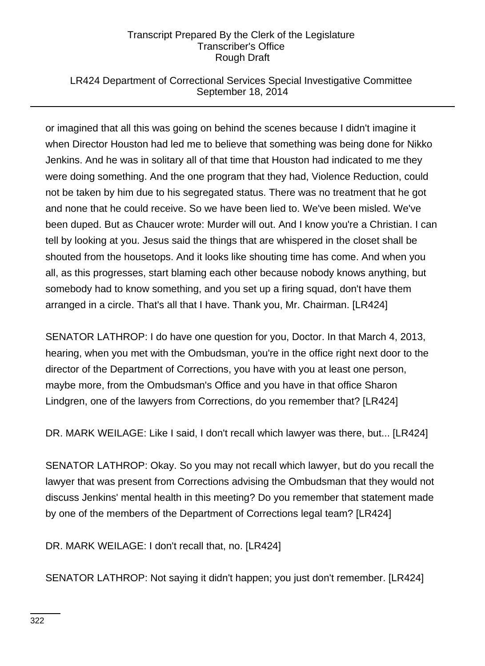# LR424 Department of Correctional Services Special Investigative Committee September 18, 2014

or imagined that all this was going on behind the scenes because I didn't imagine it when Director Houston had led me to believe that something was being done for Nikko Jenkins. And he was in solitary all of that time that Houston had indicated to me they were doing something. And the one program that they had, Violence Reduction, could not be taken by him due to his segregated status. There was no treatment that he got and none that he could receive. So we have been lied to. We've been misled. We've been duped. But as Chaucer wrote: Murder will out. And I know you're a Christian. I can tell by looking at you. Jesus said the things that are whispered in the closet shall be shouted from the housetops. And it looks like shouting time has come. And when you all, as this progresses, start blaming each other because nobody knows anything, but somebody had to know something, and you set up a firing squad, don't have them arranged in a circle. That's all that I have. Thank you, Mr. Chairman. [LR424]

SENATOR LATHROP: I do have one question for you, Doctor. In that March 4, 2013, hearing, when you met with the Ombudsman, you're in the office right next door to the director of the Department of Corrections, you have with you at least one person, maybe more, from the Ombudsman's Office and you have in that office Sharon Lindgren, one of the lawyers from Corrections, do you remember that? [LR424]

DR. MARK WEILAGE: Like I said, I don't recall which lawyer was there, but... [LR424]

SENATOR LATHROP: Okay. So you may not recall which lawyer, but do you recall the lawyer that was present from Corrections advising the Ombudsman that they would not discuss Jenkins' mental health in this meeting? Do you remember that statement made by one of the members of the Department of Corrections legal team? [LR424]

DR. MARK WEILAGE: I don't recall that, no. [LR424]

SENATOR LATHROP: Not saying it didn't happen; you just don't remember. [LR424]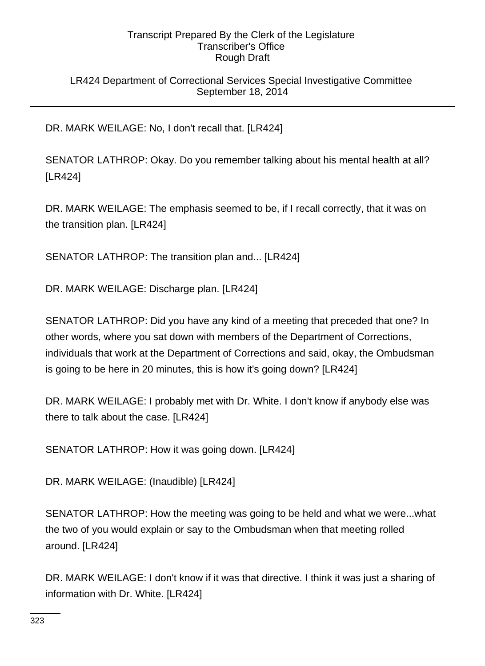# LR424 Department of Correctional Services Special Investigative Committee September 18, 2014

DR. MARK WEILAGE: No, I don't recall that. [LR424]

SENATOR LATHROP: Okay. Do you remember talking about his mental health at all? [LR424]

DR. MARK WEILAGE: The emphasis seemed to be, if I recall correctly, that it was on the transition plan. [LR424]

SENATOR LATHROP: The transition plan and... [LR424]

DR. MARK WEILAGE: Discharge plan. [LR424]

SENATOR LATHROP: Did you have any kind of a meeting that preceded that one? In other words, where you sat down with members of the Department of Corrections, individuals that work at the Department of Corrections and said, okay, the Ombudsman is going to be here in 20 minutes, this is how it's going down? [LR424]

DR. MARK WEILAGE: I probably met with Dr. White. I don't know if anybody else was there to talk about the case. [LR424]

SENATOR LATHROP: How it was going down. [LR424]

DR. MARK WEILAGE: (Inaudible) [LR424]

SENATOR LATHROP: How the meeting was going to be held and what we were...what the two of you would explain or say to the Ombudsman when that meeting rolled around. [LR424]

DR. MARK WEILAGE: I don't know if it was that directive. I think it was just a sharing of information with Dr. White. [LR424]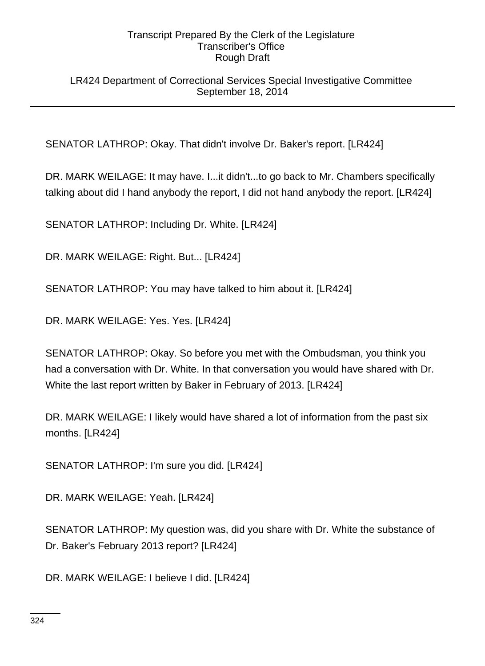# LR424 Department of Correctional Services Special Investigative Committee September 18, 2014

SENATOR LATHROP: Okay. That didn't involve Dr. Baker's report. [LR424]

DR. MARK WEILAGE: It may have. I...it didn't...to go back to Mr. Chambers specifically talking about did I hand anybody the report, I did not hand anybody the report. [LR424]

SENATOR LATHROP: Including Dr. White. [LR424]

DR. MARK WEILAGE: Right. But... [LR424]

SENATOR LATHROP: You may have talked to him about it. [LR424]

DR. MARK WEILAGE: Yes. Yes. [LR424]

SENATOR LATHROP: Okay. So before you met with the Ombudsman, you think you had a conversation with Dr. White. In that conversation you would have shared with Dr. White the last report written by Baker in February of 2013. [LR424]

DR. MARK WEILAGE: I likely would have shared a lot of information from the past six months. [LR424]

SENATOR LATHROP: I'm sure you did. [LR424]

DR. MARK WEILAGE: Yeah. [LR424]

SENATOR LATHROP: My question was, did you share with Dr. White the substance of Dr. Baker's February 2013 report? [LR424]

DR. MARK WEILAGE: I believe I did. [LR424]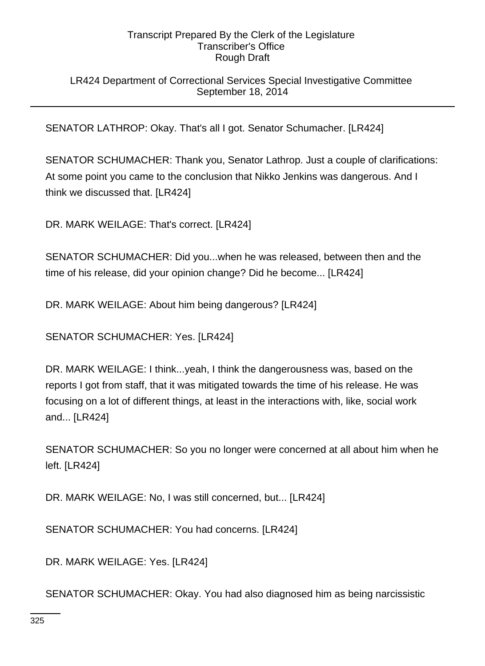# LR424 Department of Correctional Services Special Investigative Committee September 18, 2014

SENATOR LATHROP: Okay. That's all I got. Senator Schumacher. [LR424]

SENATOR SCHUMACHER: Thank you, Senator Lathrop. Just a couple of clarifications: At some point you came to the conclusion that Nikko Jenkins was dangerous. And I think we discussed that. [LR424]

DR. MARK WEILAGE: That's correct. [LR424]

SENATOR SCHUMACHER: Did you...when he was released, between then and the time of his release, did your opinion change? Did he become... [LR424]

DR. MARK WEILAGE: About him being dangerous? [LR424]

SENATOR SCHUMACHER: Yes. [LR424]

DR. MARK WEILAGE: I think...yeah, I think the dangerousness was, based on the reports I got from staff, that it was mitigated towards the time of his release. He was focusing on a lot of different things, at least in the interactions with, like, social work and... [LR424]

SENATOR SCHUMACHER: So you no longer were concerned at all about him when he left. [LR424]

DR. MARK WEILAGE: No, I was still concerned, but... [LR424]

SENATOR SCHUMACHER: You had concerns. [LR424]

DR. MARK WEILAGE: Yes. [LR424]

SENATOR SCHUMACHER: Okay. You had also diagnosed him as being narcissistic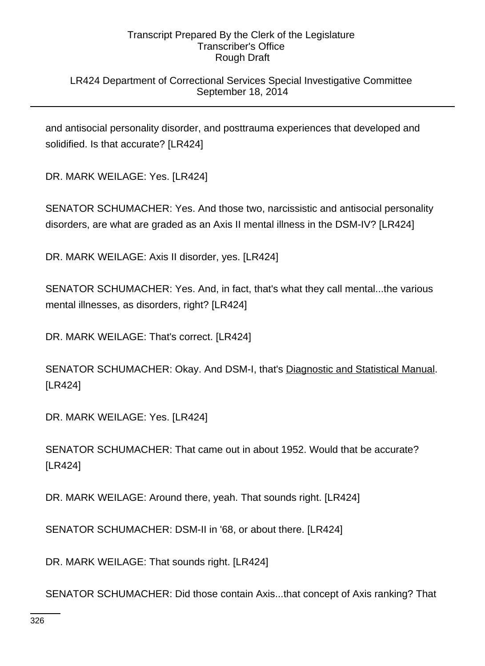# LR424 Department of Correctional Services Special Investigative Committee September 18, 2014

and antisocial personality disorder, and posttrauma experiences that developed and solidified. Is that accurate? [LR424]

DR. MARK WEILAGE: Yes. [LR424]

SENATOR SCHUMACHER: Yes. And those two, narcissistic and antisocial personality disorders, are what are graded as an Axis II mental illness in the DSM-IV? [LR424]

DR. MARK WEILAGE: Axis II disorder, yes. [LR424]

SENATOR SCHUMACHER: Yes. And, in fact, that's what they call mental...the various mental illnesses, as disorders, right? [LR424]

DR. MARK WEILAGE: That's correct. [LR424]

SENATOR SCHUMACHER: Okay. And DSM-I, that's Diagnostic and Statistical Manual. [LR424]

DR. MARK WEILAGE: Yes. [LR424]

SENATOR SCHUMACHER: That came out in about 1952. Would that be accurate? [LR424]

DR. MARK WEILAGE: Around there, yeah. That sounds right. [LR424]

SENATOR SCHUMACHER: DSM-II in '68, or about there. [LR424]

DR. MARK WEILAGE: That sounds right. [LR424]

SENATOR SCHUMACHER: Did those contain Axis...that concept of Axis ranking? That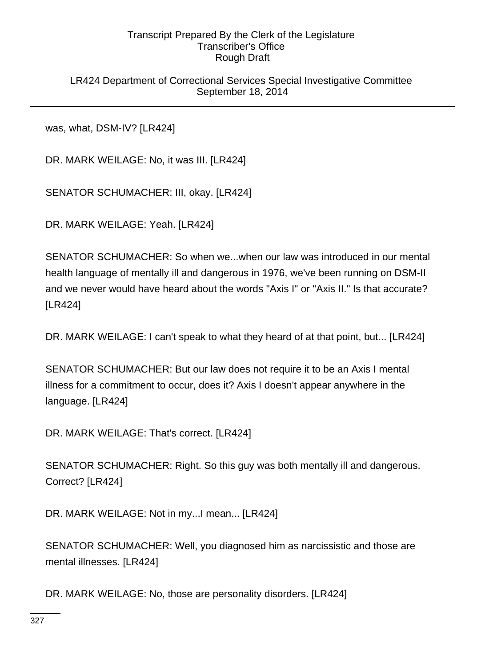LR424 Department of Correctional Services Special Investigative Committee September 18, 2014

was, what, DSM-IV? [LR424]

DR. MARK WEILAGE: No, it was III. [LR424]

SENATOR SCHUMACHER: III, okay. [LR424]

DR. MARK WEILAGE: Yeah. [LR424]

SENATOR SCHUMACHER: So when we...when our law was introduced in our mental health language of mentally ill and dangerous in 1976, we've been running on DSM-II and we never would have heard about the words "Axis I" or "Axis II." Is that accurate? [LR424]

DR. MARK WEILAGE: I can't speak to what they heard of at that point, but... [LR424]

SENATOR SCHUMACHER: But our law does not require it to be an Axis I mental illness for a commitment to occur, does it? Axis I doesn't appear anywhere in the language. [LR424]

DR. MARK WEILAGE: That's correct. [LR424]

SENATOR SCHUMACHER: Right. So this guy was both mentally ill and dangerous. Correct? [LR424]

DR. MARK WEILAGE: Not in my...I mean... [LR424]

SENATOR SCHUMACHER: Well, you diagnosed him as narcissistic and those are mental illnesses. [LR424]

DR. MARK WEILAGE: No, those are personality disorders. [LR424]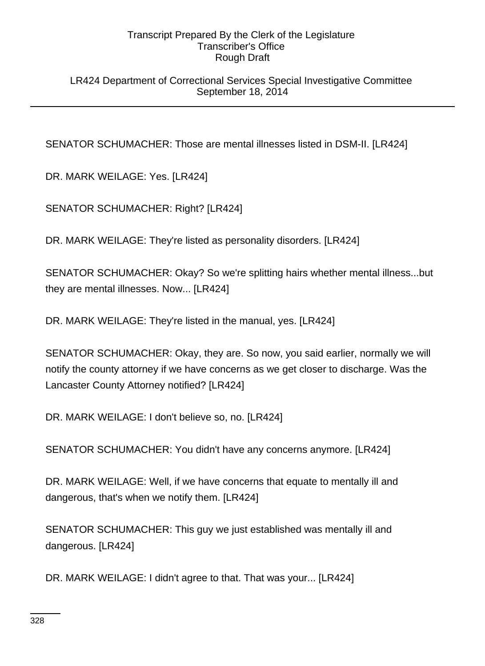LR424 Department of Correctional Services Special Investigative Committee September 18, 2014

SENATOR SCHUMACHER: Those are mental illnesses listed in DSM-II. [LR424]

DR. MARK WEILAGE: Yes. [LR424]

SENATOR SCHUMACHER: Right? [LR424]

DR. MARK WEILAGE: They're listed as personality disorders. [LR424]

SENATOR SCHUMACHER: Okay? So we're splitting hairs whether mental illness...but they are mental illnesses. Now... [LR424]

DR. MARK WEILAGE: They're listed in the manual, yes. [LR424]

SENATOR SCHUMACHER: Okay, they are. So now, you said earlier, normally we will notify the county attorney if we have concerns as we get closer to discharge. Was the Lancaster County Attorney notified? [LR424]

DR. MARK WEILAGE: I don't believe so, no. [LR424]

SENATOR SCHUMACHER: You didn't have any concerns anymore. [LR424]

DR. MARK WEILAGE: Well, if we have concerns that equate to mentally ill and dangerous, that's when we notify them. [LR424]

SENATOR SCHUMACHER: This guy we just established was mentally ill and dangerous. [LR424]

DR. MARK WEILAGE: I didn't agree to that. That was your... [LR424]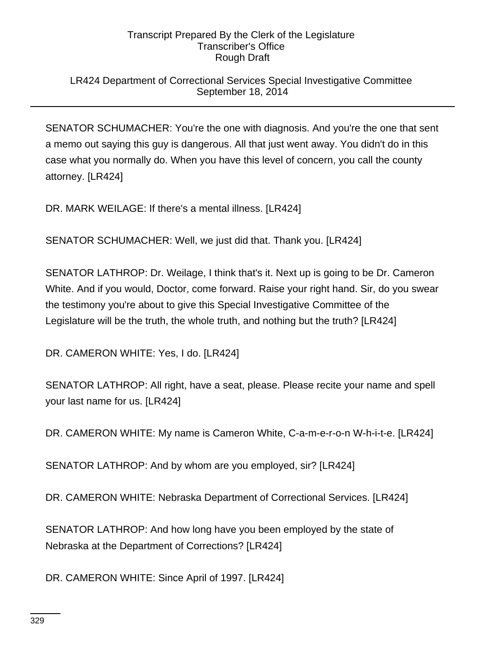# LR424 Department of Correctional Services Special Investigative Committee September 18, 2014

SENATOR SCHUMACHER: You're the one with diagnosis. And you're the one that sent a memo out saying this guy is dangerous. All that just went away. You didn't do in this case what you normally do. When you have this level of concern, you call the county attorney. [LR424]

DR. MARK WEILAGE: If there's a mental illness. [LR424]

SENATOR SCHUMACHER: Well, we just did that. Thank you. [LR424]

SENATOR LATHROP: Dr. Weilage, I think that's it. Next up is going to be Dr. Cameron White. And if you would, Doctor, come forward. Raise your right hand. Sir, do you swear the testimony you're about to give this Special Investigative Committee of the Legislature will be the truth, the whole truth, and nothing but the truth? [LR424]

DR. CAMERON WHITE: Yes, I do. [LR424]

SENATOR LATHROP: All right, have a seat, please. Please recite your name and spell your last name for us. [LR424]

DR. CAMERON WHITE: My name is Cameron White, C-a-m-e-r-o-n W-h-i-t-e. [LR424]

SENATOR LATHROP: And by whom are you employed, sir? [LR424]

DR. CAMERON WHITE: Nebraska Department of Correctional Services. [LR424]

SENATOR LATHROP: And how long have you been employed by the state of Nebraska at the Department of Corrections? [LR424]

DR. CAMERON WHITE: Since April of 1997. [LR424]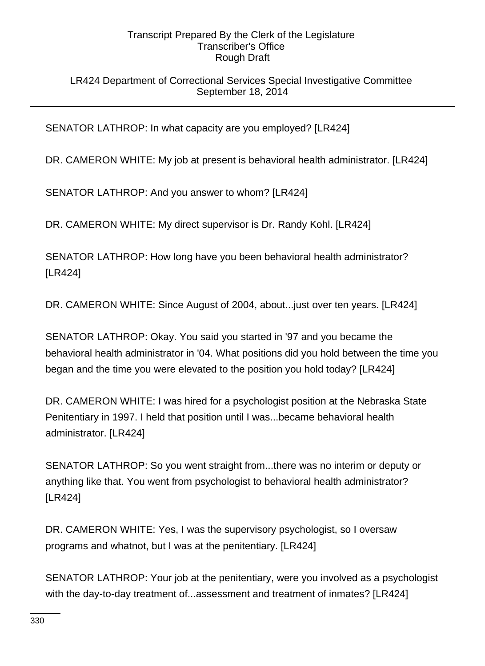LR424 Department of Correctional Services Special Investigative Committee September 18, 2014

SENATOR LATHROP: In what capacity are you employed? [LR424]

DR. CAMERON WHITE: My job at present is behavioral health administrator. [LR424]

SENATOR LATHROP: And you answer to whom? [LR424]

DR. CAMERON WHITE: My direct supervisor is Dr. Randy Kohl. [LR424]

SENATOR LATHROP: How long have you been behavioral health administrator? [LR424]

DR. CAMERON WHITE: Since August of 2004, about...just over ten years. [LR424]

SENATOR LATHROP: Okay. You said you started in '97 and you became the behavioral health administrator in '04. What positions did you hold between the time you began and the time you were elevated to the position you hold today? [LR424]

DR. CAMERON WHITE: I was hired for a psychologist position at the Nebraska State Penitentiary in 1997. I held that position until I was...became behavioral health administrator. [LR424]

SENATOR LATHROP: So you went straight from...there was no interim or deputy or anything like that. You went from psychologist to behavioral health administrator? [LR424]

DR. CAMERON WHITE: Yes, I was the supervisory psychologist, so I oversaw programs and whatnot, but I was at the penitentiary. [LR424]

SENATOR LATHROP: Your job at the penitentiary, were you involved as a psychologist with the day-to-day treatment of...assessment and treatment of inmates? [LR424]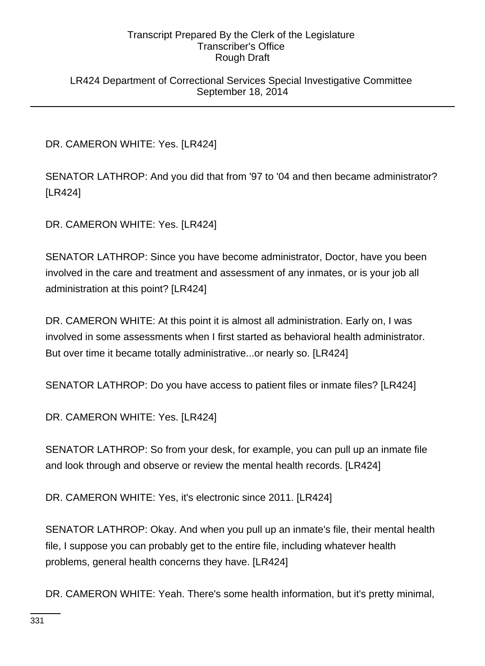LR424 Department of Correctional Services Special Investigative Committee September 18, 2014

DR. CAMERON WHITE: Yes. [LR424]

SENATOR LATHROP: And you did that from '97 to '04 and then became administrator? [LR424]

DR. CAMERON WHITE: Yes. [LR424]

SENATOR LATHROP: Since you have become administrator, Doctor, have you been involved in the care and treatment and assessment of any inmates, or is your job all administration at this point? [LR424]

DR. CAMERON WHITE: At this point it is almost all administration. Early on, I was involved in some assessments when I first started as behavioral health administrator. But over time it became totally administrative...or nearly so. [LR424]

SENATOR LATHROP: Do you have access to patient files or inmate files? [LR424]

DR. CAMERON WHITE: Yes. [LR424]

SENATOR LATHROP: So from your desk, for example, you can pull up an inmate file and look through and observe or review the mental health records. [LR424]

DR. CAMERON WHITE: Yes, it's electronic since 2011. [LR424]

SENATOR LATHROP: Okay. And when you pull up an inmate's file, their mental health file, I suppose you can probably get to the entire file, including whatever health problems, general health concerns they have. [LR424]

DR. CAMERON WHITE: Yeah. There's some health information, but it's pretty minimal,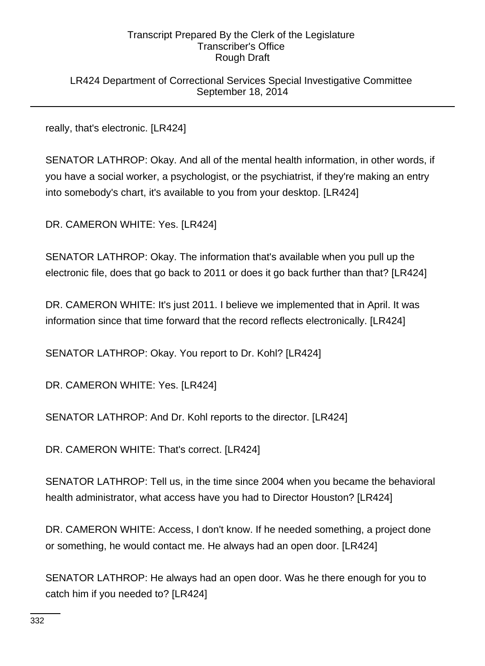LR424 Department of Correctional Services Special Investigative Committee September 18, 2014

really, that's electronic. [LR424]

SENATOR LATHROP: Okay. And all of the mental health information, in other words, if you have a social worker, a psychologist, or the psychiatrist, if they're making an entry into somebody's chart, it's available to you from your desktop. [LR424]

DR. CAMERON WHITE: Yes. [LR424]

SENATOR LATHROP: Okay. The information that's available when you pull up the electronic file, does that go back to 2011 or does it go back further than that? [LR424]

DR. CAMERON WHITE: It's just 2011. I believe we implemented that in April. It was information since that time forward that the record reflects electronically. [LR424]

SENATOR LATHROP: Okay. You report to Dr. Kohl? [LR424]

DR. CAMERON WHITE: Yes. [LR424]

SENATOR LATHROP: And Dr. Kohl reports to the director. [LR424]

DR. CAMERON WHITE: That's correct. [LR424]

SENATOR LATHROP: Tell us, in the time since 2004 when you became the behavioral health administrator, what access have you had to Director Houston? [LR424]

DR. CAMERON WHITE: Access, I don't know. If he needed something, a project done or something, he would contact me. He always had an open door. [LR424]

SENATOR LATHROP: He always had an open door. Was he there enough for you to catch him if you needed to? [LR424]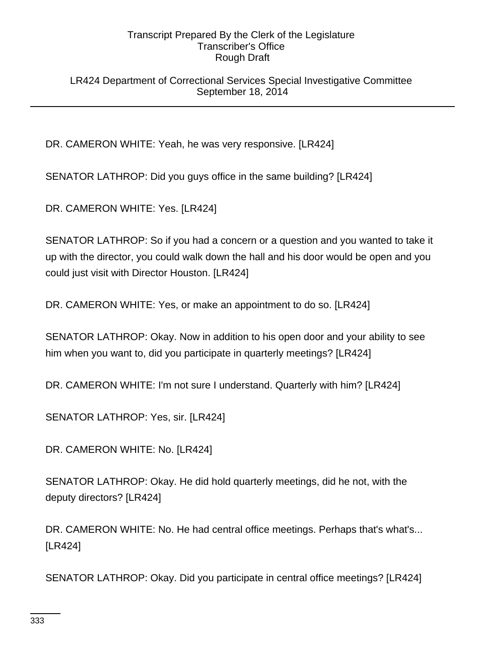LR424 Department of Correctional Services Special Investigative Committee September 18, 2014

DR. CAMERON WHITE: Yeah, he was very responsive. [LR424]

SENATOR LATHROP: Did you guys office in the same building? [LR424]

DR. CAMERON WHITE: Yes. [LR424]

SENATOR LATHROP: So if you had a concern or a question and you wanted to take it up with the director, you could walk down the hall and his door would be open and you could just visit with Director Houston. [LR424]

DR. CAMERON WHITE: Yes, or make an appointment to do so. [LR424]

SENATOR LATHROP: Okay. Now in addition to his open door and your ability to see him when you want to, did you participate in quarterly meetings? [LR424]

DR. CAMERON WHITE: I'm not sure I understand. Quarterly with him? [LR424]

SENATOR LATHROP: Yes, sir. [LR424]

DR. CAMERON WHITE: No. [LR424]

SENATOR LATHROP: Okay. He did hold quarterly meetings, did he not, with the deputy directors? [LR424]

DR. CAMERON WHITE: No. He had central office meetings. Perhaps that's what's... [LR424]

SENATOR LATHROP: Okay. Did you participate in central office meetings? [LR424]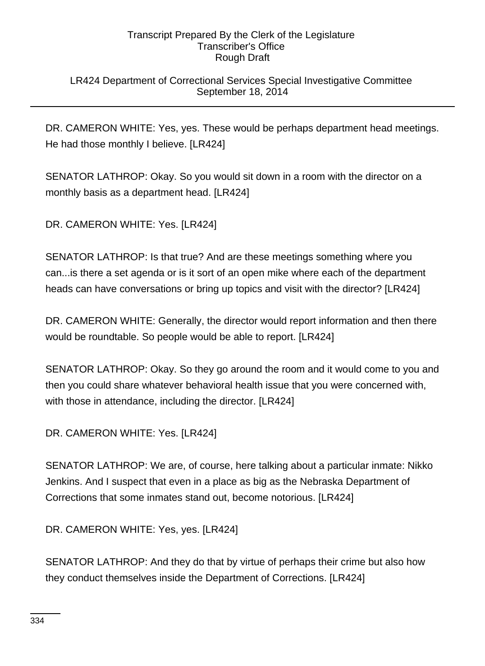# LR424 Department of Correctional Services Special Investigative Committee September 18, 2014

DR. CAMERON WHITE: Yes, yes. These would be perhaps department head meetings. He had those monthly I believe. [LR424]

SENATOR LATHROP: Okay. So you would sit down in a room with the director on a monthly basis as a department head. [LR424]

DR. CAMERON WHITE: Yes. [LR424]

SENATOR LATHROP: Is that true? And are these meetings something where you can...is there a set agenda or is it sort of an open mike where each of the department heads can have conversations or bring up topics and visit with the director? [LR424]

DR. CAMERON WHITE: Generally, the director would report information and then there would be roundtable. So people would be able to report. [LR424]

SENATOR LATHROP: Okay. So they go around the room and it would come to you and then you could share whatever behavioral health issue that you were concerned with, with those in attendance, including the director. [LR424]

DR. CAMERON WHITE: Yes. [LR424]

SENATOR LATHROP: We are, of course, here talking about a particular inmate: Nikko Jenkins. And I suspect that even in a place as big as the Nebraska Department of Corrections that some inmates stand out, become notorious. [LR424]

DR. CAMERON WHITE: Yes, yes. [LR424]

SENATOR LATHROP: And they do that by virtue of perhaps their crime but also how they conduct themselves inside the Department of Corrections. [LR424]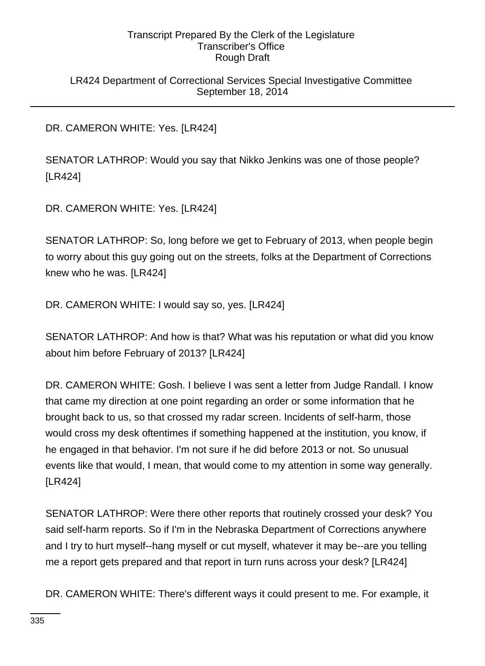LR424 Department of Correctional Services Special Investigative Committee September 18, 2014

DR. CAMERON WHITE: Yes. [LR424]

SENATOR LATHROP: Would you say that Nikko Jenkins was one of those people? [LR424]

DR. CAMERON WHITE: Yes. [LR424]

SENATOR LATHROP: So, long before we get to February of 2013, when people begin to worry about this guy going out on the streets, folks at the Department of Corrections knew who he was. [LR424]

DR. CAMERON WHITE: I would say so, yes. [LR424]

SENATOR LATHROP: And how is that? What was his reputation or what did you know about him before February of 2013? [LR424]

DR. CAMERON WHITE: Gosh. I believe I was sent a letter from Judge Randall. I know that came my direction at one point regarding an order or some information that he brought back to us, so that crossed my radar screen. Incidents of self-harm, those would cross my desk oftentimes if something happened at the institution, you know, if he engaged in that behavior. I'm not sure if he did before 2013 or not. So unusual events like that would, I mean, that would come to my attention in some way generally. [LR424]

SENATOR LATHROP: Were there other reports that routinely crossed your desk? You said self-harm reports. So if I'm in the Nebraska Department of Corrections anywhere and I try to hurt myself--hang myself or cut myself, whatever it may be--are you telling me a report gets prepared and that report in turn runs across your desk? [LR424]

DR. CAMERON WHITE: There's different ways it could present to me. For example, it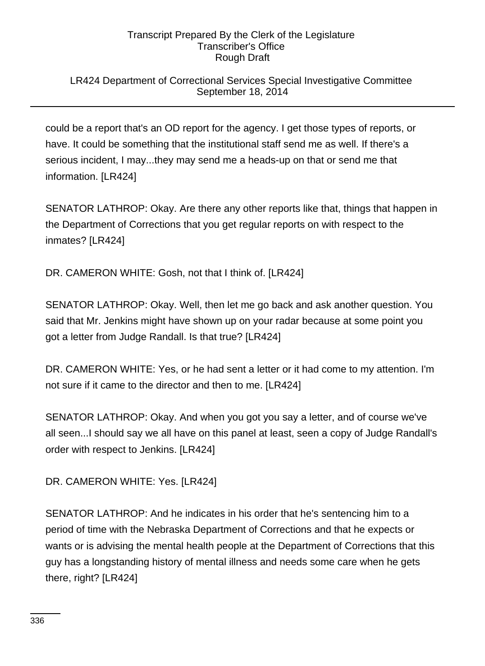# LR424 Department of Correctional Services Special Investigative Committee September 18, 2014

could be a report that's an OD report for the agency. I get those types of reports, or have. It could be something that the institutional staff send me as well. If there's a serious incident, I may...they may send me a heads-up on that or send me that information. [LR424]

SENATOR LATHROP: Okay. Are there any other reports like that, things that happen in the Department of Corrections that you get regular reports on with respect to the inmates? [LR424]

DR. CAMERON WHITE: Gosh, not that I think of. [LR424]

SENATOR LATHROP: Okay. Well, then let me go back and ask another question. You said that Mr. Jenkins might have shown up on your radar because at some point you got a letter from Judge Randall. Is that true? [LR424]

DR. CAMERON WHITE: Yes, or he had sent a letter or it had come to my attention. I'm not sure if it came to the director and then to me. [LR424]

SENATOR LATHROP: Okay. And when you got you say a letter, and of course we've all seen...I should say we all have on this panel at least, seen a copy of Judge Randall's order with respect to Jenkins. [LR424]

DR. CAMERON WHITE: Yes. [LR424]

SENATOR LATHROP: And he indicates in his order that he's sentencing him to a period of time with the Nebraska Department of Corrections and that he expects or wants or is advising the mental health people at the Department of Corrections that this guy has a longstanding history of mental illness and needs some care when he gets there, right? [LR424]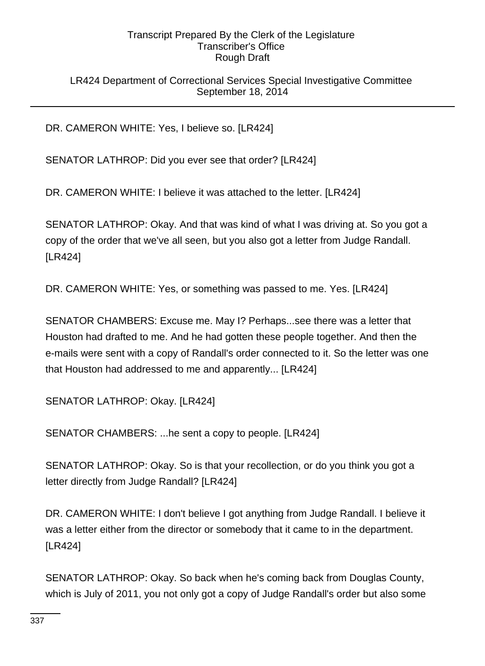LR424 Department of Correctional Services Special Investigative Committee September 18, 2014

DR. CAMERON WHITE: Yes, I believe so. [LR424]

SENATOR LATHROP: Did you ever see that order? [LR424]

DR. CAMERON WHITE: I believe it was attached to the letter. [LR424]

SENATOR LATHROP: Okay. And that was kind of what I was driving at. So you got a copy of the order that we've all seen, but you also got a letter from Judge Randall. [LR424]

DR. CAMERON WHITE: Yes, or something was passed to me. Yes. [LR424]

SENATOR CHAMBERS: Excuse me. May I? Perhaps...see there was a letter that Houston had drafted to me. And he had gotten these people together. And then the e-mails were sent with a copy of Randall's order connected to it. So the letter was one that Houston had addressed to me and apparently... [LR424]

SENATOR LATHROP: Okay. [LR424]

SENATOR CHAMBERS: ...he sent a copy to people. [LR424]

SENATOR LATHROP: Okay. So is that your recollection, or do you think you got a letter directly from Judge Randall? [LR424]

DR. CAMERON WHITE: I don't believe I got anything from Judge Randall. I believe it was a letter either from the director or somebody that it came to in the department. [LR424]

SENATOR LATHROP: Okay. So back when he's coming back from Douglas County, which is July of 2011, you not only got a copy of Judge Randall's order but also some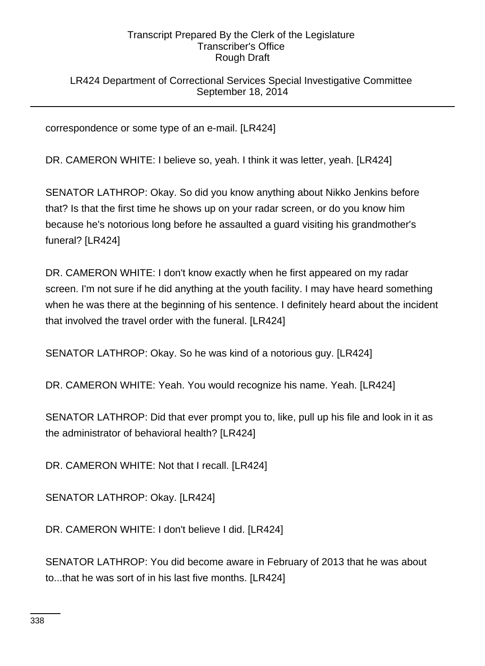LR424 Department of Correctional Services Special Investigative Committee September 18, 2014

correspondence or some type of an e-mail. [LR424]

DR. CAMERON WHITE: I believe so, yeah. I think it was letter, yeah. [LR424]

SENATOR LATHROP: Okay. So did you know anything about Nikko Jenkins before that? Is that the first time he shows up on your radar screen, or do you know him because he's notorious long before he assaulted a guard visiting his grandmother's funeral? [LR424]

DR. CAMERON WHITE: I don't know exactly when he first appeared on my radar screen. I'm not sure if he did anything at the youth facility. I may have heard something when he was there at the beginning of his sentence. I definitely heard about the incident that involved the travel order with the funeral. [LR424]

SENATOR LATHROP: Okay. So he was kind of a notorious guy. [LR424]

DR. CAMERON WHITE: Yeah. You would recognize his name. Yeah. [LR424]

SENATOR LATHROP: Did that ever prompt you to, like, pull up his file and look in it as the administrator of behavioral health? [LR424]

DR. CAMERON WHITE: Not that I recall. [LR424]

SENATOR LATHROP: Okay. [LR424]

DR. CAMERON WHITE: I don't believe I did. [LR424]

SENATOR LATHROP: You did become aware in February of 2013 that he was about to...that he was sort of in his last five months. [LR424]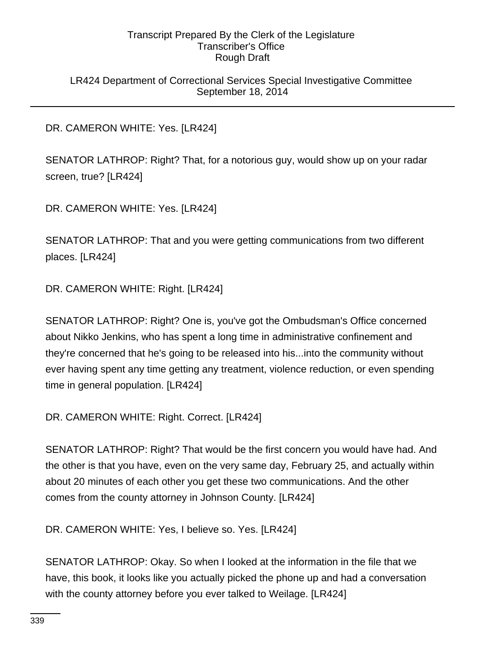LR424 Department of Correctional Services Special Investigative Committee September 18, 2014

# DR. CAMERON WHITE: Yes. [LR424]

SENATOR LATHROP: Right? That, for a notorious guy, would show up on your radar screen, true? [LR424]

DR. CAMERON WHITE: Yes. [LR424]

SENATOR LATHROP: That and you were getting communications from two different places. [LR424]

DR. CAMERON WHITE: Right. [LR424]

SENATOR LATHROP: Right? One is, you've got the Ombudsman's Office concerned about Nikko Jenkins, who has spent a long time in administrative confinement and they're concerned that he's going to be released into his...into the community without ever having spent any time getting any treatment, violence reduction, or even spending time in general population. [LR424]

DR. CAMERON WHITE: Right. Correct. [LR424]

SENATOR LATHROP: Right? That would be the first concern you would have had. And the other is that you have, even on the very same day, February 25, and actually within about 20 minutes of each other you get these two communications. And the other comes from the county attorney in Johnson County. [LR424]

DR. CAMERON WHITE: Yes, I believe so. Yes. [LR424]

SENATOR LATHROP: Okay. So when I looked at the information in the file that we have, this book, it looks like you actually picked the phone up and had a conversation with the county attorney before you ever talked to Weilage. [LR424]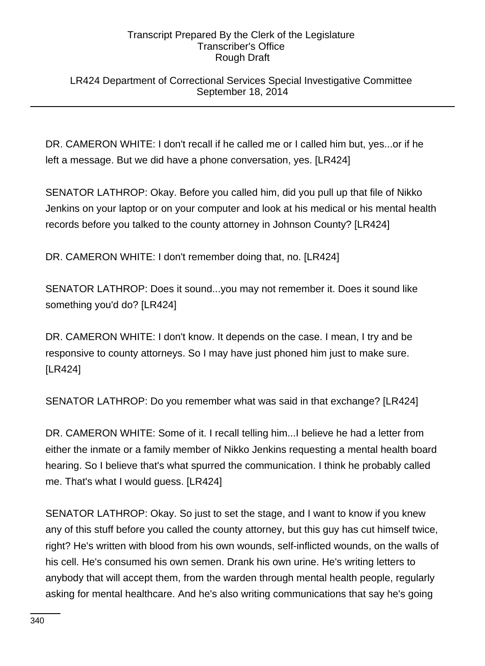LR424 Department of Correctional Services Special Investigative Committee September 18, 2014

DR. CAMERON WHITE: I don't recall if he called me or I called him but, yes...or if he left a message. But we did have a phone conversation, yes. [LR424]

SENATOR LATHROP: Okay. Before you called him, did you pull up that file of Nikko Jenkins on your laptop or on your computer and look at his medical or his mental health records before you talked to the county attorney in Johnson County? [LR424]

DR. CAMERON WHITE: I don't remember doing that, no. [LR424]

SENATOR LATHROP: Does it sound...you may not remember it. Does it sound like something you'd do? [LR424]

DR. CAMERON WHITE: I don't know. It depends on the case. I mean, I try and be responsive to county attorneys. So I may have just phoned him just to make sure. [LR424]

SENATOR LATHROP: Do you remember what was said in that exchange? [LR424]

DR. CAMERON WHITE: Some of it. I recall telling him...I believe he had a letter from either the inmate or a family member of Nikko Jenkins requesting a mental health board hearing. So I believe that's what spurred the communication. I think he probably called me. That's what I would guess. [LR424]

SENATOR LATHROP: Okay. So just to set the stage, and I want to know if you knew any of this stuff before you called the county attorney, but this guy has cut himself twice, right? He's written with blood from his own wounds, self-inflicted wounds, on the walls of his cell. He's consumed his own semen. Drank his own urine. He's writing letters to anybody that will accept them, from the warden through mental health people, regularly asking for mental healthcare. And he's also writing communications that say he's going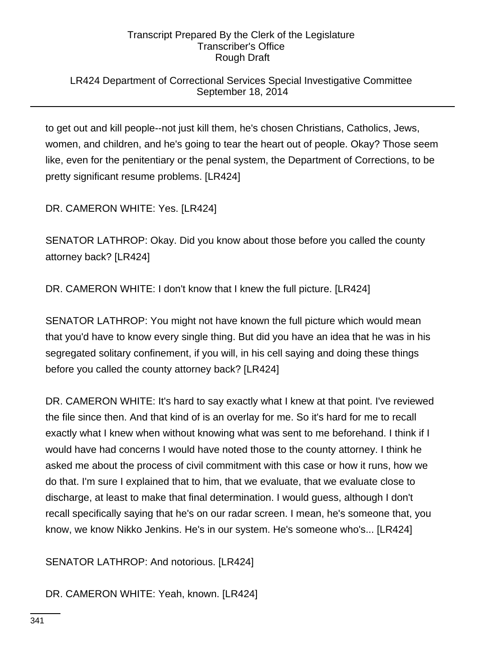# LR424 Department of Correctional Services Special Investigative Committee September 18, 2014

to get out and kill people--not just kill them, he's chosen Christians, Catholics, Jews, women, and children, and he's going to tear the heart out of people. Okay? Those seem like, even for the penitentiary or the penal system, the Department of Corrections, to be pretty significant resume problems. [LR424]

DR. CAMERON WHITE: Yes. [LR424]

SENATOR LATHROP: Okay. Did you know about those before you called the county attorney back? [LR424]

DR. CAMERON WHITE: I don't know that I knew the full picture. [LR424]

SENATOR LATHROP: You might not have known the full picture which would mean that you'd have to know every single thing. But did you have an idea that he was in his segregated solitary confinement, if you will, in his cell saying and doing these things before you called the county attorney back? [LR424]

DR. CAMERON WHITE: It's hard to say exactly what I knew at that point. I've reviewed the file since then. And that kind of is an overlay for me. So it's hard for me to recall exactly what I knew when without knowing what was sent to me beforehand. I think if I would have had concerns I would have noted those to the county attorney. I think he asked me about the process of civil commitment with this case or how it runs, how we do that. I'm sure I explained that to him, that we evaluate, that we evaluate close to discharge, at least to make that final determination. I would guess, although I don't recall specifically saying that he's on our radar screen. I mean, he's someone that, you know, we know Nikko Jenkins. He's in our system. He's someone who's... [LR424]

SENATOR LATHROP: And notorious. [LR424]

DR. CAMERON WHITE: Yeah, known. [LR424]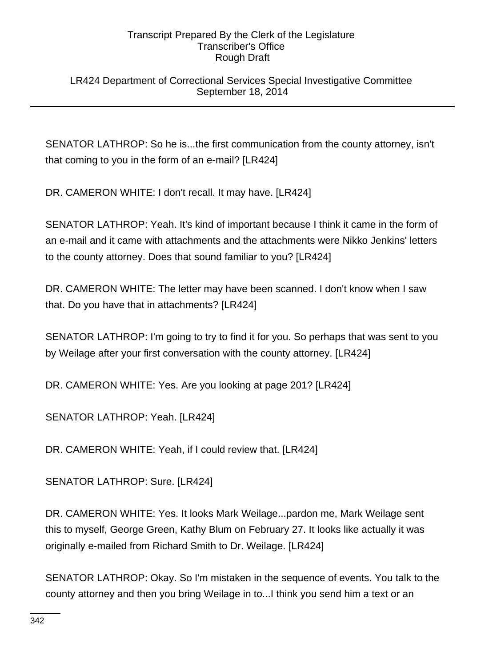# LR424 Department of Correctional Services Special Investigative Committee September 18, 2014

SENATOR LATHROP: So he is...the first communication from the county attorney, isn't that coming to you in the form of an e-mail? [LR424]

DR. CAMERON WHITE: I don't recall. It may have. [LR424]

SENATOR LATHROP: Yeah. It's kind of important because I think it came in the form of an e-mail and it came with attachments and the attachments were Nikko Jenkins' letters to the county attorney. Does that sound familiar to you? [LR424]

DR. CAMERON WHITE: The letter may have been scanned. I don't know when I saw that. Do you have that in attachments? [LR424]

SENATOR LATHROP: I'm going to try to find it for you. So perhaps that was sent to you by Weilage after your first conversation with the county attorney. [LR424]

DR. CAMERON WHITE: Yes. Are you looking at page 201? [LR424]

SENATOR LATHROP: Yeah. [LR424]

DR. CAMERON WHITE: Yeah, if I could review that. [LR424]

SENATOR LATHROP: Sure. [LR424]

DR. CAMERON WHITE: Yes. It looks Mark Weilage...pardon me, Mark Weilage sent this to myself, George Green, Kathy Blum on February 27. It looks like actually it was originally e-mailed from Richard Smith to Dr. Weilage. [LR424]

SENATOR LATHROP: Okay. So I'm mistaken in the sequence of events. You talk to the county attorney and then you bring Weilage in to...I think you send him a text or an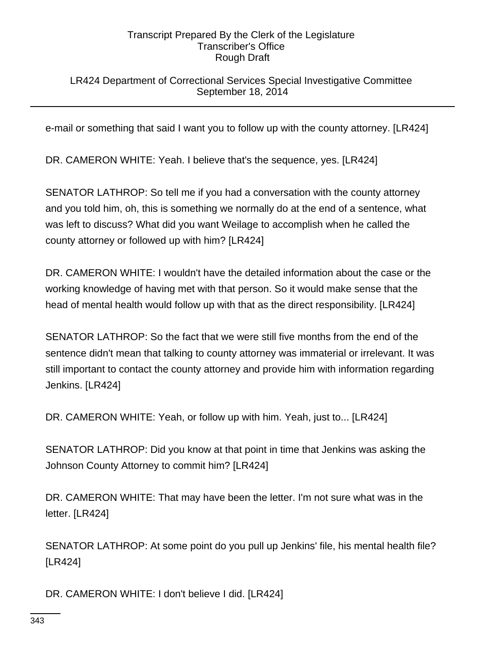LR424 Department of Correctional Services Special Investigative Committee September 18, 2014

e-mail or something that said I want you to follow up with the county attorney. [LR424]

DR. CAMERON WHITE: Yeah. I believe that's the sequence, yes. [LR424]

SENATOR LATHROP: So tell me if you had a conversation with the county attorney and you told him, oh, this is something we normally do at the end of a sentence, what was left to discuss? What did you want Weilage to accomplish when he called the county attorney or followed up with him? [LR424]

DR. CAMERON WHITE: I wouldn't have the detailed information about the case or the working knowledge of having met with that person. So it would make sense that the head of mental health would follow up with that as the direct responsibility. [LR424]

SENATOR LATHROP: So the fact that we were still five months from the end of the sentence didn't mean that talking to county attorney was immaterial or irrelevant. It was still important to contact the county attorney and provide him with information regarding Jenkins. [LR424]

DR. CAMERON WHITE: Yeah, or follow up with him. Yeah, just to... [LR424]

SENATOR LATHROP: Did you know at that point in time that Jenkins was asking the Johnson County Attorney to commit him? [LR424]

DR. CAMERON WHITE: That may have been the letter. I'm not sure what was in the letter. [LR424]

SENATOR LATHROP: At some point do you pull up Jenkins' file, his mental health file? [LR424]

DR. CAMERON WHITE: I don't believe I did. [LR424]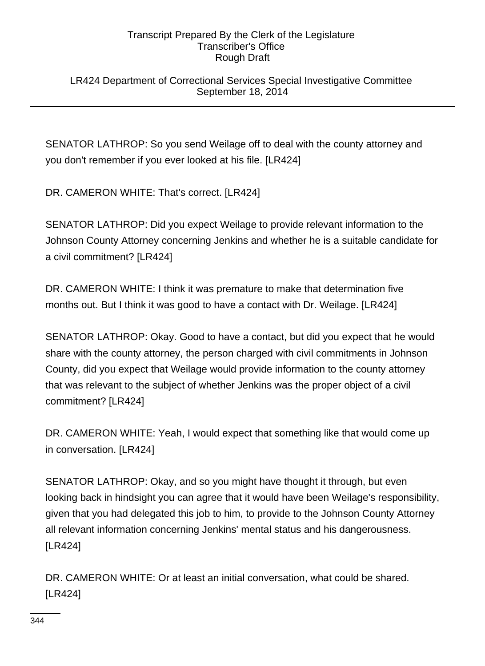LR424 Department of Correctional Services Special Investigative Committee September 18, 2014

SENATOR LATHROP: So you send Weilage off to deal with the county attorney and you don't remember if you ever looked at his file. [LR424]

DR. CAMERON WHITE: That's correct. [LR424]

SENATOR LATHROP: Did you expect Weilage to provide relevant information to the Johnson County Attorney concerning Jenkins and whether he is a suitable candidate for a civil commitment? [LR424]

DR. CAMERON WHITE: I think it was premature to make that determination five months out. But I think it was good to have a contact with Dr. Weilage. [LR424]

SENATOR LATHROP: Okay. Good to have a contact, but did you expect that he would share with the county attorney, the person charged with civil commitments in Johnson County, did you expect that Weilage would provide information to the county attorney that was relevant to the subject of whether Jenkins was the proper object of a civil commitment? [LR424]

DR. CAMERON WHITE: Yeah, I would expect that something like that would come up in conversation. [LR424]

SENATOR LATHROP: Okay, and so you might have thought it through, but even looking back in hindsight you can agree that it would have been Weilage's responsibility, given that you had delegated this job to him, to provide to the Johnson County Attorney all relevant information concerning Jenkins' mental status and his dangerousness. [LR424]

DR. CAMERON WHITE: Or at least an initial conversation, what could be shared. [LR424]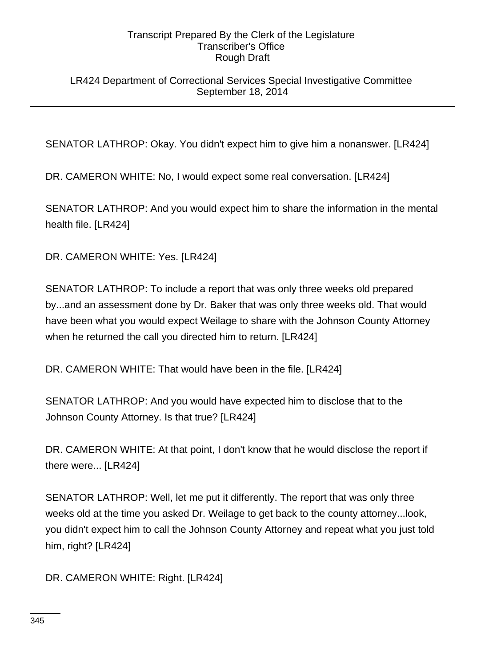LR424 Department of Correctional Services Special Investigative Committee September 18, 2014

SENATOR LATHROP: Okay. You didn't expect him to give him a nonanswer. [LR424]

DR. CAMERON WHITE: No, I would expect some real conversation. [LR424]

SENATOR LATHROP: And you would expect him to share the information in the mental health file. [LR424]

DR. CAMERON WHITE: Yes. [LR424]

SENATOR LATHROP: To include a report that was only three weeks old prepared by...and an assessment done by Dr. Baker that was only three weeks old. That would have been what you would expect Weilage to share with the Johnson County Attorney when he returned the call you directed him to return. [LR424]

DR. CAMERON WHITE: That would have been in the file. [LR424]

SENATOR LATHROP: And you would have expected him to disclose that to the Johnson County Attorney. Is that true? [LR424]

DR. CAMERON WHITE: At that point, I don't know that he would disclose the report if there were... [LR424]

SENATOR LATHROP: Well, let me put it differently. The report that was only three weeks old at the time you asked Dr. Weilage to get back to the county attorney...look, you didn't expect him to call the Johnson County Attorney and repeat what you just told him, right? [LR424]

DR. CAMERON WHITE: Right. [LR424]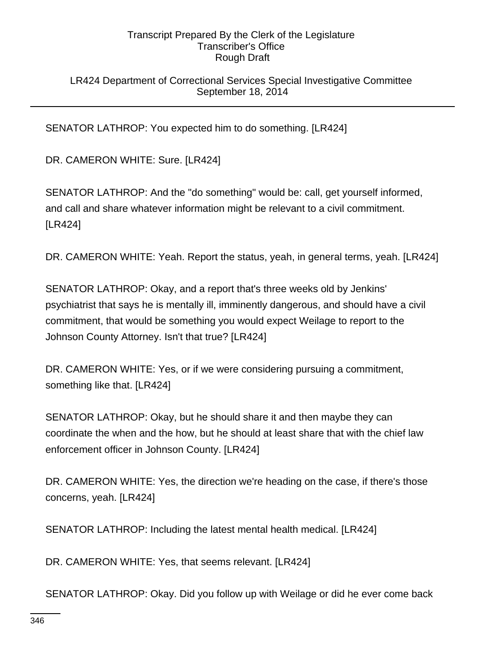LR424 Department of Correctional Services Special Investigative Committee September 18, 2014

SENATOR LATHROP: You expected him to do something. [LR424]

DR. CAMERON WHITE: Sure. [LR424]

SENATOR LATHROP: And the "do something" would be: call, get yourself informed, and call and share whatever information might be relevant to a civil commitment. [LR424]

DR. CAMERON WHITE: Yeah. Report the status, yeah, in general terms, yeah. [LR424]

SENATOR LATHROP: Okay, and a report that's three weeks old by Jenkins' psychiatrist that says he is mentally ill, imminently dangerous, and should have a civil commitment, that would be something you would expect Weilage to report to the Johnson County Attorney. Isn't that true? [LR424]

DR. CAMERON WHITE: Yes, or if we were considering pursuing a commitment, something like that. [LR424]

SENATOR LATHROP: Okay, but he should share it and then maybe they can coordinate the when and the how, but he should at least share that with the chief law enforcement officer in Johnson County. [LR424]

DR. CAMERON WHITE: Yes, the direction we're heading on the case, if there's those concerns, yeah. [LR424]

SENATOR LATHROP: Including the latest mental health medical. [LR424]

DR. CAMERON WHITE: Yes, that seems relevant. [LR424]

SENATOR LATHROP: Okay. Did you follow up with Weilage or did he ever come back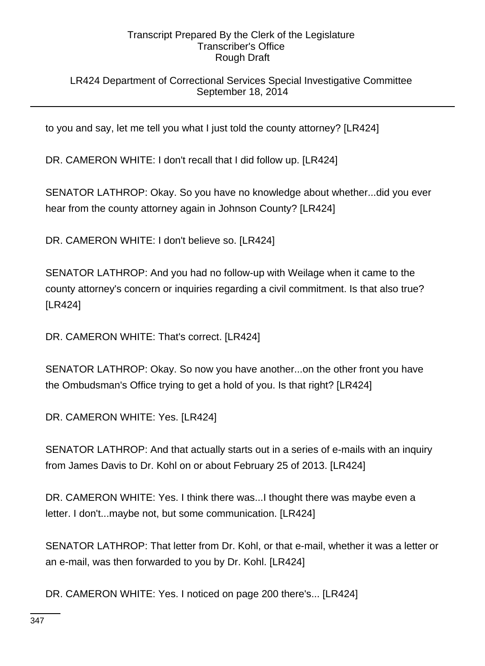# LR424 Department of Correctional Services Special Investigative Committee September 18, 2014

to you and say, let me tell you what I just told the county attorney? [LR424]

DR. CAMERON WHITE: I don't recall that I did follow up. [LR424]

SENATOR LATHROP: Okay. So you have no knowledge about whether...did you ever hear from the county attorney again in Johnson County? [LR424]

DR. CAMERON WHITE: I don't believe so. [LR424]

SENATOR LATHROP: And you had no follow-up with Weilage when it came to the county attorney's concern or inquiries regarding a civil commitment. Is that also true? [LR424]

DR. CAMERON WHITE: That's correct. [LR424]

SENATOR LATHROP: Okay. So now you have another...on the other front you have the Ombudsman's Office trying to get a hold of you. Is that right? [LR424]

DR. CAMERON WHITE: Yes. [LR424]

SENATOR LATHROP: And that actually starts out in a series of e-mails with an inquiry from James Davis to Dr. Kohl on or about February 25 of 2013. [LR424]

DR. CAMERON WHITE: Yes. I think there was...I thought there was maybe even a letter. I don't...maybe not, but some communication. [LR424]

SENATOR LATHROP: That letter from Dr. Kohl, or that e-mail, whether it was a letter or an e-mail, was then forwarded to you by Dr. Kohl. [LR424]

DR. CAMERON WHITE: Yes. I noticed on page 200 there's... [LR424]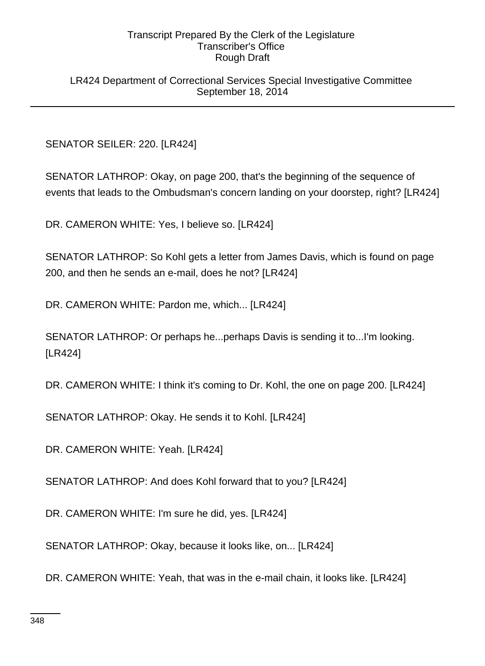LR424 Department of Correctional Services Special Investigative Committee September 18, 2014

SENATOR SEILER: 220. [LR424]

SENATOR LATHROP: Okay, on page 200, that's the beginning of the sequence of events that leads to the Ombudsman's concern landing on your doorstep, right? [LR424]

DR. CAMERON WHITE: Yes, I believe so. [LR424]

SENATOR LATHROP: So Kohl gets a letter from James Davis, which is found on page 200, and then he sends an e-mail, does he not? [LR424]

DR. CAMERON WHITE: Pardon me, which... [LR424]

SENATOR LATHROP: Or perhaps he...perhaps Davis is sending it to...I'm looking. [LR424]

DR. CAMERON WHITE: I think it's coming to Dr. Kohl, the one on page 200. [LR424]

SENATOR LATHROP: Okay. He sends it to Kohl. [LR424]

DR. CAMERON WHITE: Yeah. [LR424]

SENATOR LATHROP: And does Kohl forward that to you? [LR424]

DR. CAMERON WHITE: I'm sure he did, yes. [LR424]

SENATOR LATHROP: Okay, because it looks like, on... [LR424]

DR. CAMERON WHITE: Yeah, that was in the e-mail chain, it looks like. [LR424]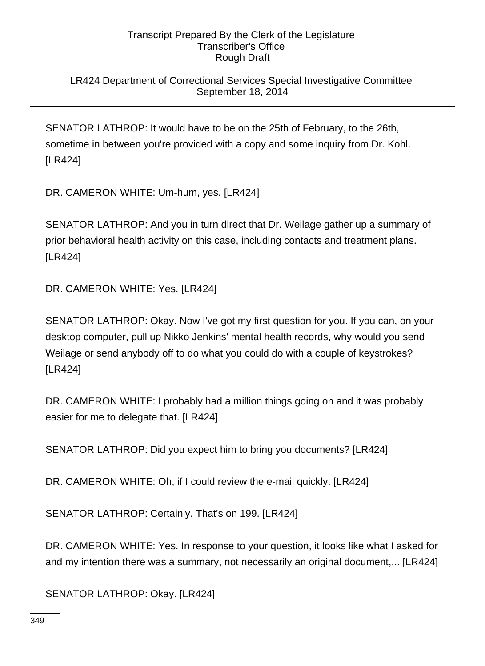# LR424 Department of Correctional Services Special Investigative Committee September 18, 2014

SENATOR LATHROP: It would have to be on the 25th of February, to the 26th, sometime in between you're provided with a copy and some inquiry from Dr. Kohl. [LR424]

DR. CAMERON WHITE: Um-hum, yes. [LR424]

SENATOR LATHROP: And you in turn direct that Dr. Weilage gather up a summary of prior behavioral health activity on this case, including contacts and treatment plans. [LR424]

DR. CAMERON WHITE: Yes. [LR424]

SENATOR LATHROP: Okay. Now I've got my first question for you. If you can, on your desktop computer, pull up Nikko Jenkins' mental health records, why would you send Weilage or send anybody off to do what you could do with a couple of keystrokes? [LR424]

DR. CAMERON WHITE: I probably had a million things going on and it was probably easier for me to delegate that. [LR424]

SENATOR LATHROP: Did you expect him to bring you documents? [LR424]

DR. CAMERON WHITE: Oh, if I could review the e-mail quickly. [LR424]

SENATOR LATHROP: Certainly. That's on 199. [LR424]

DR. CAMERON WHITE: Yes. In response to your question, it looks like what I asked for and my intention there was a summary, not necessarily an original document,... [LR424]

SENATOR LATHROP: Okay. [LR424]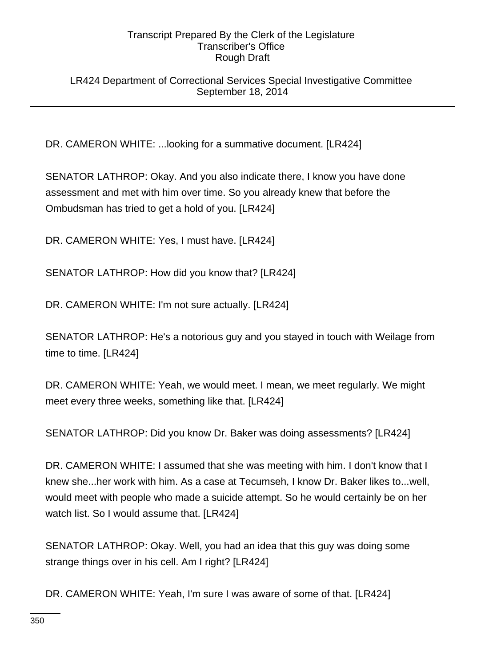LR424 Department of Correctional Services Special Investigative Committee September 18, 2014

DR. CAMERON WHITE: ...looking for a summative document. [LR424]

SENATOR LATHROP: Okay. And you also indicate there, I know you have done assessment and met with him over time. So you already knew that before the Ombudsman has tried to get a hold of you. [LR424]

DR. CAMERON WHITE: Yes, I must have. [LR424]

SENATOR LATHROP: How did you know that? [LR424]

DR. CAMERON WHITE: I'm not sure actually. [LR424]

SENATOR LATHROP: He's a notorious guy and you stayed in touch with Weilage from time to time. [LR424]

DR. CAMERON WHITE: Yeah, we would meet. I mean, we meet regularly. We might meet every three weeks, something like that. [LR424]

SENATOR LATHROP: Did you know Dr. Baker was doing assessments? [LR424]

DR. CAMERON WHITE: I assumed that she was meeting with him. I don't know that I knew she...her work with him. As a case at Tecumseh, I know Dr. Baker likes to...well, would meet with people who made a suicide attempt. So he would certainly be on her watch list. So I would assume that. [LR424]

SENATOR LATHROP: Okay. Well, you had an idea that this guy was doing some strange things over in his cell. Am I right? [LR424]

DR. CAMERON WHITE: Yeah, I'm sure I was aware of some of that. [LR424]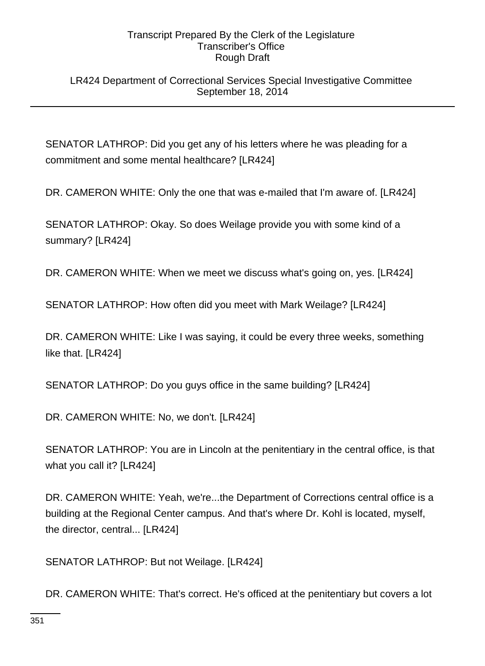LR424 Department of Correctional Services Special Investigative Committee September 18, 2014

SENATOR LATHROP: Did you get any of his letters where he was pleading for a commitment and some mental healthcare? [LR424]

DR. CAMERON WHITE: Only the one that was e-mailed that I'm aware of. [LR424]

SENATOR LATHROP: Okay. So does Weilage provide you with some kind of a summary? [LR424]

DR. CAMERON WHITE: When we meet we discuss what's going on, yes. [LR424]

SENATOR LATHROP: How often did you meet with Mark Weilage? [LR424]

DR. CAMERON WHITE: Like I was saying, it could be every three weeks, something like that. [LR424]

SENATOR LATHROP: Do you guys office in the same building? [LR424]

DR. CAMERON WHITE: No, we don't. [LR424]

SENATOR LATHROP: You are in Lincoln at the penitentiary in the central office, is that what you call it? [LR424]

DR. CAMERON WHITE: Yeah, we're...the Department of Corrections central office is a building at the Regional Center campus. And that's where Dr. Kohl is located, myself, the director, central... [LR424]

SENATOR LATHROP: But not Weilage. [LR424]

DR. CAMERON WHITE: That's correct. He's officed at the penitentiary but covers a lot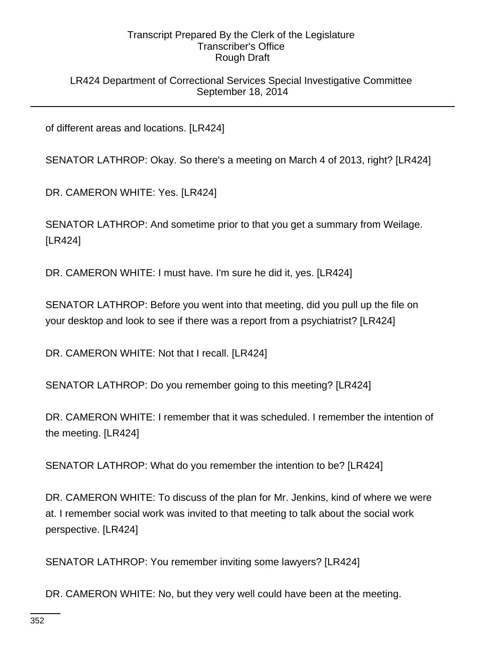LR424 Department of Correctional Services Special Investigative Committee September 18, 2014

of different areas and locations. [LR424]

SENATOR LATHROP: Okay. So there's a meeting on March 4 of 2013, right? [LR424]

DR. CAMERON WHITE: Yes. [LR424]

SENATOR LATHROP: And sometime prior to that you get a summary from Weilage. [LR424]

DR. CAMERON WHITE: I must have. I'm sure he did it, yes. [LR424]

SENATOR LATHROP: Before you went into that meeting, did you pull up the file on your desktop and look to see if there was a report from a psychiatrist? [LR424]

DR. CAMERON WHITE: Not that I recall. [LR424]

SENATOR LATHROP: Do you remember going to this meeting? [LR424]

DR. CAMERON WHITE: I remember that it was scheduled. I remember the intention of the meeting. [LR424]

SENATOR LATHROP: What do you remember the intention to be? [LR424]

DR. CAMERON WHITE: To discuss of the plan for Mr. Jenkins, kind of where we were at. I remember social work was invited to that meeting to talk about the social work perspective. [LR424]

SENATOR LATHROP: You remember inviting some lawyers? [LR424]

DR. CAMERON WHITE: No, but they very well could have been at the meeting.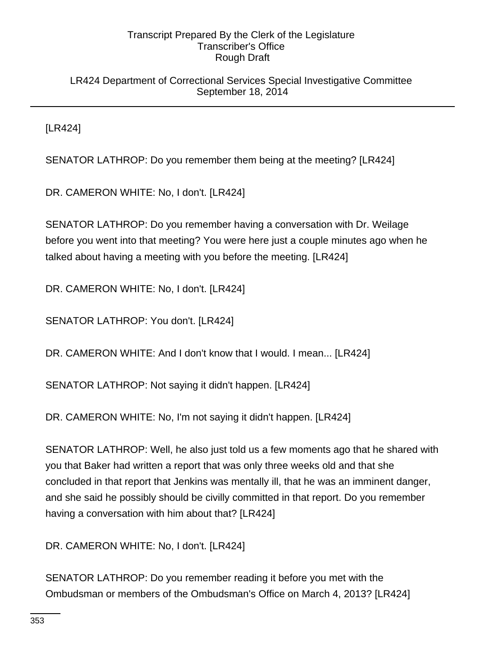LR424 Department of Correctional Services Special Investigative Committee September 18, 2014

[LR424]

SENATOR LATHROP: Do you remember them being at the meeting? [LR424]

DR. CAMERON WHITE: No, I don't. [LR424]

SENATOR LATHROP: Do you remember having a conversation with Dr. Weilage before you went into that meeting? You were here just a couple minutes ago when he talked about having a meeting with you before the meeting. [LR424]

DR. CAMERON WHITE: No, I don't. [LR424]

SENATOR LATHROP: You don't. [LR424]

DR. CAMERON WHITE: And I don't know that I would. I mean... [LR424]

SENATOR LATHROP: Not saying it didn't happen. [LR424]

DR. CAMERON WHITE: No, I'm not saying it didn't happen. [LR424]

SENATOR LATHROP: Well, he also just told us a few moments ago that he shared with you that Baker had written a report that was only three weeks old and that she concluded in that report that Jenkins was mentally ill, that he was an imminent danger, and she said he possibly should be civilly committed in that report. Do you remember having a conversation with him about that? [LR424]

DR. CAMERON WHITE: No, I don't. [LR424]

SENATOR LATHROP: Do you remember reading it before you met with the Ombudsman or members of the Ombudsman's Office on March 4, 2013? [LR424]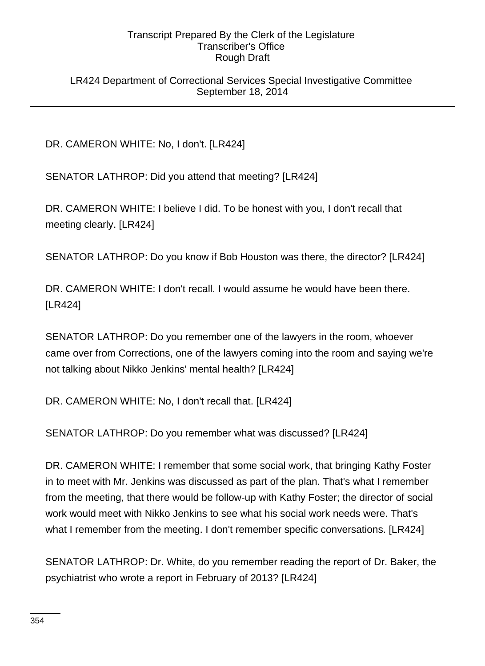LR424 Department of Correctional Services Special Investigative Committee September 18, 2014

DR. CAMERON WHITE: No, I don't. [LR424]

SENATOR LATHROP: Did you attend that meeting? [LR424]

DR. CAMERON WHITE: I believe I did. To be honest with you, I don't recall that meeting clearly. [LR424]

SENATOR LATHROP: Do you know if Bob Houston was there, the director? [LR424]

DR. CAMERON WHITE: I don't recall. I would assume he would have been there. [LR424]

SENATOR LATHROP: Do you remember one of the lawyers in the room, whoever came over from Corrections, one of the lawyers coming into the room and saying we're not talking about Nikko Jenkins' mental health? [LR424]

DR. CAMERON WHITE: No, I don't recall that. [LR424]

SENATOR LATHROP: Do you remember what was discussed? [LR424]

DR. CAMERON WHITE: I remember that some social work, that bringing Kathy Foster in to meet with Mr. Jenkins was discussed as part of the plan. That's what I remember from the meeting, that there would be follow-up with Kathy Foster; the director of social work would meet with Nikko Jenkins to see what his social work needs were. That's what I remember from the meeting. I don't remember specific conversations. [LR424]

SENATOR LATHROP: Dr. White, do you remember reading the report of Dr. Baker, the psychiatrist who wrote a report in February of 2013? [LR424]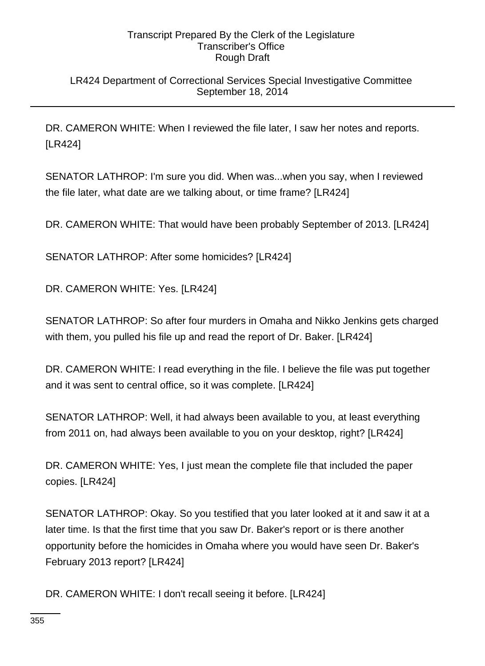# LR424 Department of Correctional Services Special Investigative Committee September 18, 2014

DR. CAMERON WHITE: When I reviewed the file later, I saw her notes and reports. [LR424]

SENATOR LATHROP: I'm sure you did. When was...when you say, when I reviewed the file later, what date are we talking about, or time frame? [LR424]

DR. CAMERON WHITE: That would have been probably September of 2013. [LR424]

SENATOR LATHROP: After some homicides? [LR424]

DR. CAMERON WHITE: Yes. [LR424]

SENATOR LATHROP: So after four murders in Omaha and Nikko Jenkins gets charged with them, you pulled his file up and read the report of Dr. Baker. [LR424]

DR. CAMERON WHITE: I read everything in the file. I believe the file was put together and it was sent to central office, so it was complete. [LR424]

SENATOR LATHROP: Well, it had always been available to you, at least everything from 2011 on, had always been available to you on your desktop, right? [LR424]

DR. CAMERON WHITE: Yes, I just mean the complete file that included the paper copies. [LR424]

SENATOR LATHROP: Okay. So you testified that you later looked at it and saw it at a later time. Is that the first time that you saw Dr. Baker's report or is there another opportunity before the homicides in Omaha where you would have seen Dr. Baker's February 2013 report? [LR424]

DR. CAMERON WHITE: I don't recall seeing it before. [LR424]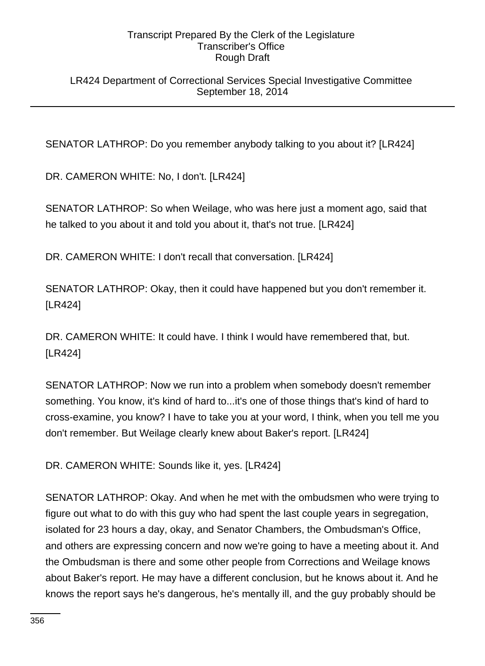LR424 Department of Correctional Services Special Investigative Committee September 18, 2014

SENATOR LATHROP: Do you remember anybody talking to you about it? [LR424]

DR. CAMERON WHITE: No, I don't. [LR424]

SENATOR LATHROP: So when Weilage, who was here just a moment ago, said that he talked to you about it and told you about it, that's not true. [LR424]

DR. CAMERON WHITE: I don't recall that conversation. [LR424]

SENATOR LATHROP: Okay, then it could have happened but you don't remember it. [LR424]

DR. CAMERON WHITE: It could have. I think I would have remembered that, but. [LR424]

SENATOR LATHROP: Now we run into a problem when somebody doesn't remember something. You know, it's kind of hard to...it's one of those things that's kind of hard to cross-examine, you know? I have to take you at your word, I think, when you tell me you don't remember. But Weilage clearly knew about Baker's report. [LR424]

DR. CAMERON WHITE: Sounds like it, yes. [LR424]

SENATOR LATHROP: Okay. And when he met with the ombudsmen who were trying to figure out what to do with this guy who had spent the last couple years in segregation, isolated for 23 hours a day, okay, and Senator Chambers, the Ombudsman's Office, and others are expressing concern and now we're going to have a meeting about it. And the Ombudsman is there and some other people from Corrections and Weilage knows about Baker's report. He may have a different conclusion, but he knows about it. And he knows the report says he's dangerous, he's mentally ill, and the guy probably should be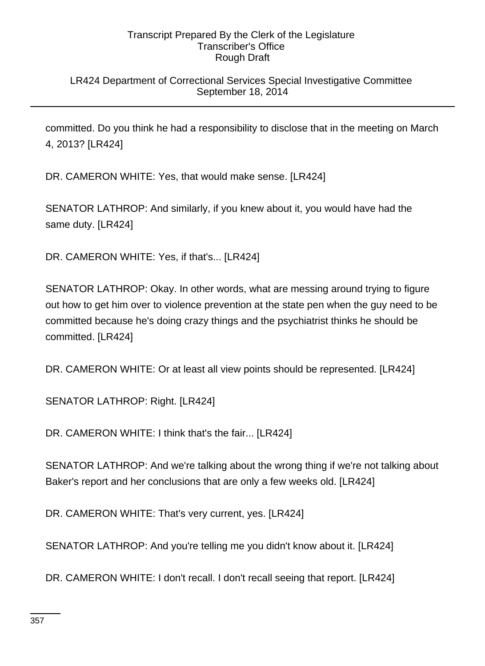# LR424 Department of Correctional Services Special Investigative Committee September 18, 2014

committed. Do you think he had a responsibility to disclose that in the meeting on March 4, 2013? [LR424]

DR. CAMERON WHITE: Yes, that would make sense. [LR424]

SENATOR LATHROP: And similarly, if you knew about it, you would have had the same duty. [LR424]

DR. CAMERON WHITE: Yes, if that's... [LR424]

SENATOR LATHROP: Okay. In other words, what are messing around trying to figure out how to get him over to violence prevention at the state pen when the guy need to be committed because he's doing crazy things and the psychiatrist thinks he should be committed. [LR424]

DR. CAMERON WHITE: Or at least all view points should be represented. [LR424]

SENATOR LATHROP: Right. [LR424]

DR. CAMERON WHITE: I think that's the fair... [LR424]

SENATOR LATHROP: And we're talking about the wrong thing if we're not talking about Baker's report and her conclusions that are only a few weeks old. [LR424]

DR. CAMERON WHITE: That's very current, yes. [LR424]

SENATOR LATHROP: And you're telling me you didn't know about it. [LR424]

DR. CAMERON WHITE: I don't recall. I don't recall seeing that report. [LR424]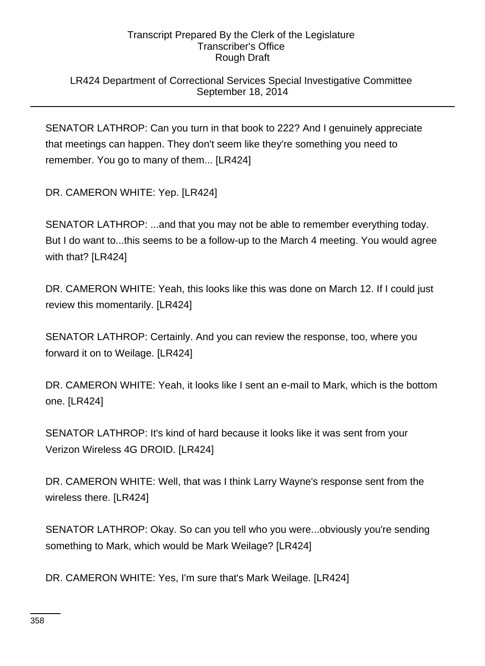# LR424 Department of Correctional Services Special Investigative Committee September 18, 2014

SENATOR LATHROP: Can you turn in that book to 222? And I genuinely appreciate that meetings can happen. They don't seem like they're something you need to remember. You go to many of them... [LR424]

DR. CAMERON WHITE: Yep. [LR424]

SENATOR LATHROP: ...and that you may not be able to remember everything today. But I do want to...this seems to be a follow-up to the March 4 meeting. You would agree with that? [LR424]

DR. CAMERON WHITE: Yeah, this looks like this was done on March 12. If I could just review this momentarily. [LR424]

SENATOR LATHROP: Certainly. And you can review the response, too, where you forward it on to Weilage. [LR424]

DR. CAMERON WHITE: Yeah, it looks like I sent an e-mail to Mark, which is the bottom one. [LR424]

SENATOR LATHROP: It's kind of hard because it looks like it was sent from your Verizon Wireless 4G DROID. [LR424]

DR. CAMERON WHITE: Well, that was I think Larry Wayne's response sent from the wireless there. [LR424]

SENATOR LATHROP: Okay. So can you tell who you were...obviously you're sending something to Mark, which would be Mark Weilage? [LR424]

DR. CAMERON WHITE: Yes, I'm sure that's Mark Weilage. [LR424]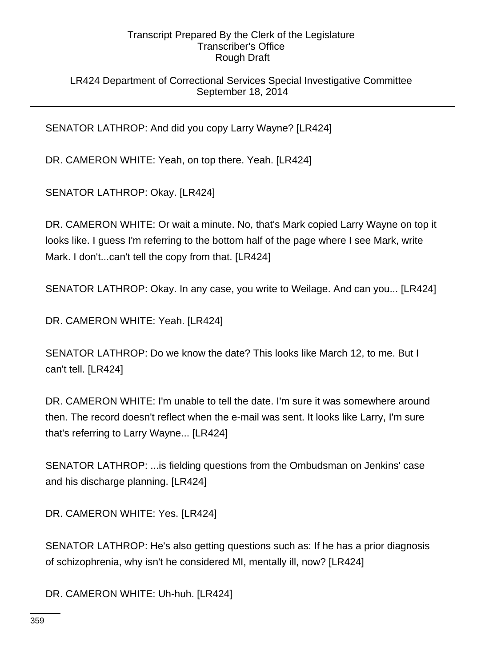# LR424 Department of Correctional Services Special Investigative Committee September 18, 2014

SENATOR LATHROP: And did you copy Larry Wayne? [LR424]

DR. CAMERON WHITE: Yeah, on top there. Yeah. [LR424]

SENATOR LATHROP: Okay. [LR424]

DR. CAMERON WHITE: Or wait a minute. No, that's Mark copied Larry Wayne on top it looks like. I guess I'm referring to the bottom half of the page where I see Mark, write Mark. I don't...can't tell the copy from that. [LR424]

SENATOR LATHROP: Okay. In any case, you write to Weilage. And can you... [LR424]

DR. CAMERON WHITE: Yeah. [LR424]

SENATOR LATHROP: Do we know the date? This looks like March 12, to me. But I can't tell. [LR424]

DR. CAMERON WHITE: I'm unable to tell the date. I'm sure it was somewhere around then. The record doesn't reflect when the e-mail was sent. It looks like Larry, I'm sure that's referring to Larry Wayne... [LR424]

SENATOR LATHROP: ...is fielding questions from the Ombudsman on Jenkins' case and his discharge planning. [LR424]

DR. CAMERON WHITE: Yes. [LR424]

SENATOR LATHROP: He's also getting questions such as: If he has a prior diagnosis of schizophrenia, why isn't he considered MI, mentally ill, now? [LR424]

DR. CAMERON WHITE: Uh-huh. [LR424]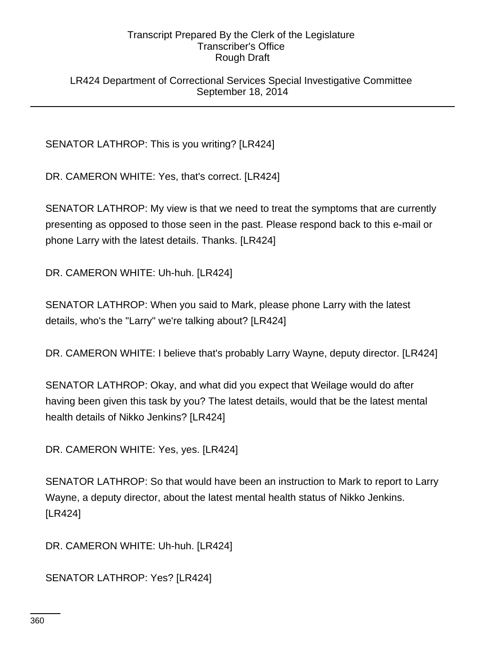LR424 Department of Correctional Services Special Investigative Committee September 18, 2014

SENATOR LATHROP: This is you writing? [LR424]

DR. CAMERON WHITE: Yes, that's correct. [LR424]

SENATOR LATHROP: My view is that we need to treat the symptoms that are currently presenting as opposed to those seen in the past. Please respond back to this e-mail or phone Larry with the latest details. Thanks. [LR424]

DR. CAMERON WHITE: Uh-huh. [LR424]

SENATOR LATHROP: When you said to Mark, please phone Larry with the latest details, who's the "Larry" we're talking about? [LR424]

DR. CAMERON WHITE: I believe that's probably Larry Wayne, deputy director. [LR424]

SENATOR LATHROP: Okay, and what did you expect that Weilage would do after having been given this task by you? The latest details, would that be the latest mental health details of Nikko Jenkins? [LR424]

DR. CAMERON WHITE: Yes, yes. [LR424]

SENATOR LATHROP: So that would have been an instruction to Mark to report to Larry Wayne, a deputy director, about the latest mental health status of Nikko Jenkins. [LR424]

DR. CAMERON WHITE: Uh-huh. [LR424]

SENATOR LATHROP: Yes? [LR424]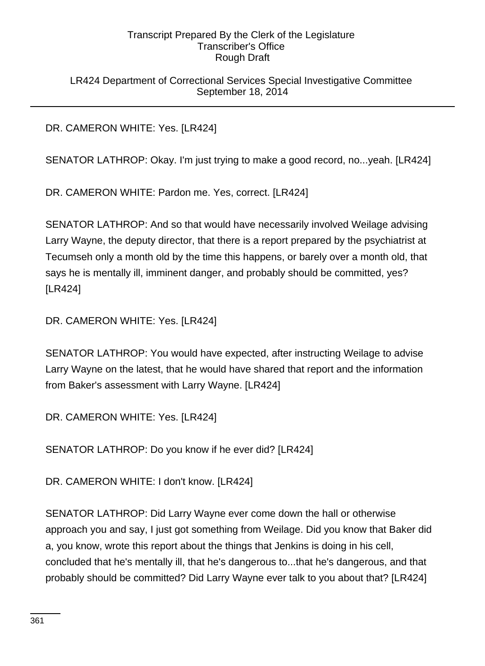LR424 Department of Correctional Services Special Investigative Committee September 18, 2014

DR. CAMERON WHITE: Yes. [LR424]

SENATOR LATHROP: Okay. I'm just trying to make a good record, no...yeah. [LR424]

DR. CAMERON WHITE: Pardon me. Yes, correct. [LR424]

SENATOR LATHROP: And so that would have necessarily involved Weilage advising Larry Wayne, the deputy director, that there is a report prepared by the psychiatrist at Tecumseh only a month old by the time this happens, or barely over a month old, that says he is mentally ill, imminent danger, and probably should be committed, yes? [LR424]

DR. CAMERON WHITE: Yes. [LR424]

SENATOR LATHROP: You would have expected, after instructing Weilage to advise Larry Wayne on the latest, that he would have shared that report and the information from Baker's assessment with Larry Wayne. [LR424]

DR. CAMERON WHITE: Yes. [LR424]

SENATOR LATHROP: Do you know if he ever did? [LR424]

DR. CAMERON WHITE: I don't know. [LR424]

SENATOR LATHROP: Did Larry Wayne ever come down the hall or otherwise approach you and say, I just got something from Weilage. Did you know that Baker did a, you know, wrote this report about the things that Jenkins is doing in his cell, concluded that he's mentally ill, that he's dangerous to...that he's dangerous, and that probably should be committed? Did Larry Wayne ever talk to you about that? [LR424]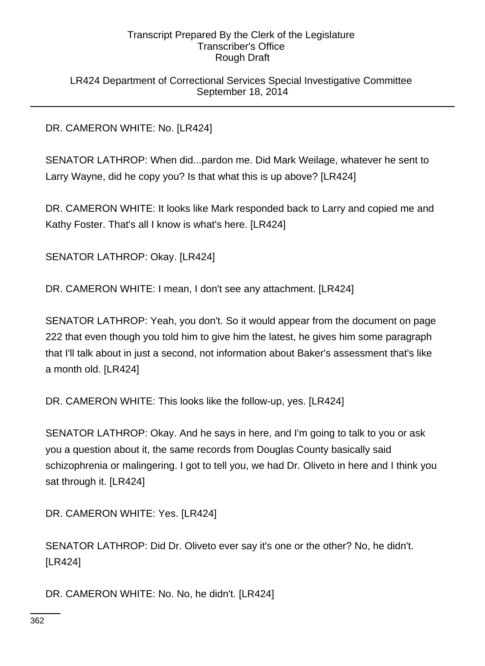LR424 Department of Correctional Services Special Investigative Committee September 18, 2014

DR. CAMERON WHITE: No. [LR424]

SENATOR LATHROP: When did...pardon me. Did Mark Weilage, whatever he sent to Larry Wayne, did he copy you? Is that what this is up above? [LR424]

DR. CAMERON WHITE: It looks like Mark responded back to Larry and copied me and Kathy Foster. That's all I know is what's here. [LR424]

SENATOR LATHROP: Okay. [LR424]

DR. CAMERON WHITE: I mean, I don't see any attachment. [LR424]

SENATOR LATHROP: Yeah, you don't. So it would appear from the document on page 222 that even though you told him to give him the latest, he gives him some paragraph that I'll talk about in just a second, not information about Baker's assessment that's like a month old. [LR424]

DR. CAMERON WHITE: This looks like the follow-up, yes. [LR424]

SENATOR LATHROP: Okay. And he says in here, and I'm going to talk to you or ask you a question about it, the same records from Douglas County basically said schizophrenia or malingering. I got to tell you, we had Dr. Oliveto in here and I think you sat through it. [LR424]

DR. CAMERON WHITE: Yes. [LR424]

SENATOR LATHROP: Did Dr. Oliveto ever say it's one or the other? No, he didn't. [LR424]

DR. CAMERON WHITE: No. No, he didn't. [LR424]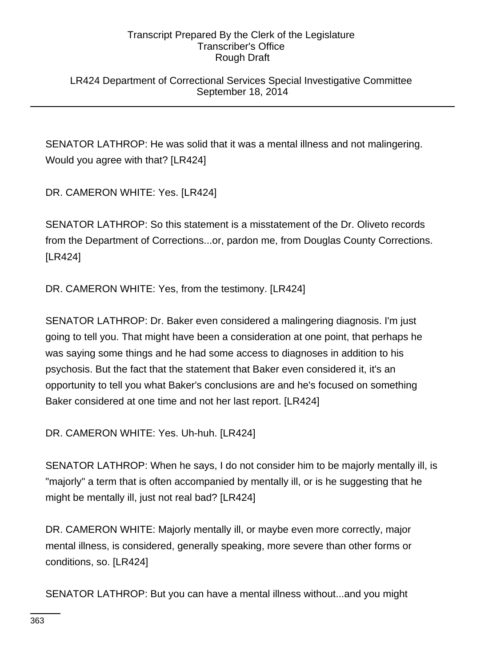LR424 Department of Correctional Services Special Investigative Committee September 18, 2014

SENATOR LATHROP: He was solid that it was a mental illness and not malingering. Would you agree with that? [LR424]

DR. CAMERON WHITE: Yes. [LR424]

SENATOR LATHROP: So this statement is a misstatement of the Dr. Oliveto records from the Department of Corrections...or, pardon me, from Douglas County Corrections. [LR424]

DR. CAMERON WHITE: Yes, from the testimony. [LR424]

SENATOR LATHROP: Dr. Baker even considered a malingering diagnosis. I'm just going to tell you. That might have been a consideration at one point, that perhaps he was saying some things and he had some access to diagnoses in addition to his psychosis. But the fact that the statement that Baker even considered it, it's an opportunity to tell you what Baker's conclusions are and he's focused on something Baker considered at one time and not her last report. [LR424]

DR. CAMERON WHITE: Yes. Uh-huh. [LR424]

SENATOR LATHROP: When he says, I do not consider him to be majorly mentally ill, is "majorly" a term that is often accompanied by mentally ill, or is he suggesting that he might be mentally ill, just not real bad? [LR424]

DR. CAMERON WHITE: Majorly mentally ill, or maybe even more correctly, major mental illness, is considered, generally speaking, more severe than other forms or conditions, so. [LR424]

SENATOR LATHROP: But you can have a mental illness without...and you might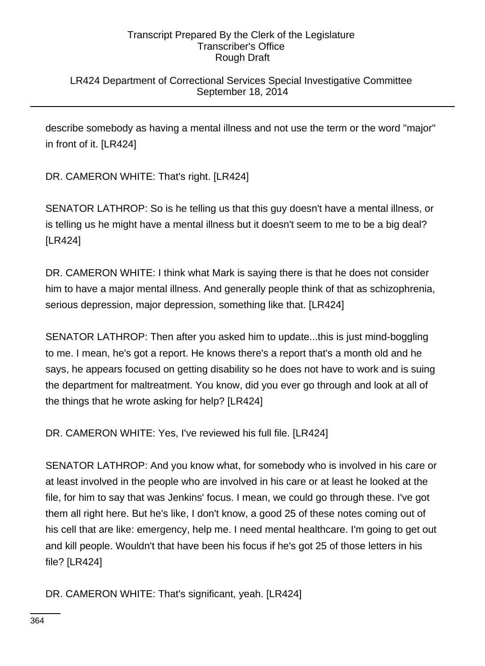# LR424 Department of Correctional Services Special Investigative Committee September 18, 2014

describe somebody as having a mental illness and not use the term or the word "major" in front of it. [LR424]

DR. CAMERON WHITE: That's right. [LR424]

SENATOR LATHROP: So is he telling us that this guy doesn't have a mental illness, or is telling us he might have a mental illness but it doesn't seem to me to be a big deal? [LR424]

DR. CAMERON WHITE: I think what Mark is saying there is that he does not consider him to have a major mental illness. And generally people think of that as schizophrenia, serious depression, major depression, something like that. [LR424]

SENATOR LATHROP: Then after you asked him to update...this is just mind-boggling to me. I mean, he's got a report. He knows there's a report that's a month old and he says, he appears focused on getting disability so he does not have to work and is suing the department for maltreatment. You know, did you ever go through and look at all of the things that he wrote asking for help? [LR424]

DR. CAMERON WHITE: Yes, I've reviewed his full file. [LR424]

SENATOR LATHROP: And you know what, for somebody who is involved in his care or at least involved in the people who are involved in his care or at least he looked at the file, for him to say that was Jenkins' focus. I mean, we could go through these. I've got them all right here. But he's like, I don't know, a good 25 of these notes coming out of his cell that are like: emergency, help me. I need mental healthcare. I'm going to get out and kill people. Wouldn't that have been his focus if he's got 25 of those letters in his file? [LR424]

DR. CAMERON WHITE: That's significant, yeah. [LR424]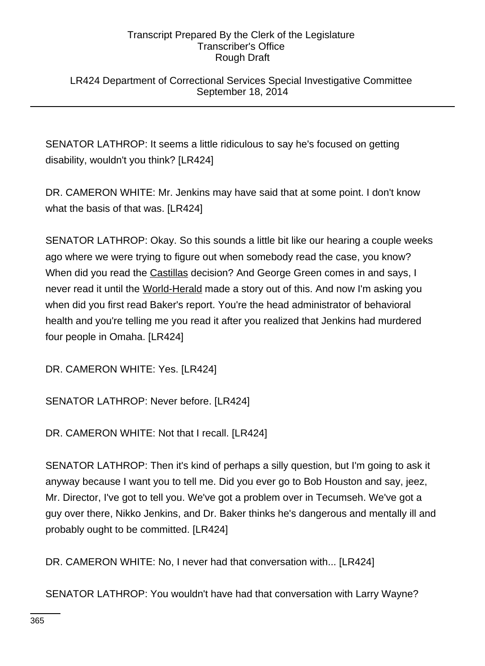LR424 Department of Correctional Services Special Investigative Committee September 18, 2014

SENATOR LATHROP: It seems a little ridiculous to say he's focused on getting disability, wouldn't you think? [LR424]

DR. CAMERON WHITE: Mr. Jenkins may have said that at some point. I don't know what the basis of that was. [LR424]

SENATOR LATHROP: Okay. So this sounds a little bit like our hearing a couple weeks ago where we were trying to figure out when somebody read the case, you know? When did you read the Castillas decision? And George Green comes in and says, I never read it until the World-Herald made a story out of this. And now I'm asking you when did you first read Baker's report. You're the head administrator of behavioral health and you're telling me you read it after you realized that Jenkins had murdered four people in Omaha. [LR424]

DR. CAMERON WHITE: Yes. [LR424]

SENATOR LATHROP: Never before. [LR424]

DR. CAMERON WHITE: Not that I recall. [LR424]

SENATOR LATHROP: Then it's kind of perhaps a silly question, but I'm going to ask it anyway because I want you to tell me. Did you ever go to Bob Houston and say, jeez, Mr. Director, I've got to tell you. We've got a problem over in Tecumseh. We've got a guy over there, Nikko Jenkins, and Dr. Baker thinks he's dangerous and mentally ill and probably ought to be committed. [LR424]

DR. CAMERON WHITE: No, I never had that conversation with... [LR424]

SENATOR LATHROP: You wouldn't have had that conversation with Larry Wayne?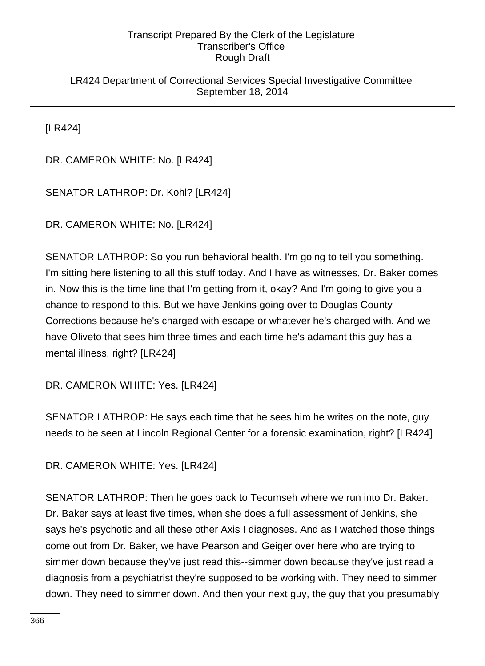LR424 Department of Correctional Services Special Investigative Committee September 18, 2014

[LR424]

DR. CAMERON WHITE: No. [LR424]

SENATOR LATHROP: Dr. Kohl? [LR424]

DR. CAMERON WHITE: No. [LR424]

SENATOR LATHROP: So you run behavioral health. I'm going to tell you something. I'm sitting here listening to all this stuff today. And I have as witnesses, Dr. Baker comes in. Now this is the time line that I'm getting from it, okay? And I'm going to give you a chance to respond to this. But we have Jenkins going over to Douglas County Corrections because he's charged with escape or whatever he's charged with. And we have Oliveto that sees him three times and each time he's adamant this guy has a mental illness, right? [LR424]

DR. CAMERON WHITE: Yes. [LR424]

SENATOR LATHROP: He says each time that he sees him he writes on the note, guy needs to be seen at Lincoln Regional Center for a forensic examination, right? [LR424]

DR. CAMERON WHITE: Yes. [LR424]

SENATOR LATHROP: Then he goes back to Tecumseh where we run into Dr. Baker. Dr. Baker says at least five times, when she does a full assessment of Jenkins, she says he's psychotic and all these other Axis I diagnoses. And as I watched those things come out from Dr. Baker, we have Pearson and Geiger over here who are trying to simmer down because they've just read this--simmer down because they've just read a diagnosis from a psychiatrist they're supposed to be working with. They need to simmer down. They need to simmer down. And then your next guy, the guy that you presumably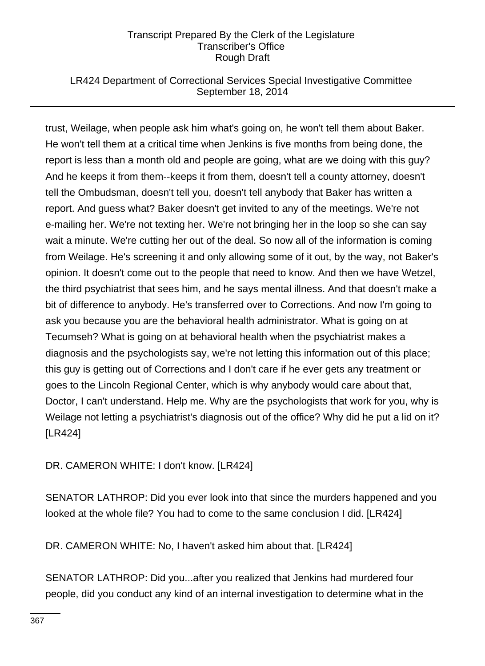# LR424 Department of Correctional Services Special Investigative Committee September 18, 2014

trust, Weilage, when people ask him what's going on, he won't tell them about Baker. He won't tell them at a critical time when Jenkins is five months from being done, the report is less than a month old and people are going, what are we doing with this guy? And he keeps it from them--keeps it from them, doesn't tell a county attorney, doesn't tell the Ombudsman, doesn't tell you, doesn't tell anybody that Baker has written a report. And guess what? Baker doesn't get invited to any of the meetings. We're not e-mailing her. We're not texting her. We're not bringing her in the loop so she can say wait a minute. We're cutting her out of the deal. So now all of the information is coming from Weilage. He's screening it and only allowing some of it out, by the way, not Baker's opinion. It doesn't come out to the people that need to know. And then we have Wetzel, the third psychiatrist that sees him, and he says mental illness. And that doesn't make a bit of difference to anybody. He's transferred over to Corrections. And now I'm going to ask you because you are the behavioral health administrator. What is going on at Tecumseh? What is going on at behavioral health when the psychiatrist makes a diagnosis and the psychologists say, we're not letting this information out of this place; this guy is getting out of Corrections and I don't care if he ever gets any treatment or goes to the Lincoln Regional Center, which is why anybody would care about that, Doctor, I can't understand. Help me. Why are the psychologists that work for you, why is Weilage not letting a psychiatrist's diagnosis out of the office? Why did he put a lid on it? [LR424]

DR. CAMERON WHITE: I don't know. [LR424]

SENATOR LATHROP: Did you ever look into that since the murders happened and you looked at the whole file? You had to come to the same conclusion I did. [LR424]

DR. CAMERON WHITE: No, I haven't asked him about that. [LR424]

SENATOR LATHROP: Did you...after you realized that Jenkins had murdered four people, did you conduct any kind of an internal investigation to determine what in the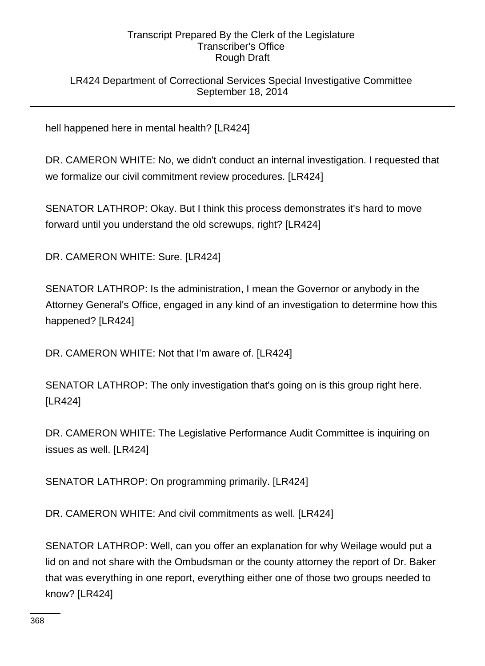LR424 Department of Correctional Services Special Investigative Committee September 18, 2014

hell happened here in mental health? [LR424]

DR. CAMERON WHITE: No, we didn't conduct an internal investigation. I requested that we formalize our civil commitment review procedures. [LR424]

SENATOR LATHROP: Okay. But I think this process demonstrates it's hard to move forward until you understand the old screwups, right? [LR424]

DR. CAMERON WHITE: Sure. [LR424]

SENATOR LATHROP: Is the administration, I mean the Governor or anybody in the Attorney General's Office, engaged in any kind of an investigation to determine how this happened? [LR424]

DR. CAMERON WHITE: Not that I'm aware of. [LR424]

SENATOR LATHROP: The only investigation that's going on is this group right here. [LR424]

DR. CAMERON WHITE: The Legislative Performance Audit Committee is inquiring on issues as well. [LR424]

SENATOR LATHROP: On programming primarily. [LR424]

DR. CAMERON WHITE: And civil commitments as well. [LR424]

SENATOR LATHROP: Well, can you offer an explanation for why Weilage would put a lid on and not share with the Ombudsman or the county attorney the report of Dr. Baker that was everything in one report, everything either one of those two groups needed to know? [LR424]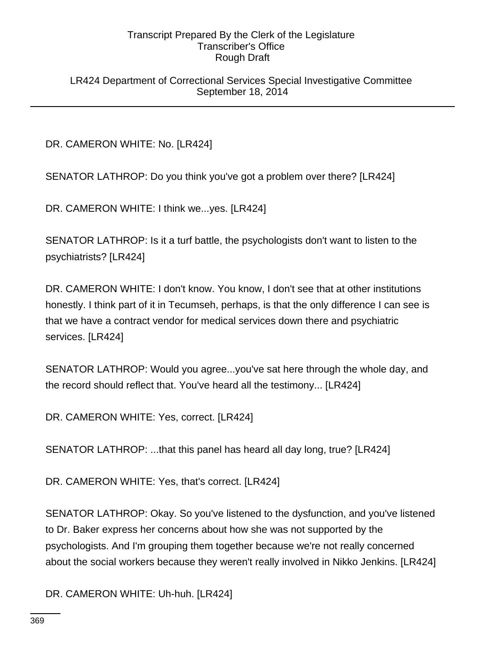LR424 Department of Correctional Services Special Investigative Committee September 18, 2014

DR. CAMERON WHITE: No. [LR424]

SENATOR LATHROP: Do you think you've got a problem over there? [LR424]

DR. CAMERON WHITE: I think we...yes. [LR424]

SENATOR LATHROP: Is it a turf battle, the psychologists don't want to listen to the psychiatrists? [LR424]

DR. CAMERON WHITE: I don't know. You know, I don't see that at other institutions honestly. I think part of it in Tecumseh, perhaps, is that the only difference I can see is that we have a contract vendor for medical services down there and psychiatric services. [LR424]

SENATOR LATHROP: Would you agree...you've sat here through the whole day, and the record should reflect that. You've heard all the testimony... [LR424]

DR. CAMERON WHITE: Yes, correct. [LR424]

SENATOR LATHROP: ...that this panel has heard all day long, true? [LR424]

DR. CAMERON WHITE: Yes, that's correct. [LR424]

SENATOR LATHROP: Okay. So you've listened to the dysfunction, and you've listened to Dr. Baker express her concerns about how she was not supported by the psychologists. And I'm grouping them together because we're not really concerned about the social workers because they weren't really involved in Nikko Jenkins. [LR424]

DR. CAMERON WHITE: Uh-huh. [LR424]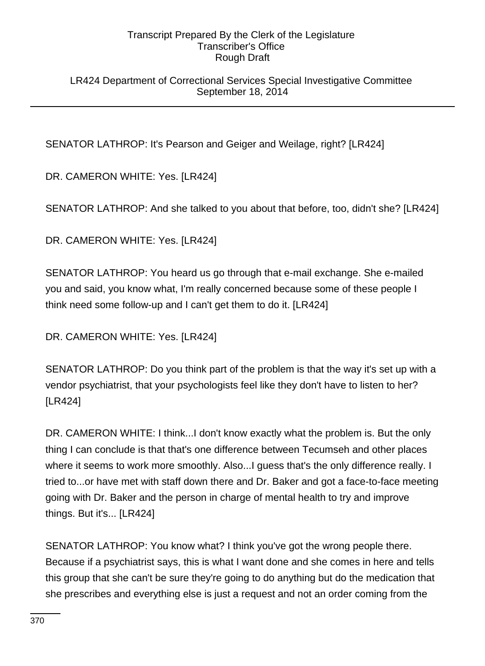LR424 Department of Correctional Services Special Investigative Committee September 18, 2014

SENATOR LATHROP: It's Pearson and Geiger and Weilage, right? [LR424]

DR. CAMERON WHITE: Yes. [LR424]

SENATOR LATHROP: And she talked to you about that before, too, didn't she? [LR424]

DR. CAMERON WHITE: Yes. [LR424]

SENATOR LATHROP: You heard us go through that e-mail exchange. She e-mailed you and said, you know what, I'm really concerned because some of these people I think need some follow-up and I can't get them to do it. [LR424]

DR. CAMERON WHITE: Yes. [LR424]

SENATOR LATHROP: Do you think part of the problem is that the way it's set up with a vendor psychiatrist, that your psychologists feel like they don't have to listen to her? [LR424]

DR. CAMERON WHITE: I think...I don't know exactly what the problem is. But the only thing I can conclude is that that's one difference between Tecumseh and other places where it seems to work more smoothly. Also...I guess that's the only difference really. I tried to...or have met with staff down there and Dr. Baker and got a face-to-face meeting going with Dr. Baker and the person in charge of mental health to try and improve things. But it's... [LR424]

SENATOR LATHROP: You know what? I think you've got the wrong people there. Because if a psychiatrist says, this is what I want done and she comes in here and tells this group that she can't be sure they're going to do anything but do the medication that she prescribes and everything else is just a request and not an order coming from the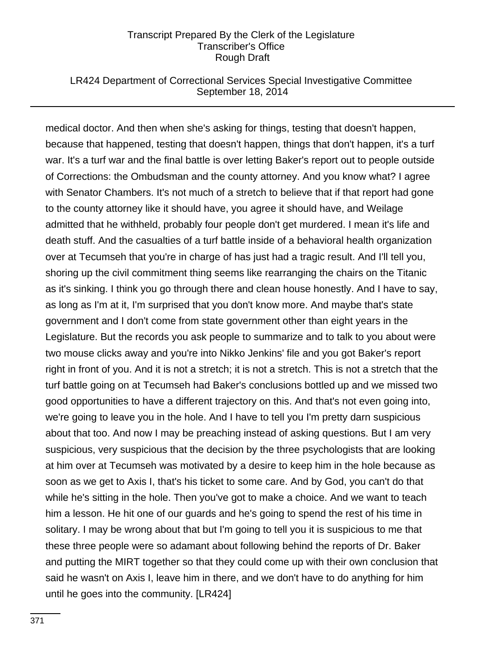### LR424 Department of Correctional Services Special Investigative Committee September 18, 2014

medical doctor. And then when she's asking for things, testing that doesn't happen, because that happened, testing that doesn't happen, things that don't happen, it's a turf war. It's a turf war and the final battle is over letting Baker's report out to people outside of Corrections: the Ombudsman and the county attorney. And you know what? I agree with Senator Chambers. It's not much of a stretch to believe that if that report had gone to the county attorney like it should have, you agree it should have, and Weilage admitted that he withheld, probably four people don't get murdered. I mean it's life and death stuff. And the casualties of a turf battle inside of a behavioral health organization over at Tecumseh that you're in charge of has just had a tragic result. And I'll tell you, shoring up the civil commitment thing seems like rearranging the chairs on the Titanic as it's sinking. I think you go through there and clean house honestly. And I have to say, as long as I'm at it, I'm surprised that you don't know more. And maybe that's state government and I don't come from state government other than eight years in the Legislature. But the records you ask people to summarize and to talk to you about were two mouse clicks away and you're into Nikko Jenkins' file and you got Baker's report right in front of you. And it is not a stretch; it is not a stretch. This is not a stretch that the turf battle going on at Tecumseh had Baker's conclusions bottled up and we missed two good opportunities to have a different trajectory on this. And that's not even going into, we're going to leave you in the hole. And I have to tell you I'm pretty darn suspicious about that too. And now I may be preaching instead of asking questions. But I am very suspicious, very suspicious that the decision by the three psychologists that are looking at him over at Tecumseh was motivated by a desire to keep him in the hole because as soon as we get to Axis I, that's his ticket to some care. And by God, you can't do that while he's sitting in the hole. Then you've got to make a choice. And we want to teach him a lesson. He hit one of our guards and he's going to spend the rest of his time in solitary. I may be wrong about that but I'm going to tell you it is suspicious to me that these three people were so adamant about following behind the reports of Dr. Baker and putting the MIRT together so that they could come up with their own conclusion that said he wasn't on Axis I, leave him in there, and we don't have to do anything for him until he goes into the community. [LR424]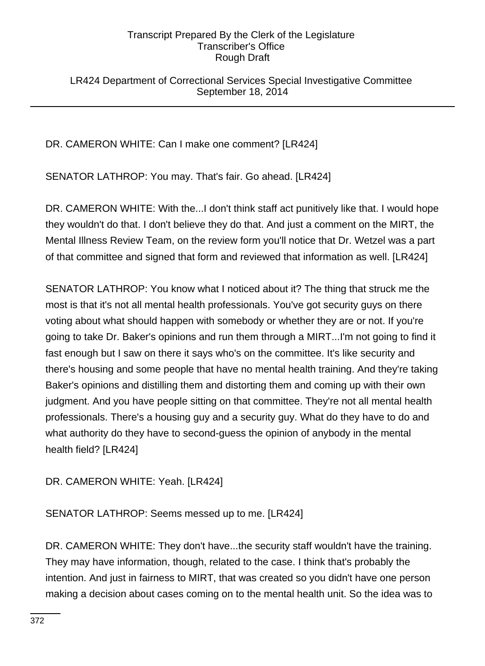LR424 Department of Correctional Services Special Investigative Committee September 18, 2014

DR. CAMERON WHITE: Can I make one comment? [LR424]

SENATOR LATHROP: You may. That's fair. Go ahead. [LR424]

DR. CAMERON WHITE: With the...I don't think staff act punitively like that. I would hope they wouldn't do that. I don't believe they do that. And just a comment on the MIRT, the Mental Illness Review Team, on the review form you'll notice that Dr. Wetzel was a part of that committee and signed that form and reviewed that information as well. [LR424]

SENATOR LATHROP: You know what I noticed about it? The thing that struck me the most is that it's not all mental health professionals. You've got security guys on there voting about what should happen with somebody or whether they are or not. If you're going to take Dr. Baker's opinions and run them through a MIRT...I'm not going to find it fast enough but I saw on there it says who's on the committee. It's like security and there's housing and some people that have no mental health training. And they're taking Baker's opinions and distilling them and distorting them and coming up with their own judgment. And you have people sitting on that committee. They're not all mental health professionals. There's a housing guy and a security guy. What do they have to do and what authority do they have to second-guess the opinion of anybody in the mental health field? [LR424]

DR. CAMERON WHITE: Yeah. [LR424]

SENATOR LATHROP: Seems messed up to me. [LR424]

DR. CAMERON WHITE: They don't have...the security staff wouldn't have the training. They may have information, though, related to the case. I think that's probably the intention. And just in fairness to MIRT, that was created so you didn't have one person making a decision about cases coming on to the mental health unit. So the idea was to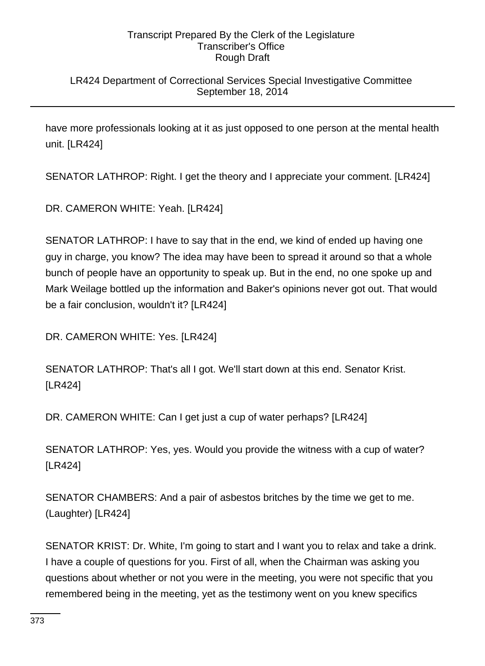# LR424 Department of Correctional Services Special Investigative Committee September 18, 2014

have more professionals looking at it as just opposed to one person at the mental health unit. [LR424]

SENATOR LATHROP: Right. I get the theory and I appreciate your comment. [LR424]

DR. CAMERON WHITE: Yeah. [LR424]

SENATOR LATHROP: I have to say that in the end, we kind of ended up having one guy in charge, you know? The idea may have been to spread it around so that a whole bunch of people have an opportunity to speak up. But in the end, no one spoke up and Mark Weilage bottled up the information and Baker's opinions never got out. That would be a fair conclusion, wouldn't it? [LR424]

DR. CAMERON WHITE: Yes. [LR424]

SENATOR LATHROP: That's all I got. We'll start down at this end. Senator Krist. [LR424]

DR. CAMERON WHITE: Can I get just a cup of water perhaps? [LR424]

SENATOR LATHROP: Yes, yes. Would you provide the witness with a cup of water? [LR424]

SENATOR CHAMBERS: And a pair of asbestos britches by the time we get to me. (Laughter) [LR424]

SENATOR KRIST: Dr. White, I'm going to start and I want you to relax and take a drink. I have a couple of questions for you. First of all, when the Chairman was asking you questions about whether or not you were in the meeting, you were not specific that you remembered being in the meeting, yet as the testimony went on you knew specifics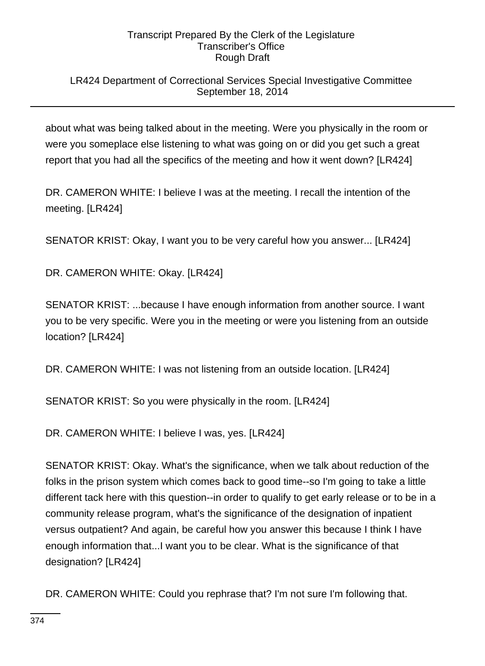# LR424 Department of Correctional Services Special Investigative Committee September 18, 2014

about what was being talked about in the meeting. Were you physically in the room or were you someplace else listening to what was going on or did you get such a great report that you had all the specifics of the meeting and how it went down? [LR424]

DR. CAMERON WHITE: I believe I was at the meeting. I recall the intention of the meeting. [LR424]

SENATOR KRIST: Okay, I want you to be very careful how you answer... [LR424]

DR. CAMERON WHITE: Okay. [LR424]

SENATOR KRIST: ...because I have enough information from another source. I want you to be very specific. Were you in the meeting or were you listening from an outside location? [LR424]

DR. CAMERON WHITE: I was not listening from an outside location. [LR424]

SENATOR KRIST: So you were physically in the room. [LR424]

DR. CAMERON WHITE: I believe I was, yes. [LR424]

SENATOR KRIST: Okay. What's the significance, when we talk about reduction of the folks in the prison system which comes back to good time--so I'm going to take a little different tack here with this question--in order to qualify to get early release or to be in a community release program, what's the significance of the designation of inpatient versus outpatient? And again, be careful how you answer this because I think I have enough information that...I want you to be clear. What is the significance of that designation? [LR424]

DR. CAMERON WHITE: Could you rephrase that? I'm not sure I'm following that.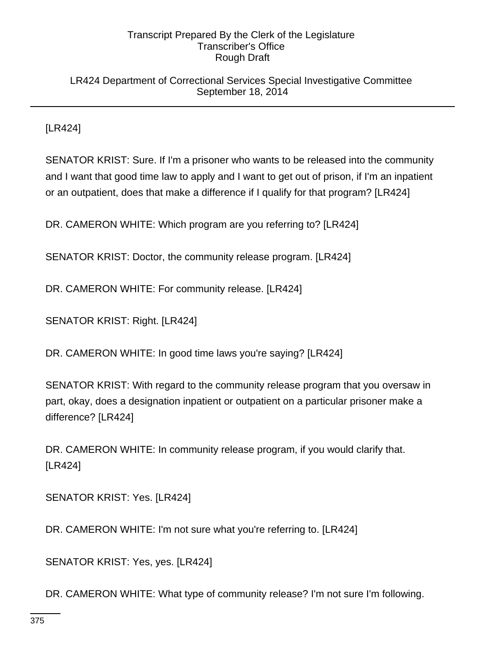### LR424 Department of Correctional Services Special Investigative Committee September 18, 2014

[LR424]

SENATOR KRIST: Sure. If I'm a prisoner who wants to be released into the community and I want that good time law to apply and I want to get out of prison, if I'm an inpatient or an outpatient, does that make a difference if I qualify for that program? [LR424]

DR. CAMERON WHITE: Which program are you referring to? [LR424]

SENATOR KRIST: Doctor, the community release program. [LR424]

DR. CAMERON WHITE: For community release. [LR424]

SENATOR KRIST: Right. [LR424]

DR. CAMERON WHITE: In good time laws you're saying? [LR424]

SENATOR KRIST: With regard to the community release program that you oversaw in part, okay, does a designation inpatient or outpatient on a particular prisoner make a difference? [LR424]

DR. CAMERON WHITE: In community release program, if you would clarify that. [LR424]

SENATOR KRIST: Yes. [LR424]

DR. CAMERON WHITE: I'm not sure what you're referring to. [LR424]

SENATOR KRIST: Yes, yes. [LR424]

DR. CAMERON WHITE: What type of community release? I'm not sure I'm following.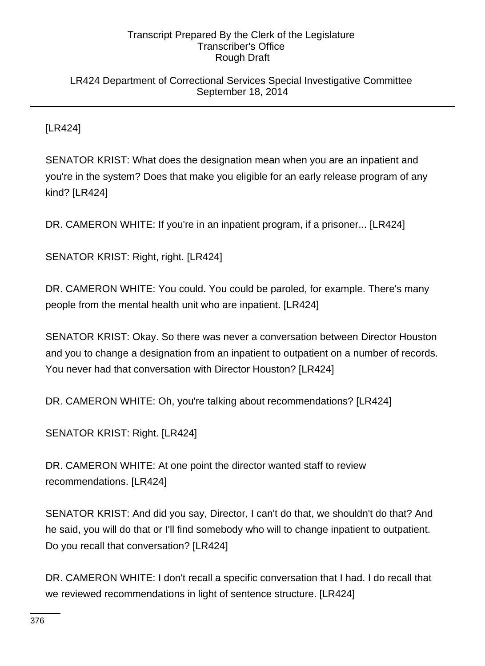LR424 Department of Correctional Services Special Investigative Committee September 18, 2014

[LR424]

SENATOR KRIST: What does the designation mean when you are an inpatient and you're in the system? Does that make you eligible for an early release program of any kind? [LR424]

DR. CAMERON WHITE: If you're in an inpatient program, if a prisoner... [LR424]

SENATOR KRIST: Right, right. [LR424]

DR. CAMERON WHITE: You could. You could be paroled, for example. There's many people from the mental health unit who are inpatient. [LR424]

SENATOR KRIST: Okay. So there was never a conversation between Director Houston and you to change a designation from an inpatient to outpatient on a number of records. You never had that conversation with Director Houston? [LR424]

DR. CAMERON WHITE: Oh, you're talking about recommendations? [LR424]

SENATOR KRIST: Right. [LR424]

DR. CAMERON WHITE: At one point the director wanted staff to review recommendations. [LR424]

SENATOR KRIST: And did you say, Director, I can't do that, we shouldn't do that? And he said, you will do that or I'll find somebody who will to change inpatient to outpatient. Do you recall that conversation? [LR424]

DR. CAMERON WHITE: I don't recall a specific conversation that I had. I do recall that we reviewed recommendations in light of sentence structure. [LR424]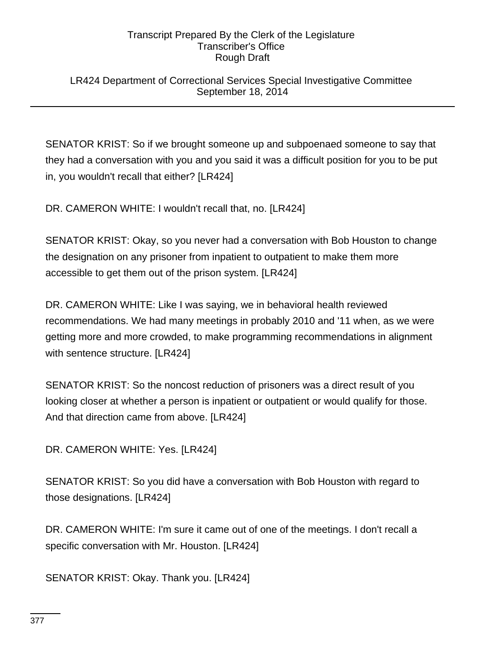LR424 Department of Correctional Services Special Investigative Committee September 18, 2014

SENATOR KRIST: So if we brought someone up and subpoenaed someone to say that they had a conversation with you and you said it was a difficult position for you to be put in, you wouldn't recall that either? [LR424]

DR. CAMERON WHITE: I wouldn't recall that, no. [LR424]

SENATOR KRIST: Okay, so you never had a conversation with Bob Houston to change the designation on any prisoner from inpatient to outpatient to make them more accessible to get them out of the prison system. [LR424]

DR. CAMERON WHITE: Like I was saying, we in behavioral health reviewed recommendations. We had many meetings in probably 2010 and '11 when, as we were getting more and more crowded, to make programming recommendations in alignment with sentence structure. [LR424]

SENATOR KRIST: So the noncost reduction of prisoners was a direct result of you looking closer at whether a person is inpatient or outpatient or would qualify for those. And that direction came from above. [LR424]

DR. CAMERON WHITE: Yes. [LR424]

SENATOR KRIST: So you did have a conversation with Bob Houston with regard to those designations. [LR424]

DR. CAMERON WHITE: I'm sure it came out of one of the meetings. I don't recall a specific conversation with Mr. Houston. [LR424]

SENATOR KRIST: Okay. Thank you. [LR424]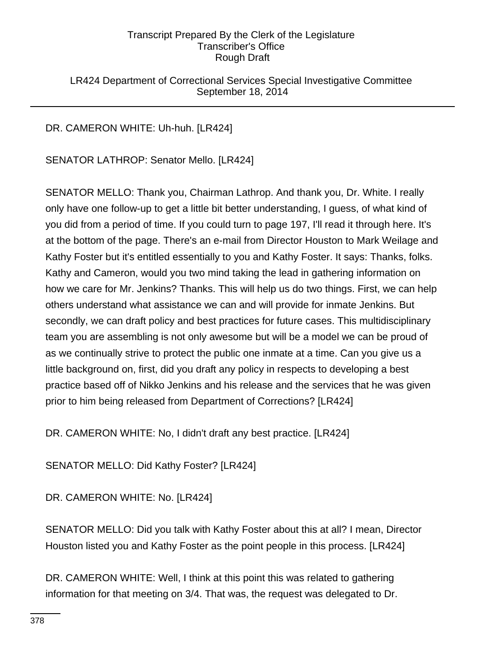LR424 Department of Correctional Services Special Investigative Committee September 18, 2014

# DR. CAMERON WHITE: Uh-huh. [LR424]

SENATOR LATHROP: Senator Mello. [LR424]

SENATOR MELLO: Thank you, Chairman Lathrop. And thank you, Dr. White. I really only have one follow-up to get a little bit better understanding, I guess, of what kind of you did from a period of time. If you could turn to page 197, I'll read it through here. It's at the bottom of the page. There's an e-mail from Director Houston to Mark Weilage and Kathy Foster but it's entitled essentially to you and Kathy Foster. It says: Thanks, folks. Kathy and Cameron, would you two mind taking the lead in gathering information on how we care for Mr. Jenkins? Thanks. This will help us do two things. First, we can help others understand what assistance we can and will provide for inmate Jenkins. But secondly, we can draft policy and best practices for future cases. This multidisciplinary team you are assembling is not only awesome but will be a model we can be proud of as we continually strive to protect the public one inmate at a time. Can you give us a little background on, first, did you draft any policy in respects to developing a best practice based off of Nikko Jenkins and his release and the services that he was given prior to him being released from Department of Corrections? [LR424]

DR. CAMERON WHITE: No, I didn't draft any best practice. [LR424]

SENATOR MELLO: Did Kathy Foster? [LR424]

DR. CAMERON WHITE: No. [LR424]

SENATOR MELLO: Did you talk with Kathy Foster about this at all? I mean, Director Houston listed you and Kathy Foster as the point people in this process. [LR424]

DR. CAMERON WHITE: Well, I think at this point this was related to gathering information for that meeting on 3/4. That was, the request was delegated to Dr.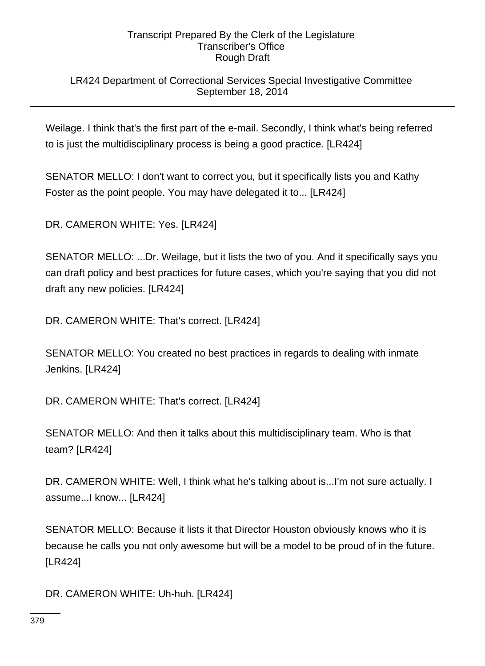# LR424 Department of Correctional Services Special Investigative Committee September 18, 2014

Weilage. I think that's the first part of the e-mail. Secondly, I think what's being referred to is just the multidisciplinary process is being a good practice. [LR424]

SENATOR MELLO: I don't want to correct you, but it specifically lists you and Kathy Foster as the point people. You may have delegated it to... [LR424]

DR. CAMERON WHITE: Yes. [LR424]

SENATOR MELLO: ...Dr. Weilage, but it lists the two of you. And it specifically says you can draft policy and best practices for future cases, which you're saying that you did not draft any new policies. [LR424]

DR. CAMERON WHITE: That's correct. [LR424]

SENATOR MELLO: You created no best practices in regards to dealing with inmate Jenkins. [LR424]

DR. CAMERON WHITE: That's correct. [LR424]

SENATOR MELLO: And then it talks about this multidisciplinary team. Who is that team? [LR424]

DR. CAMERON WHITE: Well, I think what he's talking about is...I'm not sure actually. I assume...I know... [LR424]

SENATOR MELLO: Because it lists it that Director Houston obviously knows who it is because he calls you not only awesome but will be a model to be proud of in the future. [LR424]

DR. CAMERON WHITE: Uh-huh. [LR424]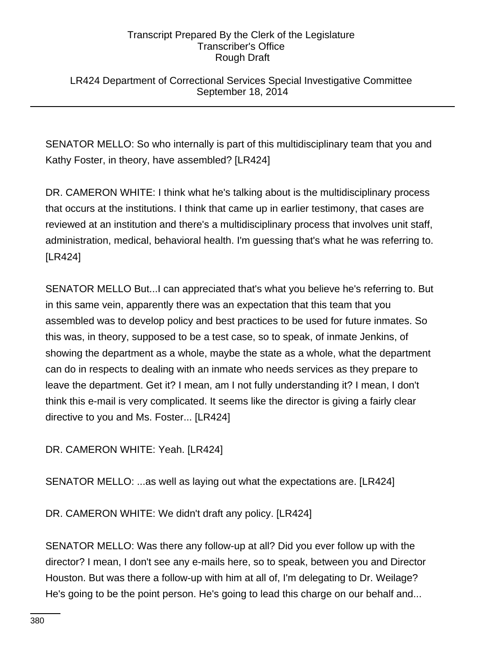LR424 Department of Correctional Services Special Investigative Committee September 18, 2014

SENATOR MELLO: So who internally is part of this multidisciplinary team that you and Kathy Foster, in theory, have assembled? [LR424]

DR. CAMERON WHITE: I think what he's talking about is the multidisciplinary process that occurs at the institutions. I think that came up in earlier testimony, that cases are reviewed at an institution and there's a multidisciplinary process that involves unit staff, administration, medical, behavioral health. I'm guessing that's what he was referring to. [LR424]

SENATOR MELLO But...I can appreciated that's what you believe he's referring to. But in this same vein, apparently there was an expectation that this team that you assembled was to develop policy and best practices to be used for future inmates. So this was, in theory, supposed to be a test case, so to speak, of inmate Jenkins, of showing the department as a whole, maybe the state as a whole, what the department can do in respects to dealing with an inmate who needs services as they prepare to leave the department. Get it? I mean, am I not fully understanding it? I mean, I don't think this e-mail is very complicated. It seems like the director is giving a fairly clear directive to you and Ms. Foster... [LR424]

DR. CAMERON WHITE: Yeah. [LR424]

SENATOR MELLO: ...as well as laying out what the expectations are. [LR424]

DR. CAMERON WHITE: We didn't draft any policy. [LR424]

SENATOR MELLO: Was there any follow-up at all? Did you ever follow up with the director? I mean, I don't see any e-mails here, so to speak, between you and Director Houston. But was there a follow-up with him at all of, I'm delegating to Dr. Weilage? He's going to be the point person. He's going to lead this charge on our behalf and...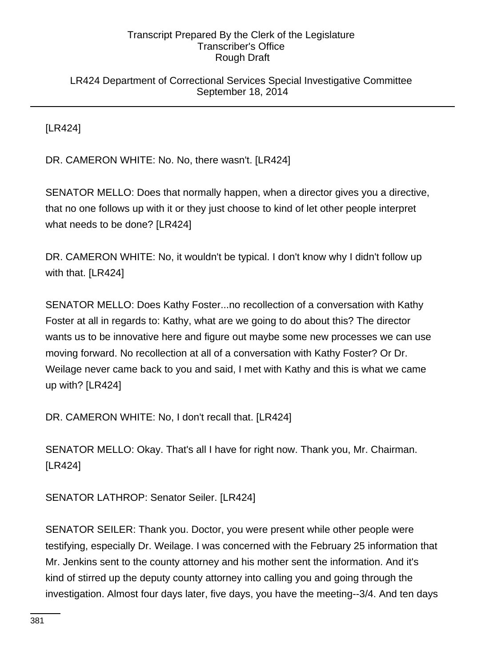### LR424 Department of Correctional Services Special Investigative Committee September 18, 2014

[LR424]

DR. CAMERON WHITE: No. No, there wasn't. [LR424]

SENATOR MELLO: Does that normally happen, when a director gives you a directive, that no one follows up with it or they just choose to kind of let other people interpret what needs to be done? [LR424]

DR. CAMERON WHITE: No, it wouldn't be typical. I don't know why I didn't follow up with that. [LR424]

SENATOR MELLO: Does Kathy Foster...no recollection of a conversation with Kathy Foster at all in regards to: Kathy, what are we going to do about this? The director wants us to be innovative here and figure out maybe some new processes we can use moving forward. No recollection at all of a conversation with Kathy Foster? Or Dr. Weilage never came back to you and said, I met with Kathy and this is what we came up with? [LR424]

DR. CAMERON WHITE: No, I don't recall that. [LR424]

SENATOR MELLO: Okay. That's all I have for right now. Thank you, Mr. Chairman. [LR424]

SENATOR LATHROP: Senator Seiler. [LR424]

SENATOR SEILER: Thank you. Doctor, you were present while other people were testifying, especially Dr. Weilage. I was concerned with the February 25 information that Mr. Jenkins sent to the county attorney and his mother sent the information. And it's kind of stirred up the deputy county attorney into calling you and going through the investigation. Almost four days later, five days, you have the meeting--3/4. And ten days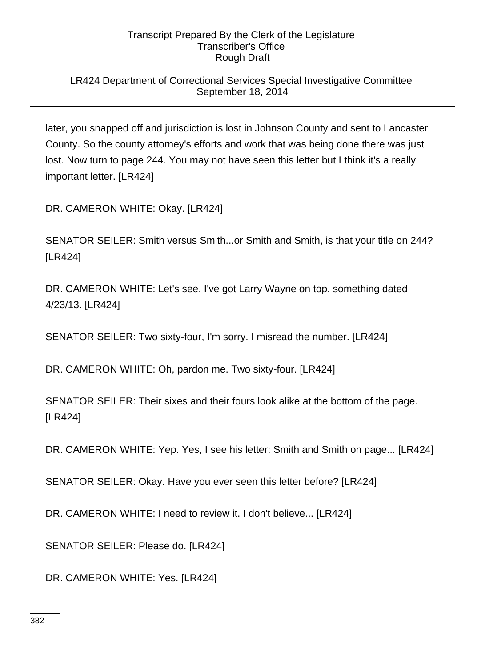# LR424 Department of Correctional Services Special Investigative Committee September 18, 2014

later, you snapped off and jurisdiction is lost in Johnson County and sent to Lancaster County. So the county attorney's efforts and work that was being done there was just lost. Now turn to page 244. You may not have seen this letter but I think it's a really important letter. [LR424]

DR. CAMERON WHITE: Okay. [LR424]

SENATOR SEILER: Smith versus Smith...or Smith and Smith, is that your title on 244? [LR424]

DR. CAMERON WHITE: Let's see. I've got Larry Wayne on top, something dated 4/23/13. [LR424]

SENATOR SEILER: Two sixty-four, I'm sorry. I misread the number. [LR424]

DR. CAMERON WHITE: Oh, pardon me. Two sixty-four. [LR424]

SENATOR SEILER: Their sixes and their fours look alike at the bottom of the page. [LR424]

DR. CAMERON WHITE: Yep. Yes, I see his letter: Smith and Smith on page... [LR424]

SENATOR SEILER: Okay. Have you ever seen this letter before? [LR424]

DR. CAMERON WHITE: I need to review it. I don't believe... [LR424]

SENATOR SEILER: Please do. [LR424]

DR. CAMERON WHITE: Yes. [LR424]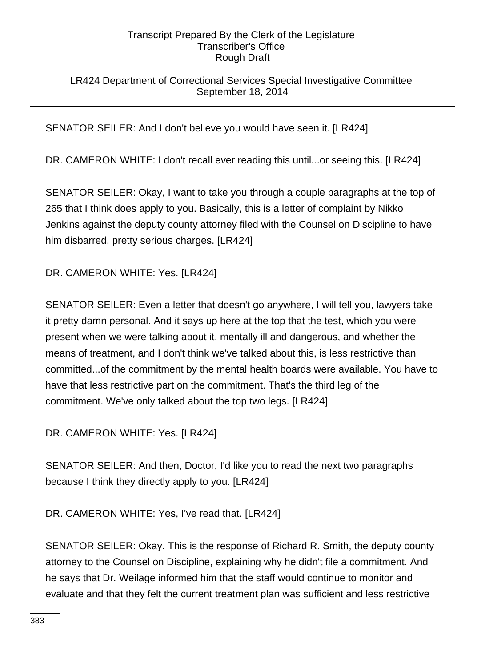# LR424 Department of Correctional Services Special Investigative Committee September 18, 2014

SENATOR SEILER: And I don't believe you would have seen it. [LR424]

DR. CAMERON WHITE: I don't recall ever reading this until...or seeing this. [LR424]

SENATOR SEILER: Okay, I want to take you through a couple paragraphs at the top of 265 that I think does apply to you. Basically, this is a letter of complaint by Nikko Jenkins against the deputy county attorney filed with the Counsel on Discipline to have him disbarred, pretty serious charges. [LR424]

DR. CAMERON WHITE: Yes. [LR424]

SENATOR SEILER: Even a letter that doesn't go anywhere, I will tell you, lawyers take it pretty damn personal. And it says up here at the top that the test, which you were present when we were talking about it, mentally ill and dangerous, and whether the means of treatment, and I don't think we've talked about this, is less restrictive than committed...of the commitment by the mental health boards were available. You have to have that less restrictive part on the commitment. That's the third leg of the commitment. We've only talked about the top two legs. [LR424]

DR. CAMERON WHITE: Yes. [LR424]

SENATOR SEILER: And then, Doctor, I'd like you to read the next two paragraphs because I think they directly apply to you. [LR424]

DR. CAMERON WHITE: Yes, I've read that. [LR424]

SENATOR SEILER: Okay. This is the response of Richard R. Smith, the deputy county attorney to the Counsel on Discipline, explaining why he didn't file a commitment. And he says that Dr. Weilage informed him that the staff would continue to monitor and evaluate and that they felt the current treatment plan was sufficient and less restrictive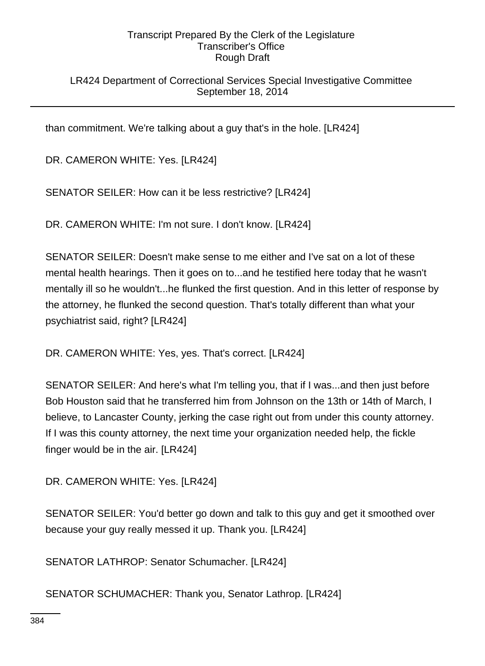LR424 Department of Correctional Services Special Investigative Committee September 18, 2014

than commitment. We're talking about a guy that's in the hole. [LR424]

DR. CAMERON WHITE: Yes. [LR424]

SENATOR SEILER: How can it be less restrictive? [LR424]

DR. CAMERON WHITE: I'm not sure. I don't know. [LR424]

SENATOR SEILER: Doesn't make sense to me either and I've sat on a lot of these mental health hearings. Then it goes on to...and he testified here today that he wasn't mentally ill so he wouldn't...he flunked the first question. And in this letter of response by the attorney, he flunked the second question. That's totally different than what your psychiatrist said, right? [LR424]

DR. CAMERON WHITE: Yes, yes. That's correct. [LR424]

SENATOR SEILER: And here's what I'm telling you, that if I was...and then just before Bob Houston said that he transferred him from Johnson on the 13th or 14th of March, I believe, to Lancaster County, jerking the case right out from under this county attorney. If I was this county attorney, the next time your organization needed help, the fickle finger would be in the air. [LR424]

DR. CAMERON WHITE: Yes. [LR424]

SENATOR SEILER: You'd better go down and talk to this guy and get it smoothed over because your guy really messed it up. Thank you. [LR424]

SENATOR LATHROP: Senator Schumacher. [LR424]

SENATOR SCHUMACHER: Thank you, Senator Lathrop. [LR424]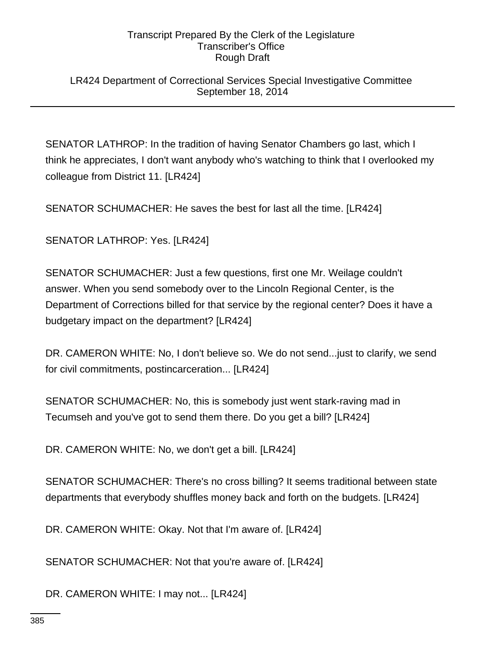LR424 Department of Correctional Services Special Investigative Committee September 18, 2014

SENATOR LATHROP: In the tradition of having Senator Chambers go last, which I think he appreciates, I don't want anybody who's watching to think that I overlooked my colleague from District 11. [LR424]

SENATOR SCHUMACHER: He saves the best for last all the time. [LR424]

SENATOR LATHROP: Yes. [LR424]

SENATOR SCHUMACHER: Just a few questions, first one Mr. Weilage couldn't answer. When you send somebody over to the Lincoln Regional Center, is the Department of Corrections billed for that service by the regional center? Does it have a budgetary impact on the department? [LR424]

DR. CAMERON WHITE: No, I don't believe so. We do not send...just to clarify, we send for civil commitments, postincarceration... [LR424]

SENATOR SCHUMACHER: No, this is somebody just went stark-raving mad in Tecumseh and you've got to send them there. Do you get a bill? [LR424]

DR. CAMERON WHITE: No, we don't get a bill. [LR424]

SENATOR SCHUMACHER: There's no cross billing? It seems traditional between state departments that everybody shuffles money back and forth on the budgets. [LR424]

DR. CAMERON WHITE: Okay. Not that I'm aware of. [LR424]

SENATOR SCHUMACHER: Not that you're aware of. [LR424]

DR. CAMERON WHITE: I may not... [LR424]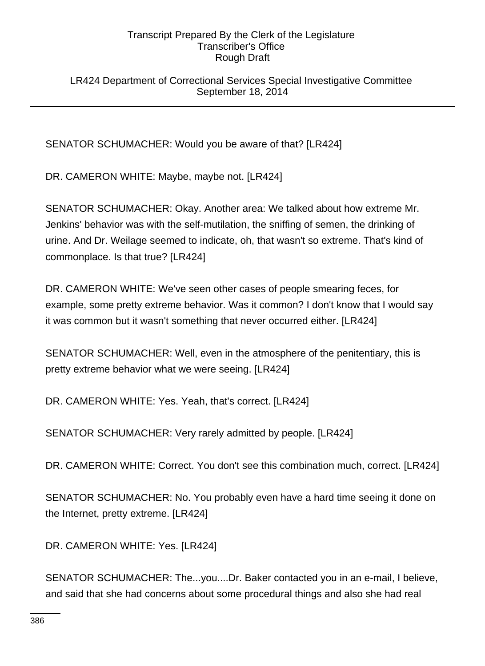LR424 Department of Correctional Services Special Investigative Committee September 18, 2014

SENATOR SCHUMACHER: Would you be aware of that? [LR424]

DR. CAMERON WHITE: Maybe, maybe not. [LR424]

SENATOR SCHUMACHER: Okay. Another area: We talked about how extreme Mr. Jenkins' behavior was with the self-mutilation, the sniffing of semen, the drinking of urine. And Dr. Weilage seemed to indicate, oh, that wasn't so extreme. That's kind of commonplace. Is that true? [LR424]

DR. CAMERON WHITE: We've seen other cases of people smearing feces, for example, some pretty extreme behavior. Was it common? I don't know that I would say it was common but it wasn't something that never occurred either. [LR424]

SENATOR SCHUMACHER: Well, even in the atmosphere of the penitentiary, this is pretty extreme behavior what we were seeing. [LR424]

DR. CAMERON WHITE: Yes. Yeah, that's correct. [LR424]

SENATOR SCHUMACHER: Very rarely admitted by people. [LR424]

DR. CAMERON WHITE: Correct. You don't see this combination much, correct. [LR424]

SENATOR SCHUMACHER: No. You probably even have a hard time seeing it done on the Internet, pretty extreme. [LR424]

DR. CAMERON WHITE: Yes. [LR424]

SENATOR SCHUMACHER: The...you....Dr. Baker contacted you in an e-mail, I believe, and said that she had concerns about some procedural things and also she had real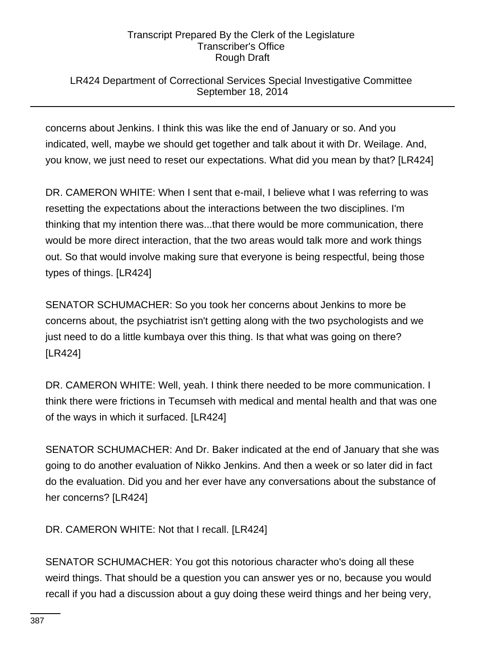# LR424 Department of Correctional Services Special Investigative Committee September 18, 2014

concerns about Jenkins. I think this was like the end of January or so. And you indicated, well, maybe we should get together and talk about it with Dr. Weilage. And, you know, we just need to reset our expectations. What did you mean by that? [LR424]

DR. CAMERON WHITE: When I sent that e-mail, I believe what I was referring to was resetting the expectations about the interactions between the two disciplines. I'm thinking that my intention there was...that there would be more communication, there would be more direct interaction, that the two areas would talk more and work things out. So that would involve making sure that everyone is being respectful, being those types of things. [LR424]

SENATOR SCHUMACHER: So you took her concerns about Jenkins to more be concerns about, the psychiatrist isn't getting along with the two psychologists and we just need to do a little kumbaya over this thing. Is that what was going on there? [LR424]

DR. CAMERON WHITE: Well, yeah. I think there needed to be more communication. I think there were frictions in Tecumseh with medical and mental health and that was one of the ways in which it surfaced. [LR424]

SENATOR SCHUMACHER: And Dr. Baker indicated at the end of January that she was going to do another evaluation of Nikko Jenkins. And then a week or so later did in fact do the evaluation. Did you and her ever have any conversations about the substance of her concerns? [LR424]

DR. CAMERON WHITE: Not that I recall. [LR424]

SENATOR SCHUMACHER: You got this notorious character who's doing all these weird things. That should be a question you can answer yes or no, because you would recall if you had a discussion about a guy doing these weird things and her being very,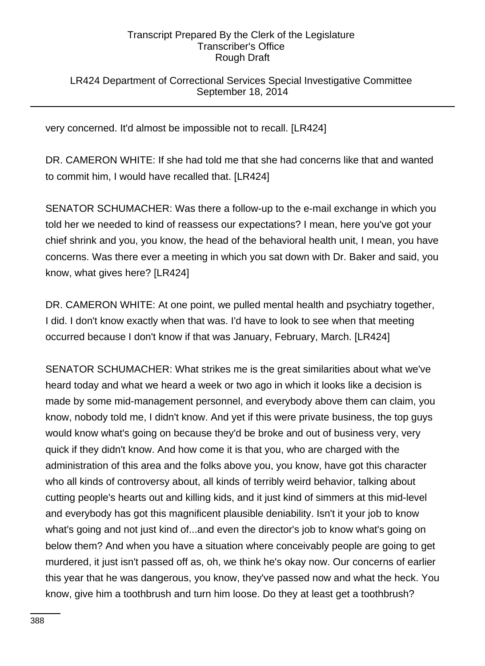# LR424 Department of Correctional Services Special Investigative Committee September 18, 2014

very concerned. It'd almost be impossible not to recall. [LR424]

DR. CAMERON WHITE: If she had told me that she had concerns like that and wanted to commit him, I would have recalled that. [LR424]

SENATOR SCHUMACHER: Was there a follow-up to the e-mail exchange in which you told her we needed to kind of reassess our expectations? I mean, here you've got your chief shrink and you, you know, the head of the behavioral health unit, I mean, you have concerns. Was there ever a meeting in which you sat down with Dr. Baker and said, you know, what gives here? [LR424]

DR. CAMERON WHITE: At one point, we pulled mental health and psychiatry together, I did. I don't know exactly when that was. I'd have to look to see when that meeting occurred because I don't know if that was January, February, March. [LR424]

SENATOR SCHUMACHER: What strikes me is the great similarities about what we've heard today and what we heard a week or two ago in which it looks like a decision is made by some mid-management personnel, and everybody above them can claim, you know, nobody told me, I didn't know. And yet if this were private business, the top guys would know what's going on because they'd be broke and out of business very, very quick if they didn't know. And how come it is that you, who are charged with the administration of this area and the folks above you, you know, have got this character who all kinds of controversy about, all kinds of terribly weird behavior, talking about cutting people's hearts out and killing kids, and it just kind of simmers at this mid-level and everybody has got this magnificent plausible deniability. Isn't it your job to know what's going and not just kind of...and even the director's job to know what's going on below them? And when you have a situation where conceivably people are going to get murdered, it just isn't passed off as, oh, we think he's okay now. Our concerns of earlier this year that he was dangerous, you know, they've passed now and what the heck. You know, give him a toothbrush and turn him loose. Do they at least get a toothbrush?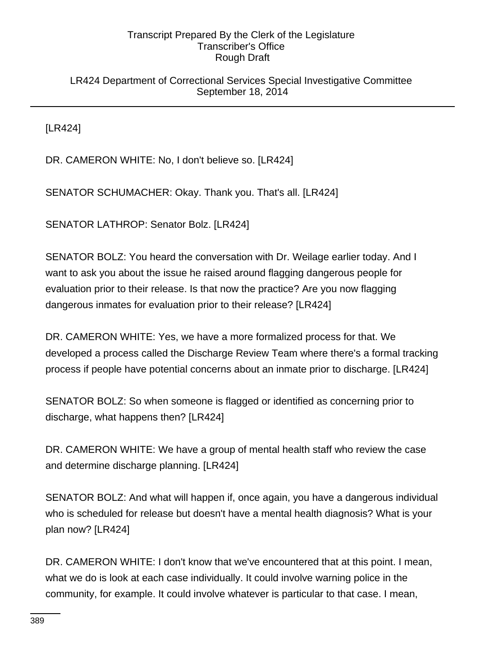### LR424 Department of Correctional Services Special Investigative Committee September 18, 2014

[LR424]

DR. CAMERON WHITE: No, I don't believe so. [LR424]

SENATOR SCHUMACHER: Okay. Thank you. That's all. [LR424]

SENATOR LATHROP: Senator Bolz. [LR424]

SENATOR BOLZ: You heard the conversation with Dr. Weilage earlier today. And I want to ask you about the issue he raised around flagging dangerous people for evaluation prior to their release. Is that now the practice? Are you now flagging dangerous inmates for evaluation prior to their release? [LR424]

DR. CAMERON WHITE: Yes, we have a more formalized process for that. We developed a process called the Discharge Review Team where there's a formal tracking process if people have potential concerns about an inmate prior to discharge. [LR424]

SENATOR BOLZ: So when someone is flagged or identified as concerning prior to discharge, what happens then? [LR424]

DR. CAMERON WHITE: We have a group of mental health staff who review the case and determine discharge planning. [LR424]

SENATOR BOLZ: And what will happen if, once again, you have a dangerous individual who is scheduled for release but doesn't have a mental health diagnosis? What is your plan now? [LR424]

DR. CAMERON WHITE: I don't know that we've encountered that at this point. I mean, what we do is look at each case individually. It could involve warning police in the community, for example. It could involve whatever is particular to that case. I mean,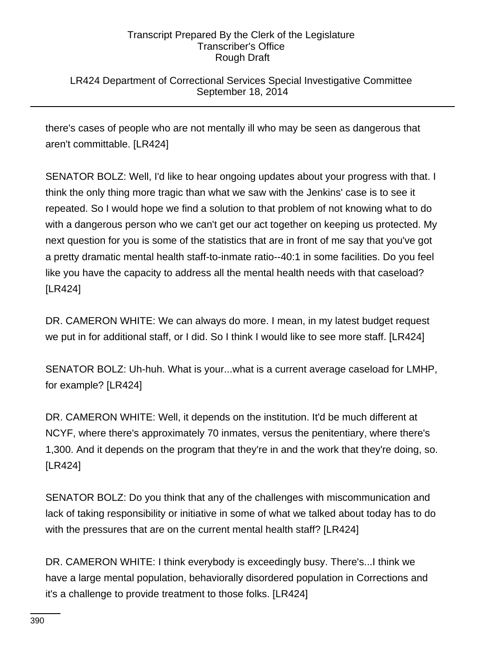# LR424 Department of Correctional Services Special Investigative Committee September 18, 2014

there's cases of people who are not mentally ill who may be seen as dangerous that aren't committable. [LR424]

SENATOR BOLZ: Well, I'd like to hear ongoing updates about your progress with that. I think the only thing more tragic than what we saw with the Jenkins' case is to see it repeated. So I would hope we find a solution to that problem of not knowing what to do with a dangerous person who we can't get our act together on keeping us protected. My next question for you is some of the statistics that are in front of me say that you've got a pretty dramatic mental health staff-to-inmate ratio--40:1 in some facilities. Do you feel like you have the capacity to address all the mental health needs with that caseload? [LR424]

DR. CAMERON WHITE: We can always do more. I mean, in my latest budget request we put in for additional staff, or I did. So I think I would like to see more staff. [LR424]

SENATOR BOLZ: Uh-huh. What is your...what is a current average caseload for LMHP, for example? [LR424]

DR. CAMERON WHITE: Well, it depends on the institution. It'd be much different at NCYF, where there's approximately 70 inmates, versus the penitentiary, where there's 1,300. And it depends on the program that they're in and the work that they're doing, so. [LR424]

SENATOR BOLZ: Do you think that any of the challenges with miscommunication and lack of taking responsibility or initiative in some of what we talked about today has to do with the pressures that are on the current mental health staff? [LR424]

DR. CAMERON WHITE: I think everybody is exceedingly busy. There's...I think we have a large mental population, behaviorally disordered population in Corrections and it's a challenge to provide treatment to those folks. [LR424]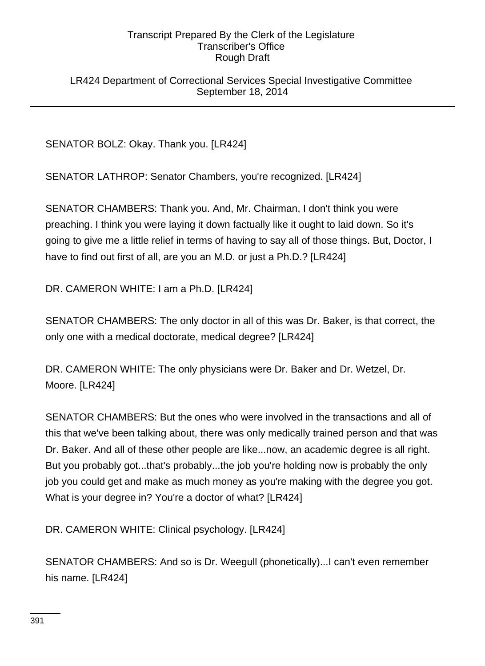LR424 Department of Correctional Services Special Investigative Committee September 18, 2014

SENATOR BOLZ: Okay. Thank you. [LR424]

SENATOR LATHROP: Senator Chambers, you're recognized. [LR424]

SENATOR CHAMBERS: Thank you. And, Mr. Chairman, I don't think you were preaching. I think you were laying it down factually like it ought to laid down. So it's going to give me a little relief in terms of having to say all of those things. But, Doctor, I have to find out first of all, are you an M.D. or just a Ph.D.? [LR424]

DR. CAMERON WHITE: I am a Ph.D. [LR424]

SENATOR CHAMBERS: The only doctor in all of this was Dr. Baker, is that correct, the only one with a medical doctorate, medical degree? [LR424]

DR. CAMERON WHITE: The only physicians were Dr. Baker and Dr. Wetzel, Dr. Moore. [LR424]

SENATOR CHAMBERS: But the ones who were involved in the transactions and all of this that we've been talking about, there was only medically trained person and that was Dr. Baker. And all of these other people are like...now, an academic degree is all right. But you probably got...that's probably...the job you're holding now is probably the only job you could get and make as much money as you're making with the degree you got. What is your degree in? You're a doctor of what? [LR424]

DR. CAMERON WHITE: Clinical psychology. [LR424]

SENATOR CHAMBERS: And so is Dr. Weegull (phonetically)...I can't even remember his name. [LR424]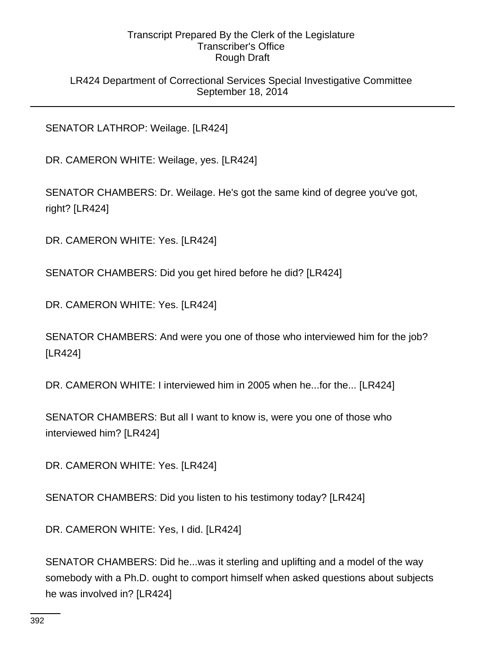LR424 Department of Correctional Services Special Investigative Committee September 18, 2014

SENATOR LATHROP: Weilage. [LR424]

DR. CAMERON WHITE: Weilage, yes. [LR424]

SENATOR CHAMBERS: Dr. Weilage. He's got the same kind of degree you've got, right? [LR424]

DR. CAMERON WHITE: Yes. [LR424]

SENATOR CHAMBERS: Did you get hired before he did? [LR424]

DR. CAMERON WHITE: Yes. [LR424]

SENATOR CHAMBERS: And were you one of those who interviewed him for the job? [LR424]

DR. CAMERON WHITE: I interviewed him in 2005 when he...for the... [LR424]

SENATOR CHAMBERS: But all I want to know is, were you one of those who interviewed him? [LR424]

DR. CAMERON WHITE: Yes. [LR424]

SENATOR CHAMBERS: Did you listen to his testimony today? [LR424]

DR. CAMERON WHITE: Yes, I did. [LR424]

SENATOR CHAMBERS: Did he...was it sterling and uplifting and a model of the way somebody with a Ph.D. ought to comport himself when asked questions about subjects he was involved in? [LR424]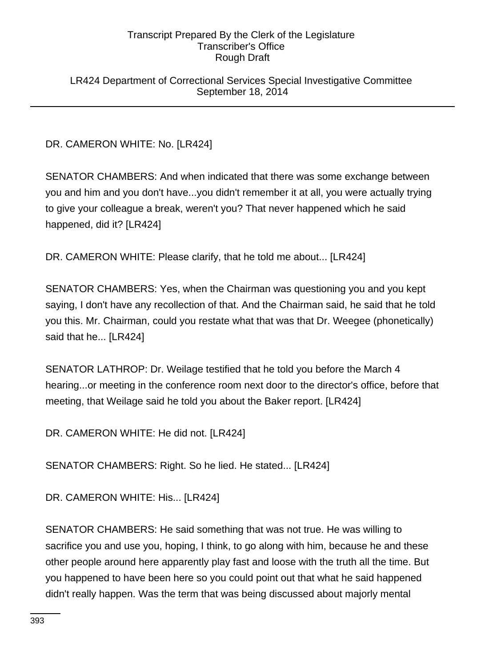LR424 Department of Correctional Services Special Investigative Committee September 18, 2014

DR. CAMERON WHITE: No. [LR424]

SENATOR CHAMBERS: And when indicated that there was some exchange between you and him and you don't have...you didn't remember it at all, you were actually trying to give your colleague a break, weren't you? That never happened which he said happened, did it? [LR424]

DR. CAMERON WHITE: Please clarify, that he told me about... [LR424]

SENATOR CHAMBERS: Yes, when the Chairman was questioning you and you kept saying, I don't have any recollection of that. And the Chairman said, he said that he told you this. Mr. Chairman, could you restate what that was that Dr. Weegee (phonetically) said that he... [LR424]

SENATOR LATHROP: Dr. Weilage testified that he told you before the March 4 hearing...or meeting in the conference room next door to the director's office, before that meeting, that Weilage said he told you about the Baker report. [LR424]

DR. CAMERON WHITE: He did not. [LR424]

SENATOR CHAMBERS: Right. So he lied. He stated... [LR424]

DR. CAMERON WHITE: His... [LR424]

SENATOR CHAMBERS: He said something that was not true. He was willing to sacrifice you and use you, hoping, I think, to go along with him, because he and these other people around here apparently play fast and loose with the truth all the time. But you happened to have been here so you could point out that what he said happened didn't really happen. Was the term that was being discussed about majorly mental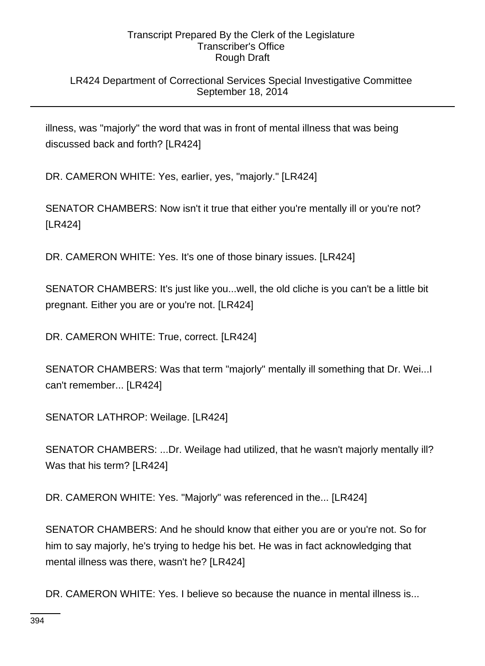# LR424 Department of Correctional Services Special Investigative Committee September 18, 2014

illness, was "majorly" the word that was in front of mental illness that was being discussed back and forth? [LR424]

DR. CAMERON WHITE: Yes, earlier, yes, "majorly." [LR424]

SENATOR CHAMBERS: Now isn't it true that either you're mentally ill or you're not? [LR424]

DR. CAMERON WHITE: Yes. It's one of those binary issues. [LR424]

SENATOR CHAMBERS: It's just like you...well, the old cliche is you can't be a little bit pregnant. Either you are or you're not. [LR424]

DR. CAMERON WHITE: True, correct. [LR424]

SENATOR CHAMBERS: Was that term "majorly" mentally ill something that Dr. Wei...I can't remember... [LR424]

SENATOR LATHROP: Weilage. [LR424]

SENATOR CHAMBERS: ...Dr. Weilage had utilized, that he wasn't majorly mentally ill? Was that his term? [LR424]

DR. CAMERON WHITE: Yes. "Majorly" was referenced in the... [LR424]

SENATOR CHAMBERS: And he should know that either you are or you're not. So for him to say majorly, he's trying to hedge his bet. He was in fact acknowledging that mental illness was there, wasn't he? [LR424]

DR. CAMERON WHITE: Yes. I believe so because the nuance in mental illness is...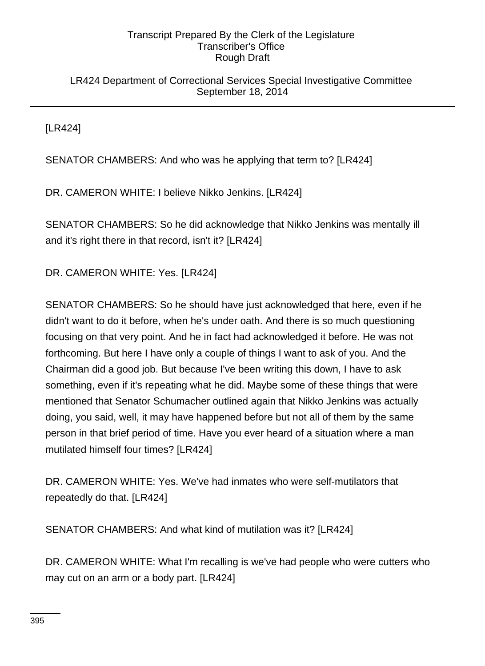### LR424 Department of Correctional Services Special Investigative Committee September 18, 2014

[LR424]

SENATOR CHAMBERS: And who was he applying that term to? [LR424]

DR. CAMERON WHITE: I believe Nikko Jenkins. [LR424]

SENATOR CHAMBERS: So he did acknowledge that Nikko Jenkins was mentally ill and it's right there in that record, isn't it? [LR424]

DR. CAMERON WHITE: Yes. [LR424]

SENATOR CHAMBERS: So he should have just acknowledged that here, even if he didn't want to do it before, when he's under oath. And there is so much questioning focusing on that very point. And he in fact had acknowledged it before. He was not forthcoming. But here I have only a couple of things I want to ask of you. And the Chairman did a good job. But because I've been writing this down, I have to ask something, even if it's repeating what he did. Maybe some of these things that were mentioned that Senator Schumacher outlined again that Nikko Jenkins was actually doing, you said, well, it may have happened before but not all of them by the same person in that brief period of time. Have you ever heard of a situation where a man mutilated himself four times? [LR424]

DR. CAMERON WHITE: Yes. We've had inmates who were self-mutilators that repeatedly do that. [LR424]

SENATOR CHAMBERS: And what kind of mutilation was it? [LR424]

DR. CAMERON WHITE: What I'm recalling is we've had people who were cutters who may cut on an arm or a body part. [LR424]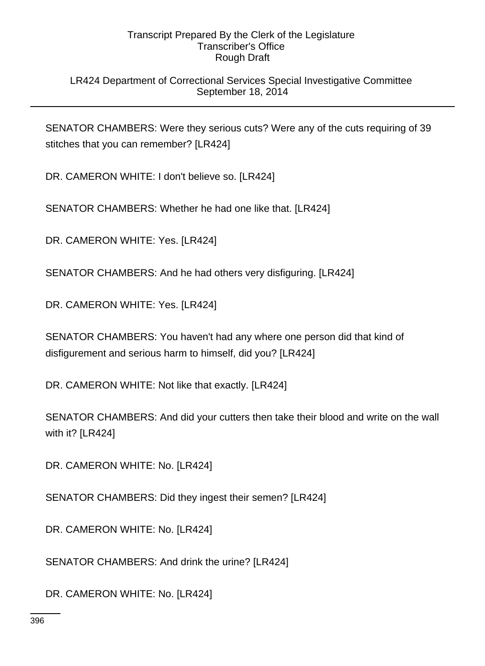# LR424 Department of Correctional Services Special Investigative Committee September 18, 2014

SENATOR CHAMBERS: Were they serious cuts? Were any of the cuts requiring of 39 stitches that you can remember? [LR424]

DR. CAMERON WHITE: I don't believe so. [LR424]

SENATOR CHAMBERS: Whether he had one like that. [LR424]

DR. CAMERON WHITE: Yes. [LR424]

SENATOR CHAMBERS: And he had others very disfiguring. [LR424]

DR. CAMERON WHITE: Yes. [LR424]

SENATOR CHAMBERS: You haven't had any where one person did that kind of disfigurement and serious harm to himself, did you? [LR424]

DR. CAMERON WHITE: Not like that exactly. [LR424]

SENATOR CHAMBERS: And did your cutters then take their blood and write on the wall with it? [LR424]

DR. CAMERON WHITE: No. [LR424]

SENATOR CHAMBERS: Did they ingest their semen? [LR424]

DR. CAMERON WHITE: No. [LR424]

SENATOR CHAMBERS: And drink the urine? [LR424]

DR. CAMERON WHITE: No. [LR424]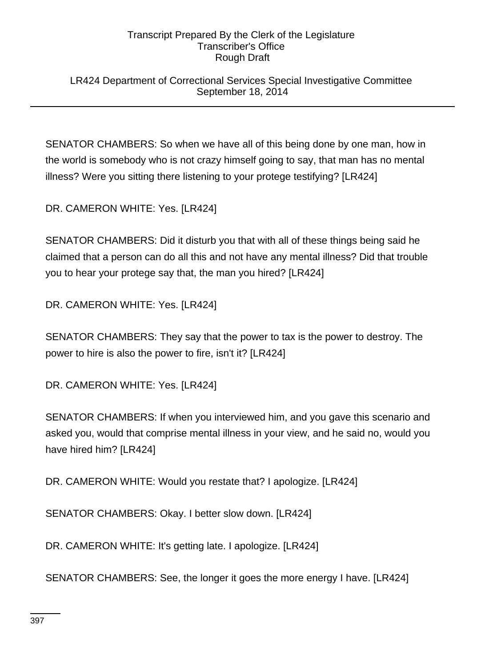LR424 Department of Correctional Services Special Investigative Committee September 18, 2014

SENATOR CHAMBERS: So when we have all of this being done by one man, how in the world is somebody who is not crazy himself going to say, that man has no mental illness? Were you sitting there listening to your protege testifying? [LR424]

DR. CAMERON WHITE: Yes. [LR424]

SENATOR CHAMBERS: Did it disturb you that with all of these things being said he claimed that a person can do all this and not have any mental illness? Did that trouble you to hear your protege say that, the man you hired? [LR424]

DR. CAMERON WHITE: Yes. [LR424]

SENATOR CHAMBERS: They say that the power to tax is the power to destroy. The power to hire is also the power to fire, isn't it? [LR424]

DR. CAMERON WHITE: Yes. [LR424]

SENATOR CHAMBERS: If when you interviewed him, and you gave this scenario and asked you, would that comprise mental illness in your view, and he said no, would you have hired him? [LR424]

DR. CAMERON WHITE: Would you restate that? I apologize. [LR424]

SENATOR CHAMBERS: Okay. I better slow down. [LR424]

DR. CAMERON WHITE: It's getting late. I apologize. [LR424]

SENATOR CHAMBERS: See, the longer it goes the more energy I have. [LR424]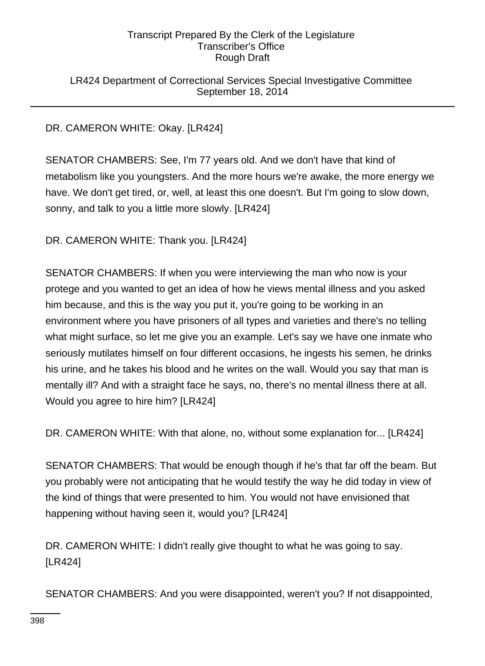LR424 Department of Correctional Services Special Investigative Committee September 18, 2014

# DR. CAMERON WHITE: Okay. [LR424]

SENATOR CHAMBERS: See, I'm 77 years old. And we don't have that kind of metabolism like you youngsters. And the more hours we're awake, the more energy we have. We don't get tired, or, well, at least this one doesn't. But I'm going to slow down, sonny, and talk to you a little more slowly. [LR424]

# DR. CAMERON WHITE: Thank you. [LR424]

SENATOR CHAMBERS: If when you were interviewing the man who now is your protege and you wanted to get an idea of how he views mental illness and you asked him because, and this is the way you put it, you're going to be working in an environment where you have prisoners of all types and varieties and there's no telling what might surface, so let me give you an example. Let's say we have one inmate who seriously mutilates himself on four different occasions, he ingests his semen, he drinks his urine, and he takes his blood and he writes on the wall. Would you say that man is mentally ill? And with a straight face he says, no, there's no mental illness there at all. Would you agree to hire him? [LR424]

DR. CAMERON WHITE: With that alone, no, without some explanation for... [LR424]

SENATOR CHAMBERS: That would be enough though if he's that far off the beam. But you probably were not anticipating that he would testify the way he did today in view of the kind of things that were presented to him. You would not have envisioned that happening without having seen it, would you? [LR424]

DR. CAMERON WHITE: I didn't really give thought to what he was going to say. [LR424]

SENATOR CHAMBERS: And you were disappointed, weren't you? If not disappointed,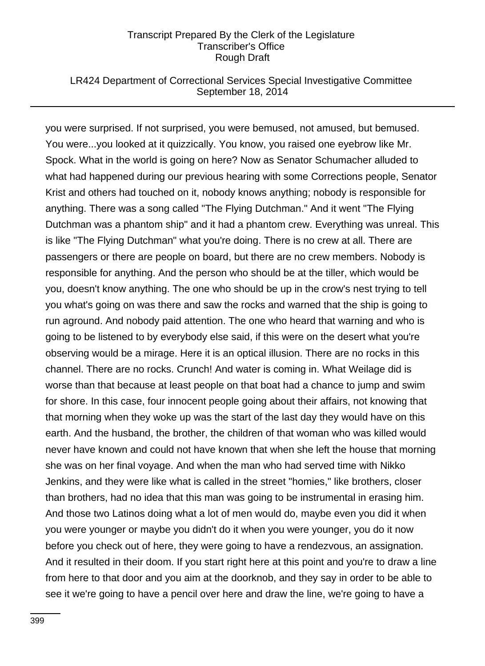### LR424 Department of Correctional Services Special Investigative Committee September 18, 2014

you were surprised. If not surprised, you were bemused, not amused, but bemused. You were...you looked at it quizzically. You know, you raised one eyebrow like Mr. Spock. What in the world is going on here? Now as Senator Schumacher alluded to what had happened during our previous hearing with some Corrections people, Senator Krist and others had touched on it, nobody knows anything; nobody is responsible for anything. There was a song called "The Flying Dutchman." And it went "The Flying Dutchman was a phantom ship" and it had a phantom crew. Everything was unreal. This is like "The Flying Dutchman" what you're doing. There is no crew at all. There are passengers or there are people on board, but there are no crew members. Nobody is responsible for anything. And the person who should be at the tiller, which would be you, doesn't know anything. The one who should be up in the crow's nest trying to tell you what's going on was there and saw the rocks and warned that the ship is going to run aground. And nobody paid attention. The one who heard that warning and who is going to be listened to by everybody else said, if this were on the desert what you're observing would be a mirage. Here it is an optical illusion. There are no rocks in this channel. There are no rocks. Crunch! And water is coming in. What Weilage did is worse than that because at least people on that boat had a chance to jump and swim for shore. In this case, four innocent people going about their affairs, not knowing that that morning when they woke up was the start of the last day they would have on this earth. And the husband, the brother, the children of that woman who was killed would never have known and could not have known that when she left the house that morning she was on her final voyage. And when the man who had served time with Nikko Jenkins, and they were like what is called in the street "homies," like brothers, closer than brothers, had no idea that this man was going to be instrumental in erasing him. And those two Latinos doing what a lot of men would do, maybe even you did it when you were younger or maybe you didn't do it when you were younger, you do it now before you check out of here, they were going to have a rendezvous, an assignation. And it resulted in their doom. If you start right here at this point and you're to draw a line from here to that door and you aim at the doorknob, and they say in order to be able to see it we're going to have a pencil over here and draw the line, we're going to have a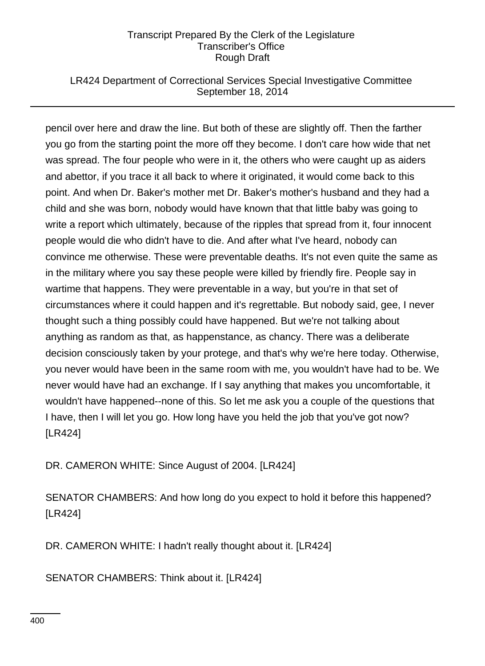## LR424 Department of Correctional Services Special Investigative Committee September 18, 2014

pencil over here and draw the line. But both of these are slightly off. Then the farther you go from the starting point the more off they become. I don't care how wide that net was spread. The four people who were in it, the others who were caught up as aiders and abettor, if you trace it all back to where it originated, it would come back to this point. And when Dr. Baker's mother met Dr. Baker's mother's husband and they had a child and she was born, nobody would have known that that little baby was going to write a report which ultimately, because of the ripples that spread from it, four innocent people would die who didn't have to die. And after what I've heard, nobody can convince me otherwise. These were preventable deaths. It's not even quite the same as in the military where you say these people were killed by friendly fire. People say in wartime that happens. They were preventable in a way, but you're in that set of circumstances where it could happen and it's regrettable. But nobody said, gee, I never thought such a thing possibly could have happened. But we're not talking about anything as random as that, as happenstance, as chancy. There was a deliberate decision consciously taken by your protege, and that's why we're here today. Otherwise, you never would have been in the same room with me, you wouldn't have had to be. We never would have had an exchange. If I say anything that makes you uncomfortable, it wouldn't have happened--none of this. So let me ask you a couple of the questions that I have, then I will let you go. How long have you held the job that you've got now? [LR424]

DR. CAMERON WHITE: Since August of 2004. [LR424]

SENATOR CHAMBERS: And how long do you expect to hold it before this happened? [LR424]

DR. CAMERON WHITE: I hadn't really thought about it. [LR424]

SENATOR CHAMBERS: Think about it. [LR424]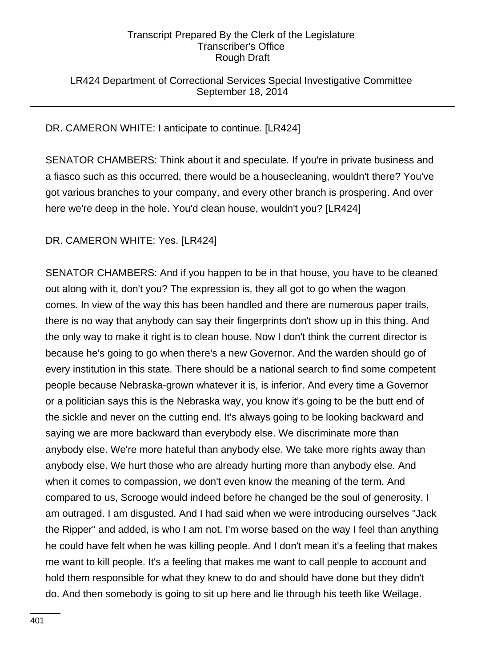## LR424 Department of Correctional Services Special Investigative Committee September 18, 2014

## DR. CAMERON WHITE: I anticipate to continue. [LR424]

SENATOR CHAMBERS: Think about it and speculate. If you're in private business and a fiasco such as this occurred, there would be a housecleaning, wouldn't there? You've got various branches to your company, and every other branch is prospering. And over here we're deep in the hole. You'd clean house, wouldn't you? [LR424]

## DR. CAMERON WHITE: Yes. [LR424]

SENATOR CHAMBERS: And if you happen to be in that house, you have to be cleaned out along with it, don't you? The expression is, they all got to go when the wagon comes. In view of the way this has been handled and there are numerous paper trails, there is no way that anybody can say their fingerprints don't show up in this thing. And the only way to make it right is to clean house. Now I don't think the current director is because he's going to go when there's a new Governor. And the warden should go of every institution in this state. There should be a national search to find some competent people because Nebraska-grown whatever it is, is inferior. And every time a Governor or a politician says this is the Nebraska way, you know it's going to be the butt end of the sickle and never on the cutting end. It's always going to be looking backward and saying we are more backward than everybody else. We discriminate more than anybody else. We're more hateful than anybody else. We take more rights away than anybody else. We hurt those who are already hurting more than anybody else. And when it comes to compassion, we don't even know the meaning of the term. And compared to us, Scrooge would indeed before he changed be the soul of generosity. I am outraged. I am disgusted. And I had said when we were introducing ourselves "Jack the Ripper" and added, is who I am not. I'm worse based on the way I feel than anything he could have felt when he was killing people. And I don't mean it's a feeling that makes me want to kill people. It's a feeling that makes me want to call people to account and hold them responsible for what they knew to do and should have done but they didn't do. And then somebody is going to sit up here and lie through his teeth like Weilage.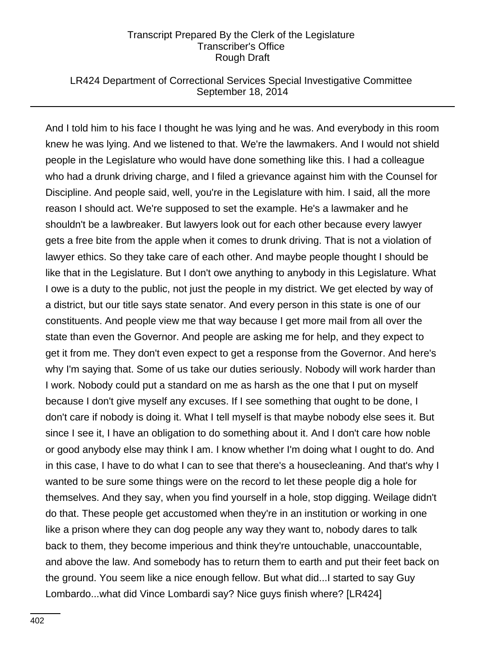## LR424 Department of Correctional Services Special Investigative Committee September 18, 2014

And I told him to his face I thought he was lying and he was. And everybody in this room knew he was lying. And we listened to that. We're the lawmakers. And I would not shield people in the Legislature who would have done something like this. I had a colleague who had a drunk driving charge, and I filed a grievance against him with the Counsel for Discipline. And people said, well, you're in the Legislature with him. I said, all the more reason I should act. We're supposed to set the example. He's a lawmaker and he shouldn't be a lawbreaker. But lawyers look out for each other because every lawyer gets a free bite from the apple when it comes to drunk driving. That is not a violation of lawyer ethics. So they take care of each other. And maybe people thought I should be like that in the Legislature. But I don't owe anything to anybody in this Legislature. What I owe is a duty to the public, not just the people in my district. We get elected by way of a district, but our title says state senator. And every person in this state is one of our constituents. And people view me that way because I get more mail from all over the state than even the Governor. And people are asking me for help, and they expect to get it from me. They don't even expect to get a response from the Governor. And here's why I'm saying that. Some of us take our duties seriously. Nobody will work harder than I work. Nobody could put a standard on me as harsh as the one that I put on myself because I don't give myself any excuses. If I see something that ought to be done, I don't care if nobody is doing it. What I tell myself is that maybe nobody else sees it. But since I see it, I have an obligation to do something about it. And I don't care how noble or good anybody else may think I am. I know whether I'm doing what I ought to do. And in this case, I have to do what I can to see that there's a housecleaning. And that's why I wanted to be sure some things were on the record to let these people dig a hole for themselves. And they say, when you find yourself in a hole, stop digging. Weilage didn't do that. These people get accustomed when they're in an institution or working in one like a prison where they can dog people any way they want to, nobody dares to talk back to them, they become imperious and think they're untouchable, unaccountable, and above the law. And somebody has to return them to earth and put their feet back on the ground. You seem like a nice enough fellow. But what did...I started to say Guy Lombardo...what did Vince Lombardi say? Nice guys finish where? [LR424]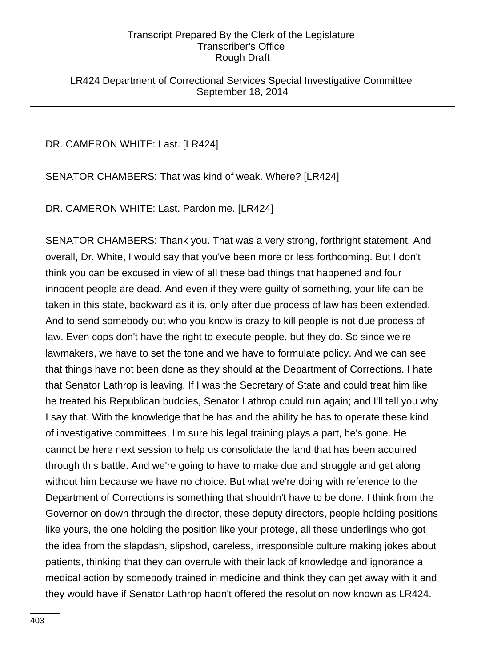LR424 Department of Correctional Services Special Investigative Committee September 18, 2014

DR. CAMERON WHITE: Last. [LR424]

SENATOR CHAMBERS: That was kind of weak. Where? [LR424]

DR. CAMERON WHITE: Last. Pardon me. [LR424]

SENATOR CHAMBERS: Thank you. That was a very strong, forthright statement. And overall, Dr. White, I would say that you've been more or less forthcoming. But I don't think you can be excused in view of all these bad things that happened and four innocent people are dead. And even if they were guilty of something, your life can be taken in this state, backward as it is, only after due process of law has been extended. And to send somebody out who you know is crazy to kill people is not due process of law. Even cops don't have the right to execute people, but they do. So since we're lawmakers, we have to set the tone and we have to formulate policy. And we can see that things have not been done as they should at the Department of Corrections. I hate that Senator Lathrop is leaving. If I was the Secretary of State and could treat him like he treated his Republican buddies, Senator Lathrop could run again; and I'll tell you why I say that. With the knowledge that he has and the ability he has to operate these kind of investigative committees, I'm sure his legal training plays a part, he's gone. He cannot be here next session to help us consolidate the land that has been acquired through this battle. And we're going to have to make due and struggle and get along without him because we have no choice. But what we're doing with reference to the Department of Corrections is something that shouldn't have to be done. I think from the Governor on down through the director, these deputy directors, people holding positions like yours, the one holding the position like your protege, all these underlings who got the idea from the slapdash, slipshod, careless, irresponsible culture making jokes about patients, thinking that they can overrule with their lack of knowledge and ignorance a medical action by somebody trained in medicine and think they can get away with it and they would have if Senator Lathrop hadn't offered the resolution now known as LR424.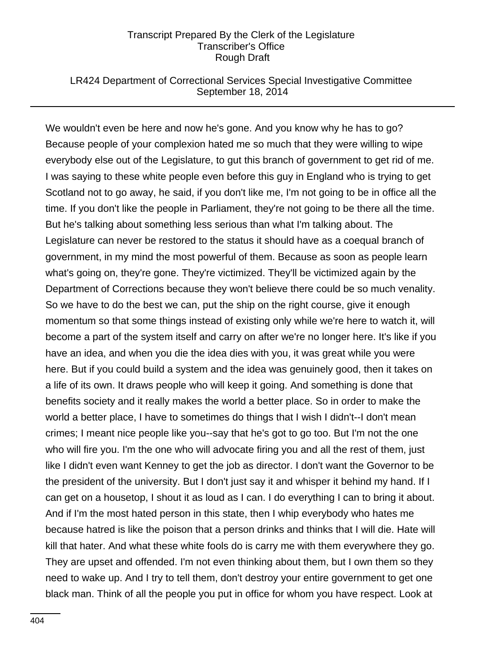## LR424 Department of Correctional Services Special Investigative Committee September 18, 2014

We wouldn't even be here and now he's gone. And you know why he has to go? Because people of your complexion hated me so much that they were willing to wipe everybody else out of the Legislature, to gut this branch of government to get rid of me. I was saying to these white people even before this guy in England who is trying to get Scotland not to go away, he said, if you don't like me, I'm not going to be in office all the time. If you don't like the people in Parliament, they're not going to be there all the time. But he's talking about something less serious than what I'm talking about. The Legislature can never be restored to the status it should have as a coequal branch of government, in my mind the most powerful of them. Because as soon as people learn what's going on, they're gone. They're victimized. They'll be victimized again by the Department of Corrections because they won't believe there could be so much venality. So we have to do the best we can, put the ship on the right course, give it enough momentum so that some things instead of existing only while we're here to watch it, will become a part of the system itself and carry on after we're no longer here. It's like if you have an idea, and when you die the idea dies with you, it was great while you were here. But if you could build a system and the idea was genuinely good, then it takes on a life of its own. It draws people who will keep it going. And something is done that benefits society and it really makes the world a better place. So in order to make the world a better place, I have to sometimes do things that I wish I didn't--I don't mean crimes; I meant nice people like you--say that he's got to go too. But I'm not the one who will fire you. I'm the one who will advocate firing you and all the rest of them, just like I didn't even want Kenney to get the job as director. I don't want the Governor to be the president of the university. But I don't just say it and whisper it behind my hand. If I can get on a housetop, I shout it as loud as I can. I do everything I can to bring it about. And if I'm the most hated person in this state, then I whip everybody who hates me because hatred is like the poison that a person drinks and thinks that I will die. Hate will kill that hater. And what these white fools do is carry me with them everywhere they go. They are upset and offended. I'm not even thinking about them, but I own them so they need to wake up. And I try to tell them, don't destroy your entire government to get one black man. Think of all the people you put in office for whom you have respect. Look at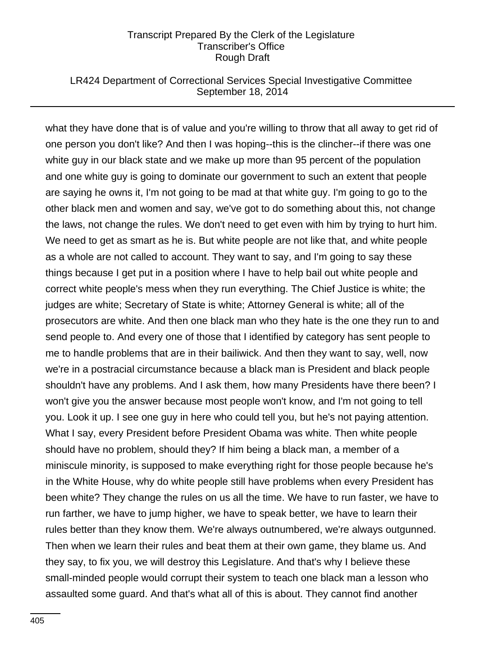## LR424 Department of Correctional Services Special Investigative Committee September 18, 2014

what they have done that is of value and you're willing to throw that all away to get rid of one person you don't like? And then I was hoping--this is the clincher--if there was one white guy in our black state and we make up more than 95 percent of the population and one white guy is going to dominate our government to such an extent that people are saying he owns it, I'm not going to be mad at that white guy. I'm going to go to the other black men and women and say, we've got to do something about this, not change the laws, not change the rules. We don't need to get even with him by trying to hurt him. We need to get as smart as he is. But white people are not like that, and white people as a whole are not called to account. They want to say, and I'm going to say these things because I get put in a position where I have to help bail out white people and correct white people's mess when they run everything. The Chief Justice is white; the judges are white; Secretary of State is white; Attorney General is white; all of the prosecutors are white. And then one black man who they hate is the one they run to and send people to. And every one of those that I identified by category has sent people to me to handle problems that are in their bailiwick. And then they want to say, well, now we're in a postracial circumstance because a black man is President and black people shouldn't have any problems. And I ask them, how many Presidents have there been? I won't give you the answer because most people won't know, and I'm not going to tell you. Look it up. I see one guy in here who could tell you, but he's not paying attention. What I say, every President before President Obama was white. Then white people should have no problem, should they? If him being a black man, a member of a miniscule minority, is supposed to make everything right for those people because he's in the White House, why do white people still have problems when every President has been white? They change the rules on us all the time. We have to run faster, we have to run farther, we have to jump higher, we have to speak better, we have to learn their rules better than they know them. We're always outnumbered, we're always outgunned. Then when we learn their rules and beat them at their own game, they blame us. And they say, to fix you, we will destroy this Legislature. And that's why I believe these small-minded people would corrupt their system to teach one black man a lesson who assaulted some guard. And that's what all of this is about. They cannot find another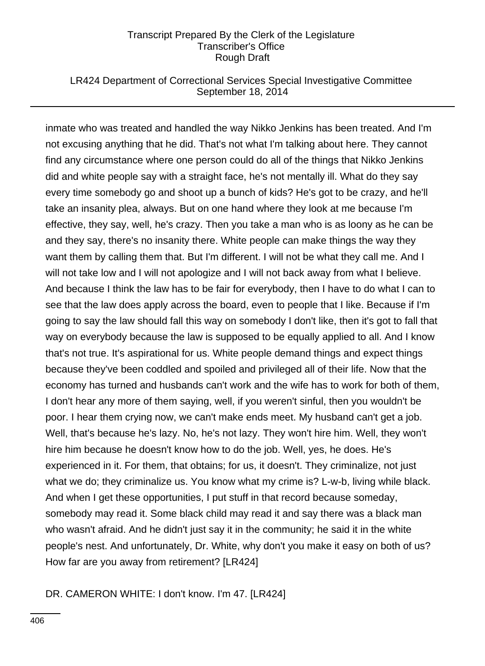## LR424 Department of Correctional Services Special Investigative Committee September 18, 2014

inmate who was treated and handled the way Nikko Jenkins has been treated. And I'm not excusing anything that he did. That's not what I'm talking about here. They cannot find any circumstance where one person could do all of the things that Nikko Jenkins did and white people say with a straight face, he's not mentally ill. What do they say every time somebody go and shoot up a bunch of kids? He's got to be crazy, and he'll take an insanity plea, always. But on one hand where they look at me because I'm effective, they say, well, he's crazy. Then you take a man who is as loony as he can be and they say, there's no insanity there. White people can make things the way they want them by calling them that. But I'm different. I will not be what they call me. And I will not take low and I will not apologize and I will not back away from what I believe. And because I think the law has to be fair for everybody, then I have to do what I can to see that the law does apply across the board, even to people that I like. Because if I'm going to say the law should fall this way on somebody I don't like, then it's got to fall that way on everybody because the law is supposed to be equally applied to all. And I know that's not true. It's aspirational for us. White people demand things and expect things because they've been coddled and spoiled and privileged all of their life. Now that the economy has turned and husbands can't work and the wife has to work for both of them, I don't hear any more of them saying, well, if you weren't sinful, then you wouldn't be poor. I hear them crying now, we can't make ends meet. My husband can't get a job. Well, that's because he's lazy. No, he's not lazy. They won't hire him. Well, they won't hire him because he doesn't know how to do the job. Well, yes, he does. He's experienced in it. For them, that obtains; for us, it doesn't. They criminalize, not just what we do; they criminalize us. You know what my crime is? L-w-b, living while black. And when I get these opportunities, I put stuff in that record because someday, somebody may read it. Some black child may read it and say there was a black man who wasn't afraid. And he didn't just say it in the community; he said it in the white people's nest. And unfortunately, Dr. White, why don't you make it easy on both of us? How far are you away from retirement? [LR424]

DR. CAMERON WHITE: I don't know. I'm 47. [LR424]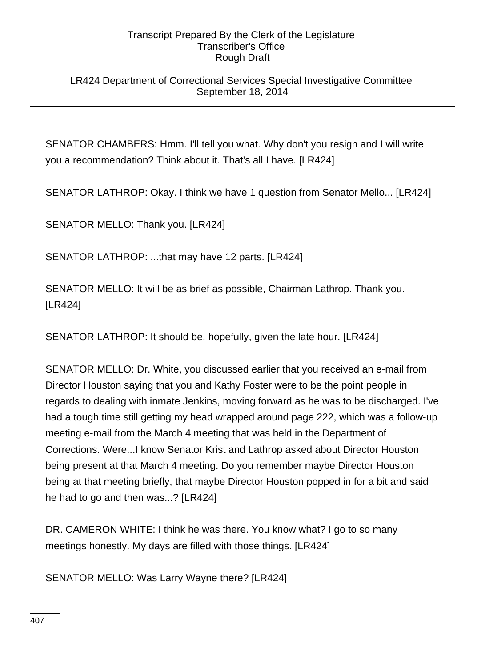LR424 Department of Correctional Services Special Investigative Committee September 18, 2014

SENATOR CHAMBERS: Hmm. I'll tell you what. Why don't you resign and I will write you a recommendation? Think about it. That's all I have. [LR424]

SENATOR LATHROP: Okay. I think we have 1 question from Senator Mello... [LR424]

SENATOR MELLO: Thank you. [LR424]

SENATOR LATHROP: ...that may have 12 parts. [LR424]

SENATOR MELLO: It will be as brief as possible, Chairman Lathrop. Thank you. [LR424]

SENATOR LATHROP: It should be, hopefully, given the late hour. [LR424]

SENATOR MELLO: Dr. White, you discussed earlier that you received an e-mail from Director Houston saying that you and Kathy Foster were to be the point people in regards to dealing with inmate Jenkins, moving forward as he was to be discharged. I've had a tough time still getting my head wrapped around page 222, which was a follow-up meeting e-mail from the March 4 meeting that was held in the Department of Corrections. Were...I know Senator Krist and Lathrop asked about Director Houston being present at that March 4 meeting. Do you remember maybe Director Houston being at that meeting briefly, that maybe Director Houston popped in for a bit and said he had to go and then was...? [LR424]

DR. CAMERON WHITE: I think he was there. You know what? I go to so many meetings honestly. My days are filled with those things. [LR424]

SENATOR MELLO: Was Larry Wayne there? [LR424]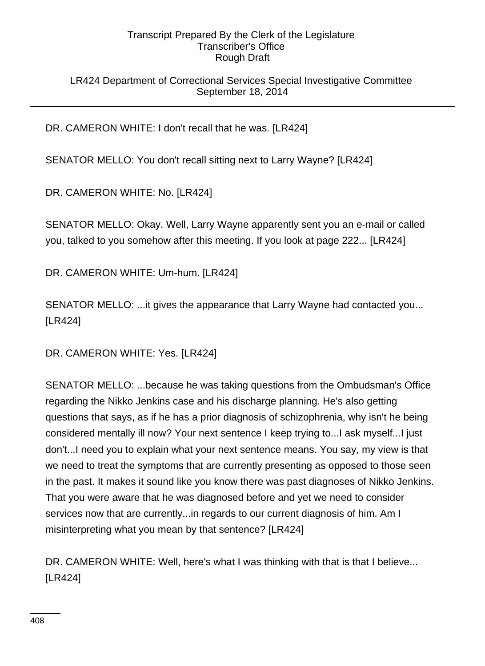LR424 Department of Correctional Services Special Investigative Committee September 18, 2014

DR. CAMERON WHITE: I don't recall that he was. [LR424]

SENATOR MELLO: You don't recall sitting next to Larry Wayne? [LR424]

DR. CAMERON WHITE: No. [LR424]

SENATOR MELLO: Okay. Well, Larry Wayne apparently sent you an e-mail or called you, talked to you somehow after this meeting. If you look at page 222... [LR424]

DR. CAMERON WHITE: Um-hum. [LR424]

SENATOR MELLO: ...it gives the appearance that Larry Wayne had contacted you... [LR424]

DR. CAMERON WHITE: Yes. [LR424]

SENATOR MELLO: ...because he was taking questions from the Ombudsman's Office regarding the Nikko Jenkins case and his discharge planning. He's also getting questions that says, as if he has a prior diagnosis of schizophrenia, why isn't he being considered mentally ill now? Your next sentence I keep trying to...I ask myself...I just don't...I need you to explain what your next sentence means. You say, my view is that we need to treat the symptoms that are currently presenting as opposed to those seen in the past. It makes it sound like you know there was past diagnoses of Nikko Jenkins. That you were aware that he was diagnosed before and yet we need to consider services now that are currently...in regards to our current diagnosis of him. Am I misinterpreting what you mean by that sentence? [LR424]

DR. CAMERON WHITE: Well, here's what I was thinking with that is that I believe... [LR424]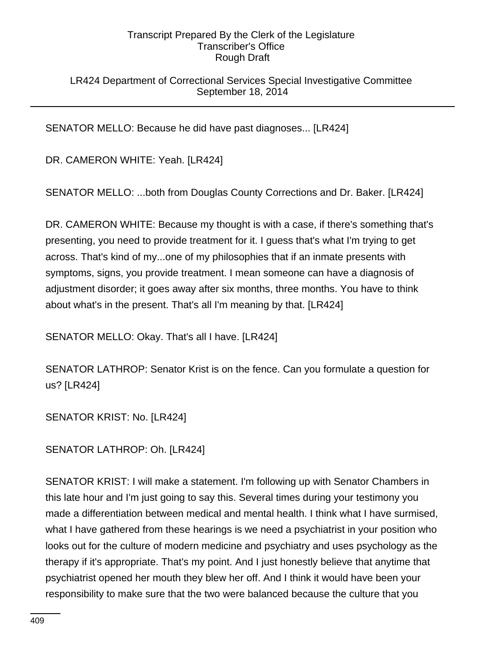LR424 Department of Correctional Services Special Investigative Committee September 18, 2014

SENATOR MELLO: Because he did have past diagnoses... [LR424]

DR. CAMERON WHITE: Yeah. [LR424]

SENATOR MELLO: ...both from Douglas County Corrections and Dr. Baker. [LR424]

DR. CAMERON WHITE: Because my thought is with a case, if there's something that's presenting, you need to provide treatment for it. I guess that's what I'm trying to get across. That's kind of my...one of my philosophies that if an inmate presents with symptoms, signs, you provide treatment. I mean someone can have a diagnosis of adjustment disorder; it goes away after six months, three months. You have to think about what's in the present. That's all I'm meaning by that. [LR424]

SENATOR MELLO: Okay. That's all I have. [LR424]

SENATOR LATHROP: Senator Krist is on the fence. Can you formulate a question for us? [LR424]

SENATOR KRIST: No. [LR424]

SENATOR LATHROP: Oh. [LR424]

SENATOR KRIST: I will make a statement. I'm following up with Senator Chambers in this late hour and I'm just going to say this. Several times during your testimony you made a differentiation between medical and mental health. I think what I have surmised, what I have gathered from these hearings is we need a psychiatrist in your position who looks out for the culture of modern medicine and psychiatry and uses psychology as the therapy if it's appropriate. That's my point. And I just honestly believe that anytime that psychiatrist opened her mouth they blew her off. And I think it would have been your responsibility to make sure that the two were balanced because the culture that you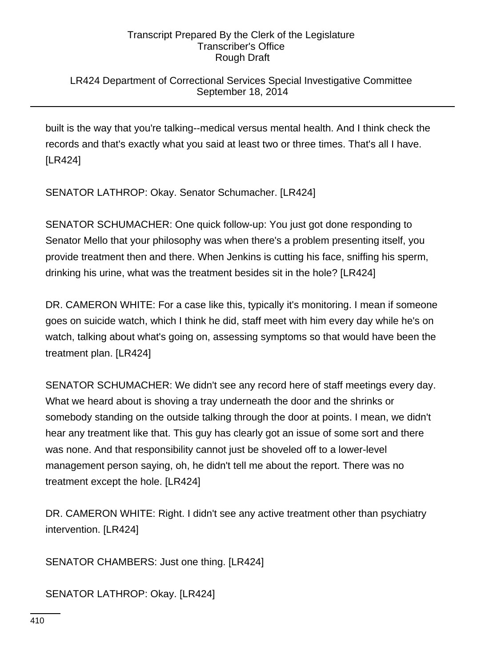## LR424 Department of Correctional Services Special Investigative Committee September 18, 2014

built is the way that you're talking--medical versus mental health. And I think check the records and that's exactly what you said at least two or three times. That's all I have. [LR424]

SENATOR LATHROP: Okay. Senator Schumacher. [LR424]

SENATOR SCHUMACHER: One quick follow-up: You just got done responding to Senator Mello that your philosophy was when there's a problem presenting itself, you provide treatment then and there. When Jenkins is cutting his face, sniffing his sperm, drinking his urine, what was the treatment besides sit in the hole? [LR424]

DR. CAMERON WHITE: For a case like this, typically it's monitoring. I mean if someone goes on suicide watch, which I think he did, staff meet with him every day while he's on watch, talking about what's going on, assessing symptoms so that would have been the treatment plan. [LR424]

SENATOR SCHUMACHER: We didn't see any record here of staff meetings every day. What we heard about is shoving a tray underneath the door and the shrinks or somebody standing on the outside talking through the door at points. I mean, we didn't hear any treatment like that. This guy has clearly got an issue of some sort and there was none. And that responsibility cannot just be shoveled off to a lower-level management person saying, oh, he didn't tell me about the report. There was no treatment except the hole. [LR424]

DR. CAMERON WHITE: Right. I didn't see any active treatment other than psychiatry intervention. [LR424]

SENATOR CHAMBERS: Just one thing. [LR424]

SENATOR LATHROP: Okay. [LR424]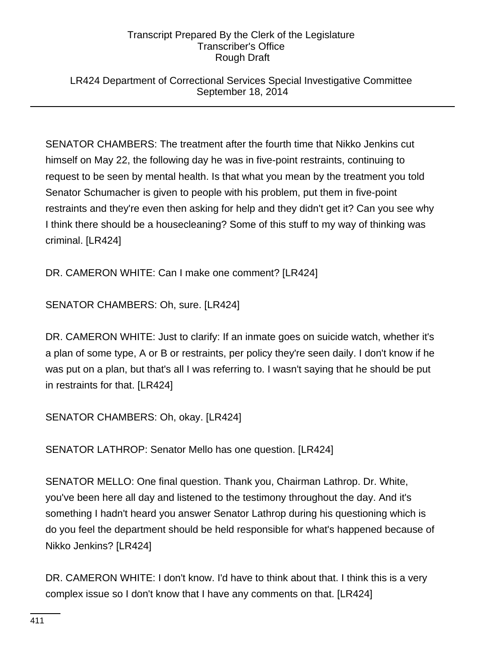## LR424 Department of Correctional Services Special Investigative Committee September 18, 2014

SENATOR CHAMBERS: The treatment after the fourth time that Nikko Jenkins cut himself on May 22, the following day he was in five-point restraints, continuing to request to be seen by mental health. Is that what you mean by the treatment you told Senator Schumacher is given to people with his problem, put them in five-point restraints and they're even then asking for help and they didn't get it? Can you see why I think there should be a housecleaning? Some of this stuff to my way of thinking was criminal. [LR424]

DR. CAMERON WHITE: Can I make one comment? [LR424]

SENATOR CHAMBERS: Oh, sure. [LR424]

DR. CAMERON WHITE: Just to clarify: If an inmate goes on suicide watch, whether it's a plan of some type, A or B or restraints, per policy they're seen daily. I don't know if he was put on a plan, but that's all I was referring to. I wasn't saying that he should be put in restraints for that. [LR424]

SENATOR CHAMBERS: Oh, okay. [LR424]

SENATOR LATHROP: Senator Mello has one question. [LR424]

SENATOR MELLO: One final question. Thank you, Chairman Lathrop. Dr. White, you've been here all day and listened to the testimony throughout the day. And it's something I hadn't heard you answer Senator Lathrop during his questioning which is do you feel the department should be held responsible for what's happened because of Nikko Jenkins? [LR424]

DR. CAMERON WHITE: I don't know. I'd have to think about that. I think this is a very complex issue so I don't know that I have any comments on that. [LR424]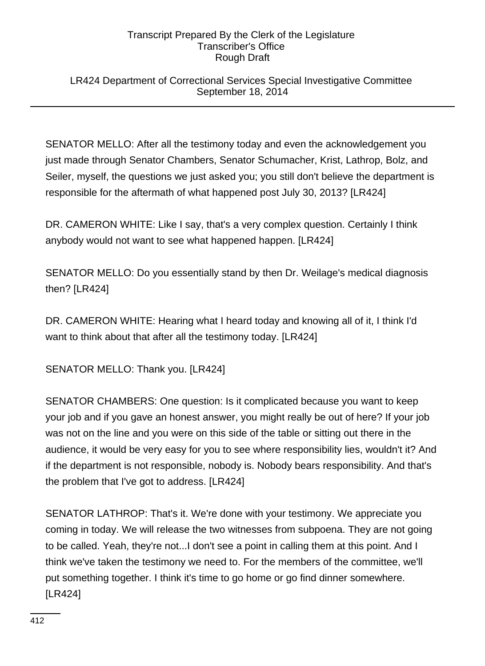## LR424 Department of Correctional Services Special Investigative Committee September 18, 2014

SENATOR MELLO: After all the testimony today and even the acknowledgement you just made through Senator Chambers, Senator Schumacher, Krist, Lathrop, Bolz, and Seiler, myself, the questions we just asked you; you still don't believe the department is responsible for the aftermath of what happened post July 30, 2013? [LR424]

DR. CAMERON WHITE: Like I say, that's a very complex question. Certainly I think anybody would not want to see what happened happen. [LR424]

SENATOR MELLO: Do you essentially stand by then Dr. Weilage's medical diagnosis then? [LR424]

DR. CAMERON WHITE: Hearing what I heard today and knowing all of it, I think I'd want to think about that after all the testimony today. [LR424]

SENATOR MELLO: Thank you. [LR424]

SENATOR CHAMBERS: One question: Is it complicated because you want to keep your job and if you gave an honest answer, you might really be out of here? If your job was not on the line and you were on this side of the table or sitting out there in the audience, it would be very easy for you to see where responsibility lies, wouldn't it? And if the department is not responsible, nobody is. Nobody bears responsibility. And that's the problem that I've got to address. [LR424]

SENATOR LATHROP: That's it. We're done with your testimony. We appreciate you coming in today. We will release the two witnesses from subpoena. They are not going to be called. Yeah, they're not...I don't see a point in calling them at this point. And I think we've taken the testimony we need to. For the members of the committee, we'll put something together. I think it's time to go home or go find dinner somewhere. [LR424]